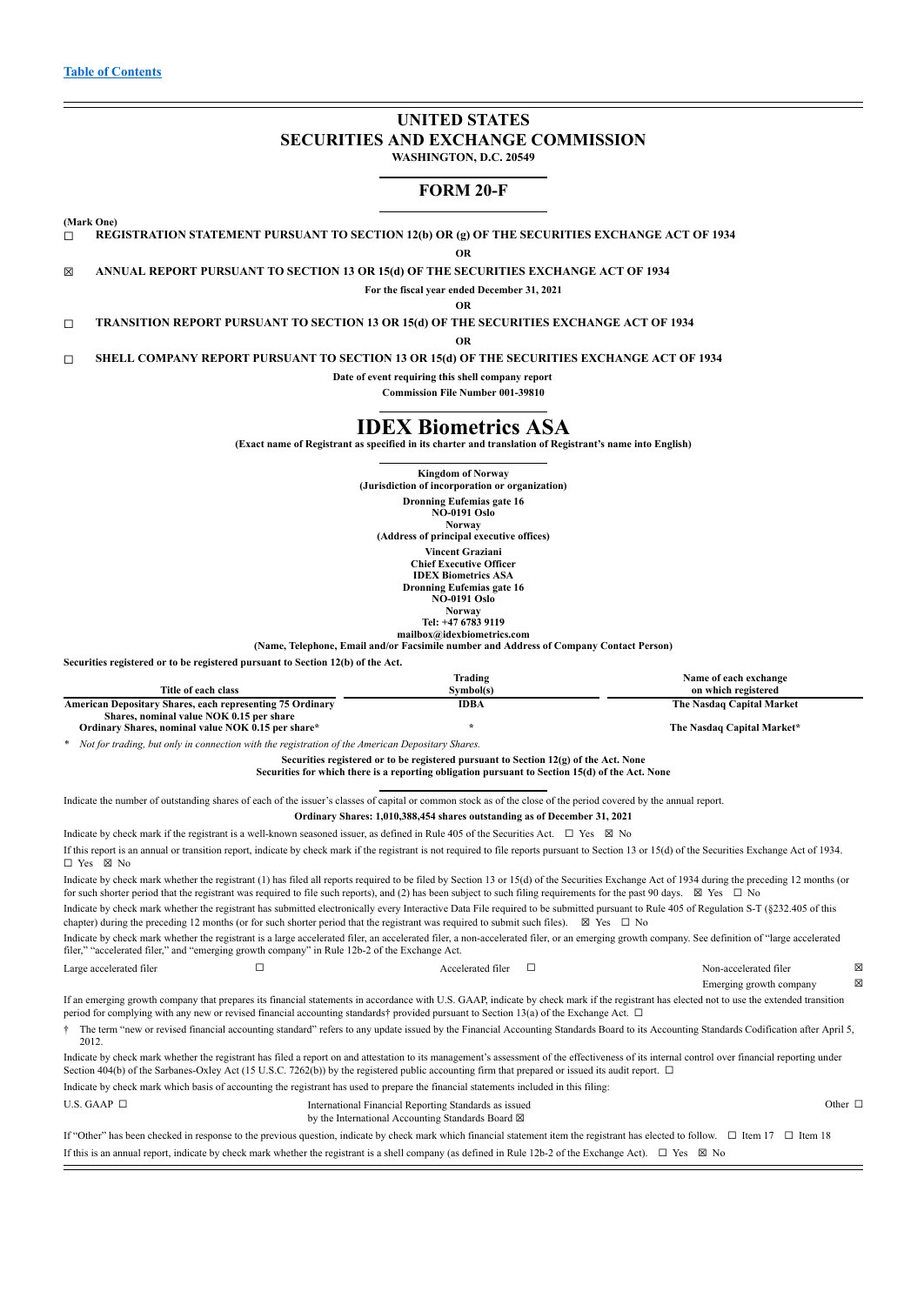# **UNITED STATES SECURITIES AND EXCHANGE COMMISSION WASHINGTON, D.C. 20549**

# **FORM 20-F**

**(Mark One)**

☐ **REGISTRATION STATEMENT PURSUANT TO SECTION 12(b) OR (g) OF THE SECURITIES EXCHANGE ACT OF 1934**

**OR**

☒ **ANNUAL REPORT PURSUANT TO SECTION 13 OR 15(d) OF THE SECURITIES EXCHANGE ACT OF 1934**

**For the fiscal year ended December 31, 2021**

**OR**

☐ **TRANSITION REPORT PURSUANT TO SECTION 13 OR 15(d) OF THE SECURITIES EXCHANGE ACT OF 1934**

**OR**

☐ **SHELL COMPANY REPORT PURSUANT TO SECTION 13 OR 15(d) OF THE SECURITIES EXCHANGE ACT OF 1934**

**Date of event requiring this shell company report** 

**Commission File Number 001-39810**

# **IDEX Biometrics ASA**

**(Exact name of Registrant as specified in its charter and translation of Registrant's name into English)**

**Kingdom of Norway (Jurisdiction of incorporation or organization)**

**Dronning Eufemias gate 16**

**NO-0191 Oslo**

**Norway**

**(Address of principal executive offices)**

**Vincent Graziani**

**Chief Executive Officer IDEX Biometrics ASA**

**Dronning Eufemias gate 16**

**NO-0191 Oslo**

**Norway**

**Tel: +47 6783 9119 mailbox@idexbiometrics.com**

**(Name, Telephone, Email and/or Facsimile number and Address of Company Contact Person)**

**Securities registered or to be registered pursuant to Section 12(b) of the Act.**

|                                                           | Trading   | Name of each exchange      |
|-----------------------------------------------------------|-----------|----------------------------|
| Title of each class                                       | Symbol(s) | on which registered        |
| American Depositary Shares, each representing 75 Ordinary | IDBA      | The Nasdaq Capital Market  |
| Shares, nominal value NOK 0.15 per share                  |           |                            |
| Ordinary Shares, nominal value NOK 0.15 per share*        |           | The Nasdaq Capital Market* |

*\* Not for trading, but only in connection with the registration of the American Depositary Shares.*

**Securities registered or to be registered pursuant to Section 12(g) of the Act. None Securities for which there is a reporting obligation pursuant to Section 15(d) of the Act. None**

Indicate the number of outstanding shares of each of the issuer's classes of capital or common stock as of the close of the period covered by the annual report.

**Ordinary Shares: 1,010,388,454 shares outstanding as of December 31, 2021**

Indicate by check mark if the registrant is a well-known seasoned issuer, as defined in Rule 405 of the Securities Act.  $\Box$  Yes  $\boxtimes$  No

If this report is an annual or transition report, indicate by check mark if the registrant is not required to file reports pursuant to Section 13 or 15(d) of the Securities Exchange Act of 1934.  $\Box$  Yes  $\boxtimes$  No

Indicate by check mark whether the registrant (1) has filed all reports required to be filed by Section 13 or 15(d) of the Securities Exchange Act of 1934 during the preceding 12 months (or for such shorter period that the registrant was required to file such reports), and (2) has been subject to such filing requirements for the past 90 days.  $\boxtimes$  Yes  $\Box$  No

Indicate by check mark whether the registrant has submitted electronically every Interactive Data File required to be submitted pursuant to Rule 405 of Regulation S-T (§232.405 of this chapter) during the preceding 12 months (or for such shorter period that the registrant was required to submit such files). ☒ Yes ☐ No

Indicate by check mark whether the registrant is a large accelerated filer, an accelerated filer, a non-accelerated filer, or an emerging growth company. See definition of "large accelerated filer," "accelerated filer," and "emerging growth company" in Rule 12b-2 of the Exchange Act.

| tile<br>$L$ arge acc $\epsilon$ | tilei<br>$\sim$ | <b>Baanla</b><br>tile<br>Non-<br>raten.<br>. | IXI |
|---------------------------------|-----------------|----------------------------------------------|-----|
|                                 |                 | Emerging growth<br>company                   | ıxı |

If an emerging growth company that prepares its financial statements in accordance with U.S. GAAP, indicate by check mark if the registrant has elected not to use the extended transition period for complying with any new or revised financial accounting standards† provided pursuant to Section 13(a) of the Exchange Act. □

† The term "new or revised financial accounting standard" refers to any update issued by the Financial Accounting Standards Board to its Accounting Standards Codification after April 5, 2012.

Indicate by check mark whether the registrant has filed a report on and attestation to its management's assessment of the effectiveness of its internal control over financial reporting under Section 404(b) of the Sarbanes-Oxley Act (15 U.S.C. 7262(b)) by the registered public accounting firm that prepared or issued its audit report. □

Indicate by check mark which basis of accounting the registrant has used to prepare the financial statements included in this filing: U.S. GAAP □ SURP INTERNATIONAL International Financial Reporting Standards as issued Other □

by the International Accounting Standards Board  $\boxtimes$ 

If "Other" has been checked in response to the previous question, indicate by check mark which financial statement item the registrant has elected to follow.  $\Box$  Item 17  $\Box$  Item 18 If this is an annual report, indicate by check mark whether the registrant is a shell company (as defined in Rule 12b-2 of the Exchange Act).  $\Box$  Yes  $\boxtimes$  No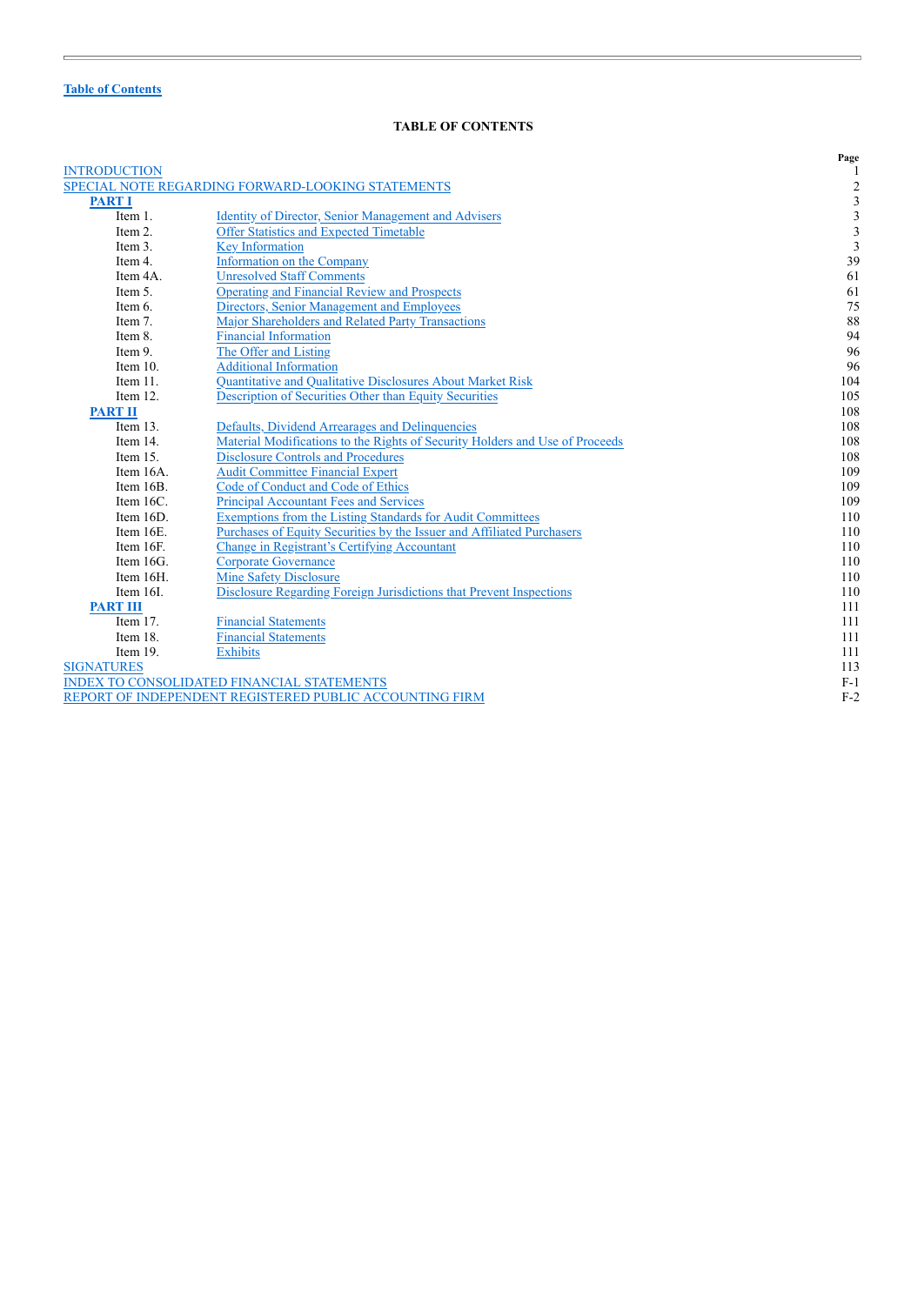# **TABLE OF CONTENTS**

|                     |                                                                              | Page                                               |
|---------------------|------------------------------------------------------------------------------|----------------------------------------------------|
| <b>INTRODUCTION</b> |                                                                              |                                                    |
| <b>PART I</b>       | SPECIAL NOTE REGARDING FORWARD-LOOKING STATEMENTS                            | $\begin{array}{c} 2 \\ 3 \\ 3 \\ 3 \\ \end{array}$ |
| Item 1.             | Identity of Director, Senior Management and Advisers                         |                                                    |
| Item 2.             |                                                                              |                                                    |
| Item 3.             | Offer Statistics and Expected Timetable                                      |                                                    |
|                     | <b>Key Information</b>                                                       |                                                    |
| Item 4.             | Information on the Company                                                   | 39                                                 |
| Item 4A.            | <b>Unresolved Staff Comments</b>                                             | 61                                                 |
| Item 5.             | <b>Operating and Financial Review and Prospects</b>                          | 61                                                 |
| Item 6.             | Directors, Senior Management and Employees                                   | 75                                                 |
| Item 7.             | Major Shareholders and Related Party Transactions                            | 88                                                 |
| Item 8.             | <b>Financial Information</b>                                                 | 94                                                 |
| Item 9.             | The Offer and Listing                                                        | 96                                                 |
| Item $10$ .         | <b>Additional Information</b>                                                | 96                                                 |
| Item 11.            | Quantitative and Qualitative Disclosures About Market Risk                   | 104                                                |
| Item 12.            | Description of Securities Other than Equity Securities                       | 105                                                |
| <b>PART II</b>      |                                                                              | 108                                                |
| Item 13.            | Defaults, Dividend Arrearages and Delinquencies                              | 108                                                |
| Item 14.            | Material Modifications to the Rights of Security Holders and Use of Proceeds | 108                                                |
| Item 15.            | <b>Disclosure Controls and Procedures</b>                                    | 108                                                |
| Item 16A.           | <b>Audit Committee Financial Expert</b>                                      | 109                                                |
| Item 16B.           | Code of Conduct and Code of Ethics                                           | 109                                                |
| Item 16C.           | <b>Principal Accountant Fees and Services</b>                                | 109                                                |
| Item 16D.           | Exemptions from the Listing Standards for Audit Committees                   | 110                                                |
| Item 16E.           | Purchases of Equity Securities by the Issuer and Affiliated Purchasers       | 110                                                |
| Item 16F.           | Change in Registrant's Certifying Accountant                                 | 110                                                |
| Item 16G.           | <b>Corporate Governance</b>                                                  | 110                                                |
| Item 16H.           | <b>Mine Safety Disclosure</b>                                                | 110                                                |
| Item 16I.           | Disclosure Regarding Foreign Jurisdictions that Prevent Inspections          | 110                                                |
| <b>PART III</b>     |                                                                              | 111                                                |
| Item 17.            | <b>Financial Statements</b>                                                  | 111                                                |
| Item 18.            | <b>Financial Statements</b>                                                  | 111                                                |
| Item 19.            | <b>Exhibits</b>                                                              | 111                                                |
| <b>SIGNATURES</b>   |                                                                              | 113                                                |
|                     | <b>INDEX TO CONSOLIDATED FINANCIAL STATEMENTS</b>                            | $F-1$                                              |
|                     | REPORT OF INDEPENDENT REGISTERED PUBLIC ACCOUNTING FIRM                      | $F-2$                                              |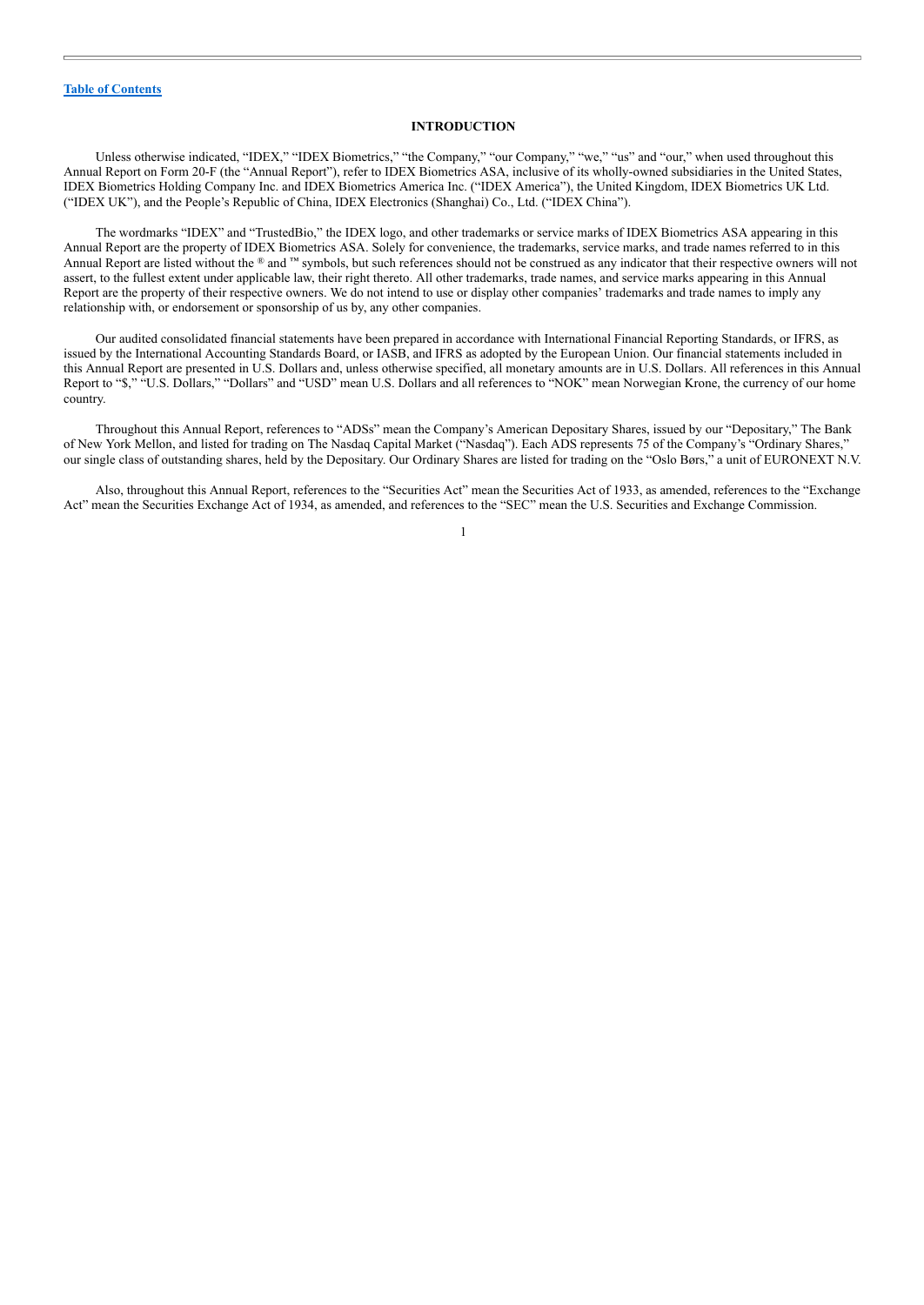# **INTRODUCTION**

Unless otherwise indicated, "IDEX," "IDEX Biometrics," "the Company," "our Company," "we," "us" and "our," when used throughout this Annual Report on Form 20-F (the "Annual Report"), refer to IDEX Biometrics ASA, inclusive of its wholly-owned subsidiaries in the United States, IDEX Biometrics Holding Company Inc. and IDEX Biometrics America Inc. ("IDEX America"), the United Kingdom, IDEX Biometrics UK Ltd. ("IDEX UK"), and the People's Republic of China, IDEX Electronics (Shanghai) Co., Ltd. ("IDEX China").

The wordmarks "IDEX" and "TrustedBio," the IDEX logo, and other trademarks or service marks of IDEX Biometrics ASA appearing in this Annual Report are the property of IDEX Biometrics ASA. Solely for convenience, the trademarks, service marks, and trade names referred to in this Annual Report are listed without the ® and ™ symbols, but such references should not be construed as any indicator that their respective owners will not assert, to the fullest extent under applicable law, their right thereto. All other trademarks, trade names, and service marks appearing in this Annual Report are the property of their respective owners. We do not intend to use or display other companies' trademarks and trade names to imply any relationship with, or endorsement or sponsorship of us by, any other companies.

Our audited consolidated financial statements have been prepared in accordance with International Financial Reporting Standards, or IFRS, as issued by the International Accounting Standards Board, or IASB, and IFRS as adopted by the European Union. Our financial statements included in this Annual Report are presented in U.S. Dollars and, unless otherwise specified, all monetary amounts are in U.S. Dollars. All references in this Annual Report to "\$," "U.S. Dollars," "Dollars" and "USD" mean U.S. Dollars and all references to "NOK" mean Norwegian Krone, the currency of our home country.

Throughout this Annual Report, references to "ADSs" mean the Company's American Depositary Shares, issued by our "Depositary," The Bank of New York Mellon, and listed for trading on The Nasdaq Capital Market ("Nasdaq"). Each ADS represents 75 of the Company's "Ordinary Shares," our single class of outstanding shares, held by the Depositary. Our Ordinary Shares are listed for trading on the "Oslo Børs," a unit of EURONEXT N.V.

Also, throughout this Annual Report, references to the "Securities Act" mean the Securities Act of 1933, as amended, references to the "Exchange Act" mean the Securities Exchange Act of 1934, as amended, and references to the "SEC" mean the U.S. Securities and Exchange Commission.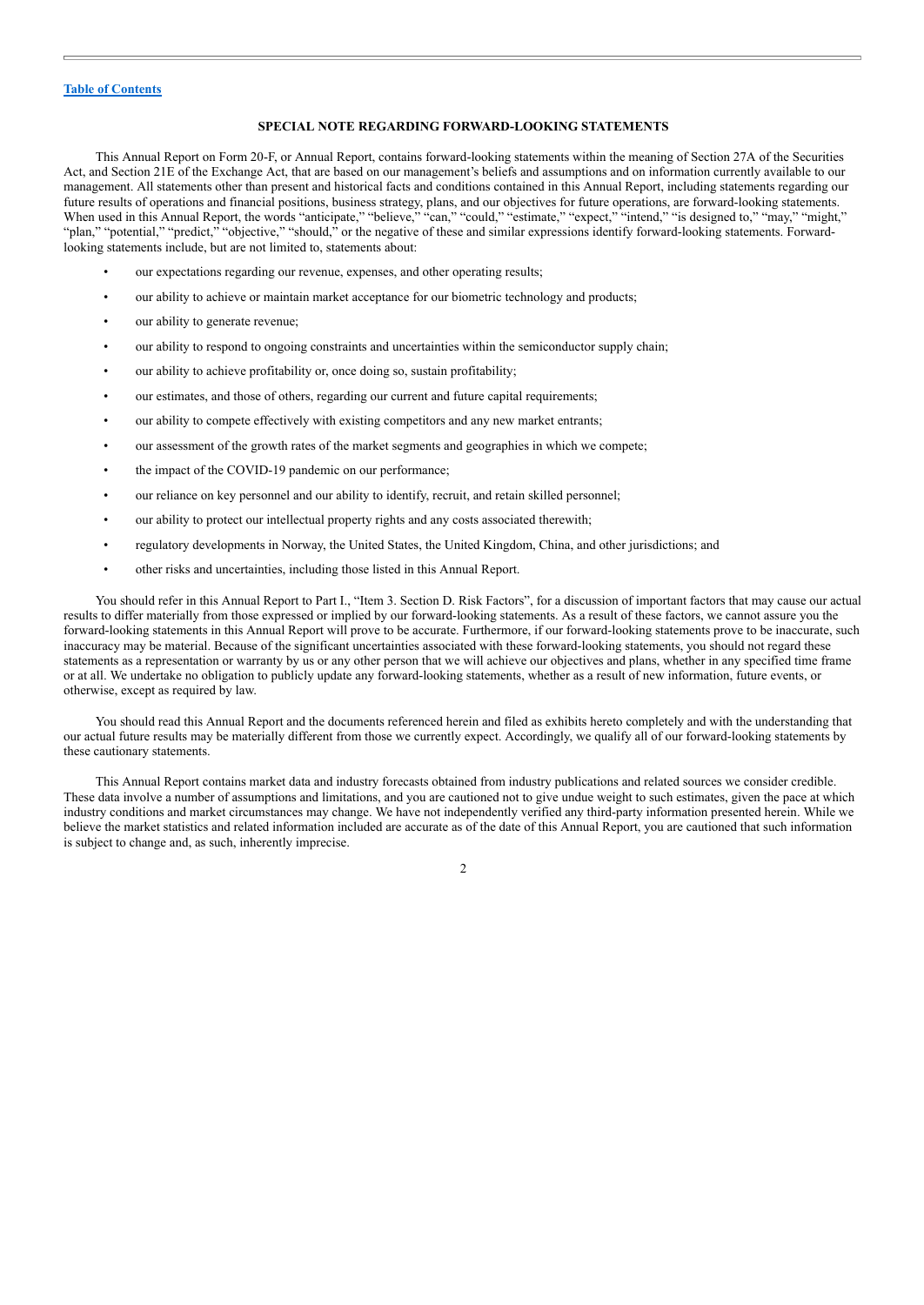# **SPECIAL NOTE REGARDING FORWARD-LOOKING STATEMENTS**

This Annual Report on Form 20-F, or Annual Report, contains forward-looking statements within the meaning of Section 27A of the Securities Act, and Section 21E of the Exchange Act, that are based on our management's beliefs and assumptions and on information currently available to our management. All statements other than present and historical facts and conditions contained in this Annual Report, including statements regarding our future results of operations and financial positions, business strategy, plans, and our objectives for future operations, are forward-looking statements. When used in this Annual Report, the words "anticipate," "believe," "can," "could," "estimate," "expect," "intend," "is designed to," "may," "might," "plan," "potential," "predict," "objective," "should," or the negative of these and similar expressions identify forward-looking statements. Forwardlooking statements include, but are not limited to, statements about:

- our expectations regarding our revenue, expenses, and other operating results;
- our ability to achieve or maintain market acceptance for our biometric technology and products;
- our ability to generate revenue;
- our ability to respond to ongoing constraints and uncertainties within the semiconductor supply chain;
- our ability to achieve profitability or, once doing so, sustain profitability;
- our estimates, and those of others, regarding our current and future capital requirements;
- our ability to compete effectively with existing competitors and any new market entrants;
- our assessment of the growth rates of the market segments and geographies in which we compete;
- the impact of the COVID-19 pandemic on our performance;
- our reliance on key personnel and our ability to identify, recruit, and retain skilled personnel;
- our ability to protect our intellectual property rights and any costs associated therewith;
- regulatory developments in Norway, the United States, the United Kingdom, China, and other jurisdictions; and
- other risks and uncertainties, including those listed in this Annual Report.

You should refer in this Annual Report to Part I., "Item 3. Section D. Risk Factors", for a discussion of important factors that may cause our actual results to differ materially from those expressed or implied by our forward-looking statements. As a result of these factors, we cannot assure you the forward-looking statements in this Annual Report will prove to be accurate. Furthermore, if our forward-looking statements prove to be inaccurate, such inaccuracy may be material. Because of the significant uncertainties associated with these forward-looking statements, you should not regard these statements as a representation or warranty by us or any other person that we will achieve our objectives and plans, whether in any specified time frame or at all. We undertake no obligation to publicly update any forward-looking statements, whether as a result of new information, future events, or otherwise, except as required by law.

You should read this Annual Report and the documents referenced herein and filed as exhibits hereto completely and with the understanding that our actual future results may be materially different from those we currently expect. Accordingly, we qualify all of our forward-looking statements by these cautionary statements.

This Annual Report contains market data and industry forecasts obtained from industry publications and related sources we consider credible. These data involve a number of assumptions and limitations, and you are cautioned not to give undue weight to such estimates, given the pace at which industry conditions and market circumstances may change. We have not independently verified any third-party information presented herein. While we believe the market statistics and related information included are accurate as of the date of this Annual Report, you are cautioned that such information is subject to change and, as such, inherently imprecise.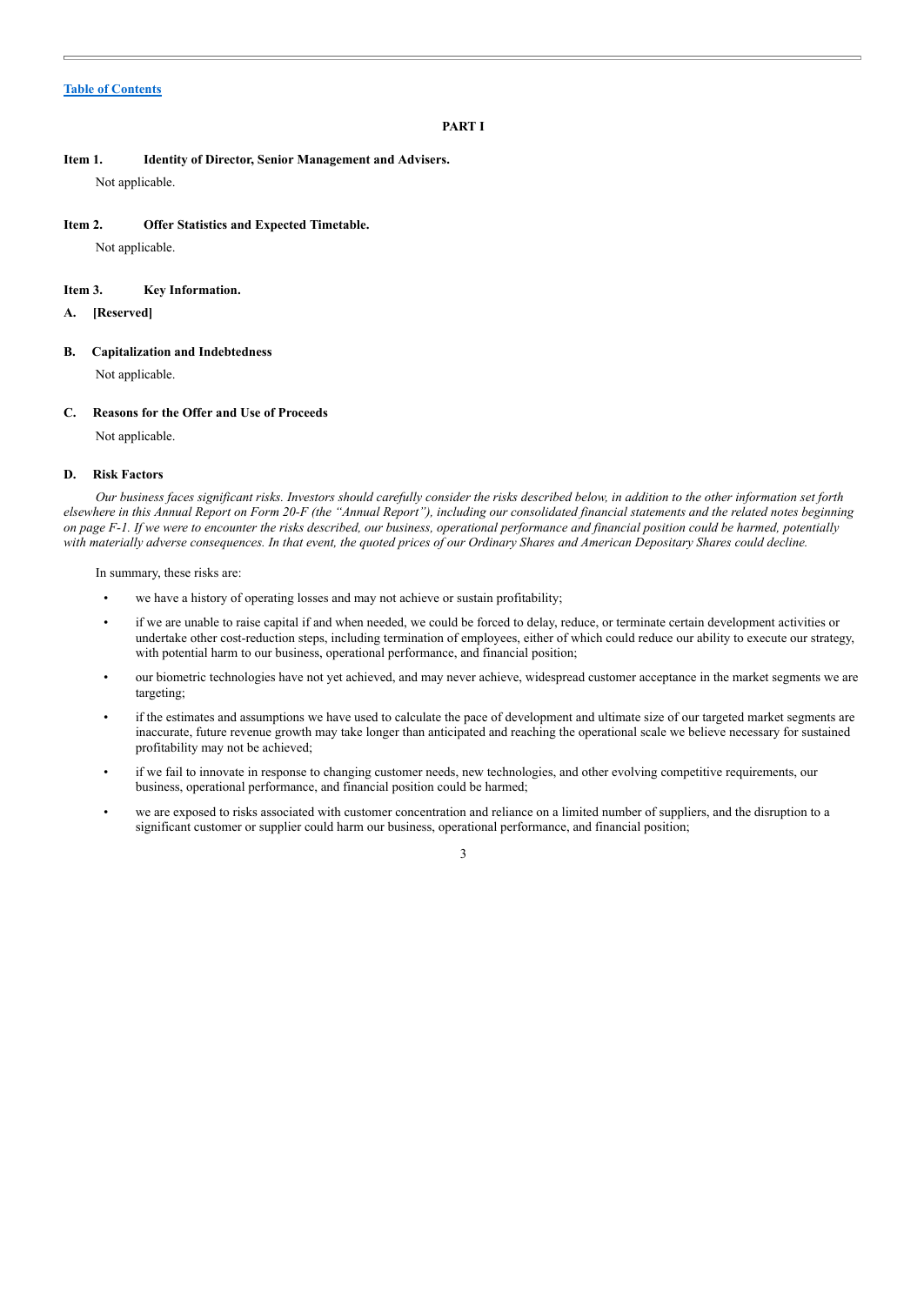# **PART I**

#### **Item 1. Identity of Director, Senior Management and Advisers.**

Not applicable.

#### **Item 2. Offer Statistics and Expected Timetable.**

Not applicable.

# Item 3. **Key Information.**

# **A. [Reserved]**

#### **B. Capitalization and Indebtedness**

Not applicable.

### **C. Reasons for the Offer and Use of Proceeds**

Not applicable.

#### **D. Risk Factors**

*Our business faces significant risks. Investors should carefully consider the risks described below, in addition to the other information set forth elsewhere in this Annual Report on Form 20-F (the "Annual Report"), including our consolidated financial statements and the related notes beginning on page F-1. If we were to encounter the risks described, our business, operational performance and financial position could be harmed, potentially with materially adverse consequences. In that event, the quoted prices of our Ordinary Shares and American Depositary Shares could decline.*

In summary, these risks are:

- we have a history of operating losses and may not achieve or sustain profitability;
- if we are unable to raise capital if and when needed, we could be forced to delay, reduce, or terminate certain development activities or undertake other cost-reduction steps, including termination of employees, either of which could reduce our ability to execute our strategy, with potential harm to our business, operational performance, and financial position;
- our biometric technologies have not yet achieved, and may never achieve, widespread customer acceptance in the market segments we are targeting;
- if the estimates and assumptions we have used to calculate the pace of development and ultimate size of our targeted market segments are inaccurate, future revenue growth may take longer than anticipated and reaching the operational scale we believe necessary for sustained profitability may not be achieved;
- if we fail to innovate in response to changing customer needs, new technologies, and other evolving competitive requirements, our business, operational performance, and financial position could be harmed;
- we are exposed to risks associated with customer concentration and reliance on a limited number of suppliers, and the disruption to a significant customer or supplier could harm our business, operational performance, and financial position;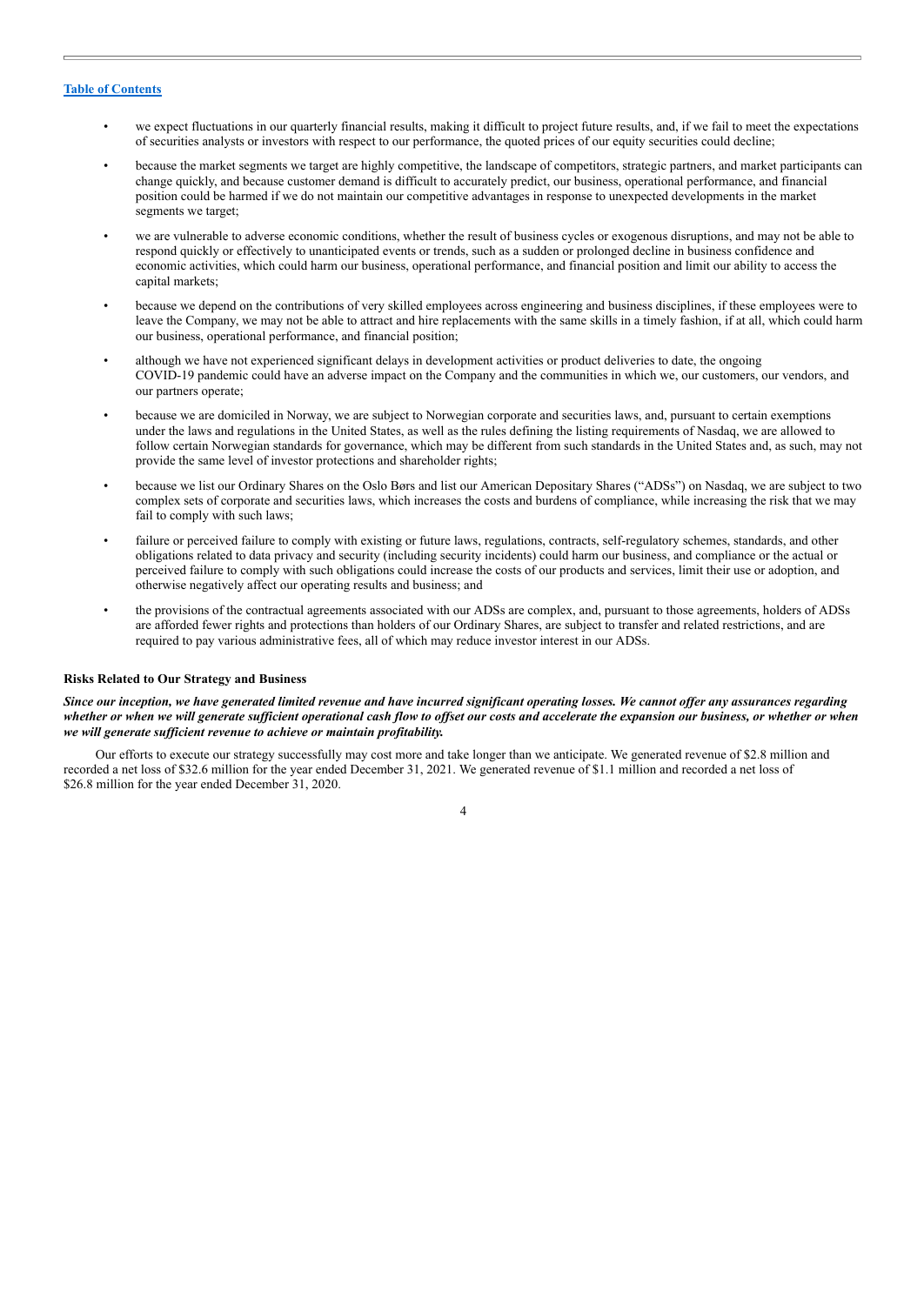- we expect fluctuations in our quarterly financial results, making it difficult to project future results, and, if we fail to meet the expectations of securities analysts or investors with respect to our performance, the quoted prices of our equity securities could decline;
- because the market segments we target are highly competitive, the landscape of competitors, strategic partners, and market participants can change quickly, and because customer demand is difficult to accurately predict, our business, operational performance, and financial position could be harmed if we do not maintain our competitive advantages in response to unexpected developments in the market segments we target;
- we are vulnerable to adverse economic conditions, whether the result of business cycles or exogenous disruptions, and may not be able to respond quickly or effectively to unanticipated events or trends, such as a sudden or prolonged decline in business confidence and economic activities, which could harm our business, operational performance, and financial position and limit our ability to access the capital markets;
- because we depend on the contributions of very skilled employees across engineering and business disciplines, if these employees were to leave the Company, we may not be able to attract and hire replacements with the same skills in a timely fashion, if at all, which could harm our business, operational performance, and financial position;
- although we have not experienced significant delays in development activities or product deliveries to date, the ongoing COVID-19 pandemic could have an adverse impact on the Company and the communities in which we, our customers, our vendors, and our partners operate;
- because we are domiciled in Norway, we are subject to Norwegian corporate and securities laws, and, pursuant to certain exemptions under the laws and regulations in the United States, as well as the rules defining the listing requirements of Nasdaq, we are allowed to follow certain Norwegian standards for governance, which may be different from such standards in the United States and, as such, may not provide the same level of investor protections and shareholder rights;
- because we list our Ordinary Shares on the Oslo Børs and list our American Depositary Shares ("ADSs") on Nasdaq, we are subject to two complex sets of corporate and securities laws, which increases the costs and burdens of compliance, while increasing the risk that we may fail to comply with such laws;
- failure or perceived failure to comply with existing or future laws, regulations, contracts, self-regulatory schemes, standards, and other obligations related to data privacy and security (including security incidents) could harm our business, and compliance or the actual or perceived failure to comply with such obligations could increase the costs of our products and services, limit their use or adoption, and otherwise negatively affect our operating results and business; and
- the provisions of the contractual agreements associated with our ADSs are complex, and, pursuant to those agreements, holders of ADSs are afforded fewer rights and protections than holders of our Ordinary Shares, are subject to transfer and related restrictions, and are required to pay various administrative fees, all of which may reduce investor interest in our ADSs.

# **Risks Related to Our Strategy and Business**

# *Since our inception, we have generated limited revenue and have incurred significant operating losses. We cannot offer any assurances regarding whether or when we will generate sufficient operational cash flow to offset our costs and accelerate the expansion our business, or whether or when we will generate sufficient revenue to achieve or maintain profitability.*

Our efforts to execute our strategy successfully may cost more and take longer than we anticipate. We generated revenue of \$2.8 million and recorded a net loss of \$32.6 million for the year ended December 31, 2021. We generated revenue of \$1.1 million and recorded a net loss of \$26.8 million for the year ended December 31, 2020.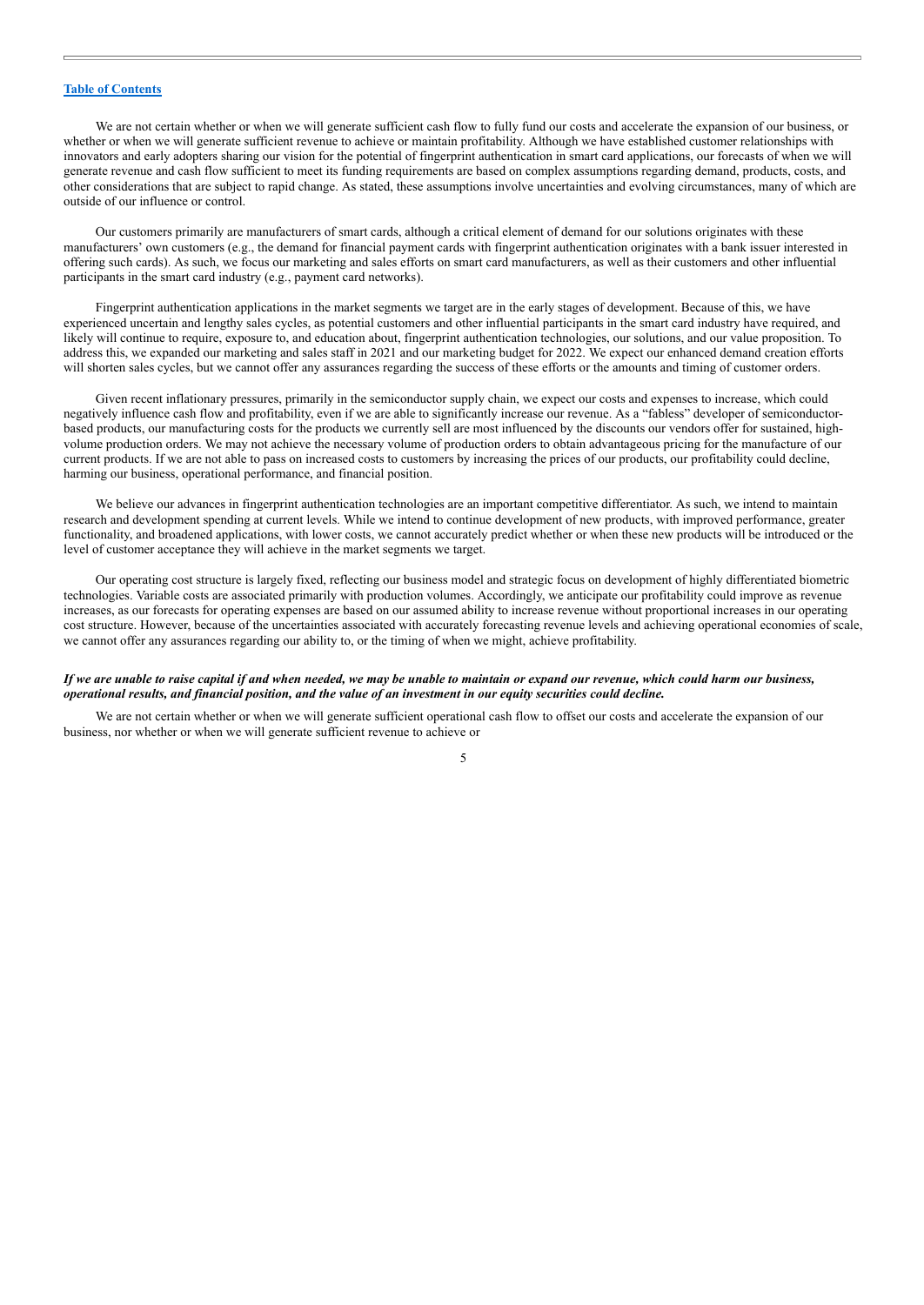We are not certain whether or when we will generate sufficient cash flow to fully fund our costs and accelerate the expansion of our business, or whether or when we will generate sufficient revenue to achieve or maintain profitability. Although we have established customer relationships with innovators and early adopters sharing our vision for the potential of fingerprint authentication in smart card applications, our forecasts of when we will generate revenue and cash flow sufficient to meet its funding requirements are based on complex assumptions regarding demand, products, costs, and other considerations that are subject to rapid change. As stated, these assumptions involve uncertainties and evolving circumstances, many of which are outside of our influence or control.

Our customers primarily are manufacturers of smart cards, although a critical element of demand for our solutions originates with these manufacturers' own customers (e.g., the demand for financial payment cards with fingerprint authentication originates with a bank issuer interested in offering such cards). As such, we focus our marketing and sales efforts on smart card manufacturers, as well as their customers and other influential participants in the smart card industry (e.g., payment card networks).

Fingerprint authentication applications in the market segments we target are in the early stages of development. Because of this, we have experienced uncertain and lengthy sales cycles, as potential customers and other influential participants in the smart card industry have required, and likely will continue to require, exposure to, and education about, fingerprint authentication technologies, our solutions, and our value proposition. To address this, we expanded our marketing and sales staff in 2021 and our marketing budget for 2022. We expect our enhanced demand creation efforts will shorten sales cycles, but we cannot offer any assurances regarding the success of these efforts or the amounts and timing of customer orders.

Given recent inflationary pressures, primarily in the semiconductor supply chain, we expect our costs and expenses to increase, which could negatively influence cash flow and profitability, even if we are able to significantly increase our revenue. As a "fabless" developer of semiconductorbased products, our manufacturing costs for the products we currently sell are most influenced by the discounts our vendors offer for sustained, highvolume production orders. We may not achieve the necessary volume of production orders to obtain advantageous pricing for the manufacture of our current products. If we are not able to pass on increased costs to customers by increasing the prices of our products, our profitability could decline, harming our business, operational performance, and financial position.

We believe our advances in fingerprint authentication technologies are an important competitive differentiator. As such, we intend to maintain research and development spending at current levels. While we intend to continue development of new products, with improved performance, greater functionality, and broadened applications, with lower costs, we cannot accurately predict whether or when these new products will be introduced or the level of customer acceptance they will achieve in the market segments we target.

Our operating cost structure is largely fixed, reflecting our business model and strategic focus on development of highly differentiated biometric technologies. Variable costs are associated primarily with production volumes. Accordingly, we anticipate our profitability could improve as revenue increases, as our forecasts for operating expenses are based on our assumed ability to increase revenue without proportional increases in our operating cost structure. However, because of the uncertainties associated with accurately forecasting revenue levels and achieving operational economies of scale, we cannot offer any assurances regarding our ability to, or the timing of when we might, achieve profitability.

### *If we are unable to raise capital if and when needed, we may be unable to maintain or expand our revenue, which could harm our business, operational results, and financial position, and the value of an investment in our equity securities could decline.*

We are not certain whether or when we will generate sufficient operational cash flow to offset our costs and accelerate the expansion of our business, nor whether or when we will generate sufficient revenue to achieve or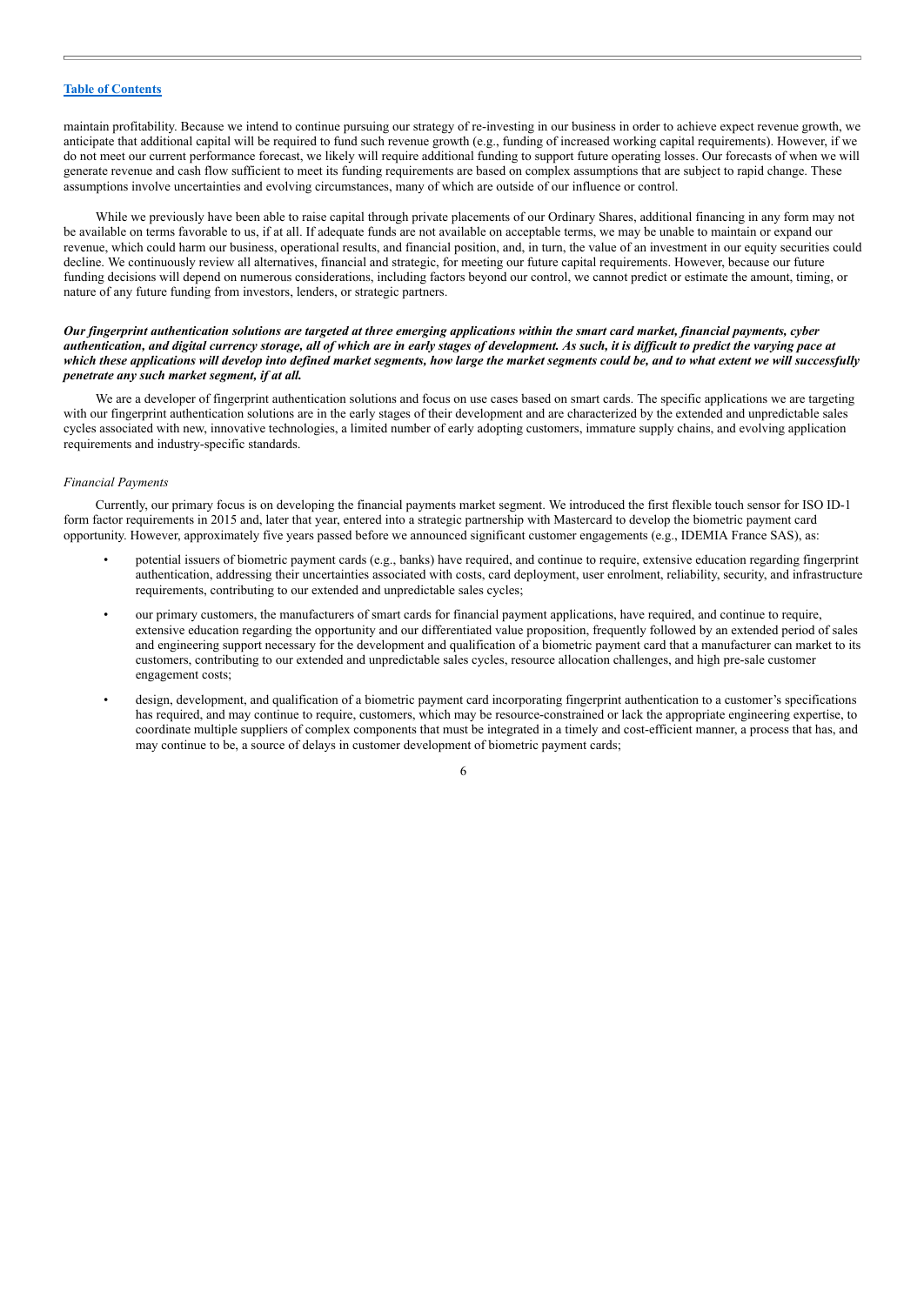maintain profitability. Because we intend to continue pursuing our strategy of re-investing in our business in order to achieve expect revenue growth, we anticipate that additional capital will be required to fund such revenue growth (e.g., funding of increased working capital requirements). However, if we do not meet our current performance forecast, we likely will require additional funding to support future operating losses. Our forecasts of when we will generate revenue and cash flow sufficient to meet its funding requirements are based on complex assumptions that are subject to rapid change. These assumptions involve uncertainties and evolving circumstances, many of which are outside of our influence or control.

While we previously have been able to raise capital through private placements of our Ordinary Shares, additional financing in any form may not be available on terms favorable to us, if at all. If adequate funds are not available on acceptable terms, we may be unable to maintain or expand our revenue, which could harm our business, operational results, and financial position, and, in turn, the value of an investment in our equity securities could decline. We continuously review all alternatives, financial and strategic, for meeting our future capital requirements. However, because our future funding decisions will depend on numerous considerations, including factors beyond our control, we cannot predict or estimate the amount, timing, or nature of any future funding from investors, lenders, or strategic partners.

# *Our fingerprint authentication solutions are targeted at three emerging applications within the smart card market, financial payments, cyber authentication, and digital currency storage, all of which are in early stages of development. As such, it is difficult to predict the varying pace at which these applications will develop into defined market segments, how large the market segments could be, and to what extent we will successfully penetrate any such market segment, if at all.*

We are a developer of fingerprint authentication solutions and focus on use cases based on smart cards. The specific applications we are targeting with our fingerprint authentication solutions are in the early stages of their development and are characterized by the extended and unpredictable sales cycles associated with new, innovative technologies, a limited number of early adopting customers, immature supply chains, and evolving application requirements and industry-specific standards.

# *Financial Payments*

Currently, our primary focus is on developing the financial payments market segment. We introduced the first flexible touch sensor for ISO ID-1 form factor requirements in 2015 and, later that year, entered into a strategic partnership with Mastercard to develop the biometric payment card opportunity. However, approximately five years passed before we announced significant customer engagements (e.g., IDEMIA France SAS), as:

- potential issuers of biometric payment cards (e.g., banks) have required, and continue to require, extensive education regarding fingerprint authentication, addressing their uncertainties associated with costs, card deployment, user enrolment, reliability, security, and infrastructure requirements, contributing to our extended and unpredictable sales cycles;
- our primary customers, the manufacturers of smart cards for financial payment applications, have required, and continue to require, extensive education regarding the opportunity and our differentiated value proposition, frequently followed by an extended period of sales and engineering support necessary for the development and qualification of a biometric payment card that a manufacturer can market to its customers, contributing to our extended and unpredictable sales cycles, resource allocation challenges, and high pre-sale customer engagement costs;
- design, development, and qualification of a biometric payment card incorporating fingerprint authentication to a customer's specifications has required, and may continue to require, customers, which may be resource-constrained or lack the appropriate engineering expertise, to coordinate multiple suppliers of complex components that must be integrated in a timely and cost-efficient manner, a process that has, and may continue to be, a source of delays in customer development of biometric payment cards;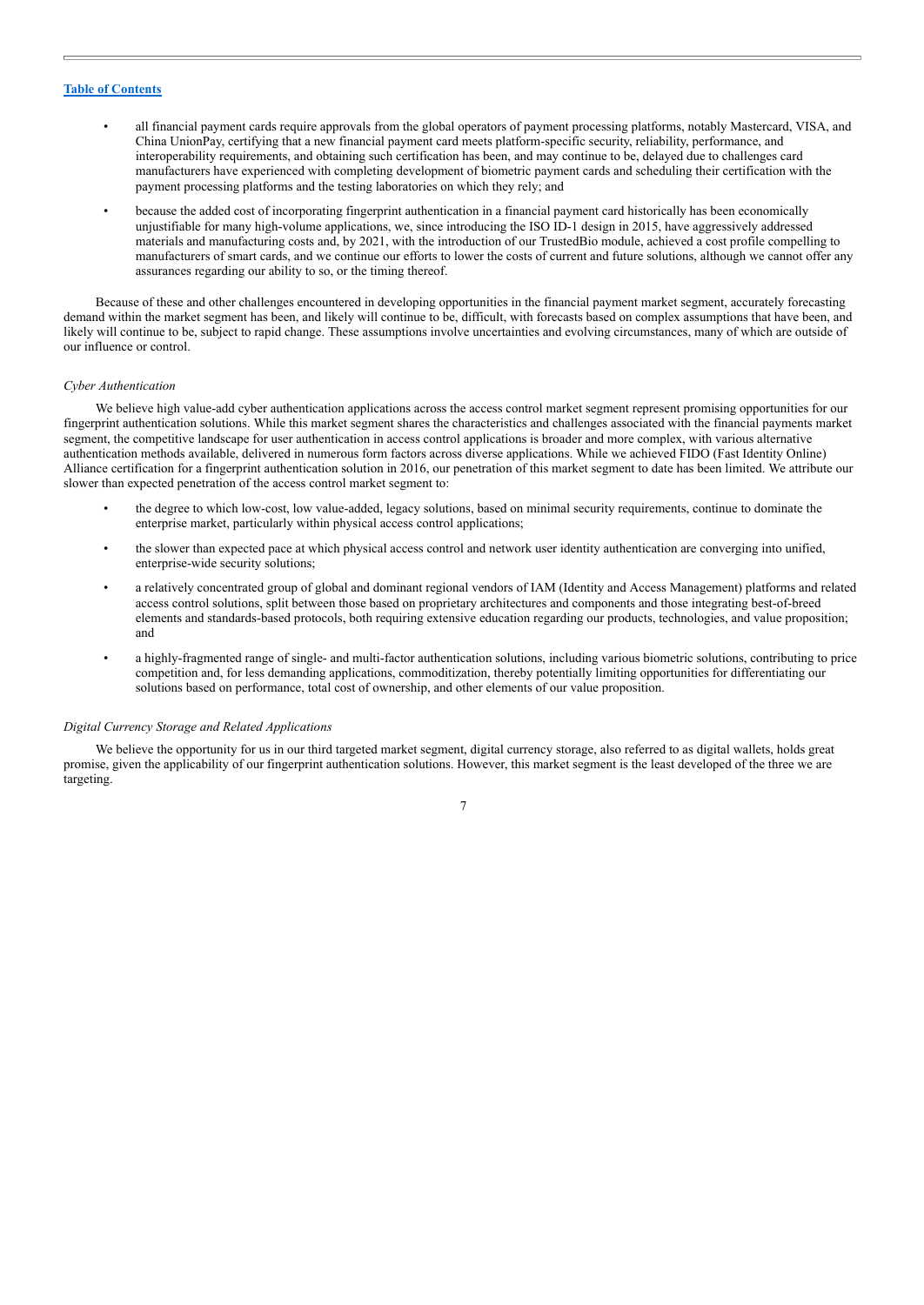- all financial payment cards require approvals from the global operators of payment processing platforms, notably Mastercard, VISA, and China UnionPay, certifying that a new financial payment card meets platform-specific security, reliability, performance, and interoperability requirements, and obtaining such certification has been, and may continue to be, delayed due to challenges card manufacturers have experienced with completing development of biometric payment cards and scheduling their certification with the payment processing platforms and the testing laboratories on which they rely; and
- because the added cost of incorporating fingerprint authentication in a financial payment card historically has been economically unjustifiable for many high-volume applications, we, since introducing the ISO ID-1 design in 2015, have aggressively addressed materials and manufacturing costs and, by 2021, with the introduction of our TrustedBio module, achieved a cost profile compelling to manufacturers of smart cards, and we continue our efforts to lower the costs of current and future solutions, although we cannot offer any assurances regarding our ability to so, or the timing thereof.

Because of these and other challenges encountered in developing opportunities in the financial payment market segment, accurately forecasting demand within the market segment has been, and likely will continue to be, difficult, with forecasts based on complex assumptions that have been, and likely will continue to be, subject to rapid change. These assumptions involve uncertainties and evolving circumstances, many of which are outside of our influence or control.

#### *Cyber Authentication*

We believe high value-add cyber authentication applications across the access control market segment represent promising opportunities for our fingerprint authentication solutions. While this market segment shares the characteristics and challenges associated with the financial payments market segment, the competitive landscape for user authentication in access control applications is broader and more complex, with various alternative authentication methods available, delivered in numerous form factors across diverse applications. While we achieved FIDO (Fast Identity Online) Alliance certification for a fingerprint authentication solution in 2016, our penetration of this market segment to date has been limited. We attribute our slower than expected penetration of the access control market segment to:

- the degree to which low-cost, low value-added, legacy solutions, based on minimal security requirements, continue to dominate the enterprise market, particularly within physical access control applications;
- the slower than expected pace at which physical access control and network user identity authentication are converging into unified, enterprise-wide security solutions;
- a relatively concentrated group of global and dominant regional vendors of IAM (Identity and Access Management) platforms and related access control solutions, split between those based on proprietary architectures and components and those integrating best-of-breed elements and standards-based protocols, both requiring extensive education regarding our products, technologies, and value proposition; and
- a highly-fragmented range of single- and multi-factor authentication solutions, including various biometric solutions, contributing to price competition and, for less demanding applications, commoditization, thereby potentially limiting opportunities for differentiating our solutions based on performance, total cost of ownership, and other elements of our value proposition.

#### *Digital Currency Storage and Related Applications*

We believe the opportunity for us in our third targeted market segment, digital currency storage, also referred to as digital wallets, holds great promise, given the applicability of our fingerprint authentication solutions. However, this market segment is the least developed of the three we are targeting.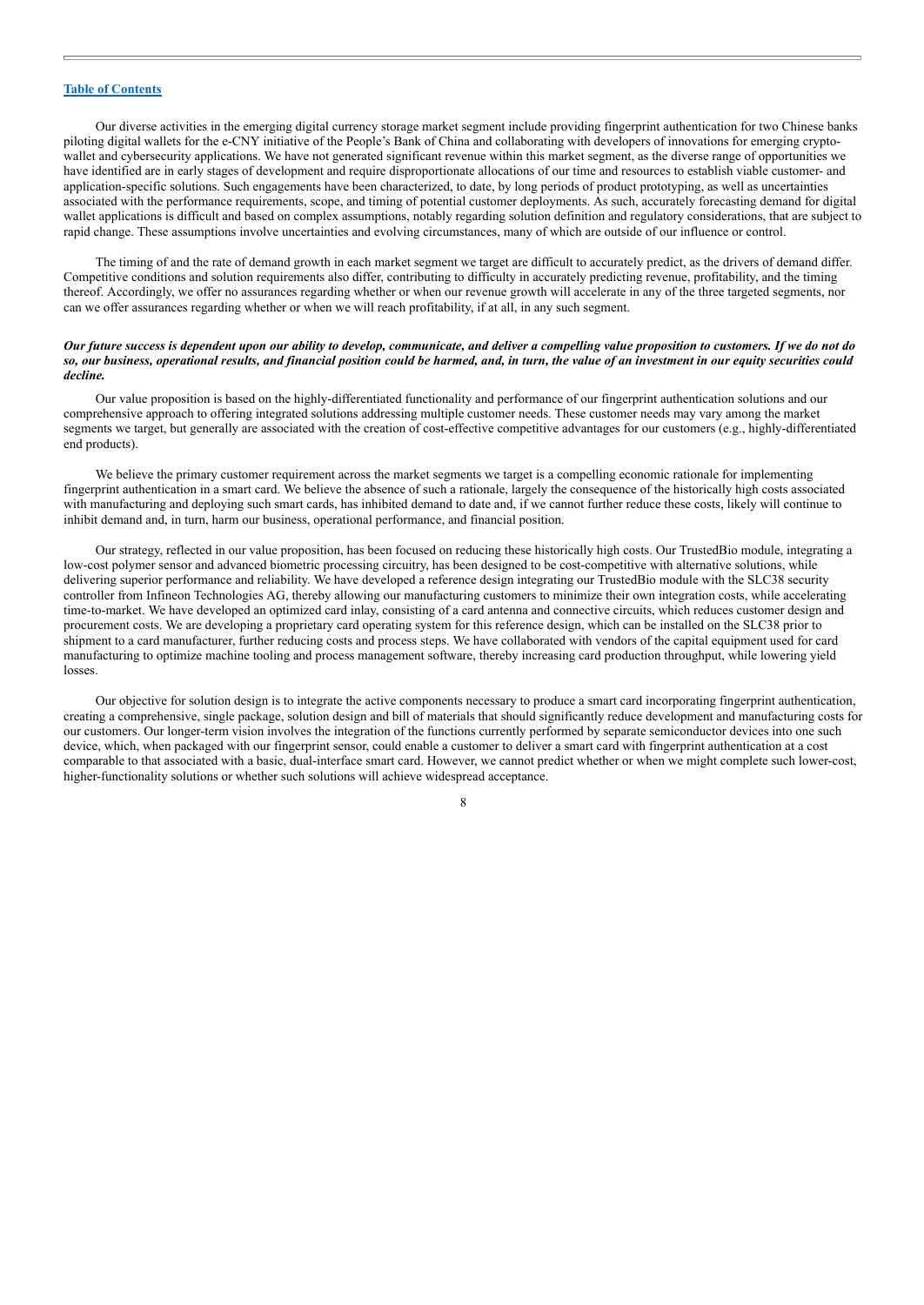Our diverse activities in the emerging digital currency storage market segment include providing fingerprint authentication for two Chinese banks piloting digital wallets for the e-CNY initiative of the People's Bank of China and collaborating with developers of innovations for emerging cryptowallet and cybersecurity applications. We have not generated significant revenue within this market segment, as the diverse range of opportunities we have identified are in early stages of development and require disproportionate allocations of our time and resources to establish viable customer- and application-specific solutions. Such engagements have been characterized, to date, by long periods of product prototyping, as well as uncertainties associated with the performance requirements, scope, and timing of potential customer deployments. As such, accurately forecasting demand for digital wallet applications is difficult and based on complex assumptions, notably regarding solution definition and regulatory considerations, that are subject to rapid change. These assumptions involve uncertainties and evolving circumstances, many of which are outside of our influence or control.

The timing of and the rate of demand growth in each market segment we target are difficult to accurately predict, as the drivers of demand differ. Competitive conditions and solution requirements also differ, contributing to difficulty in accurately predicting revenue, profitability, and the timing thereof. Accordingly, we offer no assurances regarding whether or when our revenue growth will accelerate in any of the three targeted segments, nor can we offer assurances regarding whether or when we will reach profitability, if at all, in any such segment.

#### *Our future success is dependent upon our ability to develop, communicate, and deliver a compelling value proposition to customers. If we do not do so, our business, operational results, and financial position could be harmed, and, in turn, the value of an investment in our equity securities could decline.*

Our value proposition is based on the highly-differentiated functionality and performance of our fingerprint authentication solutions and our comprehensive approach to offering integrated solutions addressing multiple customer needs. These customer needs may vary among the market segments we target, but generally are associated with the creation of cost-effective competitive advantages for our customers (e.g., highly-differentiated end products).

We believe the primary customer requirement across the market segments we target is a compelling economic rationale for implementing fingerprint authentication in a smart card. We believe the absence of such a rationale, largely the consequence of the historically high costs associated with manufacturing and deploying such smart cards, has inhibited demand to date and, if we cannot further reduce these costs, likely will continue to inhibit demand and, in turn, harm our business, operational performance, and financial position.

Our strategy, reflected in our value proposition, has been focused on reducing these historically high costs. Our TrustedBio module, integrating a low-cost polymer sensor and advanced biometric processing circuitry, has been designed to be cost-competitive with alternative solutions, while delivering superior performance and reliability. We have developed a reference design integrating our TrustedBio module with the SLC38 security controller from Infineon Technologies AG, thereby allowing our manufacturing customers to minimize their own integration costs, while accelerating time-to-market. We have developed an optimized card inlay, consisting of a card antenna and connective circuits, which reduces customer design and procurement costs. We are developing a proprietary card operating system for this reference design, which can be installed on the SLC38 prior to shipment to a card manufacturer, further reducing costs and process steps. We have collaborated with vendors of the capital equipment used for card manufacturing to optimize machine tooling and process management software, thereby increasing card production throughput, while lowering yield losses.

Our objective for solution design is to integrate the active components necessary to produce a smart card incorporating fingerprint authentication, creating a comprehensive, single package, solution design and bill of materials that should significantly reduce development and manufacturing costs for our customers. Our longer-term vision involves the integration of the functions currently performed by separate semiconductor devices into one such device, which, when packaged with our fingerprint sensor, could enable a customer to deliver a smart card with fingerprint authentication at a cost comparable to that associated with a basic, dual-interface smart card. However, we cannot predict whether or when we might complete such lower-cost, higher-functionality solutions or whether such solutions will achieve widespread acceptance.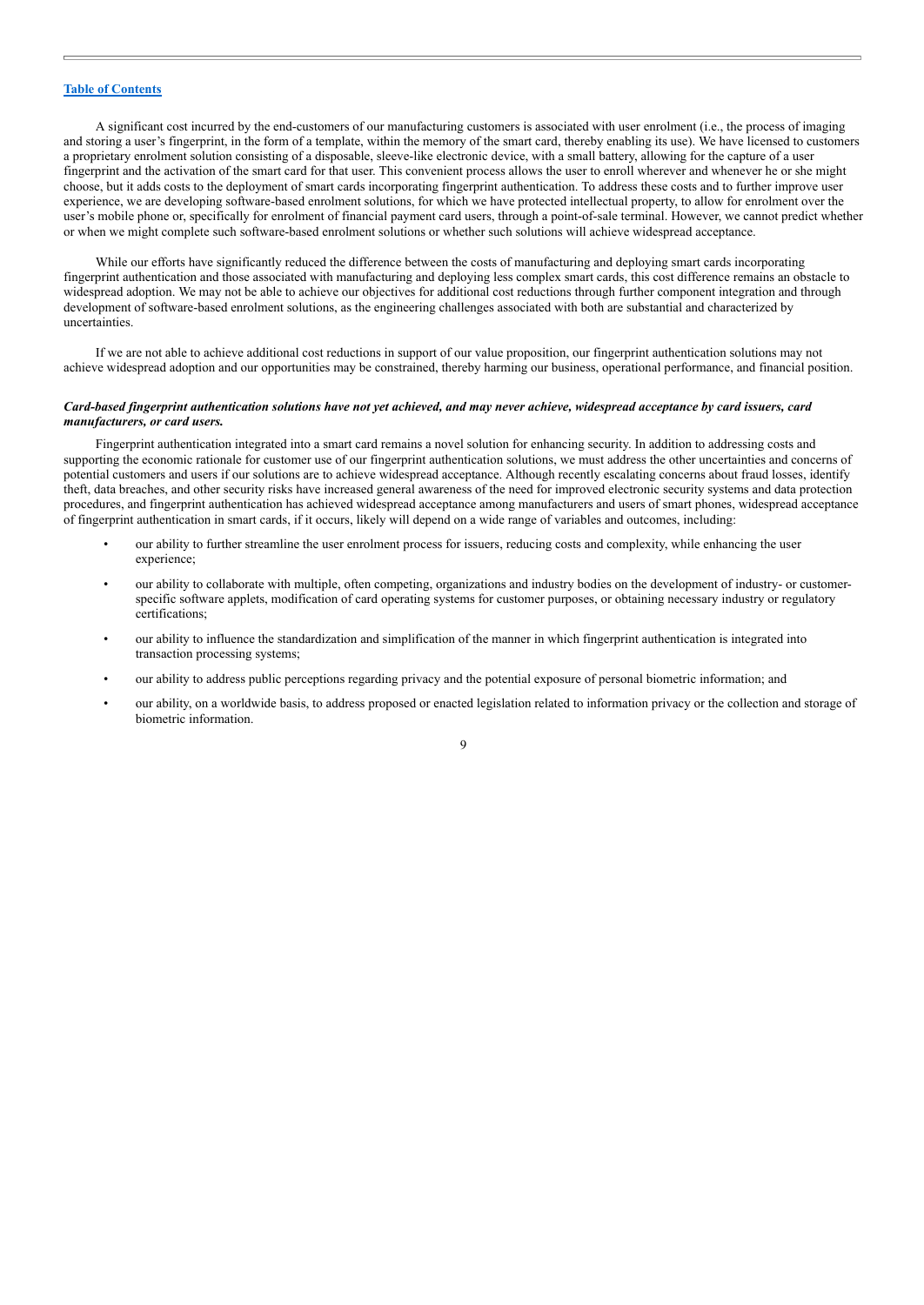A significant cost incurred by the end-customers of our manufacturing customers is associated with user enrolment (i.e., the process of imaging and storing a user's fingerprint, in the form of a template, within the memory of the smart card, thereby enabling its use). We have licensed to customers a proprietary enrolment solution consisting of a disposable, sleeve-like electronic device, with a small battery, allowing for the capture of a user fingerprint and the activation of the smart card for that user. This convenient process allows the user to enroll wherever and whenever he or she might choose, but it adds costs to the deployment of smart cards incorporating fingerprint authentication. To address these costs and to further improve user experience, we are developing software-based enrolment solutions, for which we have protected intellectual property, to allow for enrolment over the user's mobile phone or, specifically for enrolment of financial payment card users, through a point-of-sale terminal. However, we cannot predict whether or when we might complete such software-based enrolment solutions or whether such solutions will achieve widespread acceptance.

While our efforts have significantly reduced the difference between the costs of manufacturing and deploying smart cards incorporating fingerprint authentication and those associated with manufacturing and deploying less complex smart cards, this cost difference remains an obstacle to widespread adoption. We may not be able to achieve our objectives for additional cost reductions through further component integration and through development of software-based enrolment solutions, as the engineering challenges associated with both are substantial and characterized by uncertainties.

If we are not able to achieve additional cost reductions in support of our value proposition, our fingerprint authentication solutions may not achieve widespread adoption and our opportunities may be constrained, thereby harming our business, operational performance, and financial position.

#### *Card-based fingerprint authentication solutions have not yet achieved, and may never achieve, widespread acceptance by card issuers, card manufacturers, or card users.*

Fingerprint authentication integrated into a smart card remains a novel solution for enhancing security. In addition to addressing costs and supporting the economic rationale for customer use of our fingerprint authentication solutions, we must address the other uncertainties and concerns of potential customers and users if our solutions are to achieve widespread acceptance. Although recently escalating concerns about fraud losses, identify theft, data breaches, and other security risks have increased general awareness of the need for improved electronic security systems and data protection procedures, and fingerprint authentication has achieved widespread acceptance among manufacturers and users of smart phones, widespread acceptance of fingerprint authentication in smart cards, if it occurs, likely will depend on a wide range of variables and outcomes, including:

- our ability to further streamline the user enrolment process for issuers, reducing costs and complexity, while enhancing the user experience;
- our ability to collaborate with multiple, often competing, organizations and industry bodies on the development of industry- or customerspecific software applets, modification of card operating systems for customer purposes, or obtaining necessary industry or regulatory certifications;
- our ability to influence the standardization and simplification of the manner in which fingerprint authentication is integrated into transaction processing systems;
- our ability to address public perceptions regarding privacy and the potential exposure of personal biometric information; and
- our ability, on a worldwide basis, to address proposed or enacted legislation related to information privacy or the collection and storage of biometric information.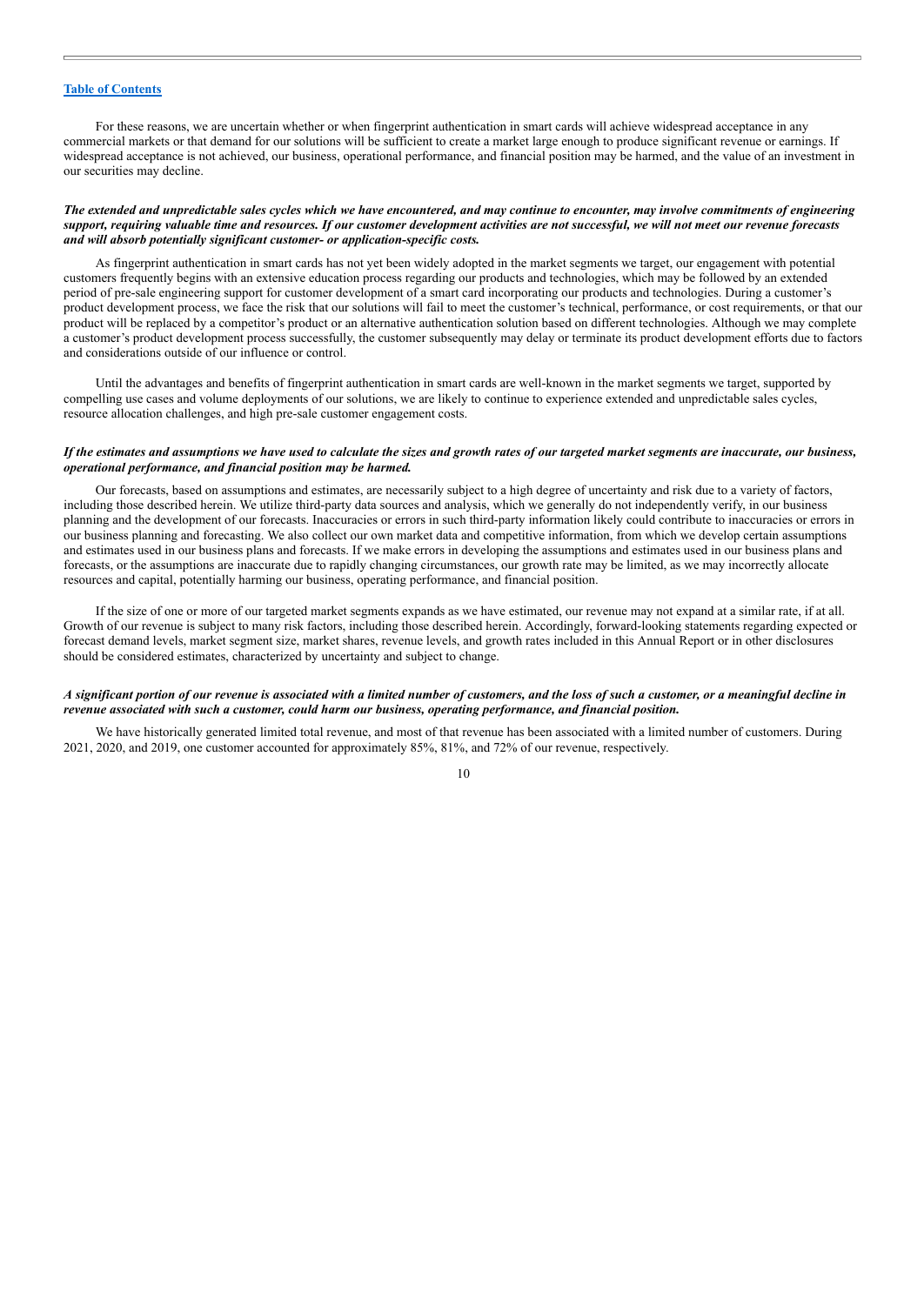For these reasons, we are uncertain whether or when fingerprint authentication in smart cards will achieve widespread acceptance in any commercial markets or that demand for our solutions will be sufficient to create a market large enough to produce significant revenue or earnings. If widespread acceptance is not achieved, our business, operational performance, and financial position may be harmed, and the value of an investment in our securities may decline.

#### *The extended and unpredictable sales cycles which we have encountered, and may continue to encounter, may involve commitments of engineering support, requiring valuable time and resources. If our customer development activities are not successful, we will not meet our revenue forecasts and will absorb potentially significant customer- or application-specific costs.*

As fingerprint authentication in smart cards has not yet been widely adopted in the market segments we target, our engagement with potential customers frequently begins with an extensive education process regarding our products and technologies, which may be followed by an extended period of pre-sale engineering support for customer development of a smart card incorporating our products and technologies. During a customer's product development process, we face the risk that our solutions will fail to meet the customer's technical, performance, or cost requirements, or that our product will be replaced by a competitor's product or an alternative authentication solution based on different technologies. Although we may complete a customer's product development process successfully, the customer subsequently may delay or terminate its product development efforts due to factors and considerations outside of our influence or control.

Until the advantages and benefits of fingerprint authentication in smart cards are well-known in the market segments we target, supported by compelling use cases and volume deployments of our solutions, we are likely to continue to experience extended and unpredictable sales cycles, resource allocation challenges, and high pre-sale customer engagement costs.

# *If the estimates and assumptions we have used to calculate the sizes and growth rates of our targeted market segments are inaccurate, our business, operational performance, and financial position may be harmed.*

Our forecasts, based on assumptions and estimates, are necessarily subject to a high degree of uncertainty and risk due to a variety of factors, including those described herein. We utilize third-party data sources and analysis, which we generally do not independently verify, in our business planning and the development of our forecasts. Inaccuracies or errors in such third-party information likely could contribute to inaccuracies or errors in our business planning and forecasting. We also collect our own market data and competitive information, from which we develop certain assumptions and estimates used in our business plans and forecasts. If we make errors in developing the assumptions and estimates used in our business plans and forecasts, or the assumptions are inaccurate due to rapidly changing circumstances, our growth rate may be limited, as we may incorrectly allocate resources and capital, potentially harming our business, operating performance, and financial position.

If the size of one or more of our targeted market segments expands as we have estimated, our revenue may not expand at a similar rate, if at all. Growth of our revenue is subject to many risk factors, including those described herein. Accordingly, forward-looking statements regarding expected or forecast demand levels, market segment size, market shares, revenue levels, and growth rates included in this Annual Report or in other disclosures should be considered estimates, characterized by uncertainty and subject to change.

#### *A significant portion of our revenue is associated with a limited number of customers, and the loss of such a customer, or a meaningful decline in revenue associated with such a customer, could harm our business, operating performance, and financial position.*

We have historically generated limited total revenue, and most of that revenue has been associated with a limited number of customers. During 2021, 2020, and 2019, one customer accounted for approximately 85%, 81%, and 72% of our revenue, respectively.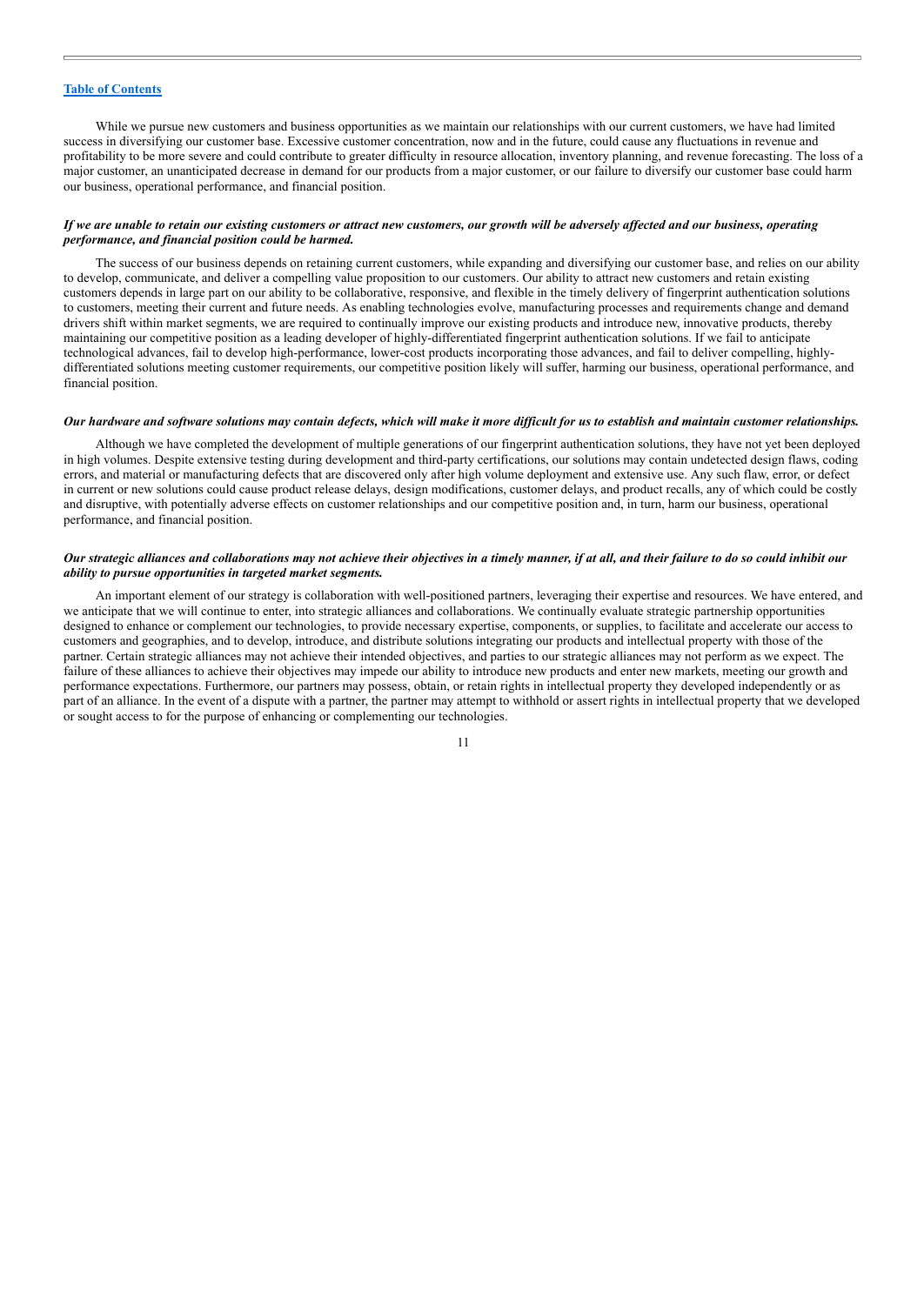While we pursue new customers and business opportunities as we maintain our relationships with our current customers, we have had limited success in diversifying our customer base. Excessive customer concentration, now and in the future, could cause any fluctuations in revenue and profitability to be more severe and could contribute to greater difficulty in resource allocation, inventory planning, and revenue forecasting. The loss of a major customer, an unanticipated decrease in demand for our products from a major customer, or our failure to diversify our customer base could harm our business, operational performance, and financial position.

#### *If we are unable to retain our existing customers or attract new customers, our growth will be adversely affected and our business, operating performance, and financial position could be harmed.*

The success of our business depends on retaining current customers, while expanding and diversifying our customer base, and relies on our ability to develop, communicate, and deliver a compelling value proposition to our customers. Our ability to attract new customers and retain existing customers depends in large part on our ability to be collaborative, responsive, and flexible in the timely delivery of fingerprint authentication solutions to customers, meeting their current and future needs. As enabling technologies evolve, manufacturing processes and requirements change and demand drivers shift within market segments, we are required to continually improve our existing products and introduce new, innovative products, thereby maintaining our competitive position as a leading developer of highly-differentiated fingerprint authentication solutions. If we fail to anticipate technological advances, fail to develop high-performance, lower-cost products incorporating those advances, and fail to deliver compelling, highlydifferentiated solutions meeting customer requirements, our competitive position likely will suffer, harming our business, operational performance, and financial position.

#### *Our hardware and software solutions may contain defects, which will make it more difficult for us to establish and maintain customer relationships.*

Although we have completed the development of multiple generations of our fingerprint authentication solutions, they have not yet been deployed in high volumes. Despite extensive testing during development and third-party certifications, our solutions may contain undetected design flaws, coding errors, and material or manufacturing defects that are discovered only after high volume deployment and extensive use. Any such flaw, error, or defect in current or new solutions could cause product release delays, design modifications, customer delays, and product recalls, any of which could be costly and disruptive, with potentially adverse effects on customer relationships and our competitive position and, in turn, harm our business, operational performance, and financial position.

# *Our strategic alliances and collaborations may not achieve their objectives in a timely manner, if at all, and their failure to do so could inhibit our ability to pursue opportunities in targeted market segments.*

An important element of our strategy is collaboration with well-positioned partners, leveraging their expertise and resources. We have entered, and we anticipate that we will continue to enter, into strategic alliances and collaborations. We continually evaluate strategic partnership opportunities designed to enhance or complement our technologies, to provide necessary expertise, components, or supplies, to facilitate and accelerate our access to customers and geographies, and to develop, introduce, and distribute solutions integrating our products and intellectual property with those of the partner. Certain strategic alliances may not achieve their intended objectives, and parties to our strategic alliances may not perform as we expect. The failure of these alliances to achieve their objectives may impede our ability to introduce new products and enter new markets, meeting our growth and performance expectations. Furthermore, our partners may possess, obtain, or retain rights in intellectual property they developed independently or as part of an alliance. In the event of a dispute with a partner, the partner may attempt to withhold or assert rights in intellectual property that we developed or sought access to for the purpose of enhancing or complementing our technologies.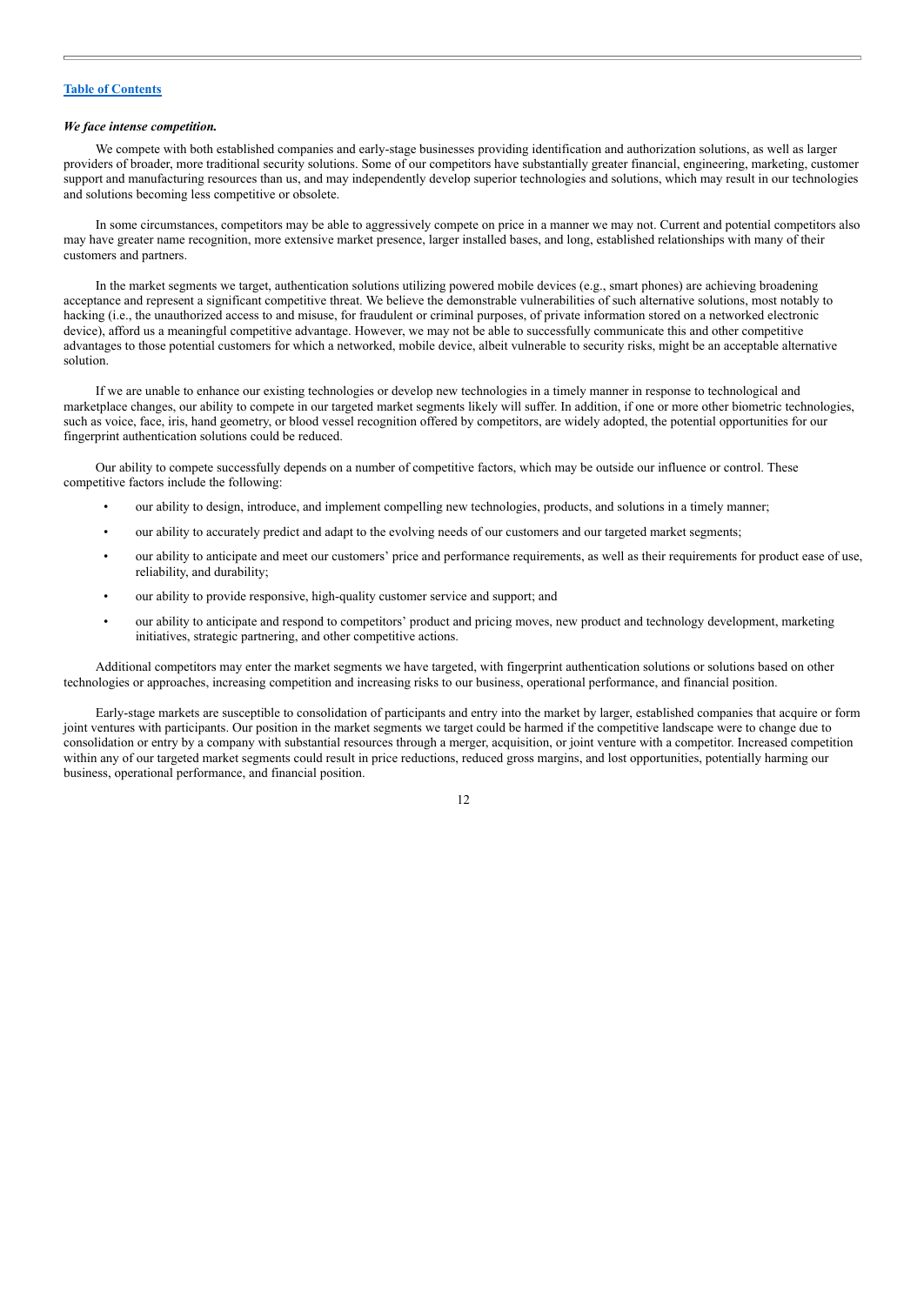#### *We face intense competition.*

We compete with both established companies and early-stage businesses providing identification and authorization solutions, as well as larger providers of broader, more traditional security solutions. Some of our competitors have substantially greater financial, engineering, marketing, customer support and manufacturing resources than us, and may independently develop superior technologies and solutions, which may result in our technologies and solutions becoming less competitive or obsolete.

In some circumstances, competitors may be able to aggressively compete on price in a manner we may not. Current and potential competitors also may have greater name recognition, more extensive market presence, larger installed bases, and long, established relationships with many of their customers and partners.

In the market segments we target, authentication solutions utilizing powered mobile devices (e.g., smart phones) are achieving broadening acceptance and represent a significant competitive threat. We believe the demonstrable vulnerabilities of such alternative solutions, most notably to hacking (i.e., the unauthorized access to and misuse, for fraudulent or criminal purposes, of private information stored on a networked electronic device), afford us a meaningful competitive advantage. However, we may not be able to successfully communicate this and other competitive advantages to those potential customers for which a networked, mobile device, albeit vulnerable to security risks, might be an acceptable alternative solution.

If we are unable to enhance our existing technologies or develop new technologies in a timely manner in response to technological and marketplace changes, our ability to compete in our targeted market segments likely will suffer. In addition, if one or more other biometric technologies, such as voice, face, iris, hand geometry, or blood vessel recognition offered by competitors, are widely adopted, the potential opportunities for our fingerprint authentication solutions could be reduced.

Our ability to compete successfully depends on a number of competitive factors, which may be outside our influence or control. These competitive factors include the following:

- our ability to design, introduce, and implement compelling new technologies, products, and solutions in a timely manner;
- our ability to accurately predict and adapt to the evolving needs of our customers and our targeted market segments;
- our ability to anticipate and meet our customers' price and performance requirements, as well as their requirements for product ease of use, reliability, and durability;
- our ability to provide responsive, high-quality customer service and support; and
- our ability to anticipate and respond to competitors' product and pricing moves, new product and technology development, marketing initiatives, strategic partnering, and other competitive actions.

Additional competitors may enter the market segments we have targeted, with fingerprint authentication solutions or solutions based on other technologies or approaches, increasing competition and increasing risks to our business, operational performance, and financial position.

Early-stage markets are susceptible to consolidation of participants and entry into the market by larger, established companies that acquire or form joint ventures with participants. Our position in the market segments we target could be harmed if the competitive landscape were to change due to consolidation or entry by a company with substantial resources through a merger, acquisition, or joint venture with a competitor. Increased competition within any of our targeted market segments could result in price reductions, reduced gross margins, and lost opportunities, potentially harming our business, operational performance, and financial position.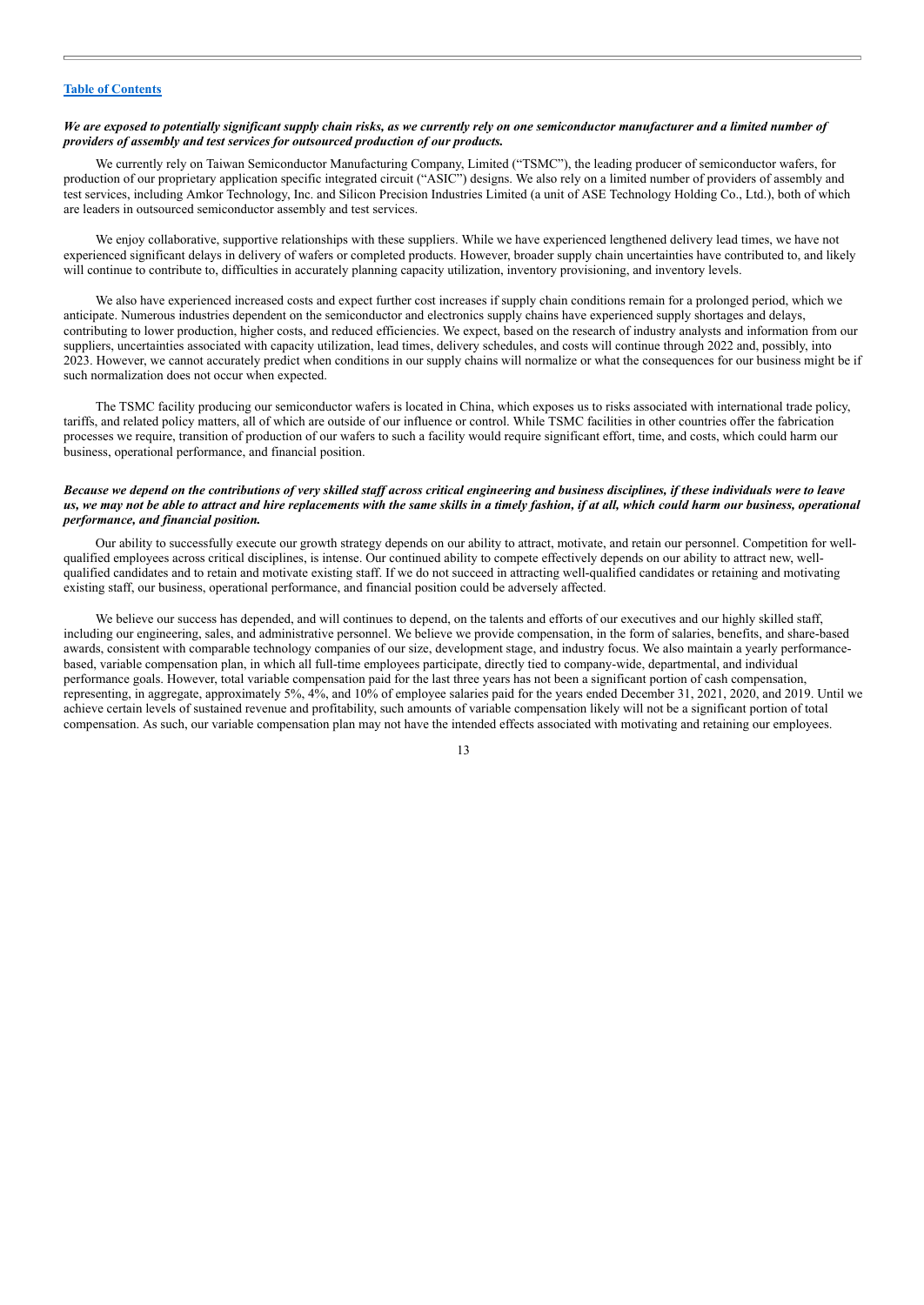#### *We are exposed to potentially significant supply chain risks, as we currently rely on one semiconductor manufacturer and a limited number of providers of assembly and test services for outsourced production of our products.*

We currently rely on Taiwan Semiconductor Manufacturing Company, Limited ("TSMC"), the leading producer of semiconductor wafers, for production of our proprietary application specific integrated circuit ("ASIC") designs. We also rely on a limited number of providers of assembly and test services, including Amkor Technology, Inc. and Silicon Precision Industries Limited (a unit of ASE Technology Holding Co., Ltd.), both of which are leaders in outsourced semiconductor assembly and test services.

We enjoy collaborative, supportive relationships with these suppliers. While we have experienced lengthened delivery lead times, we have not experienced significant delays in delivery of wafers or completed products. However, broader supply chain uncertainties have contributed to, and likely will continue to contribute to, difficulties in accurately planning capacity utilization, inventory provisioning, and inventory levels.

We also have experienced increased costs and expect further cost increases if supply chain conditions remain for a prolonged period, which we anticipate. Numerous industries dependent on the semiconductor and electronics supply chains have experienced supply shortages and delays, contributing to lower production, higher costs, and reduced efficiencies. We expect, based on the research of industry analysts and information from our suppliers, uncertainties associated with capacity utilization, lead times, delivery schedules, and costs will continue through 2022 and, possibly, into 2023. However, we cannot accurately predict when conditions in our supply chains will normalize or what the consequences for our business might be if such normalization does not occur when expected.

The TSMC facility producing our semiconductor wafers is located in China, which exposes us to risks associated with international trade policy, tariffs, and related policy matters, all of which are outside of our influence or control. While TSMC facilities in other countries offer the fabrication processes we require, transition of production of our wafers to such a facility would require significant effort, time, and costs, which could harm our business, operational performance, and financial position.

# *Because we depend on the contributions of very skilled staff across critical engineering and business disciplines, if these individuals were to leave us, we may not be able to attract and hire replacements with the same skills in a timely fashion, if at all, which could harm our business, operational performance, and financial position.*

Our ability to successfully execute our growth strategy depends on our ability to attract, motivate, and retain our personnel. Competition for wellqualified employees across critical disciplines, is intense. Our continued ability to compete effectively depends on our ability to attract new, wellqualified candidates and to retain and motivate existing staff. If we do not succeed in attracting well-qualified candidates or retaining and motivating existing staff, our business, operational performance, and financial position could be adversely affected.

We believe our success has depended, and will continues to depend, on the talents and efforts of our executives and our highly skilled staff, including our engineering, sales, and administrative personnel. We believe we provide compensation, in the form of salaries, benefits, and share-based awards, consistent with comparable technology companies of our size, development stage, and industry focus. We also maintain a yearly performancebased, variable compensation plan, in which all full-time employees participate, directly tied to company-wide, departmental, and individual performance goals. However, total variable compensation paid for the last three years has not been a significant portion of cash compensation, representing, in aggregate, approximately 5%, 4%, and 10% of employee salaries paid for the years ended December 31, 2021, 2020, and 2019. Until we achieve certain levels of sustained revenue and profitability, such amounts of variable compensation likely will not be a significant portion of total compensation. As such, our variable compensation plan may not have the intended effects associated with motivating and retaining our employees.

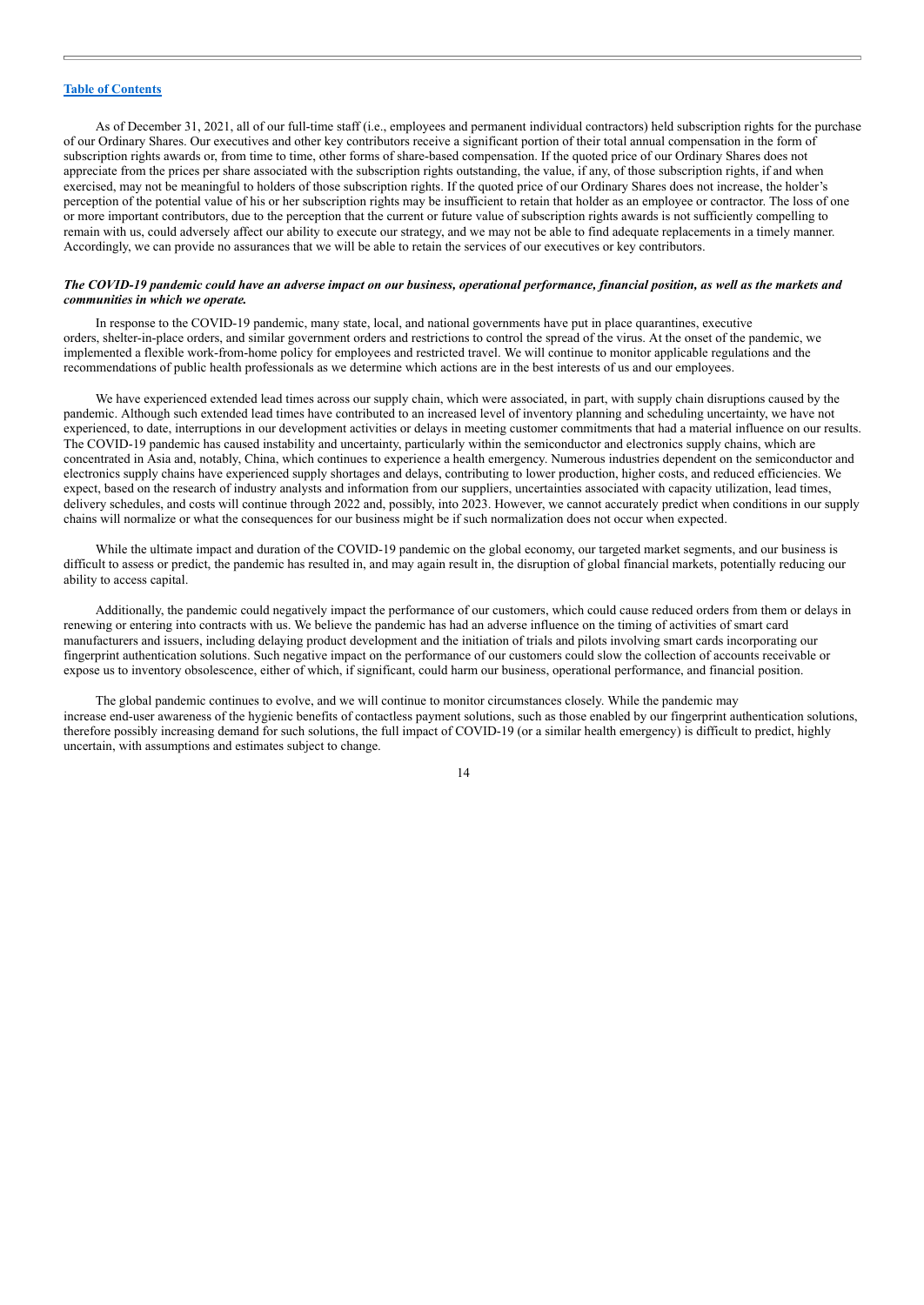As of December 31, 2021, all of our full-time staff (i.e., employees and permanent individual contractors) held subscription rights for the purchase of our Ordinary Shares. Our executives and other key contributors receive a significant portion of their total annual compensation in the form of subscription rights awards or, from time to time, other forms of share-based compensation. If the quoted price of our Ordinary Shares does not appreciate from the prices per share associated with the subscription rights outstanding, the value, if any, of those subscription rights, if and when exercised, may not be meaningful to holders of those subscription rights. If the quoted price of our Ordinary Shares does not increase, the holder's perception of the potential value of his or her subscription rights may be insufficient to retain that holder as an employee or contractor. The loss of one or more important contributors, due to the perception that the current or future value of subscription rights awards is not sufficiently compelling to remain with us, could adversely affect our ability to execute our strategy, and we may not be able to find adequate replacements in a timely manner. Accordingly, we can provide no assurances that we will be able to retain the services of our executives or key contributors.

### *The COVID-19 pandemic could have an adverse impact on our business, operational performance, financial position, as well as the markets and communities in which we operate.*

In response to the COVID-19 pandemic, many state, local, and national governments have put in place quarantines, executive orders, shelter-in-place orders, and similar government orders and restrictions to control the spread of the virus. At the onset of the pandemic, we implemented a flexible work-from-home policy for employees and restricted travel. We will continue to monitor applicable regulations and the recommendations of public health professionals as we determine which actions are in the best interests of us and our employees.

We have experienced extended lead times across our supply chain, which were associated, in part, with supply chain disruptions caused by the pandemic. Although such extended lead times have contributed to an increased level of inventory planning and scheduling uncertainty, we have not experienced, to date, interruptions in our development activities or delays in meeting customer commitments that had a material influence on our results. The COVID-19 pandemic has caused instability and uncertainty, particularly within the semiconductor and electronics supply chains, which are concentrated in Asia and, notably, China, which continues to experience a health emergency. Numerous industries dependent on the semiconductor and electronics supply chains have experienced supply shortages and delays, contributing to lower production, higher costs, and reduced efficiencies. We expect, based on the research of industry analysts and information from our suppliers, uncertainties associated with capacity utilization, lead times, delivery schedules, and costs will continue through 2022 and, possibly, into 2023. However, we cannot accurately predict when conditions in our supply chains will normalize or what the consequences for our business might be if such normalization does not occur when expected.

While the ultimate impact and duration of the COVID-19 pandemic on the global economy, our targeted market segments, and our business is difficult to assess or predict, the pandemic has resulted in, and may again result in, the disruption of global financial markets, potentially reducing our ability to access capital.

Additionally, the pandemic could negatively impact the performance of our customers, which could cause reduced orders from them or delays in renewing or entering into contracts with us. We believe the pandemic has had an adverse influence on the timing of activities of smart card manufacturers and issuers, including delaying product development and the initiation of trials and pilots involving smart cards incorporating our fingerprint authentication solutions. Such negative impact on the performance of our customers could slow the collection of accounts receivable or expose us to inventory obsolescence, either of which, if significant, could harm our business, operational performance, and financial position.

The global pandemic continues to evolve, and we will continue to monitor circumstances closely. While the pandemic may increase end-user awareness of the hygienic benefits of contactless payment solutions, such as those enabled by our fingerprint authentication solutions, therefore possibly increasing demand for such solutions, the full impact of COVID-19 (or a similar health emergency) is difficult to predict, highly uncertain, with assumptions and estimates subject to change.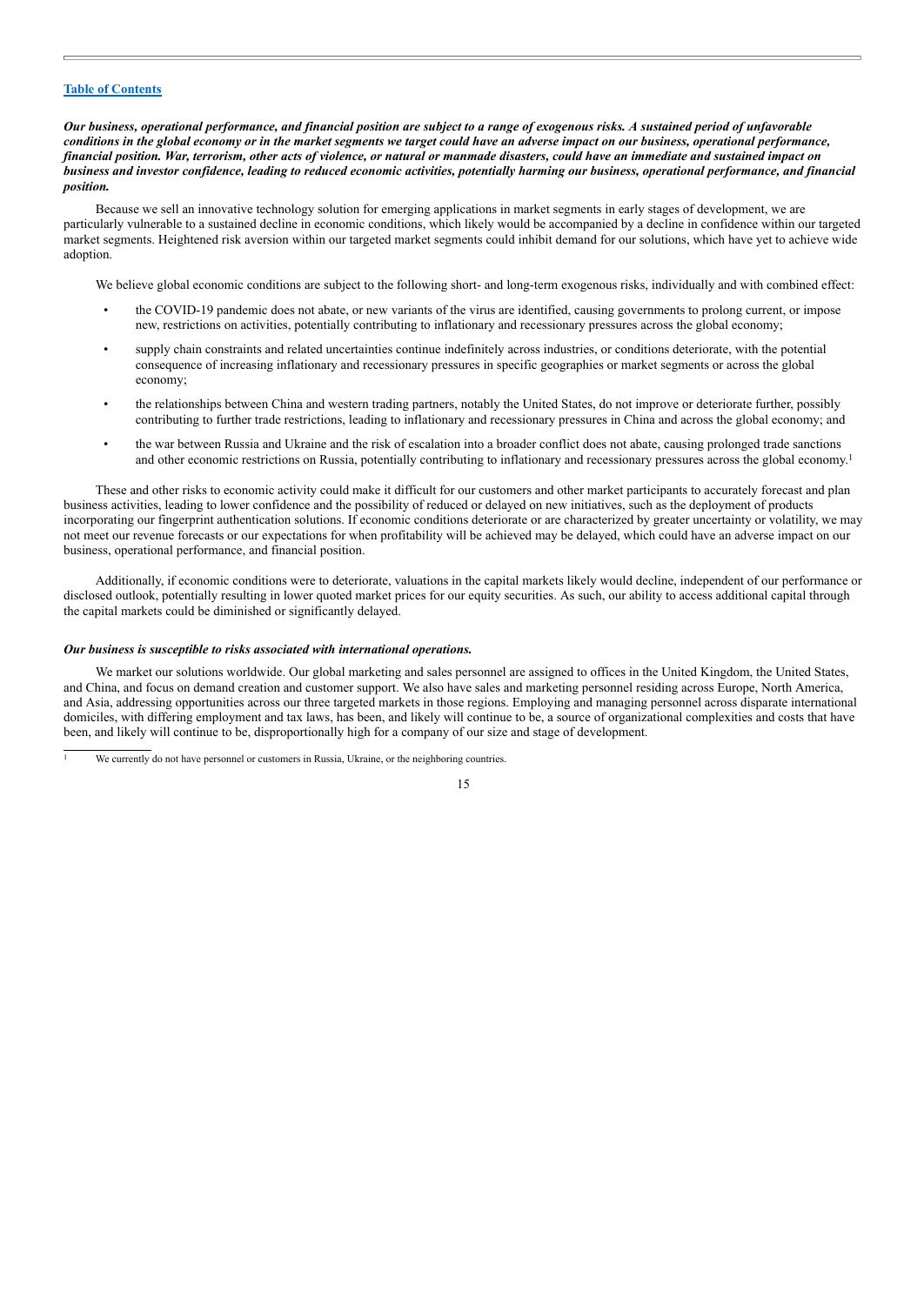*Our business, operational performance, and financial position are subject to a range of exogenous risks. A sustained period of unfavorable conditions in the global economy or in the market segments we target could have an adverse impact on our business, operational performance, financial position. War, terrorism, other acts of violence, or natural or manmade disasters, could have an immediate and sustained impact on business and investor confidence, leading to reduced economic activities, potentially harming our business, operational performance, and financial position.*

Because we sell an innovative technology solution for emerging applications in market segments in early stages of development, we are particularly vulnerable to a sustained decline in economic conditions, which likely would be accompanied by a decline in confidence within our targeted market segments. Heightened risk aversion within our targeted market segments could inhibit demand for our solutions, which have yet to achieve wide adoption.

We believe global economic conditions are subject to the following short- and long-term exogenous risks, individually and with combined effect:

- the COVID-19 pandemic does not abate, or new variants of the virus are identified, causing governments to prolong current, or impose new, restrictions on activities, potentially contributing to inflationary and recessionary pressures across the global economy;
- supply chain constraints and related uncertainties continue indefinitely across industries, or conditions deteriorate, with the potential consequence of increasing inflationary and recessionary pressures in specific geographies or market segments or across the global economy;
- the relationships between China and western trading partners, notably the United States, do not improve or deteriorate further, possibly contributing to further trade restrictions, leading to inflationary and recessionary pressures in China and across the global economy; and
- the war between Russia and Ukraine and the risk of escalation into a broader conflict does not abate, causing prolonged trade sanctions and other economic restrictions on Russia, potentially contributing to inflationary and recessionary pressures across the global economy.1

These and other risks to economic activity could make it difficult for our customers and other market participants to accurately forecast and plan business activities, leading to lower confidence and the possibility of reduced or delayed on new initiatives, such as the deployment of products incorporating our fingerprint authentication solutions. If economic conditions deteriorate or are characterized by greater uncertainty or volatility, we may not meet our revenue forecasts or our expectations for when profitability will be achieved may be delayed, which could have an adverse impact on our business, operational performance, and financial position.

Additionally, if economic conditions were to deteriorate, valuations in the capital markets likely would decline, independent of our performance or disclosed outlook, potentially resulting in lower quoted market prices for our equity securities. As such, our ability to access additional capital through the capital markets could be diminished or significantly delayed.

#### *Our business is susceptible to risks associated with international operations.*

We market our solutions worldwide. Our global marketing and sales personnel are assigned to offices in the United Kingdom, the United States, and China, and focus on demand creation and customer support. We also have sales and marketing personnel residing across Europe, North America, and Asia, addressing opportunities across our three targeted markets in those regions. Employing and managing personnel across disparate international domiciles, with differing employment and tax laws, has been, and likely will continue to be, a source of organizational complexities and costs that have been, and likely will continue to be, disproportionally high for a company of our size and stage of development.

We currently do not have personnel or customers in Russia, Ukraine, or the neighboring countries.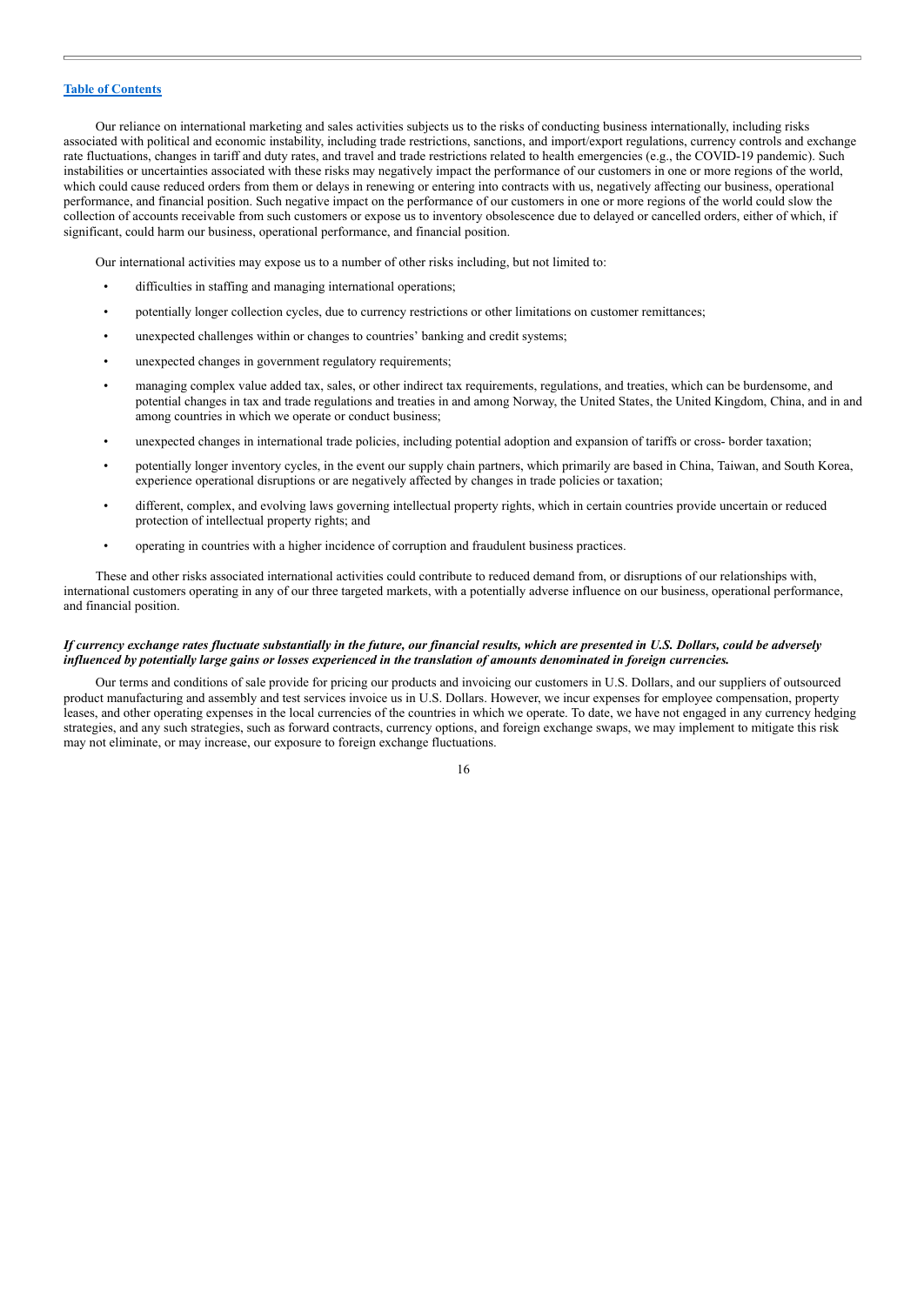Our reliance on international marketing and sales activities subjects us to the risks of conducting business internationally, including risks associated with political and economic instability, including trade restrictions, sanctions, and import/export regulations, currency controls and exchange rate fluctuations, changes in tariff and duty rates, and travel and trade restrictions related to health emergencies (e.g., the COVID-19 pandemic). Such instabilities or uncertainties associated with these risks may negatively impact the performance of our customers in one or more regions of the world, which could cause reduced orders from them or delays in renewing or entering into contracts with us, negatively affecting our business, operational performance, and financial position. Such negative impact on the performance of our customers in one or more regions of the world could slow the collection of accounts receivable from such customers or expose us to inventory obsolescence due to delayed or cancelled orders, either of which, if significant, could harm our business, operational performance, and financial position.

Our international activities may expose us to a number of other risks including, but not limited to:

- difficulties in staffing and managing international operations;
- potentially longer collection cycles, due to currency restrictions or other limitations on customer remittances;
- unexpected challenges within or changes to countries' banking and credit systems;
- unexpected changes in government regulatory requirements;
- managing complex value added tax, sales, or other indirect tax requirements, regulations, and treaties, which can be burdensome, and potential changes in tax and trade regulations and treaties in and among Norway, the United States, the United Kingdom, China, and in and among countries in which we operate or conduct business;
- unexpected changes in international trade policies, including potential adoption and expansion of tariffs or cross- border taxation;
- potentially longer inventory cycles, in the event our supply chain partners, which primarily are based in China, Taiwan, and South Korea, experience operational disruptions or are negatively affected by changes in trade policies or taxation;
- different, complex, and evolving laws governing intellectual property rights, which in certain countries provide uncertain or reduced protection of intellectual property rights; and
- operating in countries with a higher incidence of corruption and fraudulent business practices.

These and other risks associated international activities could contribute to reduced demand from, or disruptions of our relationships with, international customers operating in any of our three targeted markets, with a potentially adverse influence on our business, operational performance, and financial position.

#### *If currency exchange rates fluctuate substantially in the future, our financial results, which are presented in U.S. Dollars, could be adversely influenced by potentially large gains or losses experienced in the translation of amounts denominated in foreign currencies.*

Our terms and conditions of sale provide for pricing our products and invoicing our customers in U.S. Dollars, and our suppliers of outsourced product manufacturing and assembly and test services invoice us in U.S. Dollars. However, we incur expenses for employee compensation, property leases, and other operating expenses in the local currencies of the countries in which we operate. To date, we have not engaged in any currency hedging strategies, and any such strategies, such as forward contracts, currency options, and foreign exchange swaps, we may implement to mitigate this risk may not eliminate, or may increase, our exposure to foreign exchange fluctuations.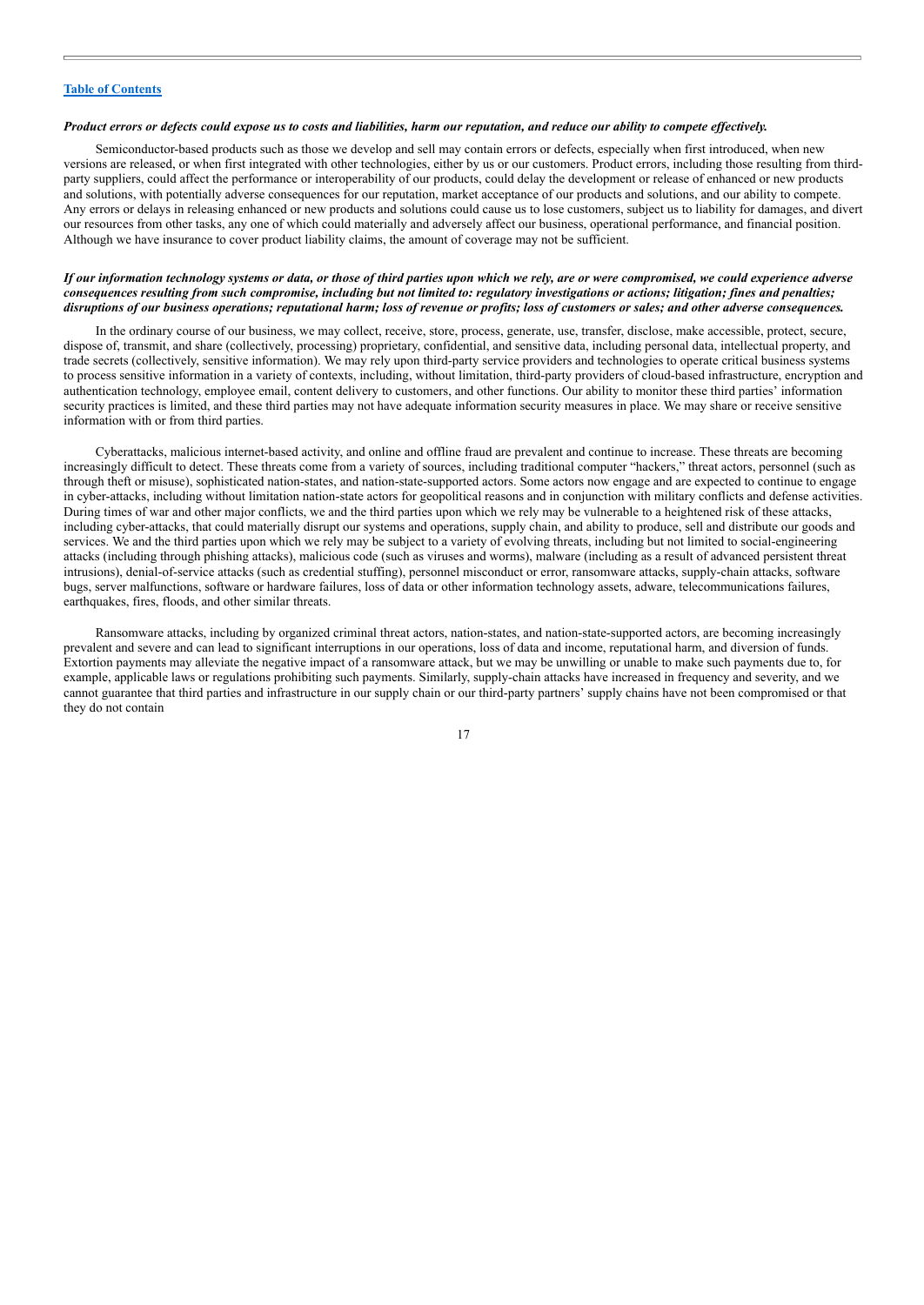#### *Product errors or defects could expose us to costs and liabilities, harm our reputation, and reduce our ability to compete effectively.*

Semiconductor-based products such as those we develop and sell may contain errors or defects, especially when first introduced, when new versions are released, or when first integrated with other technologies, either by us or our customers. Product errors, including those resulting from thirdparty suppliers, could affect the performance or interoperability of our products, could delay the development or release of enhanced or new products and solutions, with potentially adverse consequences for our reputation, market acceptance of our products and solutions, and our ability to compete. Any errors or delays in releasing enhanced or new products and solutions could cause us to lose customers, subject us to liability for damages, and divert our resources from other tasks, any one of which could materially and adversely affect our business, operational performance, and financial position. Although we have insurance to cover product liability claims, the amount of coverage may not be sufficient.

# *If our information technology systems or data, or those of third parties upon which we rely, are or were compromised, we could experience adverse consequences resulting from such compromise, including but not limited to: regulatory investigations or actions; litigation; fines and penalties; disruptions of our business operations; reputational harm; loss of revenue or profits; loss of customers or sales; and other adverse consequences.*

In the ordinary course of our business, we may collect, receive, store, process, generate, use, transfer, disclose, make accessible, protect, secure, dispose of, transmit, and share (collectively, processing) proprietary, confidential, and sensitive data, including personal data, intellectual property, and trade secrets (collectively, sensitive information). We may rely upon third-party service providers and technologies to operate critical business systems to process sensitive information in a variety of contexts, including, without limitation, third-party providers of cloud-based infrastructure, encryption and authentication technology, employee email, content delivery to customers, and other functions. Our ability to monitor these third parties' information security practices is limited, and these third parties may not have adequate information security measures in place. We may share or receive sensitive information with or from third parties.

Cyberattacks, malicious internet-based activity, and online and offline fraud are prevalent and continue to increase. These threats are becoming increasingly difficult to detect. These threats come from a variety of sources, including traditional computer "hackers," threat actors, personnel (such as through theft or misuse), sophisticated nation-states, and nation-state-supported actors. Some actors now engage and are expected to continue to engage in cyber-attacks, including without limitation nation-state actors for geopolitical reasons and in conjunction with military conflicts and defense activities. During times of war and other major conflicts, we and the third parties upon which we rely may be vulnerable to a heightened risk of these attacks, including cyber-attacks, that could materially disrupt our systems and operations, supply chain, and ability to produce, sell and distribute our goods and services. We and the third parties upon which we rely may be subject to a variety of evolving threats, including but not limited to social-engineering attacks (including through phishing attacks), malicious code (such as viruses and worms), malware (including as a result of advanced persistent threat intrusions), denial-of-service attacks (such as credential stuffing), personnel misconduct or error, ransomware attacks, supply-chain attacks, software bugs, server malfunctions, software or hardware failures, loss of data or other information technology assets, adware, telecommunications failures, earthquakes, fires, floods, and other similar threats.

Ransomware attacks, including by organized criminal threat actors, nation-states, and nation-state-supported actors, are becoming increasingly prevalent and severe and can lead to significant interruptions in our operations, loss of data and income, reputational harm, and diversion of funds. Extortion payments may alleviate the negative impact of a ransomware attack, but we may be unwilling or unable to make such payments due to, for example, applicable laws or regulations prohibiting such payments. Similarly, supply-chain attacks have increased in frequency and severity, and we cannot guarantee that third parties and infrastructure in our supply chain or our third-party partners' supply chains have not been compromised or that they do not contain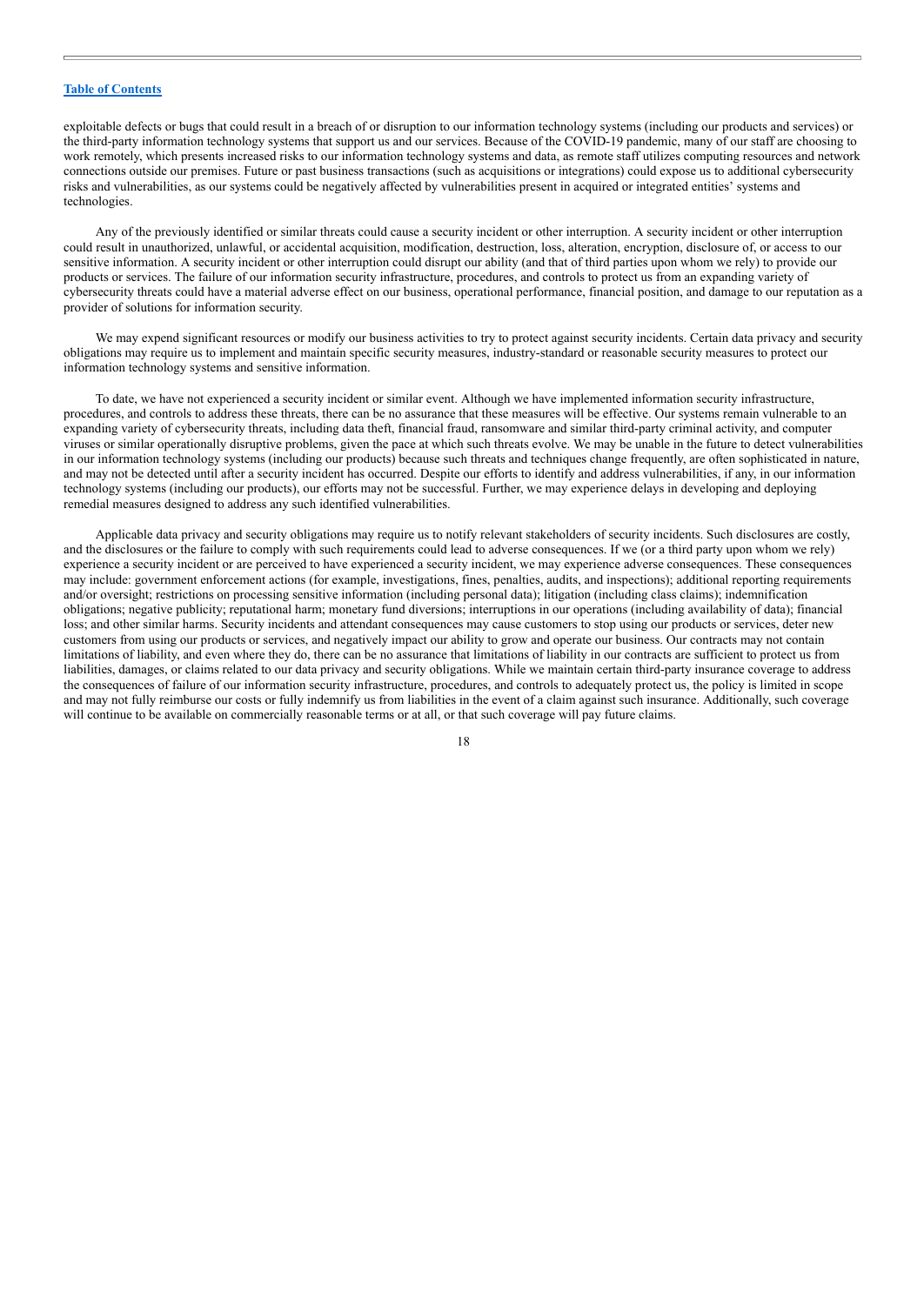exploitable defects or bugs that could result in a breach of or disruption to our information technology systems (including our products and services) or the third-party information technology systems that support us and our services. Because of the COVID-19 pandemic, many of our staff are choosing to work remotely, which presents increased risks to our information technology systems and data, as remote staff utilizes computing resources and network connections outside our premises. Future or past business transactions (such as acquisitions or integrations) could expose us to additional cybersecurity risks and vulnerabilities, as our systems could be negatively affected by vulnerabilities present in acquired or integrated entities' systems and technologies.

Any of the previously identified or similar threats could cause a security incident or other interruption. A security incident or other interruption could result in unauthorized, unlawful, or accidental acquisition, modification, destruction, loss, alteration, encryption, disclosure of, or access to our sensitive information. A security incident or other interruption could disrupt our ability (and that of third parties upon whom we rely) to provide our products or services. The failure of our information security infrastructure, procedures, and controls to protect us from an expanding variety of cybersecurity threats could have a material adverse effect on our business, operational performance, financial position, and damage to our reputation as a provider of solutions for information security.

We may expend significant resources or modify our business activities to try to protect against security incidents. Certain data privacy and security obligations may require us to implement and maintain specific security measures, industry-standard or reasonable security measures to protect our information technology systems and sensitive information.

To date, we have not experienced a security incident or similar event. Although we have implemented information security infrastructure, procedures, and controls to address these threats, there can be no assurance that these measures will be effective. Our systems remain vulnerable to an expanding variety of cybersecurity threats, including data theft, financial fraud, ransomware and similar third-party criminal activity, and computer viruses or similar operationally disruptive problems, given the pace at which such threats evolve. We may be unable in the future to detect vulnerabilities in our information technology systems (including our products) because such threats and techniques change frequently, are often sophisticated in nature, and may not be detected until after a security incident has occurred. Despite our efforts to identify and address vulnerabilities, if any, in our information technology systems (including our products), our efforts may not be successful. Further, we may experience delays in developing and deploying remedial measures designed to address any such identified vulnerabilities.

Applicable data privacy and security obligations may require us to notify relevant stakeholders of security incidents. Such disclosures are costly, and the disclosures or the failure to comply with such requirements could lead to adverse consequences. If we (or a third party upon whom we rely) experience a security incident or are perceived to have experienced a security incident, we may experience adverse consequences. These consequences may include: government enforcement actions (for example, investigations, fines, penalties, audits, and inspections); additional reporting requirements and/or oversight; restrictions on processing sensitive information (including personal data); litigation (including class claims); indemnification obligations; negative publicity; reputational harm; monetary fund diversions; interruptions in our operations (including availability of data); financial loss; and other similar harms. Security incidents and attendant consequences may cause customers to stop using our products or services, deter new customers from using our products or services, and negatively impact our ability to grow and operate our business. Our contracts may not contain limitations of liability, and even where they do, there can be no assurance that limitations of liability in our contracts are sufficient to protect us from liabilities, damages, or claims related to our data privacy and security obligations. While we maintain certain third-party insurance coverage to address the consequences of failure of our information security infrastructure, procedures, and controls to adequately protect us, the policy is limited in scope and may not fully reimburse our costs or fully indemnify us from liabilities in the event of a claim against such insurance. Additionally, such coverage will continue to be available on commercially reasonable terms or at all, or that such coverage will pay future claims.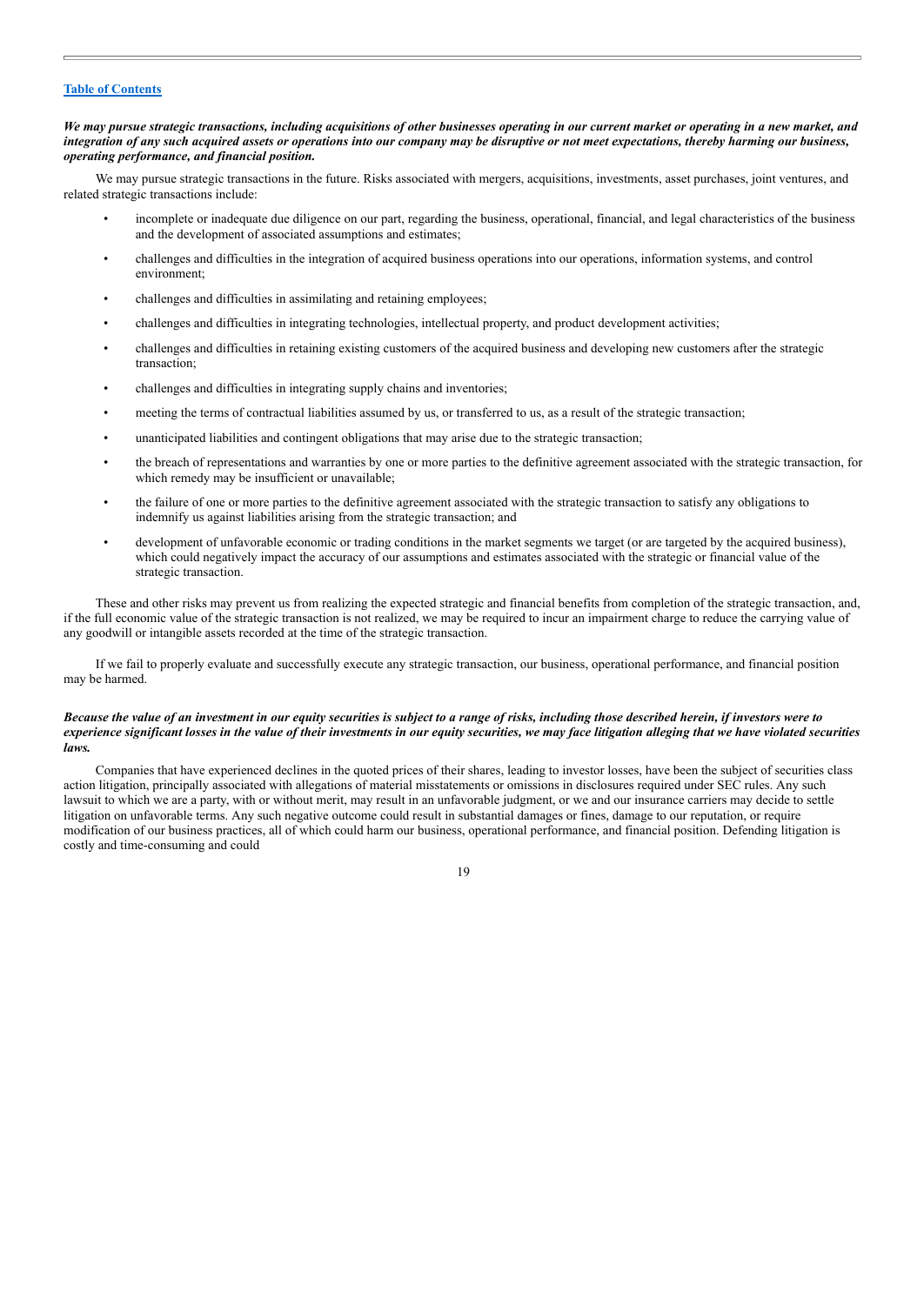*We may pursue strategic transactions, including acquisitions of other businesses operating in our current market or operating in a new market, and integration of any such acquired assets or operations into our company may be disruptive or not meet expectations, thereby harming our business, operating performance, and financial position.*

We may pursue strategic transactions in the future. Risks associated with mergers, acquisitions, investments, asset purchases, joint ventures, and related strategic transactions include:

- incomplete or inadequate due diligence on our part, regarding the business, operational, financial, and legal characteristics of the business and the development of associated assumptions and estimates;
- challenges and difficulties in the integration of acquired business operations into our operations, information systems, and control environment;
- challenges and difficulties in assimilating and retaining employees;
- challenges and difficulties in integrating technologies, intellectual property, and product development activities;
- challenges and difficulties in retaining existing customers of the acquired business and developing new customers after the strategic transaction;
- challenges and difficulties in integrating supply chains and inventories;
- meeting the terms of contractual liabilities assumed by us, or transferred to us, as a result of the strategic transaction;
- unanticipated liabilities and contingent obligations that may arise due to the strategic transaction;
- the breach of representations and warranties by one or more parties to the definitive agreement associated with the strategic transaction, for which remedy may be insufficient or unavailable;
- the failure of one or more parties to the definitive agreement associated with the strategic transaction to satisfy any obligations to indemnify us against liabilities arising from the strategic transaction; and
- development of unfavorable economic or trading conditions in the market segments we target (or are targeted by the acquired business), which could negatively impact the accuracy of our assumptions and estimates associated with the strategic or financial value of the strategic transaction.

These and other risks may prevent us from realizing the expected strategic and financial benefits from completion of the strategic transaction, and, if the full economic value of the strategic transaction is not realized, we may be required to incur an impairment charge to reduce the carrying value of any goodwill or intangible assets recorded at the time of the strategic transaction.

If we fail to properly evaluate and successfully execute any strategic transaction, our business, operational performance, and financial position may be harmed.

## *Because the value of an investment in our equity securities is subject to a range of risks, including those described herein, if investors were to experience significant losses in the value of their investments in our equity securities, we may face litigation alleging that we have violated securities laws.*

Companies that have experienced declines in the quoted prices of their shares, leading to investor losses, have been the subject of securities class action litigation, principally associated with allegations of material misstatements or omissions in disclosures required under SEC rules. Any such lawsuit to which we are a party, with or without merit, may result in an unfavorable judgment, or we and our insurance carriers may decide to settle litigation on unfavorable terms. Any such negative outcome could result in substantial damages or fines, damage to our reputation, or require modification of our business practices, all of which could harm our business, operational performance, and financial position. Defending litigation is costly and time-consuming and could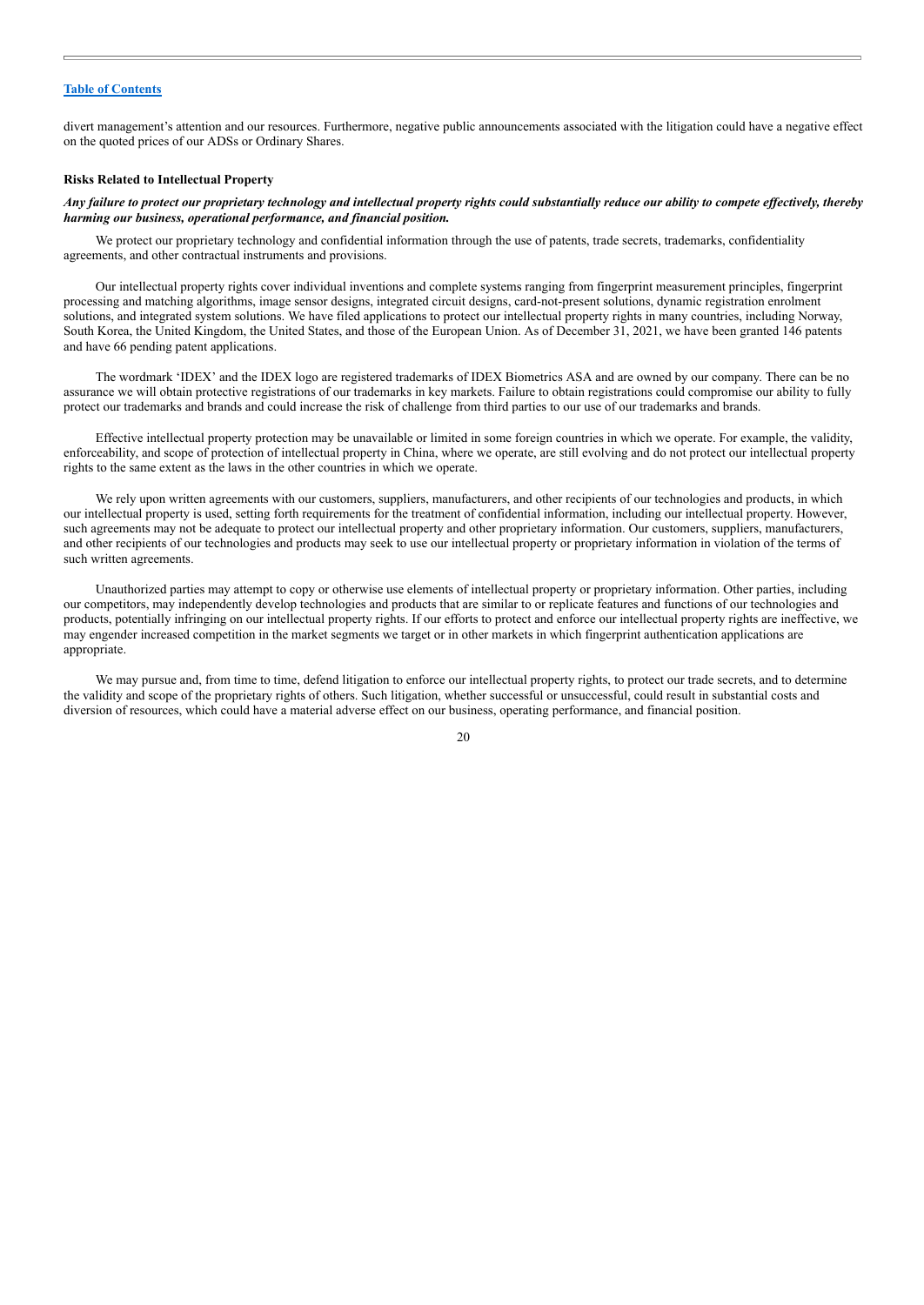divert management's attention and our resources. Furthermore, negative public announcements associated with the litigation could have a negative effect on the quoted prices of our ADSs or Ordinary Shares.

#### **Risks Related to Intellectual Property**

#### *Any failure to protect our proprietary technology and intellectual property rights could substantially reduce our ability to compete effectively, thereby harming our business, operational performance, and financial position.*

We protect our proprietary technology and confidential information through the use of patents, trade secrets, trademarks, confidentiality agreements, and other contractual instruments and provisions.

Our intellectual property rights cover individual inventions and complete systems ranging from fingerprint measurement principles, fingerprint processing and matching algorithms, image sensor designs, integrated circuit designs, card-not-present solutions, dynamic registration enrolment solutions, and integrated system solutions. We have filed applications to protect our intellectual property rights in many countries, including Norway, South Korea, the United Kingdom, the United States, and those of the European Union. As of December 31, 2021, we have been granted 146 patents and have 66 pending patent applications.

The wordmark 'IDEX' and the IDEX logo are registered trademarks of IDEX Biometrics ASA and are owned by our company. There can be no assurance we will obtain protective registrations of our trademarks in key markets. Failure to obtain registrations could compromise our ability to fully protect our trademarks and brands and could increase the risk of challenge from third parties to our use of our trademarks and brands.

Effective intellectual property protection may be unavailable or limited in some foreign countries in which we operate. For example, the validity, enforceability, and scope of protection of intellectual property in China, where we operate, are still evolving and do not protect our intellectual property rights to the same extent as the laws in the other countries in which we operate.

We rely upon written agreements with our customers, suppliers, manufacturers, and other recipients of our technologies and products, in which our intellectual property is used, setting forth requirements for the treatment of confidential information, including our intellectual property. However, such agreements may not be adequate to protect our intellectual property and other proprietary information. Our customers, suppliers, manufacturers, and other recipients of our technologies and products may seek to use our intellectual property or proprietary information in violation of the terms of such written agreements.

Unauthorized parties may attempt to copy or otherwise use elements of intellectual property or proprietary information. Other parties, including our competitors, may independently develop technologies and products that are similar to or replicate features and functions of our technologies and products, potentially infringing on our intellectual property rights. If our efforts to protect and enforce our intellectual property rights are ineffective, we may engender increased competition in the market segments we target or in other markets in which fingerprint authentication applications are appropriate.

We may pursue and, from time to time, defend litigation to enforce our intellectual property rights, to protect our trade secrets, and to determine the validity and scope of the proprietary rights of others. Such litigation, whether successful or unsuccessful, could result in substantial costs and diversion of resources, which could have a material adverse effect on our business, operating performance, and financial position.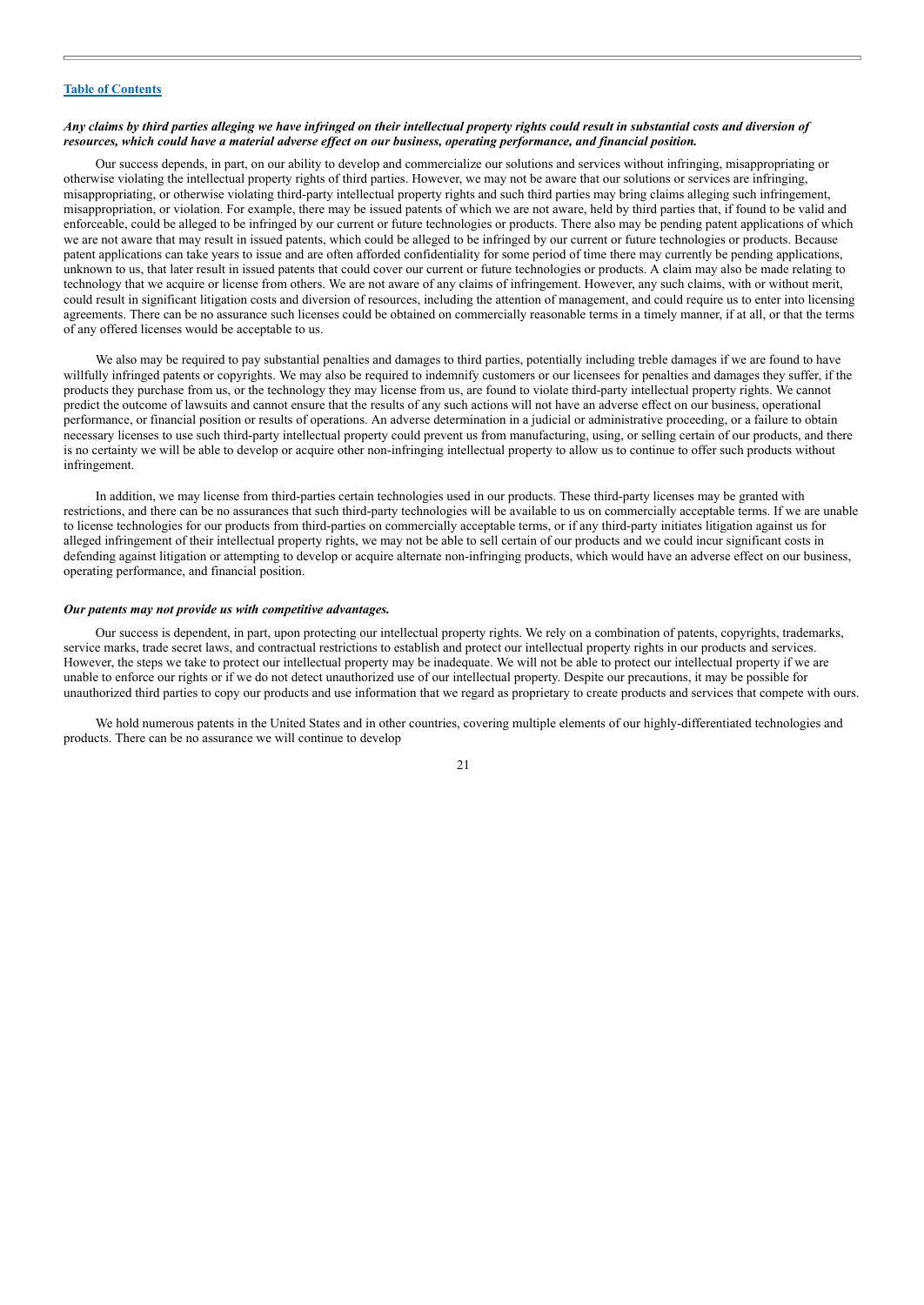# *Any claims by third parties alleging we have infringed on their intellectual property rights could result in substantial costs and diversion of resources, which could have a material adverse effect on our business, operating performance, and financial position.*

Our success depends, in part, on our ability to develop and commercialize our solutions and services without infringing, misappropriating or otherwise violating the intellectual property rights of third parties. However, we may not be aware that our solutions or services are infringing, misappropriating, or otherwise violating third-party intellectual property rights and such third parties may bring claims alleging such infringement, misappropriation, or violation. For example, there may be issued patents of which we are not aware, held by third parties that, if found to be valid and enforceable, could be alleged to be infringed by our current or future technologies or products. There also may be pending patent applications of which we are not aware that may result in issued patents, which could be alleged to be infringed by our current or future technologies or products. Because patent applications can take years to issue and are often afforded confidentiality for some period of time there may currently be pending applications, unknown to us, that later result in issued patents that could cover our current or future technologies or products. A claim may also be made relating to technology that we acquire or license from others. We are not aware of any claims of infringement. However, any such claims, with or without merit, could result in significant litigation costs and diversion of resources, including the attention of management, and could require us to enter into licensing agreements. There can be no assurance such licenses could be obtained on commercially reasonable terms in a timely manner, if at all, or that the terms of any offered licenses would be acceptable to us.

We also may be required to pay substantial penalties and damages to third parties, potentially including treble damages if we are found to have willfully infringed patents or copyrights. We may also be required to indemnify customers or our licensees for penalties and damages they suffer, if the products they purchase from us, or the technology they may license from us, are found to violate third-party intellectual property rights. We cannot predict the outcome of lawsuits and cannot ensure that the results of any such actions will not have an adverse effect on our business, operational performance, or financial position or results of operations. An adverse determination in a judicial or administrative proceeding, or a failure to obtain necessary licenses to use such third-party intellectual property could prevent us from manufacturing, using, or selling certain of our products, and there is no certainty we will be able to develop or acquire other non-infringing intellectual property to allow us to continue to offer such products without infringement.

In addition, we may license from third-parties certain technologies used in our products. These third-party licenses may be granted with restrictions, and there can be no assurances that such third-party technologies will be available to us on commercially acceptable terms. If we are unable to license technologies for our products from third-parties on commercially acceptable terms, or if any third-party initiates litigation against us for alleged infringement of their intellectual property rights, we may not be able to sell certain of our products and we could incur significant costs in defending against litigation or attempting to develop or acquire alternate non-infringing products, which would have an adverse effect on our business, operating performance, and financial position.

#### *Our patents may not provide us with competitive advantages.*

Our success is dependent, in part, upon protecting our intellectual property rights. We rely on a combination of patents, copyrights, trademarks, service marks, trade secret laws, and contractual restrictions to establish and protect our intellectual property rights in our products and services. However, the steps we take to protect our intellectual property may be inadequate. We will not be able to protect our intellectual property if we are unable to enforce our rights or if we do not detect unauthorized use of our intellectual property. Despite our precautions, it may be possible for unauthorized third parties to copy our products and use information that we regard as proprietary to create products and services that compete with ours.

We hold numerous patents in the United States and in other countries, covering multiple elements of our highly-differentiated technologies and products. There can be no assurance we will continue to develop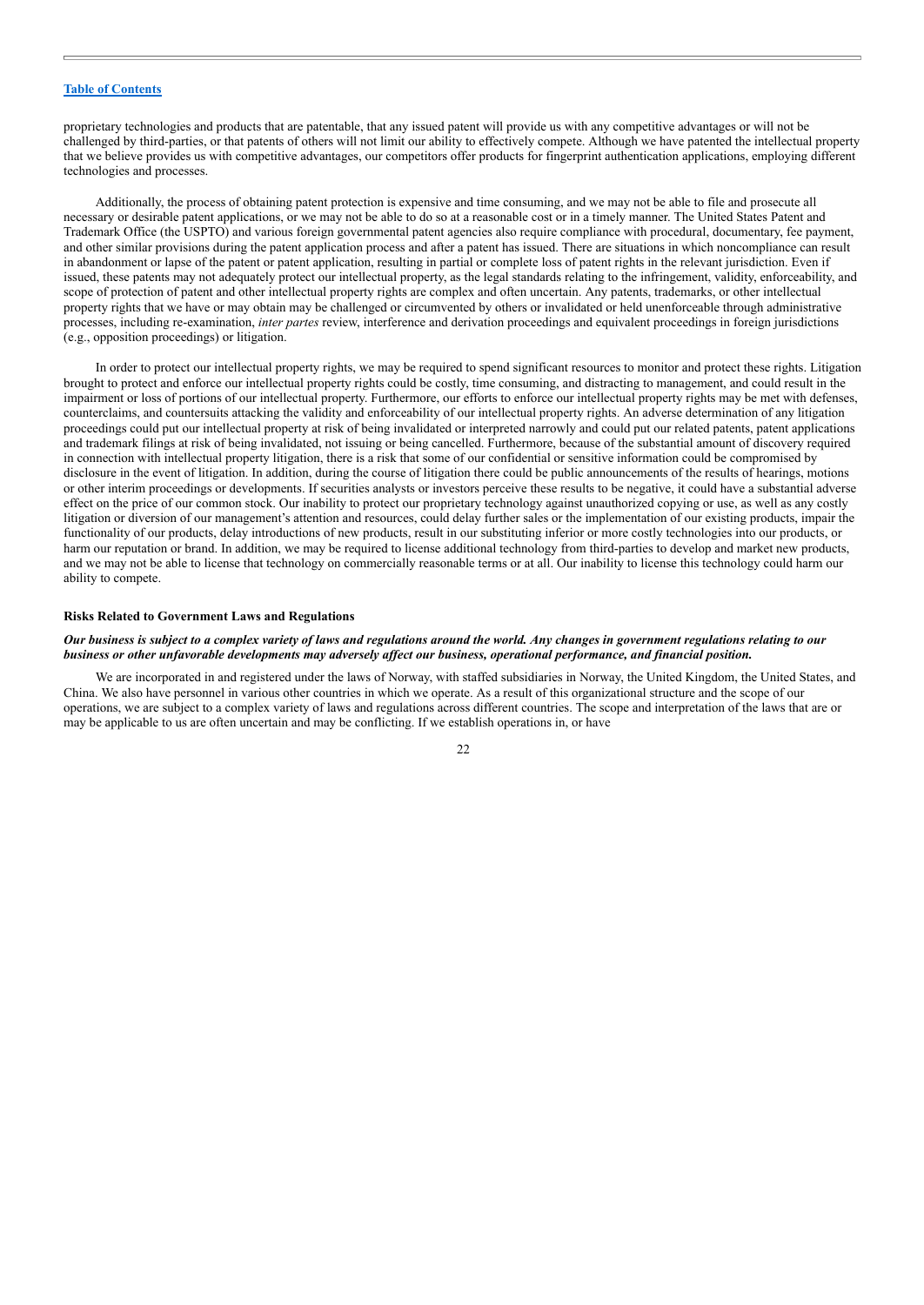proprietary technologies and products that are patentable, that any issued patent will provide us with any competitive advantages or will not be challenged by third-parties, or that patents of others will not limit our ability to effectively compete. Although we have patented the intellectual property that we believe provides us with competitive advantages, our competitors offer products for fingerprint authentication applications, employing different technologies and processes.

Additionally, the process of obtaining patent protection is expensive and time consuming, and we may not be able to file and prosecute all necessary or desirable patent applications, or we may not be able to do so at a reasonable cost or in a timely manner. The United States Patent and Trademark Office (the USPTO) and various foreign governmental patent agencies also require compliance with procedural, documentary, fee payment, and other similar provisions during the patent application process and after a patent has issued. There are situations in which noncompliance can result in abandonment or lapse of the patent or patent application, resulting in partial or complete loss of patent rights in the relevant jurisdiction. Even if issued, these patents may not adequately protect our intellectual property, as the legal standards relating to the infringement, validity, enforceability, and scope of protection of patent and other intellectual property rights are complex and often uncertain. Any patents, trademarks, or other intellectual property rights that we have or may obtain may be challenged or circumvented by others or invalidated or held unenforceable through administrative processes, including re-examination, *inter partes* review, interference and derivation proceedings and equivalent proceedings in foreign jurisdictions (e.g., opposition proceedings) or litigation.

In order to protect our intellectual property rights, we may be required to spend significant resources to monitor and protect these rights. Litigation brought to protect and enforce our intellectual property rights could be costly, time consuming, and distracting to management, and could result in the impairment or loss of portions of our intellectual property. Furthermore, our efforts to enforce our intellectual property rights may be met with defenses, counterclaims, and countersuits attacking the validity and enforceability of our intellectual property rights. An adverse determination of any litigation proceedings could put our intellectual property at risk of being invalidated or interpreted narrowly and could put our related patents, patent applications and trademark filings at risk of being invalidated, not issuing or being cancelled. Furthermore, because of the substantial amount of discovery required in connection with intellectual property litigation, there is a risk that some of our confidential or sensitive information could be compromised by disclosure in the event of litigation. In addition, during the course of litigation there could be public announcements of the results of hearings, motions or other interim proceedings or developments. If securities analysts or investors perceive these results to be negative, it could have a substantial adverse effect on the price of our common stock. Our inability to protect our proprietary technology against unauthorized copying or use, as well as any costly litigation or diversion of our management's attention and resources, could delay further sales or the implementation of our existing products, impair the functionality of our products, delay introductions of new products, result in our substituting inferior or more costly technologies into our products, or harm our reputation or brand. In addition, we may be required to license additional technology from third-parties to develop and market new products, and we may not be able to license that technology on commercially reasonable terms or at all. Our inability to license this technology could harm our ability to compete.

#### **Risks Related to Government Laws and Regulations**

#### *Our business is subject to a complex variety of laws and regulations around the world. Any changes in government regulations relating to our business or other unfavorable developments may adversely affect our business, operational performance, and financial position.*

We are incorporated in and registered under the laws of Norway, with staffed subsidiaries in Norway, the United Kingdom, the United States, and China. We also have personnel in various other countries in which we operate. As a result of this organizational structure and the scope of our operations, we are subject to a complex variety of laws and regulations across different countries. The scope and interpretation of the laws that are or may be applicable to us are often uncertain and may be conflicting. If we establish operations in, or have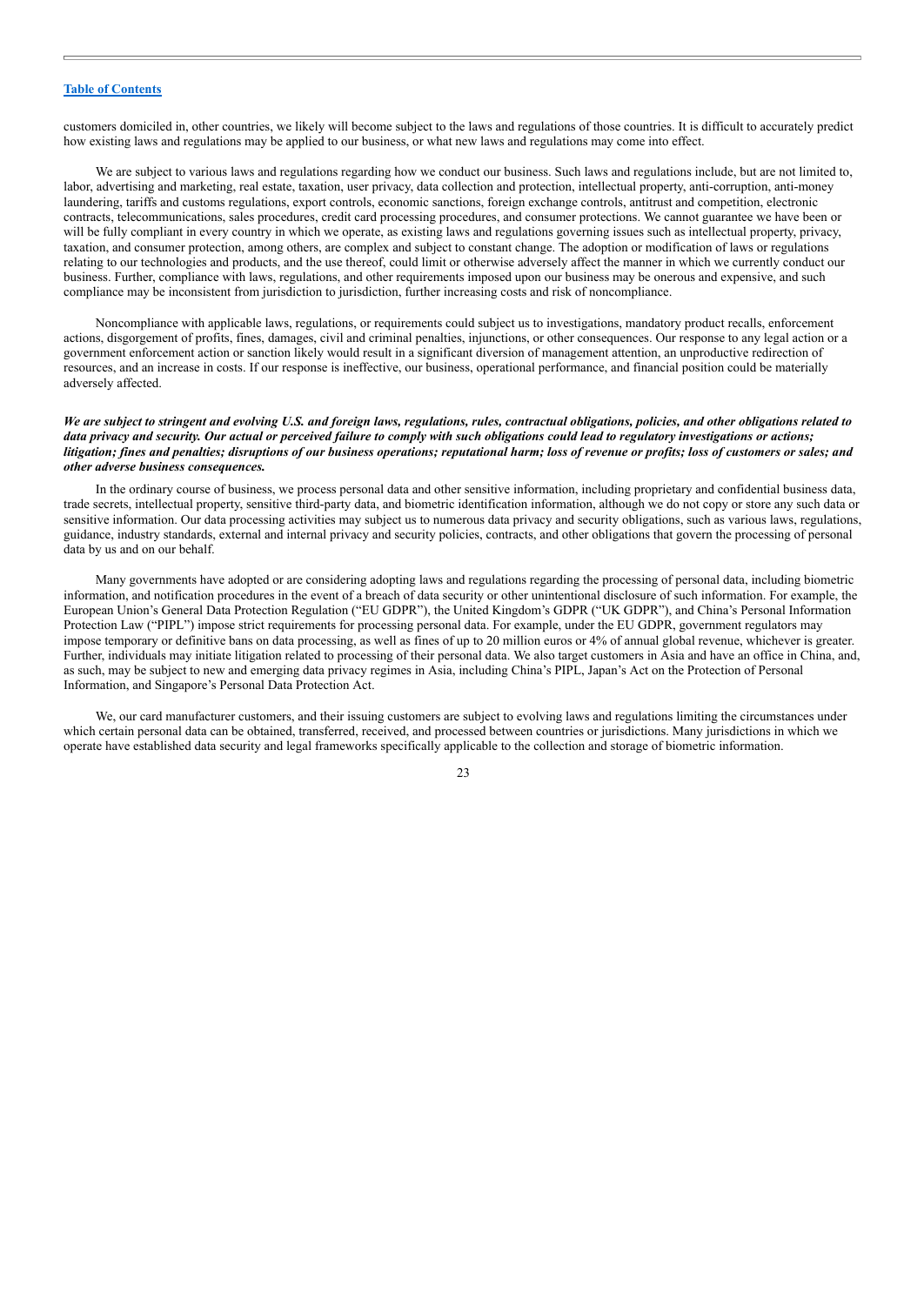customers domiciled in, other countries, we likely will become subject to the laws and regulations of those countries. It is difficult to accurately predict how existing laws and regulations may be applied to our business, or what new laws and regulations may come into effect.

We are subject to various laws and regulations regarding how we conduct our business. Such laws and regulations include, but are not limited to, labor, advertising and marketing, real estate, taxation, user privacy, data collection and protection, intellectual property, anti-corruption, anti-money laundering, tariffs and customs regulations, export controls, economic sanctions, foreign exchange controls, antitrust and competition, electronic contracts, telecommunications, sales procedures, credit card processing procedures, and consumer protections. We cannot guarantee we have been or will be fully compliant in every country in which we operate, as existing laws and regulations governing issues such as intellectual property, privacy, taxation, and consumer protection, among others, are complex and subject to constant change. The adoption or modification of laws or regulations relating to our technologies and products, and the use thereof, could limit or otherwise adversely affect the manner in which we currently conduct our business. Further, compliance with laws, regulations, and other requirements imposed upon our business may be onerous and expensive, and such compliance may be inconsistent from jurisdiction to jurisdiction, further increasing costs and risk of noncompliance.

Noncompliance with applicable laws, regulations, or requirements could subject us to investigations, mandatory product recalls, enforcement actions, disgorgement of profits, fines, damages, civil and criminal penalties, injunctions, or other consequences. Our response to any legal action or a government enforcement action or sanction likely would result in a significant diversion of management attention, an unproductive redirection of resources, and an increase in costs. If our response is ineffective, our business, operational performance, and financial position could be materially adversely affected.

# *We are subject to stringent and evolving U.S. and foreign laws, regulations, rules, contractual obligations, policies, and other obligations related to data privacy and security. Our actual or perceived failure to comply with such obligations could lead to regulatory investigations or actions; litigation; fines and penalties; disruptions of our business operations; reputational harm; loss of revenue or profits; loss of customers or sales; and other adverse business consequences.*

In the ordinary course of business, we process personal data and other sensitive information, including proprietary and confidential business data, trade secrets, intellectual property, sensitive third-party data, and biometric identification information, although we do not copy or store any such data or sensitive information. Our data processing activities may subject us to numerous data privacy and security obligations, such as various laws, regulations, guidance, industry standards, external and internal privacy and security policies, contracts, and other obligations that govern the processing of personal data by us and on our behalf.

Many governments have adopted or are considering adopting laws and regulations regarding the processing of personal data, including biometric information, and notification procedures in the event of a breach of data security or other unintentional disclosure of such information. For example, the European Union's General Data Protection Regulation ("EU GDPR"), the United Kingdom's GDPR ("UK GDPR"), and China's Personal Information Protection Law ("PIPL") impose strict requirements for processing personal data. For example, under the EU GDPR, government regulators may impose temporary or definitive bans on data processing, as well as fines of up to 20 million euros or 4% of annual global revenue, whichever is greater. Further, individuals may initiate litigation related to processing of their personal data. We also target customers in Asia and have an office in China, and, as such, may be subject to new and emerging data privacy regimes in Asia, including China's PIPL, Japan's Act on the Protection of Personal Information, and Singapore's Personal Data Protection Act.

We, our card manufacturer customers, and their issuing customers are subject to evolving laws and regulations limiting the circumstances under which certain personal data can be obtained, transferred, received, and processed between countries or jurisdictions. Many jurisdictions in which we operate have established data security and legal frameworks specifically applicable to the collection and storage of biometric information.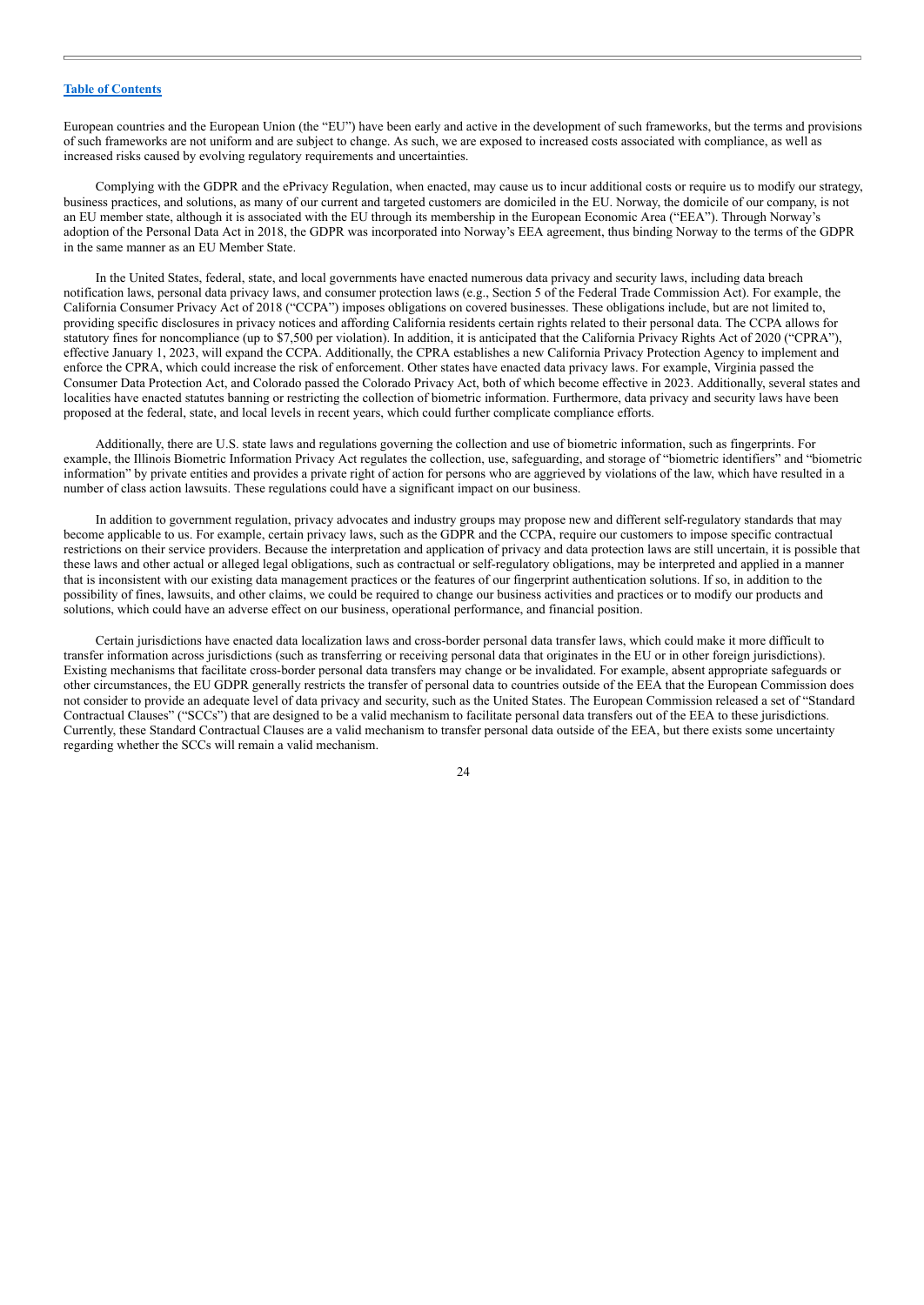European countries and the European Union (the "EU") have been early and active in the development of such frameworks, but the terms and provisions of such frameworks are not uniform and are subject to change. As such, we are exposed to increased costs associated with compliance, as well as increased risks caused by evolving regulatory requirements and uncertainties.

Complying with the GDPR and the ePrivacy Regulation, when enacted, may cause us to incur additional costs or require us to modify our strategy, business practices, and solutions, as many of our current and targeted customers are domiciled in the EU. Norway, the domicile of our company, is not an EU member state, although it is associated with the EU through its membership in the European Economic Area ("EEA"). Through Norway's adoption of the Personal Data Act in 2018, the GDPR was incorporated into Norway's EEA agreement, thus binding Norway to the terms of the GDPR in the same manner as an EU Member State.

In the United States, federal, state, and local governments have enacted numerous data privacy and security laws, including data breach notification laws, personal data privacy laws, and consumer protection laws (e.g., Section 5 of the Federal Trade Commission Act). For example, the California Consumer Privacy Act of 2018 ("CCPA") imposes obligations on covered businesses. These obligations include, but are not limited to, providing specific disclosures in privacy notices and affording California residents certain rights related to their personal data. The CCPA allows for statutory fines for noncompliance (up to \$7,500 per violation). In addition, it is anticipated that the California Privacy Rights Act of 2020 ("CPRA"), effective January 1, 2023, will expand the CCPA. Additionally, the CPRA establishes a new California Privacy Protection Agency to implement and enforce the CPRA, which could increase the risk of enforcement. Other states have enacted data privacy laws. For example, Virginia passed the Consumer Data Protection Act, and Colorado passed the Colorado Privacy Act, both of which become effective in 2023. Additionally, several states and localities have enacted statutes banning or restricting the collection of biometric information. Furthermore, data privacy and security laws have been proposed at the federal, state, and local levels in recent years, which could further complicate compliance efforts.

Additionally, there are U.S. state laws and regulations governing the collection and use of biometric information, such as fingerprints. For example, the Illinois Biometric Information Privacy Act regulates the collection, use, safeguarding, and storage of "biometric identifiers" and "biometric information" by private entities and provides a private right of action for persons who are aggrieved by violations of the law, which have resulted in a number of class action lawsuits. These regulations could have a significant impact on our business.

In addition to government regulation, privacy advocates and industry groups may propose new and different self-regulatory standards that may become applicable to us. For example, certain privacy laws, such as the GDPR and the CCPA, require our customers to impose specific contractual restrictions on their service providers. Because the interpretation and application of privacy and data protection laws are still uncertain, it is possible that these laws and other actual or alleged legal obligations, such as contractual or self-regulatory obligations, may be interpreted and applied in a manner that is inconsistent with our existing data management practices or the features of our fingerprint authentication solutions. If so, in addition to the possibility of fines, lawsuits, and other claims, we could be required to change our business activities and practices or to modify our products and solutions, which could have an adverse effect on our business, operational performance, and financial position.

Certain jurisdictions have enacted data localization laws and cross-border personal data transfer laws, which could make it more difficult to transfer information across jurisdictions (such as transferring or receiving personal data that originates in the EU or in other foreign jurisdictions). Existing mechanisms that facilitate cross-border personal data transfers may change or be invalidated. For example, absent appropriate safeguards or other circumstances, the EU GDPR generally restricts the transfer of personal data to countries outside of the EEA that the European Commission does not consider to provide an adequate level of data privacy and security, such as the United States. The European Commission released a set of "Standard Contractual Clauses" ("SCCs") that are designed to be a valid mechanism to facilitate personal data transfers out of the EEA to these jurisdictions. Currently, these Standard Contractual Clauses are a valid mechanism to transfer personal data outside of the EEA, but there exists some uncertainty regarding whether the SCCs will remain a valid mechanism.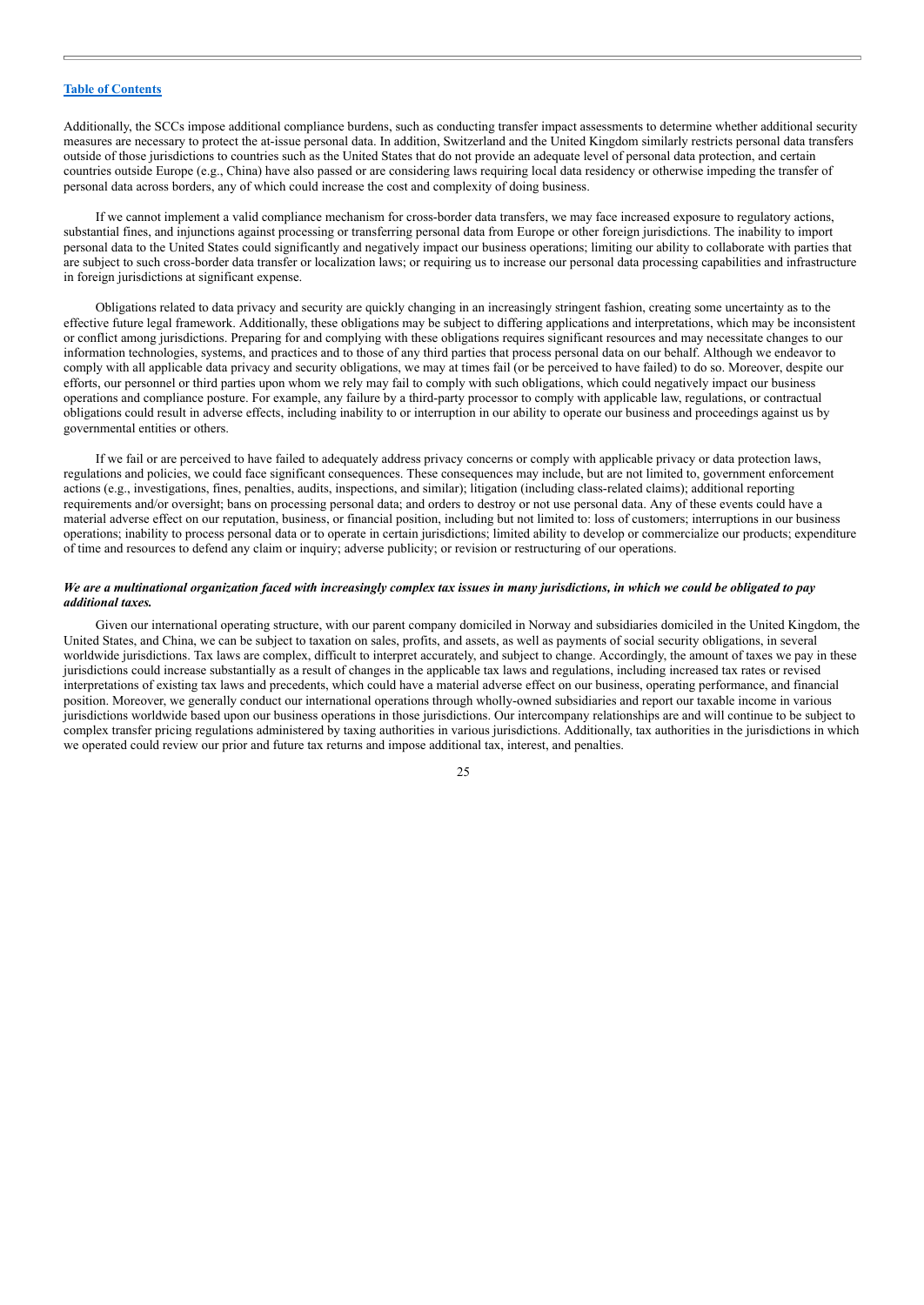Additionally, the SCCs impose additional compliance burdens, such as conducting transfer impact assessments to determine whether additional security measures are necessary to protect the at-issue personal data. In addition, Switzerland and the United Kingdom similarly restricts personal data transfers outside of those jurisdictions to countries such as the United States that do not provide an adequate level of personal data protection, and certain countries outside Europe (e.g., China) have also passed or are considering laws requiring local data residency or otherwise impeding the transfer of personal data across borders, any of which could increase the cost and complexity of doing business.

If we cannot implement a valid compliance mechanism for cross-border data transfers, we may face increased exposure to regulatory actions, substantial fines, and injunctions against processing or transferring personal data from Europe or other foreign jurisdictions. The inability to import personal data to the United States could significantly and negatively impact our business operations; limiting our ability to collaborate with parties that are subject to such cross-border data transfer or localization laws; or requiring us to increase our personal data processing capabilities and infrastructure in foreign jurisdictions at significant expense.

Obligations related to data privacy and security are quickly changing in an increasingly stringent fashion, creating some uncertainty as to the effective future legal framework. Additionally, these obligations may be subject to differing applications and interpretations, which may be inconsistent or conflict among jurisdictions. Preparing for and complying with these obligations requires significant resources and may necessitate changes to our information technologies, systems, and practices and to those of any third parties that process personal data on our behalf. Although we endeavor to comply with all applicable data privacy and security obligations, we may at times fail (or be perceived to have failed) to do so. Moreover, despite our efforts, our personnel or third parties upon whom we rely may fail to comply with such obligations, which could negatively impact our business operations and compliance posture. For example, any failure by a third-party processor to comply with applicable law, regulations, or contractual obligations could result in adverse effects, including inability to or interruption in our ability to operate our business and proceedings against us by governmental entities or others.

If we fail or are perceived to have failed to adequately address privacy concerns or comply with applicable privacy or data protection laws, regulations and policies, we could face significant consequences. These consequences may include, but are not limited to, government enforcement actions (e.g., investigations, fines, penalties, audits, inspections, and similar); litigation (including class-related claims); additional reporting requirements and/or oversight; bans on processing personal data; and orders to destroy or not use personal data. Any of these events could have a material adverse effect on our reputation, business, or financial position, including but not limited to: loss of customers; interruptions in our business operations; inability to process personal data or to operate in certain jurisdictions; limited ability to develop or commercialize our products; expenditure of time and resources to defend any claim or inquiry; adverse publicity; or revision or restructuring of our operations.

# *We are a multinational organization faced with increasingly complex tax issues in many jurisdictions, in which we could be obligated to pay additional taxes.*

Given our international operating structure, with our parent company domiciled in Norway and subsidiaries domiciled in the United Kingdom, the United States, and China, we can be subject to taxation on sales, profits, and assets, as well as payments of social security obligations, in several worldwide jurisdictions. Tax laws are complex, difficult to interpret accurately, and subject to change. Accordingly, the amount of taxes we pay in these jurisdictions could increase substantially as a result of changes in the applicable tax laws and regulations, including increased tax rates or revised interpretations of existing tax laws and precedents, which could have a material adverse effect on our business, operating performance, and financial position. Moreover, we generally conduct our international operations through wholly-owned subsidiaries and report our taxable income in various jurisdictions worldwide based upon our business operations in those jurisdictions. Our intercompany relationships are and will continue to be subject to complex transfer pricing regulations administered by taxing authorities in various jurisdictions. Additionally, tax authorities in the jurisdictions in which we operated could review our prior and future tax returns and impose additional tax, interest, and penalties.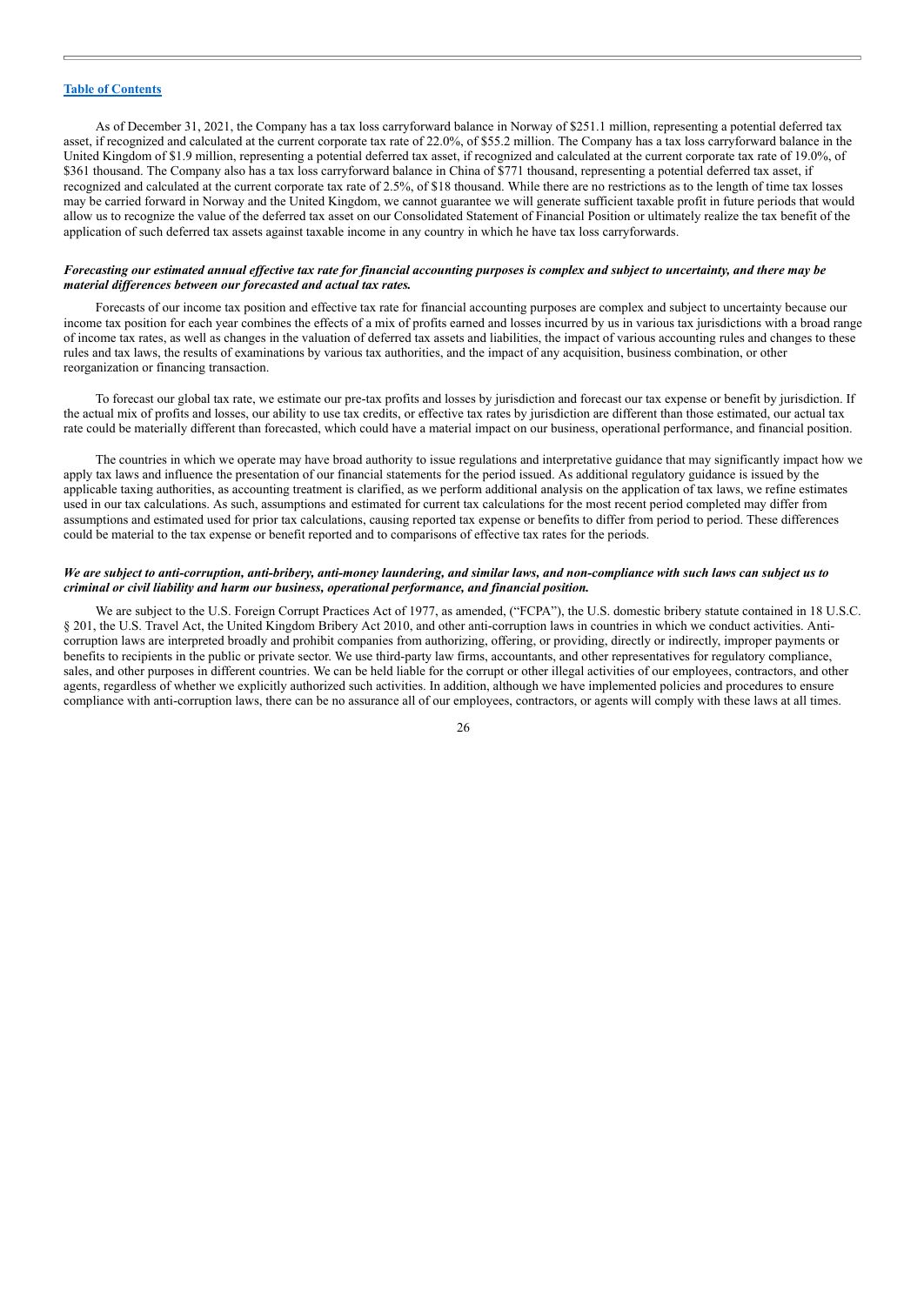As of December 31, 2021, the Company has a tax loss carryforward balance in Norway of \$251.1 million, representing a potential deferred tax asset, if recognized and calculated at the current corporate tax rate of 22.0%, of \$55.2 million. The Company has a tax loss carryforward balance in the United Kingdom of \$1.9 million, representing a potential deferred tax asset, if recognized and calculated at the current corporate tax rate of 19.0%, of \$361 thousand. The Company also has a tax loss carryforward balance in China of \$771 thousand, representing a potential deferred tax asset, if recognized and calculated at the current corporate tax rate of 2.5%, of \$18 thousand. While there are no restrictions as to the length of time tax losses may be carried forward in Norway and the United Kingdom, we cannot guarantee we will generate sufficient taxable profit in future periods that would allow us to recognize the value of the deferred tax asset on our Consolidated Statement of Financial Position or ultimately realize the tax benefit of the application of such deferred tax assets against taxable income in any country in which he have tax loss carryforwards.

#### *Forecasting our estimated annual effective tax rate for financial accounting purposes is complex and subject to uncertainty, and there may be material differences between our forecasted and actual tax rates.*

Forecasts of our income tax position and effective tax rate for financial accounting purposes are complex and subject to uncertainty because our income tax position for each year combines the effects of a mix of profits earned and losses incurred by us in various tax jurisdictions with a broad range of income tax rates, as well as changes in the valuation of deferred tax assets and liabilities, the impact of various accounting rules and changes to these rules and tax laws, the results of examinations by various tax authorities, and the impact of any acquisition, business combination, or other reorganization or financing transaction.

To forecast our global tax rate, we estimate our pre-tax profits and losses by jurisdiction and forecast our tax expense or benefit by jurisdiction. If the actual mix of profits and losses, our ability to use tax credits, or effective tax rates by jurisdiction are different than those estimated, our actual tax rate could be materially different than forecasted, which could have a material impact on our business, operational performance, and financial position.

The countries in which we operate may have broad authority to issue regulations and interpretative guidance that may significantly impact how we apply tax laws and influence the presentation of our financial statements for the period issued. As additional regulatory guidance is issued by the applicable taxing authorities, as accounting treatment is clarified, as we perform additional analysis on the application of tax laws, we refine estimates used in our tax calculations. As such, assumptions and estimated for current tax calculations for the most recent period completed may differ from assumptions and estimated used for prior tax calculations, causing reported tax expense or benefits to differ from period to period. These differences could be material to the tax expense or benefit reported and to comparisons of effective tax rates for the periods.

#### *We are subject to anti-corruption, anti-bribery, anti-money laundering, and similar laws, and non-compliance with such laws can subject us to criminal or civil liability and harm our business, operational performance, and financial position.*

We are subject to the U.S. Foreign Corrupt Practices Act of 1977, as amended, ("FCPA"), the U.S. domestic bribery statute contained in 18 U.S.C. § 201, the U.S. Travel Act, the United Kingdom Bribery Act 2010, and other anti-corruption laws in countries in which we conduct activities. Anticorruption laws are interpreted broadly and prohibit companies from authorizing, offering, or providing, directly or indirectly, improper payments or benefits to recipients in the public or private sector. We use third-party law firms, accountants, and other representatives for regulatory compliance, sales, and other purposes in different countries. We can be held liable for the corrupt or other illegal activities of our employees, contractors, and other agents, regardless of whether we explicitly authorized such activities. In addition, although we have implemented policies and procedures to ensure compliance with anti-corruption laws, there can be no assurance all of our employees, contractors, or agents will comply with these laws at all times.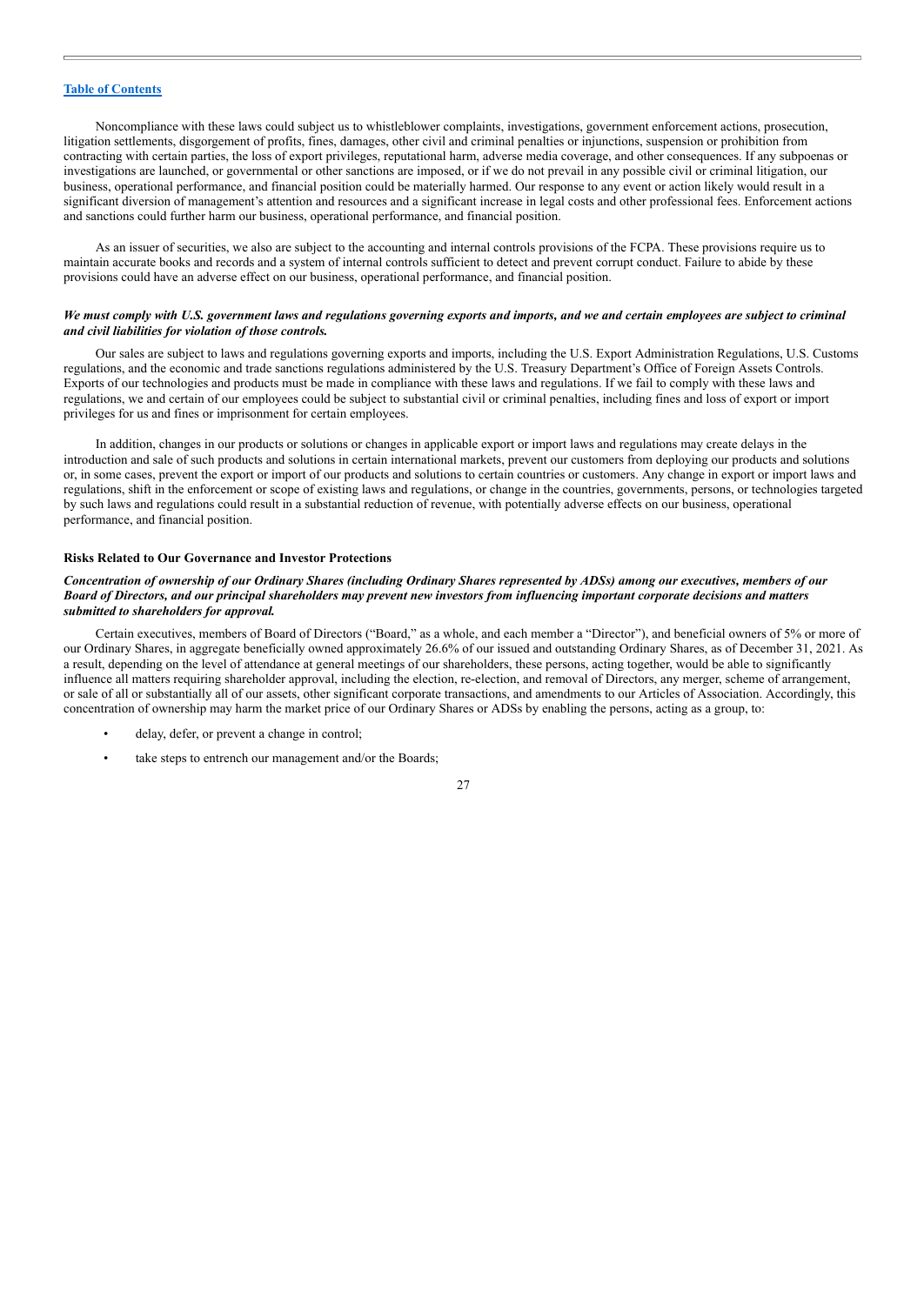Noncompliance with these laws could subject us to whistleblower complaints, investigations, government enforcement actions, prosecution, litigation settlements, disgorgement of profits, fines, damages, other civil and criminal penalties or injunctions, suspension or prohibition from contracting with certain parties, the loss of export privileges, reputational harm, adverse media coverage, and other consequences. If any subpoenas or investigations are launched, or governmental or other sanctions are imposed, or if we do not prevail in any possible civil or criminal litigation, our business, operational performance, and financial position could be materially harmed. Our response to any event or action likely would result in a significant diversion of management's attention and resources and a significant increase in legal costs and other professional fees. Enforcement actions and sanctions could further harm our business, operational performance, and financial position.

As an issuer of securities, we also are subject to the accounting and internal controls provisions of the FCPA. These provisions require us to maintain accurate books and records and a system of internal controls sufficient to detect and prevent corrupt conduct. Failure to abide by these provisions could have an adverse effect on our business, operational performance, and financial position.

# *We must comply with U.S. government laws and regulations governing exports and imports, and we and certain employees are subject to criminal and civil liabilities for violation of those controls.*

Our sales are subject to laws and regulations governing exports and imports, including the U.S. Export Administration Regulations, U.S. Customs regulations, and the economic and trade sanctions regulations administered by the U.S. Treasury Department's Office of Foreign Assets Controls. Exports of our technologies and products must be made in compliance with these laws and regulations. If we fail to comply with these laws and regulations, we and certain of our employees could be subject to substantial civil or criminal penalties, including fines and loss of export or import privileges for us and fines or imprisonment for certain employees.

In addition, changes in our products or solutions or changes in applicable export or import laws and regulations may create delays in the introduction and sale of such products and solutions in certain international markets, prevent our customers from deploying our products and solutions or, in some cases, prevent the export or import of our products and solutions to certain countries or customers. Any change in export or import laws and regulations, shift in the enforcement or scope of existing laws and regulations, or change in the countries, governments, persons, or technologies targeted by such laws and regulations could result in a substantial reduction of revenue, with potentially adverse effects on our business, operational performance, and financial position.

#### **Risks Related to Our Governance and Investor Protections**

#### *Concentration of ownership of our Ordinary Shares (including Ordinary Shares represented by ADSs) among our executives, members of our Board of Directors, and our principal shareholders may prevent new investors from influencing important corporate decisions and matters submitted to shareholders for approval.*

Certain executives, members of Board of Directors ("Board," as a whole, and each member a "Director"), and beneficial owners of 5% or more of our Ordinary Shares, in aggregate beneficially owned approximately 26.6% of our issued and outstanding Ordinary Shares, as of December 31, 2021. As a result, depending on the level of attendance at general meetings of our shareholders, these persons, acting together, would be able to significantly influence all matters requiring shareholder approval, including the election, re-election, and removal of Directors, any merger, scheme of arrangement, or sale of all or substantially all of our assets, other significant corporate transactions, and amendments to our Articles of Association. Accordingly, this concentration of ownership may harm the market price of our Ordinary Shares or ADSs by enabling the persons, acting as a group, to:

- delay, defer, or prevent a change in control;
- take steps to entrench our management and/or the Boards;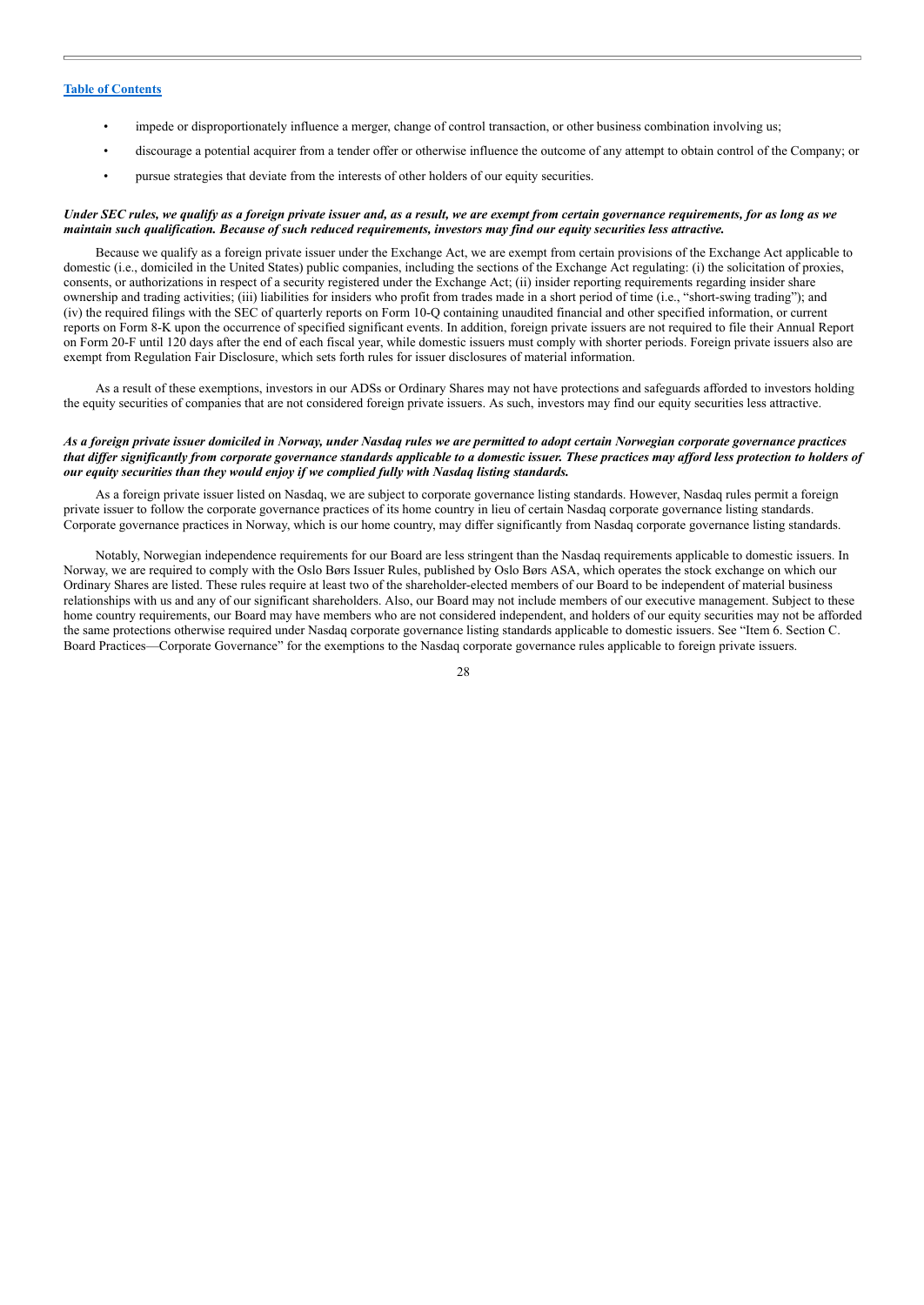- impede or disproportionately influence a merger, change of control transaction, or other business combination involving us;
- discourage a potential acquirer from a tender offer or otherwise influence the outcome of any attempt to obtain control of the Company; or
- pursue strategies that deviate from the interests of other holders of our equity securities.

# *Under SEC rules, we qualify as a foreign private issuer and, as a result, we are exempt from certain governance requirements, for as long as we maintain such qualification. Because of such reduced requirements, investors may find our equity securities less attractive.*

Because we qualify as a foreign private issuer under the Exchange Act, we are exempt from certain provisions of the Exchange Act applicable to domestic (i.e., domiciled in the United States) public companies, including the sections of the Exchange Act regulating: (i) the solicitation of proxies, consents, or authorizations in respect of a security registered under the Exchange Act; (ii) insider reporting requirements regarding insider share ownership and trading activities; (iii) liabilities for insiders who profit from trades made in a short period of time (i.e., "short-swing trading"); and (iv) the required filings with the SEC of quarterly reports on Form 10-Q containing unaudited financial and other specified information, or current reports on Form 8-K upon the occurrence of specified significant events. In addition, foreign private issuers are not required to file their Annual Report on Form 20-F until 120 days after the end of each fiscal year, while domestic issuers must comply with shorter periods. Foreign private issuers also are exempt from Regulation Fair Disclosure, which sets forth rules for issuer disclosures of material information.

As a result of these exemptions, investors in our ADSs or Ordinary Shares may not have protections and safeguards afforded to investors holding the equity securities of companies that are not considered foreign private issuers. As such, investors may find our equity securities less attractive.

### *As a foreign private issuer domiciled in Norway, under Nasdaq rules we are permitted to adopt certain Norwegian corporate governance practices that differ significantly from corporate governance standards applicable to a domestic issuer. These practices may afford less protection to holders of our equity securities than they would enjoy if we complied fully with Nasdaq listing standards.*

As a foreign private issuer listed on Nasdaq, we are subject to corporate governance listing standards. However, Nasdaq rules permit a foreign private issuer to follow the corporate governance practices of its home country in lieu of certain Nasdaq corporate governance listing standards. Corporate governance practices in Norway, which is our home country, may differ significantly from Nasdaq corporate governance listing standards.

Notably, Norwegian independence requirements for our Board are less stringent than the Nasdaq requirements applicable to domestic issuers. In Norway, we are required to comply with the Oslo Børs Issuer Rules, published by Oslo Børs ASA, which operates the stock exchange on which our Ordinary Shares are listed. These rules require at least two of the shareholder-elected members of our Board to be independent of material business relationships with us and any of our significant shareholders. Also, our Board may not include members of our executive management. Subject to these home country requirements, our Board may have members who are not considered independent, and holders of our equity securities may not be afforded the same protections otherwise required under Nasdaq corporate governance listing standards applicable to domestic issuers. See "Item 6. Section C. Board Practices—Corporate Governance" for the exemptions to the Nasdaq corporate governance rules applicable to foreign private issuers.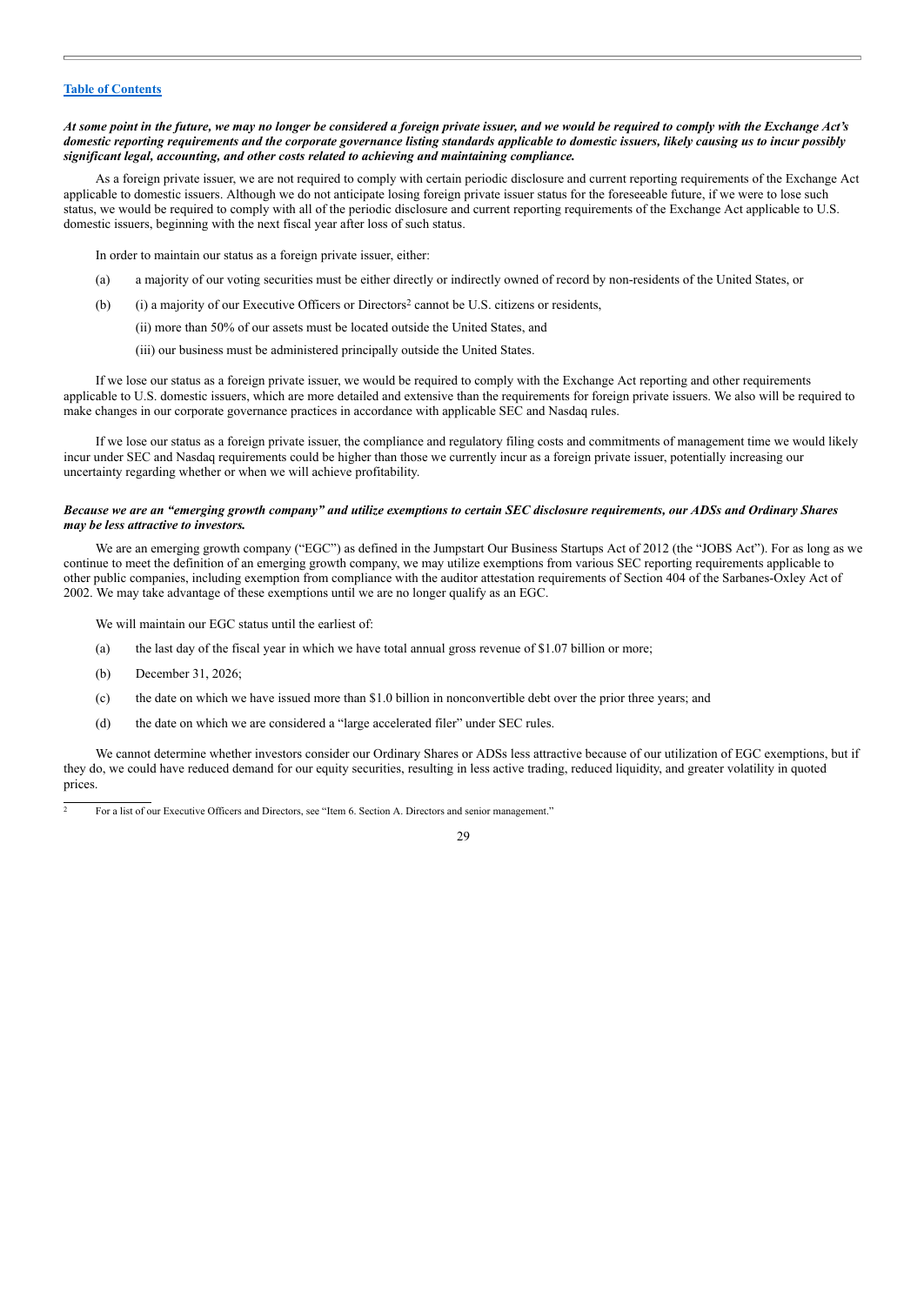# *At some point in the future, we may no longer be considered a foreign private issuer, and we would be required to comply with the Exchange Act's domestic reporting requirements and the corporate governance listing standards applicable to domestic issuers, likely causing us to incur possibly significant legal, accounting, and other costs related to achieving and maintaining compliance.*

As a foreign private issuer, we are not required to comply with certain periodic disclosure and current reporting requirements of the Exchange Act applicable to domestic issuers. Although we do not anticipate losing foreign private issuer status for the foreseeable future, if we were to lose such status, we would be required to comply with all of the periodic disclosure and current reporting requirements of the Exchange Act applicable to U.S. domestic issuers, beginning with the next fiscal year after loss of such status.

In order to maintain our status as a foreign private issuer, either:

- (a) a majority of our voting securities must be either directly or indirectly owned of record by non-residents of the United States, or
- (b) (i) a majority of our Executive Officers or Directors2 cannot be U.S. citizens or residents,
	- (ii) more than 50% of our assets must be located outside the United States, and
	- (iii) our business must be administered principally outside the United States.

If we lose our status as a foreign private issuer, we would be required to comply with the Exchange Act reporting and other requirements applicable to U.S. domestic issuers, which are more detailed and extensive than the requirements for foreign private issuers. We also will be required to make changes in our corporate governance practices in accordance with applicable SEC and Nasdaq rules.

If we lose our status as a foreign private issuer, the compliance and regulatory filing costs and commitments of management time we would likely incur under SEC and Nasdaq requirements could be higher than those we currently incur as a foreign private issuer, potentially increasing our uncertainty regarding whether or when we will achieve profitability.

#### *Because we are an "emerging growth company" and utilize exemptions to certain SEC disclosure requirements, our ADSs and Ordinary Shares may be less attractive to investors.*

We are an emerging growth company ("EGC") as defined in the Jumpstart Our Business Startups Act of 2012 (the "JOBS Act"). For as long as we continue to meet the definition of an emerging growth company, we may utilize exemptions from various SEC reporting requirements applicable to other public companies, including exemption from compliance with the auditor attestation requirements of Section 404 of the Sarbanes-Oxley Act of 2002. We may take advantage of these exemptions until we are no longer qualify as an EGC.

We will maintain our EGC status until the earliest of:

- (a) the last day of the fiscal year in which we have total annual gross revenue of \$1.07 billion or more;
- (b) December 31, 2026;
- (c) the date on which we have issued more than \$1.0 billion in nonconvertible debt over the prior three years; and
- (d) the date on which we are considered a "large accelerated filer" under SEC rules.

We cannot determine whether investors consider our Ordinary Shares or ADSs less attractive because of our utilization of EGC exemptions, but if they do, we could have reduced demand for our equity securities, resulting in less active trading, reduced liquidity, and greater volatility in quoted prices.

<sup>&</sup>lt;sup>2</sup> For a list of our Executive Officers and Directors, see "Item 6. Section A. Directors and senior management."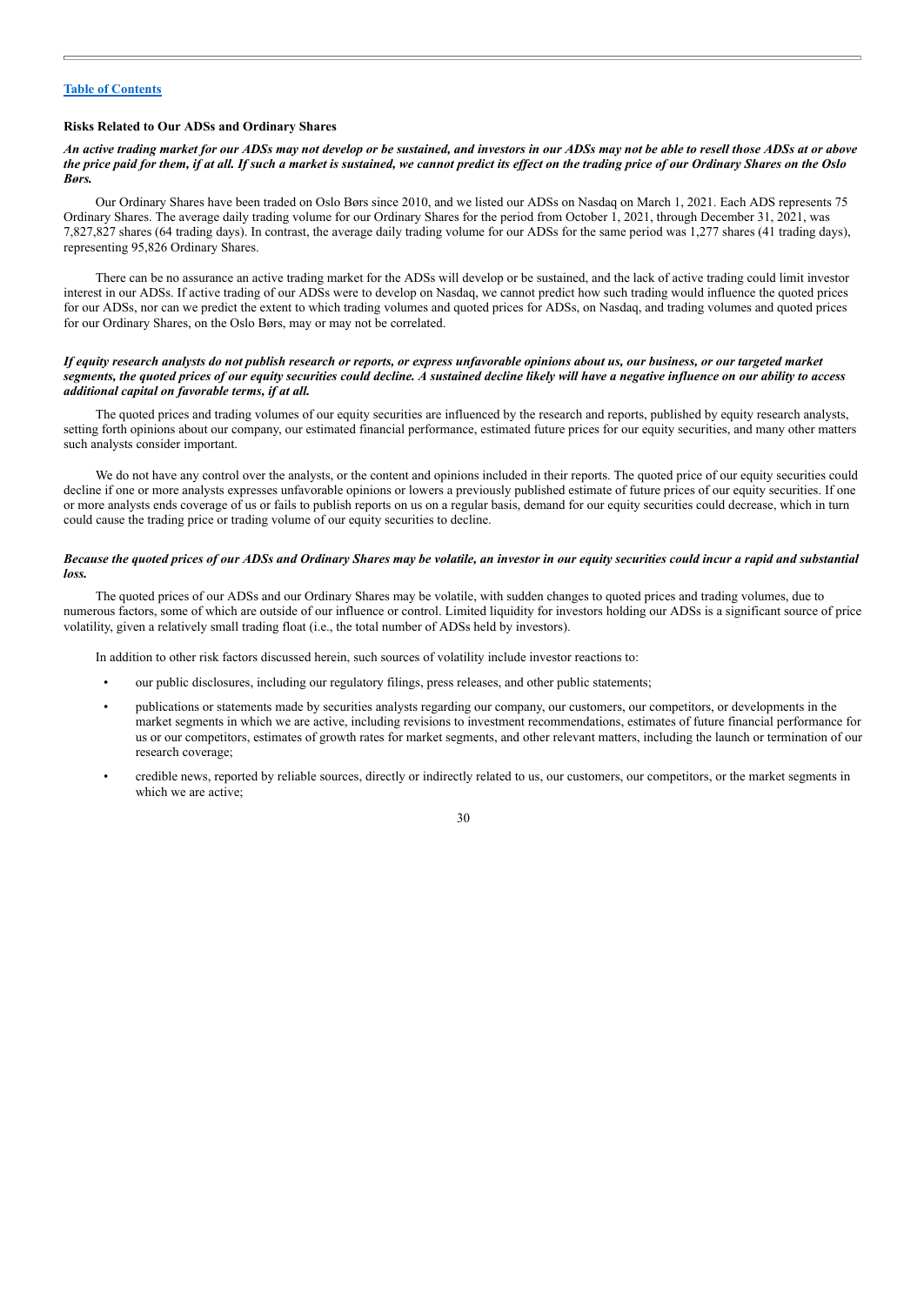# **Risks Related to Our ADSs and Ordinary Shares**

# *An active trading market for our ADSs may not develop or be sustained, and investors in our ADSs may not be able to resell those ADSs at or above the price paid for them, if at all. If such a market is sustained, we cannot predict its effect on the trading price of our Ordinary Shares on the Oslo Børs.*

Our Ordinary Shares have been traded on Oslo Børs since 2010, and we listed our ADSs on Nasdaq on March 1, 2021. Each ADS represents 75 Ordinary Shares. The average daily trading volume for our Ordinary Shares for the period from October 1, 2021, through December 31, 2021, was 7,827,827 shares (64 trading days). In contrast, the average daily trading volume for our ADSs for the same period was 1,277 shares (41 trading days), representing 95,826 Ordinary Shares.

There can be no assurance an active trading market for the ADSs will develop or be sustained, and the lack of active trading could limit investor interest in our ADSs. If active trading of our ADSs were to develop on Nasdaq, we cannot predict how such trading would influence the quoted prices for our ADSs, nor can we predict the extent to which trading volumes and quoted prices for ADSs, on Nasdaq, and trading volumes and quoted prices for our Ordinary Shares, on the Oslo Børs, may or may not be correlated.

### *If equity research analysts do not publish research or reports, or express unfavorable opinions about us, our business, or our targeted market segments, the quoted prices of our equity securities could decline. A sustained decline likely will have a negative influence on our ability to access additional capital on favorable terms, if at all.*

The quoted prices and trading volumes of our equity securities are influenced by the research and reports, published by equity research analysts, setting forth opinions about our company, our estimated financial performance, estimated future prices for our equity securities, and many other matters such analysts consider important.

We do not have any control over the analysts, or the content and opinions included in their reports. The quoted price of our equity securities could decline if one or more analysts expresses unfavorable opinions or lowers a previously published estimate of future prices of our equity securities. If one or more analysts ends coverage of us or fails to publish reports on us on a regular basis, demand for our equity securities could decrease, which in turn could cause the trading price or trading volume of our equity securities to decline.

### *Because the quoted prices of our ADSs and Ordinary Shares may be volatile, an investor in our equity securities could incur a rapid and substantial loss.*

The quoted prices of our ADSs and our Ordinary Shares may be volatile, with sudden changes to quoted prices and trading volumes, due to numerous factors, some of which are outside of our influence or control. Limited liquidity for investors holding our ADSs is a significant source of price volatility, given a relatively small trading float (i.e., the total number of ADSs held by investors).

In addition to other risk factors discussed herein, such sources of volatility include investor reactions to:

- our public disclosures, including our regulatory filings, press releases, and other public statements;
- publications or statements made by securities analysts regarding our company, our customers, our competitors, or developments in the market segments in which we are active, including revisions to investment recommendations, estimates of future financial performance for us or our competitors, estimates of growth rates for market segments, and other relevant matters, including the launch or termination of our research coverage;
- credible news, reported by reliable sources, directly or indirectly related to us, our customers, our competitors, or the market segments in which we are active;

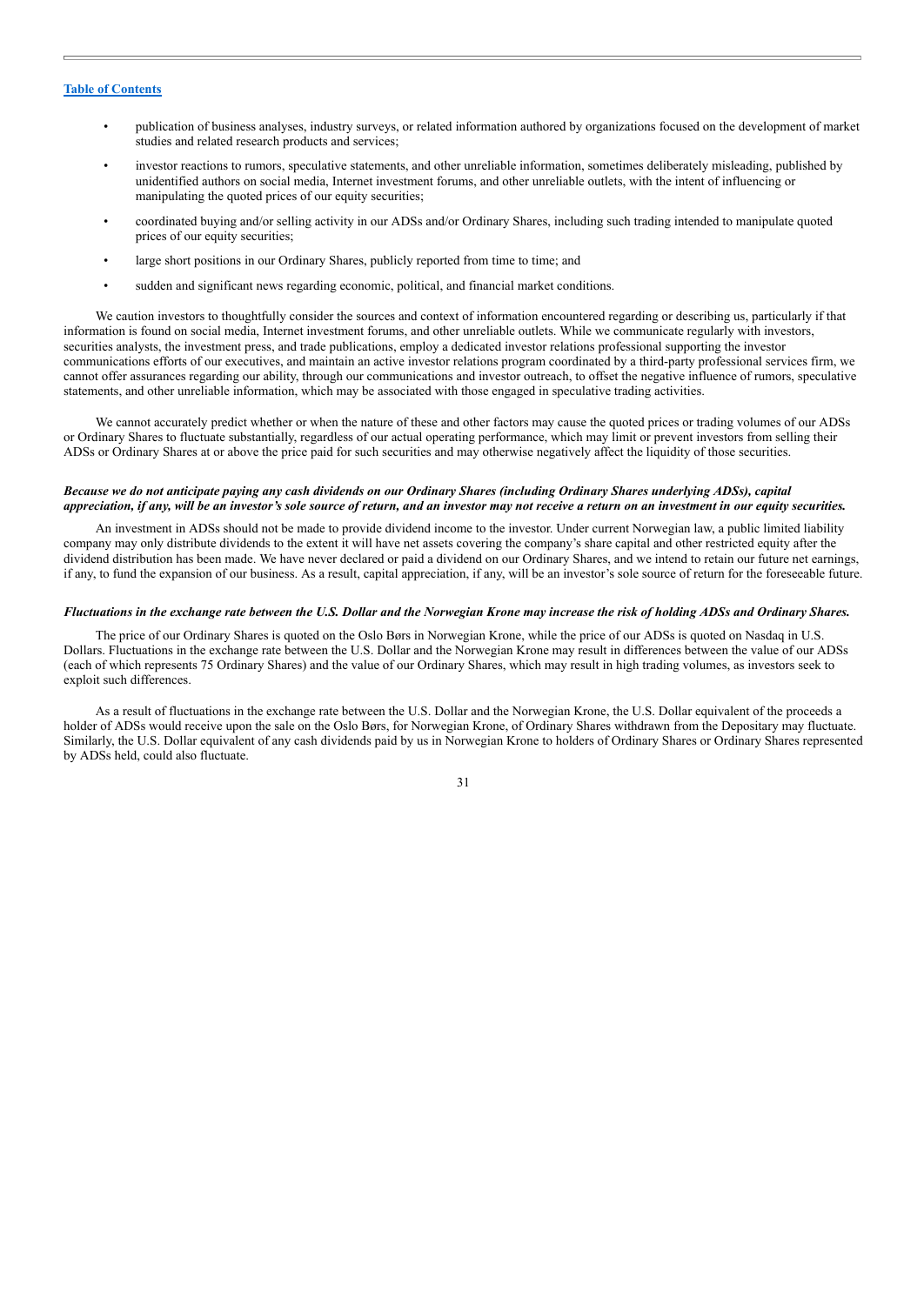- publication of business analyses, industry surveys, or related information authored by organizations focused on the development of market studies and related research products and services;
- investor reactions to rumors, speculative statements, and other unreliable information, sometimes deliberately misleading, published by unidentified authors on social media, Internet investment forums, and other unreliable outlets, with the intent of influencing or manipulating the quoted prices of our equity securities;
- coordinated buying and/or selling activity in our ADSs and/or Ordinary Shares, including such trading intended to manipulate quoted prices of our equity securities;
- large short positions in our Ordinary Shares, publicly reported from time to time; and
- sudden and significant news regarding economic, political, and financial market conditions.

We caution investors to thoughtfully consider the sources and context of information encountered regarding or describing us, particularly if that information is found on social media, Internet investment forums, and other unreliable outlets. While we communicate regularly with investors, securities analysts, the investment press, and trade publications, employ a dedicated investor relations professional supporting the investor communications efforts of our executives, and maintain an active investor relations program coordinated by a third-party professional services firm, we cannot offer assurances regarding our ability, through our communications and investor outreach, to offset the negative influence of rumors, speculative statements, and other unreliable information, which may be associated with those engaged in speculative trading activities.

We cannot accurately predict whether or when the nature of these and other factors may cause the quoted prices or trading volumes of our ADSs or Ordinary Shares to fluctuate substantially, regardless of our actual operating performance, which may limit or prevent investors from selling their ADSs or Ordinary Shares at or above the price paid for such securities and may otherwise negatively affect the liquidity of those securities.

### *Because we do not anticipate paying any cash dividends on our Ordinary Shares (including Ordinary Shares underlying ADSs), capital appreciation, if any, will be an investor's sole source of return, and an investor may not receive a return on an investment in our equity securities.*

An investment in ADSs should not be made to provide dividend income to the investor. Under current Norwegian law, a public limited liability company may only distribute dividends to the extent it will have net assets covering the company's share capital and other restricted equity after the dividend distribution has been made. We have never declared or paid a dividend on our Ordinary Shares, and we intend to retain our future net earnings, if any, to fund the expansion of our business. As a result, capital appreciation, if any, will be an investor's sole source of return for the foreseeable future.

#### *Fluctuations in the exchange rate between the U.S. Dollar and the Norwegian Krone may increase the risk of holding ADSs and Ordinary Shares.*

The price of our Ordinary Shares is quoted on the Oslo Børs in Norwegian Krone, while the price of our ADSs is quoted on Nasdaq in U.S. Dollars. Fluctuations in the exchange rate between the U.S. Dollar and the Norwegian Krone may result in differences between the value of our ADSs (each of which represents 75 Ordinary Shares) and the value of our Ordinary Shares, which may result in high trading volumes, as investors seek to exploit such differences.

As a result of fluctuations in the exchange rate between the U.S. Dollar and the Norwegian Krone, the U.S. Dollar equivalent of the proceeds a holder of ADSs would receive upon the sale on the Oslo Børs, for Norwegian Krone, of Ordinary Shares withdrawn from the Depositary may fluctuate. Similarly, the U.S. Dollar equivalent of any cash dividends paid by us in Norwegian Krone to holders of Ordinary Shares or Ordinary Shares represented by ADSs held, could also fluctuate.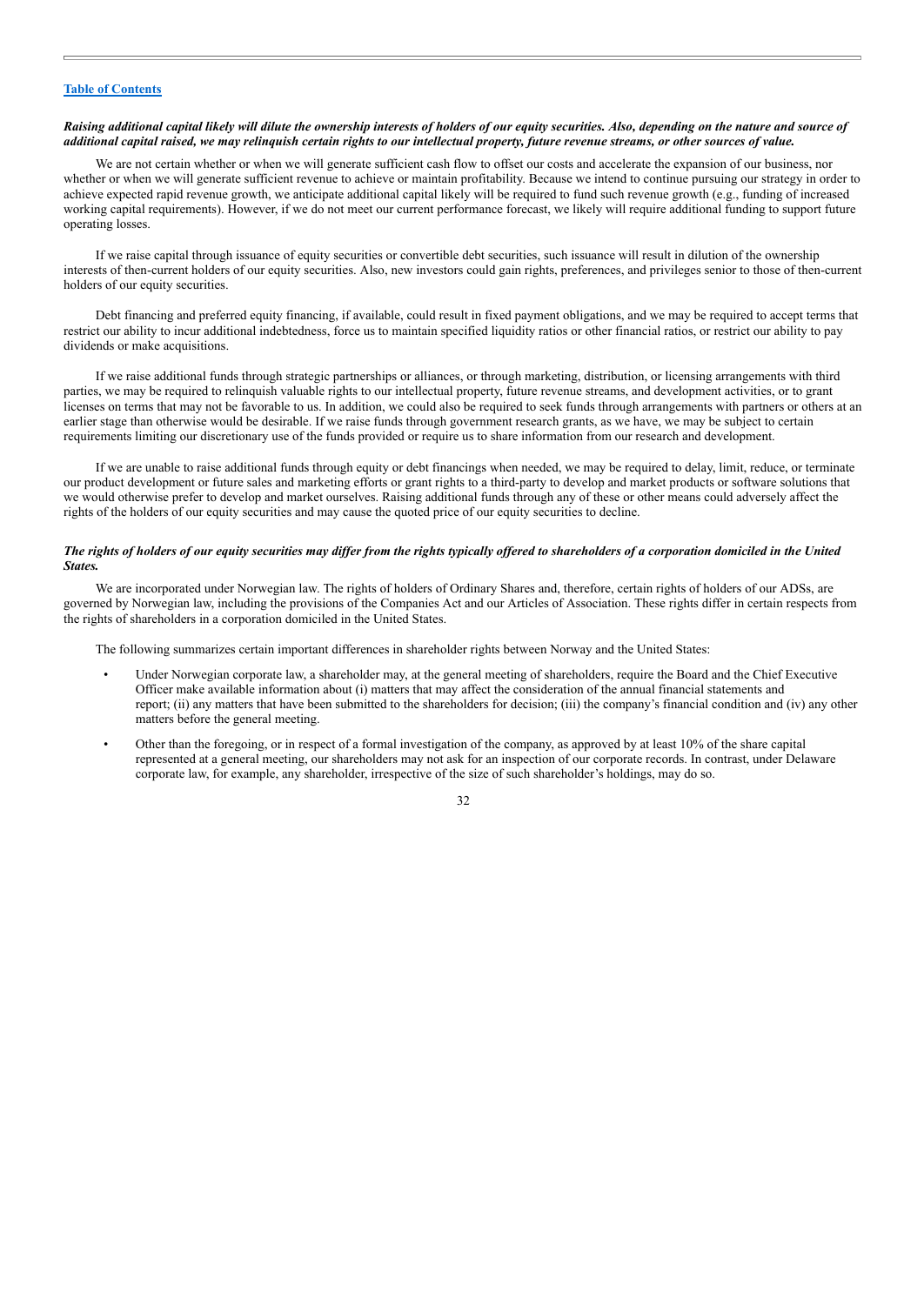# *Raising additional capital likely will dilute the ownership interests of holders of our equity securities. Also, depending on the nature and source of additional capital raised, we may relinquish certain rights to our intellectual property, future revenue streams, or other sources of value.*

We are not certain whether or when we will generate sufficient cash flow to offset our costs and accelerate the expansion of our business, nor whether or when we will generate sufficient revenue to achieve or maintain profitability. Because we intend to continue pursuing our strategy in order to achieve expected rapid revenue growth, we anticipate additional capital likely will be required to fund such revenue growth (e.g., funding of increased working capital requirements). However, if we do not meet our current performance forecast, we likely will require additional funding to support future operating losses.

If we raise capital through issuance of equity securities or convertible debt securities, such issuance will result in dilution of the ownership interests of then-current holders of our equity securities. Also, new investors could gain rights, preferences, and privileges senior to those of then-current holders of our equity securities.

Debt financing and preferred equity financing, if available, could result in fixed payment obligations, and we may be required to accept terms that restrict our ability to incur additional indebtedness, force us to maintain specified liquidity ratios or other financial ratios, or restrict our ability to pay dividends or make acquisitions.

If we raise additional funds through strategic partnerships or alliances, or through marketing, distribution, or licensing arrangements with third parties, we may be required to relinquish valuable rights to our intellectual property, future revenue streams, and development activities, or to grant licenses on terms that may not be favorable to us. In addition, we could also be required to seek funds through arrangements with partners or others at an earlier stage than otherwise would be desirable. If we raise funds through government research grants, as we have, we may be subject to certain requirements limiting our discretionary use of the funds provided or require us to share information from our research and development.

If we are unable to raise additional funds through equity or debt financings when needed, we may be required to delay, limit, reduce, or terminate our product development or future sales and marketing efforts or grant rights to a third-party to develop and market products or software solutions that we would otherwise prefer to develop and market ourselves. Raising additional funds through any of these or other means could adversely affect the rights of the holders of our equity securities and may cause the quoted price of our equity securities to decline.

# *The rights of holders of our equity securities may differ from the rights typically offered to shareholders of a corporation domiciled in the United States.*

We are incorporated under Norwegian law. The rights of holders of Ordinary Shares and, therefore, certain rights of holders of our ADSs, are governed by Norwegian law, including the provisions of the Companies Act and our Articles of Association. These rights differ in certain respects from the rights of shareholders in a corporation domiciled in the United States.

The following summarizes certain important differences in shareholder rights between Norway and the United States:

- Under Norwegian corporate law, a shareholder may, at the general meeting of shareholders, require the Board and the Chief Executive Officer make available information about (i) matters that may affect the consideration of the annual financial statements and report; (ii) any matters that have been submitted to the shareholders for decision; (iii) the company's financial condition and (iv) any other matters before the general meeting.
- Other than the foregoing, or in respect of a formal investigation of the company, as approved by at least 10% of the share capital represented at a general meeting, our shareholders may not ask for an inspection of our corporate records. In contrast, under Delaware corporate law, for example, any shareholder, irrespective of the size of such shareholder's holdings, may do so.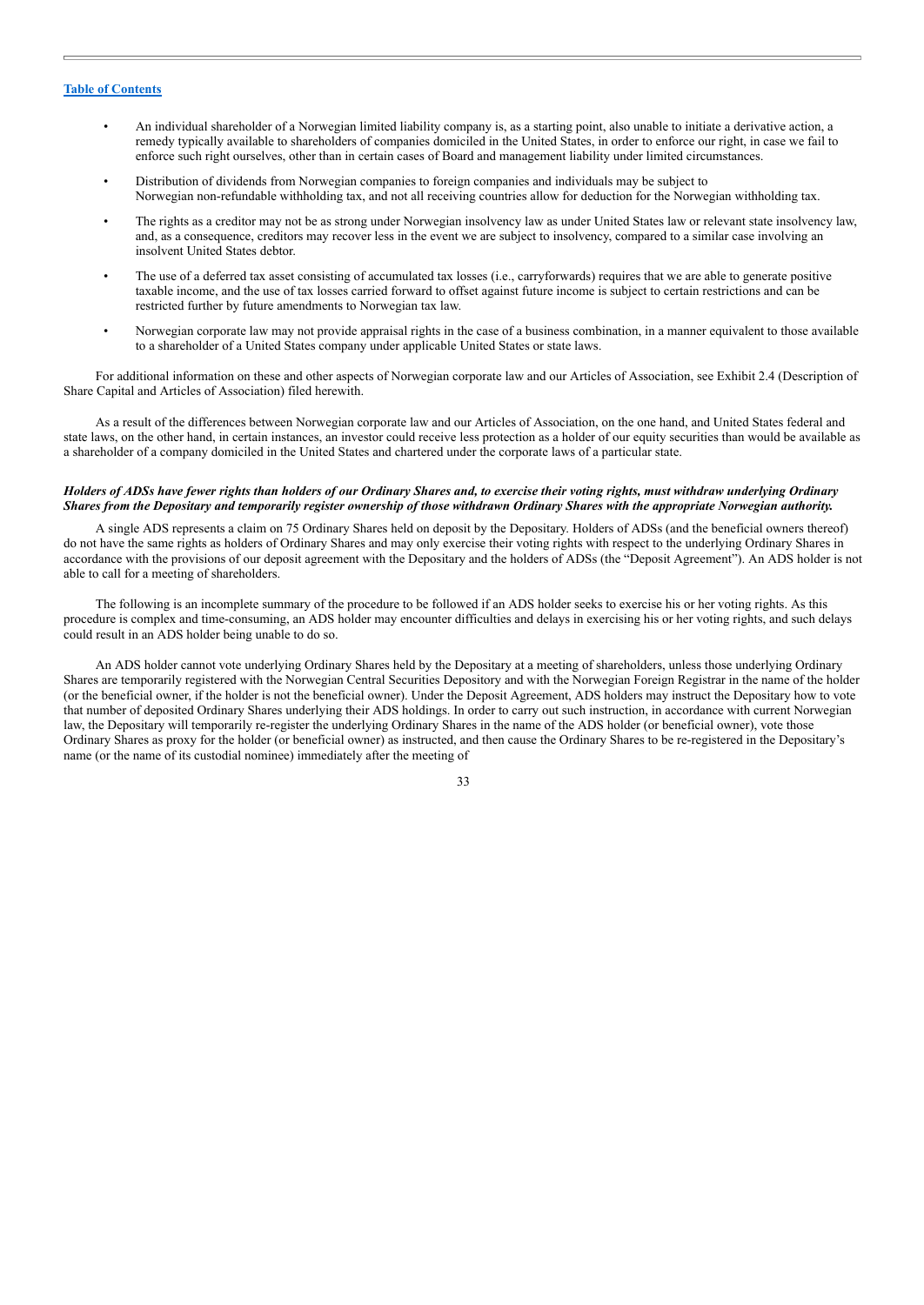- An individual shareholder of a Norwegian limited liability company is, as a starting point, also unable to initiate a derivative action, a remedy typically available to shareholders of companies domiciled in the United States, in order to enforce our right, in case we fail to enforce such right ourselves, other than in certain cases of Board and management liability under limited circumstances.
- Distribution of dividends from Norwegian companies to foreign companies and individuals may be subject to Norwegian non-refundable withholding tax, and not all receiving countries allow for deduction for the Norwegian withholding tax.
- The rights as a creditor may not be as strong under Norwegian insolvency law as under United States law or relevant state insolvency law, and, as a consequence, creditors may recover less in the event we are subject to insolvency, compared to a similar case involving an insolvent United States debtor.
- The use of a deferred tax asset consisting of accumulated tax losses (i.e., carryforwards) requires that we are able to generate positive taxable income, and the use of tax losses carried forward to offset against future income is subject to certain restrictions and can be restricted further by future amendments to Norwegian tax law.
- Norwegian corporate law may not provide appraisal rights in the case of a business combination, in a manner equivalent to those available to a shareholder of a United States company under applicable United States or state laws.

For additional information on these and other aspects of Norwegian corporate law and our Articles of Association, see Exhibit 2.4 (Description of Share Capital and Articles of Association) filed herewith.

As a result of the differences between Norwegian corporate law and our Articles of Association, on the one hand, and United States federal and state laws, on the other hand, in certain instances, an investor could receive less protection as a holder of our equity securities than would be available as a shareholder of a company domiciled in the United States and chartered under the corporate laws of a particular state.

### *Holders of ADSs have fewer rights than holders of our Ordinary Shares and, to exercise their voting rights, must withdraw underlying Ordinary Shares from the Depositary and temporarily register ownership of those withdrawn Ordinary Shares with the appropriate Norwegian authority.*

A single ADS represents a claim on 75 Ordinary Shares held on deposit by the Depositary. Holders of ADSs (and the beneficial owners thereof) do not have the same rights as holders of Ordinary Shares and may only exercise their voting rights with respect to the underlying Ordinary Shares in accordance with the provisions of our deposit agreement with the Depositary and the holders of ADSs (the "Deposit Agreement"). An ADS holder is not able to call for a meeting of shareholders.

The following is an incomplete summary of the procedure to be followed if an ADS holder seeks to exercise his or her voting rights. As this procedure is complex and time-consuming, an ADS holder may encounter difficulties and delays in exercising his or her voting rights, and such delays could result in an ADS holder being unable to do so.

An ADS holder cannot vote underlying Ordinary Shares held by the Depositary at a meeting of shareholders, unless those underlying Ordinary Shares are temporarily registered with the Norwegian Central Securities Depository and with the Norwegian Foreign Registrar in the name of the holder (or the beneficial owner, if the holder is not the beneficial owner). Under the Deposit Agreement, ADS holders may instruct the Depositary how to vote that number of deposited Ordinary Shares underlying their ADS holdings. In order to carry out such instruction, in accordance with current Norwegian law, the Depositary will temporarily re-register the underlying Ordinary Shares in the name of the ADS holder (or beneficial owner), vote those Ordinary Shares as proxy for the holder (or beneficial owner) as instructed, and then cause the Ordinary Shares to be re-registered in the Depositary's name (or the name of its custodial nominee) immediately after the meeting of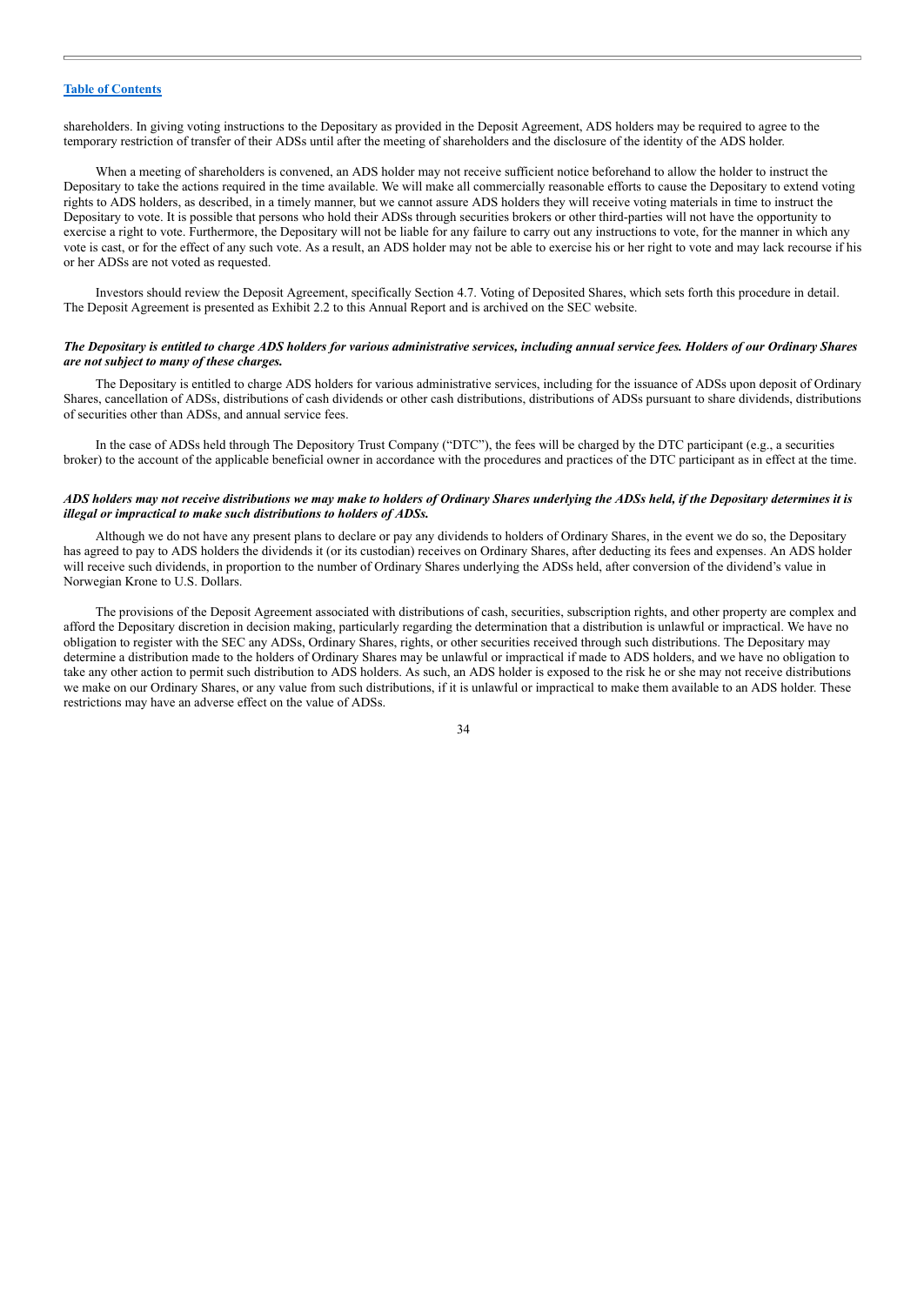shareholders. In giving voting instructions to the Depositary as provided in the Deposit Agreement, ADS holders may be required to agree to the temporary restriction of transfer of their ADSs until after the meeting of shareholders and the disclosure of the identity of the ADS holder.

When a meeting of shareholders is convened, an ADS holder may not receive sufficient notice beforehand to allow the holder to instruct the Depositary to take the actions required in the time available. We will make all commercially reasonable efforts to cause the Depositary to extend voting rights to ADS holders, as described, in a timely manner, but we cannot assure ADS holders they will receive voting materials in time to instruct the Depositary to vote. It is possible that persons who hold their ADSs through securities brokers or other third-parties will not have the opportunity to exercise a right to vote. Furthermore, the Depositary will not be liable for any failure to carry out any instructions to vote, for the manner in which any vote is cast, or for the effect of any such vote. As a result, an ADS holder may not be able to exercise his or her right to vote and may lack recourse if his or her ADSs are not voted as requested.

Investors should review the Deposit Agreement, specifically Section 4.7. Voting of Deposited Shares, which sets forth this procedure in detail. The Deposit Agreement is presented as Exhibit 2.2 to this Annual Report and is archived on the SEC website.

#### *The Depositary is entitled to charge ADS holders for various administrative services, including annual service fees. Holders of our Ordinary Shares are not subject to many of these charges.*

The Depositary is entitled to charge ADS holders for various administrative services, including for the issuance of ADSs upon deposit of Ordinary Shares, cancellation of ADSs, distributions of cash dividends or other cash distributions, distributions of ADSs pursuant to share dividends, distributions of securities other than ADSs, and annual service fees.

In the case of ADSs held through The Depository Trust Company ("DTC"), the fees will be charged by the DTC participant (e.g., a securities broker) to the account of the applicable beneficial owner in accordance with the procedures and practices of the DTC participant as in effect at the time.

# *ADS holders may not receive distributions we may make to holders of Ordinary Shares underlying the ADSs held, if the Depositary determines it is illegal or impractical to make such distributions to holders of ADSs.*

Although we do not have any present plans to declare or pay any dividends to holders of Ordinary Shares, in the event we do so, the Depositary has agreed to pay to ADS holders the dividends it (or its custodian) receives on Ordinary Shares, after deducting its fees and expenses. An ADS holder will receive such dividends, in proportion to the number of Ordinary Shares underlying the ADSs held, after conversion of the dividend's value in Norwegian Krone to U.S. Dollars.

The provisions of the Deposit Agreement associated with distributions of cash, securities, subscription rights, and other property are complex and afford the Depositary discretion in decision making, particularly regarding the determination that a distribution is unlawful or impractical. We have no obligation to register with the SEC any ADSs, Ordinary Shares, rights, or other securities received through such distributions. The Depositary may determine a distribution made to the holders of Ordinary Shares may be unlawful or impractical if made to ADS holders, and we have no obligation to take any other action to permit such distribution to ADS holders. As such, an ADS holder is exposed to the risk he or she may not receive distributions we make on our Ordinary Shares, or any value from such distributions, if it is unlawful or impractical to make them available to an ADS holder. These restrictions may have an adverse effect on the value of ADSs.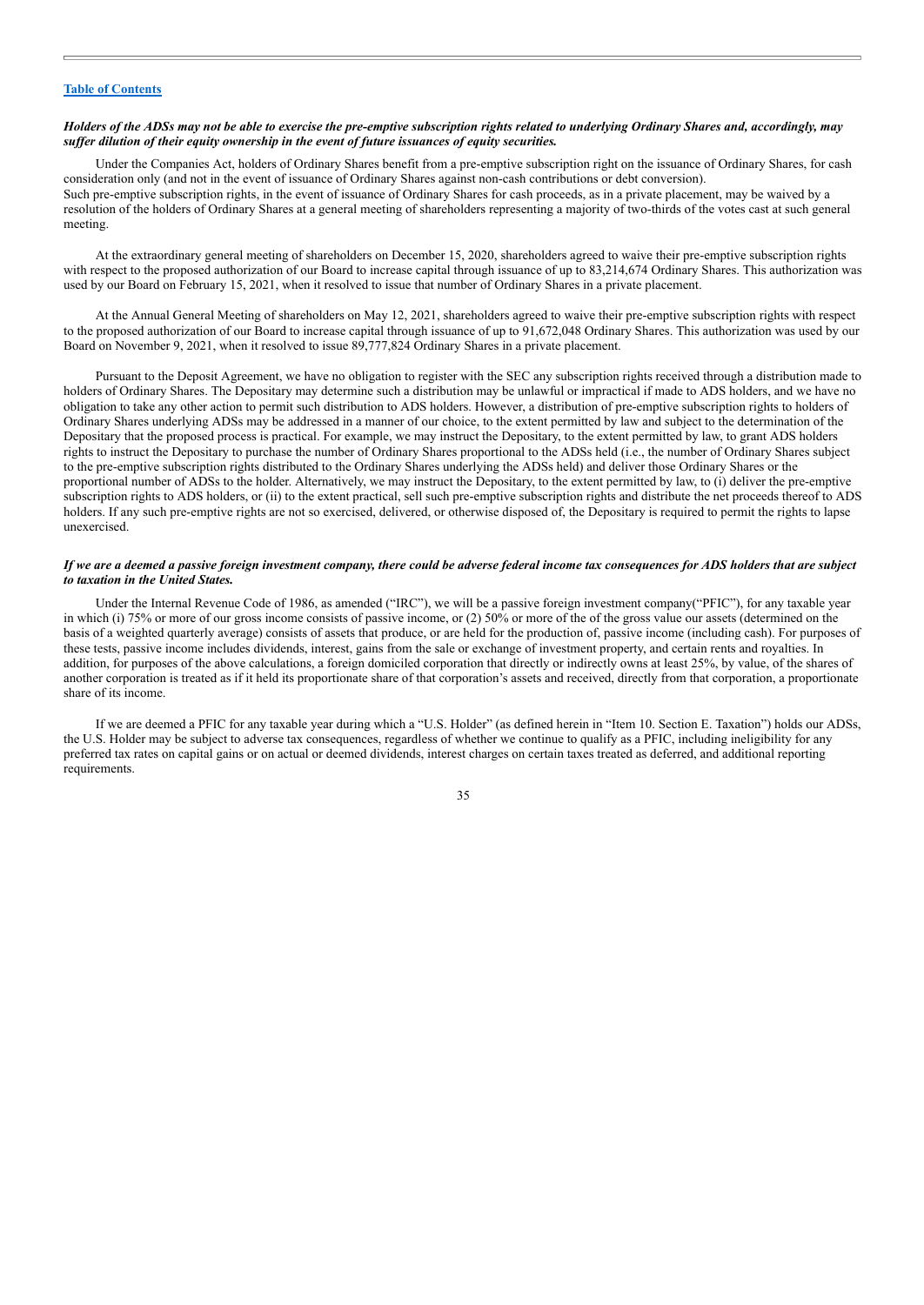# *Holders of the ADSs may not be able to exercise the pre-emptive subscription rights related to underlying Ordinary Shares and, accordingly, may suffer dilution of their equity ownership in the event of future issuances of equity securities.*

Under the Companies Act, holders of Ordinary Shares benefit from a pre-emptive subscription right on the issuance of Ordinary Shares, for cash consideration only (and not in the event of issuance of Ordinary Shares against non-cash contributions or debt conversion). Such pre-emptive subscription rights, in the event of issuance of Ordinary Shares for cash proceeds, as in a private placement, may be waived by a resolution of the holders of Ordinary Shares at a general meeting of shareholders representing a majority of two-thirds of the votes cast at such general meeting.

At the extraordinary general meeting of shareholders on December 15, 2020, shareholders agreed to waive their pre-emptive subscription rights with respect to the proposed authorization of our Board to increase capital through issuance of up to 83,214,674 Ordinary Shares. This authorization was used by our Board on February 15, 2021, when it resolved to issue that number of Ordinary Shares in a private placement.

At the Annual General Meeting of shareholders on May 12, 2021, shareholders agreed to waive their pre-emptive subscription rights with respect to the proposed authorization of our Board to increase capital through issuance of up to 91,672,048 Ordinary Shares. This authorization was used by our Board on November 9, 2021, when it resolved to issue 89,777,824 Ordinary Shares in a private placement.

Pursuant to the Deposit Agreement, we have no obligation to register with the SEC any subscription rights received through a distribution made to holders of Ordinary Shares. The Depositary may determine such a distribution may be unlawful or impractical if made to ADS holders, and we have no obligation to take any other action to permit such distribution to ADS holders. However, a distribution of pre-emptive subscription rights to holders of Ordinary Shares underlying ADSs may be addressed in a manner of our choice, to the extent permitted by law and subject to the determination of the Depositary that the proposed process is practical. For example, we may instruct the Depositary, to the extent permitted by law, to grant ADS holders rights to instruct the Depositary to purchase the number of Ordinary Shares proportional to the ADSs held (i.e., the number of Ordinary Shares subject to the pre-emptive subscription rights distributed to the Ordinary Shares underlying the ADSs held) and deliver those Ordinary Shares or the proportional number of ADSs to the holder. Alternatively, we may instruct the Depositary, to the extent permitted by law, to (i) deliver the pre-emptive subscription rights to ADS holders, or (ii) to the extent practical, sell such pre-emptive subscription rights and distribute the net proceeds thereof to ADS holders. If any such pre-emptive rights are not so exercised, delivered, or otherwise disposed of, the Depositary is required to permit the rights to lapse unexercised.

### *If we are a deemed a passive foreign investment company, there could be adverse federal income tax consequences for ADS holders that are subject to taxation in the United States.*

Under the Internal Revenue Code of 1986, as amended ("IRC"), we will be a passive foreign investment company("PFIC"), for any taxable year in which (i) 75% or more of our gross income consists of passive income, or (2) 50% or more of the of the gross value our assets (determined on the basis of a weighted quarterly average) consists of assets that produce, or are held for the production of, passive income (including cash). For purposes of these tests, passive income includes dividends, interest, gains from the sale or exchange of investment property, and certain rents and royalties. In addition, for purposes of the above calculations, a foreign domiciled corporation that directly or indirectly owns at least 25%, by value, of the shares of another corporation is treated as if it held its proportionate share of that corporation's assets and received, directly from that corporation, a proportionate share of its income.

If we are deemed a PFIC for any taxable year during which a "U.S. Holder" (as defined herein in "Item 10. Section E. Taxation") holds our ADSs, the U.S. Holder may be subject to adverse tax consequences, regardless of whether we continue to qualify as a PFIC, including ineligibility for any preferred tax rates on capital gains or on actual or deemed dividends, interest charges on certain taxes treated as deferred, and additional reporting requirements.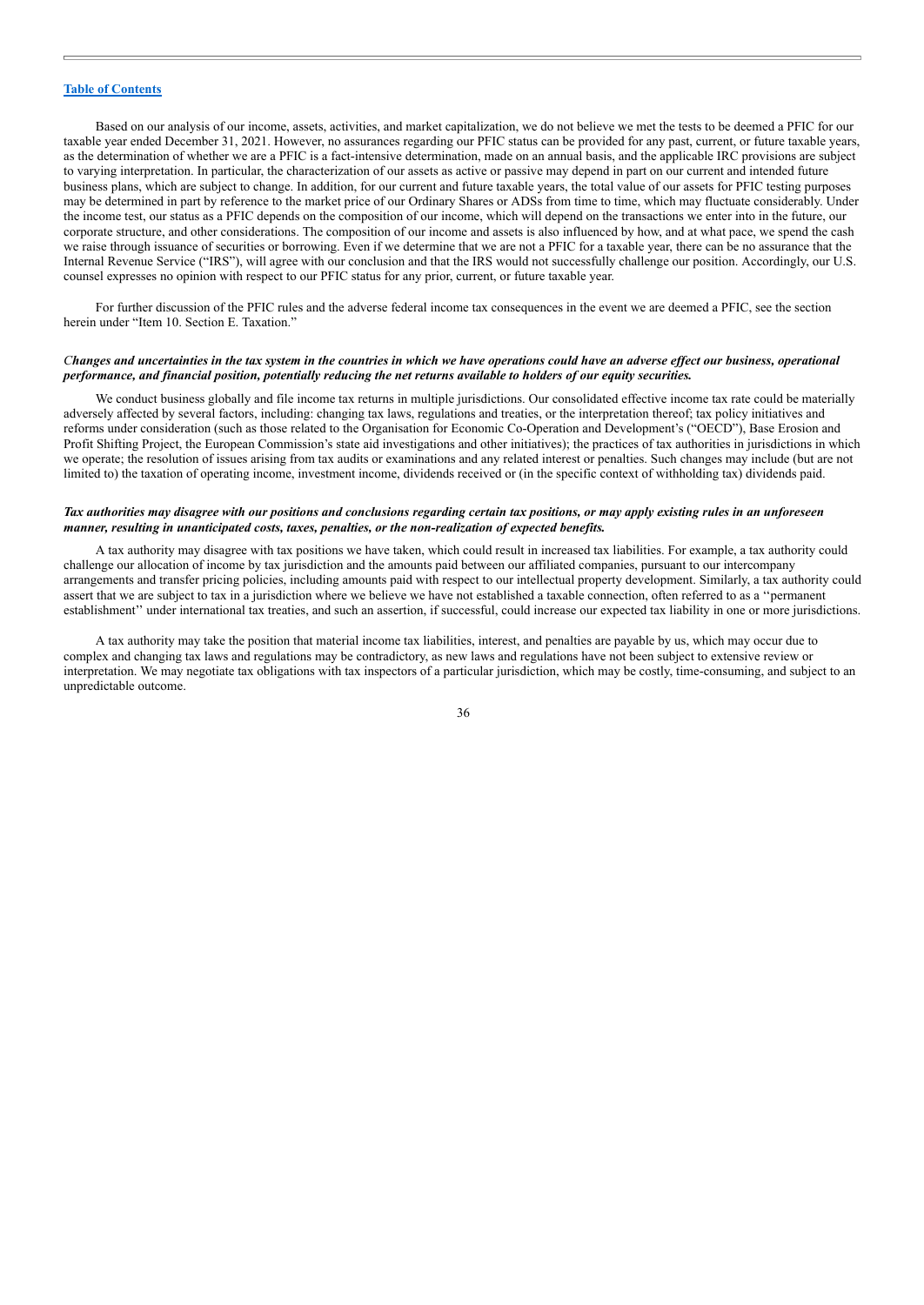Based on our analysis of our income, assets, activities, and market capitalization, we do not believe we met the tests to be deemed a PFIC for our taxable year ended December 31, 2021. However, no assurances regarding our PFIC status can be provided for any past, current, or future taxable years, as the determination of whether we are a PFIC is a fact-intensive determination, made on an annual basis, and the applicable IRC provisions are subject to varying interpretation. In particular, the characterization of our assets as active or passive may depend in part on our current and intended future business plans, which are subject to change. In addition, for our current and future taxable years, the total value of our assets for PFIC testing purposes may be determined in part by reference to the market price of our Ordinary Shares or ADSs from time to time, which may fluctuate considerably. Under the income test, our status as a PFIC depends on the composition of our income, which will depend on the transactions we enter into in the future, our corporate structure, and other considerations. The composition of our income and assets is also influenced by how, and at what pace, we spend the cash we raise through issuance of securities or borrowing. Even if we determine that we are not a PFIC for a taxable year, there can be no assurance that the Internal Revenue Service ("IRS"), will agree with our conclusion and that the IRS would not successfully challenge our position. Accordingly, our U.S. counsel expresses no opinion with respect to our PFIC status for any prior, current, or future taxable year.

For further discussion of the PFIC rules and the adverse federal income tax consequences in the event we are deemed a PFIC, see the section herein under "Item 10. Section E. Taxation."

### *Changes and uncertainties in the tax system in the countries in which we have operations could have an adverse effect our business, operational performance, and financial position, potentially reducing the net returns available to holders of our equity securities.*

We conduct business globally and file income tax returns in multiple jurisdictions. Our consolidated effective income tax rate could be materially adversely affected by several factors, including: changing tax laws, regulations and treaties, or the interpretation thereof; tax policy initiatives and reforms under consideration (such as those related to the Organisation for Economic Co-Operation and Development's ("OECD"), Base Erosion and Profit Shifting Project, the European Commission's state aid investigations and other initiatives); the practices of tax authorities in jurisdictions in which we operate; the resolution of issues arising from tax audits or examinations and any related interest or penalties. Such changes may include (but are not limited to) the taxation of operating income, investment income, dividends received or (in the specific context of withholding tax) dividends paid.

#### *Tax authorities may disagree with our positions and conclusions regarding certain tax positions, or may apply existing rules in an unforeseen manner, resulting in unanticipated costs, taxes, penalties, or the non-realization of expected benefits.*

A tax authority may disagree with tax positions we have taken, which could result in increased tax liabilities. For example, a tax authority could challenge our allocation of income by tax jurisdiction and the amounts paid between our affiliated companies, pursuant to our intercompany arrangements and transfer pricing policies, including amounts paid with respect to our intellectual property development. Similarly, a tax authority could assert that we are subject to tax in a jurisdiction where we believe we have not established a taxable connection, often referred to as a ''permanent establishment'' under international tax treaties, and such an assertion, if successful, could increase our expected tax liability in one or more jurisdictions.

A tax authority may take the position that material income tax liabilities, interest, and penalties are payable by us, which may occur due to complex and changing tax laws and regulations may be contradictory, as new laws and regulations have not been subject to extensive review or interpretation. We may negotiate tax obligations with tax inspectors of a particular jurisdiction, which may be costly, time-consuming, and subject to an unpredictable outcome.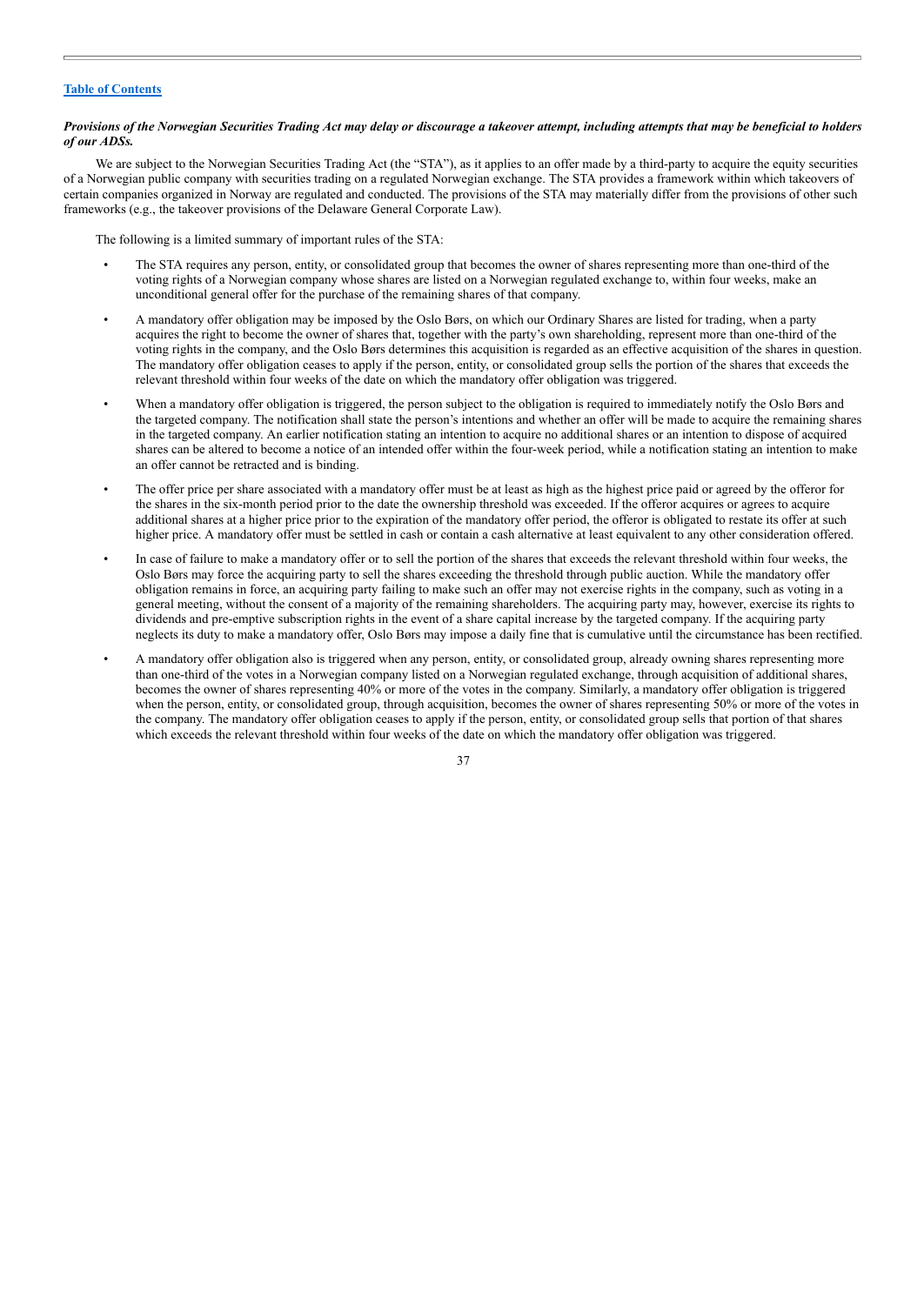### *Provisions of the Norwegian Securities Trading Act may delay or discourage a takeover attempt, including attempts that may be beneficial to holders of our ADSs.*

We are subject to the Norwegian Securities Trading Act (the "STA"), as it applies to an offer made by a third-party to acquire the equity securities of a Norwegian public company with securities trading on a regulated Norwegian exchange. The STA provides a framework within which takeovers of certain companies organized in Norway are regulated and conducted. The provisions of the STA may materially differ from the provisions of other such frameworks (e.g., the takeover provisions of the Delaware General Corporate Law).

The following is a limited summary of important rules of the STA:

- The STA requires any person, entity, or consolidated group that becomes the owner of shares representing more than one-third of the voting rights of a Norwegian company whose shares are listed on a Norwegian regulated exchange to, within four weeks, make an unconditional general offer for the purchase of the remaining shares of that company.
- A mandatory offer obligation may be imposed by the Oslo Børs, on which our Ordinary Shares are listed for trading, when a party acquires the right to become the owner of shares that, together with the party's own shareholding, represent more than one-third of the voting rights in the company, and the Oslo Børs determines this acquisition is regarded as an effective acquisition of the shares in question. The mandatory offer obligation ceases to apply if the person, entity, or consolidated group sells the portion of the shares that exceeds the relevant threshold within four weeks of the date on which the mandatory offer obligation was triggered.
- When a mandatory offer obligation is triggered, the person subject to the obligation is required to immediately notify the Oslo Børs and the targeted company. The notification shall state the person's intentions and whether an offer will be made to acquire the remaining shares in the targeted company. An earlier notification stating an intention to acquire no additional shares or an intention to dispose of acquired shares can be altered to become a notice of an intended offer within the four-week period, while a notification stating an intention to make an offer cannot be retracted and is binding.
- The offer price per share associated with a mandatory offer must be at least as high as the highest price paid or agreed by the offeror for the shares in the six-month period prior to the date the ownership threshold was exceeded. If the offeror acquires or agrees to acquire additional shares at a higher price prior to the expiration of the mandatory offer period, the offeror is obligated to restate its offer at such higher price. A mandatory offer must be settled in cash or contain a cash alternative at least equivalent to any other consideration offered.
- In case of failure to make a mandatory offer or to sell the portion of the shares that exceeds the relevant threshold within four weeks, the Oslo Børs may force the acquiring party to sell the shares exceeding the threshold through public auction. While the mandatory offer obligation remains in force, an acquiring party failing to make such an offer may not exercise rights in the company, such as voting in a general meeting, without the consent of a majority of the remaining shareholders. The acquiring party may, however, exercise its rights to dividends and pre-emptive subscription rights in the event of a share capital increase by the targeted company. If the acquiring party neglects its duty to make a mandatory offer, Oslo Børs may impose a daily fine that is cumulative until the circumstance has been rectified.
- A mandatory offer obligation also is triggered when any person, entity, or consolidated group, already owning shares representing more than one-third of the votes in a Norwegian company listed on a Norwegian regulated exchange, through acquisition of additional shares, becomes the owner of shares representing 40% or more of the votes in the company. Similarly, a mandatory offer obligation is triggered when the person, entity, or consolidated group, through acquisition, becomes the owner of shares representing 50% or more of the votes in the company. The mandatory offer obligation ceases to apply if the person, entity, or consolidated group sells that portion of that shares which exceeds the relevant threshold within four weeks of the date on which the mandatory offer obligation was triggered.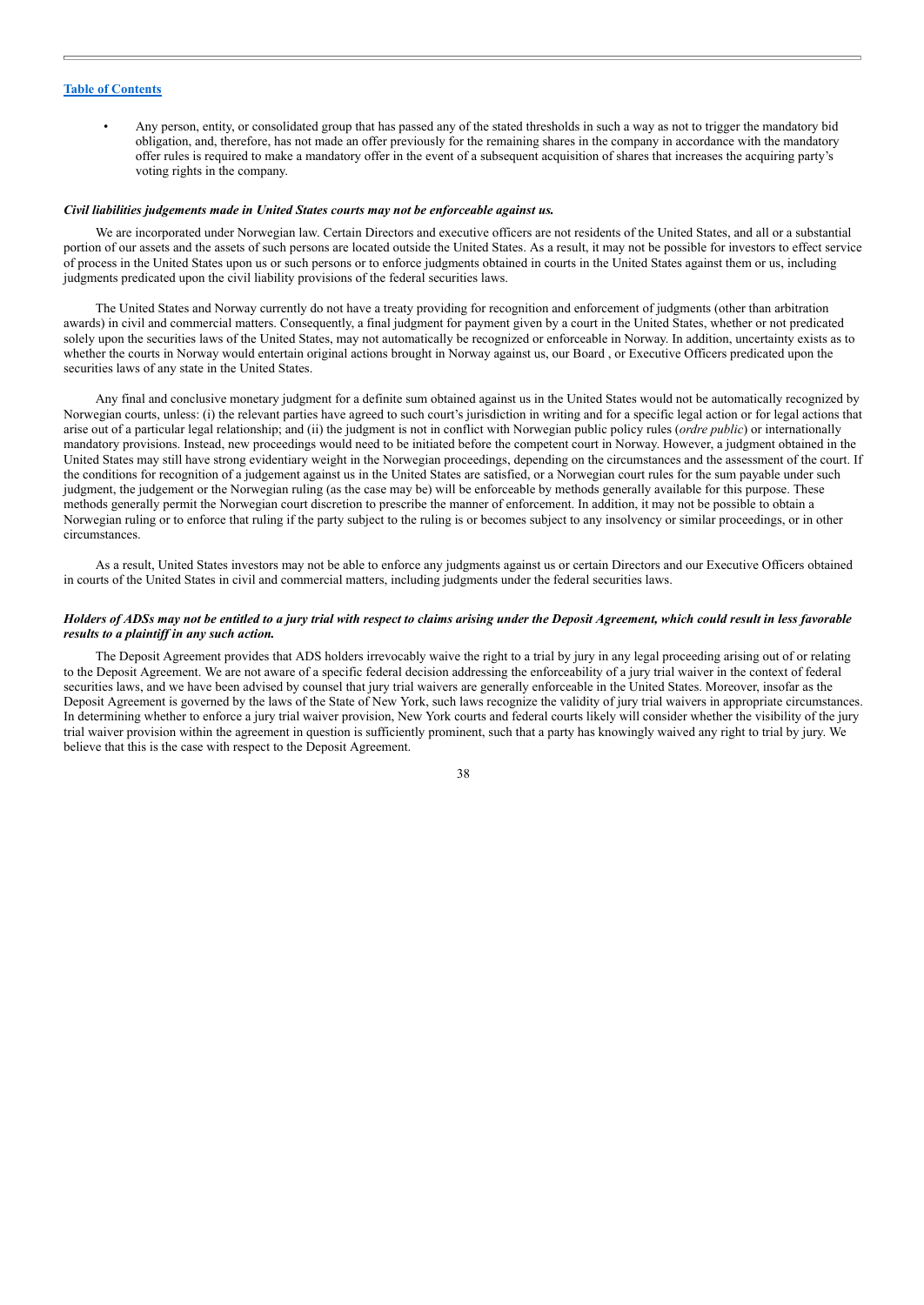• Any person, entity, or consolidated group that has passed any of the stated thresholds in such a way as not to trigger the mandatory bid obligation, and, therefore, has not made an offer previously for the remaining shares in the company in accordance with the mandatory offer rules is required to make a mandatory offer in the event of a subsequent acquisition of shares that increases the acquiring party's voting rights in the company.

#### *Civil liabilities judgements made in United States courts may not be enforceable against us.*

We are incorporated under Norwegian law. Certain Directors and executive officers are not residents of the United States, and all or a substantial portion of our assets and the assets of such persons are located outside the United States. As a result, it may not be possible for investors to effect service of process in the United States upon us or such persons or to enforce judgments obtained in courts in the United States against them or us, including judgments predicated upon the civil liability provisions of the federal securities laws.

The United States and Norway currently do not have a treaty providing for recognition and enforcement of judgments (other than arbitration awards) in civil and commercial matters. Consequently, a final judgment for payment given by a court in the United States, whether or not predicated solely upon the securities laws of the United States, may not automatically be recognized or enforceable in Norway. In addition, uncertainty exists as to whether the courts in Norway would entertain original actions brought in Norway against us, our Board , or Executive Officers predicated upon the securities laws of any state in the United States.

Any final and conclusive monetary judgment for a definite sum obtained against us in the United States would not be automatically recognized by Norwegian courts, unless: (i) the relevant parties have agreed to such court's jurisdiction in writing and for a specific legal action or for legal actions that arise out of a particular legal relationship; and (ii) the judgment is not in conflict with Norwegian public policy rules (*ordre public*) or internationally mandatory provisions. Instead, new proceedings would need to be initiated before the competent court in Norway. However, a judgment obtained in the United States may still have strong evidentiary weight in the Norwegian proceedings, depending on the circumstances and the assessment of the court. If the conditions for recognition of a judgement against us in the United States are satisfied, or a Norwegian court rules for the sum payable under such judgment, the judgement or the Norwegian ruling (as the case may be) will be enforceable by methods generally available for this purpose. These methods generally permit the Norwegian court discretion to prescribe the manner of enforcement. In addition, it may not be possible to obtain a Norwegian ruling or to enforce that ruling if the party subject to the ruling is or becomes subject to any insolvency or similar proceedings, or in other circumstances.

As a result, United States investors may not be able to enforce any judgments against us or certain Directors and our Executive Officers obtained in courts of the United States in civil and commercial matters, including judgments under the federal securities laws.

### *Holders of ADSs may not be entitled to a jury trial with respect to claims arising under the Deposit Agreement, which could result in less favorable results to a plaintiff in any such action.*

The Deposit Agreement provides that ADS holders irrevocably waive the right to a trial by jury in any legal proceeding arising out of or relating to the Deposit Agreement. We are not aware of a specific federal decision addressing the enforceability of a jury trial waiver in the context of federal securities laws, and we have been advised by counsel that jury trial waivers are generally enforceable in the United States. Moreover, insofar as the Deposit Agreement is governed by the laws of the State of New York, such laws recognize the validity of jury trial waivers in appropriate circumstances. In determining whether to enforce a jury trial waiver provision, New York courts and federal courts likely will consider whether the visibility of the jury trial waiver provision within the agreement in question is sufficiently prominent, such that a party has knowingly waived any right to trial by jury. We believe that this is the case with respect to the Deposit Agreement.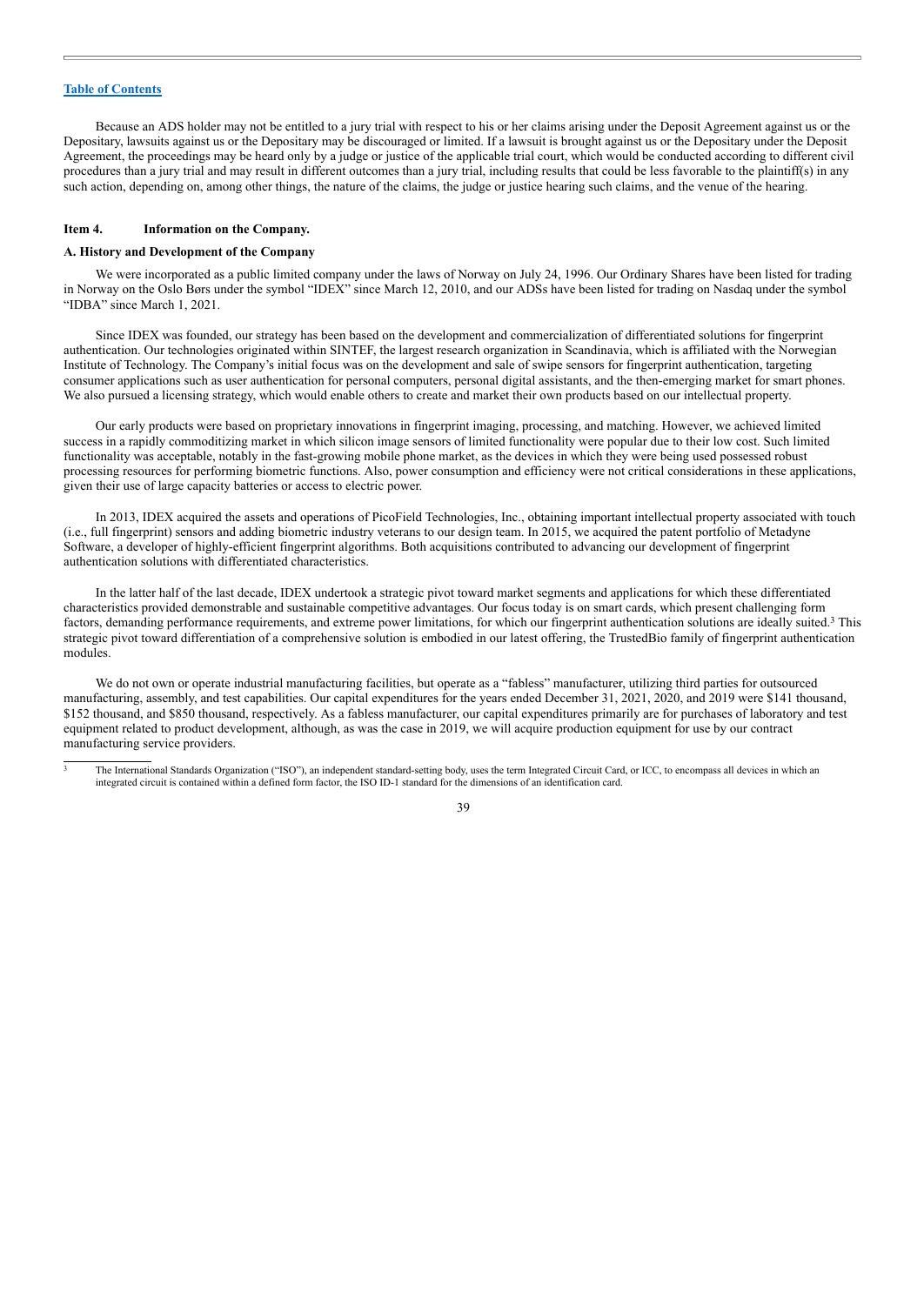Because an ADS holder may not be entitled to a jury trial with respect to his or her claims arising under the Deposit Agreement against us or the Depositary, lawsuits against us or the Depositary may be discouraged or limited. If a lawsuit is brought against us or the Depositary under the Deposit Agreement, the proceedings may be heard only by a judge or justice of the applicable trial court, which would be conducted according to different civil procedures than a jury trial and may result in different outcomes than a jury trial, including results that could be less favorable to the plaintiff(s) in any such action, depending on, among other things, the nature of the claims, the judge or justice hearing such claims, and the venue of the hearing.

#### **Item 4. Information on the Company.**

#### **A. History and Development of the Company**

We were incorporated as a public limited company under the laws of Norway on July 24, 1996. Our Ordinary Shares have been listed for trading in Norway on the Oslo Børs under the symbol "IDEX" since March 12, 2010, and our ADSs have been listed for trading on Nasdaq under the symbol "IDBA" since March 1, 2021.

Since IDEX was founded, our strategy has been based on the development and commercialization of differentiated solutions for fingerprint authentication. Our technologies originated within SINTEF, the largest research organization in Scandinavia, which is affiliated with the Norwegian Institute of Technology. The Company's initial focus was on the development and sale of swipe sensors for fingerprint authentication, targeting consumer applications such as user authentication for personal computers, personal digital assistants, and the then-emerging market for smart phones. We also pursued a licensing strategy, which would enable others to create and market their own products based on our intellectual property.

Our early products were based on proprietary innovations in fingerprint imaging, processing, and matching. However, we achieved limited success in a rapidly commoditizing market in which silicon image sensors of limited functionality were popular due to their low cost. Such limited functionality was acceptable, notably in the fast-growing mobile phone market, as the devices in which they were being used possessed robust processing resources for performing biometric functions. Also, power consumption and efficiency were not critical considerations in these applications, given their use of large capacity batteries or access to electric power.

In 2013, IDEX acquired the assets and operations of PicoField Technologies, Inc., obtaining important intellectual property associated with touch (i.e., full fingerprint) sensors and adding biometric industry veterans to our design team. In 2015, we acquired the patent portfolio of Metadyne Software, a developer of highly-efficient fingerprint algorithms. Both acquisitions contributed to advancing our development of fingerprint authentication solutions with differentiated characteristics.

In the latter half of the last decade, IDEX undertook a strategic pivot toward market segments and applications for which these differentiated characteristics provided demonstrable and sustainable competitive advantages. Our focus today is on smart cards, which present challenging form factors, demanding performance requirements, and extreme power limitations, for which our fingerprint authentication solutions are ideally suited.3 This strategic pivot toward differentiation of a comprehensive solution is embodied in our latest offering, the TrustedBio family of fingerprint authentication modules.

We do not own or operate industrial manufacturing facilities, but operate as a "fabless" manufacturer, utilizing third parties for outsourced manufacturing, assembly, and test capabilities. Our capital expenditures for the years ended December 31, 2021, 2020, and 2019 were \$141 thousand, \$152 thousand, and \$850 thousand, respectively. As a fabless manufacturer, our capital expenditures primarily are for purchases of laboratory and test equipment related to product development, although, as was the case in 2019, we will acquire production equipment for use by our contract manufacturing service providers.

<sup>&</sup>lt;sup>3</sup> The International Standards Organization ("ISO"), an independent standard-setting body, uses the term Integrated Circuit Card, or ICC, to encompass all devices in which an integrated circuit is contained within a defined form factor, the ISO ID-1 standard for the dimensions of an identification card.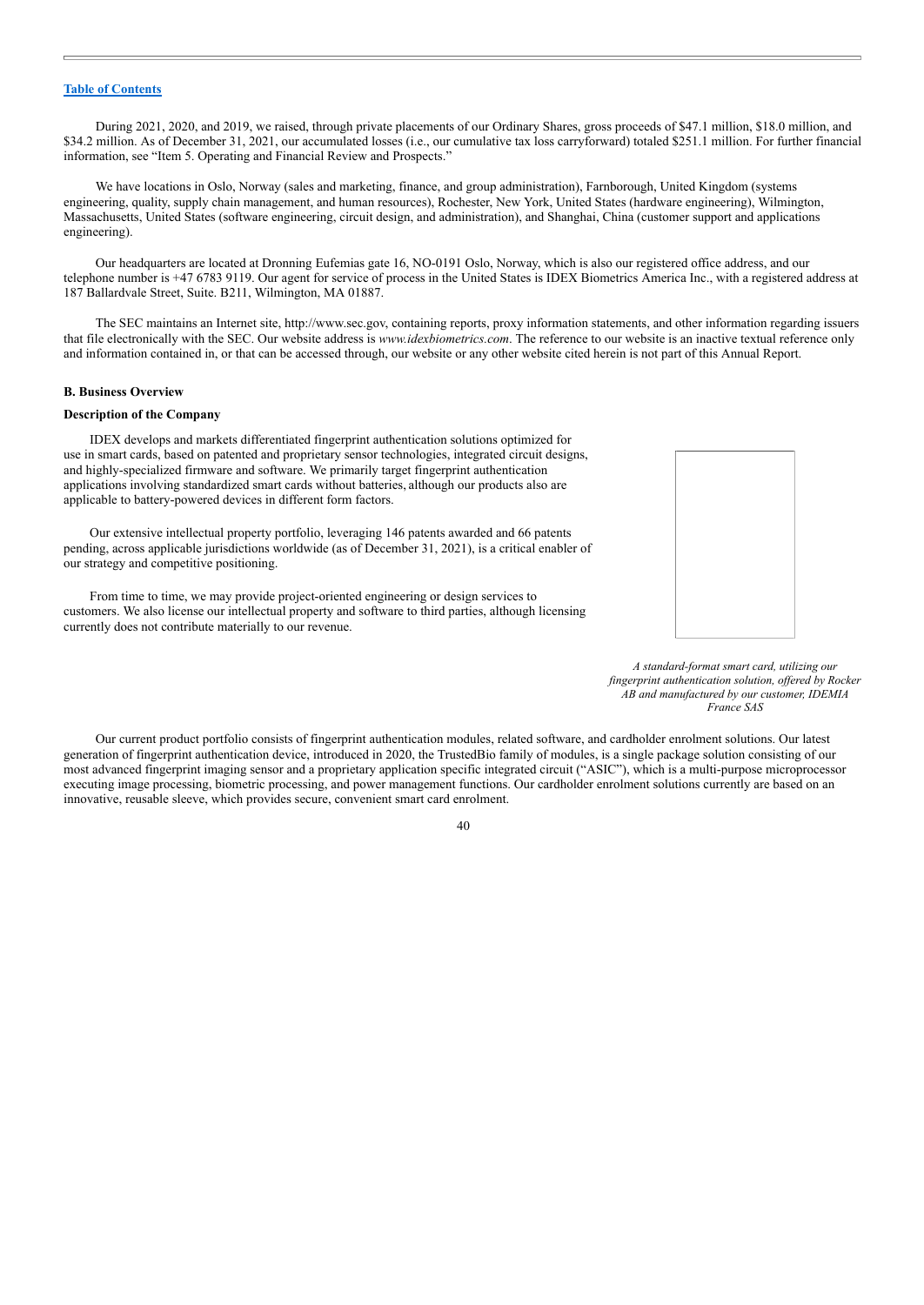During 2021, 2020, and 2019, we raised, through private placements of our Ordinary Shares, gross proceeds of \$47.1 million, \$18.0 million, and \$34.2 million. As of December 31, 2021, our accumulated losses (i.e., our cumulative tax loss carryforward) totaled \$251.1 million. For further financial information, see "Item 5. Operating and Financial Review and Prospects."

We have locations in Oslo, Norway (sales and marketing, finance, and group administration), Farnborough, United Kingdom (systems engineering, quality, supply chain management, and human resources), Rochester, New York, United States (hardware engineering), Wilmington, Massachusetts, United States (software engineering, circuit design, and administration), and Shanghai, China (customer support and applications engineering).

Our headquarters are located at Dronning Eufemias gate 16, NO-0191 Oslo, Norway, which is also our registered office address, and our telephone number is +47 6783 9119. Our agent for service of process in the United States is IDEX Biometrics America Inc., with a registered address at 187 Ballardvale Street, Suite. B211, Wilmington, MA 01887.

The SEC maintains an Internet site, http://www.sec.gov, containing reports, proxy information statements, and other information regarding issuers that file electronically with the SEC. Our website address is *www.idexbiometrics.com*. The reference to our website is an inactive textual reference only and information contained in, or that can be accessed through, our website or any other website cited herein is not part of this Annual Report.

#### **B. Business Overview**

### **Description of the Company**

IDEX develops and markets differentiated fingerprint authentication solutions optimized for use in smart cards, based on patented and proprietary sensor technologies, integrated circuit designs, and highly-specialized firmware and software. We primarily target fingerprint authentication applications involving standardized smart cards without batteries, although our products also are applicable to battery-powered devices in different form factors.

Our extensive intellectual property portfolio, leveraging 146 patents awarded and 66 patents pending, across applicable jurisdictions worldwide (as of December 31, 2021), is a critical enabler of our strategy and competitive positioning.

From time to time, we may provide project-oriented engineering or design services to customers. We also license our intellectual property and software to third parties, although licensing currently does not contribute materially to our revenue.



*A standard-format smart card, utilizing our fingerprint authentication solution, offered by Rocker AB and manufactured by our customer, IDEMIA France SAS*

Our current product portfolio consists of fingerprint authentication modules, related software, and cardholder enrolment solutions. Our latest generation of fingerprint authentication device, introduced in 2020, the TrustedBio family of modules, is a single package solution consisting of our most advanced fingerprint imaging sensor and a proprietary application specific integrated circuit ("ASIC"), which is a multi-purpose microprocessor executing image processing, biometric processing, and power management functions. Our cardholder enrolment solutions currently are based on an innovative, reusable sleeve, which provides secure, convenient smart card enrolment.

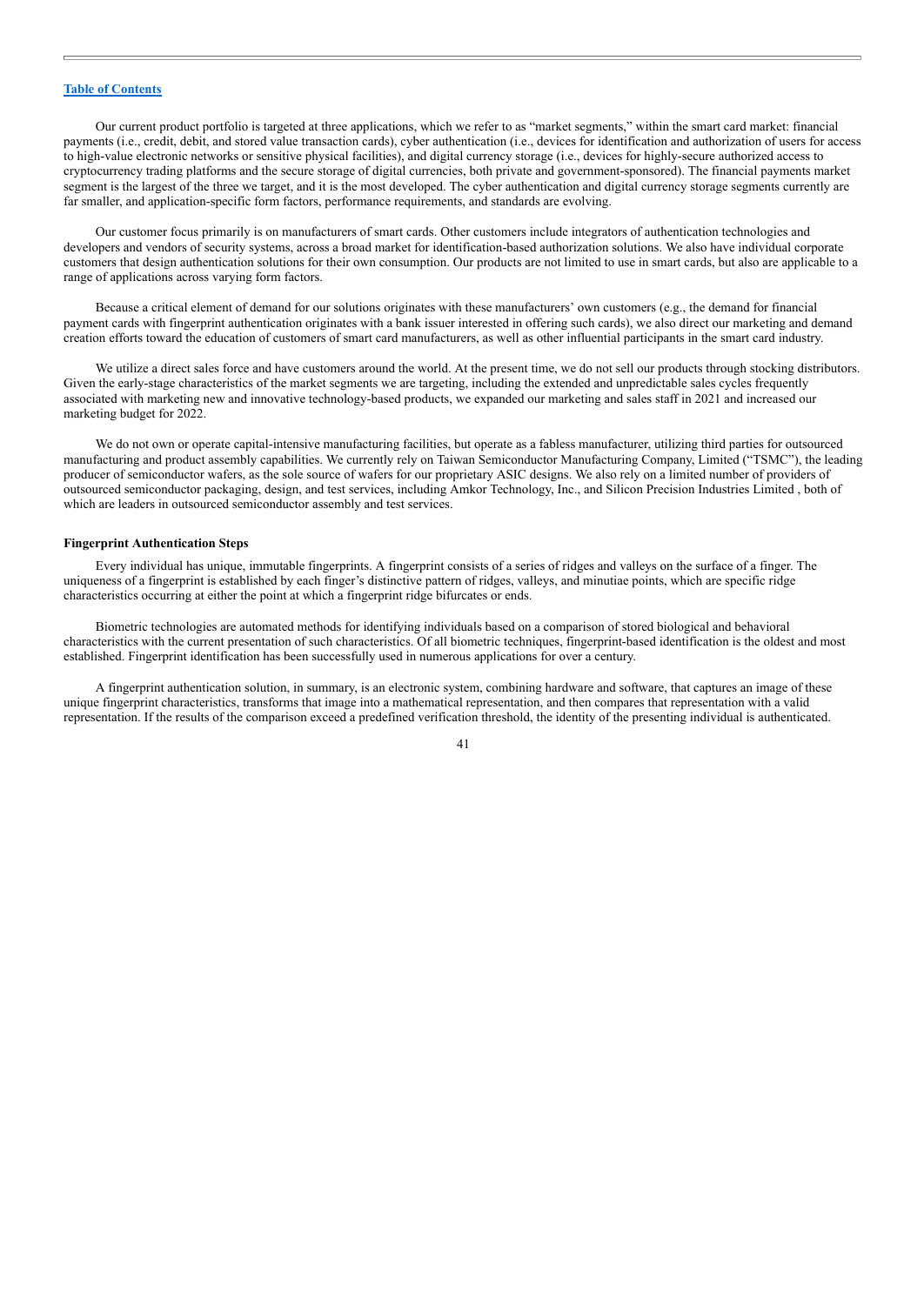Our current product portfolio is targeted at three applications, which we refer to as "market segments," within the smart card market: financial payments (i.e., credit, debit, and stored value transaction cards), cyber authentication (i.e., devices for identification and authorization of users for access to high-value electronic networks or sensitive physical facilities), and digital currency storage (i.e., devices for highly-secure authorized access to cryptocurrency trading platforms and the secure storage of digital currencies, both private and government-sponsored). The financial payments market segment is the largest of the three we target, and it is the most developed. The cyber authentication and digital currency storage segments currently are far smaller, and application-specific form factors, performance requirements, and standards are evolving.

Our customer focus primarily is on manufacturers of smart cards. Other customers include integrators of authentication technologies and developers and vendors of security systems, across a broad market for identification-based authorization solutions. We also have individual corporate customers that design authentication solutions for their own consumption. Our products are not limited to use in smart cards, but also are applicable to a range of applications across varying form factors.

Because a critical element of demand for our solutions originates with these manufacturers' own customers (e.g., the demand for financial payment cards with fingerprint authentication originates with a bank issuer interested in offering such cards), we also direct our marketing and demand creation efforts toward the education of customers of smart card manufacturers, as well as other influential participants in the smart card industry.

We utilize a direct sales force and have customers around the world. At the present time, we do not sell our products through stocking distributors. Given the early-stage characteristics of the market segments we are targeting, including the extended and unpredictable sales cycles frequently associated with marketing new and innovative technology-based products, we expanded our marketing and sales staff in 2021 and increased our marketing budget for 2022.

We do not own or operate capital-intensive manufacturing facilities, but operate as a fabless manufacturer, utilizing third parties for outsourced manufacturing and product assembly capabilities. We currently rely on Taiwan Semiconductor Manufacturing Company, Limited ("TSMC"), the leading producer of semiconductor wafers, as the sole source of wafers for our proprietary ASIC designs. We also rely on a limited number of providers of outsourced semiconductor packaging, design, and test services, including Amkor Technology, Inc., and Silicon Precision Industries Limited , both of which are leaders in outsourced semiconductor assembly and test services.

### **Fingerprint Authentication Steps**

Every individual has unique, immutable fingerprints. A fingerprint consists of a series of ridges and valleys on the surface of a finger. The uniqueness of a fingerprint is established by each finger's distinctive pattern of ridges, valleys, and minutiae points, which are specific ridge characteristics occurring at either the point at which a fingerprint ridge bifurcates or ends.

Biometric technologies are automated methods for identifying individuals based on a comparison of stored biological and behavioral characteristics with the current presentation of such characteristics. Of all biometric techniques, fingerprint-based identification is the oldest and most established. Fingerprint identification has been successfully used in numerous applications for over a century.

A fingerprint authentication solution, in summary, is an electronic system, combining hardware and software, that captures an image of these unique fingerprint characteristics, transforms that image into a mathematical representation, and then compares that representation with a valid representation. If the results of the comparison exceed a predefined verification threshold, the identity of the presenting individual is authenticated.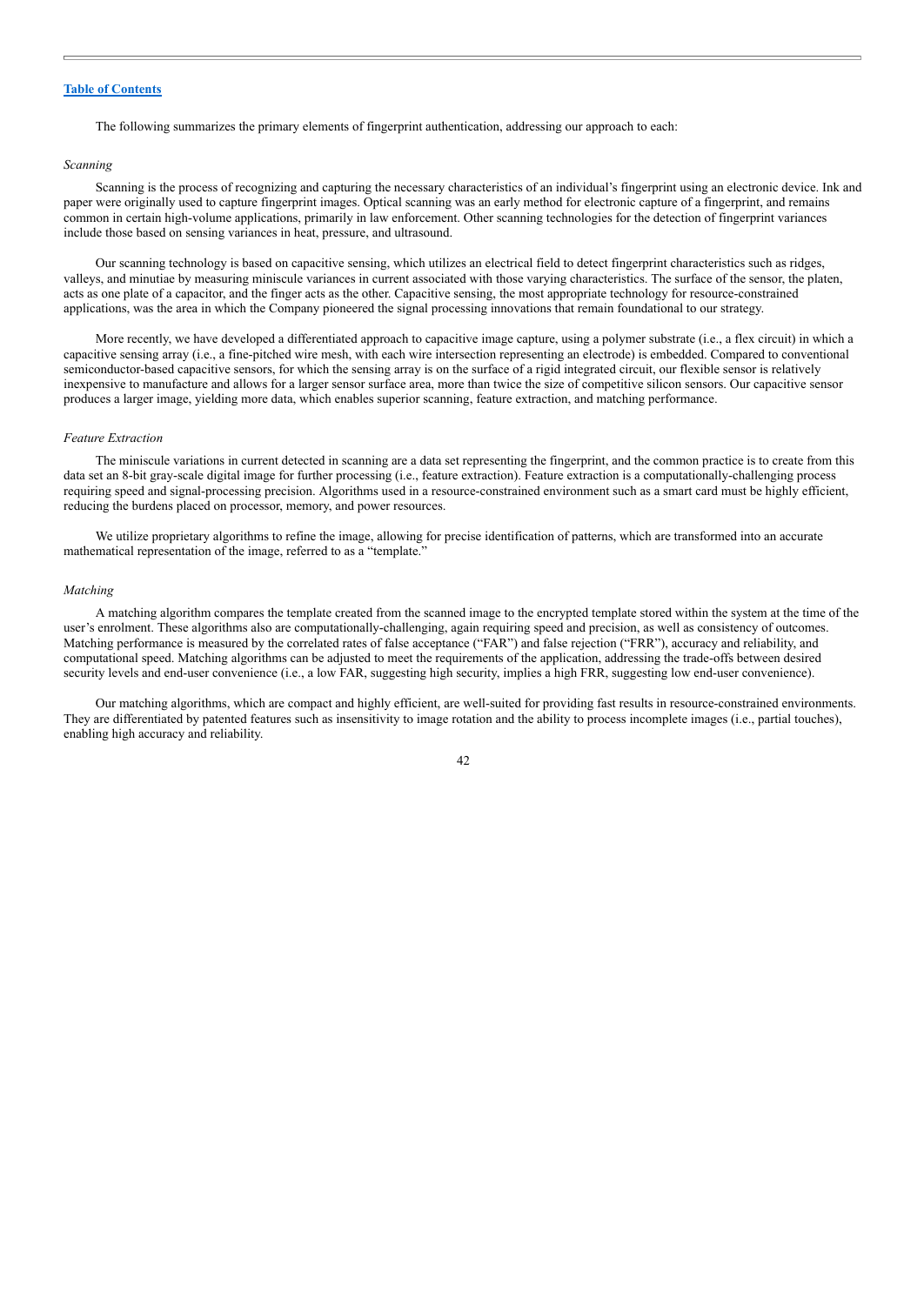The following summarizes the primary elements of fingerprint authentication, addressing our approach to each:

## *Scanning*

Scanning is the process of recognizing and capturing the necessary characteristics of an individual's fingerprint using an electronic device. Ink and paper were originally used to capture fingerprint images. Optical scanning was an early method for electronic capture of a fingerprint, and remains common in certain high-volume applications, primarily in law enforcement. Other scanning technologies for the detection of fingerprint variances include those based on sensing variances in heat, pressure, and ultrasound.

Our scanning technology is based on capacitive sensing, which utilizes an electrical field to detect fingerprint characteristics such as ridges, valleys, and minutiae by measuring miniscule variances in current associated with those varying characteristics. The surface of the sensor, the platen, acts as one plate of a capacitor, and the finger acts as the other. Capacitive sensing, the most appropriate technology for resource-constrained applications, was the area in which the Company pioneered the signal processing innovations that remain foundational to our strategy.

More recently, we have developed a differentiated approach to capacitive image capture, using a polymer substrate (i.e., a flex circuit) in which a capacitive sensing array (i.e., a fine-pitched wire mesh, with each wire intersection representing an electrode) is embedded. Compared to conventional semiconductor-based capacitive sensors, for which the sensing array is on the surface of a rigid integrated circuit, our flexible sensor is relatively inexpensive to manufacture and allows for a larger sensor surface area, more than twice the size of competitive silicon sensors. Our capacitive sensor produces a larger image, yielding more data, which enables superior scanning, feature extraction, and matching performance.

### *Feature Extraction*

The miniscule variations in current detected in scanning are a data set representing the fingerprint, and the common practice is to create from this data set an 8-bit gray-scale digital image for further processing (i.e., feature extraction). Feature extraction is a computationally-challenging process requiring speed and signal-processing precision. Algorithms used in a resource-constrained environment such as a smart card must be highly efficient, reducing the burdens placed on processor, memory, and power resources.

We utilize proprietary algorithms to refine the image, allowing for precise identification of patterns, which are transformed into an accurate mathematical representation of the image, referred to as a "template."

#### *Matching*

A matching algorithm compares the template created from the scanned image to the encrypted template stored within the system at the time of the user's enrolment. These algorithms also are computationally-challenging, again requiring speed and precision, as well as consistency of outcomes. Matching performance is measured by the correlated rates of false acceptance ("FAR") and false rejection ("FRR"), accuracy and reliability, and computational speed. Matching algorithms can be adjusted to meet the requirements of the application, addressing the trade-offs between desired security levels and end-user convenience (i.e., a low FAR, suggesting high security, implies a high FRR, suggesting low end-user convenience).

Our matching algorithms, which are compact and highly efficient, are well-suited for providing fast results in resource-constrained environments. They are differentiated by patented features such as insensitivity to image rotation and the ability to process incomplete images (i.e., partial touches), enabling high accuracy and reliability.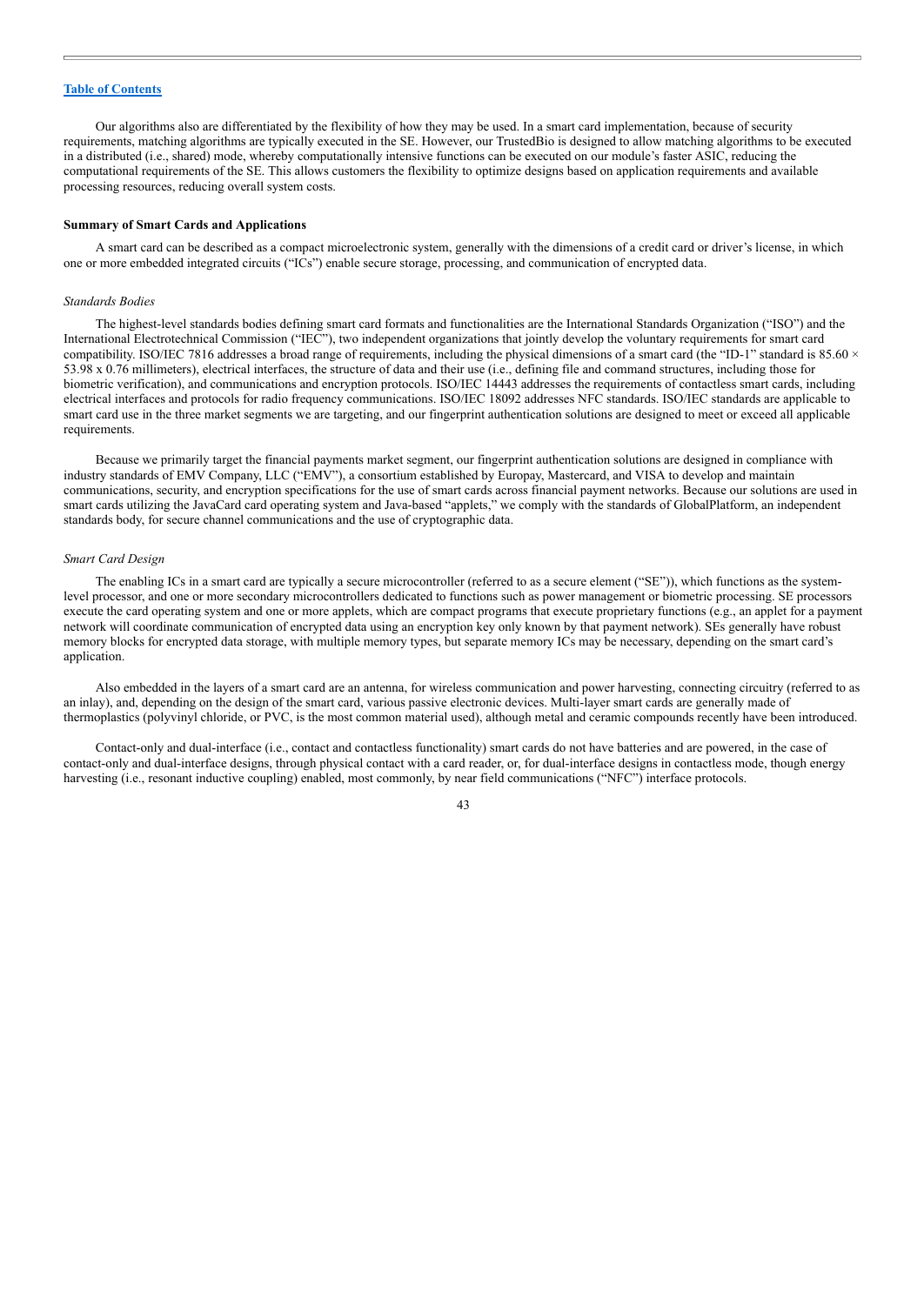Our algorithms also are differentiated by the flexibility of how they may be used. In a smart card implementation, because of security requirements, matching algorithms are typically executed in the SE. However, our TrustedBio is designed to allow matching algorithms to be executed in a distributed (i.e., shared) mode, whereby computationally intensive functions can be executed on our module's faster ASIC, reducing the computational requirements of the SE. This allows customers the flexibility to optimize designs based on application requirements and available processing resources, reducing overall system costs.

#### **Summary of Smart Cards and Applications**

A smart card can be described as a compact microelectronic system, generally with the dimensions of a credit card or driver's license, in which one or more embedded integrated circuits ("ICs") enable secure storage, processing, and communication of encrypted data.

#### *Standards Bodies*

The highest-level standards bodies defining smart card formats and functionalities are the International Standards Organization ("ISO") and the International Electrotechnical Commission ("IEC"), two independent organizations that jointly develop the voluntary requirements for smart card compatibility. ISO/IEC 7816 addresses a broad range of requirements, including the physical dimensions of a smart card (the "ID-1" standard is 85.60  $\times$ 53.98 x 0.76 millimeters), electrical interfaces, the structure of data and their use (i.e., defining file and command structures, including those for biometric verification), and communications and encryption protocols. ISO/IEC 14443 addresses the requirements of contactless smart cards, including electrical interfaces and protocols for radio frequency communications. ISO/IEC 18092 addresses NFC standards. ISO/IEC standards are applicable to smart card use in the three market segments we are targeting, and our fingerprint authentication solutions are designed to meet or exceed all applicable requirements.

Because we primarily target the financial payments market segment, our fingerprint authentication solutions are designed in compliance with industry standards of EMV Company, LLC ("EMV"), a consortium established by Europay, Mastercard, and VISA to develop and maintain communications, security, and encryption specifications for the use of smart cards across financial payment networks. Because our solutions are used in smart cards utilizing the JavaCard card operating system and Java-based "applets," we comply with the standards of GlobalPlatform, an independent standards body, for secure channel communications and the use of cryptographic data.

#### *Smart Card Design*

The enabling ICs in a smart card are typically a secure microcontroller (referred to as a secure element ("SE")), which functions as the systemlevel processor, and one or more secondary microcontrollers dedicated to functions such as power management or biometric processing. SE processors execute the card operating system and one or more applets, which are compact programs that execute proprietary functions (e.g., an applet for a payment network will coordinate communication of encrypted data using an encryption key only known by that payment network). SEs generally have robust memory blocks for encrypted data storage, with multiple memory types, but separate memory ICs may be necessary, depending on the smart card's application.

Also embedded in the layers of a smart card are an antenna, for wireless communication and power harvesting, connecting circuitry (referred to as an inlay), and, depending on the design of the smart card, various passive electronic devices. Multi-layer smart cards are generally made of thermoplastics (polyvinyl chloride, or PVC, is the most common material used), although metal and ceramic compounds recently have been introduced.

Contact-only and dual-interface (i.e., contact and contactless functionality) smart cards do not have batteries and are powered, in the case of contact-only and dual-interface designs, through physical contact with a card reader, or, for dual-interface designs in contactless mode, though energy harvesting (i.e., resonant inductive coupling) enabled, most commonly, by near field communications ("NFC") interface protocols.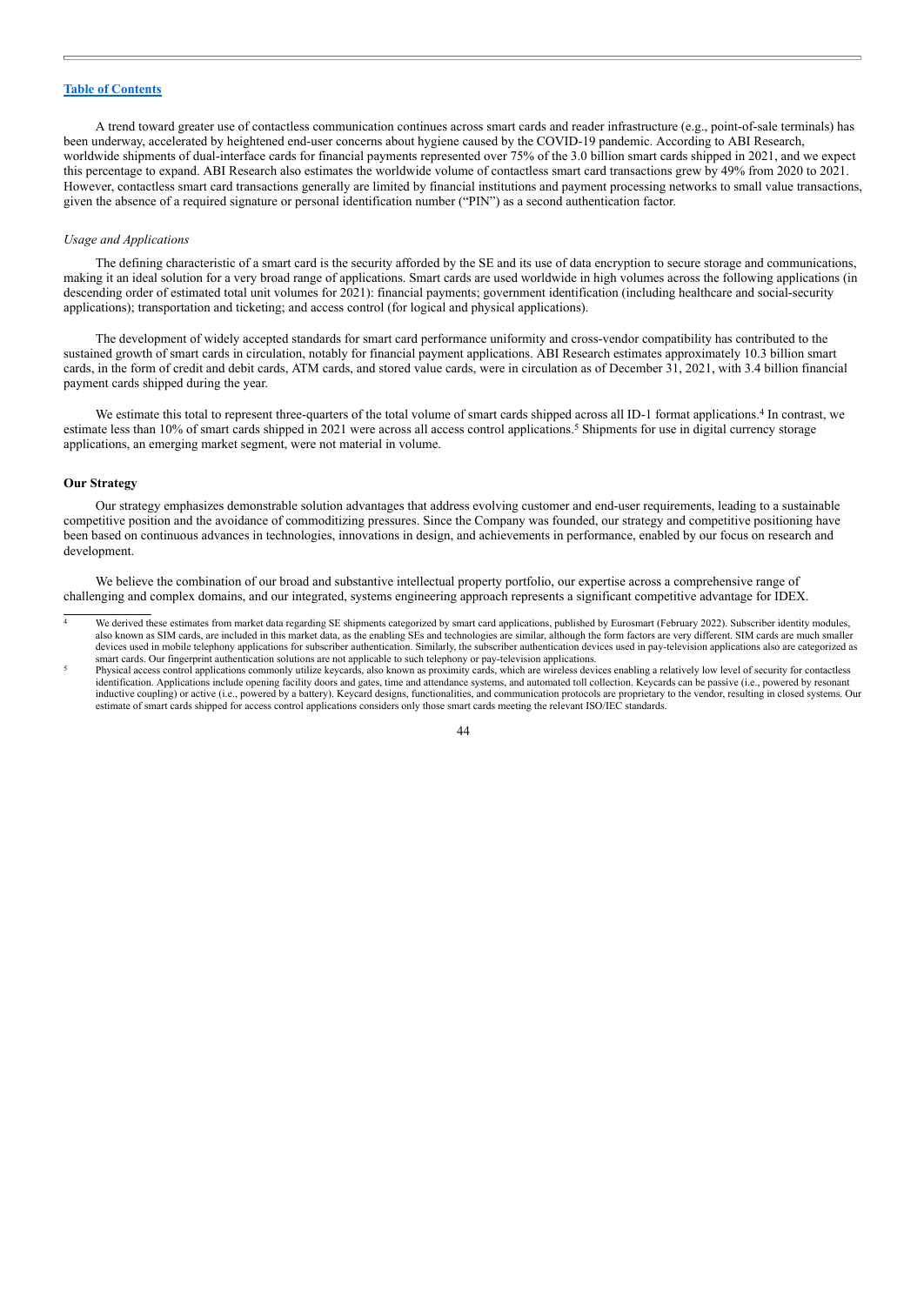A trend toward greater use of contactless communication continues across smart cards and reader infrastructure (e.g., point-of-sale terminals) has been underway, accelerated by heightened end-user concerns about hygiene caused by the COVID-19 pandemic. According to ABI Research, worldwide shipments of dual-interface cards for financial payments represented over 75% of the 3.0 billion smart cards shipped in 2021, and we expect this percentage to expand. ABI Research also estimates the worldwide volume of contactless smart card transactions grew by 49% from 2020 to 2021. However, contactless smart card transactions generally are limited by financial institutions and payment processing networks to small value transactions, given the absence of a required signature or personal identification number ("PIN") as a second authentication factor.

#### *Usage and Applications*

The defining characteristic of a smart card is the security afforded by the SE and its use of data encryption to secure storage and communications, making it an ideal solution for a very broad range of applications. Smart cards are used worldwide in high volumes across the following applications (in descending order of estimated total unit volumes for 2021): financial payments; government identification (including healthcare and social-security applications); transportation and ticketing; and access control (for logical and physical applications).

The development of widely accepted standards for smart card performance uniformity and cross-vendor compatibility has contributed to the sustained growth of smart cards in circulation, notably for financial payment applications. ABI Research estimates approximately 10.3 billion smart cards, in the form of credit and debit cards, ATM cards, and stored value cards, were in circulation as of December 31, 2021, with 3.4 billion financial payment cards shipped during the year.

We estimate this total to represent three-quarters of the total volume of smart cards shipped across all ID-1 format applications.<sup>4</sup> In contrast, we estimate less than 10% of smart cards shipped in 2021 were across all access control applications.5 Shipments for use in digital currency storage applications, an emerging market segment, were not material in volume.

#### **Our Strategy**

Our strategy emphasizes demonstrable solution advantages that address evolving customer and end-user requirements, leading to a sustainable competitive position and the avoidance of commoditizing pressures. Since the Company was founded, our strategy and competitive positioning have been based on continuous advances in technologies, innovations in design, and achievements in performance, enabled by our focus on research and development.

We believe the combination of our broad and substantive intellectual property portfolio, our expertise across a comprehensive range of challenging and complex domains, and our integrated, systems engineering approach represents a significant competitive advantage for IDEX.

identification. Applications include opening facility doors and gates, time and attendance systems, and automated toll collection. Keycards can be passive (i.e., powered by resonant inductive coupling) or active (i.e., powered by a battery). Keycard designs, functionalities, and communication protocols are proprietary to the vendor, resulting in closed systems. Our estimate of smart cards shipped for access control applications considers only those smart cards meeting the relevant ISO/IEC standards.



We derived these estimates from market data regarding SE shipments categorized by smart card applications, published by Eurosmart (February 2022). Subscriber identity modules, also known as SIM cards, are included in this market data, as the enabling SEs and technologies are similar, although the form factors are very different. SIM cards are much smaller devices used in mobile telephony applications for subscriber authentication. Similarly, the subscriber authentication devices used in pay-television applications also are categorized as smart cards. Our fingerprint authentication solutions are not applicable to such telephony or pay-television applications.<br><sup>5</sup> Physical access control applications commonly utilize keycards, also known as proximity cards,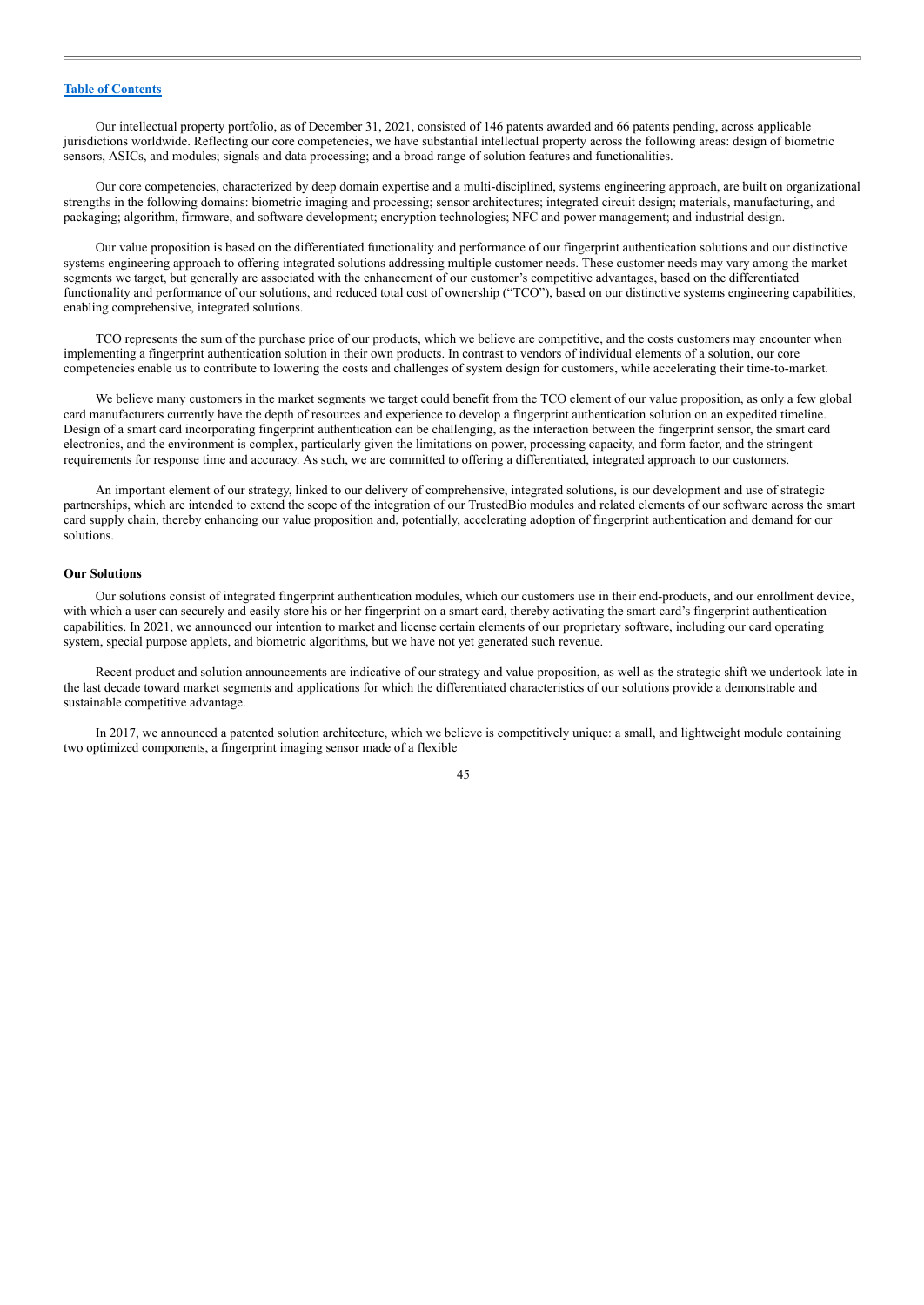Our intellectual property portfolio, as of December 31, 2021, consisted of 146 patents awarded and 66 patents pending, across applicable jurisdictions worldwide. Reflecting our core competencies, we have substantial intellectual property across the following areas: design of biometric sensors, ASICs, and modules; signals and data processing; and a broad range of solution features and functionalities.

Our core competencies, characterized by deep domain expertise and a multi-disciplined, systems engineering approach, are built on organizational strengths in the following domains: biometric imaging and processing; sensor architectures; integrated circuit design; materials, manufacturing, and packaging; algorithm, firmware, and software development; encryption technologies; NFC and power management; and industrial design.

Our value proposition is based on the differentiated functionality and performance of our fingerprint authentication solutions and our distinctive systems engineering approach to offering integrated solutions addressing multiple customer needs. These customer needs may vary among the market segments we target, but generally are associated with the enhancement of our customer's competitive advantages, based on the differentiated functionality and performance of our solutions, and reduced total cost of ownership ("TCO"), based on our distinctive systems engineering capabilities, enabling comprehensive, integrated solutions.

TCO represents the sum of the purchase price of our products, which we believe are competitive, and the costs customers may encounter when implementing a fingerprint authentication solution in their own products. In contrast to vendors of individual elements of a solution, our core competencies enable us to contribute to lowering the costs and challenges of system design for customers, while accelerating their time-to-market.

We believe many customers in the market segments we target could benefit from the TCO element of our value proposition, as only a few global card manufacturers currently have the depth of resources and experience to develop a fingerprint authentication solution on an expedited timeline. Design of a smart card incorporating fingerprint authentication can be challenging, as the interaction between the fingerprint sensor, the smart card electronics, and the environment is complex, particularly given the limitations on power, processing capacity, and form factor, and the stringent requirements for response time and accuracy. As such, we are committed to offering a differentiated, integrated approach to our customers.

An important element of our strategy, linked to our delivery of comprehensive, integrated solutions, is our development and use of strategic partnerships, which are intended to extend the scope of the integration of our TrustedBio modules and related elements of our software across the smart card supply chain, thereby enhancing our value proposition and, potentially, accelerating adoption of fingerprint authentication and demand for our solutions.

# **Our Solutions**

Our solutions consist of integrated fingerprint authentication modules, which our customers use in their end-products, and our enrollment device, with which a user can securely and easily store his or her fingerprint on a smart card, thereby activating the smart card's fingerprint authentication capabilities. In 2021, we announced our intention to market and license certain elements of our proprietary software, including our card operating system, special purpose applets, and biometric algorithms, but we have not yet generated such revenue.

Recent product and solution announcements are indicative of our strategy and value proposition, as well as the strategic shift we undertook late in the last decade toward market segments and applications for which the differentiated characteristics of our solutions provide a demonstrable and sustainable competitive advantage.

In 2017, we announced a patented solution architecture, which we believe is competitively unique: a small, and lightweight module containing two optimized components, a fingerprint imaging sensor made of a flexible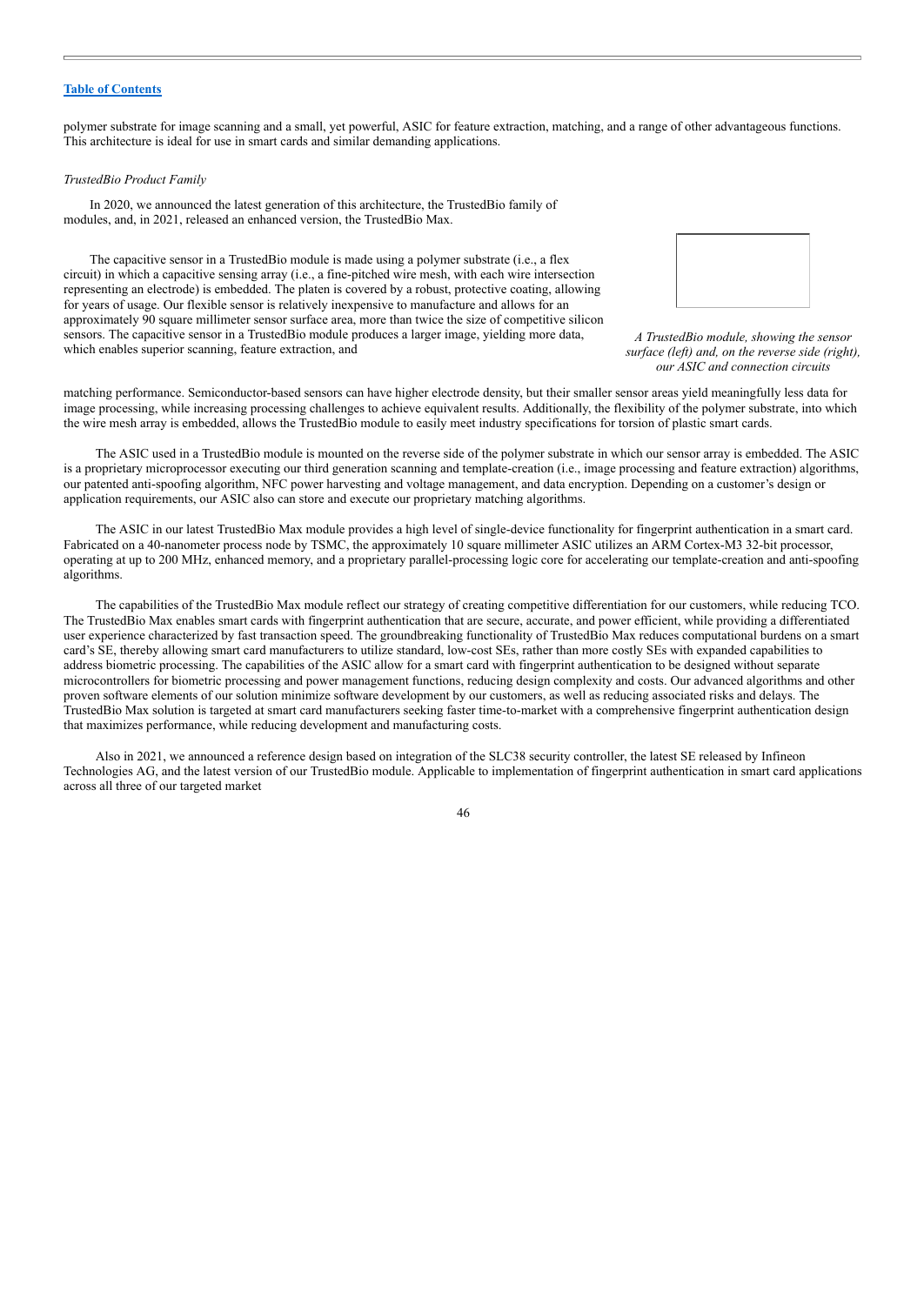polymer substrate for image scanning and a small, yet powerful, ASIC for feature extraction, matching, and a range of other advantageous functions. This architecture is ideal for use in smart cards and similar demanding applications.

#### *TrustedBio Product Family*

In 2020, we announced the latest generation of this architecture, the TrustedBio family of modules, and, in 2021, released an enhanced version, the TrustedBio Max.

The capacitive sensor in a TrustedBio module is made using a polymer substrate (i.e., a flex circuit) in which a capacitive sensing array (i.e., a fine-pitched wire mesh, with each wire intersection representing an electrode) is embedded. The platen is covered by a robust, protective coating, allowing for years of usage. Our flexible sensor is relatively inexpensive to manufacture and allows for an approximately 90 square millimeter sensor surface area, more than twice the size of competitive silicon sensors. The capacitive sensor in a TrustedBio module produces a larger image, yielding more data, which enables superior scanning, feature extraction, and



*A TrustedBio module, showing the sensor surface (left) and, on the reverse side (right), our ASIC and connection circuits*

matching performance. Semiconductor-based sensors can have higher electrode density, but their smaller sensor areas yield meaningfully less data for image processing, while increasing processing challenges to achieve equivalent results. Additionally, the flexibility of the polymer substrate, into which the wire mesh array is embedded, allows the TrustedBio module to easily meet industry specifications for torsion of plastic smart cards.

The ASIC used in a TrustedBio module is mounted on the reverse side of the polymer substrate in which our sensor array is embedded. The ASIC is a proprietary microprocessor executing our third generation scanning and template-creation (i.e., image processing and feature extraction) algorithms, our patented anti-spoofing algorithm, NFC power harvesting and voltage management, and data encryption. Depending on a customer's design or application requirements, our ASIC also can store and execute our proprietary matching algorithms.

The ASIC in our latest TrustedBio Max module provides a high level of single-device functionality for fingerprint authentication in a smart card. Fabricated on a 40-nanometer process node by TSMC, the approximately 10 square millimeter ASIC utilizes an ARM Cortex-M3 32-bit processor, operating at up to 200 MHz, enhanced memory, and a proprietary parallel-processing logic core for accelerating our template-creation and anti-spoofing algorithms.

The capabilities of the TrustedBio Max module reflect our strategy of creating competitive differentiation for our customers, while reducing TCO. The TrustedBio Max enables smart cards with fingerprint authentication that are secure, accurate, and power efficient, while providing a differentiated user experience characterized by fast transaction speed. The groundbreaking functionality of TrustedBio Max reduces computational burdens on a smart card's SE, thereby allowing smart card manufacturers to utilize standard, low-cost SEs, rather than more costly SEs with expanded capabilities to address biometric processing. The capabilities of the ASIC allow for a smart card with fingerprint authentication to be designed without separate microcontrollers for biometric processing and power management functions, reducing design complexity and costs. Our advanced algorithms and other proven software elements of our solution minimize software development by our customers, as well as reducing associated risks and delays. The TrustedBio Max solution is targeted at smart card manufacturers seeking faster time-to-market with a comprehensive fingerprint authentication design that maximizes performance, while reducing development and manufacturing costs.

Also in 2021, we announced a reference design based on integration of the SLC38 security controller, the latest SE released by Infineon Technologies AG, and the latest version of our TrustedBio module. Applicable to implementation of fingerprint authentication in smart card applications across all three of our targeted market

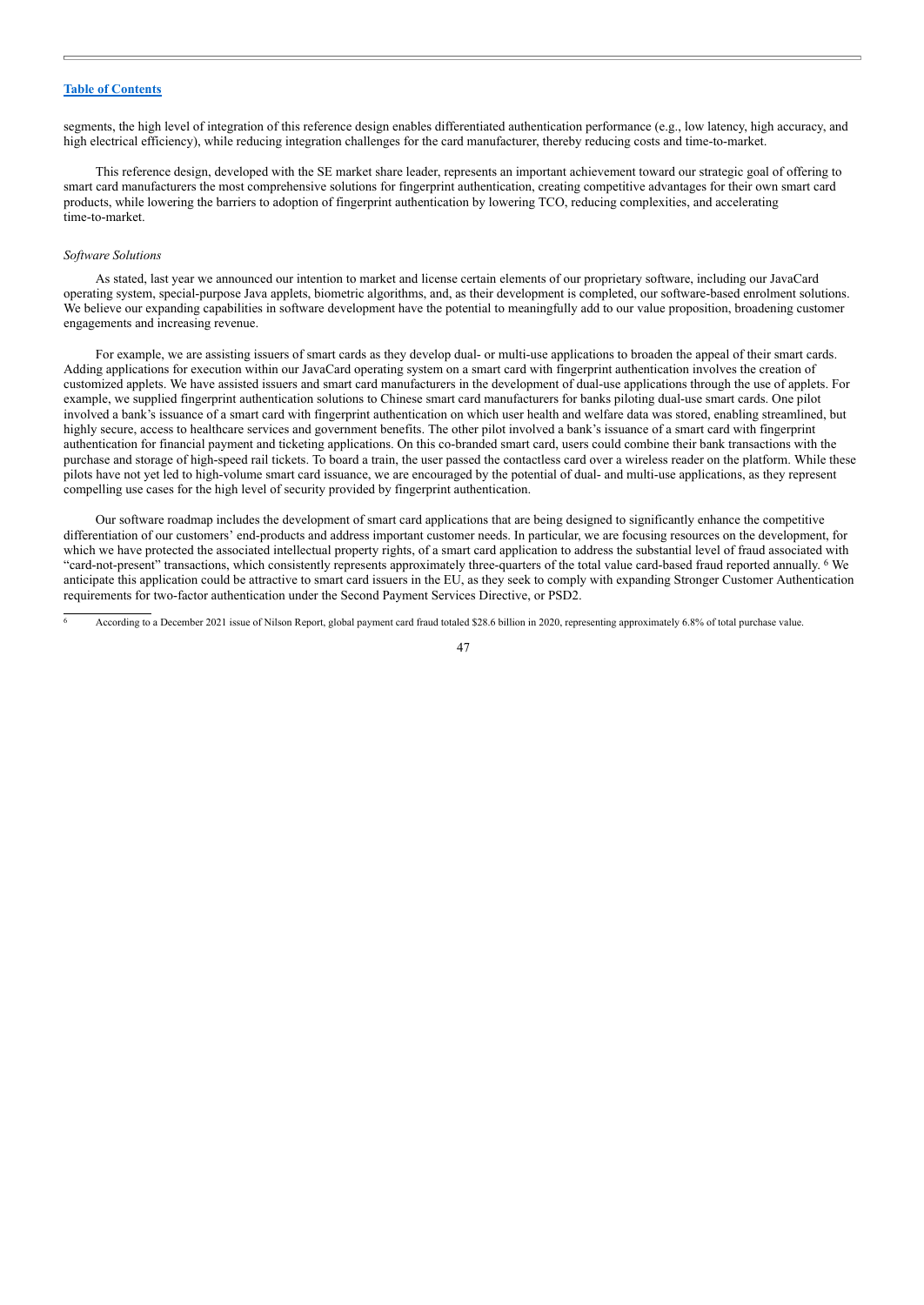segments, the high level of integration of this reference design enables differentiated authentication performance (e.g., low latency, high accuracy, and high electrical efficiency), while reducing integration challenges for the card manufacturer, thereby reducing costs and time-to-market.

This reference design, developed with the SE market share leader, represents an important achievement toward our strategic goal of offering to smart card manufacturers the most comprehensive solutions for fingerprint authentication, creating competitive advantages for their own smart card products, while lowering the barriers to adoption of fingerprint authentication by lowering TCO, reducing complexities, and accelerating time-to-market.

#### *Software Solutions*

As stated, last year we announced our intention to market and license certain elements of our proprietary software, including our JavaCard operating system, special-purpose Java applets, biometric algorithms, and, as their development is completed, our software-based enrolment solutions. We believe our expanding capabilities in software development have the potential to meaningfully add to our value proposition, broadening customer engagements and increasing revenue.

For example, we are assisting issuers of smart cards as they develop dual- or multi-use applications to broaden the appeal of their smart cards. Adding applications for execution within our JavaCard operating system on a smart card with fingerprint authentication involves the creation of customized applets. We have assisted issuers and smart card manufacturers in the development of dual-use applications through the use of applets. For example, we supplied fingerprint authentication solutions to Chinese smart card manufacturers for banks piloting dual-use smart cards. One pilot involved a bank's issuance of a smart card with fingerprint authentication on which user health and welfare data was stored, enabling streamlined, but highly secure, access to healthcare services and government benefits. The other pilot involved a bank's issuance of a smart card with fingerprint authentication for financial payment and ticketing applications. On this co-branded smart card, users could combine their bank transactions with the purchase and storage of high-speed rail tickets. To board a train, the user passed the contactless card over a wireless reader on the platform. While these pilots have not yet led to high-volume smart card issuance, we are encouraged by the potential of dual- and multi-use applications, as they represent compelling use cases for the high level of security provided by fingerprint authentication.

Our software roadmap includes the development of smart card applications that are being designed to significantly enhance the competitive differentiation of our customers' end-products and address important customer needs. In particular, we are focusing resources on the development, for which we have protected the associated intellectual property rights, of a smart card application to address the substantial level of fraud associated with "card-not-present" transactions, which consistently represents approximately three-quarters of the total value card-based fraud reported annually. 6 We anticipate this application could be attractive to smart card issuers in the EU, as they seek to comply with expanding Stronger Customer Authentication requirements for two-factor authentication under the Second Payment Services Directive, or PSD2.

<sup>6</sup> According to a December 2021 issue of Nilson Report, global payment card fraud totaled \$28.6 billion in 2020, representing approximately 6.8% of total purchase value.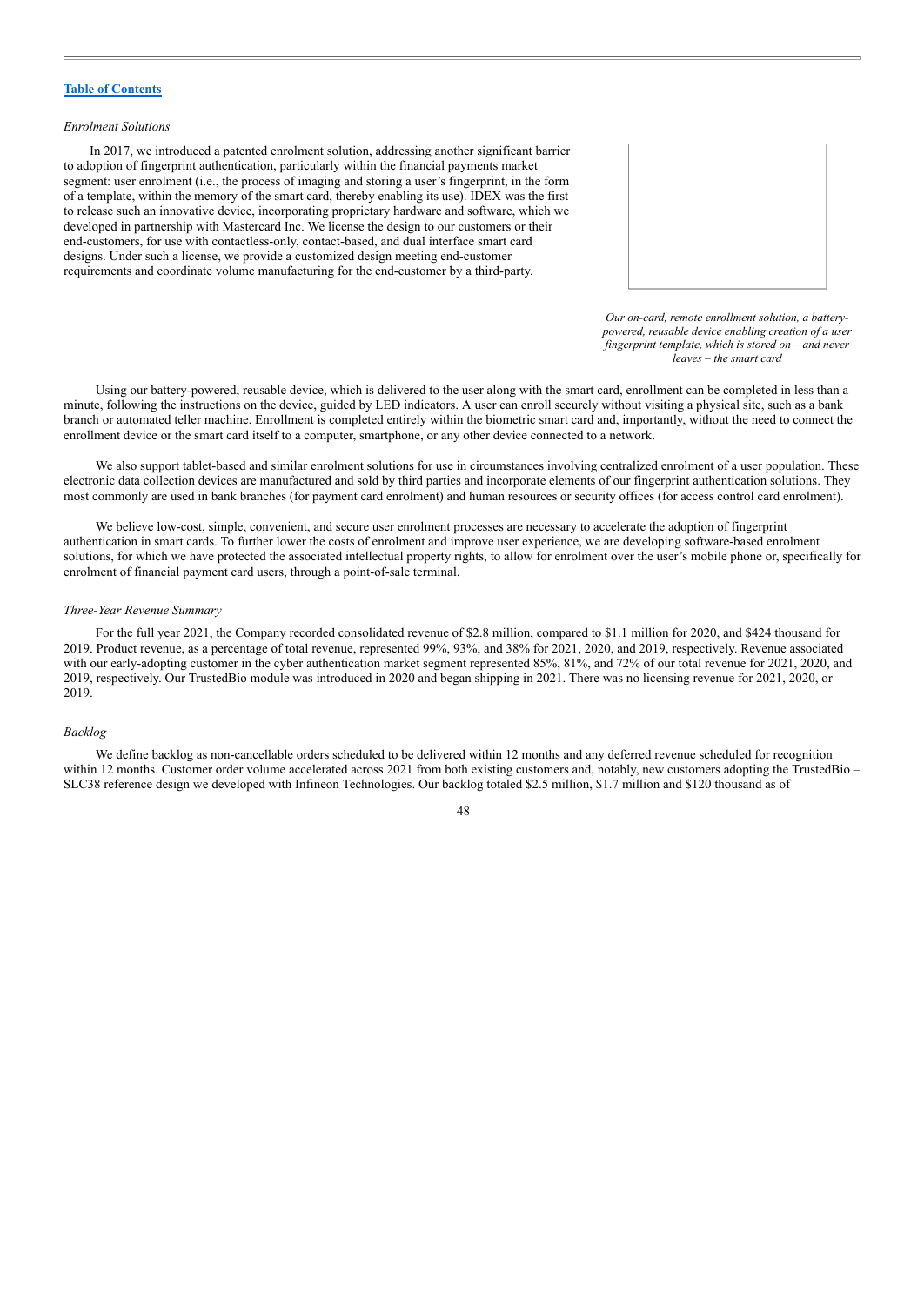## *Enrolment Solutions*

In 2017, we introduced a patented enrolment solution, addressing another significant barrier to adoption of fingerprint authentication, particularly within the financial payments market segment: user enrolment (i.e., the process of imaging and storing a user's fingerprint, in the form of a template, within the memory of the smart card, thereby enabling its use). IDEX was the first to release such an innovative device, incorporating proprietary hardware and software, which we developed in partnership with Mastercard Inc. We license the design to our customers or their end-customers, for use with contactless-only, contact-based, and dual interface smart card designs. Under such a license, we provide a customized design meeting end-customer requirements and coordinate volume manufacturing for the end-customer by a third-party.



*Our on-card, remote enrollment solution, a batterypowered, reusable device enabling creation of a user fingerprint template, which is stored on – and never leaves – the smart card*

Using our battery-powered, reusable device, which is delivered to the user along with the smart card, enrollment can be completed in less than a minute, following the instructions on the device, guided by LED indicators. A user can enroll securely without visiting a physical site, such as a bank branch or automated teller machine. Enrollment is completed entirely within the biometric smart card and, importantly, without the need to connect the enrollment device or the smart card itself to a computer, smartphone, or any other device connected to a network.

We also support tablet-based and similar enrolment solutions for use in circumstances involving centralized enrolment of a user population. These electronic data collection devices are manufactured and sold by third parties and incorporate elements of our fingerprint authentication solutions. They most commonly are used in bank branches (for payment card enrolment) and human resources or security offices (for access control card enrolment).

We believe low-cost, simple, convenient, and secure user enrolment processes are necessary to accelerate the adoption of fingerprint authentication in smart cards. To further lower the costs of enrolment and improve user experience, we are developing software-based enrolment solutions, for which we have protected the associated intellectual property rights, to allow for enrolment over the user's mobile phone or, specifically for enrolment of financial payment card users, through a point-of-sale terminal.

#### *Three-Year Revenue Summary*

For the full year 2021, the Company recorded consolidated revenue of \$2.8 million, compared to \$1.1 million for 2020, and \$424 thousand for 2019. Product revenue, as a percentage of total revenue, represented 99%, 93%, and 38% for 2021, 2020, and 2019, respectively. Revenue associated with our early-adopting customer in the cyber authentication market segment represented 85%, 81%, and 72% of our total revenue for 2021, 2020, and 2019, respectively. Our TrustedBio module was introduced in 2020 and began shipping in 2021. There was no licensing revenue for 2021, 2020, or 2019.

### *Backlog*

We define backlog as non-cancellable orders scheduled to be delivered within 12 months and any deferred revenue scheduled for recognition within 12 months. Customer order volume accelerated across 2021 from both existing customers and, notably, new customers adopting the TrustedBio – SLC38 reference design we developed with Infineon Technologies. Our backlog totaled \$2.5 million, \$1.7 million and \$120 thousand as of

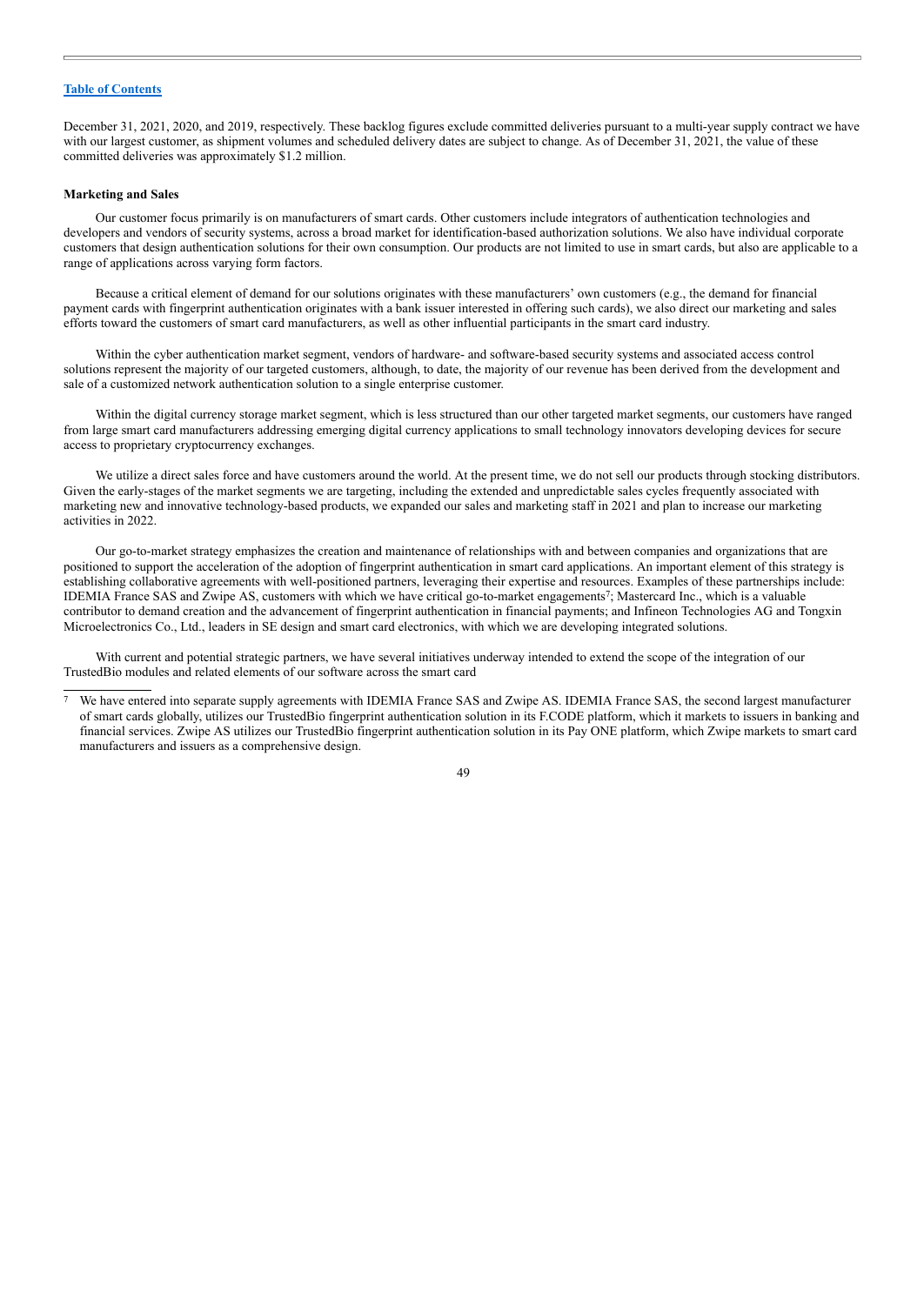December 31, 2021, 2020, and 2019, respectively. These backlog figures exclude committed deliveries pursuant to a multi-year supply contract we have with our largest customer, as shipment volumes and scheduled delivery dates are subject to change. As of December 31, 2021, the value of these committed deliveries was approximately \$1.2 million.

#### **Marketing and Sales**

Our customer focus primarily is on manufacturers of smart cards. Other customers include integrators of authentication technologies and developers and vendors of security systems, across a broad market for identification-based authorization solutions. We also have individual corporate customers that design authentication solutions for their own consumption. Our products are not limited to use in smart cards, but also are applicable to a range of applications across varying form factors.

Because a critical element of demand for our solutions originates with these manufacturers' own customers (e.g., the demand for financial payment cards with fingerprint authentication originates with a bank issuer interested in offering such cards), we also direct our marketing and sales efforts toward the customers of smart card manufacturers, as well as other influential participants in the smart card industry.

Within the cyber authentication market segment, vendors of hardware- and software-based security systems and associated access control solutions represent the majority of our targeted customers, although, to date, the majority of our revenue has been derived from the development and sale of a customized network authentication solution to a single enterprise customer.

Within the digital currency storage market segment, which is less structured than our other targeted market segments, our customers have ranged from large smart card manufacturers addressing emerging digital currency applications to small technology innovators developing devices for secure access to proprietary cryptocurrency exchanges.

We utilize a direct sales force and have customers around the world. At the present time, we do not sell our products through stocking distributors. Given the early-stages of the market segments we are targeting, including the extended and unpredictable sales cycles frequently associated with marketing new and innovative technology-based products, we expanded our sales and marketing staff in 2021 and plan to increase our marketing activities in 2022.

Our go-to-market strategy emphasizes the creation and maintenance of relationships with and between companies and organizations that are positioned to support the acceleration of the adoption of fingerprint authentication in smart card applications. An important element of this strategy is establishing collaborative agreements with well-positioned partners, leveraging their expertise and resources. Examples of these partnerships include: IDEMIA France SAS and Zwipe AS, customers with which we have critical go-to-market engagements7; Mastercard Inc., which is a valuable contributor to demand creation and the advancement of fingerprint authentication in financial payments; and Infineon Technologies AG and Tongxin Microelectronics Co., Ltd., leaders in SE design and smart card electronics, with which we are developing integrated solutions.

With current and potential strategic partners, we have several initiatives underway intended to extend the scope of the integration of our TrustedBio modules and related elements of our software across the smart card

<sup>7</sup> We have entered into separate supply agreements with IDEMIA France SAS and Zwipe AS. IDEMIA France SAS, the second largest manufacturer of smart cards globally, utilizes our TrustedBio fingerprint authentication solution in its F.CODE platform, which it markets to issuers in banking and financial services. Zwipe AS utilizes our TrustedBio fingerprint authentication solution in its Pay ONE platform, which Zwipe markets to smart card manufacturers and issuers as a comprehensive design.

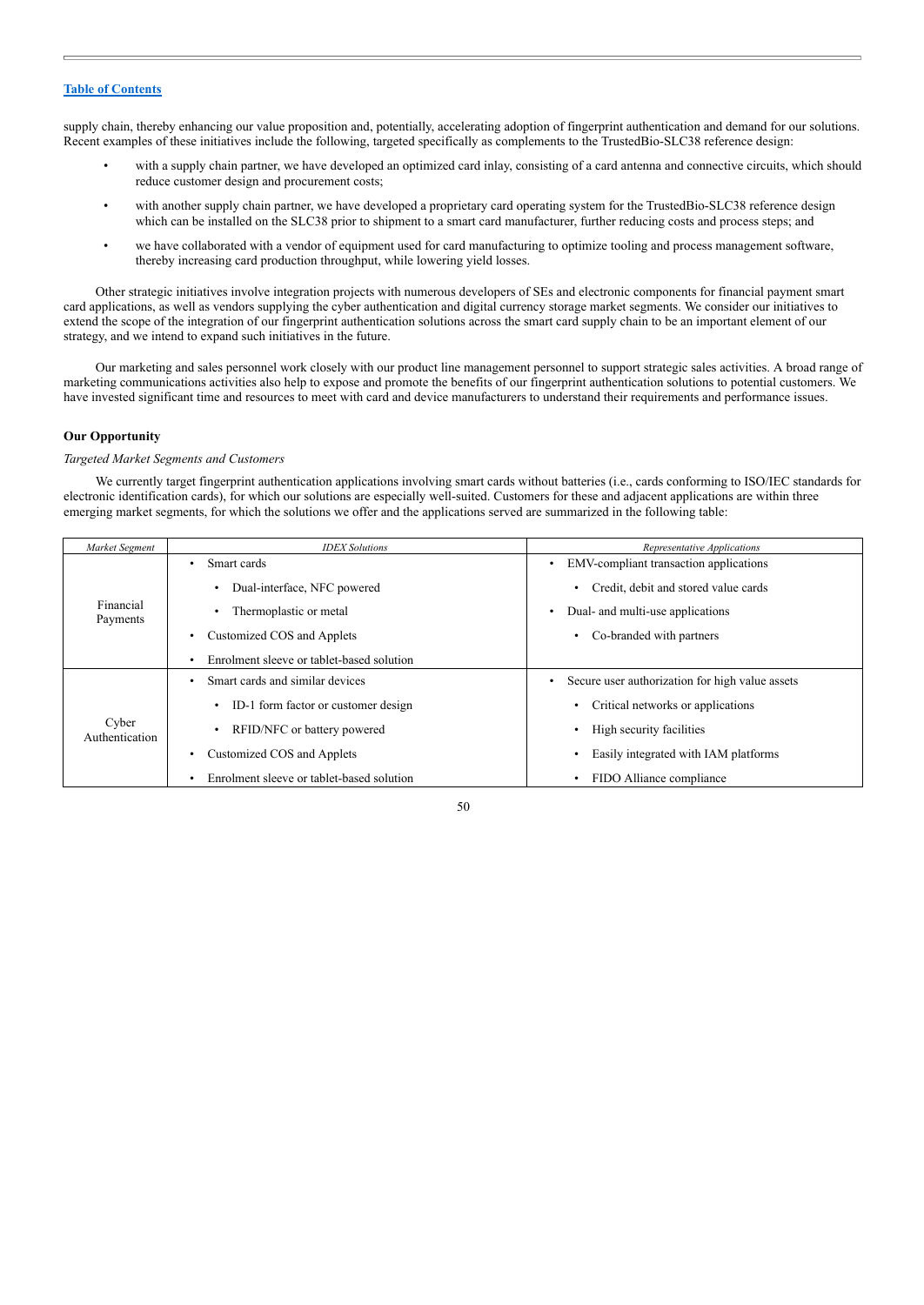supply chain, thereby enhancing our value proposition and, potentially, accelerating adoption of fingerprint authentication and demand for our solutions. Recent examples of these initiatives include the following, targeted specifically as complements to the TrustedBio-SLC38 reference design:

- with a supply chain partner, we have developed an optimized card inlay, consisting of a card antenna and connective circuits, which should reduce customer design and procurement costs;
- with another supply chain partner, we have developed a proprietary card operating system for the TrustedBio-SLC38 reference design which can be installed on the SLC38 prior to shipment to a smart card manufacturer, further reducing costs and process steps; and
- we have collaborated with a vendor of equipment used for card manufacturing to optimize tooling and process management software, thereby increasing card production throughput, while lowering yield losses.

Other strategic initiatives involve integration projects with numerous developers of SEs and electronic components for financial payment smart card applications, as well as vendors supplying the cyber authentication and digital currency storage market segments. We consider our initiatives to extend the scope of the integration of our fingerprint authentication solutions across the smart card supply chain to be an important element of our strategy, and we intend to expand such initiatives in the future.

Our marketing and sales personnel work closely with our product line management personnel to support strategic sales activities. A broad range of marketing communications activities also help to expose and promote the benefits of our fingerprint authentication solutions to potential customers. We have invested significant time and resources to meet with card and device manufacturers to understand their requirements and performance issues.

# **Our Opportunity**

#### *Targeted Market Segments and Customers*

We currently target fingerprint authentication applications involving smart cards without batteries (i.e., cards conforming to ISO/IEC standards for electronic identification cards), for which our solutions are especially well-suited. Customers for these and adjacent applications are within three emerging market segments, for which the solutions we offer and the applications served are summarized in the following table:

| Market Segment          | <b>IDEX</b> Solutions                     | Representative Applications                     |  |  |  |
|-------------------------|-------------------------------------------|-------------------------------------------------|--|--|--|
| Financial<br>Payments   | Smart cards                               | EMV-compliant transaction applications          |  |  |  |
|                         | Dual-interface, NFC powered               | Credit, debit and stored value cards            |  |  |  |
|                         | Thermoplastic or metal                    | Dual- and multi-use applications                |  |  |  |
|                         | Customized COS and Applets                | Co-branded with partners                        |  |  |  |
|                         | Enrolment sleeve or tablet-based solution |                                                 |  |  |  |
| Cyber<br>Authentication | Smart cards and similar devices           | Secure user authorization for high value assets |  |  |  |
|                         | ID-1 form factor or customer design       | Critical networks or applications               |  |  |  |
|                         | RFID/NFC or battery powered               | High security facilities                        |  |  |  |
|                         | Customized COS and Applets                | Easily integrated with IAM platforms            |  |  |  |
|                         | Enrolment sleeve or tablet-based solution | FIDO Alliance compliance                        |  |  |  |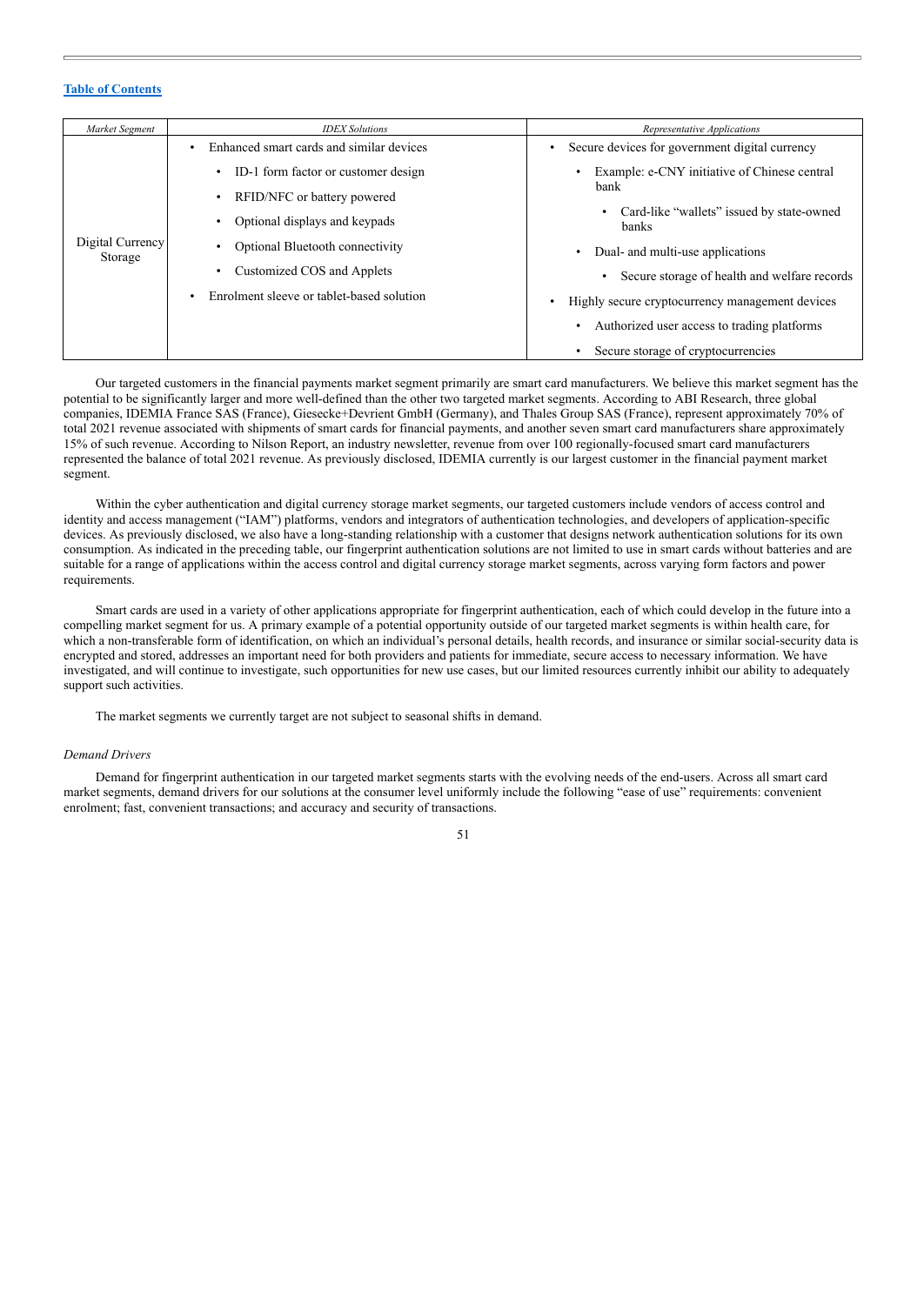| Market Segment              | <b>IDEX Solutions</b>                                                        | Representative Applications                                                                                                                                                               |  |  |  |
|-----------------------------|------------------------------------------------------------------------------|-------------------------------------------------------------------------------------------------------------------------------------------------------------------------------------------|--|--|--|
| Digital Currency<br>Storage | Enhanced smart cards and similar devices                                     | Secure devices for government digital currency                                                                                                                                            |  |  |  |
|                             | ID-1 form factor or customer design<br>٠<br>RFID/NFC or battery powered<br>٠ | Example: e-CNY initiative of Chinese central<br>bank                                                                                                                                      |  |  |  |
|                             | Optional displays and keypads<br>٠                                           | Card-like "wallets" issued by state-owned<br>banks<br>Dual- and multi-use applications<br>Secure storage of health and welfare records<br>Highly secure cryptocurrency management devices |  |  |  |
|                             | Optional Bluetooth connectivity<br>٠                                         |                                                                                                                                                                                           |  |  |  |
|                             | Customized COS and Applets<br>٠                                              |                                                                                                                                                                                           |  |  |  |
|                             | Enrolment sleeve or tablet-based solution                                    |                                                                                                                                                                                           |  |  |  |
|                             |                                                                              | Authorized user access to trading platforms<br>٠                                                                                                                                          |  |  |  |
|                             |                                                                              | Secure storage of cryptocurrencies<br>٠                                                                                                                                                   |  |  |  |

Our targeted customers in the financial payments market segment primarily are smart card manufacturers. We believe this market segment has the potential to be significantly larger and more well-defined than the other two targeted market segments. According to ABI Research, three global companies, IDEMIA France SAS (France), Giesecke+Devrient GmbH (Germany), and Thales Group SAS (France), represent approximately 70% of total 2021 revenue associated with shipments of smart cards for financial payments, and another seven smart card manufacturers share approximately 15% of such revenue. According to Nilson Report, an industry newsletter, revenue from over 100 regionally-focused smart card manufacturers represented the balance of total 2021 revenue. As previously disclosed, IDEMIA currently is our largest customer in the financial payment market segment.

Within the cyber authentication and digital currency storage market segments, our targeted customers include vendors of access control and identity and access management ("IAM") platforms, vendors and integrators of authentication technologies, and developers of application-specific devices. As previously disclosed, we also have a long-standing relationship with a customer that designs network authentication solutions for its own consumption. As indicated in the preceding table, our fingerprint authentication solutions are not limited to use in smart cards without batteries and are suitable for a range of applications within the access control and digital currency storage market segments, across varying form factors and power requirements.

Smart cards are used in a variety of other applications appropriate for fingerprint authentication, each of which could develop in the future into a compelling market segment for us. A primary example of a potential opportunity outside of our targeted market segments is within health care, for which a non-transferable form of identification, on which an individual's personal details, health records, and insurance or similar social-security data is encrypted and stored, addresses an important need for both providers and patients for immediate, secure access to necessary information. We have investigated, and will continue to investigate, such opportunities for new use cases, but our limited resources currently inhibit our ability to adequately support such activities.

The market segments we currently target are not subject to seasonal shifts in demand.

# *Demand Drivers*

Demand for fingerprint authentication in our targeted market segments starts with the evolving needs of the end-users. Across all smart card market segments, demand drivers for our solutions at the consumer level uniformly include the following "ease of use" requirements: convenient enrolment; fast, convenient transactions; and accuracy and security of transactions.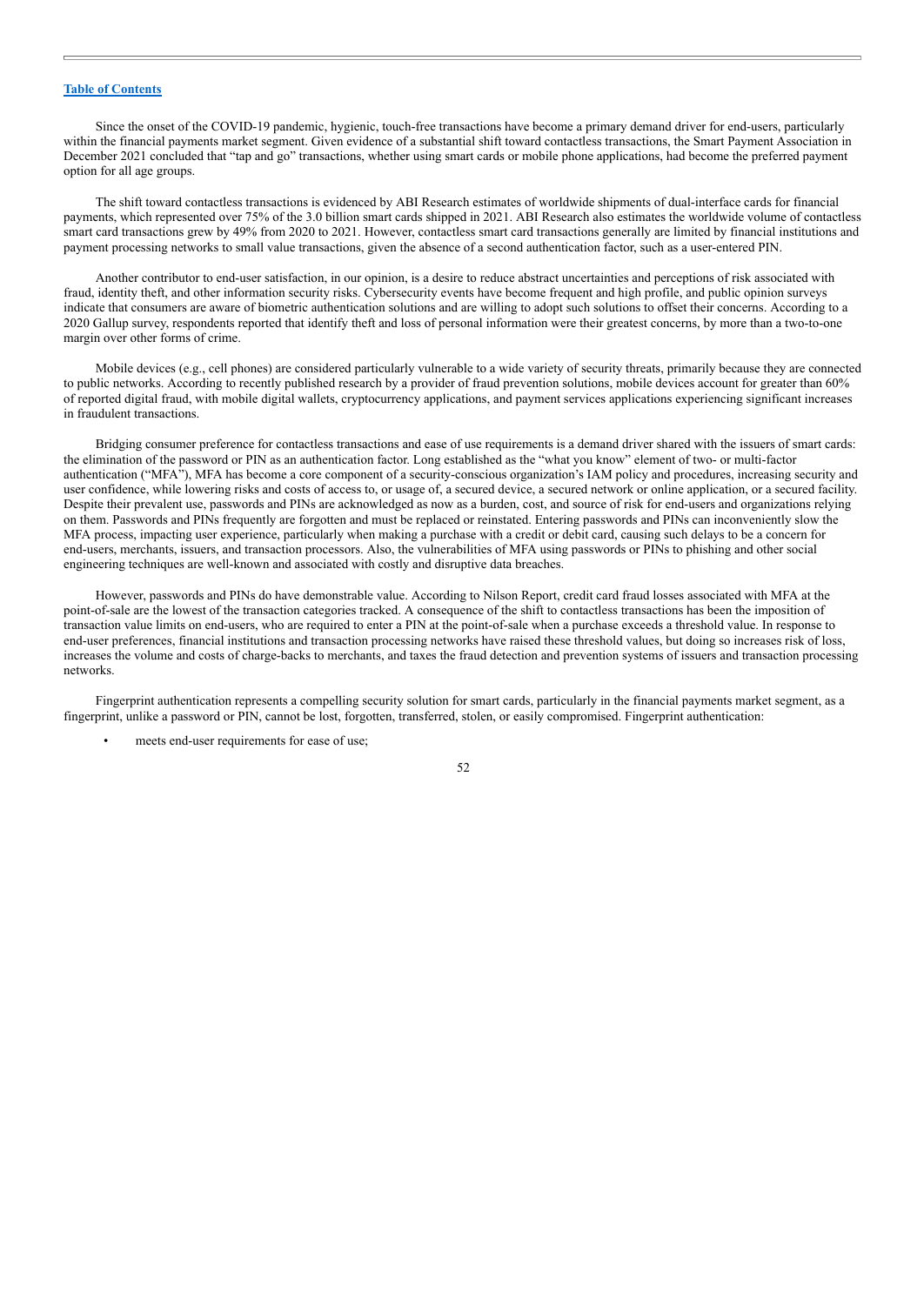Since the onset of the COVID-19 pandemic, hygienic, touch-free transactions have become a primary demand driver for end-users, particularly within the financial payments market segment. Given evidence of a substantial shift toward contactless transactions, the Smart Payment Association in December 2021 concluded that "tap and go" transactions, whether using smart cards or mobile phone applications, had become the preferred payment option for all age groups.

The shift toward contactless transactions is evidenced by ABI Research estimates of worldwide shipments of dual-interface cards for financial payments, which represented over 75% of the 3.0 billion smart cards shipped in 2021. ABI Research also estimates the worldwide volume of contactless smart card transactions grew by 49% from 2020 to 2021. However, contactless smart card transactions generally are limited by financial institutions and payment processing networks to small value transactions, given the absence of a second authentication factor, such as a user-entered PIN.

Another contributor to end-user satisfaction, in our opinion, is a desire to reduce abstract uncertainties and perceptions of risk associated with fraud, identity theft, and other information security risks. Cybersecurity events have become frequent and high profile, and public opinion surveys indicate that consumers are aware of biometric authentication solutions and are willing to adopt such solutions to offset their concerns. According to a 2020 Gallup survey, respondents reported that identify theft and loss of personal information were their greatest concerns, by more than a two-to-one margin over other forms of crime.

Mobile devices (e.g., cell phones) are considered particularly vulnerable to a wide variety of security threats, primarily because they are connected to public networks. According to recently published research by a provider of fraud prevention solutions, mobile devices account for greater than 60% of reported digital fraud, with mobile digital wallets, cryptocurrency applications, and payment services applications experiencing significant increases in fraudulent transactions.

Bridging consumer preference for contactless transactions and ease of use requirements is a demand driver shared with the issuers of smart cards: the elimination of the password or PIN as an authentication factor. Long established as the "what you know" element of two- or multi-factor authentication ("MFA"), MFA has become a core component of a security-conscious organization's IAM policy and procedures, increasing security and user confidence, while lowering risks and costs of access to, or usage of, a secured device, a secured network or online application, or a secured facility. Despite their prevalent use, passwords and PINs are acknowledged as now as a burden, cost, and source of risk for end-users and organizations relying on them. Passwords and PINs frequently are forgotten and must be replaced or reinstated. Entering passwords and PINs can inconveniently slow the MFA process, impacting user experience, particularly when making a purchase with a credit or debit card, causing such delays to be a concern for end-users, merchants, issuers, and transaction processors. Also, the vulnerabilities of MFA using passwords or PINs to phishing and other social engineering techniques are well-known and associated with costly and disruptive data breaches.

However, passwords and PINs do have demonstrable value. According to Nilson Report, credit card fraud losses associated with MFA at the point-of-sale are the lowest of the transaction categories tracked. A consequence of the shift to contactless transactions has been the imposition of transaction value limits on end-users, who are required to enter a PIN at the point-of-sale when a purchase exceeds a threshold value. In response to end-user preferences, financial institutions and transaction processing networks have raised these threshold values, but doing so increases risk of loss, increases the volume and costs of charge-backs to merchants, and taxes the fraud detection and prevention systems of issuers and transaction processing networks.

Fingerprint authentication represents a compelling security solution for smart cards, particularly in the financial payments market segment, as a fingerprint, unlike a password or PIN, cannot be lost, forgotten, transferred, stolen, or easily compromised. Fingerprint authentication:

meets end-user requirements for ease of use: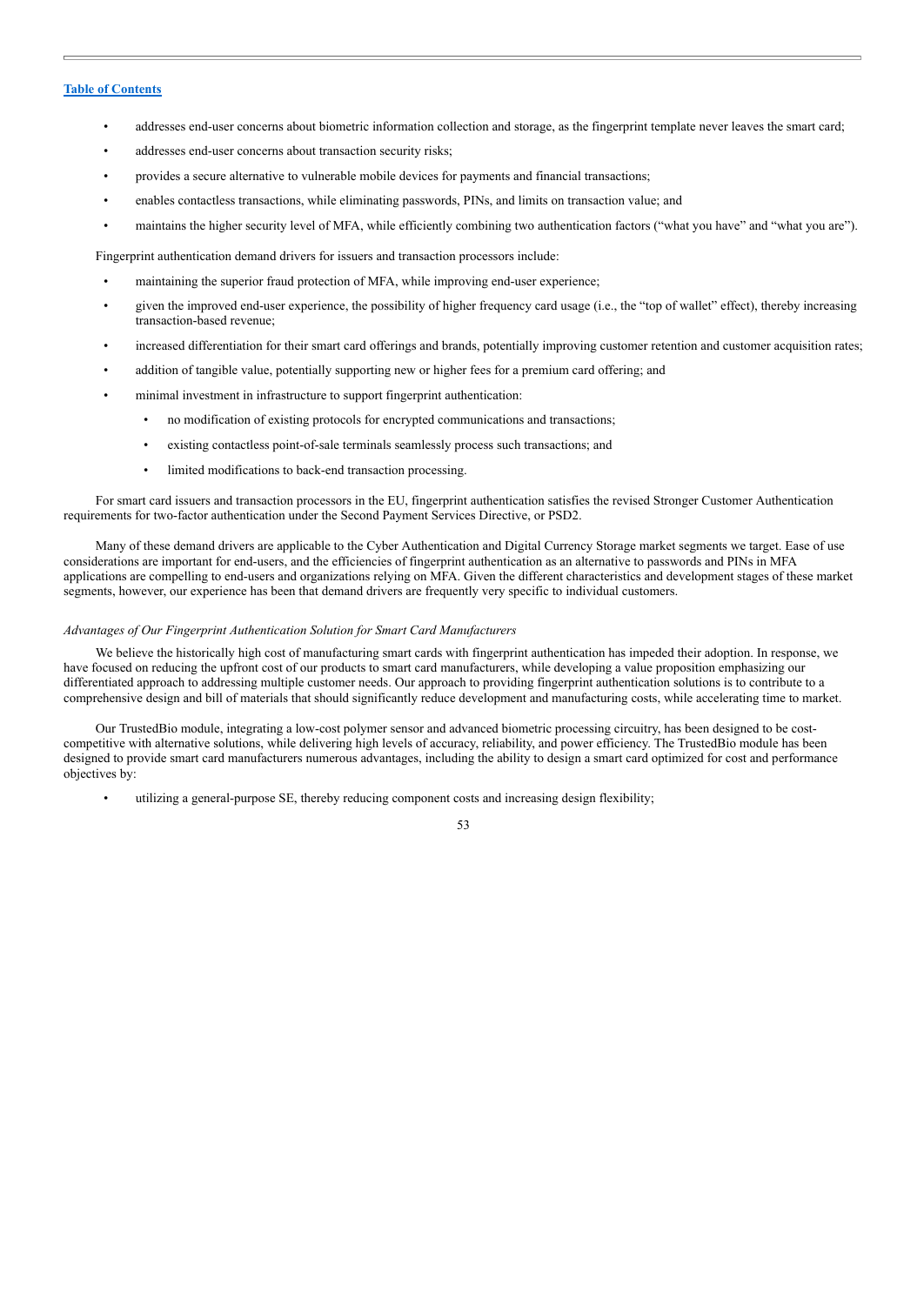- addresses end-user concerns about biometric information collection and storage, as the fingerprint template never leaves the smart card;
- addresses end-user concerns about transaction security risks;
- provides a secure alternative to vulnerable mobile devices for payments and financial transactions;
- enables contactless transactions, while eliminating passwords, PINs, and limits on transaction value; and
- maintains the higher security level of MFA, while efficiently combining two authentication factors ("what you have" and "what you are").

Fingerprint authentication demand drivers for issuers and transaction processors include:

- maintaining the superior fraud protection of MFA, while improving end-user experience;
- given the improved end-user experience, the possibility of higher frequency card usage (i.e., the "top of wallet" effect), thereby increasing transaction-based revenue;
- increased differentiation for their smart card offerings and brands, potentially improving customer retention and customer acquisition rates;
- addition of tangible value, potentially supporting new or higher fees for a premium card offering; and
- minimal investment in infrastructure to support fingerprint authentication:
	- no modification of existing protocols for encrypted communications and transactions;
	- existing contactless point-of-sale terminals seamlessly process such transactions; and
	- limited modifications to back-end transaction processing.

For smart card issuers and transaction processors in the EU, fingerprint authentication satisfies the revised Stronger Customer Authentication requirements for two-factor authentication under the Second Payment Services Directive, or PSD2.

Many of these demand drivers are applicable to the Cyber Authentication and Digital Currency Storage market segments we target. Ease of use considerations are important for end-users, and the efficiencies of fingerprint authentication as an alternative to passwords and PINs in MFA applications are compelling to end-users and organizations relying on MFA. Given the different characteristics and development stages of these market segments, however, our experience has been that demand drivers are frequently very specific to individual customers.

#### *Advantages of Our Fingerprint Authentication Solution for Smart Card Manufacturers*

We believe the historically high cost of manufacturing smart cards with fingerprint authentication has impeded their adoption. In response, we have focused on reducing the upfront cost of our products to smart card manufacturers, while developing a value proposition emphasizing our differentiated approach to addressing multiple customer needs. Our approach to providing fingerprint authentication solutions is to contribute to a comprehensive design and bill of materials that should significantly reduce development and manufacturing costs, while accelerating time to market.

Our TrustedBio module, integrating a low-cost polymer sensor and advanced biometric processing circuitry, has been designed to be costcompetitive with alternative solutions, while delivering high levels of accuracy, reliability, and power efficiency. The TrustedBio module has been designed to provide smart card manufacturers numerous advantages, including the ability to design a smart card optimized for cost and performance objectives by:

• utilizing a general-purpose SE, thereby reducing component costs and increasing design flexibility;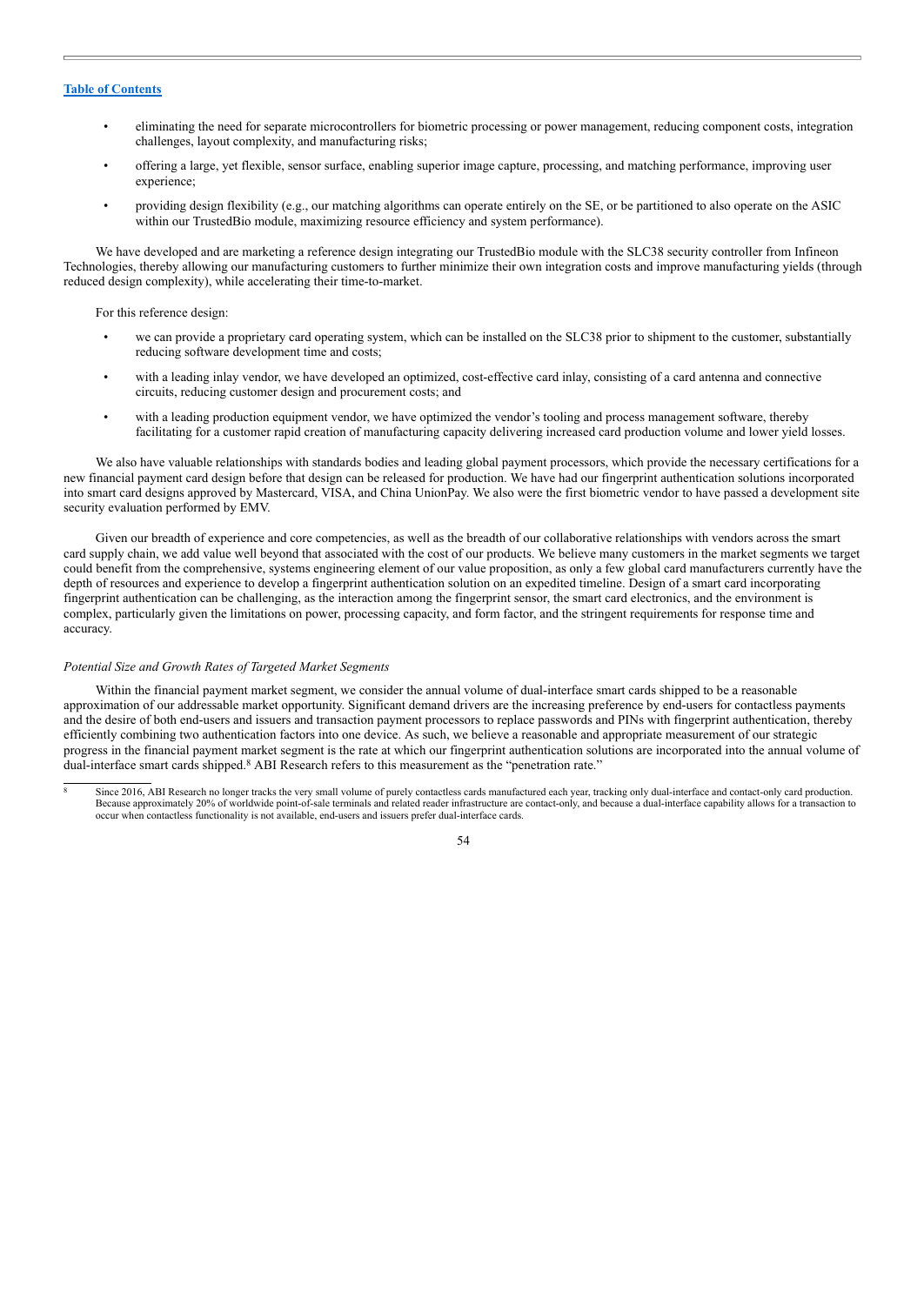- eliminating the need for separate microcontrollers for biometric processing or power management, reducing component costs, integration challenges, layout complexity, and manufacturing risks;
- offering a large, yet flexible, sensor surface, enabling superior image capture, processing, and matching performance, improving user experience;
- providing design flexibility (e.g., our matching algorithms can operate entirely on the SE, or be partitioned to also operate on the ASIC within our TrustedBio module, maximizing resource efficiency and system performance).

We have developed and are marketing a reference design integrating our TrustedBio module with the SLC38 security controller from Infineon Technologies, thereby allowing our manufacturing customers to further minimize their own integration costs and improve manufacturing yields (through reduced design complexity), while accelerating their time-to-market.

### For this reference design:

- we can provide a proprietary card operating system, which can be installed on the SLC38 prior to shipment to the customer, substantially reducing software development time and costs;
- with a leading inlay vendor, we have developed an optimized, cost-effective card inlay, consisting of a card antenna and connective circuits, reducing customer design and procurement costs; and
- with a leading production equipment vendor, we have optimized the vendor's tooling and process management software, thereby facilitating for a customer rapid creation of manufacturing capacity delivering increased card production volume and lower yield losses.

We also have valuable relationships with standards bodies and leading global payment processors, which provide the necessary certifications for a new financial payment card design before that design can be released for production. We have had our fingerprint authentication solutions incorporated into smart card designs approved by Mastercard, VISA, and China UnionPay. We also were the first biometric vendor to have passed a development site security evaluation performed by EMV.

Given our breadth of experience and core competencies, as well as the breadth of our collaborative relationships with vendors across the smart card supply chain, we add value well beyond that associated with the cost of our products. We believe many customers in the market segments we target could benefit from the comprehensive, systems engineering element of our value proposition, as only a few global card manufacturers currently have the depth of resources and experience to develop a fingerprint authentication solution on an expedited timeline. Design of a smart card incorporating fingerprint authentication can be challenging, as the interaction among the fingerprint sensor, the smart card electronics, and the environment is complex, particularly given the limitations on power, processing capacity, and form factor, and the stringent requirements for response time and accuracy.

## *Potential Size and Growth Rates of Targeted Market Segments*

Within the financial payment market segment, we consider the annual volume of dual-interface smart cards shipped to be a reasonable approximation of our addressable market opportunity. Significant demand drivers are the increasing preference by end-users for contactless payments and the desire of both end-users and issuers and transaction payment processors to replace passwords and PINs with fingerprint authentication, thereby efficiently combining two authentication factors into one device. As such, we believe a reasonable and appropriate measurement of our strategic progress in the financial payment market segment is the rate at which our fingerprint authentication solutions are incorporated into the annual volume of dual-interface smart cards shipped.<sup>8</sup> ABI Research refers to this measurement as the "penetration rate."

Since 2016, ABI Research no longer tracks the very small volume of purely contactless cards manufactured each year, tracking only dual-interface and contact-only card production. Because approximately 20% of worldwide point-of-sale terminals and related reader infrastructure are contact-only, and because a dual-interface capability allows for a transaction to occur when contactless functionality is not available, end-users and issuers prefer dual-interface cards.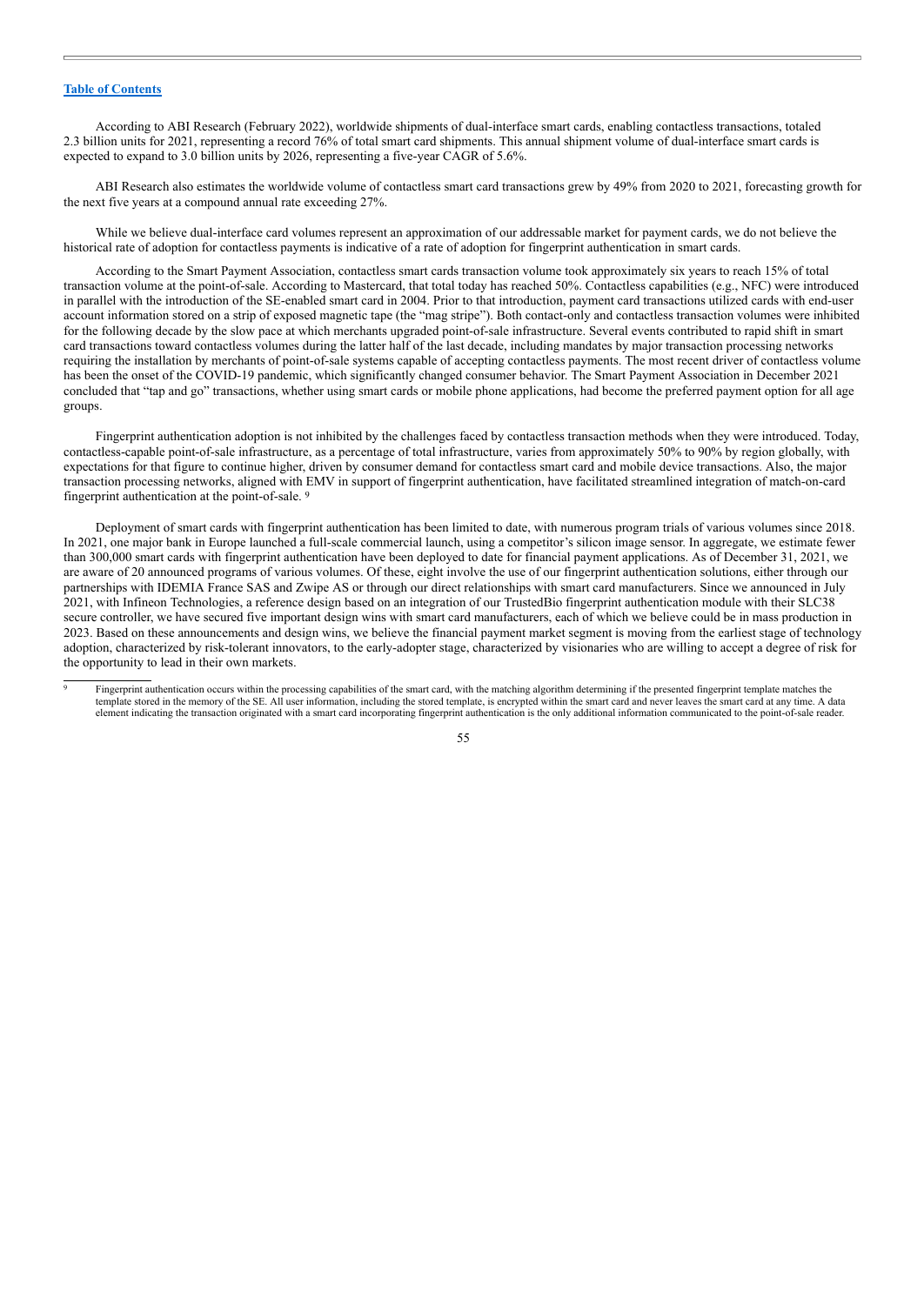According to ABI Research (February 2022), worldwide shipments of dual-interface smart cards, enabling contactless transactions, totaled 2.3 billion units for 2021, representing a record 76% of total smart card shipments. This annual shipment volume of dual-interface smart cards is expected to expand to 3.0 billion units by 2026, representing a five-year CAGR of 5.6%.

ABI Research also estimates the worldwide volume of contactless smart card transactions grew by 49% from 2020 to 2021, forecasting growth for the next five years at a compound annual rate exceeding 27%.

While we believe dual-interface card volumes represent an approximation of our addressable market for payment cards, we do not believe the historical rate of adoption for contactless payments is indicative of a rate of adoption for fingerprint authentication in smart cards.

According to the Smart Payment Association, contactless smart cards transaction volume took approximately six years to reach 15% of total transaction volume at the point-of-sale. According to Mastercard, that total today has reached 50%. Contactless capabilities (e.g., NFC) were introduced in parallel with the introduction of the SE-enabled smart card in 2004. Prior to that introduction, payment card transactions utilized cards with end-user account information stored on a strip of exposed magnetic tape (the "mag stripe"). Both contact-only and contactless transaction volumes were inhibited for the following decade by the slow pace at which merchants upgraded point-of-sale infrastructure. Several events contributed to rapid shift in smart card transactions toward contactless volumes during the latter half of the last decade, including mandates by major transaction processing networks requiring the installation by merchants of point-of-sale systems capable of accepting contactless payments. The most recent driver of contactless volume has been the onset of the COVID-19 pandemic, which significantly changed consumer behavior. The Smart Payment Association in December 2021 concluded that "tap and go" transactions, whether using smart cards or mobile phone applications, had become the preferred payment option for all age groups.

Fingerprint authentication adoption is not inhibited by the challenges faced by contactless transaction methods when they were introduced. Today, contactless-capable point-of-sale infrastructure, as a percentage of total infrastructure, varies from approximately 50% to 90% by region globally, with expectations for that figure to continue higher, driven by consumer demand for contactless smart card and mobile device transactions. Also, the major transaction processing networks, aligned with EMV in support of fingerprint authentication, have facilitated streamlined integration of match-on-card fingerprint authentication at the point-of-sale. <sup>9</sup>

Deployment of smart cards with fingerprint authentication has been limited to date, with numerous program trials of various volumes since 2018. In 2021, one major bank in Europe launched a full-scale commercial launch, using a competitor's silicon image sensor. In aggregate, we estimate fewer than 300,000 smart cards with fingerprint authentication have been deployed to date for financial payment applications. As of December 31, 2021, we are aware of 20 announced programs of various volumes. Of these, eight involve the use of our fingerprint authentication solutions, either through our partnerships with IDEMIA France SAS and Zwipe AS or through our direct relationships with smart card manufacturers. Since we announced in July 2021, with Infineon Technologies, a reference design based on an integration of our TrustedBio fingerprint authentication module with their SLC38 secure controller, we have secured five important design wins with smart card manufacturers, each of which we believe could be in mass production in 2023. Based on these announcements and design wins, we believe the financial payment market segment is moving from the earliest stage of technology adoption, characterized by risk-tolerant innovators, to the early-adopter stage, characterized by visionaries who are willing to accept a degree of risk for the opportunity to lead in their own markets.

<sup>&</sup>lt;sup>9</sup> Fingerprint authentication occurs within the processing capabilities of the smart card, with the matching algorithm determining if the presented fingerprint template matches the template stored in the memory of the SE. element indicating the transaction originated with a smart card incorporating fingerprint authentication is the only additional information communicated to the point-of-sale reader.

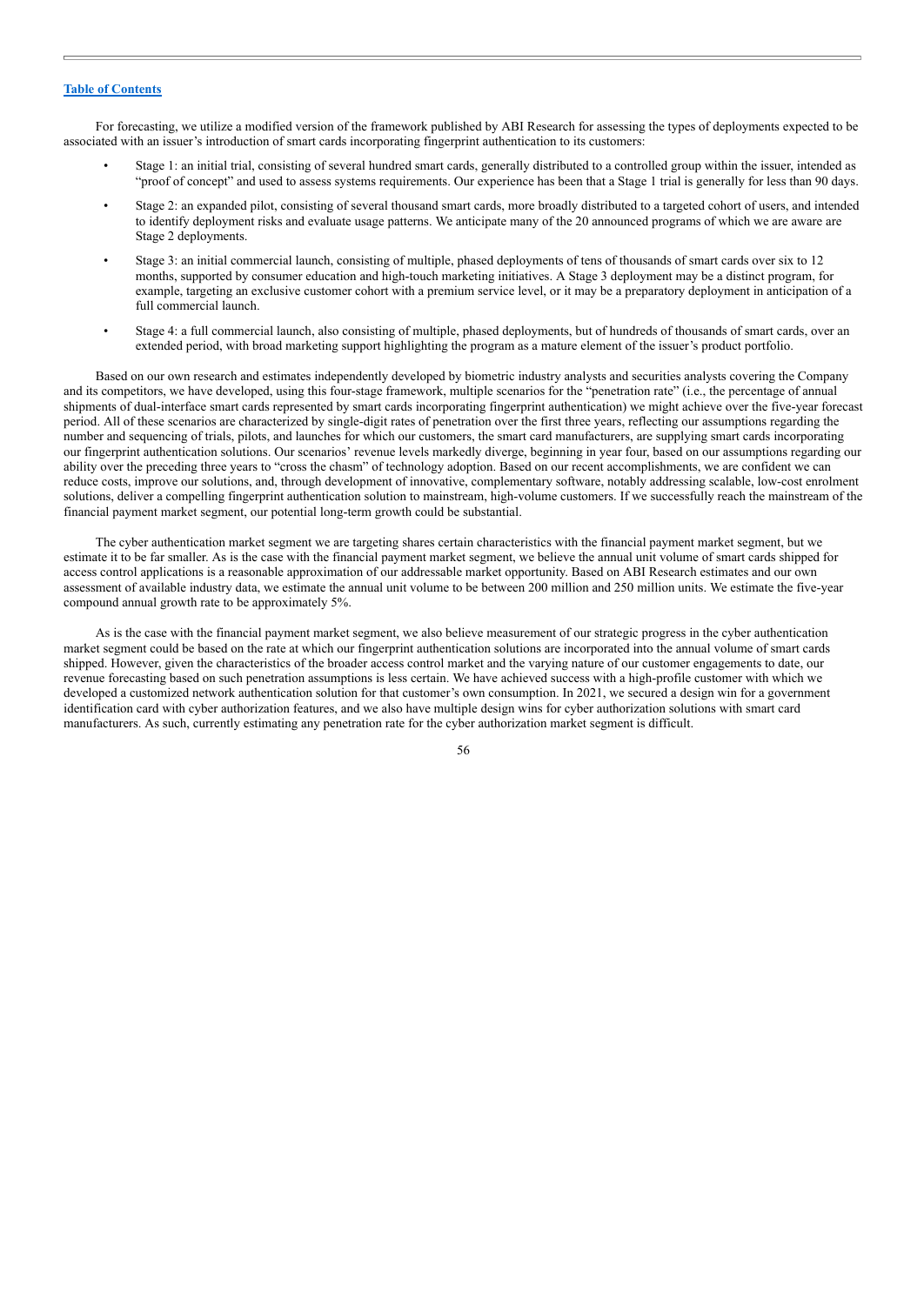For forecasting, we utilize a modified version of the framework published by ABI Research for assessing the types of deployments expected to be associated with an issuer's introduction of smart cards incorporating fingerprint authentication to its customers:

- Stage 1: an initial trial, consisting of several hundred smart cards, generally distributed to a controlled group within the issuer, intended as "proof of concept" and used to assess systems requirements. Our experience has been that a Stage 1 trial is generally for less than 90 days.
- Stage 2: an expanded pilot, consisting of several thousand smart cards, more broadly distributed to a targeted cohort of users, and intended to identify deployment risks and evaluate usage patterns. We anticipate many of the 20 announced programs of which we are aware are Stage 2 deployments.
- Stage 3: an initial commercial launch, consisting of multiple, phased deployments of tens of thousands of smart cards over six to 12 months, supported by consumer education and high-touch marketing initiatives. A Stage 3 deployment may be a distinct program, for example, targeting an exclusive customer cohort with a premium service level, or it may be a preparatory deployment in anticipation of a full commercial launch.
- Stage 4: a full commercial launch, also consisting of multiple, phased deployments, but of hundreds of thousands of smart cards, over an extended period, with broad marketing support highlighting the program as a mature element of the issuer's product portfolio.

Based on our own research and estimates independently developed by biometric industry analysts and securities analysts covering the Company and its competitors, we have developed, using this four-stage framework, multiple scenarios for the "penetration rate" (i.e., the percentage of annual shipments of dual-interface smart cards represented by smart cards incorporating fingerprint authentication) we might achieve over the five-year forecast period. All of these scenarios are characterized by single-digit rates of penetration over the first three years, reflecting our assumptions regarding the number and sequencing of trials, pilots, and launches for which our customers, the smart card manufacturers, are supplying smart cards incorporating our fingerprint authentication solutions. Our scenarios' revenue levels markedly diverge, beginning in year four, based on our assumptions regarding our ability over the preceding three years to "cross the chasm" of technology adoption. Based on our recent accomplishments, we are confident we can reduce costs, improve our solutions, and, through development of innovative, complementary software, notably addressing scalable, low-cost enrolment solutions, deliver a compelling fingerprint authentication solution to mainstream, high-volume customers. If we successfully reach the mainstream of the financial payment market segment, our potential long-term growth could be substantial.

The cyber authentication market segment we are targeting shares certain characteristics with the financial payment market segment, but we estimate it to be far smaller. As is the case with the financial payment market segment, we believe the annual unit volume of smart cards shipped for access control applications is a reasonable approximation of our addressable market opportunity. Based on ABI Research estimates and our own assessment of available industry data, we estimate the annual unit volume to be between 200 million and 250 million units. We estimate the five-year compound annual growth rate to be approximately 5%.

As is the case with the financial payment market segment, we also believe measurement of our strategic progress in the cyber authentication market segment could be based on the rate at which our fingerprint authentication solutions are incorporated into the annual volume of smart cards shipped. However, given the characteristics of the broader access control market and the varying nature of our customer engagements to date, our revenue forecasting based on such penetration assumptions is less certain. We have achieved success with a high-profile customer with which we developed a customized network authentication solution for that customer's own consumption. In 2021, we secured a design win for a government identification card with cyber authorization features, and we also have multiple design wins for cyber authorization solutions with smart card manufacturers. As such, currently estimating any penetration rate for the cyber authorization market segment is difficult.

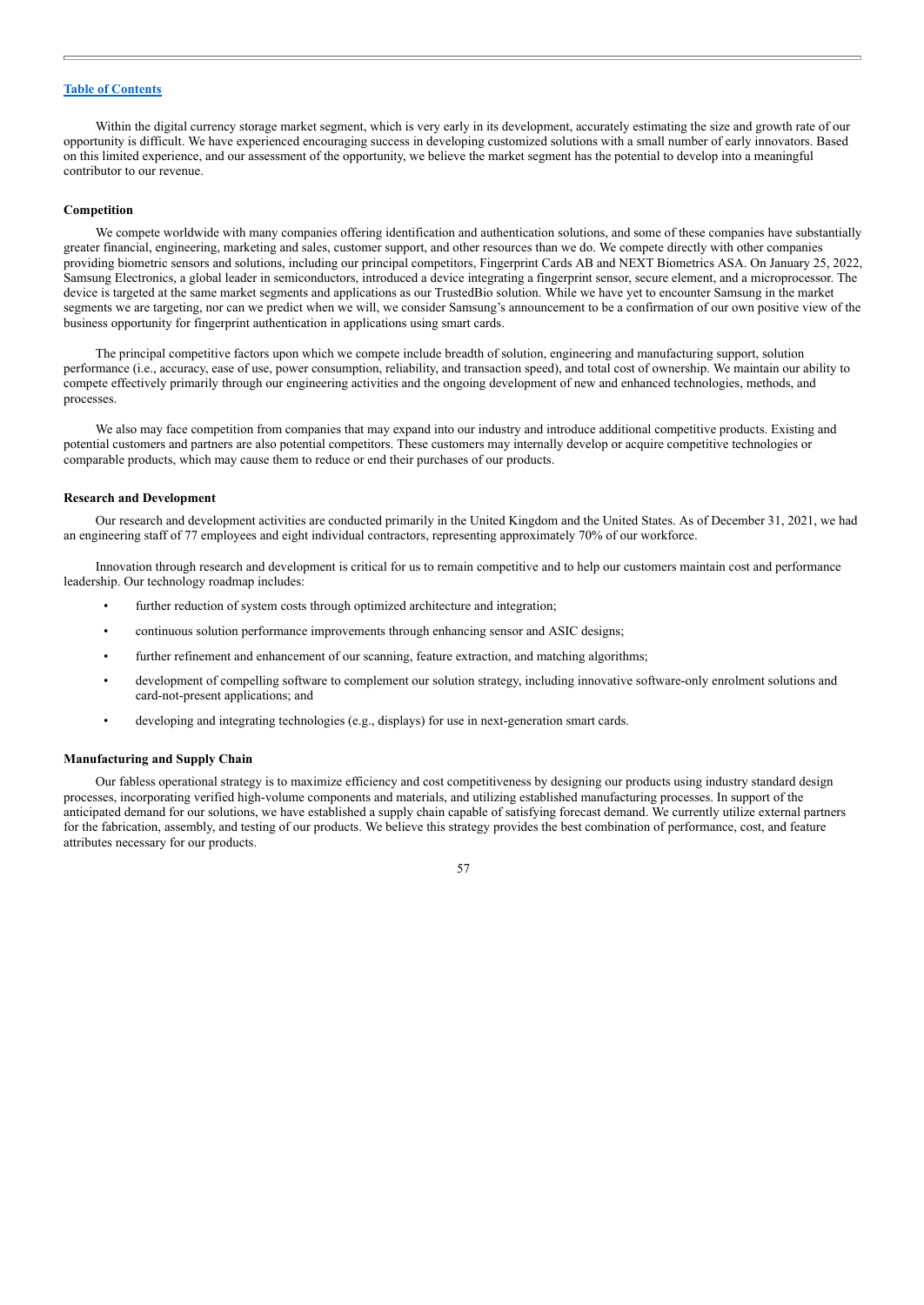Within the digital currency storage market segment, which is very early in its development, accurately estimating the size and growth rate of our opportunity is difficult. We have experienced encouraging success in developing customized solutions with a small number of early innovators. Based on this limited experience, and our assessment of the opportunity, we believe the market segment has the potential to develop into a meaningful contributor to our revenue.

### **Competition**

We compete worldwide with many companies offering identification and authentication solutions, and some of these companies have substantially greater financial, engineering, marketing and sales, customer support, and other resources than we do. We compete directly with other companies providing biometric sensors and solutions, including our principal competitors, Fingerprint Cards AB and NEXT Biometrics ASA. On January 25, 2022, Samsung Electronics, a global leader in semiconductors, introduced a device integrating a fingerprint sensor, secure element, and a microprocessor. The device is targeted at the same market segments and applications as our TrustedBio solution. While we have yet to encounter Samsung in the market segments we are targeting, nor can we predict when we will, we consider Samsung's announcement to be a confirmation of our own positive view of the business opportunity for fingerprint authentication in applications using smart cards.

The principal competitive factors upon which we compete include breadth of solution, engineering and manufacturing support, solution performance (i.e., accuracy, ease of use, power consumption, reliability, and transaction speed), and total cost of ownership. We maintain our ability to compete effectively primarily through our engineering activities and the ongoing development of new and enhanced technologies, methods, and processes.

We also may face competition from companies that may expand into our industry and introduce additional competitive products. Existing and potential customers and partners are also potential competitors. These customers may internally develop or acquire competitive technologies or comparable products, which may cause them to reduce or end their purchases of our products.

#### **Research and Development**

Our research and development activities are conducted primarily in the United Kingdom and the United States. As of December 31, 2021, we had an engineering staff of 77 employees and eight individual contractors, representing approximately 70% of our workforce.

Innovation through research and development is critical for us to remain competitive and to help our customers maintain cost and performance leadership. Our technology roadmap includes:

- further reduction of system costs through optimized architecture and integration;
- continuous solution performance improvements through enhancing sensor and ASIC designs;
- further refinement and enhancement of our scanning, feature extraction, and matching algorithms;
- development of compelling software to complement our solution strategy, including innovative software-only enrolment solutions and card-not-present applications; and
- developing and integrating technologies (e.g., displays) for use in next-generation smart cards.

#### **Manufacturing and Supply Chain**

Our fabless operational strategy is to maximize efficiency and cost competitiveness by designing our products using industry standard design processes, incorporating verified high-volume components and materials, and utilizing established manufacturing processes. In support of the anticipated demand for our solutions, we have established a supply chain capable of satisfying forecast demand. We currently utilize external partners for the fabrication, assembly, and testing of our products. We believe this strategy provides the best combination of performance, cost, and feature attributes necessary for our products.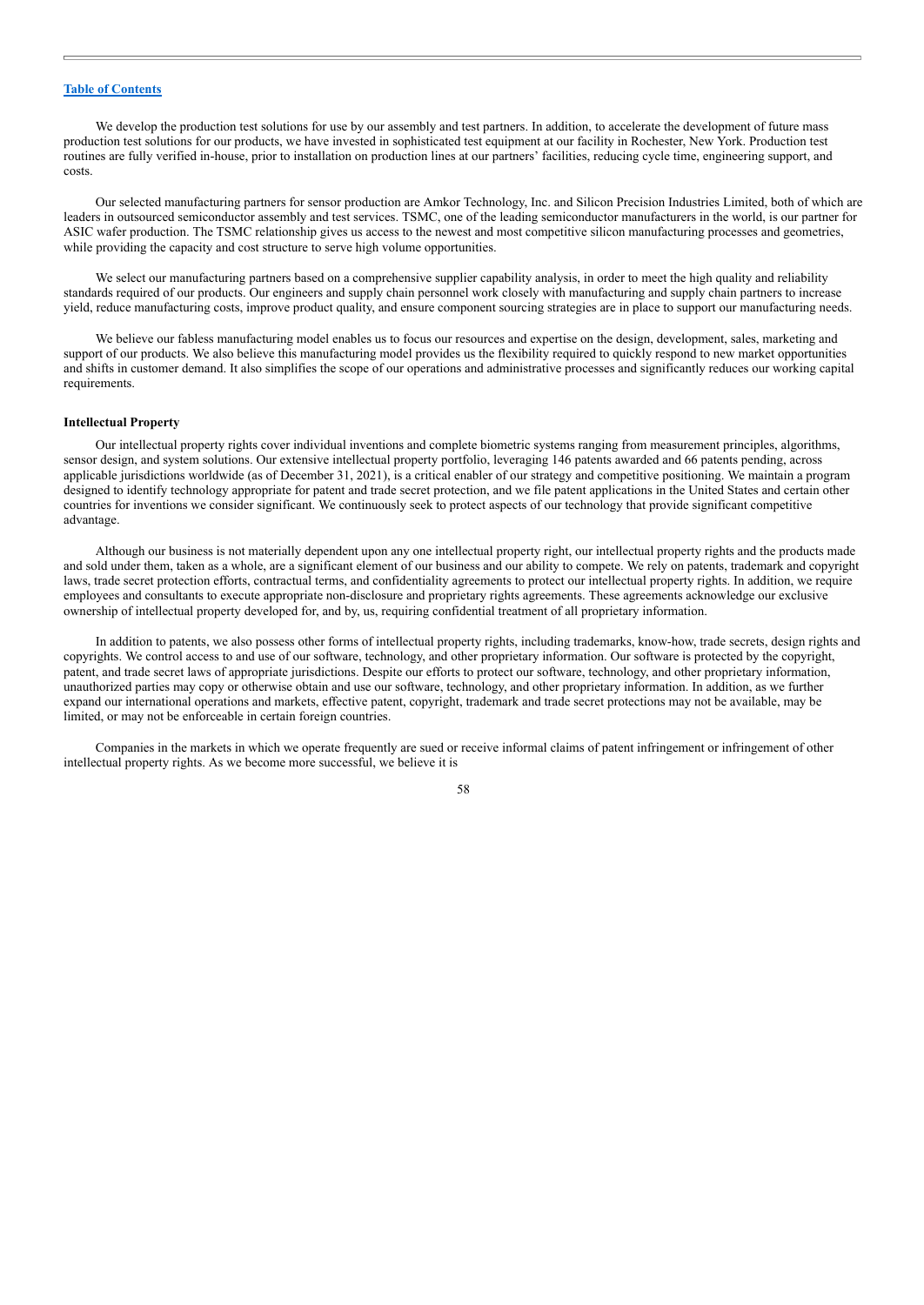We develop the production test solutions for use by our assembly and test partners. In addition, to accelerate the development of future mass production test solutions for our products, we have invested in sophisticated test equipment at our facility in Rochester, New York. Production test routines are fully verified in-house, prior to installation on production lines at our partners' facilities, reducing cycle time, engineering support, and costs.

Our selected manufacturing partners for sensor production are Amkor Technology, Inc. and Silicon Precision Industries Limited, both of which are leaders in outsourced semiconductor assembly and test services. TSMC, one of the leading semiconductor manufacturers in the world, is our partner for ASIC wafer production. The TSMC relationship gives us access to the newest and most competitive silicon manufacturing processes and geometries, while providing the capacity and cost structure to serve high volume opportunities.

We select our manufacturing partners based on a comprehensive supplier capability analysis, in order to meet the high quality and reliability standards required of our products. Our engineers and supply chain personnel work closely with manufacturing and supply chain partners to increase yield, reduce manufacturing costs, improve product quality, and ensure component sourcing strategies are in place to support our manufacturing needs.

We believe our fabless manufacturing model enables us to focus our resources and expertise on the design, development, sales, marketing and support of our products. We also believe this manufacturing model provides us the flexibility required to quickly respond to new market opportunities and shifts in customer demand. It also simplifies the scope of our operations and administrative processes and significantly reduces our working capital requirements.

### **Intellectual Property**

Our intellectual property rights cover individual inventions and complete biometric systems ranging from measurement principles, algorithms, sensor design, and system solutions. Our extensive intellectual property portfolio, leveraging 146 patents awarded and 66 patents pending, across applicable jurisdictions worldwide (as of December 31, 2021), is a critical enabler of our strategy and competitive positioning. We maintain a program designed to identify technology appropriate for patent and trade secret protection, and we file patent applications in the United States and certain other countries for inventions we consider significant. We continuously seek to protect aspects of our technology that provide significant competitive advantage.

Although our business is not materially dependent upon any one intellectual property right, our intellectual property rights and the products made and sold under them, taken as a whole, are a significant element of our business and our ability to compete. We rely on patents, trademark and copyright laws, trade secret protection efforts, contractual terms, and confidentiality agreements to protect our intellectual property rights. In addition, we require employees and consultants to execute appropriate non-disclosure and proprietary rights agreements. These agreements acknowledge our exclusive ownership of intellectual property developed for, and by, us, requiring confidential treatment of all proprietary information.

In addition to patents, we also possess other forms of intellectual property rights, including trademarks, know-how, trade secrets, design rights and copyrights. We control access to and use of our software, technology, and other proprietary information. Our software is protected by the copyright, patent, and trade secret laws of appropriate jurisdictions. Despite our efforts to protect our software, technology, and other proprietary information, unauthorized parties may copy or otherwise obtain and use our software, technology, and other proprietary information. In addition, as we further expand our international operations and markets, effective patent, copyright, trademark and trade secret protections may not be available, may be limited, or may not be enforceable in certain foreign countries.

Companies in the markets in which we operate frequently are sued or receive informal claims of patent infringement or infringement of other intellectual property rights. As we become more successful, we believe it is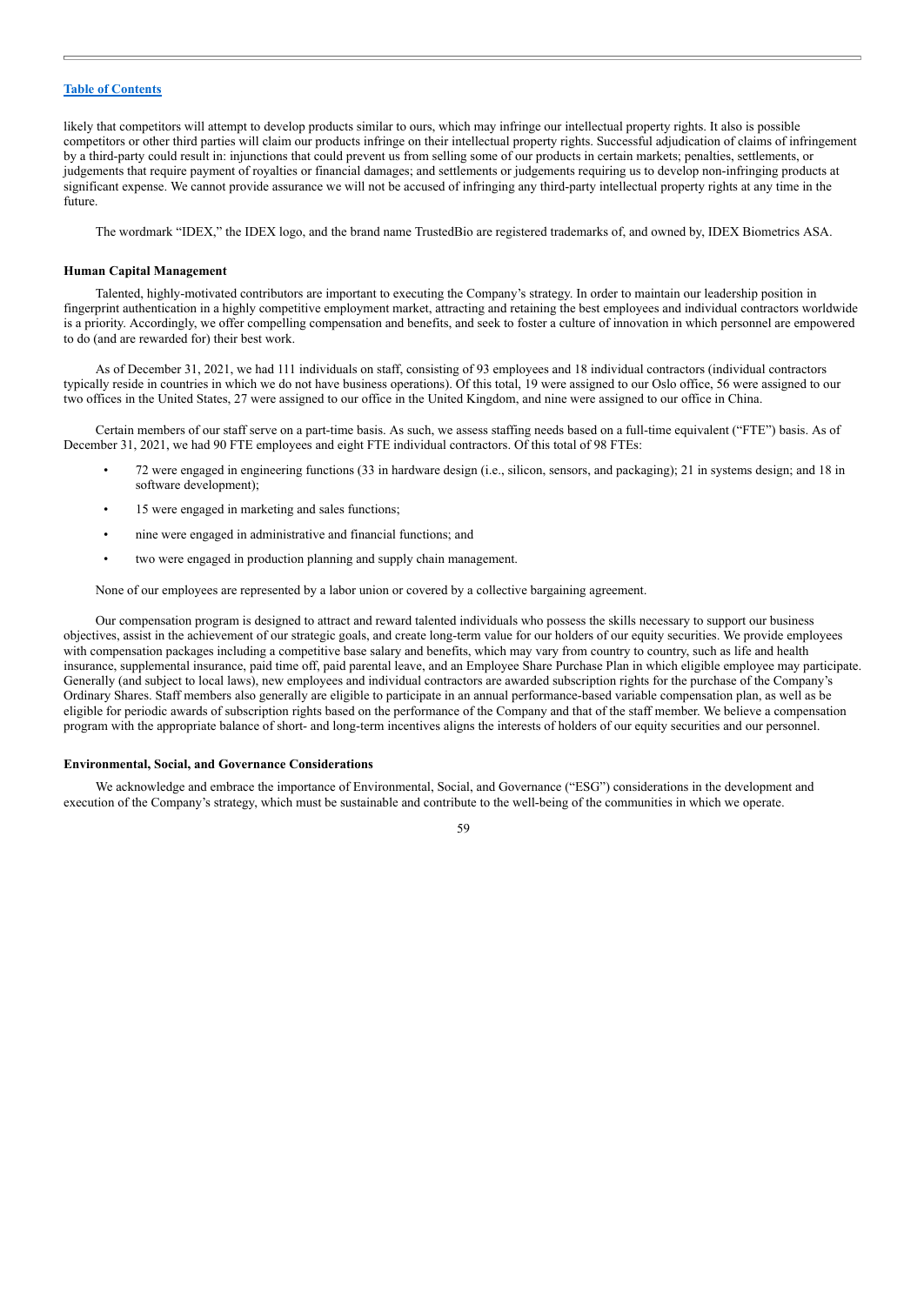likely that competitors will attempt to develop products similar to ours, which may infringe our intellectual property rights. It also is possible competitors or other third parties will claim our products infringe on their intellectual property rights. Successful adjudication of claims of infringement by a third-party could result in: injunctions that could prevent us from selling some of our products in certain markets; penalties, settlements, or judgements that require payment of royalties or financial damages; and settlements or judgements requiring us to develop non-infringing products at significant expense. We cannot provide assurance we will not be accused of infringing any third-party intellectual property rights at any time in the future.

The wordmark "IDEX," the IDEX logo, and the brand name TrustedBio are registered trademarks of, and owned by, IDEX Biometrics ASA.

### **Human Capital Management**

Talented, highly-motivated contributors are important to executing the Company's strategy. In order to maintain our leadership position in fingerprint authentication in a highly competitive employment market, attracting and retaining the best employees and individual contractors worldwide is a priority. Accordingly, we offer compelling compensation and benefits, and seek to foster a culture of innovation in which personnel are empowered to do (and are rewarded for) their best work.

As of December 31, 2021, we had 111 individuals on staff, consisting of 93 employees and 18 individual contractors (individual contractors typically reside in countries in which we do not have business operations). Of this total, 19 were assigned to our Oslo office, 56 were assigned to our two offices in the United States, 27 were assigned to our office in the United Kingdom, and nine were assigned to our office in China.

Certain members of our staff serve on a part-time basis. As such, we assess staffing needs based on a full-time equivalent ("FTE") basis. As of December 31, 2021, we had 90 FTE employees and eight FTE individual contractors. Of this total of 98 FTEs:

- 72 were engaged in engineering functions (33 in hardware design (i.e., silicon, sensors, and packaging); 21 in systems design; and 18 in software development);
- 15 were engaged in marketing and sales functions;
- nine were engaged in administrative and financial functions; and
- two were engaged in production planning and supply chain management.

None of our employees are represented by a labor union or covered by a collective bargaining agreement.

Our compensation program is designed to attract and reward talented individuals who possess the skills necessary to support our business objectives, assist in the achievement of our strategic goals, and create long-term value for our holders of our equity securities. We provide employees with compensation packages including a competitive base salary and benefits, which may vary from country to country, such as life and health insurance, supplemental insurance, paid time off, paid parental leave, and an Employee Share Purchase Plan in which eligible employee may participate. Generally (and subject to local laws), new employees and individual contractors are awarded subscription rights for the purchase of the Company's Ordinary Shares. Staff members also generally are eligible to participate in an annual performance-based variable compensation plan, as well as be eligible for periodic awards of subscription rights based on the performance of the Company and that of the staff member. We believe a compensation program with the appropriate balance of short- and long-term incentives aligns the interests of holders of our equity securities and our personnel.

#### **Environmental, Social, and Governance Considerations**

We acknowledge and embrace the importance of Environmental, Social, and Governance ("ESG") considerations in the development and execution of the Company's strategy, which must be sustainable and contribute to the well-being of the communities in which we operate.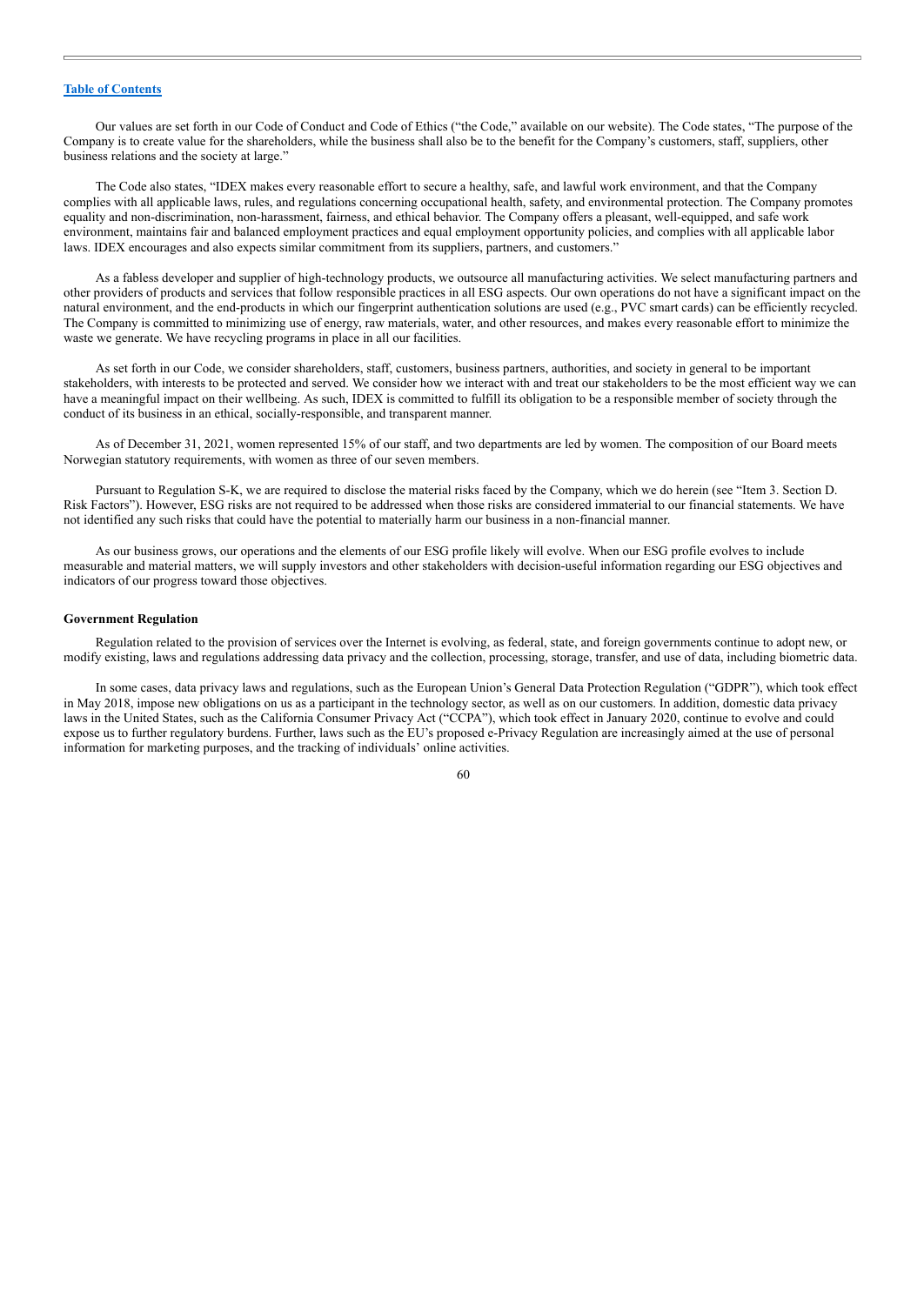Our values are set forth in our Code of Conduct and Code of Ethics ("the Code," available on our website). The Code states, "The purpose of the Company is to create value for the shareholders, while the business shall also be to the benefit for the Company's customers, staff, suppliers, other business relations and the society at large."

The Code also states, "IDEX makes every reasonable effort to secure a healthy, safe, and lawful work environment, and that the Company complies with all applicable laws, rules, and regulations concerning occupational health, safety, and environmental protection. The Company promotes equality and non-discrimination, non-harassment, fairness, and ethical behavior. The Company offers a pleasant, well-equipped, and safe work environment, maintains fair and balanced employment practices and equal employment opportunity policies, and complies with all applicable labor laws. IDEX encourages and also expects similar commitment from its suppliers, partners, and customers."

As a fabless developer and supplier of high-technology products, we outsource all manufacturing activities. We select manufacturing partners and other providers of products and services that follow responsible practices in all ESG aspects. Our own operations do not have a significant impact on the natural environment, and the end-products in which our fingerprint authentication solutions are used (e.g., PVC smart cards) can be efficiently recycled. The Company is committed to minimizing use of energy, raw materials, water, and other resources, and makes every reasonable effort to minimize the waste we generate. We have recycling programs in place in all our facilities.

As set forth in our Code, we consider shareholders, staff, customers, business partners, authorities, and society in general to be important stakeholders, with interests to be protected and served. We consider how we interact with and treat our stakeholders to be the most efficient way we can have a meaningful impact on their wellbeing. As such, IDEX is committed to fulfill its obligation to be a responsible member of society through the conduct of its business in an ethical, socially-responsible, and transparent manner.

As of December 31, 2021, women represented 15% of our staff, and two departments are led by women. The composition of our Board meets Norwegian statutory requirements, with women as three of our seven members.

Pursuant to Regulation S-K, we are required to disclose the material risks faced by the Company, which we do herein (see "Item 3. Section D. Risk Factors"). However, ESG risks are not required to be addressed when those risks are considered immaterial to our financial statements. We have not identified any such risks that could have the potential to materially harm our business in a non-financial manner.

As our business grows, our operations and the elements of our ESG profile likely will evolve. When our ESG profile evolves to include measurable and material matters, we will supply investors and other stakeholders with decision-useful information regarding our ESG objectives and indicators of our progress toward those objectives.

#### **Government Regulation**

Regulation related to the provision of services over the Internet is evolving, as federal, state, and foreign governments continue to adopt new, or modify existing, laws and regulations addressing data privacy and the collection, processing, storage, transfer, and use of data, including biometric data.

In some cases, data privacy laws and regulations, such as the European Union's General Data Protection Regulation ("GDPR"), which took effect in May 2018, impose new obligations on us as a participant in the technology sector, as well as on our customers. In addition, domestic data privacy laws in the United States, such as the California Consumer Privacy Act ("CCPA"), which took effect in January 2020, continue to evolve and could expose us to further regulatory burdens. Further, laws such as the EU's proposed e-Privacy Regulation are increasingly aimed at the use of personal information for marketing purposes, and the tracking of individuals' online activities.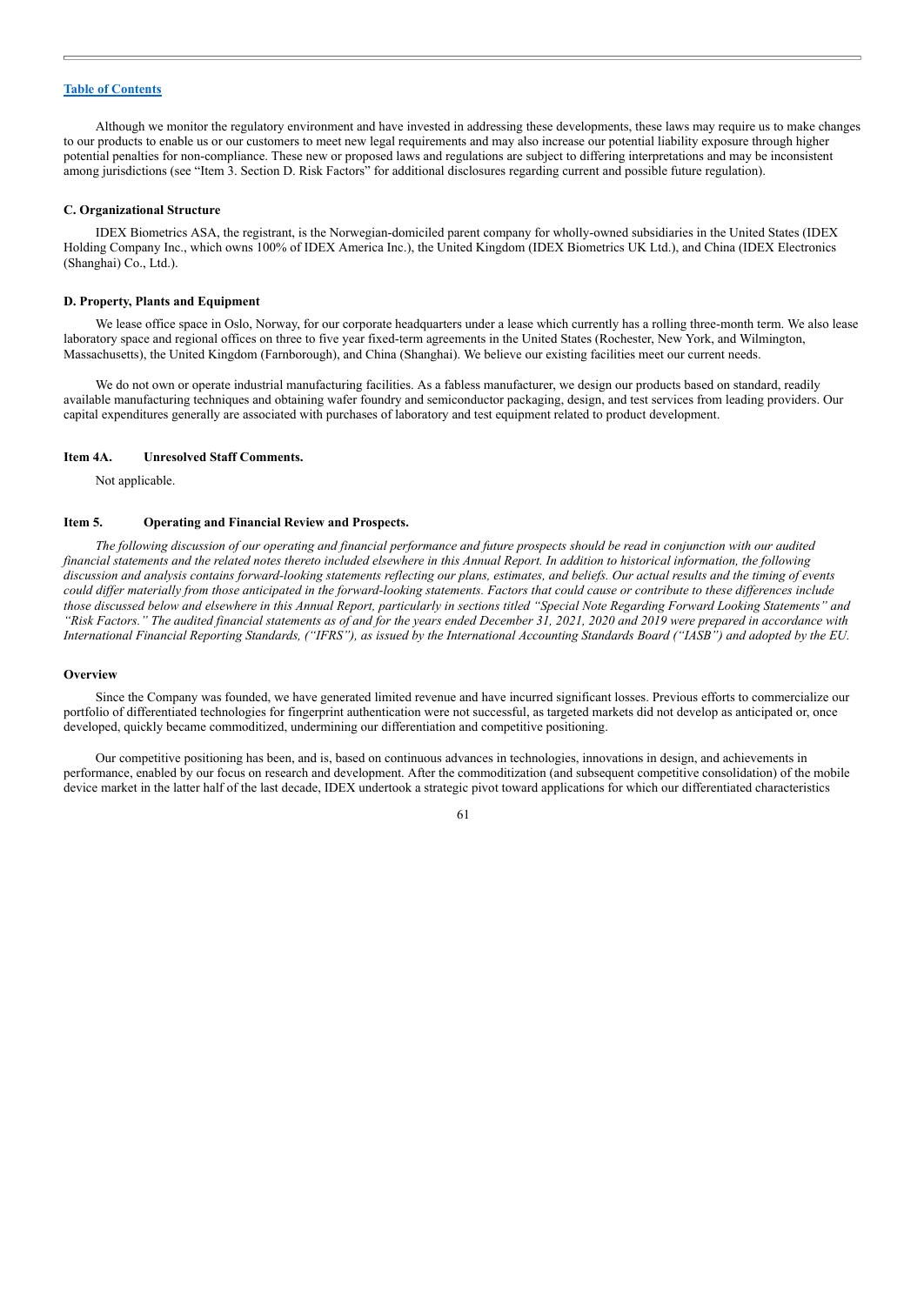Although we monitor the regulatory environment and have invested in addressing these developments, these laws may require us to make changes to our products to enable us or our customers to meet new legal requirements and may also increase our potential liability exposure through higher potential penalties for non-compliance. These new or proposed laws and regulations are subject to differing interpretations and may be inconsistent among jurisdictions (see "Item 3. Section D. Risk Factors" for additional disclosures regarding current and possible future regulation).

#### **C. Organizational Structure**

IDEX Biometrics ASA, the registrant, is the Norwegian-domiciled parent company for wholly-owned subsidiaries in the United States (IDEX Holding Company Inc., which owns 100% of IDEX America Inc.), the United Kingdom (IDEX Biometrics UK Ltd.), and China (IDEX Electronics (Shanghai) Co., Ltd.).

### **D. Property, Plants and Equipment**

We lease office space in Oslo, Norway, for our corporate headquarters under a lease which currently has a rolling three-month term. We also lease laboratory space and regional offices on three to five year fixed-term agreements in the United States (Rochester, New York, and Wilmington, Massachusetts), the United Kingdom (Farnborough), and China (Shanghai). We believe our existing facilities meet our current needs.

We do not own or operate industrial manufacturing facilities. As a fabless manufacturer, we design our products based on standard, readily available manufacturing techniques and obtaining wafer foundry and semiconductor packaging, design, and test services from leading providers. Our capital expenditures generally are associated with purchases of laboratory and test equipment related to product development.

### **Item 4A. Unresolved Staff Comments.**

Not applicable.

#### **Item 5. Operating and Financial Review and Prospects.**

*The following discussion of our operating and financial performance and future prospects should be read in conjunction with our audited financial statements and the related notes thereto included elsewhere in this Annual Report. In addition to historical information, the following discussion and analysis contains forward-looking statements reflecting our plans, estimates, and beliefs. Our actual results and the timing of events could differ materially from those anticipated in the forward-looking statements. Factors that could cause or contribute to these differences include those discussed below and elsewhere in this Annual Report, particularly in sections titled "Special Note Regarding Forward Looking Statements" and "Risk Factors." The audited financial statements as of and for the years ended December 31, 2021, 2020 and 2019 were prepared in accordance with International Financial Reporting Standards, ("IFRS"), as issued by the International Accounting Standards Board ("IASB") and adopted by the EU.*

# **Overview**

Since the Company was founded, we have generated limited revenue and have incurred significant losses. Previous efforts to commercialize our portfolio of differentiated technologies for fingerprint authentication were not successful, as targeted markets did not develop as anticipated or, once developed, quickly became commoditized, undermining our differentiation and competitive positioning.

Our competitive positioning has been, and is, based on continuous advances in technologies, innovations in design, and achievements in performance, enabled by our focus on research and development. After the commoditization (and subsequent competitive consolidation) of the mobile device market in the latter half of the last decade, IDEX undertook a strategic pivot toward applications for which our differentiated characteristics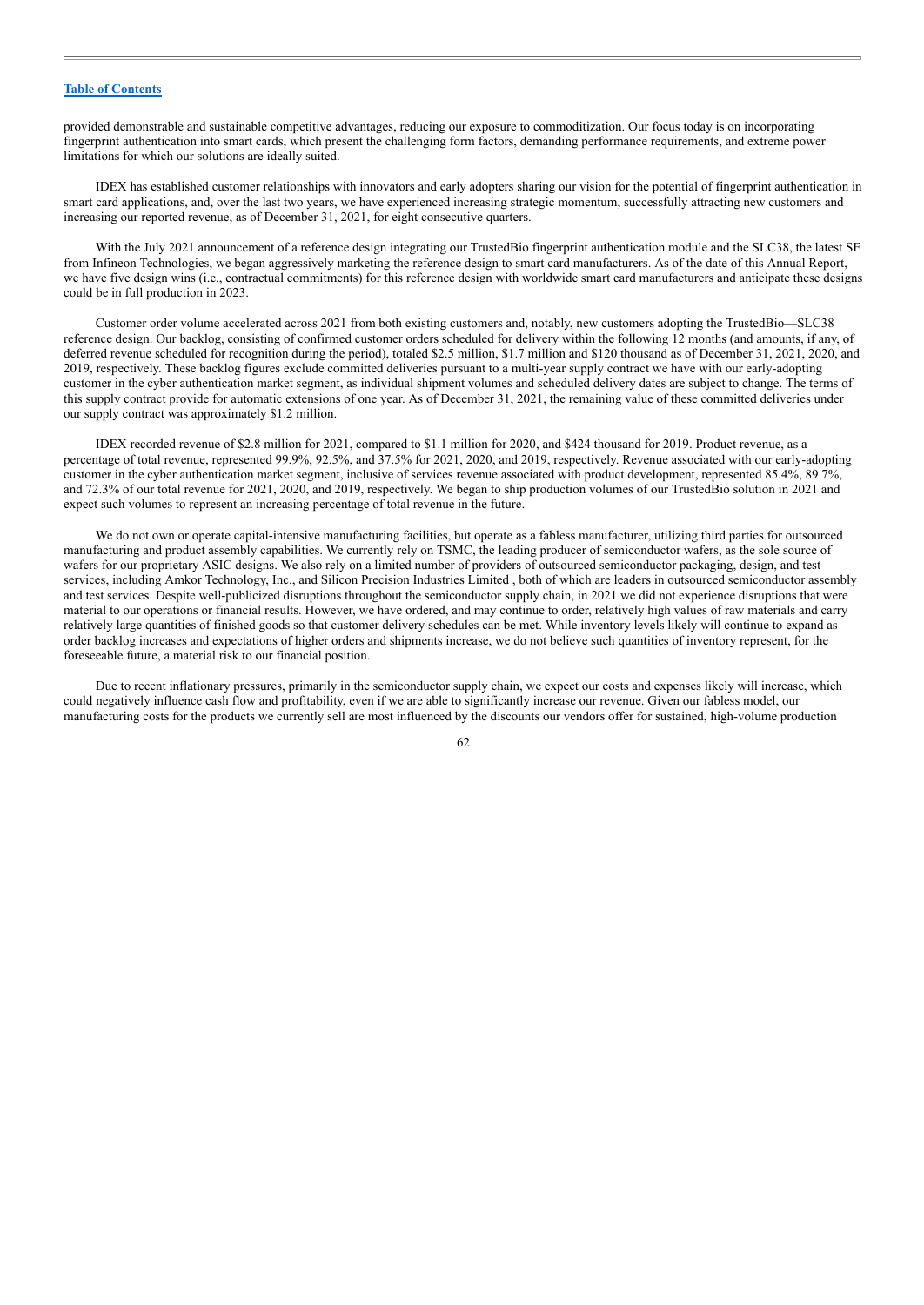provided demonstrable and sustainable competitive advantages, reducing our exposure to commoditization. Our focus today is on incorporating fingerprint authentication into smart cards, which present the challenging form factors, demanding performance requirements, and extreme power limitations for which our solutions are ideally suited.

IDEX has established customer relationships with innovators and early adopters sharing our vision for the potential of fingerprint authentication in smart card applications, and, over the last two years, we have experienced increasing strategic momentum, successfully attracting new customers and increasing our reported revenue, as of December 31, 2021, for eight consecutive quarters.

With the July 2021 announcement of a reference design integrating our TrustedBio fingerprint authentication module and the SLC38, the latest SE from Infineon Technologies, we began aggressively marketing the reference design to smart card manufacturers. As of the date of this Annual Report, we have five design wins (i.e., contractual commitments) for this reference design with worldwide smart card manufacturers and anticipate these designs could be in full production in 2023.

Customer order volume accelerated across 2021 from both existing customers and, notably, new customers adopting the TrustedBio—SLC38 reference design. Our backlog, consisting of confirmed customer orders scheduled for delivery within the following 12 months (and amounts, if any, of deferred revenue scheduled for recognition during the period), totaled \$2.5 million, \$1.7 million and \$120 thousand as of December 31, 2021, 2020, and 2019, respectively. These backlog figures exclude committed deliveries pursuant to a multi-year supply contract we have with our early-adopting customer in the cyber authentication market segment, as individual shipment volumes and scheduled delivery dates are subject to change. The terms of this supply contract provide for automatic extensions of one year. As of December 31, 2021, the remaining value of these committed deliveries under our supply contract was approximately \$1.2 million.

IDEX recorded revenue of \$2.8 million for 2021, compared to \$1.1 million for 2020, and \$424 thousand for 2019. Product revenue, as a percentage of total revenue, represented 99.9%, 92.5%, and 37.5% for 2021, 2020, and 2019, respectively. Revenue associated with our early-adopting customer in the cyber authentication market segment, inclusive of services revenue associated with product development, represented 85.4%, 89.7%, and 72.3% of our total revenue for 2021, 2020, and 2019, respectively. We began to ship production volumes of our TrustedBio solution in 2021 and expect such volumes to represent an increasing percentage of total revenue in the future.

We do not own or operate capital-intensive manufacturing facilities, but operate as a fabless manufacturer, utilizing third parties for outsourced manufacturing and product assembly capabilities. We currently rely on TSMC, the leading producer of semiconductor wafers, as the sole source of wafers for our proprietary ASIC designs. We also rely on a limited number of providers of outsourced semiconductor packaging, design, and test services, including Amkor Technology, Inc., and Silicon Precision Industries Limited , both of which are leaders in outsourced semiconductor assembly and test services. Despite well-publicized disruptions throughout the semiconductor supply chain, in 2021 we did not experience disruptions that were material to our operations or financial results. However, we have ordered, and may continue to order, relatively high values of raw materials and carry relatively large quantities of finished goods so that customer delivery schedules can be met. While inventory levels likely will continue to expand as order backlog increases and expectations of higher orders and shipments increase, we do not believe such quantities of inventory represent, for the foreseeable future, a material risk to our financial position.

Due to recent inflationary pressures, primarily in the semiconductor supply chain, we expect our costs and expenses likely will increase, which could negatively influence cash flow and profitability, even if we are able to significantly increase our revenue. Given our fabless model, our manufacturing costs for the products we currently sell are most influenced by the discounts our vendors offer for sustained, high-volume production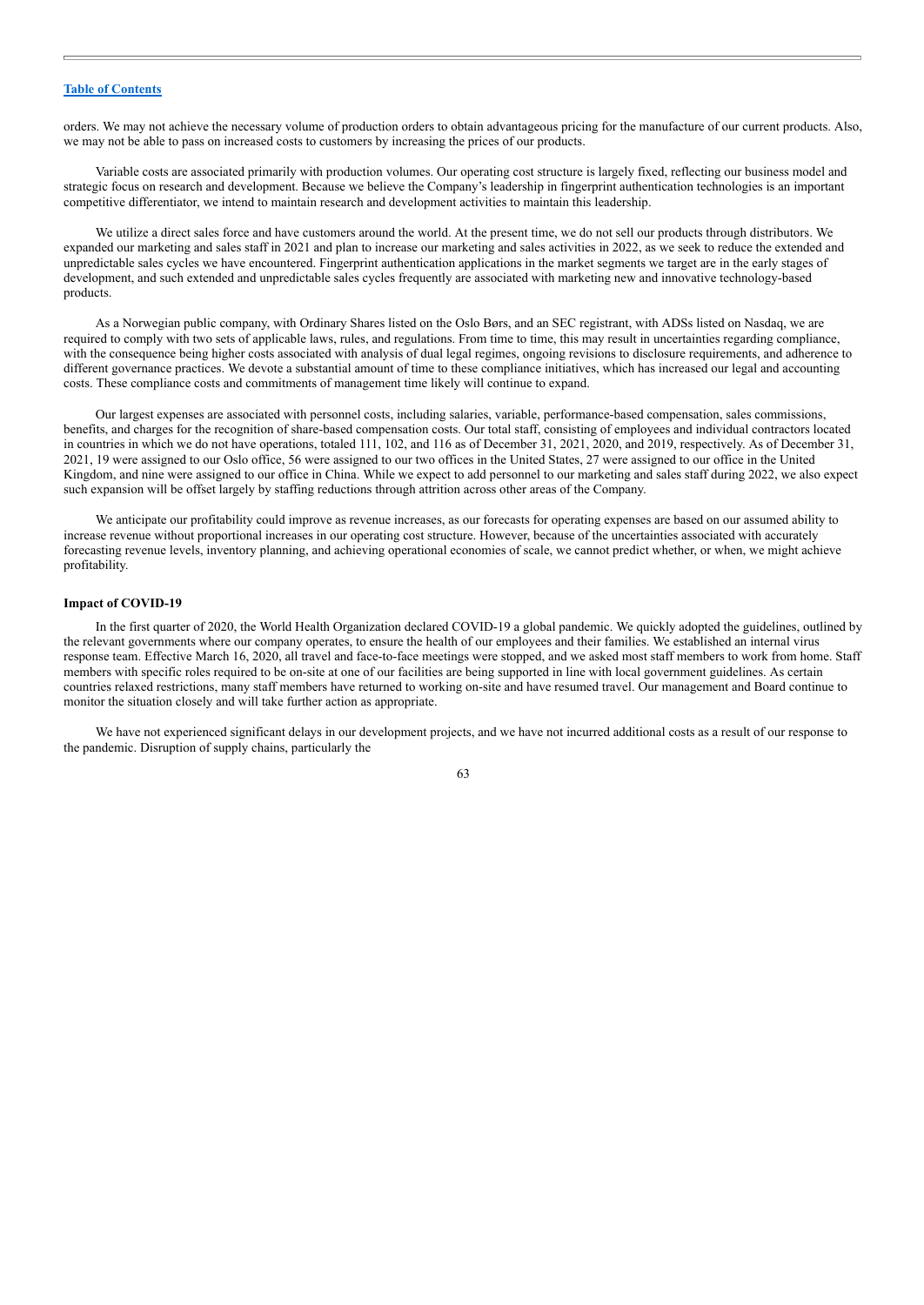orders. We may not achieve the necessary volume of production orders to obtain advantageous pricing for the manufacture of our current products. Also, we may not be able to pass on increased costs to customers by increasing the prices of our products.

Variable costs are associated primarily with production volumes. Our operating cost structure is largely fixed, reflecting our business model and strategic focus on research and development. Because we believe the Company's leadership in fingerprint authentication technologies is an important competitive differentiator, we intend to maintain research and development activities to maintain this leadership.

We utilize a direct sales force and have customers around the world. At the present time, we do not sell our products through distributors. We expanded our marketing and sales staff in 2021 and plan to increase our marketing and sales activities in 2022, as we seek to reduce the extended and unpredictable sales cycles we have encountered. Fingerprint authentication applications in the market segments we target are in the early stages of development, and such extended and unpredictable sales cycles frequently are associated with marketing new and innovative technology-based products.

As a Norwegian public company, with Ordinary Shares listed on the Oslo Børs, and an SEC registrant, with ADSs listed on Nasdaq, we are required to comply with two sets of applicable laws, rules, and regulations. From time to time, this may result in uncertainties regarding compliance, with the consequence being higher costs associated with analysis of dual legal regimes, ongoing revisions to disclosure requirements, and adherence to different governance practices. We devote a substantial amount of time to these compliance initiatives, which has increased our legal and accounting costs. These compliance costs and commitments of management time likely will continue to expand.

Our largest expenses are associated with personnel costs, including salaries, variable, performance-based compensation, sales commissions, benefits, and charges for the recognition of share-based compensation costs. Our total staff, consisting of employees and individual contractors located in countries in which we do not have operations, totaled 111, 102, and 116 as of December 31, 2021, 2020, and 2019, respectively. As of December 31, 2021, 19 were assigned to our Oslo office, 56 were assigned to our two offices in the United States, 27 were assigned to our office in the United Kingdom, and nine were assigned to our office in China. While we expect to add personnel to our marketing and sales staff during 2022, we also expect such expansion will be offset largely by staffing reductions through attrition across other areas of the Company.

We anticipate our profitability could improve as revenue increases, as our forecasts for operating expenses are based on our assumed ability to increase revenue without proportional increases in our operating cost structure. However, because of the uncertainties associated with accurately forecasting revenue levels, inventory planning, and achieving operational economies of scale, we cannot predict whether, or when, we might achieve profitability.

# **Impact of COVID-19**

In the first quarter of 2020, the World Health Organization declared COVID-19 a global pandemic. We quickly adopted the guidelines, outlined by the relevant governments where our company operates, to ensure the health of our employees and their families. We established an internal virus response team. Effective March 16, 2020, all travel and face-to-face meetings were stopped, and we asked most staff members to work from home. Staff members with specific roles required to be on-site at one of our facilities are being supported in line with local government guidelines. As certain countries relaxed restrictions, many staff members have returned to working on-site and have resumed travel. Our management and Board continue to monitor the situation closely and will take further action as appropriate.

We have not experienced significant delays in our development projects, and we have not incurred additional costs as a result of our response to the pandemic. Disruption of supply chains, particularly the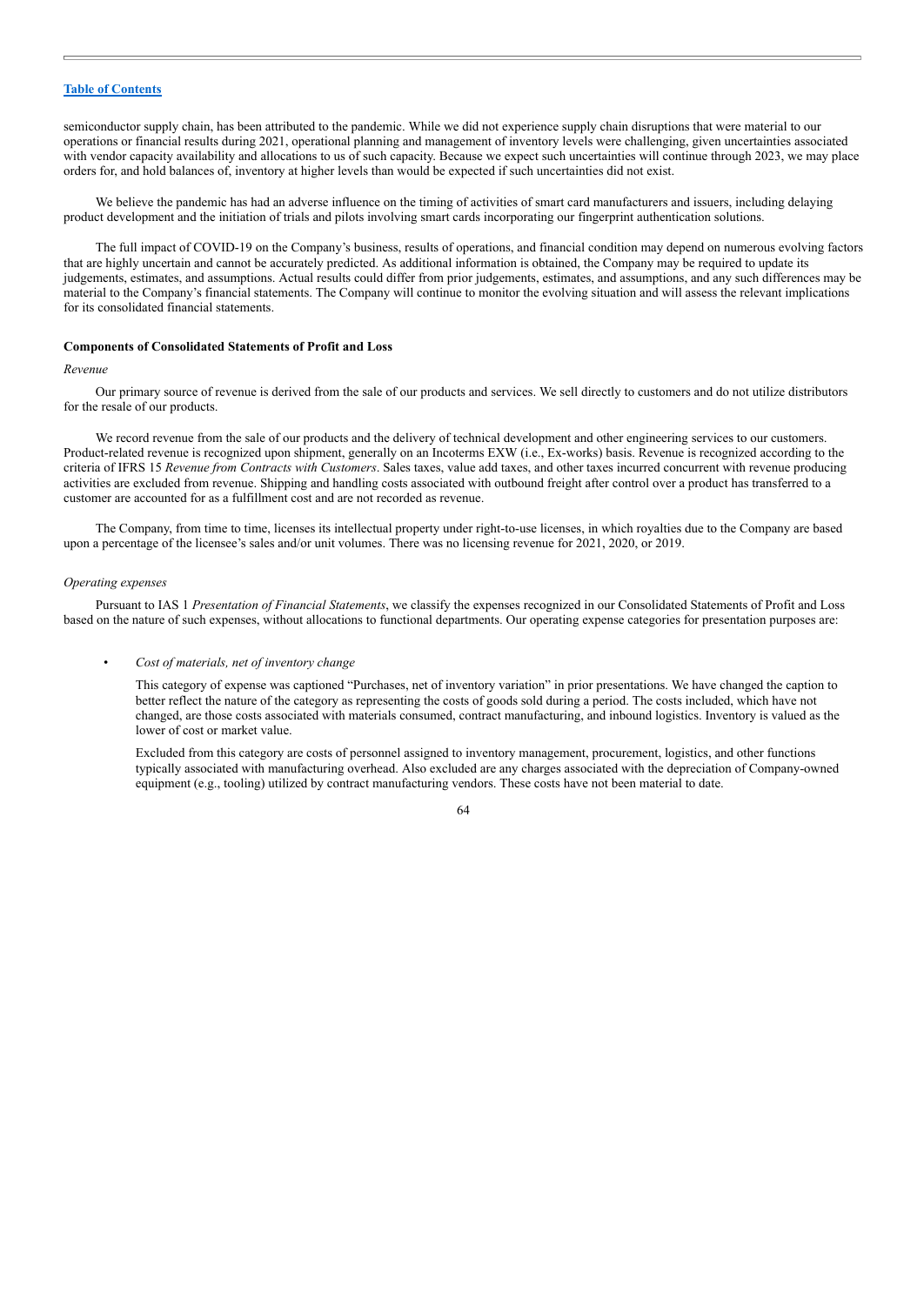semiconductor supply chain, has been attributed to the pandemic. While we did not experience supply chain disruptions that were material to our operations or financial results during 2021, operational planning and management of inventory levels were challenging, given uncertainties associated with vendor capacity availability and allocations to us of such capacity. Because we expect such uncertainties will continue through 2023, we may place orders for, and hold balances of, inventory at higher levels than would be expected if such uncertainties did not exist.

We believe the pandemic has had an adverse influence on the timing of activities of smart card manufacturers and issuers, including delaying product development and the initiation of trials and pilots involving smart cards incorporating our fingerprint authentication solutions.

The full impact of COVID-19 on the Company's business, results of operations, and financial condition may depend on numerous evolving factors that are highly uncertain and cannot be accurately predicted. As additional information is obtained, the Company may be required to update its judgements, estimates, and assumptions. Actual results could differ from prior judgements, estimates, and assumptions, and any such differences may be material to the Company's financial statements. The Company will continue to monitor the evolving situation and will assess the relevant implications for its consolidated financial statements.

#### **Components of Consolidated Statements of Profit and Loss**

#### *Revenue*

Our primary source of revenue is derived from the sale of our products and services. We sell directly to customers and do not utilize distributors for the resale of our products.

We record revenue from the sale of our products and the delivery of technical development and other engineering services to our customers. Product-related revenue is recognized upon shipment, generally on an Incoterms EXW (i.e., Ex-works) basis. Revenue is recognized according to the criteria of IFRS 15 *Revenue from Contracts with Customers*. Sales taxes, value add taxes, and other taxes incurred concurrent with revenue producing activities are excluded from revenue. Shipping and handling costs associated with outbound freight after control over a product has transferred to a customer are accounted for as a fulfillment cost and are not recorded as revenue.

The Company, from time to time, licenses its intellectual property under right-to-use licenses, in which royalties due to the Company are based upon a percentage of the licensee's sales and/or unit volumes. There was no licensing revenue for 2021, 2020, or 2019.

#### *Operating expenses*

Pursuant to IAS 1 *Presentation of Financial Statements*, we classify the expenses recognized in our Consolidated Statements of Profit and Loss based on the nature of such expenses, without allocations to functional departments. Our operating expense categories for presentation purposes are:

#### • *Cost of materials, net of inventory change*

This category of expense was captioned "Purchases, net of inventory variation" in prior presentations. We have changed the caption to better reflect the nature of the category as representing the costs of goods sold during a period. The costs included, which have not changed, are those costs associated with materials consumed, contract manufacturing, and inbound logistics. Inventory is valued as the lower of cost or market value.

Excluded from this category are costs of personnel assigned to inventory management, procurement, logistics, and other functions typically associated with manufacturing overhead. Also excluded are any charges associated with the depreciation of Company-owned equipment (e.g., tooling) utilized by contract manufacturing vendors. These costs have not been material to date.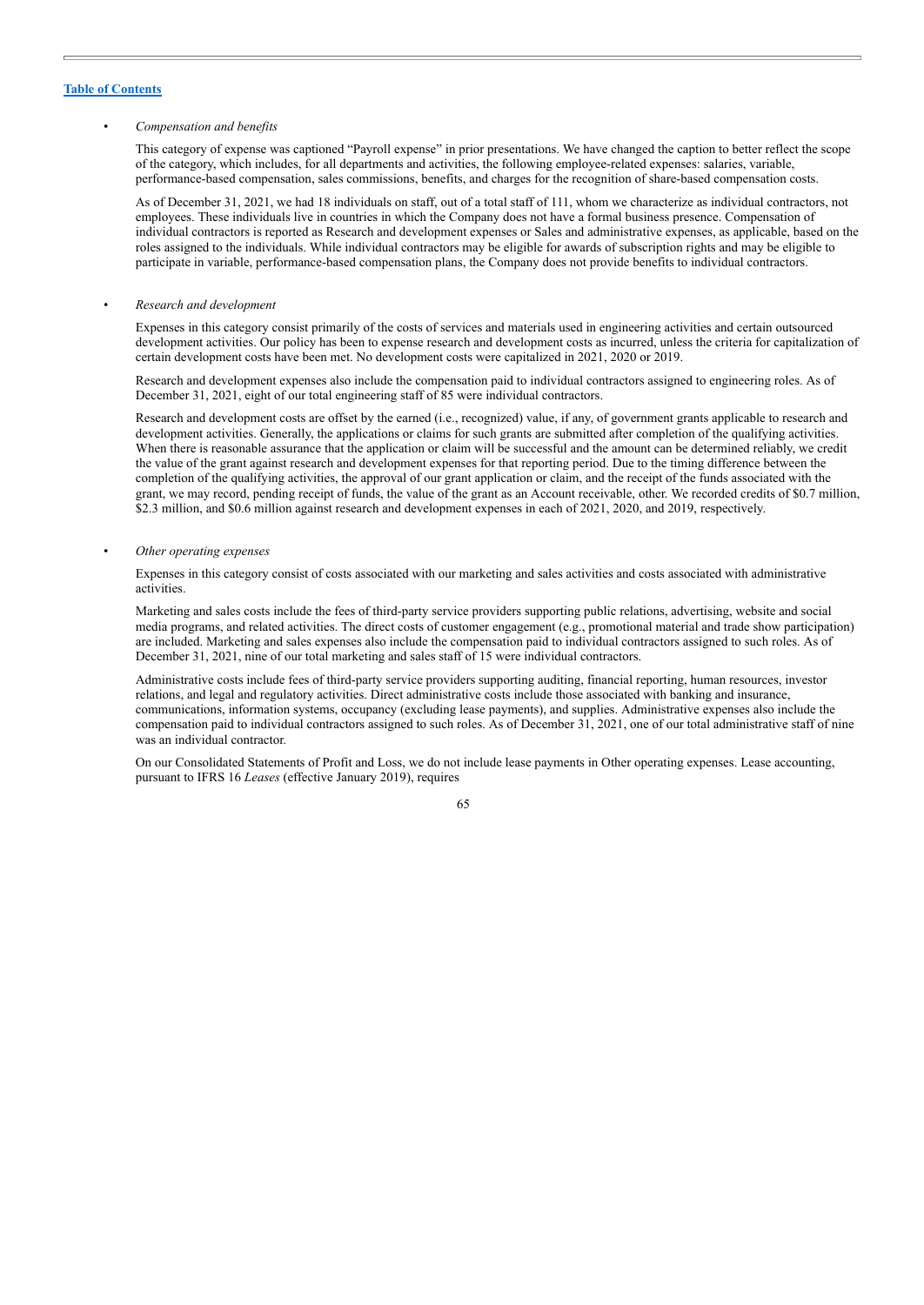### • *Compensation and benefits*

This category of expense was captioned "Payroll expense" in prior presentations. We have changed the caption to better reflect the scope of the category, which includes, for all departments and activities, the following employee-related expenses: salaries, variable, performance-based compensation, sales commissions, benefits, and charges for the recognition of share-based compensation costs.

As of December 31, 2021, we had 18 individuals on staff, out of a total staff of 111, whom we characterize as individual contractors, not employees. These individuals live in countries in which the Company does not have a formal business presence. Compensation of individual contractors is reported as Research and development expenses or Sales and administrative expenses, as applicable, based on the roles assigned to the individuals. While individual contractors may be eligible for awards of subscription rights and may be eligible to participate in variable, performance-based compensation plans, the Company does not provide benefits to individual contractors.

#### • *Research and development*

Expenses in this category consist primarily of the costs of services and materials used in engineering activities and certain outsourced development activities. Our policy has been to expense research and development costs as incurred, unless the criteria for capitalization of certain development costs have been met. No development costs were capitalized in 2021, 2020 or 2019.

Research and development expenses also include the compensation paid to individual contractors assigned to engineering roles. As of December 31, 2021, eight of our total engineering staff of 85 were individual contractors.

Research and development costs are offset by the earned (i.e., recognized) value, if any, of government grants applicable to research and development activities. Generally, the applications or claims for such grants are submitted after completion of the qualifying activities. When there is reasonable assurance that the application or claim will be successful and the amount can be determined reliably, we credit the value of the grant against research and development expenses for that reporting period. Due to the timing difference between the completion of the qualifying activities, the approval of our grant application or claim, and the receipt of the funds associated with the grant, we may record, pending receipt of funds, the value of the grant as an Account receivable, other. We recorded credits of \$0.7 million, \$2.3 million, and \$0.6 million against research and development expenses in each of 2021, 2020, and 2019, respectively.

### • *Other operating expenses*

Expenses in this category consist of costs associated with our marketing and sales activities and costs associated with administrative activities.

Marketing and sales costs include the fees of third-party service providers supporting public relations, advertising, website and social media programs, and related activities. The direct costs of customer engagement (e.g., promotional material and trade show participation) are included. Marketing and sales expenses also include the compensation paid to individual contractors assigned to such roles. As of December 31, 2021, nine of our total marketing and sales staff of 15 were individual contractors.

Administrative costs include fees of third-party service providers supporting auditing, financial reporting, human resources, investor relations, and legal and regulatory activities. Direct administrative costs include those associated with banking and insurance, communications, information systems, occupancy (excluding lease payments), and supplies. Administrative expenses also include the compensation paid to individual contractors assigned to such roles. As of December 31, 2021, one of our total administrative staff of nine was an individual contractor.

On our Consolidated Statements of Profit and Loss, we do not include lease payments in Other operating expenses. Lease accounting, pursuant to IFRS 16 *Leases* (effective January 2019), requires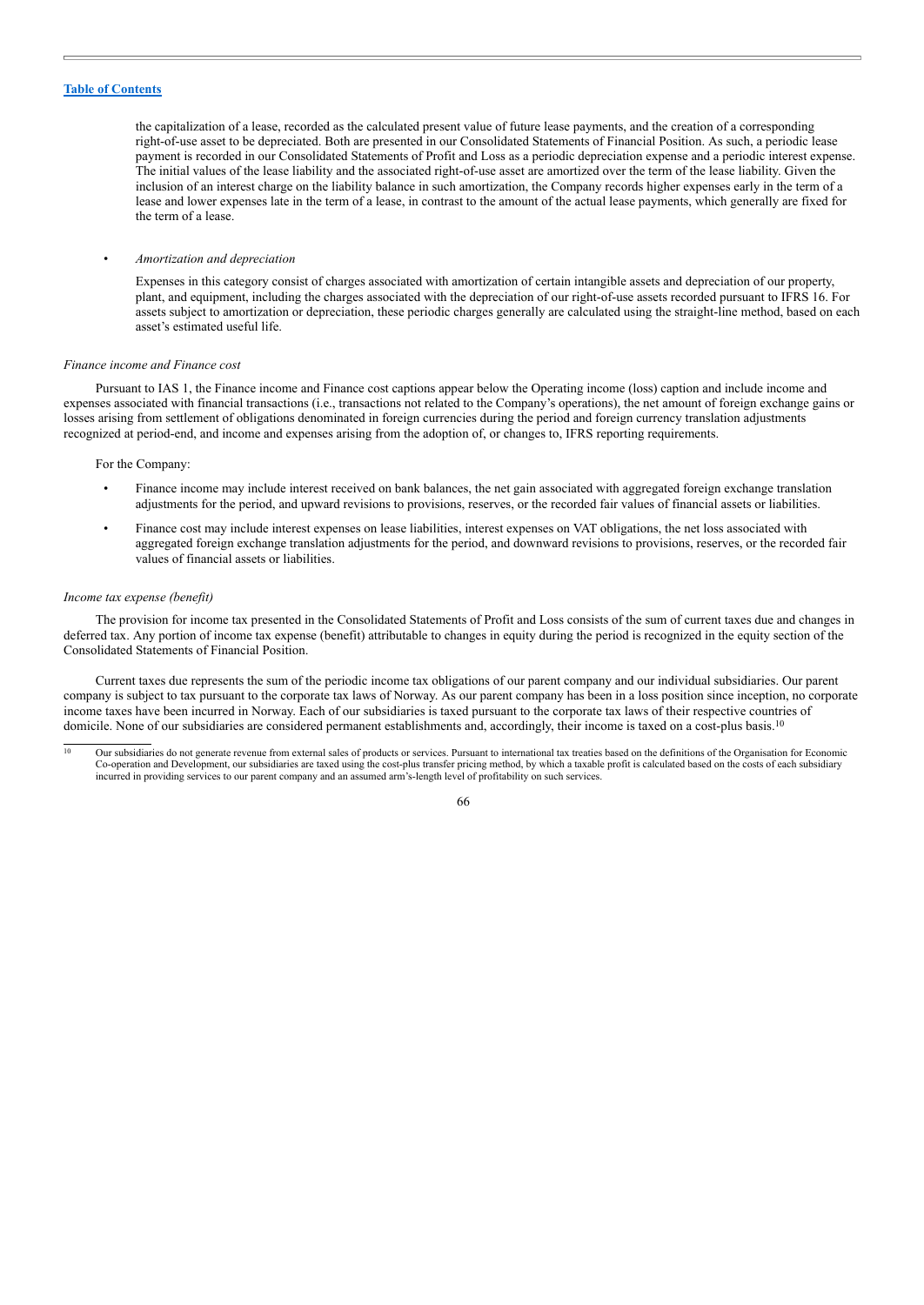the capitalization of a lease, recorded as the calculated present value of future lease payments, and the creation of a corresponding right-of-use asset to be depreciated. Both are presented in our Consolidated Statements of Financial Position. As such, a periodic lease payment is recorded in our Consolidated Statements of Profit and Loss as a periodic depreciation expense and a periodic interest expense. The initial values of the lease liability and the associated right-of-use asset are amortized over the term of the lease liability. Given the inclusion of an interest charge on the liability balance in such amortization, the Company records higher expenses early in the term of a lease and lower expenses late in the term of a lease, in contrast to the amount of the actual lease payments, which generally are fixed for the term of a lease.

#### • *Amortization and depreciation*

Expenses in this category consist of charges associated with amortization of certain intangible assets and depreciation of our property, plant, and equipment, including the charges associated with the depreciation of our right-of-use assets recorded pursuant to IFRS 16. For assets subject to amortization or depreciation, these periodic charges generally are calculated using the straight-line method, based on each asset's estimated useful life.

# *Finance income and Finance cost*

Pursuant to IAS 1, the Finance income and Finance cost captions appear below the Operating income (loss) caption and include income and expenses associated with financial transactions (i.e., transactions not related to the Company's operations), the net amount of foreign exchange gains or losses arising from settlement of obligations denominated in foreign currencies during the period and foreign currency translation adjustments recognized at period-end, and income and expenses arising from the adoption of, or changes to, IFRS reporting requirements.

#### For the Company:

- Finance income may include interest received on bank balances, the net gain associated with aggregated foreign exchange translation adjustments for the period, and upward revisions to provisions, reserves, or the recorded fair values of financial assets or liabilities.
- Finance cost may include interest expenses on lease liabilities, interest expenses on VAT obligations, the net loss associated with aggregated foreign exchange translation adjustments for the period, and downward revisions to provisions, reserves, or the recorded fair values of financial assets or liabilities.

### *Income tax expense (benefit)*

The provision for income tax presented in the Consolidated Statements of Profit and Loss consists of the sum of current taxes due and changes in deferred tax. Any portion of income tax expense (benefit) attributable to changes in equity during the period is recognized in the equity section of the Consolidated Statements of Financial Position.

Current taxes due represents the sum of the periodic income tax obligations of our parent company and our individual subsidiaries. Our parent company is subject to tax pursuant to the corporate tax laws of Norway. As our parent company has been in a loss position since inception, no corporate income taxes have been incurred in Norway. Each of our subsidiaries is taxed pursuant to the corporate tax laws of their respective countries of domicile. None of our subsidiaries are considered permanent establishments and, accordingly, their income is taxed on a cost-plus basis.<sup>10</sup>

<sup>&</sup>lt;sup>10</sup> Our subsidiaries do not generate revenue from external sales of products or services. Pursuant to international tax treaties based on the definitions of the Organisation for Economic Co-operation and Development, our subsidiaries are taxed using the cost-plus transfer pricing method, by which a taxable profit is calculated based on the costs of each subsidiary incurred in providing services to our parent company and an assumed arm's-length level of profitability on such services.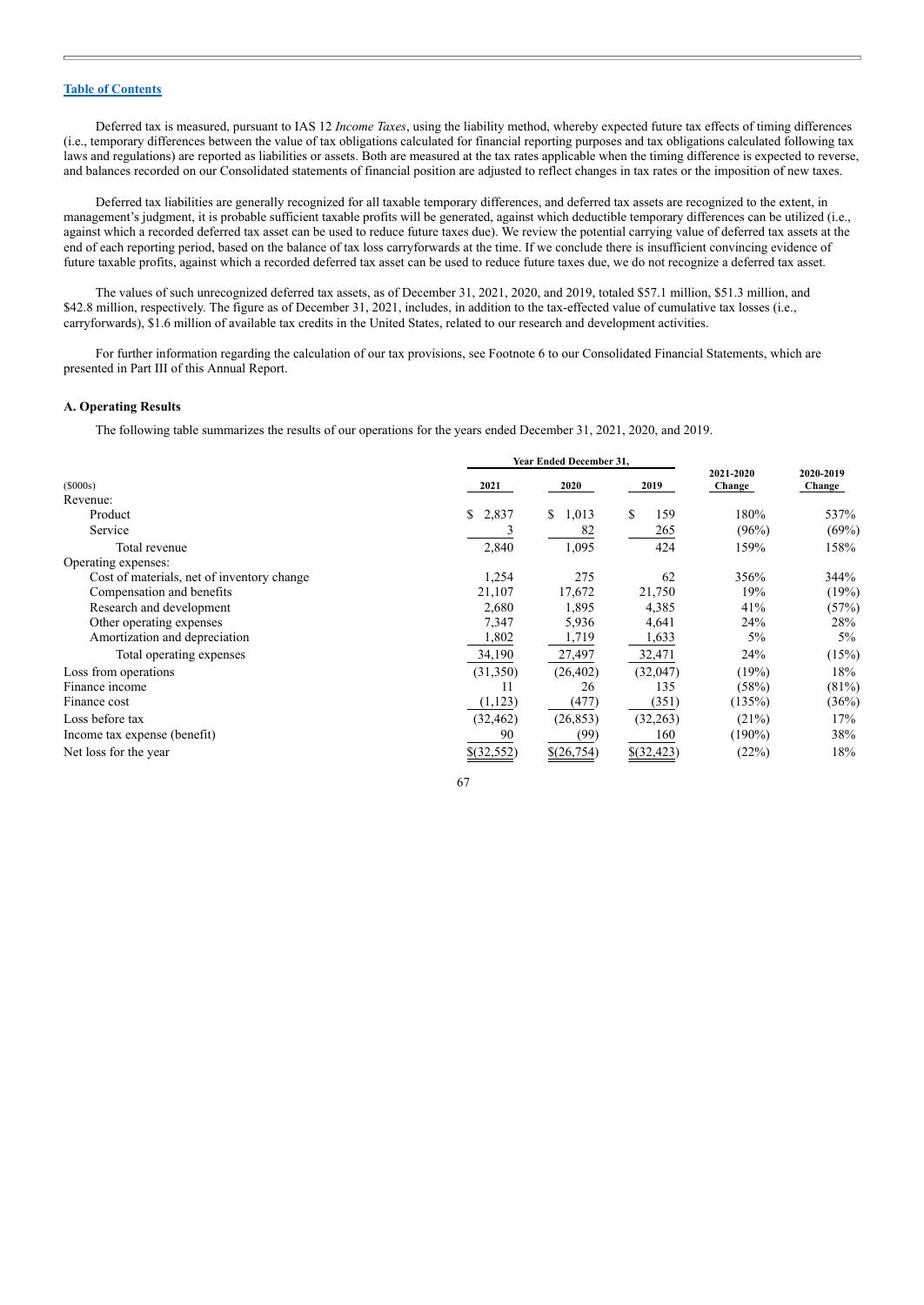Deferred tax is measured, pursuant to IAS 12 *Income Taxes*, using the liability method, whereby expected future tax effects of timing differences (i.e., temporary differences between the value of tax obligations calculated for financial reporting purposes and tax obligations calculated following tax laws and regulations) are reported as liabilities or assets. Both are measured at the tax rates applicable when the timing difference is expected to reverse, and balances recorded on our Consolidated statements of financial position are adjusted to reflect changes in tax rates or the imposition of new taxes.

Deferred tax liabilities are generally recognized for all taxable temporary differences, and deferred tax assets are recognized to the extent, in management's judgment, it is probable sufficient taxable profits will be generated, against which deductible temporary differences can be utilized (i.e., against which a recorded deferred tax asset can be used to reduce future taxes due). We review the potential carrying value of deferred tax assets at the end of each reporting period, based on the balance of tax loss carryforwards at the time. If we conclude there is insufficient convincing evidence of future taxable profits, against which a recorded deferred tax asset can be used to reduce future taxes due, we do not recognize a deferred tax asset.

The values of such unrecognized deferred tax assets, as of December 31, 2021, 2020, and 2019, totaled \$57.1 million, \$51.3 million, and \$42.8 million, respectively. The figure as of December 31, 2021, includes, in addition to the tax-effected value of cumulative tax losses (i.e., carryforwards), \$1.6 million of available tax credits in the United States, related to our research and development activities.

For further information regarding the calculation of our tax provisions, see Footnote 6 to our Consolidated Financial Statements, which are presented in Part III of this Annual Report.

### **A. Operating Results**

The following table summarizes the results of our operations for the years ended December 31, 2021, 2020, and 2019.

|                                            | Year Ended December 31, |             |             |                     |                     |
|--------------------------------------------|-------------------------|-------------|-------------|---------------------|---------------------|
| $(\$000s)$                                 | 2021                    | 2020        | 2019        | 2021-2020<br>Change | 2020-2019<br>Change |
| Revenue:                                   |                         |             |             |                     |                     |
| Product                                    | 2,837<br>S.             | \$<br>1,013 | \$<br>159   | 180%                | 537%                |
| Service                                    |                         | 82          | 265         | (96%)               | (69%)               |
| Total revenue                              | 2,840                   | 1,095       | 424         | 159%                | 158%                |
| Operating expenses:                        |                         |             |             |                     |                     |
| Cost of materials, net of inventory change | 1,254                   | 275         | 62          | 356%                | 344%                |
| Compensation and benefits                  | 21,107                  | 17,672      | 21,750      | 19%                 | (19%)               |
| Research and development                   | 2,680                   | 1,895       | 4,385       | 41%                 | (57%)               |
| Other operating expenses                   | 7,347                   | 5,936       | 4,641       | 24%                 | 28%                 |
| Amortization and depreciation              | 1,802                   | 1,719       | 1,633       | $5\%$               | $5\%$               |
| Total operating expenses                   | 34,190                  | 27,497      | 32,471      | 24%                 | (15%)               |
| Loss from operations                       | (31,350)                | (26, 402)   | (32,047)    | (19%)               | 18%                 |
| Finance income                             | 11                      | 26          | 135         | (58%)               | (81%)               |
| Finance cost                               | (1, 123)                | (477)       | (351)       | (135%)              | (36%)               |
| Loss before tax                            | (32, 462)               | (26, 853)   | (32, 263)   | (21%)               | 17%                 |
| Income tax expense (benefit)               | 90                      | (99)        | 160         | $(190\%)$           | 38%                 |
| Net loss for the year                      | $$$ (32,552)            | \$(26,754)  | \$(32, 423) | (22%)               | 18%                 |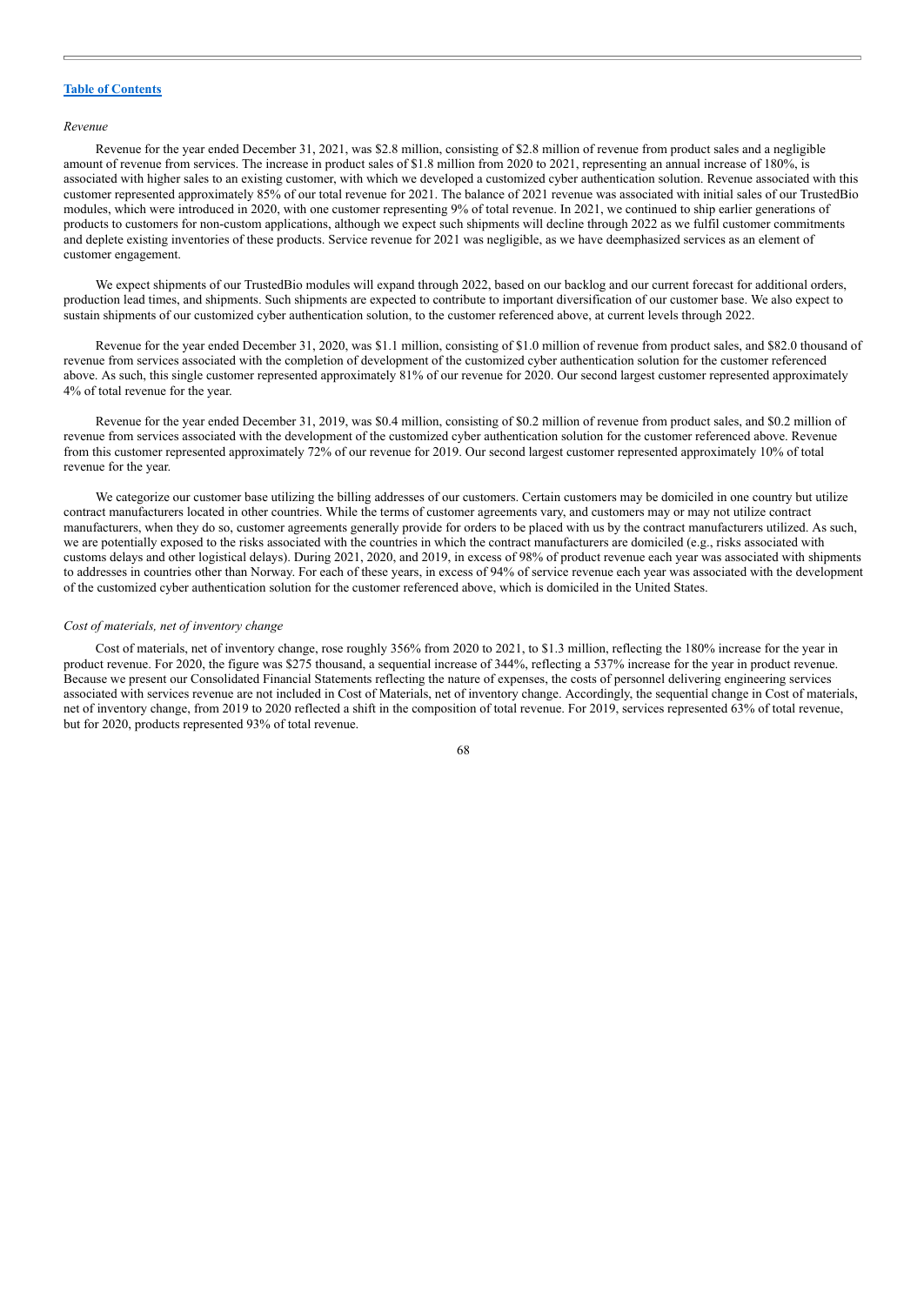### *Revenue*

Revenue for the year ended December 31, 2021, was \$2.8 million, consisting of \$2.8 million of revenue from product sales and a negligible amount of revenue from services. The increase in product sales of \$1.8 million from 2020 to 2021, representing an annual increase of 180%, is associated with higher sales to an existing customer, with which we developed a customized cyber authentication solution. Revenue associated with this customer represented approximately 85% of our total revenue for 2021. The balance of 2021 revenue was associated with initial sales of our TrustedBio modules, which were introduced in 2020, with one customer representing 9% of total revenue. In 2021, we continued to ship earlier generations of products to customers for non-custom applications, although we expect such shipments will decline through 2022 as we fulfil customer commitments and deplete existing inventories of these products. Service revenue for 2021 was negligible, as we have deemphasized services as an element of customer engagement.

We expect shipments of our TrustedBio modules will expand through 2022, based on our backlog and our current forecast for additional orders, production lead times, and shipments. Such shipments are expected to contribute to important diversification of our customer base. We also expect to sustain shipments of our customized cyber authentication solution, to the customer referenced above, at current levels through 2022.

Revenue for the year ended December 31, 2020, was \$1.1 million, consisting of \$1.0 million of revenue from product sales, and \$82.0 thousand of revenue from services associated with the completion of development of the customized cyber authentication solution for the customer referenced above. As such, this single customer represented approximately 81% of our revenue for 2020. Our second largest customer represented approximately 4% of total revenue for the year.

Revenue for the year ended December 31, 2019, was \$0.4 million, consisting of \$0.2 million of revenue from product sales, and \$0.2 million of revenue from services associated with the development of the customized cyber authentication solution for the customer referenced above. Revenue from this customer represented approximately 72% of our revenue for 2019. Our second largest customer represented approximately 10% of total revenue for the year.

We categorize our customer base utilizing the billing addresses of our customers. Certain customers may be domiciled in one country but utilize contract manufacturers located in other countries. While the terms of customer agreements vary, and customers may or may not utilize contract manufacturers, when they do so, customer agreements generally provide for orders to be placed with us by the contract manufacturers utilized. As such, we are potentially exposed to the risks associated with the countries in which the contract manufacturers are domiciled (e.g., risks associated with customs delays and other logistical delays). During 2021, 2020, and 2019, in excess of 98% of product revenue each year was associated with shipments to addresses in countries other than Norway. For each of these years, in excess of 94% of service revenue each year was associated with the development of the customized cyber authentication solution for the customer referenced above, which is domiciled in the United States.

#### *Cost of materials, net of inventory change*

Cost of materials, net of inventory change, rose roughly 356% from 2020 to 2021, to \$1.3 million, reflecting the 180% increase for the year in product revenue. For 2020, the figure was \$275 thousand, a sequential increase of 344%, reflecting a 537% increase for the year in product revenue. Because we present our Consolidated Financial Statements reflecting the nature of expenses, the costs of personnel delivering engineering services associated with services revenue are not included in Cost of Materials, net of inventory change. Accordingly, the sequential change in Cost of materials, net of inventory change, from 2019 to 2020 reflected a shift in the composition of total revenue. For 2019, services represented 63% of total revenue, but for 2020, products represented 93% of total revenue.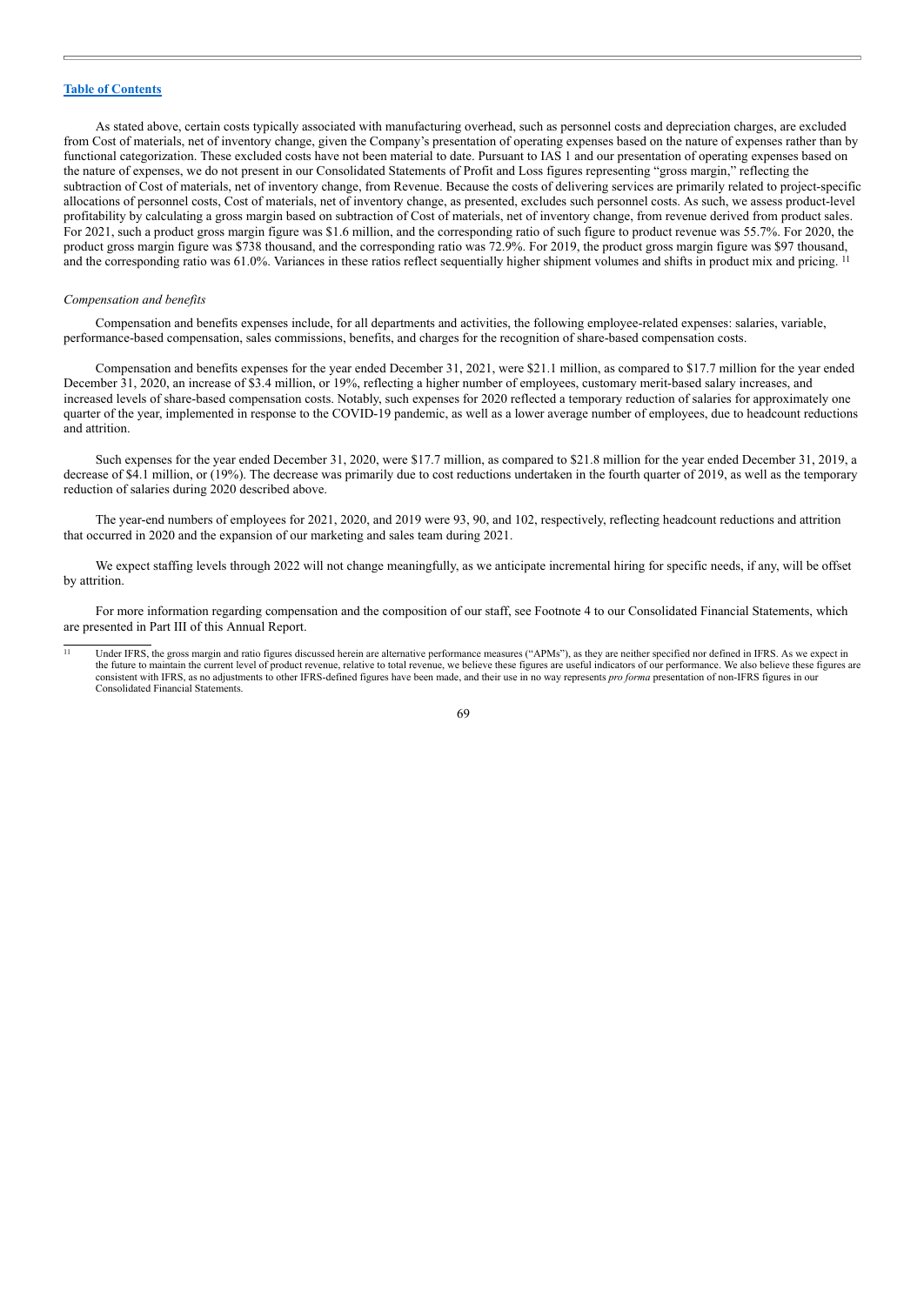As stated above, certain costs typically associated with manufacturing overhead, such as personnel costs and depreciation charges, are excluded from Cost of materials, net of inventory change, given the Company's presentation of operating expenses based on the nature of expenses rather than by functional categorization. These excluded costs have not been material to date. Pursuant to IAS 1 and our presentation of operating expenses based on the nature of expenses, we do not present in our Consolidated Statements of Profit and Loss figures representing "gross margin," reflecting the subtraction of Cost of materials, net of inventory change, from Revenue. Because the costs of delivering services are primarily related to project-specific allocations of personnel costs, Cost of materials, net of inventory change, as presented, excludes such personnel costs. As such, we assess product-level profitability by calculating a gross margin based on subtraction of Cost of materials, net of inventory change, from revenue derived from product sales. For 2021, such a product gross margin figure was \$1.6 million, and the corresponding ratio of such figure to product revenue was 55.7%. For 2020, the product gross margin figure was \$738 thousand, and the corresponding ratio was 72.9%. For 2019, the product gross margin figure was \$97 thousand, and the corresponding ratio was 61.0%. Variances in these ratios reflect sequentially higher shipment volumes and shifts in product mix and pricing. <sup>11</sup>

#### *Compensation and benefits*

Compensation and benefits expenses include, for all departments and activities, the following employee-related expenses: salaries, variable, performance-based compensation, sales commissions, benefits, and charges for the recognition of share-based compensation costs.

Compensation and benefits expenses for the year ended December 31, 2021, were \$21.1 million, as compared to \$17.7 million for the year ended December 31, 2020, an increase of \$3.4 million, or 19%, reflecting a higher number of employees, customary merit-based salary increases, and increased levels of share-based compensation costs. Notably, such expenses for 2020 reflected a temporary reduction of salaries for approximately one quarter of the year, implemented in response to the COVID-19 pandemic, as well as a lower average number of employees, due to headcount reductions and attrition.

Such expenses for the year ended December 31, 2020, were \$17.7 million, as compared to \$21.8 million for the year ended December 31, 2019, a decrease of \$4.1 million, or (19%). The decrease was primarily due to cost reductions undertaken in the fourth quarter of 2019, as well as the temporary reduction of salaries during 2020 described above.

The year-end numbers of employees for 2021, 2020, and 2019 were 93, 90, and 102, respectively, reflecting headcount reductions and attrition that occurred in 2020 and the expansion of our marketing and sales team during 2021.

We expect staffing levels through 2022 will not change meaningfully, as we anticipate incremental hiring for specific needs, if any, will be offset by attrition.

For more information regarding compensation and the composition of our staff, see Footnote 4 to our Consolidated Financial Statements, which are presented in Part III of this Annual Report.

<sup>&</sup>lt;sup>11</sup> Under IFRS, the gross margin and ratio figures discussed herein are alternative performance measures ("APMs"), as they are neither specified nor defined in IFRS. As we expect in the future to maintain the current level of product revenue, relative to total revenue, we believe these figures are useful indicators of our performance. We also believe these figures are consistent with IFRS, as no adjustments to other IFRS-defined figures have been made, and their use in no way represents *pro forma* presentation of non-IFRS figures in our Consolidated Financial Statements.

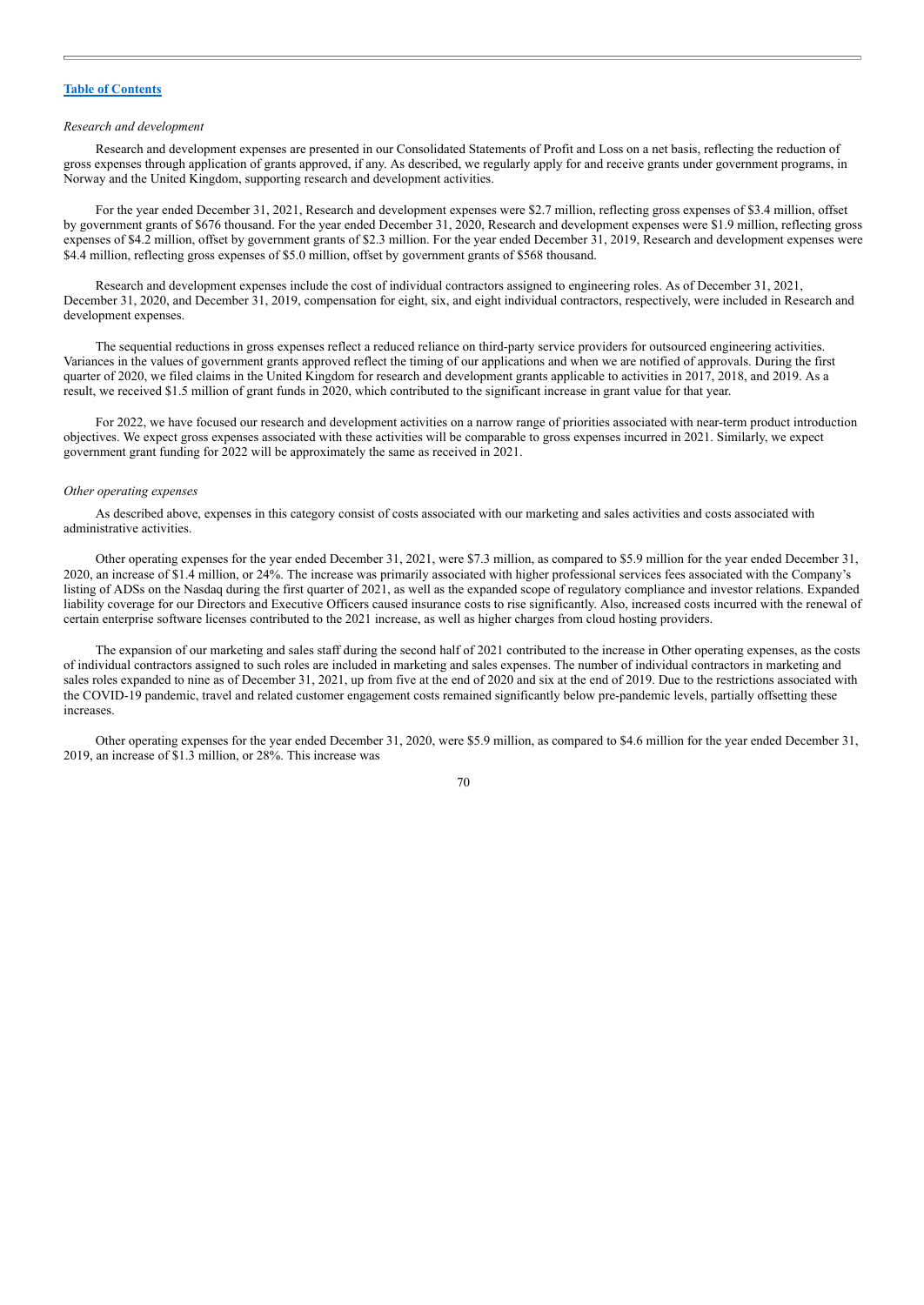#### *Research and development*

Research and development expenses are presented in our Consolidated Statements of Profit and Loss on a net basis, reflecting the reduction of gross expenses through application of grants approved, if any. As described, we regularly apply for and receive grants under government programs, in Norway and the United Kingdom, supporting research and development activities.

For the year ended December 31, 2021, Research and development expenses were \$2.7 million, reflecting gross expenses of \$3.4 million, offset by government grants of \$676 thousand. For the year ended December 31, 2020, Research and development expenses were \$1.9 million, reflecting gross expenses of \$4.2 million, offset by government grants of \$2.3 million. For the year ended December 31, 2019, Research and development expenses were \$4.4 million, reflecting gross expenses of \$5.0 million, offset by government grants of \$568 thousand.

Research and development expenses include the cost of individual contractors assigned to engineering roles. As of December 31, 2021, December 31, 2020, and December 31, 2019, compensation for eight, six, and eight individual contractors, respectively, were included in Research and development expenses.

The sequential reductions in gross expenses reflect a reduced reliance on third-party service providers for outsourced engineering activities. Variances in the values of government grants approved reflect the timing of our applications and when we are notified of approvals. During the first quarter of 2020, we filed claims in the United Kingdom for research and development grants applicable to activities in 2017, 2018, and 2019. As a result, we received \$1.5 million of grant funds in 2020, which contributed to the significant increase in grant value for that year.

For 2022, we have focused our research and development activities on a narrow range of priorities associated with near-term product introduction objectives. We expect gross expenses associated with these activities will be comparable to gross expenses incurred in 2021. Similarly, we expect government grant funding for 2022 will be approximately the same as received in 2021.

#### *Other operating expenses*

As described above, expenses in this category consist of costs associated with our marketing and sales activities and costs associated with administrative activities.

Other operating expenses for the year ended December 31, 2021, were \$7.3 million, as compared to \$5.9 million for the year ended December 31, 2020, an increase of \$1.4 million, or 24%. The increase was primarily associated with higher professional services fees associated with the Company's listing of ADSs on the Nasdaq during the first quarter of 2021, as well as the expanded scope of regulatory compliance and investor relations. Expanded liability coverage for our Directors and Executive Officers caused insurance costs to rise significantly. Also, increased costs incurred with the renewal of certain enterprise software licenses contributed to the 2021 increase, as well as higher charges from cloud hosting providers.

The expansion of our marketing and sales staff during the second half of 2021 contributed to the increase in Other operating expenses, as the costs of individual contractors assigned to such roles are included in marketing and sales expenses. The number of individual contractors in marketing and sales roles expanded to nine as of December 31, 2021, up from five at the end of 2020 and six at the end of 2019. Due to the restrictions associated with the COVID-19 pandemic, travel and related customer engagement costs remained significantly below pre-pandemic levels, partially offsetting these increases.

Other operating expenses for the year ended December 31, 2020, were \$5.9 million, as compared to \$4.6 million for the year ended December 31, 2019, an increase of \$1.3 million, or 28%. This increase was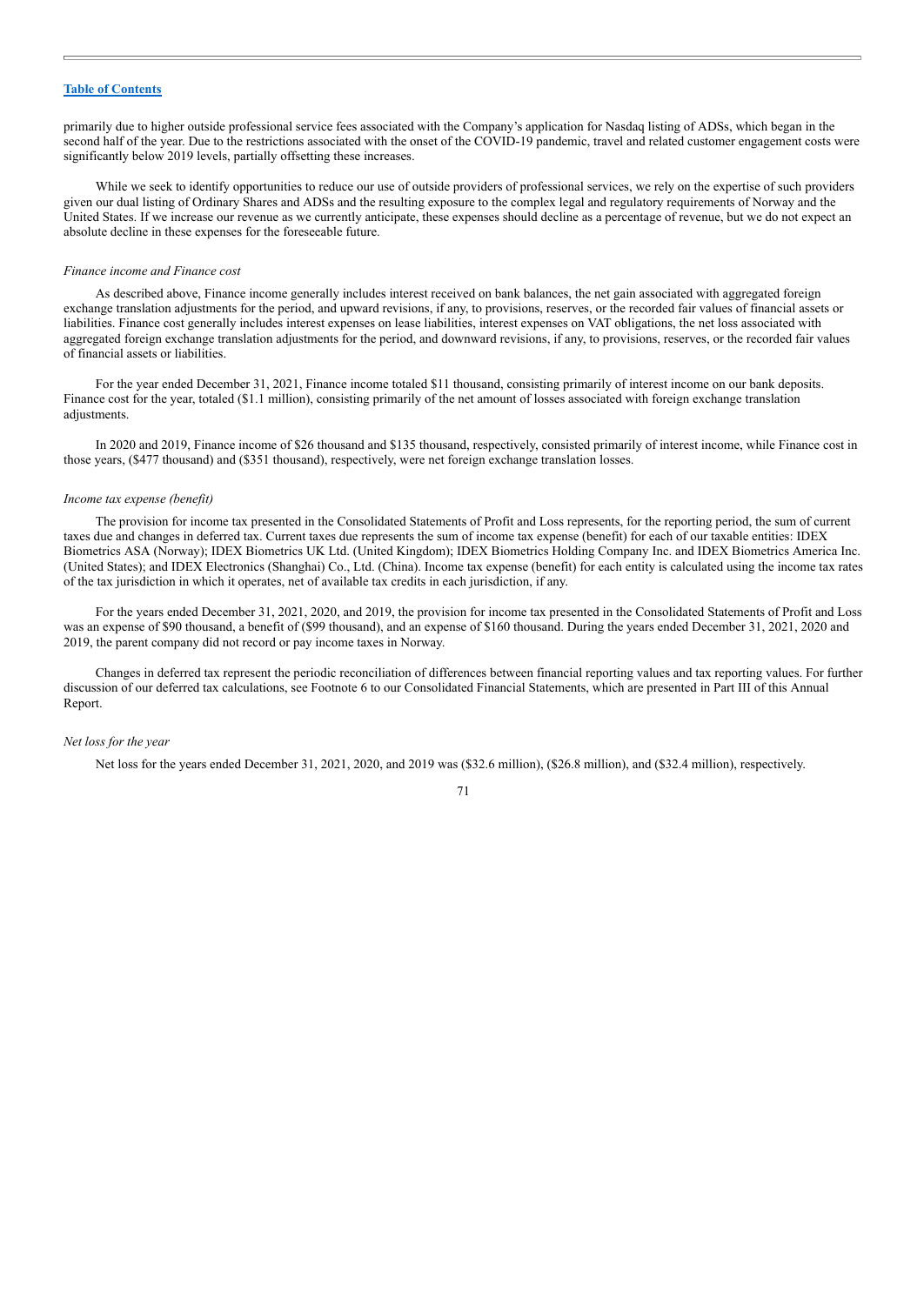primarily due to higher outside professional service fees associated with the Company's application for Nasdaq listing of ADSs, which began in the second half of the year. Due to the restrictions associated with the onset of the COVID-19 pandemic, travel and related customer engagement costs were significantly below 2019 levels, partially offsetting these increases.

While we seek to identify opportunities to reduce our use of outside providers of professional services, we rely on the expertise of such providers given our dual listing of Ordinary Shares and ADSs and the resulting exposure to the complex legal and regulatory requirements of Norway and the United States. If we increase our revenue as we currently anticipate, these expenses should decline as a percentage of revenue, but we do not expect an absolute decline in these expenses for the foreseeable future.

### *Finance income and Finance cost*

As described above, Finance income generally includes interest received on bank balances, the net gain associated with aggregated foreign exchange translation adjustments for the period, and upward revisions, if any, to provisions, reserves, or the recorded fair values of financial assets or liabilities. Finance cost generally includes interest expenses on lease liabilities, interest expenses on VAT obligations, the net loss associated with aggregated foreign exchange translation adjustments for the period, and downward revisions, if any, to provisions, reserves, or the recorded fair values of financial assets or liabilities.

For the year ended December 31, 2021, Finance income totaled \$11 thousand, consisting primarily of interest income on our bank deposits. Finance cost for the year, totaled (\$1.1 million), consisting primarily of the net amount of losses associated with foreign exchange translation adjustments.

In 2020 and 2019, Finance income of \$26 thousand and \$135 thousand, respectively, consisted primarily of interest income, while Finance cost in those years, (\$477 thousand) and (\$351 thousand), respectively, were net foreign exchange translation losses.

### *Income tax expense (benefit)*

The provision for income tax presented in the Consolidated Statements of Profit and Loss represents, for the reporting period, the sum of current taxes due and changes in deferred tax. Current taxes due represents the sum of income tax expense (benefit) for each of our taxable entities: IDEX Biometrics ASA (Norway); IDEX Biometrics UK Ltd. (United Kingdom); IDEX Biometrics Holding Company Inc. and IDEX Biometrics America Inc. (United States); and IDEX Electronics (Shanghai) Co., Ltd. (China). Income tax expense (benefit) for each entity is calculated using the income tax rates of the tax jurisdiction in which it operates, net of available tax credits in each jurisdiction, if any.

For the years ended December 31, 2021, 2020, and 2019, the provision for income tax presented in the Consolidated Statements of Profit and Loss was an expense of \$90 thousand, a benefit of (\$99 thousand), and an expense of \$160 thousand. During the years ended December 31, 2021, 2020 and 2019, the parent company did not record or pay income taxes in Norway.

Changes in deferred tax represent the periodic reconciliation of differences between financial reporting values and tax reporting values. For further discussion of our deferred tax calculations, see Footnote 6 to our Consolidated Financial Statements, which are presented in Part III of this Annual Report.

# *Net loss for the year*

Net loss for the years ended December 31, 2021, 2020, and 2019 was (\$32.6 million), (\$26.8 million), and (\$32.4 million), respectively.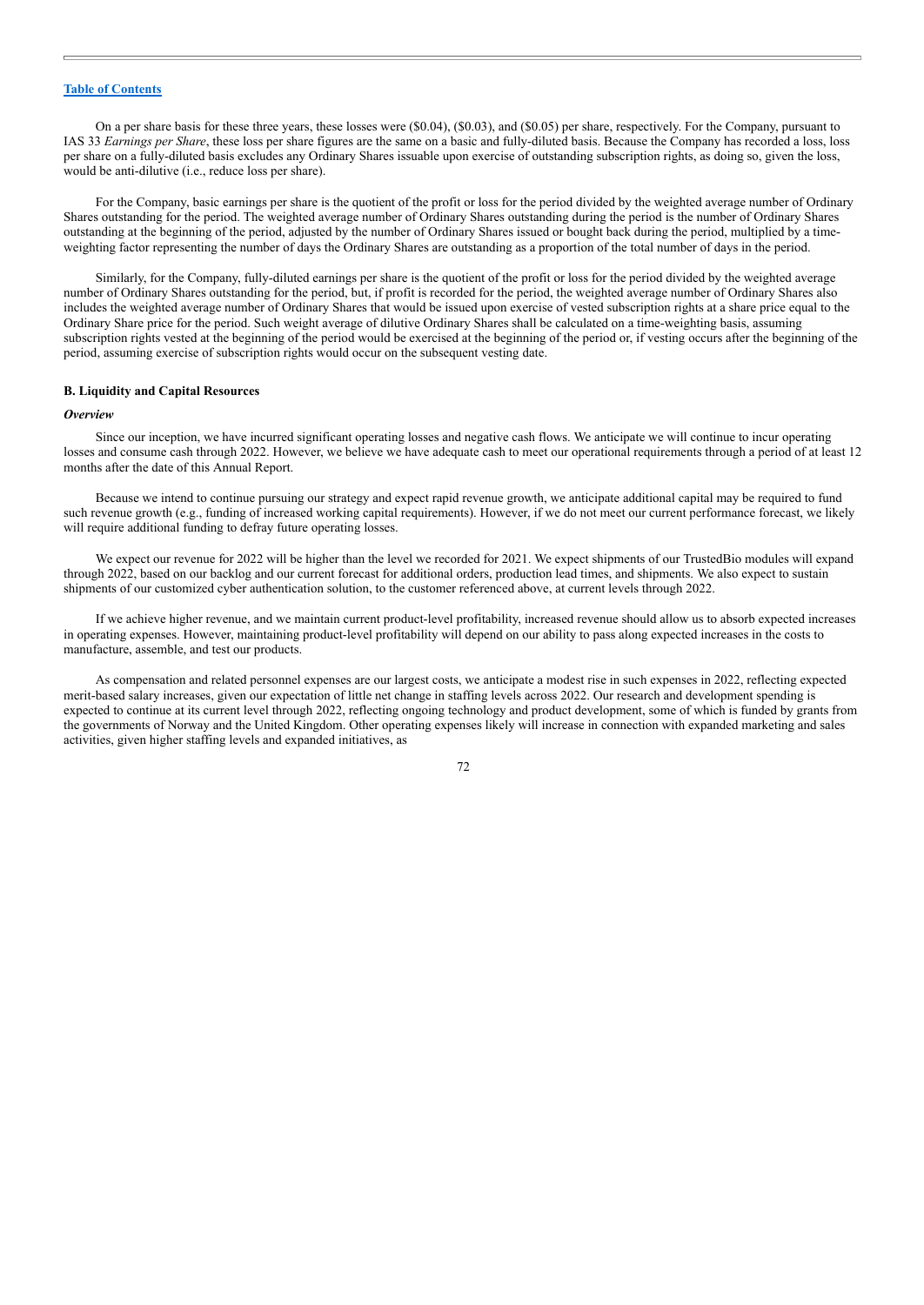On a per share basis for these three years, these losses were (\$0.04), (\$0.03), and (\$0.05) per share, respectively. For the Company, pursuant to IAS 33 *Earnings per Share*, these loss per share figures are the same on a basic and fully-diluted basis. Because the Company has recorded a loss, loss per share on a fully-diluted basis excludes any Ordinary Shares issuable upon exercise of outstanding subscription rights, as doing so, given the loss, would be anti-dilutive (i.e., reduce loss per share).

For the Company, basic earnings per share is the quotient of the profit or loss for the period divided by the weighted average number of Ordinary Shares outstanding for the period. The weighted average number of Ordinary Shares outstanding during the period is the number of Ordinary Shares outstanding at the beginning of the period, adjusted by the number of Ordinary Shares issued or bought back during the period, multiplied by a timeweighting factor representing the number of days the Ordinary Shares are outstanding as a proportion of the total number of days in the period.

Similarly, for the Company, fully-diluted earnings per share is the quotient of the profit or loss for the period divided by the weighted average number of Ordinary Shares outstanding for the period, but, if profit is recorded for the period, the weighted average number of Ordinary Shares also includes the weighted average number of Ordinary Shares that would be issued upon exercise of vested subscription rights at a share price equal to the Ordinary Share price for the period. Such weight average of dilutive Ordinary Shares shall be calculated on a time-weighting basis, assuming subscription rights vested at the beginning of the period would be exercised at the beginning of the period or, if vesting occurs after the beginning of the period, assuming exercise of subscription rights would occur on the subsequent vesting date.

# **B. Liquidity and Capital Resources**

# *Overview*

Since our inception, we have incurred significant operating losses and negative cash flows. We anticipate we will continue to incur operating losses and consume cash through 2022. However, we believe we have adequate cash to meet our operational requirements through a period of at least 12 months after the date of this Annual Report.

Because we intend to continue pursuing our strategy and expect rapid revenue growth, we anticipate additional capital may be required to fund such revenue growth (e.g., funding of increased working capital requirements). However, if we do not meet our current performance forecast, we likely will require additional funding to defray future operating losses.

We expect our revenue for 2022 will be higher than the level we recorded for 2021. We expect shipments of our TrustedBio modules will expand through 2022, based on our backlog and our current forecast for additional orders, production lead times, and shipments. We also expect to sustain shipments of our customized cyber authentication solution, to the customer referenced above, at current levels through 2022.

If we achieve higher revenue, and we maintain current product-level profitability, increased revenue should allow us to absorb expected increases in operating expenses. However, maintaining product-level profitability will depend on our ability to pass along expected increases in the costs to manufacture, assemble, and test our products.

As compensation and related personnel expenses are our largest costs, we anticipate a modest rise in such expenses in 2022, reflecting expected merit-based salary increases, given our expectation of little net change in staffing levels across 2022. Our research and development spending is expected to continue at its current level through 2022, reflecting ongoing technology and product development, some of which is funded by grants from the governments of Norway and the United Kingdom. Other operating expenses likely will increase in connection with expanded marketing and sales activities, given higher staffing levels and expanded initiatives, as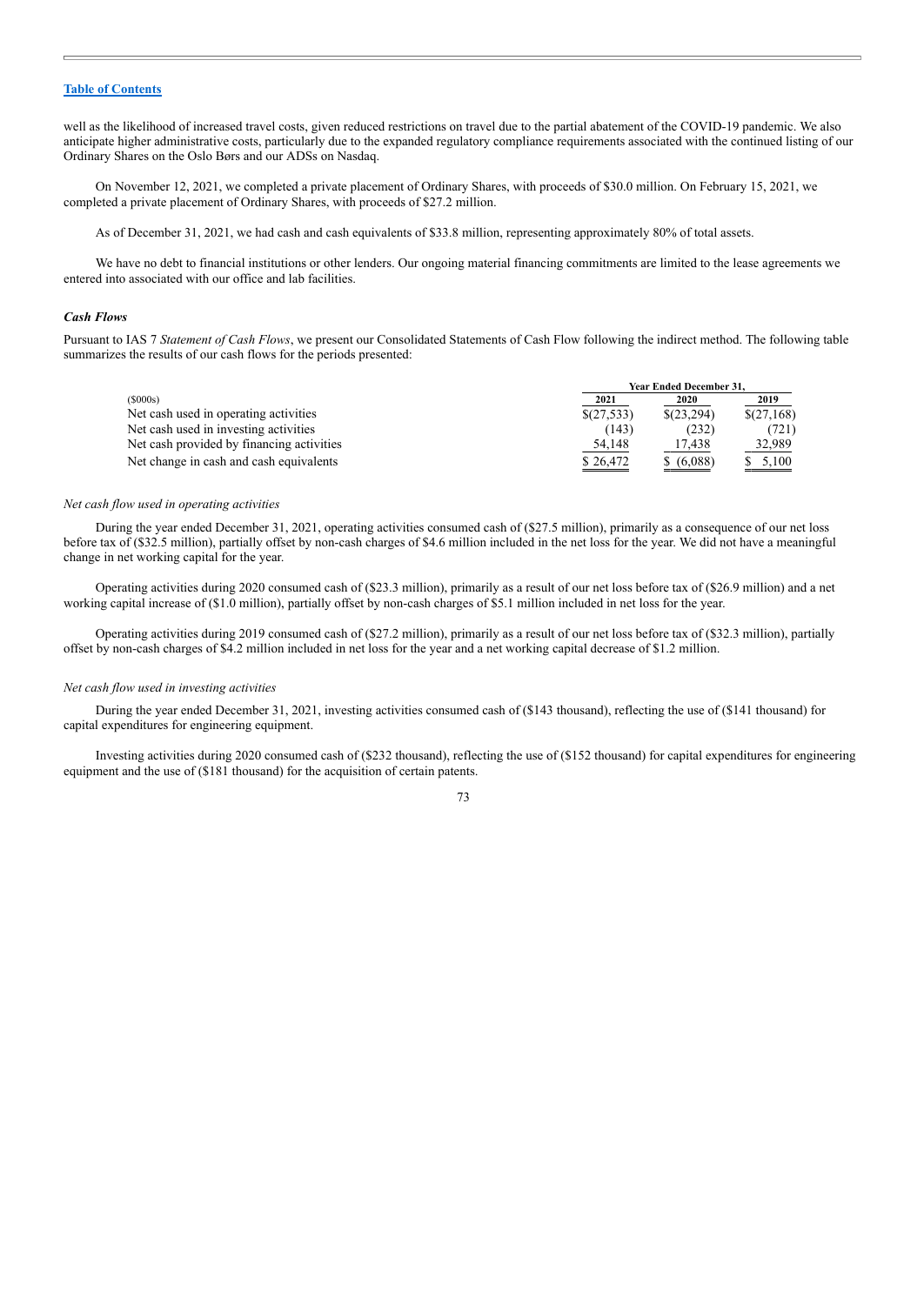well as the likelihood of increased travel costs, given reduced restrictions on travel due to the partial abatement of the COVID-19 pandemic. We also anticipate higher administrative costs, particularly due to the expanded regulatory compliance requirements associated with the continued listing of our Ordinary Shares on the Oslo Børs and our ADSs on Nasdaq.

On November 12, 2021, we completed a private placement of Ordinary Shares, with proceeds of \$30.0 million. On February 15, 2021, we completed a private placement of Ordinary Shares, with proceeds of \$27.2 million.

As of December 31, 2021, we had cash and cash equivalents of \$33.8 million, representing approximately 80% of total assets.

We have no debt to financial institutions or other lenders. Our ongoing material financing commitments are limited to the lease agreements we entered into associated with our office and lab facilities.

# *Cash Flows*

Pursuant to IAS 7 *Statement of Cash Flows*, we present our Consolidated Statements of Cash Flow following the indirect method. The following table summarizes the results of our cash flows for the periods presented:

|                                           |            | <b>Year Ended December 31.</b> |            |  |
|-------------------------------------------|------------|--------------------------------|------------|--|
| (S000s)                                   | 2021       | 2020                           | 2019       |  |
| Net cash used in operating activities     | \$(27,533) | \$(23,294)                     | \$(27,168) |  |
| Net cash used in investing activities     | (143)      | (232)                          | (721)      |  |
| Net cash provided by financing activities | 54,148     | 17.438                         | 32,989     |  |
| Net change in cash and cash equivalents   | \$26,472   | \$ (6,088)                     | 5,100      |  |

# *Net cash flow used in operating activities*

During the year ended December 31, 2021, operating activities consumed cash of (\$27.5 million), primarily as a consequence of our net loss before tax of (\$32.5 million), partially offset by non-cash charges of \$4.6 million included in the net loss for the year. We did not have a meaningful change in net working capital for the year.

Operating activities during 2020 consumed cash of (\$23.3 million), primarily as a result of our net loss before tax of (\$26.9 million) and a net working capital increase of (\$1.0 million), partially offset by non-cash charges of \$5.1 million included in net loss for the year.

Operating activities during 2019 consumed cash of (\$27.2 million), primarily as a result of our net loss before tax of (\$32.3 million), partially offset by non-cash charges of \$4.2 million included in net loss for the year and a net working capital decrease of \$1.2 million.

#### *Net cash flow used in investing activities*

During the year ended December 31, 2021, investing activities consumed cash of (\$143 thousand), reflecting the use of (\$141 thousand) for capital expenditures for engineering equipment.

Investing activities during 2020 consumed cash of (\$232 thousand), reflecting the use of (\$152 thousand) for capital expenditures for engineering equipment and the use of (\$181 thousand) for the acquisition of certain patents.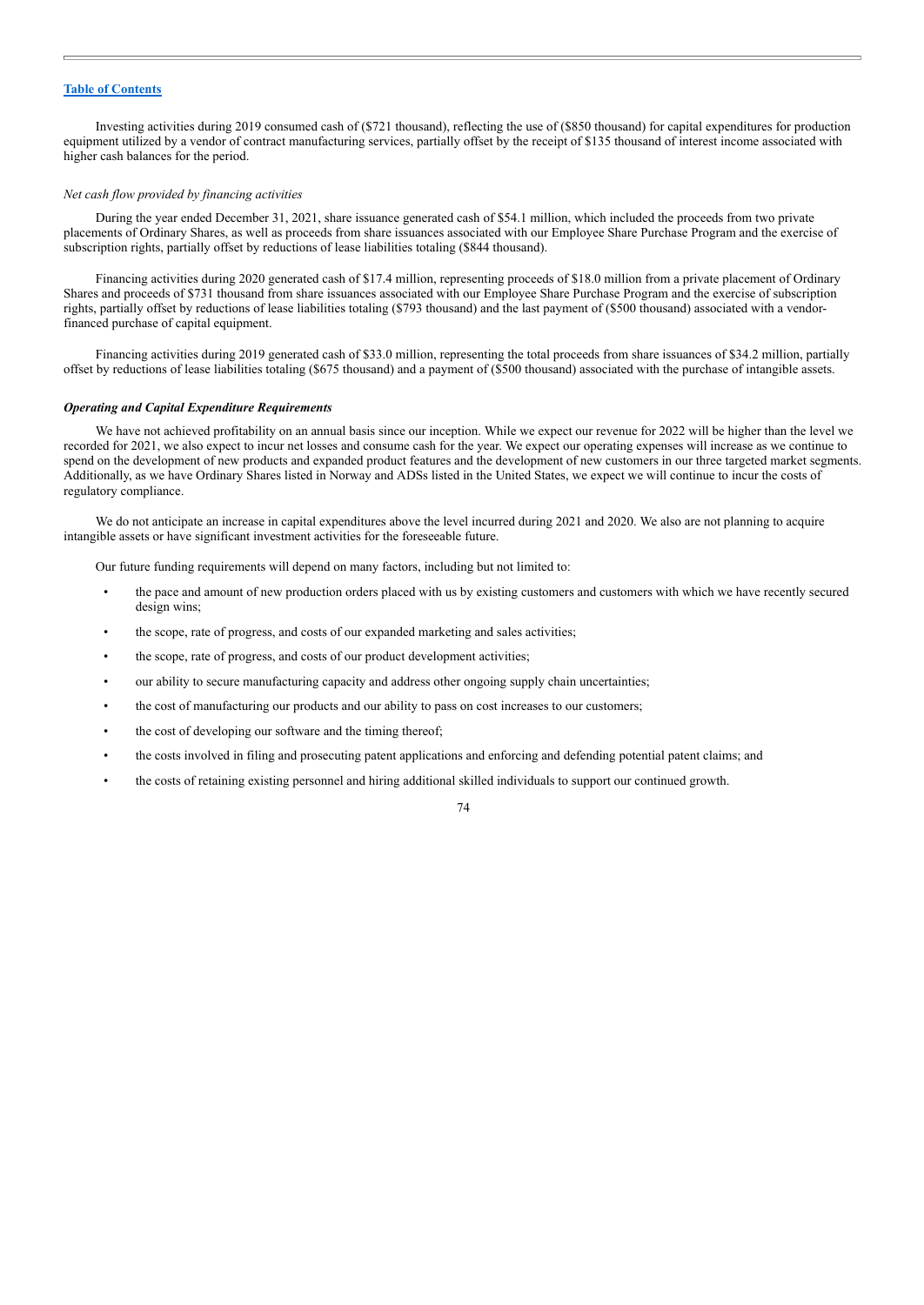Investing activities during 2019 consumed cash of (\$721 thousand), reflecting the use of (\$850 thousand) for capital expenditures for production equipment utilized by a vendor of contract manufacturing services, partially offset by the receipt of \$135 thousand of interest income associated with higher cash balances for the period.

# *Net cash flow provided by financing activities*

During the year ended December 31, 2021, share issuance generated cash of \$54.1 million, which included the proceeds from two private placements of Ordinary Shares, as well as proceeds from share issuances associated with our Employee Share Purchase Program and the exercise of subscription rights, partially offset by reductions of lease liabilities totaling (\$844 thousand).

Financing activities during 2020 generated cash of \$17.4 million, representing proceeds of \$18.0 million from a private placement of Ordinary Shares and proceeds of \$731 thousand from share issuances associated with our Employee Share Purchase Program and the exercise of subscription rights, partially offset by reductions of lease liabilities totaling (\$793 thousand) and the last payment of (\$500 thousand) associated with a vendorfinanced purchase of capital equipment.

Financing activities during 2019 generated cash of \$33.0 million, representing the total proceeds from share issuances of \$34.2 million, partially offset by reductions of lease liabilities totaling (\$675 thousand) and a payment of (\$500 thousand) associated with the purchase of intangible assets.

# *Operating and Capital Expenditure Requirements*

We have not achieved profitability on an annual basis since our inception. While we expect our revenue for 2022 will be higher than the level we recorded for 2021, we also expect to incur net losses and consume cash for the year. We expect our operating expenses will increase as we continue to spend on the development of new products and expanded product features and the development of new customers in our three targeted market segments. Additionally, as we have Ordinary Shares listed in Norway and ADSs listed in the United States, we expect we will continue to incur the costs of regulatory compliance.

We do not anticipate an increase in capital expenditures above the level incurred during 2021 and 2020. We also are not planning to acquire intangible assets or have significant investment activities for the foreseeable future.

Our future funding requirements will depend on many factors, including but not limited to:

- the pace and amount of new production orders placed with us by existing customers and customers with which we have recently secured design wins;
- the scope, rate of progress, and costs of our expanded marketing and sales activities;
- the scope, rate of progress, and costs of our product development activities;
- our ability to secure manufacturing capacity and address other ongoing supply chain uncertainties;
- the cost of manufacturing our products and our ability to pass on cost increases to our customers;
- the cost of developing our software and the timing thereof;
- the costs involved in filing and prosecuting patent applications and enforcing and defending potential patent claims; and
- the costs of retaining existing personnel and hiring additional skilled individuals to support our continued growth.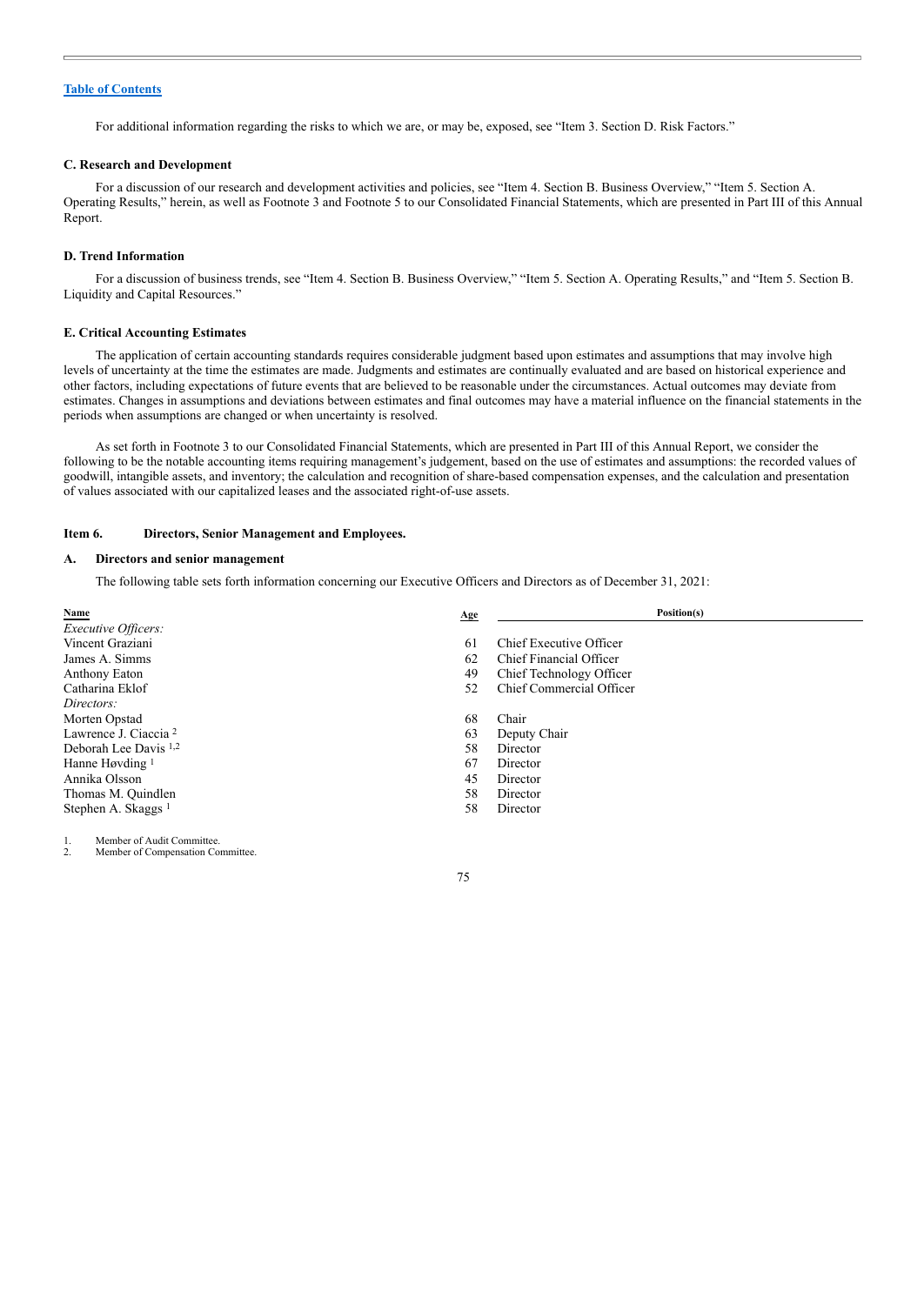For additional information regarding the risks to which we are, or may be, exposed, see "Item 3. Section D. Risk Factors."

# **C. Research and Development**

For a discussion of our research and development activities and policies, see "Item 4. Section B. Business Overview," "Item 5. Section A. Operating Results," herein, as well as Footnote 3 and Footnote 5 to our Consolidated Financial Statements, which are presented in Part III of this Annual Report.

### **D. Trend Information**

For a discussion of business trends, see "Item 4. Section B. Business Overview," "Item 5. Section A. Operating Results," and "Item 5. Section B. Liquidity and Capital Resources."

# **E. Critical Accounting Estimates**

The application of certain accounting standards requires considerable judgment based upon estimates and assumptions that may involve high levels of uncertainty at the time the estimates are made. Judgments and estimates are continually evaluated and are based on historical experience and other factors, including expectations of future events that are believed to be reasonable under the circumstances. Actual outcomes may deviate from estimates. Changes in assumptions and deviations between estimates and final outcomes may have a material influence on the financial statements in the periods when assumptions are changed or when uncertainty is resolved.

As set forth in Footnote 3 to our Consolidated Financial Statements, which are presented in Part III of this Annual Report, we consider the following to be the notable accounting items requiring management's judgement, based on the use of estimates and assumptions: the recorded values of goodwill, intangible assets, and inventory; the calculation and recognition of share-based compensation expenses, and the calculation and presentation of values associated with our capitalized leases and the associated right-of-use assets.

# **Item 6. Directors, Senior Management and Employees.**

# **A. Directors and senior management**

The following table sets forth information concerning our Executive Officers and Directors as of December 31, 2021:

| <b>Name</b>                      | <u>Age</u> | Position(s)              |
|----------------------------------|------------|--------------------------|
| Executive Officers:              |            |                          |
| Vincent Graziani                 | 61         | Chief Executive Officer  |
| James A. Simms                   | 62         | Chief Financial Officer  |
| Anthony Eaton                    | 49         | Chief Technology Officer |
| Catharina Eklof                  | 52         | Chief Commercial Officer |
| Directors:                       |            |                          |
| Morten Opstad                    | 68         | Chair                    |
| Lawrence J. Ciaccia <sup>2</sup> | 63         | Deputy Chair             |
| Deborah Lee Davis <sup>1,2</sup> | 58         | Director                 |
| Hanne Høvding <sup>1</sup>       | 67         | Director                 |
| Annika Olsson                    | 45         | Director                 |
| Thomas M. Quindlen               | 58         | Director                 |
| Stephen A. Skaggs <sup>1</sup>   | 58         | Director                 |
|                                  |            |                          |
|                                  |            |                          |

1. Member of Audit Committee.<br>2. Member of Compensation Co. 2. Member of Compensation Committee.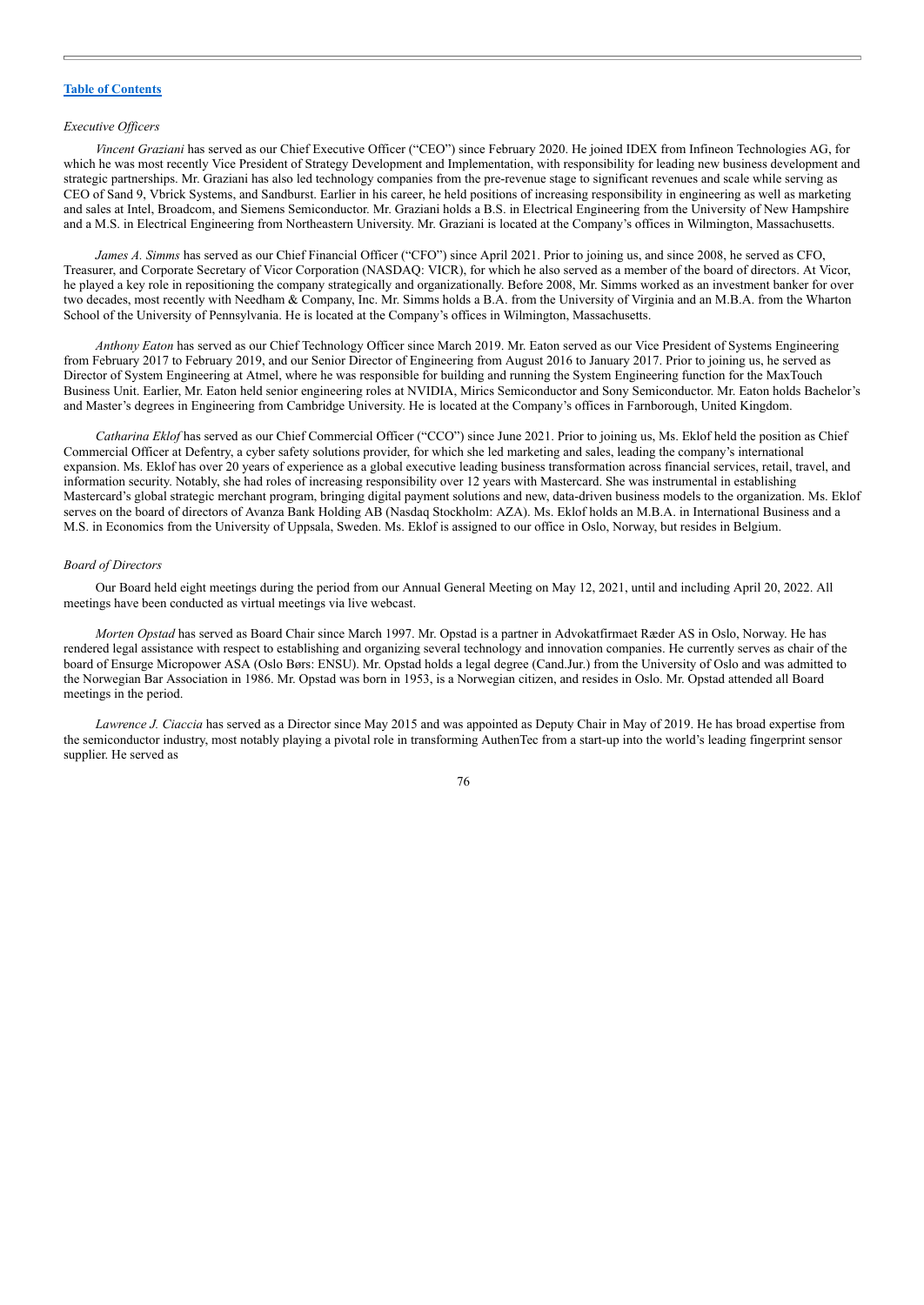# *Executive Officers*

*Vincent Graziani* has served as our Chief Executive Officer ("CEO") since February 2020. He joined IDEX from Infineon Technologies AG, for which he was most recently Vice President of Strategy Development and Implementation, with responsibility for leading new business development and strategic partnerships. Mr. Graziani has also led technology companies from the pre-revenue stage to significant revenues and scale while serving as CEO of Sand 9, Vbrick Systems, and Sandburst. Earlier in his career, he held positions of increasing responsibility in engineering as well as marketing and sales at Intel, Broadcom, and Siemens Semiconductor. Mr. Graziani holds a B.S. in Electrical Engineering from the University of New Hampshire and a M.S. in Electrical Engineering from Northeastern University. Mr. Graziani is located at the Company's offices in Wilmington, Massachusetts.

*James A. Simms* has served as our Chief Financial Officer ("CFO") since April 2021. Prior to joining us, and since 2008, he served as CFO, Treasurer, and Corporate Secretary of Vicor Corporation (NASDAQ: VICR), for which he also served as a member of the board of directors. At Vicor, he played a key role in repositioning the company strategically and organizationally. Before 2008, Mr. Simms worked as an investment banker for over two decades, most recently with Needham & Company, Inc. Mr. Simms holds a B.A. from the University of Virginia and an M.B.A. from the Wharton School of the University of Pennsylvania. He is located at the Company's offices in Wilmington, Massachusetts.

*Anthony Eaton* has served as our Chief Technology Officer since March 2019. Mr. Eaton served as our Vice President of Systems Engineering from February 2017 to February 2019, and our Senior Director of Engineering from August 2016 to January 2017. Prior to joining us, he served as Director of System Engineering at Atmel, where he was responsible for building and running the System Engineering function for the MaxTouch Business Unit. Earlier, Mr. Eaton held senior engineering roles at NVIDIA, Mirics Semiconductor and Sony Semiconductor. Mr. Eaton holds Bachelor's and Master's degrees in Engineering from Cambridge University. He is located at the Company's offices in Farnborough, United Kingdom.

*Catharina Eklof* has served as our Chief Commercial Officer ("CCO") since June 2021. Prior to joining us, Ms. Eklof held the position as Chief Commercial Officer at Defentry, a cyber safety solutions provider, for which she led marketing and sales, leading the company's international expansion. Ms. Eklof has over 20 years of experience as a global executive leading business transformation across financial services, retail, travel, and information security. Notably, she had roles of increasing responsibility over 12 years with Mastercard. She was instrumental in establishing Mastercard's global strategic merchant program, bringing digital payment solutions and new, data-driven business models to the organization. Ms. Eklof serves on the board of directors of Avanza Bank Holding AB (Nasdaq Stockholm: AZA). Ms. Eklof holds an M.B.A. in International Business and a M.S. in Economics from the University of Uppsala, Sweden. Ms. Eklof is assigned to our office in Oslo, Norway, but resides in Belgium.

#### *Board of Directors*

Our Board held eight meetings during the period from our Annual General Meeting on May 12, 2021, until and including April 20, 2022. All meetings have been conducted as virtual meetings via live webcast.

*Morten Opstad* has served as Board Chair since March 1997. Mr. Opstad is a partner in Advokatfirmaet Ræder AS in Oslo, Norway. He has rendered legal assistance with respect to establishing and organizing several technology and innovation companies. He currently serves as chair of the board of Ensurge Micropower ASA (Oslo Børs: ENSU). Mr. Opstad holds a legal degree (Cand.Jur.) from the University of Oslo and was admitted to the Norwegian Bar Association in 1986. Mr. Opstad was born in 1953, is a Norwegian citizen, and resides in Oslo. Mr. Opstad attended all Board meetings in the period.

*Lawrence J. Ciaccia* has served as a Director since May 2015 and was appointed as Deputy Chair in May of 2019. He has broad expertise from the semiconductor industry, most notably playing a pivotal role in transforming AuthenTec from a start-up into the world's leading fingerprint sensor supplier. He served as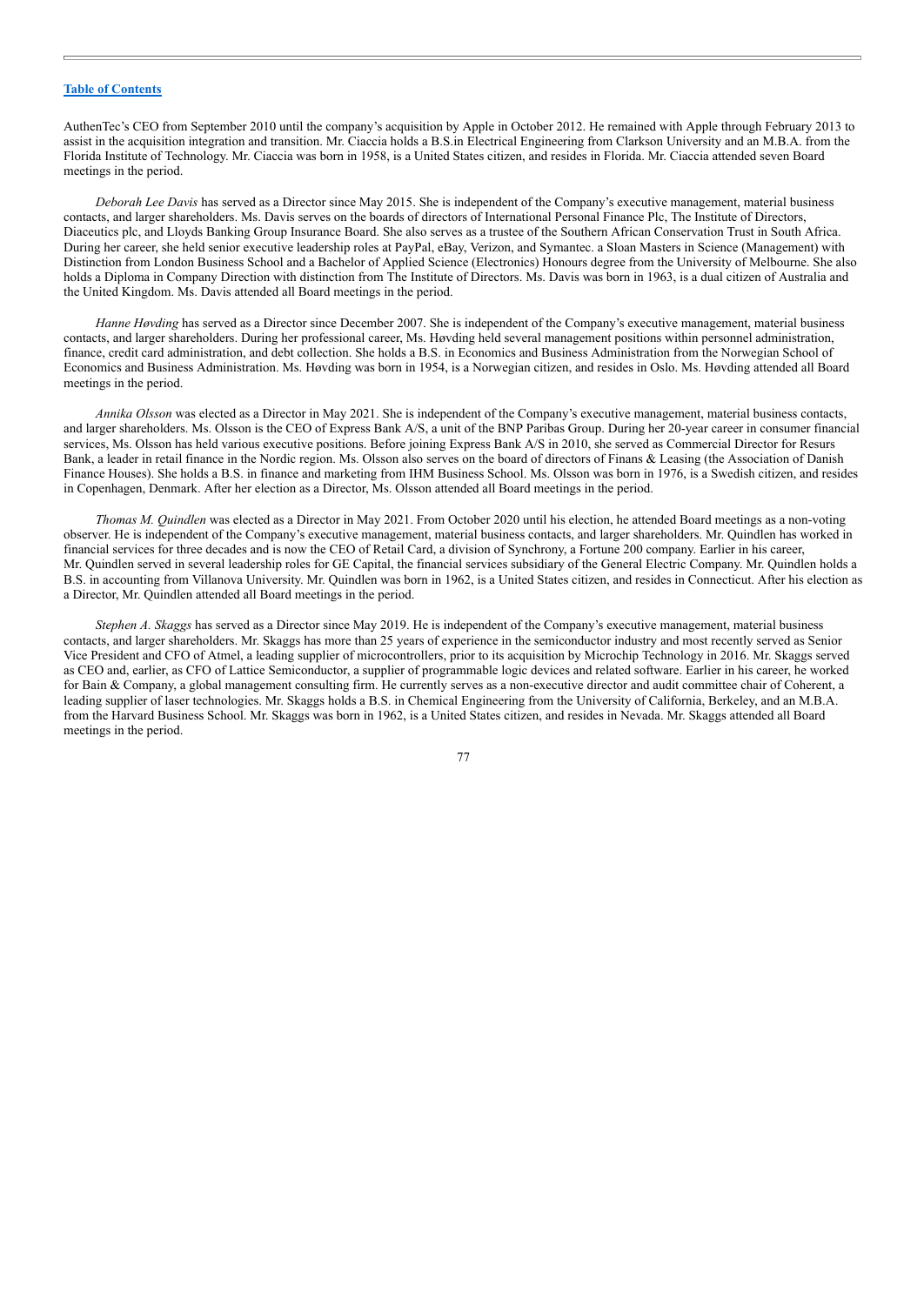AuthenTec's CEO from September 2010 until the company's acquisition by Apple in October 2012. He remained with Apple through February 2013 to assist in the acquisition integration and transition. Mr. Ciaccia holds a B.S.in Electrical Engineering from Clarkson University and an M.B.A. from the Florida Institute of Technology. Mr. Ciaccia was born in 1958, is a United States citizen, and resides in Florida. Mr. Ciaccia attended seven Board meetings in the period.

*Deborah Lee Davis* has served as a Director since May 2015. She is independent of the Company's executive management, material business contacts, and larger shareholders. Ms. Davis serves on the boards of directors of International Personal Finance Plc, The Institute of Directors, Diaceutics plc, and Lloyds Banking Group Insurance Board. She also serves as a trustee of the Southern African Conservation Trust in South Africa. During her career, she held senior executive leadership roles at PayPal, eBay, Verizon, and Symantec. a Sloan Masters in Science (Management) with Distinction from London Business School and a Bachelor of Applied Science (Electronics) Honours degree from the University of Melbourne. She also holds a Diploma in Company Direction with distinction from The Institute of Directors. Ms. Davis was born in 1963, is a dual citizen of Australia and the United Kingdom. Ms. Davis attended all Board meetings in the period.

*Hanne Høvding* has served as a Director since December 2007. She is independent of the Company's executive management, material business contacts, and larger shareholders. During her professional career, Ms. Høvding held several management positions within personnel administration, finance, credit card administration, and debt collection. She holds a B.S. in Economics and Business Administration from the Norwegian School of Economics and Business Administration. Ms. Høvding was born in 1954, is a Norwegian citizen, and resides in Oslo. Ms. Høvding attended all Board meetings in the period.

*Annika Olsson* was elected as a Director in May 2021. She is independent of the Company's executive management, material business contacts, and larger shareholders. Ms. Olsson is the CEO of Express Bank A/S, a unit of the BNP Paribas Group. During her 20-year career in consumer financial services, Ms. Olsson has held various executive positions. Before joining Express Bank A/S in 2010, she served as Commercial Director for Resurs Bank, a leader in retail finance in the Nordic region. Ms. Olsson also serves on the board of directors of Finans & Leasing (the Association of Danish Finance Houses). She holds a B.S. in finance and marketing from IHM Business School. Ms. Olsson was born in 1976, is a Swedish citizen, and resides in Copenhagen, Denmark. After her election as a Director, Ms. Olsson attended all Board meetings in the period.

*Thomas M. Quindlen* was elected as a Director in May 2021. From October 2020 until his election, he attended Board meetings as a non-voting observer. He is independent of the Company's executive management, material business contacts, and larger shareholders. Mr. Quindlen has worked in financial services for three decades and is now the CEO of Retail Card, a division of Synchrony, a Fortune 200 company. Earlier in his career, Mr. Quindlen served in several leadership roles for GE Capital, the financial services subsidiary of the General Electric Company. Mr. Quindlen holds a B.S. in accounting from Villanova University. Mr. Quindlen was born in 1962, is a United States citizen, and resides in Connecticut. After his election as a Director, Mr. Quindlen attended all Board meetings in the period.

*Stephen A. Skaggs* has served as a Director since May 2019. He is independent of the Company's executive management, material business contacts, and larger shareholders. Mr. Skaggs has more than 25 years of experience in the semiconductor industry and most recently served as Senior Vice President and CFO of Atmel, a leading supplier of microcontrollers, prior to its acquisition by Microchip Technology in 2016. Mr. Skaggs served as CEO and, earlier, as CFO of Lattice Semiconductor, a supplier of programmable logic devices and related software. Earlier in his career, he worked for Bain & Company, a global management consulting firm. He currently serves as a non-executive director and audit committee chair of Coherent, a leading supplier of laser technologies. Mr. Skaggs holds a B.S. in Chemical Engineering from the University of California, Berkeley, and an M.B.A. from the Harvard Business School. Mr. Skaggs was born in 1962, is a United States citizen, and resides in Nevada. Mr. Skaggs attended all Board meetings in the period.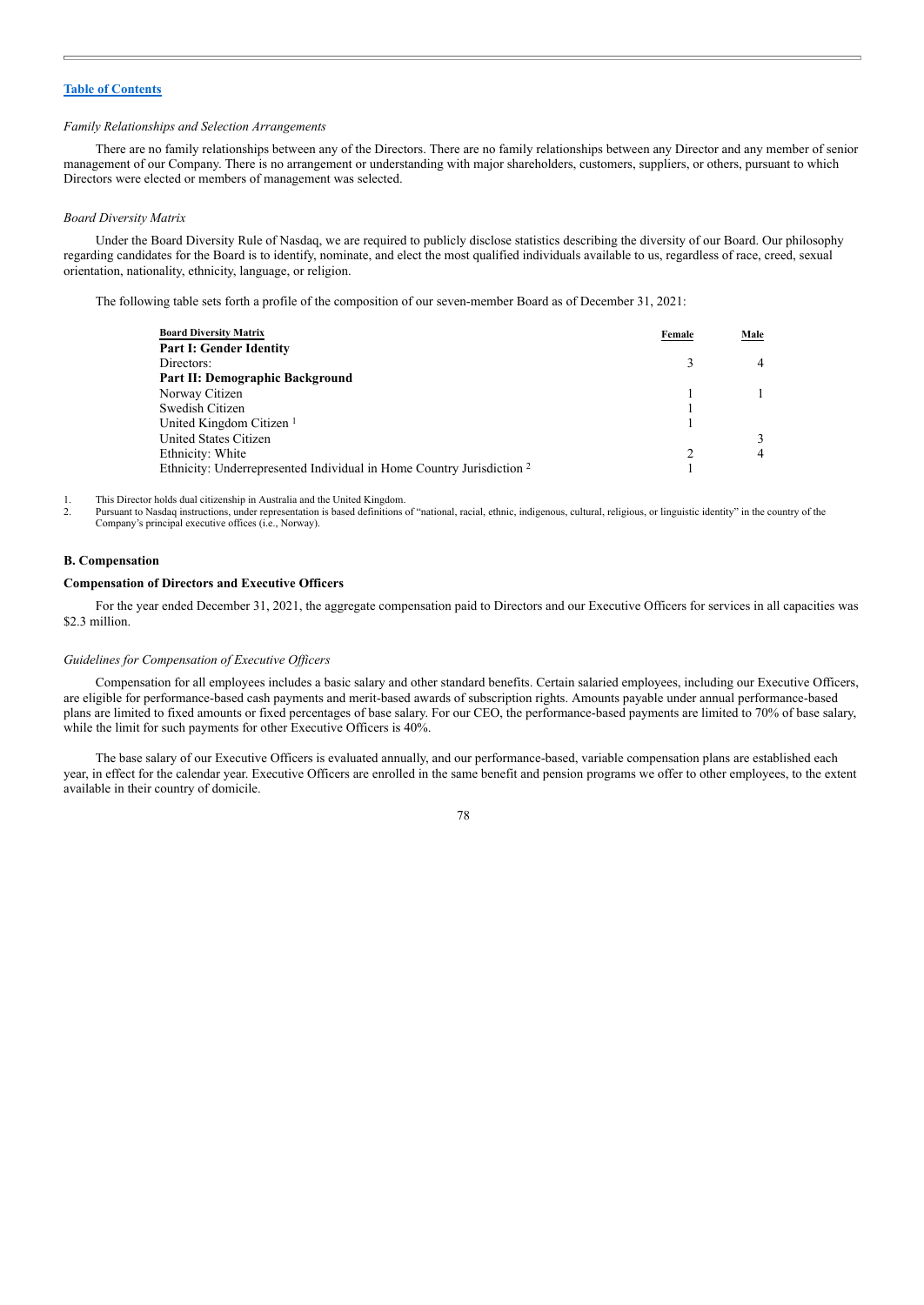# *Family Relationships and Selection Arrangements*

There are no family relationships between any of the Directors. There are no family relationships between any Director and any member of senior management of our Company. There is no arrangement or understanding with major shareholders, customers, suppliers, or others, pursuant to which Directors were elected or members of management was selected.

# *Board Diversity Matrix*

Under the Board Diversity Rule of Nasdaq, we are required to publicly disclose statistics describing the diversity of our Board. Our philosophy regarding candidates for the Board is to identify, nominate, and elect the most qualified individuals available to us, regardless of race, creed, sexual orientation, nationality, ethnicity, language, or religion.

The following table sets forth a profile of the composition of our seven-member Board as of December 31, 2021:

| <b>Board Diversity Matrix</b>                                         | Female | Male |
|-----------------------------------------------------------------------|--------|------|
| Part I: Gender Identity                                               |        |      |
| Directors:                                                            |        |      |
| Part II: Demographic Background                                       |        |      |
| Norway Citizen                                                        |        |      |
| Swedish Citizen                                                       |        |      |
| United Kingdom Citizen <sup>1</sup>                                   |        |      |
| United States Citizen                                                 |        |      |
| Ethnicity: White                                                      |        | 4    |
| Ethnicity: Underrepresented Individual in Home Country Jurisdiction 2 |        |      |

1. This Director holds dual citizenship in Australia and the United Kingdom.<br>2. Pursuant to Nasdaq instructions, under representation is based definitions.

Pursuant to Nasdaq instructions, under representation is based definitions of "national, racial, ethnic, indigenous, cultural, religious, or linguistic identity" in the country of the Company's principal executive offices (i.e., Norway).

# **B. Compensation**

# **Compensation of Directors and Executive Officers**

For the year ended December 31, 2021, the aggregate compensation paid to Directors and our Executive Officers for services in all capacities was \$2.3 million.

#### *Guidelines for Compensation of Executive Officers*

Compensation for all employees includes a basic salary and other standard benefits. Certain salaried employees, including our Executive Officers, are eligible for performance-based cash payments and merit-based awards of subscription rights. Amounts payable under annual performance-based plans are limited to fixed amounts or fixed percentages of base salary. For our CEO, the performance-based payments are limited to 70% of base salary, while the limit for such payments for other Executive Officers is 40%.

The base salary of our Executive Officers is evaluated annually, and our performance-based, variable compensation plans are established each year, in effect for the calendar year. Executive Officers are enrolled in the same benefit and pension programs we offer to other employees, to the extent available in their country of domicile.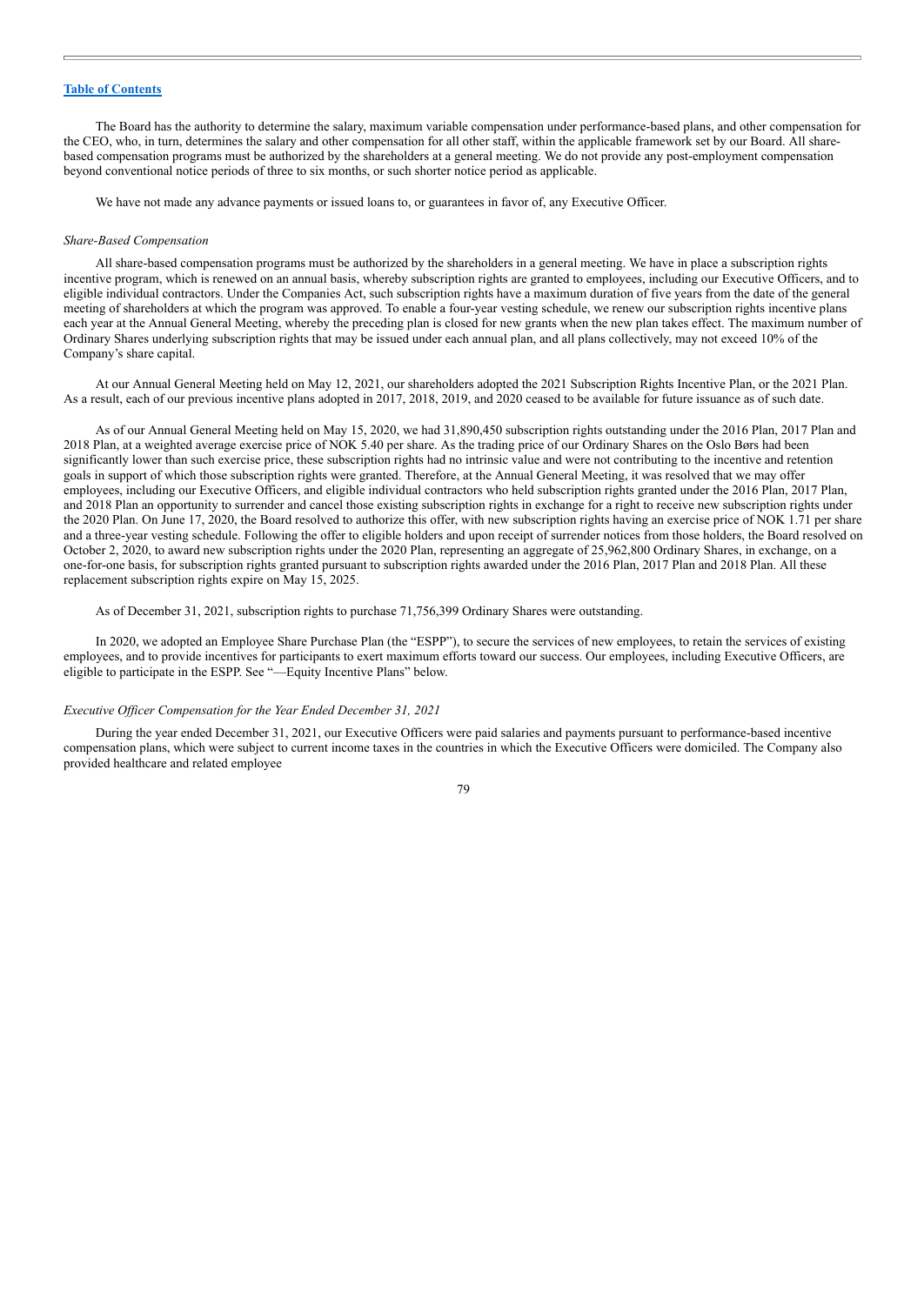The Board has the authority to determine the salary, maximum variable compensation under performance-based plans, and other compensation for the CEO, who, in turn, determines the salary and other compensation for all other staff, within the applicable framework set by our Board. All sharebased compensation programs must be authorized by the shareholders at a general meeting. We do not provide any post-employment compensation beyond conventional notice periods of three to six months, or such shorter notice period as applicable.

We have not made any advance payments or issued loans to, or guarantees in favor of, any Executive Officer.

#### *Share-Based Compensation*

All share-based compensation programs must be authorized by the shareholders in a general meeting. We have in place a subscription rights incentive program, which is renewed on an annual basis, whereby subscription rights are granted to employees, including our Executive Officers, and to eligible individual contractors. Under the Companies Act, such subscription rights have a maximum duration of five years from the date of the general meeting of shareholders at which the program was approved. To enable a four-year vesting schedule, we renew our subscription rights incentive plans each year at the Annual General Meeting, whereby the preceding plan is closed for new grants when the new plan takes effect. The maximum number of Ordinary Shares underlying subscription rights that may be issued under each annual plan, and all plans collectively, may not exceed 10% of the Company's share capital.

At our Annual General Meeting held on May 12, 2021, our shareholders adopted the 2021 Subscription Rights Incentive Plan, or the 2021 Plan. As a result, each of our previous incentive plans adopted in 2017, 2018, 2019, and 2020 ceased to be available for future issuance as of such date.

As of our Annual General Meeting held on May 15, 2020, we had 31,890,450 subscription rights outstanding under the 2016 Plan, 2017 Plan and 2018 Plan, at a weighted average exercise price of NOK 5.40 per share. As the trading price of our Ordinary Shares on the Oslo Børs had been significantly lower than such exercise price, these subscription rights had no intrinsic value and were not contributing to the incentive and retention goals in support of which those subscription rights were granted. Therefore, at the Annual General Meeting, it was resolved that we may offer employees, including our Executive Officers, and eligible individual contractors who held subscription rights granted under the 2016 Plan, 2017 Plan, and 2018 Plan an opportunity to surrender and cancel those existing subscription rights in exchange for a right to receive new subscription rights under the 2020 Plan. On June 17, 2020, the Board resolved to authorize this offer, with new subscription rights having an exercise price of NOK 1.71 per share and a three-year vesting schedule. Following the offer to eligible holders and upon receipt of surrender notices from those holders, the Board resolved on October 2, 2020, to award new subscription rights under the 2020 Plan, representing an aggregate of 25,962,800 Ordinary Shares, in exchange, on a one-for-one basis, for subscription rights granted pursuant to subscription rights awarded under the 2016 Plan, 2017 Plan and 2018 Plan. All these replacement subscription rights expire on May 15, 2025.

# As of December 31, 2021, subscription rights to purchase 71,756,399 Ordinary Shares were outstanding.

In 2020, we adopted an Employee Share Purchase Plan (the "ESPP"), to secure the services of new employees, to retain the services of existing employees, and to provide incentives for participants to exert maximum efforts toward our success. Our employees, including Executive Officers, are eligible to participate in the ESPP. See "—Equity Incentive Plans" below.

# *Executive Officer Compensation for the Year Ended December 31, 2021*

During the year ended December 31, 2021, our Executive Officers were paid salaries and payments pursuant to performance-based incentive compensation plans, which were subject to current income taxes in the countries in which the Executive Officers were domiciled. The Company also provided healthcare and related employee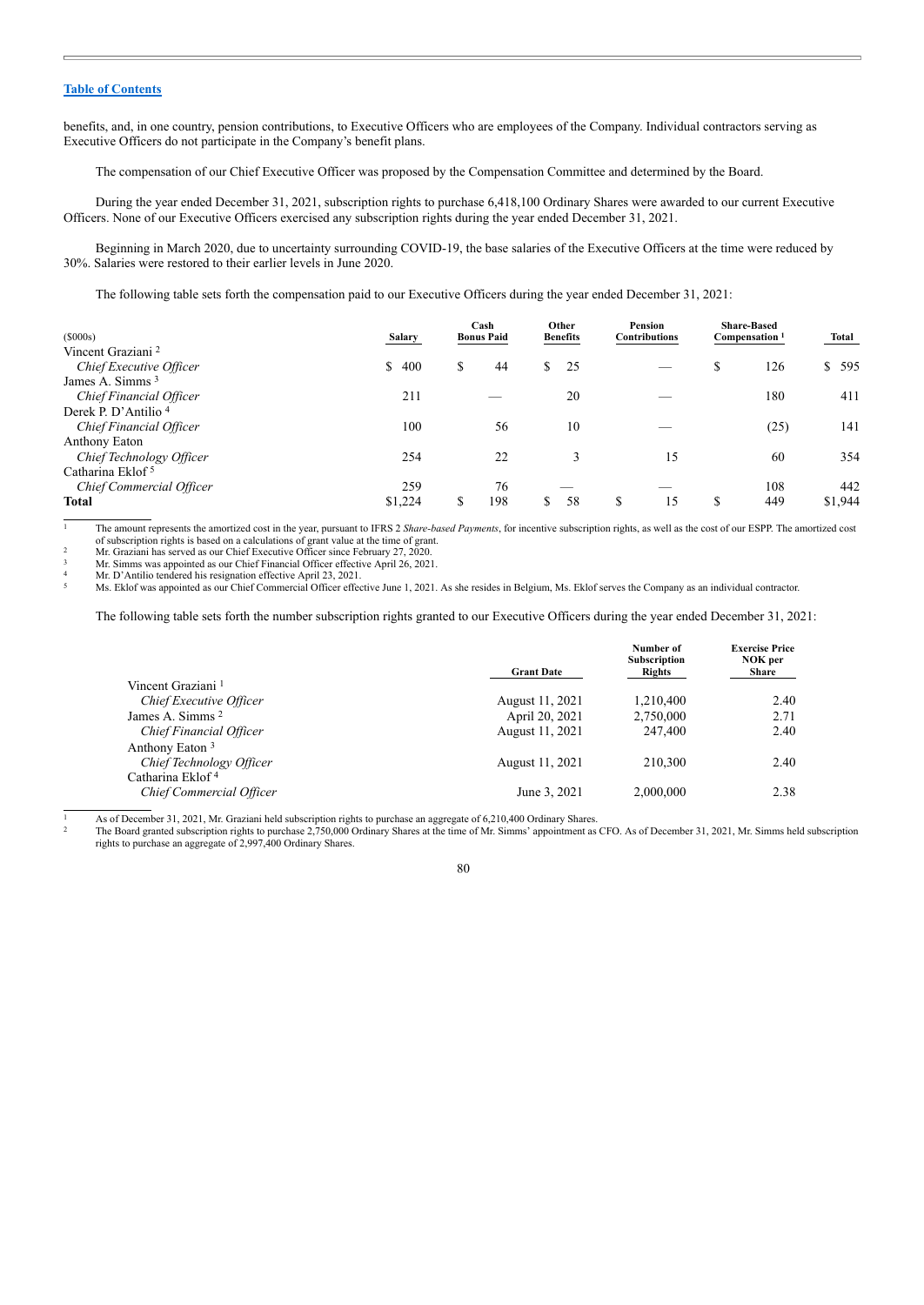benefits, and, in one country, pension contributions, to Executive Officers who are employees of the Company. Individual contractors serving as Executive Officers do not participate in the Company's benefit plans.

The compensation of our Chief Executive Officer was proposed by the Compensation Committee and determined by the Board.

During the year ended December 31, 2021, subscription rights to purchase 6,418,100 Ordinary Shares were awarded to our current Executive Officers. None of our Executive Officers exercised any subscription rights during the year ended December 31, 2021.

Beginning in March 2020, due to uncertainty surrounding COVID-19, the base salaries of the Executive Officers at the time were reduced by 30%. Salaries were restored to their earlier levels in June 2020.

The following table sets forth the compensation paid to our Executive Officers during the year ended December 31, 2021:

| (\$000s)                        | <b>Salary</b> | Cash<br><b>Bonus Paid</b> | Other<br><b>Benefits</b> |    |   | Pension<br><b>Contributions</b> |    | <b>Share-Based</b><br>Compensation <sup>1</sup> | <b>Total</b> |
|---------------------------------|---------------|---------------------------|--------------------------|----|---|---------------------------------|----|-------------------------------------------------|--------------|
| Vincent Graziani <sup>2</sup>   |               |                           |                          |    |   |                                 |    |                                                 |              |
| Chief Executive Officer         | 400<br>\$     | \$<br>44                  | \$                       | 25 |   | __                              | \$ | 126                                             | \$<br>595    |
| James A. Simms <sup>3</sup>     |               |                           |                          |    |   |                                 |    |                                                 |              |
| Chief Financial Officer         | 211           |                           |                          | 20 |   |                                 |    | 180                                             | 411          |
| Derek P. D'Antilio <sup>4</sup> |               |                           |                          |    |   |                                 |    |                                                 |              |
| Chief Financial Officer         | 100           | 56                        |                          | 10 |   |                                 |    | (25)                                            | 141          |
| Anthony Eaton                   |               |                           |                          |    |   |                                 |    |                                                 |              |
| Chief Technology Officer        | 254           | 22                        |                          | 3  |   | 15                              |    | 60                                              | 354          |
| Catharina Eklof <sup>5</sup>    |               |                           |                          |    |   |                                 |    |                                                 |              |
| Chief Commercial Officer        | 259           | 76                        |                          |    |   |                                 |    | 108                                             | 442          |
| <b>Total</b>                    | \$1,224       | 198                       | S                        | 58 | S | 15                              | S  | 449                                             | \$1,944      |

<sup>1</sup> The amount represents the amortized cost in the year, pursuant to IFRS 2 Share-based Payments, for incentive subscription rights, as well as the cost of our ESPP. The amortized cost of subscription rights is based on a

<sup>2</sup><br>2 Mr. Graziani has served as our Chief Executive Officer since February 27, 2020.<br>3 Mr. Simme was appointed as our Chief Einancial Officer affective April 26, 2021.

<sup>3</sup> Mr. Simms was appointed as our Chief Financial Officer effective April 26, 2021.

Mr. D'Antilio tendered his resignation effective April 23, 2021.<br>5 Ms. Eklof was appointed as our Chief Commercial Officer effective June 1, 2021. As she resides in Belgium, Ms. Eklof serves the Company as an individual co

The following table sets forth the number subscription rights granted to our Executive Officers during the year ended December 31, 2021:

|                                                          | <b>Grant Date</b> | Number of<br>Subscription<br><b>Rights</b> | <b>Exercise Price</b><br>NOK per<br>Share |
|----------------------------------------------------------|-------------------|--------------------------------------------|-------------------------------------------|
| Vincent Graziani <sup>1</sup>                            |                   |                                            |                                           |
| Chief Executive Officer                                  | August 11, 2021   | 1.210.400                                  | 2.40                                      |
| James A. Simms 2                                         | April 20, 2021    | 2,750,000                                  | 2.71                                      |
| Chief Financial Officer                                  | August 11, 2021   | 247,400                                    | 2.40                                      |
| Anthony Eaton <sup>3</sup><br>Chief Technology Officer   | August 11, 2021   | 210,300                                    | 2.40                                      |
| Catharina Eklof <sup>4</sup><br>Chief Commercial Officer | June 3, 2021      | 2,000,000                                  | 2.38                                      |

<sup>1</sup> As of December 31, 2021, Mr. Graziani held subscription rights to purchase an aggregate of 6,210,400 Ordinary Shares.<br><sup>2</sup> The Board granted subscription rights to purchase 2,750,000 Ordinary Shares at the time of Mr. S rights to purchase an aggregate of 2,997,400 Ordinary Shares.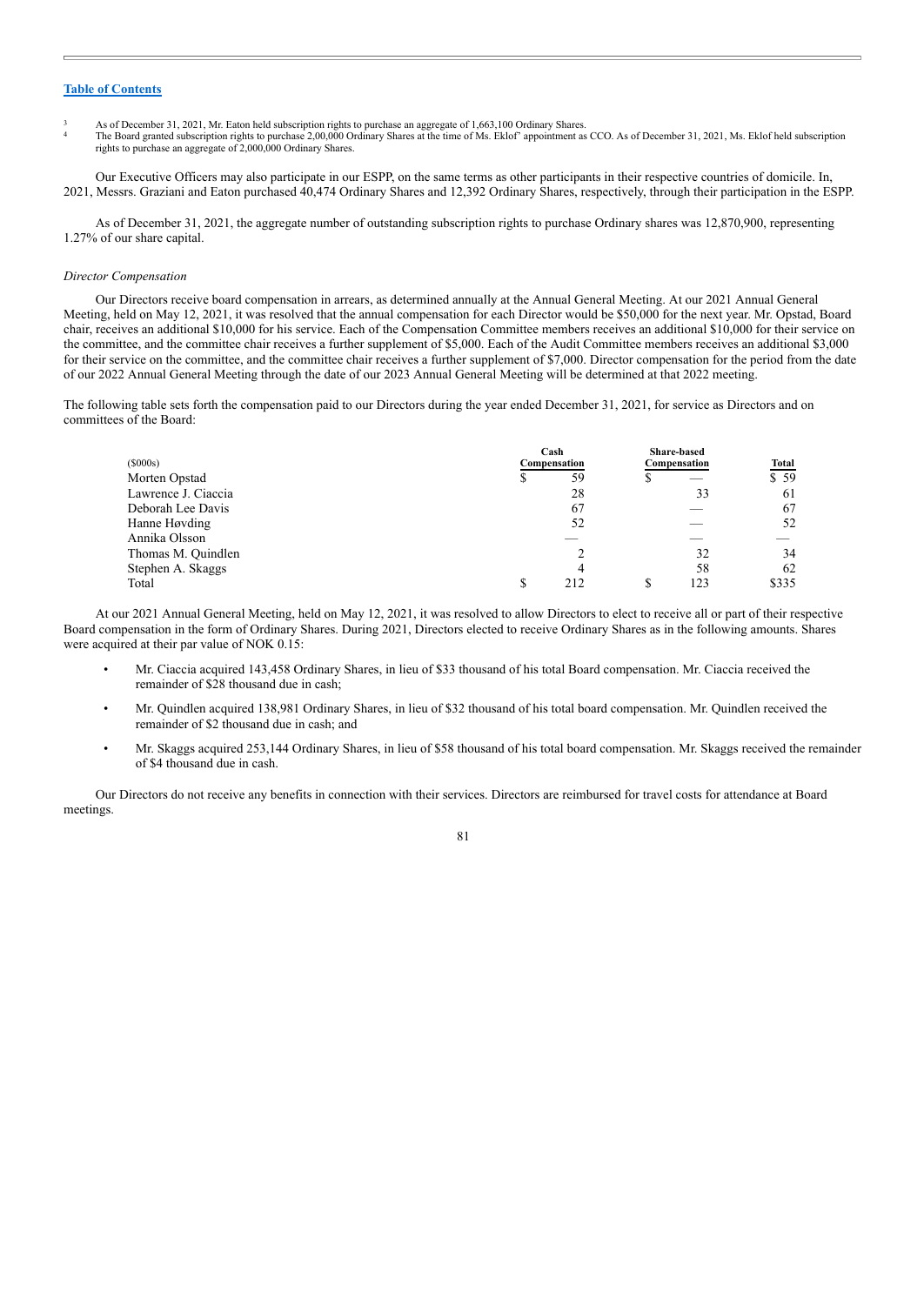- 
- 3 As of December 31, 2021, Mr. Eaton held subscription rights to purchase an aggregate of 1,663,100 Ordinary Shares.<br><sup>4</sup> The Board granted subscription rights to purchase 2,00,000 Ordinary Shares at the time of Ms. Eklof' rights to purchase an aggregate of 2,000,000 Ordinary Shares.

Our Executive Officers may also participate in our ESPP, on the same terms as other participants in their respective countries of domicile. In, 2021, Messrs. Graziani and Eaton purchased 40,474 Ordinary Shares and 12,392 Ordinary Shares, respectively, through their participation in the ESPP.

As of December 31, 2021, the aggregate number of outstanding subscription rights to purchase Ordinary shares was 12,870,900, representing 1.27% of our share capital.

#### *Director Compensation*

Our Directors receive board compensation in arrears, as determined annually at the Annual General Meeting. At our 2021 Annual General Meeting, held on May 12, 2021, it was resolved that the annual compensation for each Director would be \$50,000 for the next year. Mr. Opstad, Board chair, receives an additional \$10,000 for his service. Each of the Compensation Committee members receives an additional \$10,000 for their service on the committee, and the committee chair receives a further supplement of \$5,000. Each of the Audit Committee members receives an additional \$3,000 for their service on the committee, and the committee chair receives a further supplement of \$7,000. Director compensation for the period from the date of our 2022 Annual General Meeting through the date of our 2023 Annual General Meeting will be determined at that 2022 meeting.

The following table sets forth the compensation paid to our Directors during the year ended December 31, 2021, for service as Directors and on committees of the Board:

| $(\$000s)$          | Cash<br><b>Share-based</b><br>Compensation<br>Compensation |     |  | <b>Total</b> |       |
|---------------------|------------------------------------------------------------|-----|--|--------------|-------|
| Morten Opstad       |                                                            | 59  |  |              | \$59  |
| Lawrence J. Ciaccia |                                                            | 28  |  | 33           | 61    |
| Deborah Lee Davis   |                                                            | 67  |  |              | 67    |
| Hanne Høvding       |                                                            | 52  |  |              | 52    |
| Annika Olsson       |                                                            |     |  |              |       |
| Thomas M. Quindlen  |                                                            |     |  | 32           | 34    |
| Stephen A. Skaggs   |                                                            |     |  | 58           | 62    |
| Total               |                                                            | 212 |  | 123          | \$335 |

At our 2021 Annual General Meeting, held on May 12, 2021, it was resolved to allow Directors to elect to receive all or part of their respective Board compensation in the form of Ordinary Shares. During 2021, Directors elected to receive Ordinary Shares as in the following amounts. Shares were acquired at their par value of NOK 0.15:

- Mr. Ciaccia acquired 143,458 Ordinary Shares, in lieu of \$33 thousand of his total Board compensation. Mr. Ciaccia received the remainder of \$28 thousand due in cash;
- Mr. Quindlen acquired 138,981 Ordinary Shares, in lieu of \$32 thousand of his total board compensation. Mr. Quindlen received the remainder of \$2 thousand due in cash; and
- Mr. Skaggs acquired 253,144 Ordinary Shares, in lieu of \$58 thousand of his total board compensation. Mr. Skaggs received the remainder of \$4 thousand due in cash.

Our Directors do not receive any benefits in connection with their services. Directors are reimbursed for travel costs for attendance at Board meetings.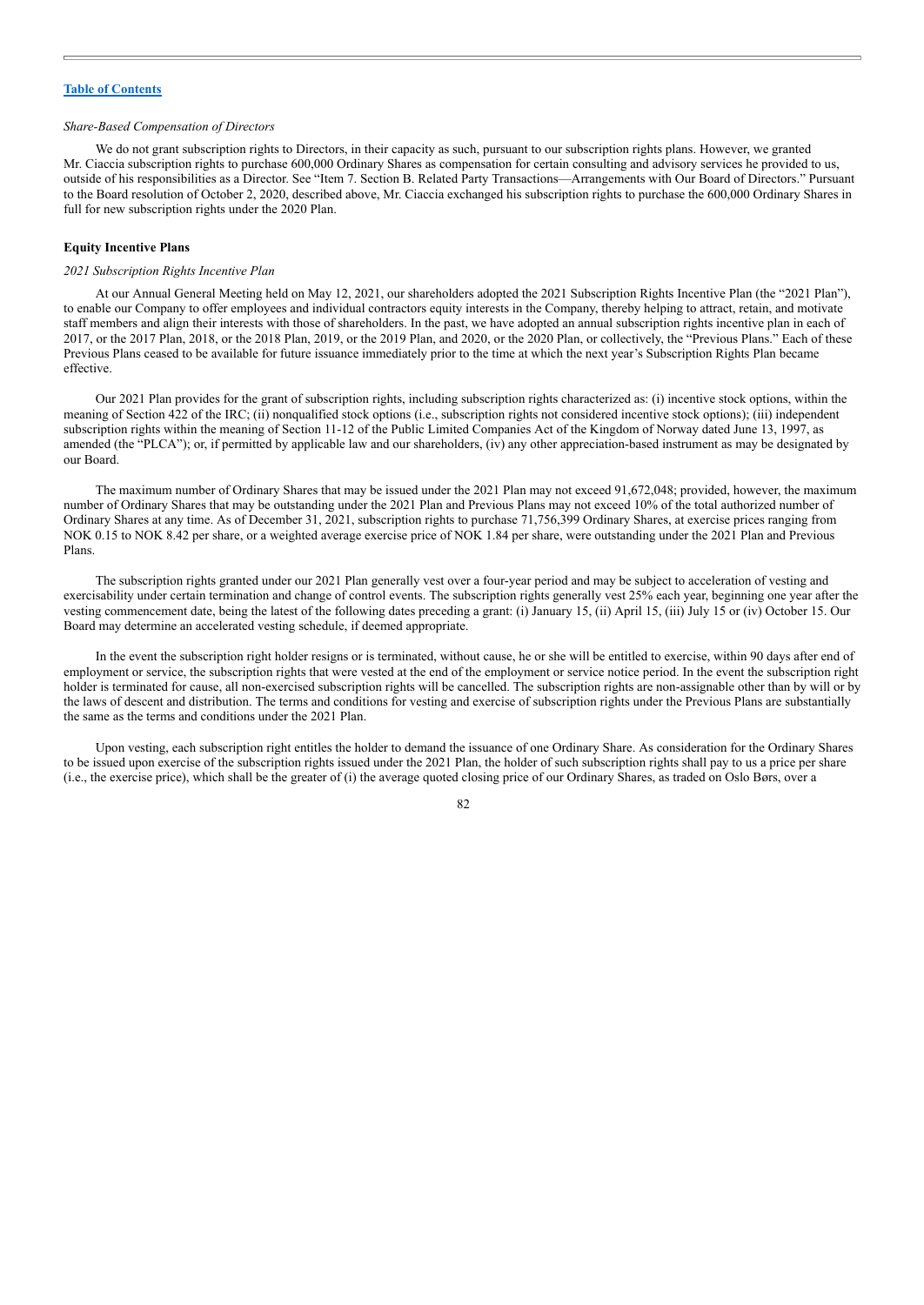# *Share-Based Compensation of Directors*

We do not grant subscription rights to Directors, in their capacity as such, pursuant to our subscription rights plans. However, we granted Mr. Ciaccia subscription rights to purchase 600,000 Ordinary Shares as compensation for certain consulting and advisory services he provided to us, outside of his responsibilities as a Director. See "Item 7. Section B. Related Party Transactions—Arrangements with Our Board of Directors." Pursuant to the Board resolution of October 2, 2020, described above, Mr. Ciaccia exchanged his subscription rights to purchase the 600,000 Ordinary Shares in full for new subscription rights under the 2020 Plan.

## **Equity Incentive Plans**

# *2021 Subscription Rights Incentive Plan*

At our Annual General Meeting held on May 12, 2021, our shareholders adopted the 2021 Subscription Rights Incentive Plan (the "2021 Plan"), to enable our Company to offer employees and individual contractors equity interests in the Company, thereby helping to attract, retain, and motivate staff members and align their interests with those of shareholders. In the past, we have adopted an annual subscription rights incentive plan in each of 2017, or the 2017 Plan, 2018, or the 2018 Plan, 2019, or the 2019 Plan, and 2020, or the 2020 Plan, or collectively, the "Previous Plans." Each of these Previous Plans ceased to be available for future issuance immediately prior to the time at which the next year's Subscription Rights Plan became effective.

Our 2021 Plan provides for the grant of subscription rights, including subscription rights characterized as: (i) incentive stock options, within the meaning of Section 422 of the IRC; (ii) nonqualified stock options (i.e., subscription rights not considered incentive stock options); (iii) independent subscription rights within the meaning of Section 11-12 of the Public Limited Companies Act of the Kingdom of Norway dated June 13, 1997, as amended (the "PLCA"); or, if permitted by applicable law and our shareholders, (iv) any other appreciation-based instrument as may be designated by our Board.

The maximum number of Ordinary Shares that may be issued under the 2021 Plan may not exceed 91,672,048; provided, however, the maximum number of Ordinary Shares that may be outstanding under the 2021 Plan and Previous Plans may not exceed 10% of the total authorized number of Ordinary Shares at any time. As of December 31, 2021, subscription rights to purchase 71,756,399 Ordinary Shares, at exercise prices ranging from NOK 0.15 to NOK 8.42 per share, or a weighted average exercise price of NOK 1.84 per share, were outstanding under the 2021 Plan and Previous Plans.

The subscription rights granted under our 2021 Plan generally vest over a four-year period and may be subject to acceleration of vesting and exercisability under certain termination and change of control events. The subscription rights generally vest 25% each year, beginning one year after the vesting commencement date, being the latest of the following dates preceding a grant: (i) January 15, (ii) April 15, (iii) July 15 or (iv) October 15. Our Board may determine an accelerated vesting schedule, if deemed appropriate.

In the event the subscription right holder resigns or is terminated, without cause, he or she will be entitled to exercise, within 90 days after end of employment or service, the subscription rights that were vested at the end of the employment or service notice period. In the event the subscription right holder is terminated for cause, all non-exercised subscription rights will be cancelled. The subscription rights are non-assignable other than by will or by the laws of descent and distribution. The terms and conditions for vesting and exercise of subscription rights under the Previous Plans are substantially the same as the terms and conditions under the 2021 Plan.

Upon vesting, each subscription right entitles the holder to demand the issuance of one Ordinary Share. As consideration for the Ordinary Shares to be issued upon exercise of the subscription rights issued under the 2021 Plan, the holder of such subscription rights shall pay to us a price per share (i.e., the exercise price), which shall be the greater of (i) the average quoted closing price of our Ordinary Shares, as traded on Oslo Børs, over a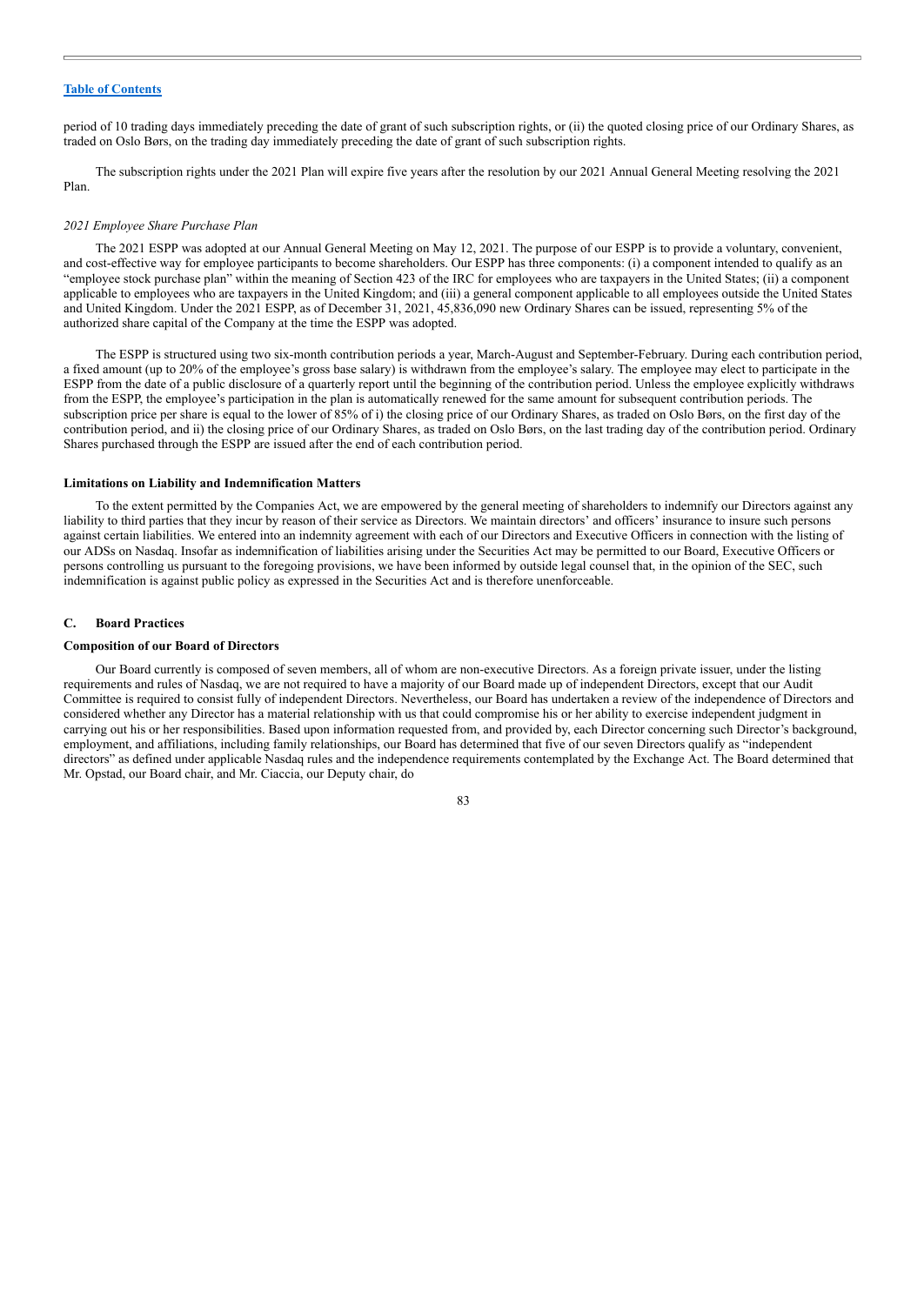period of 10 trading days immediately preceding the date of grant of such subscription rights, or (ii) the quoted closing price of our Ordinary Shares, as traded on Oslo Børs, on the trading day immediately preceding the date of grant of such subscription rights.

The subscription rights under the 2021 Plan will expire five years after the resolution by our 2021 Annual General Meeting resolving the 2021 Plan.

# *2021 Employee Share Purchase Plan*

The 2021 ESPP was adopted at our Annual General Meeting on May 12, 2021. The purpose of our ESPP is to provide a voluntary, convenient, and cost-effective way for employee participants to become shareholders. Our ESPP has three components: (i) a component intended to qualify as an "employee stock purchase plan" within the meaning of Section 423 of the IRC for employees who are taxpayers in the United States; (ii) a component applicable to employees who are taxpayers in the United Kingdom; and (iii) a general component applicable to all employees outside the United States and United Kingdom. Under the 2021 ESPP, as of December 31, 2021, 45,836,090 new Ordinary Shares can be issued, representing 5% of the authorized share capital of the Company at the time the ESPP was adopted.

The ESPP is structured using two six-month contribution periods a year, March-August and September-February. During each contribution period, a fixed amount (up to 20% of the employee's gross base salary) is withdrawn from the employee's salary. The employee may elect to participate in the ESPP from the date of a public disclosure of a quarterly report until the beginning of the contribution period. Unless the employee explicitly withdraws from the ESPP, the employee's participation in the plan is automatically renewed for the same amount for subsequent contribution periods. The subscription price per share is equal to the lower of 85% of i) the closing price of our Ordinary Shares, as traded on Oslo Børs, on the first day of the contribution period, and ii) the closing price of our Ordinary Shares, as traded on Oslo Børs, on the last trading day of the contribution period. Ordinary Shares purchased through the ESPP are issued after the end of each contribution period.

# **Limitations on Liability and Indemnification Matters**

To the extent permitted by the Companies Act, we are empowered by the general meeting of shareholders to indemnify our Directors against any liability to third parties that they incur by reason of their service as Directors. We maintain directors' and officers' insurance to insure such persons against certain liabilities. We entered into an indemnity agreement with each of our Directors and Executive Officers in connection with the listing of our ADSs on Nasdaq. Insofar as indemnification of liabilities arising under the Securities Act may be permitted to our Board, Executive Officers or persons controlling us pursuant to the foregoing provisions, we have been informed by outside legal counsel that, in the opinion of the SEC, such indemnification is against public policy as expressed in the Securities Act and is therefore unenforceable.

# **C. Board Practices**

#### **Composition of our Board of Directors**

Our Board currently is composed of seven members, all of whom are non-executive Directors. As a foreign private issuer, under the listing requirements and rules of Nasdaq, we are not required to have a majority of our Board made up of independent Directors, except that our Audit Committee is required to consist fully of independent Directors. Nevertheless, our Board has undertaken a review of the independence of Directors and considered whether any Director has a material relationship with us that could compromise his or her ability to exercise independent judgment in carrying out his or her responsibilities. Based upon information requested from, and provided by, each Director concerning such Director's background, employment, and affiliations, including family relationships, our Board has determined that five of our seven Directors qualify as "independent directors" as defined under applicable Nasdaq rules and the independence requirements contemplated by the Exchange Act. The Board determined that Mr. Opstad, our Board chair, and Mr. Ciaccia, our Deputy chair, do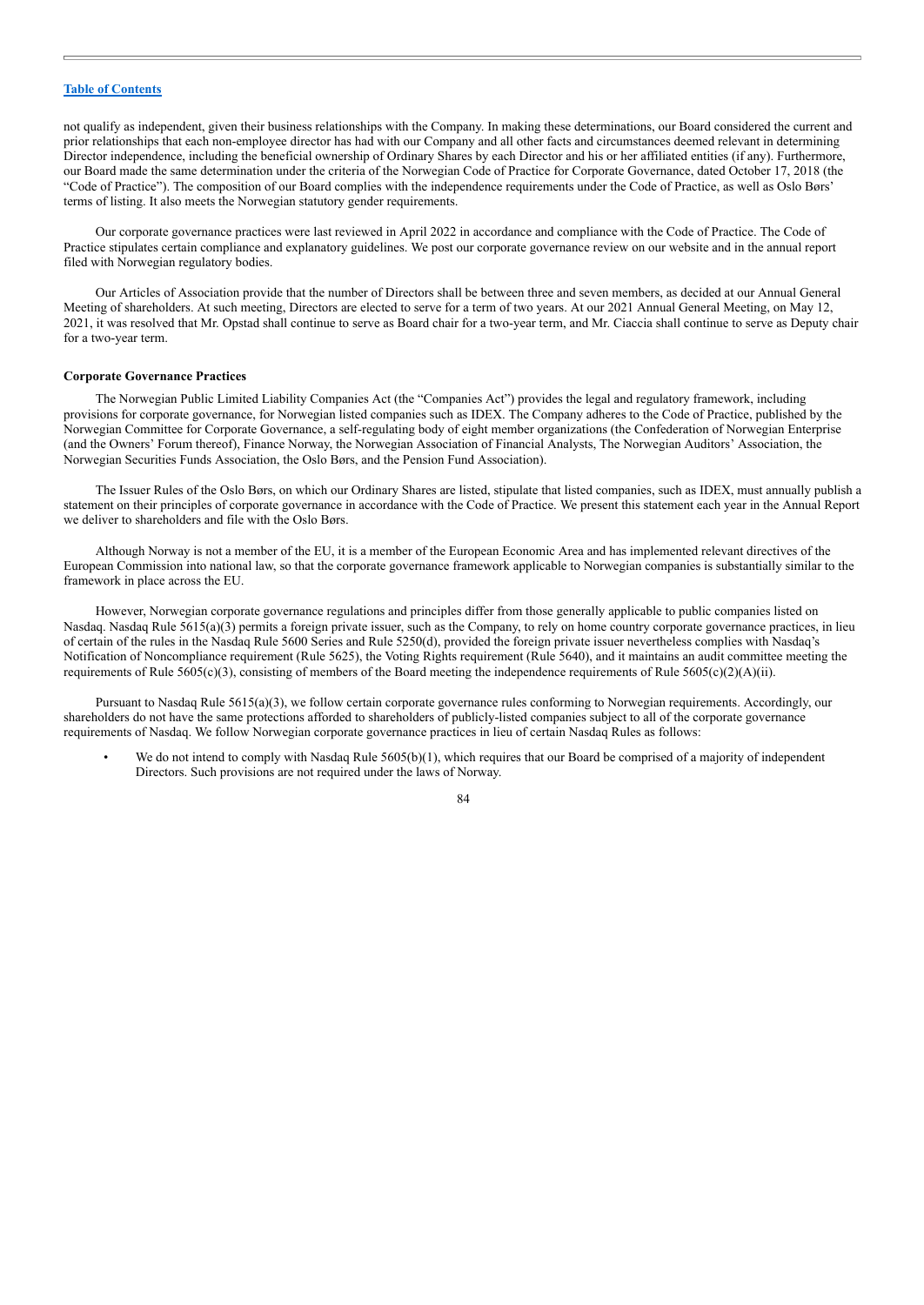not qualify as independent, given their business relationships with the Company. In making these determinations, our Board considered the current and prior relationships that each non-employee director has had with our Company and all other facts and circumstances deemed relevant in determining Director independence, including the beneficial ownership of Ordinary Shares by each Director and his or her affiliated entities (if any). Furthermore, our Board made the same determination under the criteria of the Norwegian Code of Practice for Corporate Governance, dated October 17, 2018 (the "Code of Practice"). The composition of our Board complies with the independence requirements under the Code of Practice, as well as Oslo Børs' terms of listing. It also meets the Norwegian statutory gender requirements.

Our corporate governance practices were last reviewed in April 2022 in accordance and compliance with the Code of Practice. The Code of Practice stipulates certain compliance and explanatory guidelines. We post our corporate governance review on our website and in the annual report filed with Norwegian regulatory bodies.

Our Articles of Association provide that the number of Directors shall be between three and seven members, as decided at our Annual General Meeting of shareholders. At such meeting, Directors are elected to serve for a term of two years. At our 2021 Annual General Meeting, on May 12, 2021, it was resolved that Mr. Opstad shall continue to serve as Board chair for a two-year term, and Mr. Ciaccia shall continue to serve as Deputy chair for a two-year term.

#### **Corporate Governance Practices**

The Norwegian Public Limited Liability Companies Act (the "Companies Act") provides the legal and regulatory framework, including provisions for corporate governance, for Norwegian listed companies such as IDEX. The Company adheres to the Code of Practice, published by the Norwegian Committee for Corporate Governance, a self-regulating body of eight member organizations (the Confederation of Norwegian Enterprise (and the Owners' Forum thereof), Finance Norway, the Norwegian Association of Financial Analysts, The Norwegian Auditors' Association, the Norwegian Securities Funds Association, the Oslo Børs, and the Pension Fund Association).

The Issuer Rules of the Oslo Børs, on which our Ordinary Shares are listed, stipulate that listed companies, such as IDEX, must annually publish a statement on their principles of corporate governance in accordance with the Code of Practice. We present this statement each year in the Annual Report we deliver to shareholders and file with the Oslo Børs.

Although Norway is not a member of the EU, it is a member of the European Economic Area and has implemented relevant directives of the European Commission into national law, so that the corporate governance framework applicable to Norwegian companies is substantially similar to the framework in place across the EU.

However, Norwegian corporate governance regulations and principles differ from those generally applicable to public companies listed on Nasdaq. Nasdaq Rule 5615(a)(3) permits a foreign private issuer, such as the Company, to rely on home country corporate governance practices, in lieu of certain of the rules in the Nasdaq Rule 5600 Series and Rule 5250(d), provided the foreign private issuer nevertheless complies with Nasdaq's Notification of Noncompliance requirement (Rule 5625), the Voting Rights requirement (Rule 5640), and it maintains an audit committee meeting the requirements of Rule 5605(c)(3), consisting of members of the Board meeting the independence requirements of Rule 5605(c)(2)(A)(ii).

Pursuant to Nasdaq Rule 5615(a)(3), we follow certain corporate governance rules conforming to Norwegian requirements. Accordingly, our shareholders do not have the same protections afforded to shareholders of publicly-listed companies subject to all of the corporate governance requirements of Nasdaq. We follow Norwegian corporate governance practices in lieu of certain Nasdaq Rules as follows:

We do not intend to comply with Nasdaq Rule 5605(b)(1), which requires that our Board be comprised of a majority of independent Directors. Such provisions are not required under the laws of Norway.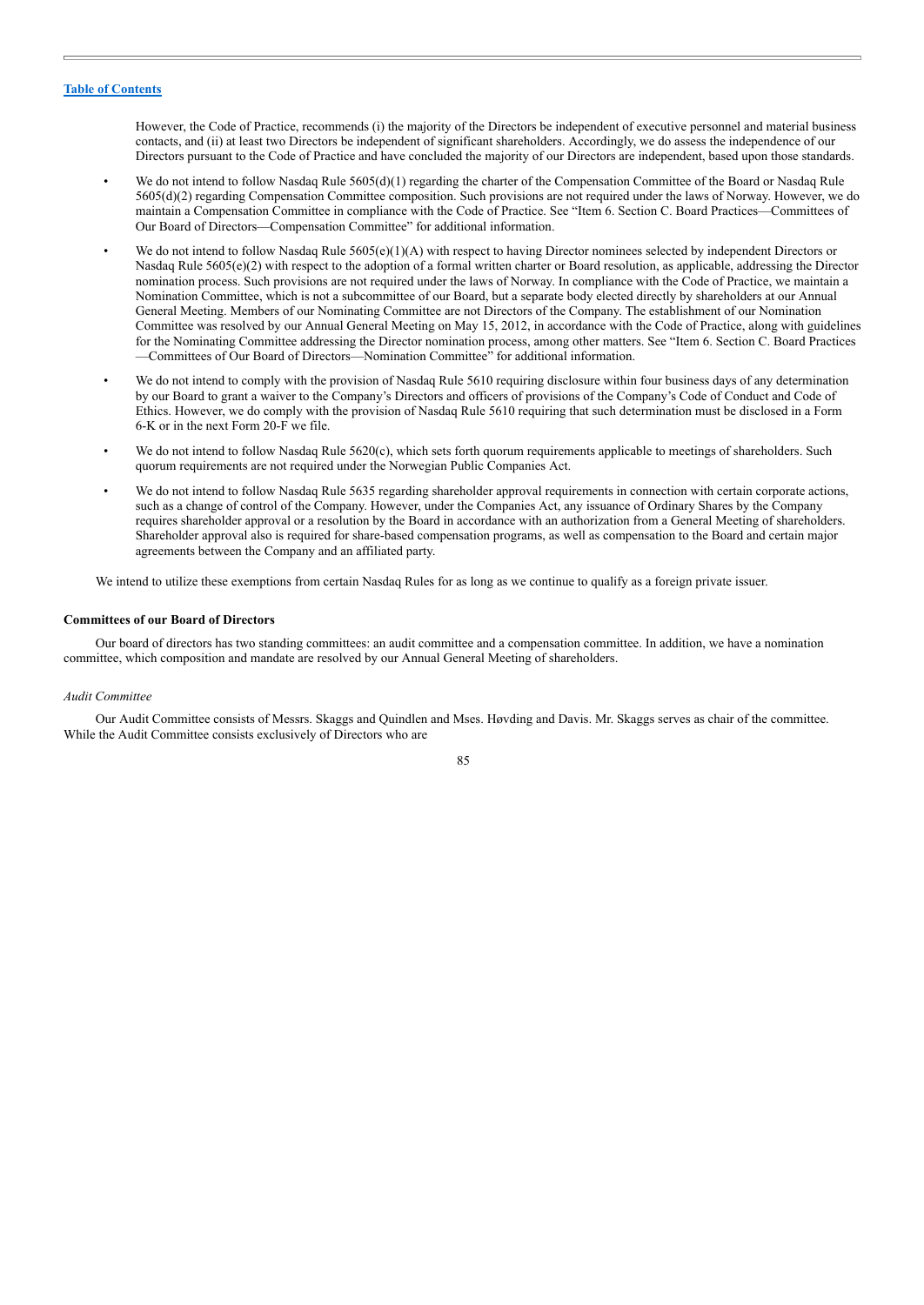However, the Code of Practice, recommends (i) the majority of the Directors be independent of executive personnel and material business contacts, and (ii) at least two Directors be independent of significant shareholders. Accordingly, we do assess the independence of our Directors pursuant to the Code of Practice and have concluded the majority of our Directors are independent, based upon those standards.

- We do not intend to follow Nasdaq Rule 5605(d)(1) regarding the charter of the Compensation Committee of the Board or Nasdaq Rule 5605(d)(2) regarding Compensation Committee composition. Such provisions are not required under the laws of Norway. However, we do maintain a Compensation Committee in compliance with the Code of Practice. See "Item 6. Section C. Board Practices—Committees of Our Board of Directors—Compensation Committee" for additional information.
- We do not intend to follow Nasdaq Rule  $5605(e)(1)(A)$  with respect to having Director nominees selected by independent Directors or Nasdaq Rule 5605(e)(2) with respect to the adoption of a formal written charter or Board resolution, as applicable, addressing the Director nomination process. Such provisions are not required under the laws of Norway. In compliance with the Code of Practice, we maintain a Nomination Committee, which is not a subcommittee of our Board, but a separate body elected directly by shareholders at our Annual General Meeting. Members of our Nominating Committee are not Directors of the Company. The establishment of our Nomination Committee was resolved by our Annual General Meeting on May 15, 2012, in accordance with the Code of Practice, along with guidelines for the Nominating Committee addressing the Director nomination process, among other matters. See "Item 6. Section C. Board Practices —Committees of Our Board of Directors—Nomination Committee" for additional information.
- We do not intend to comply with the provision of Nasdaq Rule 5610 requiring disclosure within four business days of any determination by our Board to grant a waiver to the Company's Directors and officers of provisions of the Company's Code of Conduct and Code of Ethics. However, we do comply with the provision of Nasdaq Rule 5610 requiring that such determination must be disclosed in a Form 6-K or in the next Form 20-F we file.
- We do not intend to follow Nasdaq Rule 5620(c), which sets forth quorum requirements applicable to meetings of shareholders. Such quorum requirements are not required under the Norwegian Public Companies Act.
- We do not intend to follow Nasdaq Rule 5635 regarding shareholder approval requirements in connection with certain corporate actions, such as a change of control of the Company. However, under the Companies Act, any issuance of Ordinary Shares by the Company requires shareholder approval or a resolution by the Board in accordance with an authorization from a General Meeting of shareholders. Shareholder approval also is required for share-based compensation programs, as well as compensation to the Board and certain major agreements between the Company and an affiliated party.

We intend to utilize these exemptions from certain Nasdaq Rules for as long as we continue to qualify as a foreign private issuer.

# **Committees of our Board of Directors**

Our board of directors has two standing committees: an audit committee and a compensation committee. In addition, we have a nomination committee, which composition and mandate are resolved by our Annual General Meeting of shareholders.

# *Audit Committee*

Our Audit Committee consists of Messrs. Skaggs and Quindlen and Mses. Høvding and Davis. Mr. Skaggs serves as chair of the committee. While the Audit Committee consists exclusively of Directors who are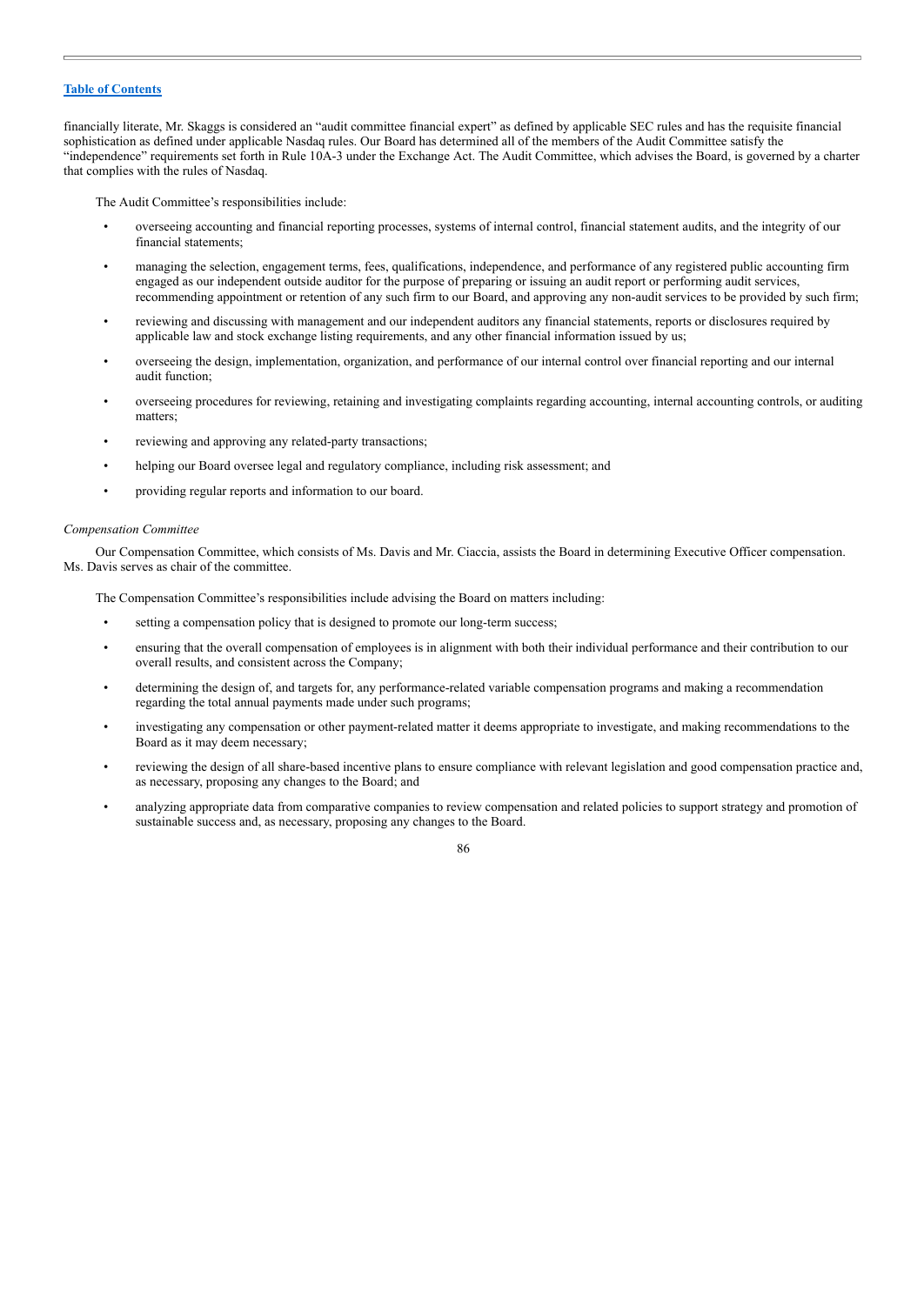financially literate, Mr. Skaggs is considered an "audit committee financial expert" as defined by applicable SEC rules and has the requisite financial sophistication as defined under applicable Nasdaq rules. Our Board has determined all of the members of the Audit Committee satisfy the "independence" requirements set forth in Rule 10A-3 under the Exchange Act. The Audit Committee, which advises the Board, is governed by a charter that complies with the rules of Nasdaq.

The Audit Committee's responsibilities include:

- overseeing accounting and financial reporting processes, systems of internal control, financial statement audits, and the integrity of our financial statements;
- managing the selection, engagement terms, fees, qualifications, independence, and performance of any registered public accounting firm engaged as our independent outside auditor for the purpose of preparing or issuing an audit report or performing audit services, recommending appointment or retention of any such firm to our Board, and approving any non-audit services to be provided by such firm;
- reviewing and discussing with management and our independent auditors any financial statements, reports or disclosures required by applicable law and stock exchange listing requirements, and any other financial information issued by us;
- overseeing the design, implementation, organization, and performance of our internal control over financial reporting and our internal audit function;
- overseeing procedures for reviewing, retaining and investigating complaints regarding accounting, internal accounting controls, or auditing matters;
- reviewing and approving any related-party transactions;
- helping our Board oversee legal and regulatory compliance, including risk assessment; and
- providing regular reports and information to our board.

### *Compensation Committee*

Our Compensation Committee, which consists of Ms. Davis and Mr. Ciaccia, assists the Board in determining Executive Officer compensation. Ms. Davis serves as chair of the committee.

The Compensation Committee's responsibilities include advising the Board on matters including:

- setting a compensation policy that is designed to promote our long-term success;
- ensuring that the overall compensation of employees is in alignment with both their individual performance and their contribution to our overall results, and consistent across the Company;
- determining the design of, and targets for, any performance-related variable compensation programs and making a recommendation regarding the total annual payments made under such programs;
- investigating any compensation or other payment-related matter it deems appropriate to investigate, and making recommendations to the Board as it may deem necessary;
- reviewing the design of all share-based incentive plans to ensure compliance with relevant legislation and good compensation practice and, as necessary, proposing any changes to the Board; and
- analyzing appropriate data from comparative companies to review compensation and related policies to support strategy and promotion of sustainable success and, as necessary, proposing any changes to the Board.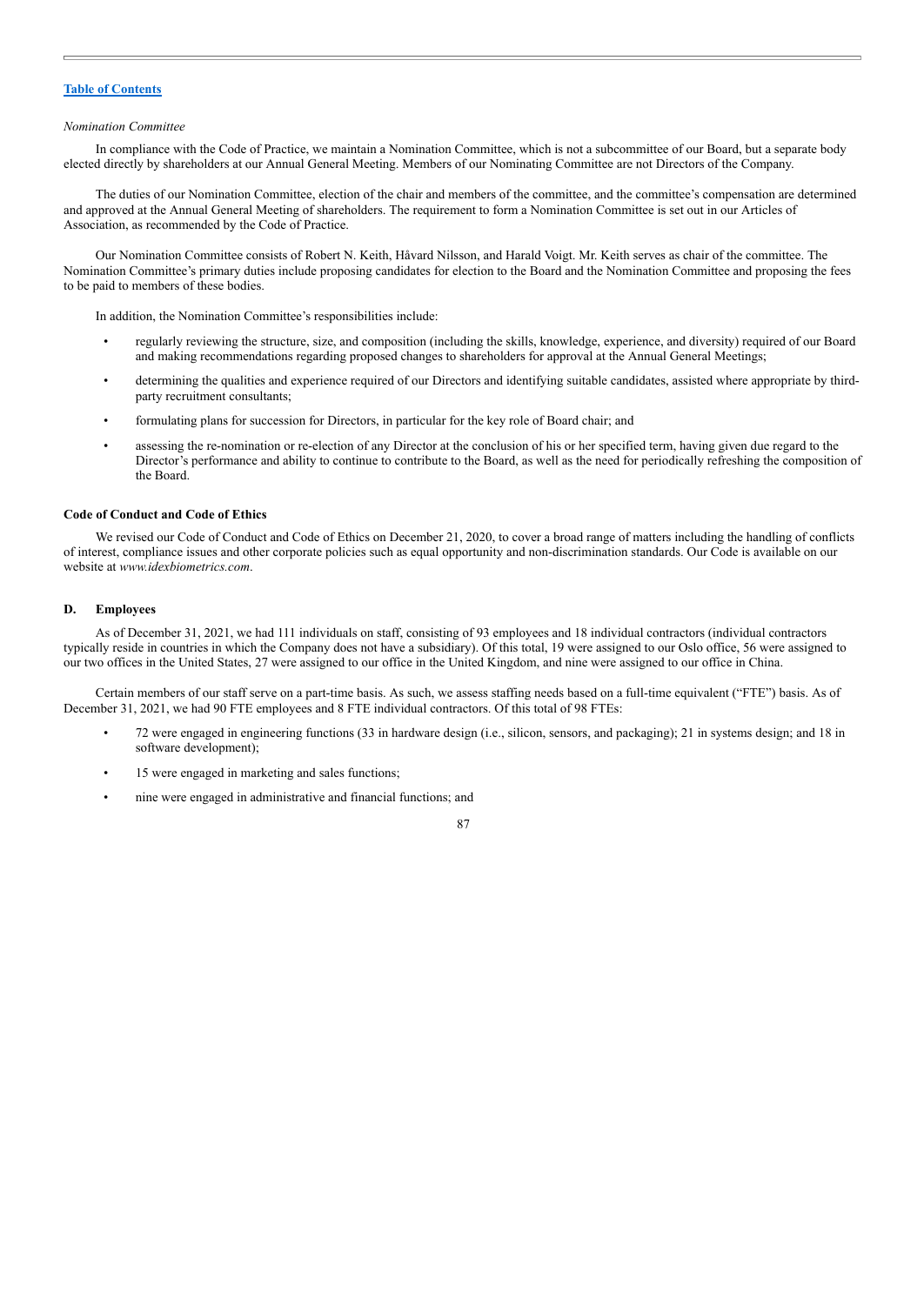# *Nomination Committee*

In compliance with the Code of Practice, we maintain a Nomination Committee, which is not a subcommittee of our Board, but a separate body elected directly by shareholders at our Annual General Meeting. Members of our Nominating Committee are not Directors of the Company.

The duties of our Nomination Committee, election of the chair and members of the committee, and the committee's compensation are determined and approved at the Annual General Meeting of shareholders. The requirement to form a Nomination Committee is set out in our Articles of Association, as recommended by the Code of Practice.

Our Nomination Committee consists of Robert N. Keith, Håvard Nilsson, and Harald Voigt. Mr. Keith serves as chair of the committee. The Nomination Committee's primary duties include proposing candidates for election to the Board and the Nomination Committee and proposing the fees to be paid to members of these bodies.

In addition, the Nomination Committee's responsibilities include:

- regularly reviewing the structure, size, and composition (including the skills, knowledge, experience, and diversity) required of our Board and making recommendations regarding proposed changes to shareholders for approval at the Annual General Meetings;
- determining the qualities and experience required of our Directors and identifying suitable candidates, assisted where appropriate by thirdparty recruitment consultants;
- formulating plans for succession for Directors, in particular for the key role of Board chair; and
- assessing the re-nomination or re-election of any Director at the conclusion of his or her specified term, having given due regard to the Director's performance and ability to continue to contribute to the Board, as well as the need for periodically refreshing the composition of the Board.

#### **Code of Conduct and Code of Ethics**

We revised our Code of Conduct and Code of Ethics on December 21, 2020, to cover a broad range of matters including the handling of conflicts of interest, compliance issues and other corporate policies such as equal opportunity and non-discrimination standards. Our Code is available on our website at *www.idexbiometrics.com*.

# **D. Employees**

As of December 31, 2021, we had 111 individuals on staff, consisting of 93 employees and 18 individual contractors (individual contractors typically reside in countries in which the Company does not have a subsidiary). Of this total, 19 were assigned to our Oslo office, 56 were assigned to our two offices in the United States, 27 were assigned to our office in the United Kingdom, and nine were assigned to our office in China.

Certain members of our staff serve on a part-time basis. As such, we assess staffing needs based on a full-time equivalent ("FTE") basis. As of December 31, 2021, we had 90 FTE employees and 8 FTE individual contractors. Of this total of 98 FTEs:

- 72 were engaged in engineering functions (33 in hardware design (i.e., silicon, sensors, and packaging); 21 in systems design; and 18 in software development);
- 15 were engaged in marketing and sales functions;
- nine were engaged in administrative and financial functions; and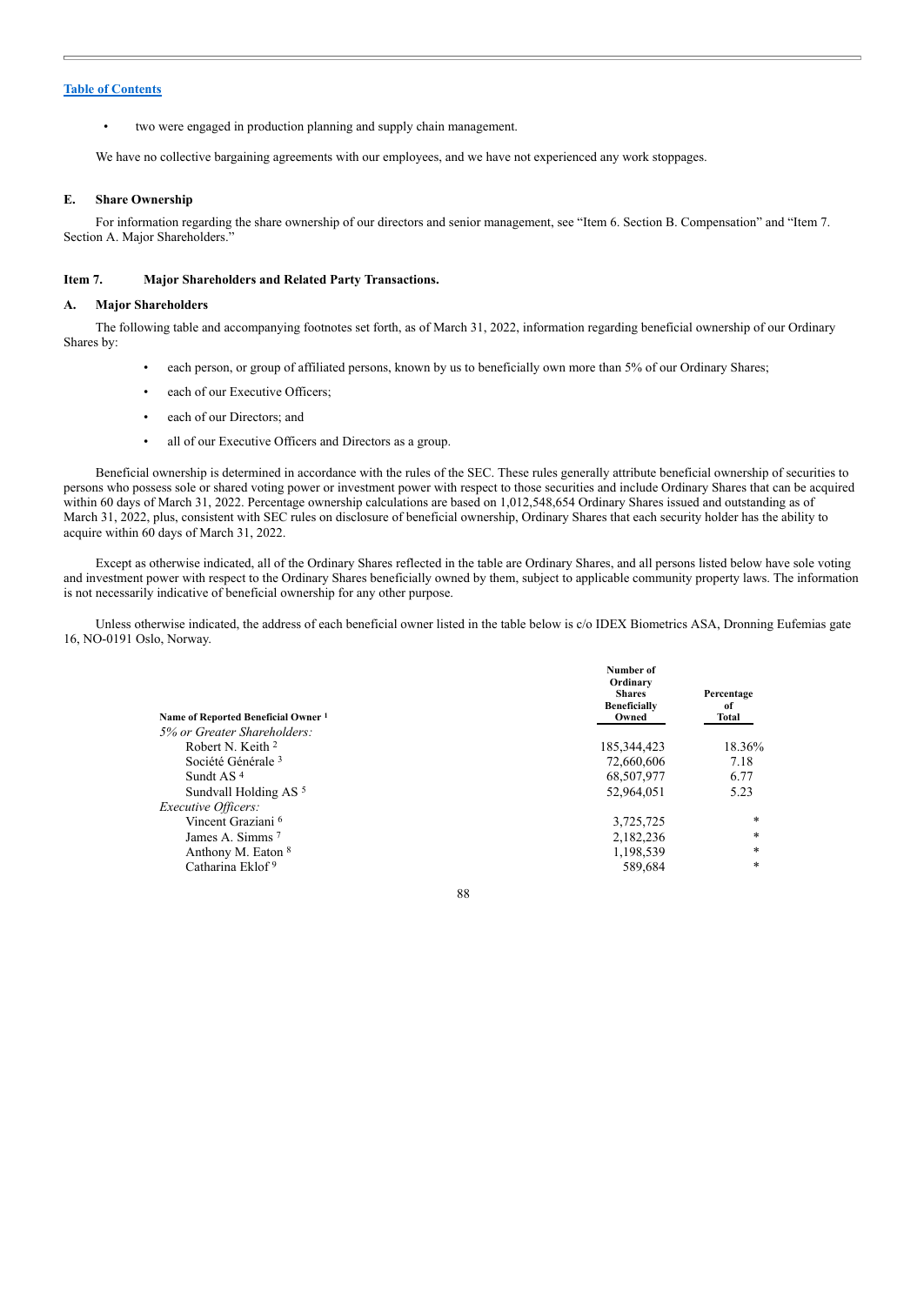two were engaged in production planning and supply chain management.

We have no collective bargaining agreements with our employees, and we have not experienced any work stoppages.

# **E. Share Ownership**

For information regarding the share ownership of our directors and senior management, see "Item 6. Section B. Compensation" and "Item 7. Section A. Major Shareholders.'

# **Item 7. Major Shareholders and Related Party Transactions.**

# **A. Major Shareholders**

The following table and accompanying footnotes set forth, as of March 31, 2022, information regarding beneficial ownership of our Ordinary Shares by:

- each person, or group of affiliated persons, known by us to beneficially own more than 5% of our Ordinary Shares;
- each of our Executive Officers;
- each of our Directors; and
- all of our Executive Officers and Directors as a group.

Beneficial ownership is determined in accordance with the rules of the SEC. These rules generally attribute beneficial ownership of securities to persons who possess sole or shared voting power or investment power with respect to those securities and include Ordinary Shares that can be acquired within 60 days of March 31, 2022. Percentage ownership calculations are based on 1,012,548,654 Ordinary Shares issued and outstanding as of March 31, 2022, plus, consistent with SEC rules on disclosure of beneficial ownership, Ordinary Shares that each security holder has the ability to acquire within 60 days of March 31, 2022.

Except as otherwise indicated, all of the Ordinary Shares reflected in the table are Ordinary Shares, and all persons listed below have sole voting and investment power with respect to the Ordinary Shares beneficially owned by them, subject to applicable community property laws. The information is not necessarily indicative of beneficial ownership for any other purpose.

Unless otherwise indicated, the address of each beneficial owner listed in the table below is c/o IDEX Biometrics ASA, Dronning Eufemias gate 16, NO-0191 Oslo, Norway.

|                                                | Number of<br>Ordinary |            |  |
|------------------------------------------------|-----------------------|------------|--|
|                                                | <b>Shares</b>         | Percentage |  |
|                                                | <b>Beneficially</b>   | of         |  |
| Name of Reported Beneficial Owner <sup>1</sup> | Owned                 | Total      |  |
| 5% or Greater Shareholders:                    |                       |            |  |
| Robert N. Keith 2                              | 185, 344, 423         | 18.36%     |  |
| Société Générale <sup>3</sup>                  | 72,660,606            | 7.18       |  |
| Sundt AS <sup><math>4</math></sup>             | 68,507,977            | 6.77       |  |
| Sundvall Holding AS 5                          | 52,964,051            | 5.23       |  |
| <i>Executive Officers:</i>                     |                       |            |  |
| Vincent Graziani <sup>6</sup>                  | 3,725,725             | *          |  |
| James A. Simms <sup>7</sup>                    | 2,182,236             | *          |  |
| Anthony M. Eaton 8                             | 1,198,539             | $\ast$     |  |
| Catharina Eklof <sup>9</sup>                   | 589,684               | $\ast$     |  |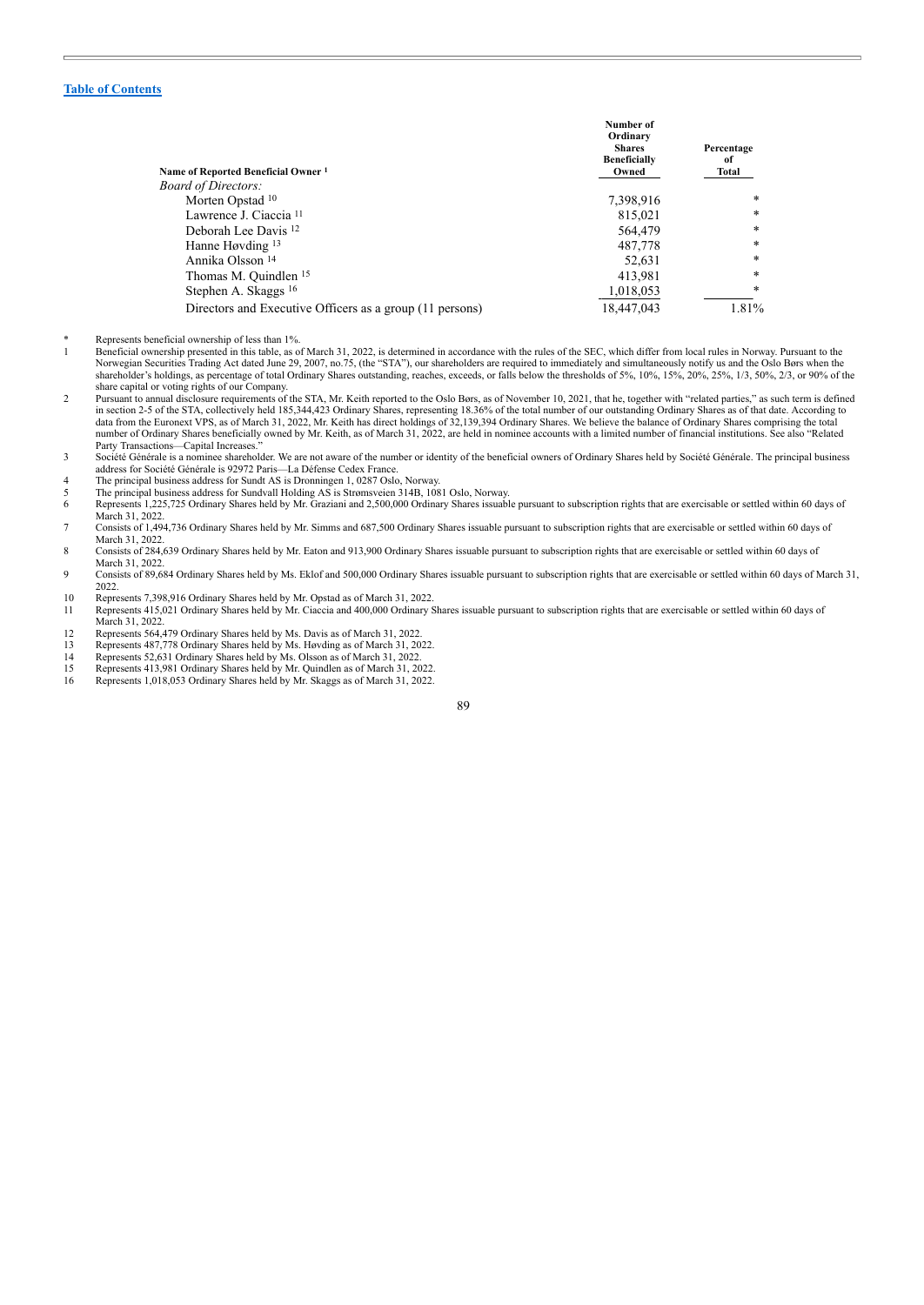| Name of Reported Beneficial Owner <sup>1</sup>           | Number of<br>Ordinary<br><b>Shares</b><br><b>Beneficially</b><br>Owned | Percentage<br>of<br>Total |
|----------------------------------------------------------|------------------------------------------------------------------------|---------------------------|
| <b>Board of Directors:</b>                               |                                                                        |                           |
| Morten Opstad 10                                         | 7,398,916                                                              | $\ast$                    |
| Lawrence J. Ciaccia <sup>11</sup>                        | 815,021                                                                | $\ast$                    |
| Deborah Lee Davis <sup>12</sup>                          | 564,479                                                                | $\ast$                    |
| Hanne Høvding <sup>13</sup>                              | 487,778                                                                | $\ast$                    |
| Annika Olsson 14                                         | 52,631                                                                 | $\ast$                    |
| Thomas M. Quindlen 15                                    | 413,981                                                                | $\ast$                    |
| Stephen A. Skaggs 16                                     | 1,018,053                                                              | $\ast$                    |
| Directors and Executive Officers as a group (11 persons) | 18,447,043                                                             | 1.81%                     |

\* Represents beneficial ownership of less than 1%.

Pursuant to annual disclosure requirements of the STA, Mr. Keith reported to the Oslo Børs, as of November 10, 2021, that he, together with "related parties," as such term is defined<br>in section 2-5 of the STA, collectively number of Ordinary Shares beneficially owned by Mr. Keith, as of March 31, 2022, are held in nominee accounts with a limited number of financial institutions. See also "Related Party Transactions—Capital Increases.

3 Société Générale is a nominee shareholder. We are not aware of the number or identity of the beneficial owners of Ordinary Shares held by Société Générale. The principal business address for Société Générale is 92972 Paris—La Défense Cedex France.

- 4 The principal business address for Sundt AS is Dronningen 1, 0287 Oslo, Norway. 5 The principal business address for Sundvall Holding AS is Strømsveien 314B, 1081 Oslo, Norway.
- 6 Represents 1,225,725 Ordinary Shares held by Mr. Graziani and 2,500,000 Ordinary Shares issuable pursuant to subscription rights that are exercisable or settled within 60 days of March 31, 2022.
- 7 Consists of 1,494,736 Ordinary Shares held by Mr. Simms and 687,500 Ordinary Shares issuable pursuant to subscription rights that are exercisable or settled within 60 days of March 31, 2022.
- 8 Consists of 284,639 Ordinary Shares held by Mr. Eaton and 913,900 Ordinary Shares issuable pursuant to subscription rights that are exercisable or settled within 60 days of March 31, 2022.
- 9 Consists of 89,684 Ordinary Shares held by Ms. Eklof and 500,000 Ordinary Shares issuable pursuant to subscription rights that are exercisable or settled within 60 days of March 31, 2022.
- 
- 10 Represents 7,398,916 Ordinary Shares held by Mr. Opstad as of March 31, 2022.<br>11 Represents 415,021 Ordinary Shares held by Mr. Ciaccia and 400,000 Ordinary Shares issuable pursuant to subscription rights that are exerc March 31, 2022.
- 12 Represents 564,479 Ordinary Shares held by Ms. Davis as of March 31, 2022. 13 Represents 487,778 Ordinary Shares held by Ms. Høvding as of March 31, 2022.
- 
- 14 Represents 52,631 Ordinary Shares held by Ms. Olsson as of March 31, 2022.
- Represents 413,981 Ordinary Shares held by Mr. Quindlen as of March 31, 2022. 16 Represents 1,018,053 Ordinary Shares held by Mr. Skaggs as of March 31, 2022.
- 

Beneficial ownership presented in this table, as of March 31, 2022, is determined in accordance with the rules of the SEC, which differ from local rules in Norway. Pursuant to the Norwegian Securities Trading Act dated June 29, 2007, no.75, (the "STA"), our shareholders are required to immediately and simultaneously notify us and the Oslo Børs when the shareholder's holdings, as percentage of total Ordinary Shares outstanding, reaches, exceeds, or falls below the thresholds of 5%, 10%, 15%, 20%, 25%, 1/3, 50%, 2/3, or 90% of the sholder's holdings, as percentage of tota share capital or voting rights of our Company.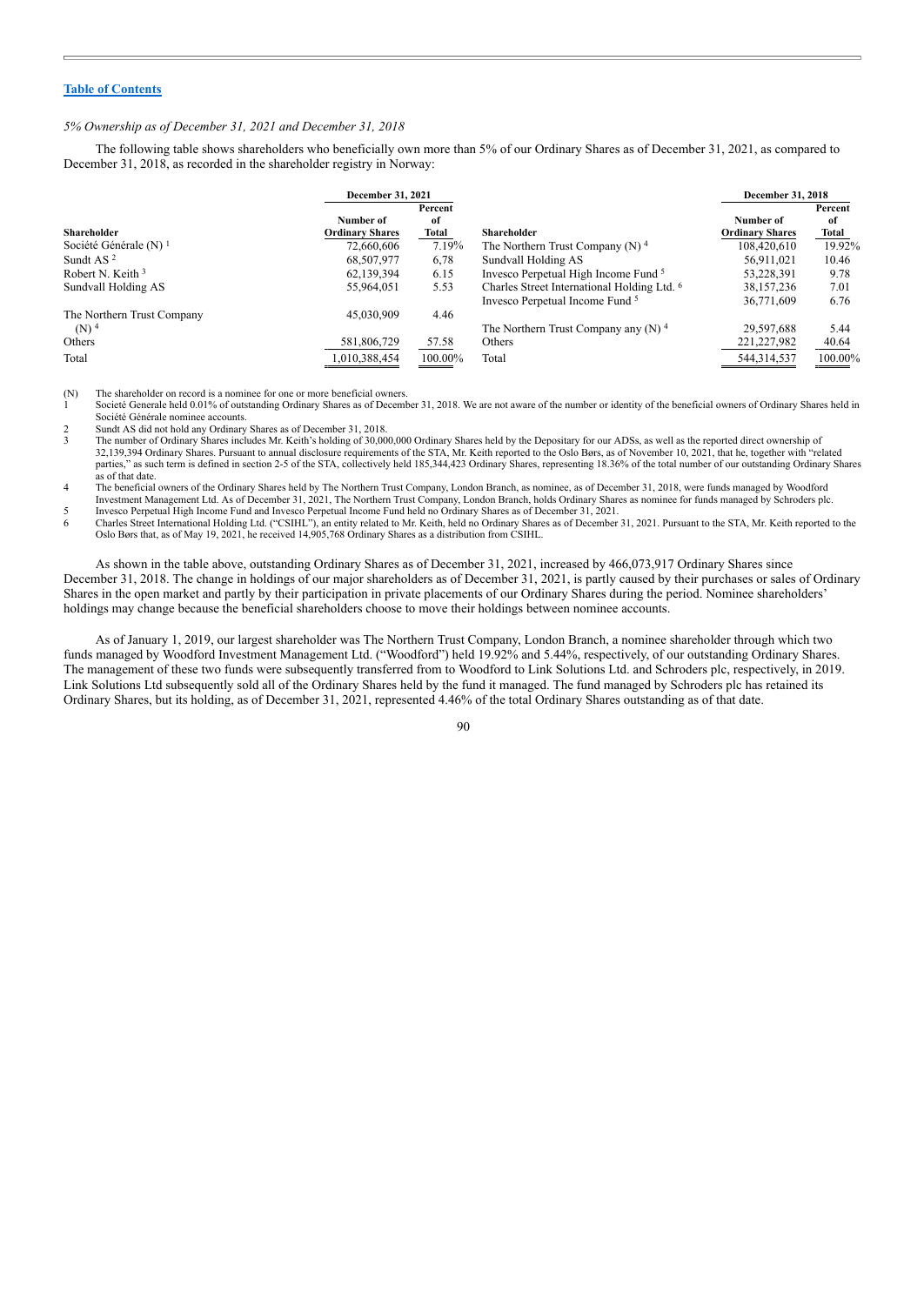# *5% Ownership as of December 31, 2021 and December 31, 2018*

The following table shows shareholders who beneficially own more than 5% of our Ordinary Shares as of December 31, 2021, as compared to December 31, 2018, as recorded in the shareholder registry in Norway:

|                                   | <b>December 31, 2021</b> |         |                                                   | December 31, 2018      |              |
|-----------------------------------|--------------------------|---------|---------------------------------------------------|------------------------|--------------|
|                                   |                          | Percent |                                                   |                        | Percent      |
|                                   | Number of                | of      |                                                   | Number of              | of           |
| <b>Shareholder</b>                | <b>Ordinary Shares</b>   | Total   | Shareholder                                       | <b>Ordinary Shares</b> | <b>Total</b> |
| Société Générale (N) <sup>1</sup> | 72,660,606               | 7.19%   | The Northern Trust Company (N) $4$                | 108,420,610            | 19.92%       |
| Sundt AS $2$                      | 68,507,977               | 6,78    | Sundvall Holding AS                               | 56,911,021             | 10.46        |
| Robert N. Keith $3$               | 62,139,394               | 6.15    | Invesco Perpetual High Income Fund <sup>5</sup>   | 53,228,391             | 9.78         |
| Sundvall Holding AS               | 55,964,051               | 5.53    | Charles Street International Holding Ltd. 6       | 38,157,236             | 7.01         |
|                                   |                          |         | Invesco Perpetual Income Fund <sup>5</sup>        | 36,771,609             | 6.76         |
| The Northern Trust Company        | 45,030,909               | 4.46    |                                                   |                        |              |
| $(N)$ <sup>4</sup>                |                          |         | The Northern Trust Company any $(N)$ <sup>4</sup> | 29,597,688             | 5.44         |
| Others                            | 581,806,729              | 57.58   | Others                                            | 221, 227, 982          | 40.64        |
| Total                             | 1,010,388,454            | 100.00% | Total                                             | 544,314,537            | 100.00%      |

(N) The shareholder on record is a nominee for one or more beneficial owners.

 $1.1$  Societé Generale held 0.01% of outstanding Ordinary Shares as of December 31, 2018. We are not aware of the number or identity of the beneficial owners of Ordinary Shares held in Société Générale nominee accounts.

2 Sundt AS did not hold any Ordinary Shares as of December 31, 2018.<br>
The number of Ordinary Shares includes Mr. Keith's holding of 30.00

The number of Ordinary Shares includes Mr. Keith's holding of 30,000,000 Ordinary Shares held by the Depositary for our ADSs, as well as the reported direct ownership of 32,139,394 Ordinary Shares. Pursuant to annual discl 32,139,394 Ordinary Shares. Pursuant to annual disclosure requirements of the STA, Mr. Keith reported to the Oslo Børs, as of November 10, 2021, that he, together with the studies of the STA, Mr. Keith reported to the Oslo parties," as such term is defined in section 2-5 of the STA, collectively held 185,344,423 Ordinary Shares, representing 18.36% of the total number of our outstanding Ordinary Shares as of that date.

4 The beneficial owners of the Ordinary Shares held by The Northern Trust Company, London Branch, as nominee, as of December 31, 2018, were funds managed by Woodford Investment Management Ltd. As of December 31, 2021, The Northern Trust Company, London Branch, holds Ordinary Shares as nominee for funds managed by Schroders plc.

5 Invesco Perpetual High Income Fund and Invesco Perpetual Income Fund held no Ordinary Shares as of December 31, 2021.<br>6 Charles Street International Holding Ltd. ("CSIHL"), an entity related to Mr. Keith, held no Ordinar Oslo Børs that, as of May 19, 2021, he received 14,905,768 Ordinary Shares as a distribution from CSIHL.

As shown in the table above, outstanding Ordinary Shares as of December 31, 2021, increased by 466,073,917 Ordinary Shares since December 31, 2018. The change in holdings of our major shareholders as of December 31, 2021, is partly caused by their purchases or sales of Ordinary Shares in the open market and partly by their participation in private placements of our Ordinary Shares during the period. Nominee shareholders' holdings may change because the beneficial shareholders choose to move their holdings between nominee accounts.

As of January 1, 2019, our largest shareholder was The Northern Trust Company, London Branch, a nominee shareholder through which two funds managed by Woodford Investment Management Ltd. ("Woodford") held 19.92% and 5.44%, respectively, of our outstanding Ordinary Shares. The management of these two funds were subsequently transferred from to Woodford to Link Solutions Ltd. and Schroders plc, respectively, in 2019. Link Solutions Ltd subsequently sold all of the Ordinary Shares held by the fund it managed. The fund managed by Schroders plc has retained its Ordinary Shares, but its holding, as of December 31, 2021, represented 4.46% of the total Ordinary Shares outstanding as of that date.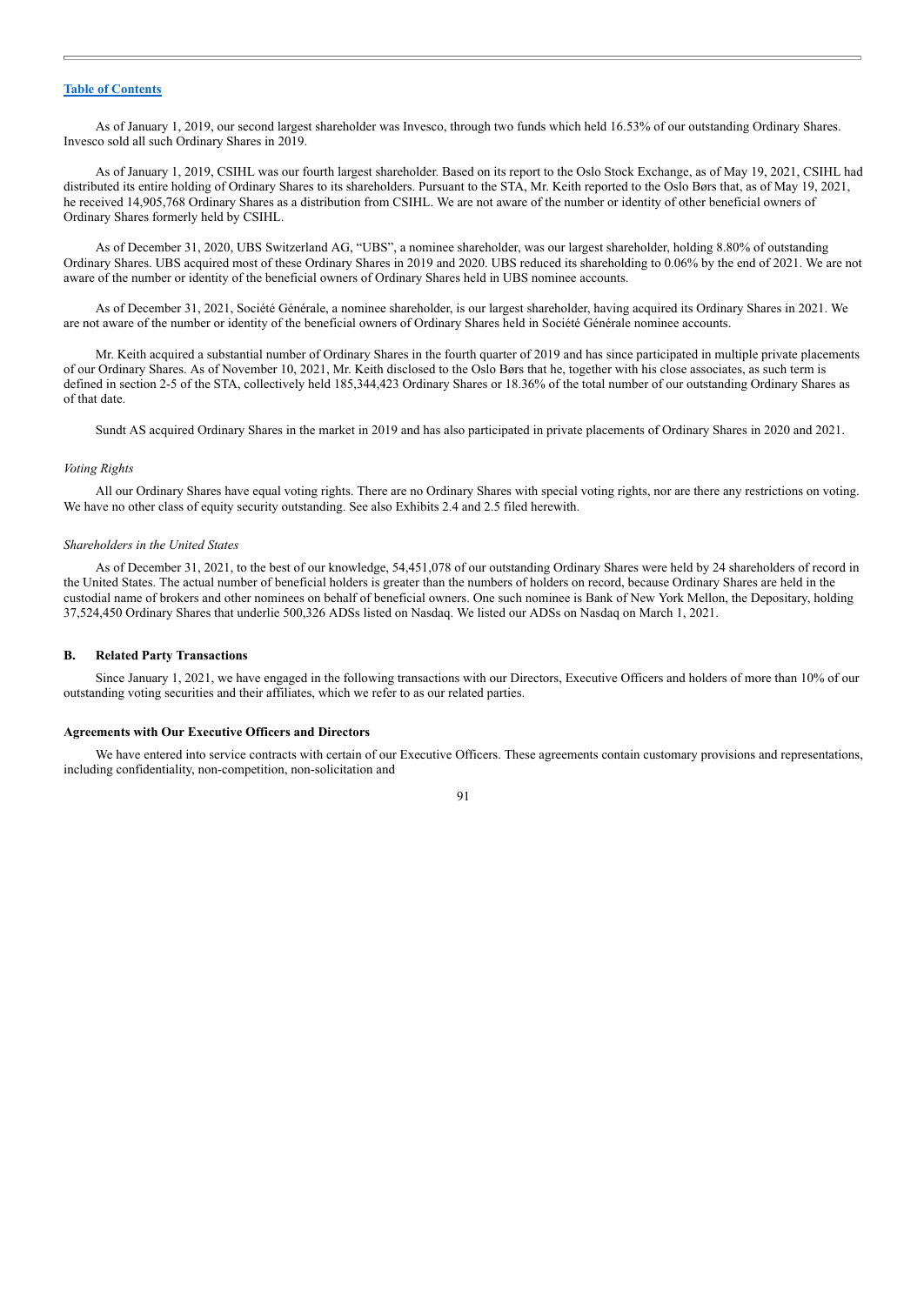As of January 1, 2019, our second largest shareholder was Invesco, through two funds which held 16.53% of our outstanding Ordinary Shares. Invesco sold all such Ordinary Shares in 2019.

As of January 1, 2019, CSIHL was our fourth largest shareholder. Based on its report to the Oslo Stock Exchange, as of May 19, 2021, CSIHL had distributed its entire holding of Ordinary Shares to its shareholders. Pursuant to the STA, Mr. Keith reported to the Oslo Børs that, as of May 19, 2021, he received 14,905,768 Ordinary Shares as a distribution from CSIHL. We are not aware of the number or identity of other beneficial owners of Ordinary Shares formerly held by CSIHL.

As of December 31, 2020, UBS Switzerland AG, "UBS", a nominee shareholder, was our largest shareholder, holding 8.80% of outstanding Ordinary Shares. UBS acquired most of these Ordinary Shares in 2019 and 2020. UBS reduced its shareholding to 0.06% by the end of 2021. We are not aware of the number or identity of the beneficial owners of Ordinary Shares held in UBS nominee accounts.

As of December 31, 2021, Société Générale, a nominee shareholder, is our largest shareholder, having acquired its Ordinary Shares in 2021. We are not aware of the number or identity of the beneficial owners of Ordinary Shares held in Société Générale nominee accounts.

Mr. Keith acquired a substantial number of Ordinary Shares in the fourth quarter of 2019 and has since participated in multiple private placements of our Ordinary Shares. As of November 10, 2021, Mr. Keith disclosed to the Oslo Børs that he, together with his close associates, as such term is defined in section 2-5 of the STA, collectively held 185,344,423 Ordinary Shares or 18.36% of the total number of our outstanding Ordinary Shares as of that date.

Sundt AS acquired Ordinary Shares in the market in 2019 and has also participated in private placements of Ordinary Shares in 2020 and 2021.

# *Voting Rights*

All our Ordinary Shares have equal voting rights. There are no Ordinary Shares with special voting rights, nor are there any restrictions on voting. We have no other class of equity security outstanding. See also Exhibits 2.4 and 2.5 filed herewith.

#### *Shareholders in the United States*

As of December 31, 2021, to the best of our knowledge, 54,451,078 of our outstanding Ordinary Shares were held by 24 shareholders of record in the United States. The actual number of beneficial holders is greater than the numbers of holders on record, because Ordinary Shares are held in the custodial name of brokers and other nominees on behalf of beneficial owners. One such nominee is Bank of New York Mellon, the Depositary, holding 37,524,450 Ordinary Shares that underlie 500,326 ADSs listed on Nasdaq. We listed our ADSs on Nasdaq on March 1, 2021.

# **B. Related Party Transactions**

Since January 1, 2021, we have engaged in the following transactions with our Directors, Executive Officers and holders of more than 10% of our outstanding voting securities and their affiliates, which we refer to as our related parties.

# **Agreements with Our Executive Officers and Directors**

We have entered into service contracts with certain of our Executive Officers. These agreements contain customary provisions and representations, including confidentiality, non-competition, non-solicitation and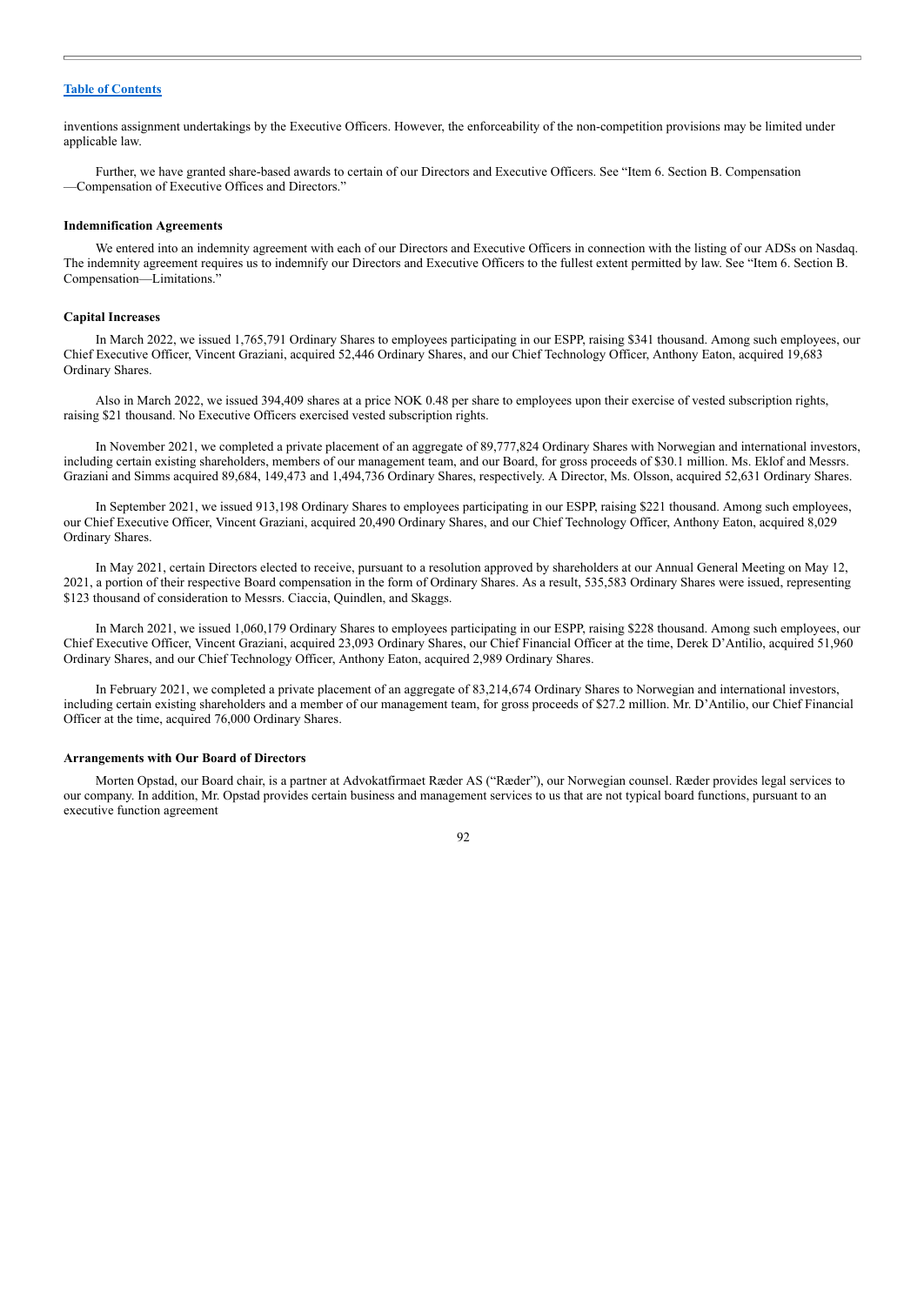inventions assignment undertakings by the Executive Officers. However, the enforceability of the non-competition provisions may be limited under applicable law.

Further, we have granted share-based awards to certain of our Directors and Executive Officers. See "Item 6. Section B. Compensation —Compensation of Executive Offices and Directors."

#### **Indemnification Agreements**

We entered into an indemnity agreement with each of our Directors and Executive Officers in connection with the listing of our ADSs on Nasdaq. The indemnity agreement requires us to indemnify our Directors and Executive Officers to the fullest extent permitted by law. See "Item 6. Section B. Compensation—Limitations."

# **Capital Increases**

In March 2022, we issued 1,765,791 Ordinary Shares to employees participating in our ESPP, raising \$341 thousand. Among such employees, our Chief Executive Officer, Vincent Graziani, acquired 52,446 Ordinary Shares, and our Chief Technology Officer, Anthony Eaton, acquired 19,683 Ordinary Shares.

Also in March 2022, we issued 394,409 shares at a price NOK 0.48 per share to employees upon their exercise of vested subscription rights, raising \$21 thousand. No Executive Officers exercised vested subscription rights.

In November 2021, we completed a private placement of an aggregate of 89,777,824 Ordinary Shares with Norwegian and international investors, including certain existing shareholders, members of our management team, and our Board, for gross proceeds of \$30.1 million. Ms. Eklof and Messrs. Graziani and Simms acquired 89,684, 149,473 and 1,494,736 Ordinary Shares, respectively. A Director, Ms. Olsson, acquired 52,631 Ordinary Shares.

In September 2021, we issued 913,198 Ordinary Shares to employees participating in our ESPP, raising \$221 thousand. Among such employees, our Chief Executive Officer, Vincent Graziani, acquired 20,490 Ordinary Shares, and our Chief Technology Officer, Anthony Eaton, acquired 8,029 Ordinary Shares.

In May 2021, certain Directors elected to receive, pursuant to a resolution approved by shareholders at our Annual General Meeting on May 12, 2021, a portion of their respective Board compensation in the form of Ordinary Shares. As a result, 535,583 Ordinary Shares were issued, representing \$123 thousand of consideration to Messrs. Ciaccia, Quindlen, and Skaggs.

In March 2021, we issued 1,060,179 Ordinary Shares to employees participating in our ESPP, raising \$228 thousand. Among such employees, our Chief Executive Officer, Vincent Graziani, acquired 23,093 Ordinary Shares, our Chief Financial Officer at the time, Derek D'Antilio, acquired 51,960 Ordinary Shares, and our Chief Technology Officer, Anthony Eaton, acquired 2,989 Ordinary Shares.

In February 2021, we completed a private placement of an aggregate of 83,214,674 Ordinary Shares to Norwegian and international investors, including certain existing shareholders and a member of our management team, for gross proceeds of \$27.2 million. Mr. D'Antilio, our Chief Financial Officer at the time, acquired 76,000 Ordinary Shares.

# **Arrangements with Our Board of Directors**

Morten Opstad, our Board chair, is a partner at Advokatfirmaet Ræder AS ("Ræder"), our Norwegian counsel. Ræder provides legal services to our company. In addition, Mr. Opstad provides certain business and management services to us that are not typical board functions, pursuant to an executive function agreement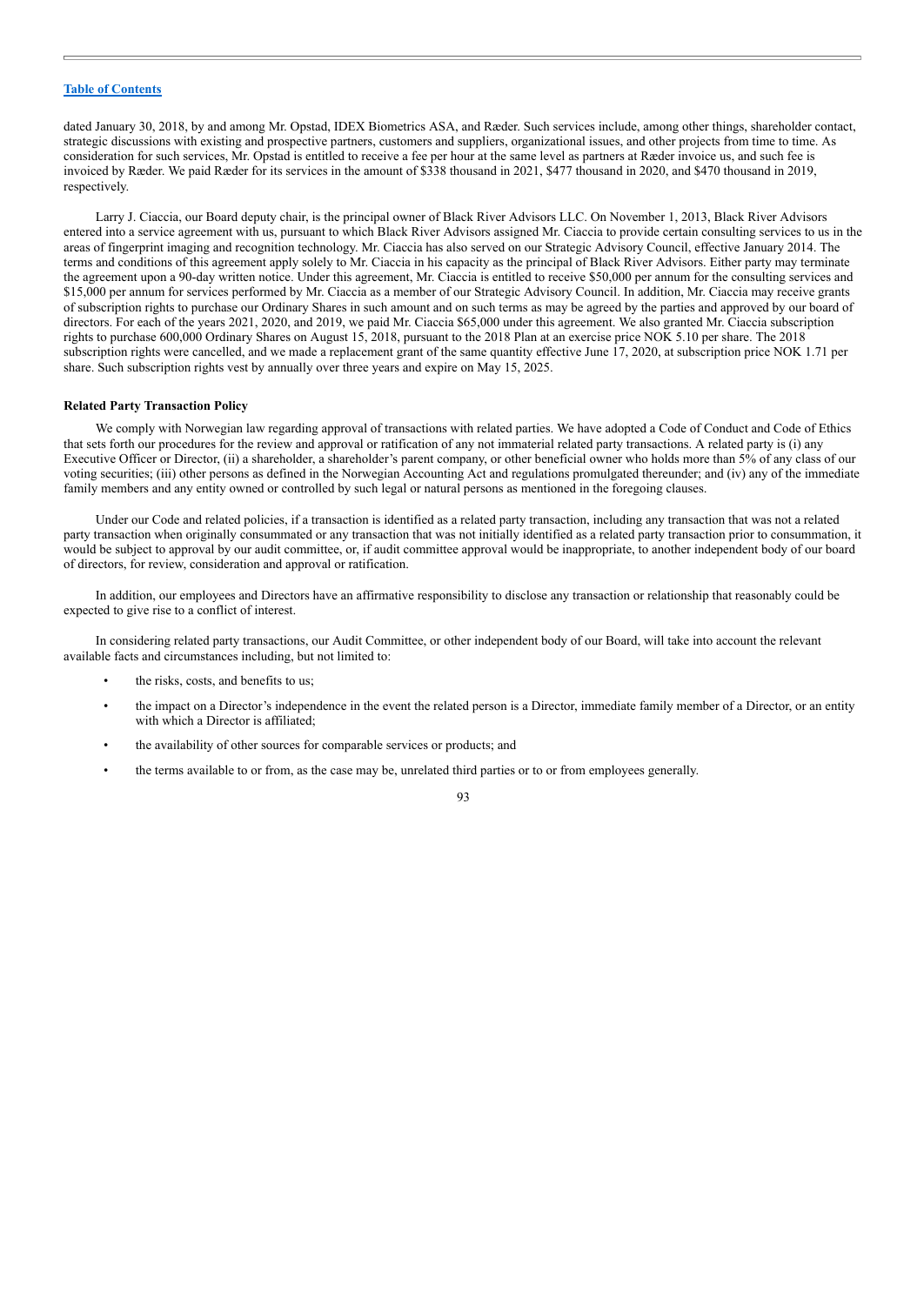dated January 30, 2018, by and among Mr. Opstad, IDEX Biometrics ASA, and Ræder. Such services include, among other things, shareholder contact, strategic discussions with existing and prospective partners, customers and suppliers, organizational issues, and other projects from time to time. As consideration for such services, Mr. Opstad is entitled to receive a fee per hour at the same level as partners at Ræder invoice us, and such fee is invoiced by Ræder. We paid Ræder for its services in the amount of \$338 thousand in 2021, \$477 thousand in 2020, and \$470 thousand in 2019, respectively.

Larry J. Ciaccia, our Board deputy chair, is the principal owner of Black River Advisors LLC. On November 1, 2013, Black River Advisors entered into a service agreement with us, pursuant to which Black River Advisors assigned Mr. Ciaccia to provide certain consulting services to us in the areas of fingerprint imaging and recognition technology. Mr. Ciaccia has also served on our Strategic Advisory Council, effective January 2014. The terms and conditions of this agreement apply solely to Mr. Ciaccia in his capacity as the principal of Black River Advisors. Either party may terminate the agreement upon a 90-day written notice. Under this agreement, Mr. Ciaccia is entitled to receive \$50,000 per annum for the consulting services and \$15,000 per annum for services performed by Mr. Ciaccia as a member of our Strategic Advisory Council. In addition, Mr. Ciaccia may receive grants of subscription rights to purchase our Ordinary Shares in such amount and on such terms as may be agreed by the parties and approved by our board of directors. For each of the years 2021, 2020, and 2019, we paid Mr. Ciaccia \$65,000 under this agreement. We also granted Mr. Ciaccia subscription rights to purchase 600,000 Ordinary Shares on August 15, 2018, pursuant to the 2018 Plan at an exercise price NOK 5.10 per share. The 2018 subscription rights were cancelled, and we made a replacement grant of the same quantity effective June 17, 2020, at subscription price NOK 1.71 per share. Such subscription rights vest by annually over three years and expire on May 15, 2025.

### **Related Party Transaction Policy**

We comply with Norwegian law regarding approval of transactions with related parties. We have adopted a Code of Conduct and Code of Ethics that sets forth our procedures for the review and approval or ratification of any not immaterial related party transactions. A related party is (i) any Executive Officer or Director, (ii) a shareholder, a shareholder's parent company, or other beneficial owner who holds more than 5% of any class of our voting securities; (iii) other persons as defined in the Norwegian Accounting Act and regulations promulgated thereunder; and (iv) any of the immediate family members and any entity owned or controlled by such legal or natural persons as mentioned in the foregoing clauses.

Under our Code and related policies, if a transaction is identified as a related party transaction, including any transaction that was not a related party transaction when originally consummated or any transaction that was not initially identified as a related party transaction prior to consummation, it would be subject to approval by our audit committee, or, if audit committee approval would be inappropriate, to another independent body of our board of directors, for review, consideration and approval or ratification.

In addition, our employees and Directors have an affirmative responsibility to disclose any transaction or relationship that reasonably could be expected to give rise to a conflict of interest.

In considering related party transactions, our Audit Committee, or other independent body of our Board, will take into account the relevant available facts and circumstances including, but not limited to:

- the risks, costs, and benefits to us;
- the impact on a Director's independence in the event the related person is a Director, immediate family member of a Director, or an entity with which a Director is affiliated;
- the availability of other sources for comparable services or products; and
- the terms available to or from, as the case may be, unrelated third parties or to or from employees generally.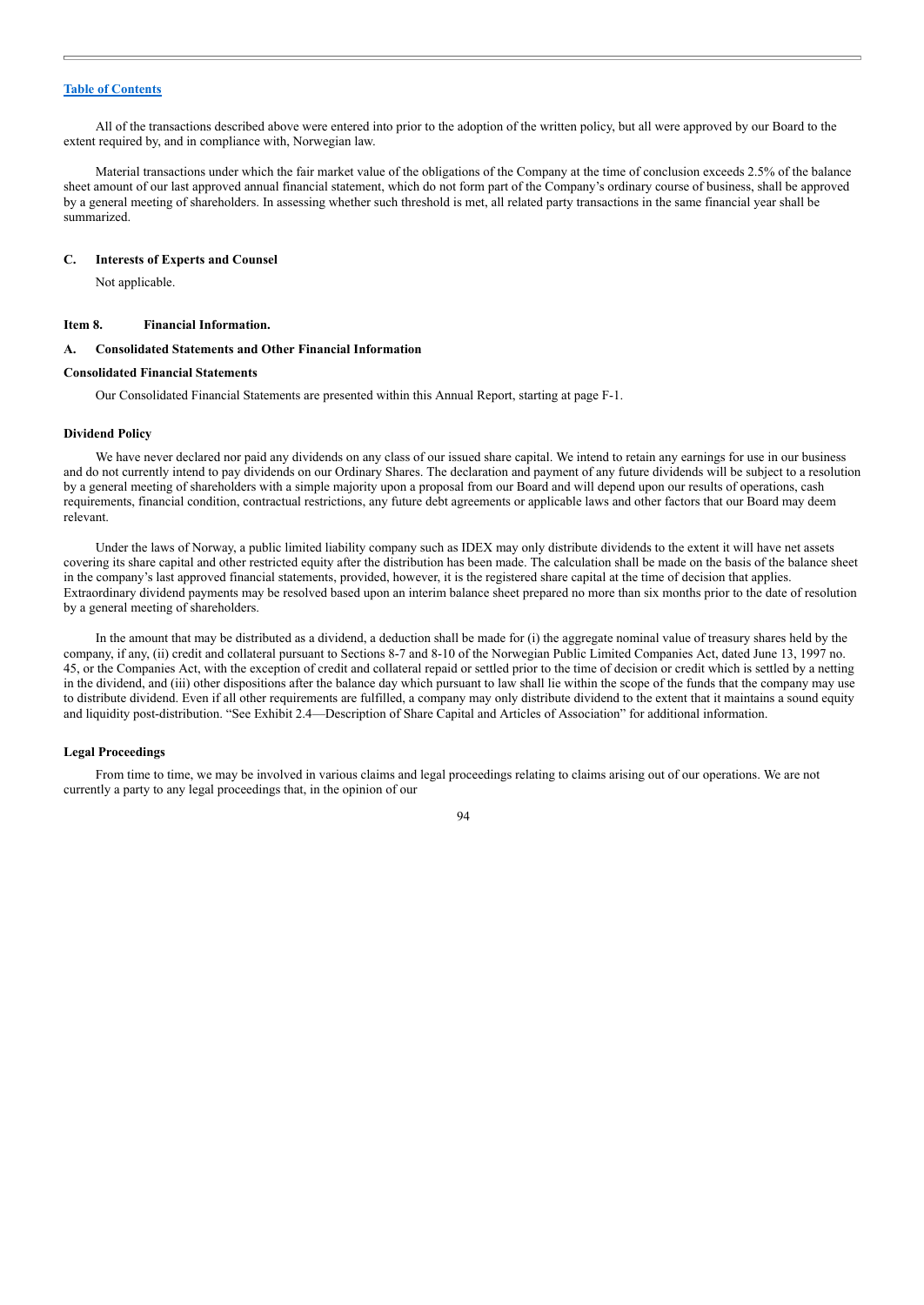All of the transactions described above were entered into prior to the adoption of the written policy, but all were approved by our Board to the extent required by, and in compliance with, Norwegian law.

Material transactions under which the fair market value of the obligations of the Company at the time of conclusion exceeds 2.5% of the balance sheet amount of our last approved annual financial statement, which do not form part of the Company's ordinary course of business, shall be approved by a general meeting of shareholders. In assessing whether such threshold is met, all related party transactions in the same financial year shall be summarized.

# **C. Interests of Experts and Counsel**

Not applicable.

# **Item 8. Financial Information.**

# **A. Consolidated Statements and Other Financial Information**

# **Consolidated Financial Statements**

Our Consolidated Financial Statements are presented within this Annual Report, starting at page F-1.

# **Dividend Policy**

We have never declared nor paid any dividends on any class of our issued share capital. We intend to retain any earnings for use in our business and do not currently intend to pay dividends on our Ordinary Shares. The declaration and payment of any future dividends will be subject to a resolution by a general meeting of shareholders with a simple majority upon a proposal from our Board and will depend upon our results of operations, cash requirements, financial condition, contractual restrictions, any future debt agreements or applicable laws and other factors that our Board may deem relevant.

Under the laws of Norway, a public limited liability company such as IDEX may only distribute dividends to the extent it will have net assets covering its share capital and other restricted equity after the distribution has been made. The calculation shall be made on the basis of the balance sheet in the company's last approved financial statements, provided, however, it is the registered share capital at the time of decision that applies. Extraordinary dividend payments may be resolved based upon an interim balance sheet prepared no more than six months prior to the date of resolution by a general meeting of shareholders.

In the amount that may be distributed as a dividend, a deduction shall be made for (i) the aggregate nominal value of treasury shares held by the company, if any, (ii) credit and collateral pursuant to Sections 8-7 and 8-10 of the Norwegian Public Limited Companies Act, dated June 13, 1997 no. 45, or the Companies Act, with the exception of credit and collateral repaid or settled prior to the time of decision or credit which is settled by a netting in the dividend, and (iii) other dispositions after the balance day which pursuant to law shall lie within the scope of the funds that the company may use to distribute dividend. Even if all other requirements are fulfilled, a company may only distribute dividend to the extent that it maintains a sound equity and liquidity post-distribution. "See Exhibit 2.4—Description of Share Capital and Articles of Association" for additional information.

# **Legal Proceedings**

From time to time, we may be involved in various claims and legal proceedings relating to claims arising out of our operations. We are not currently a party to any legal proceedings that, in the opinion of our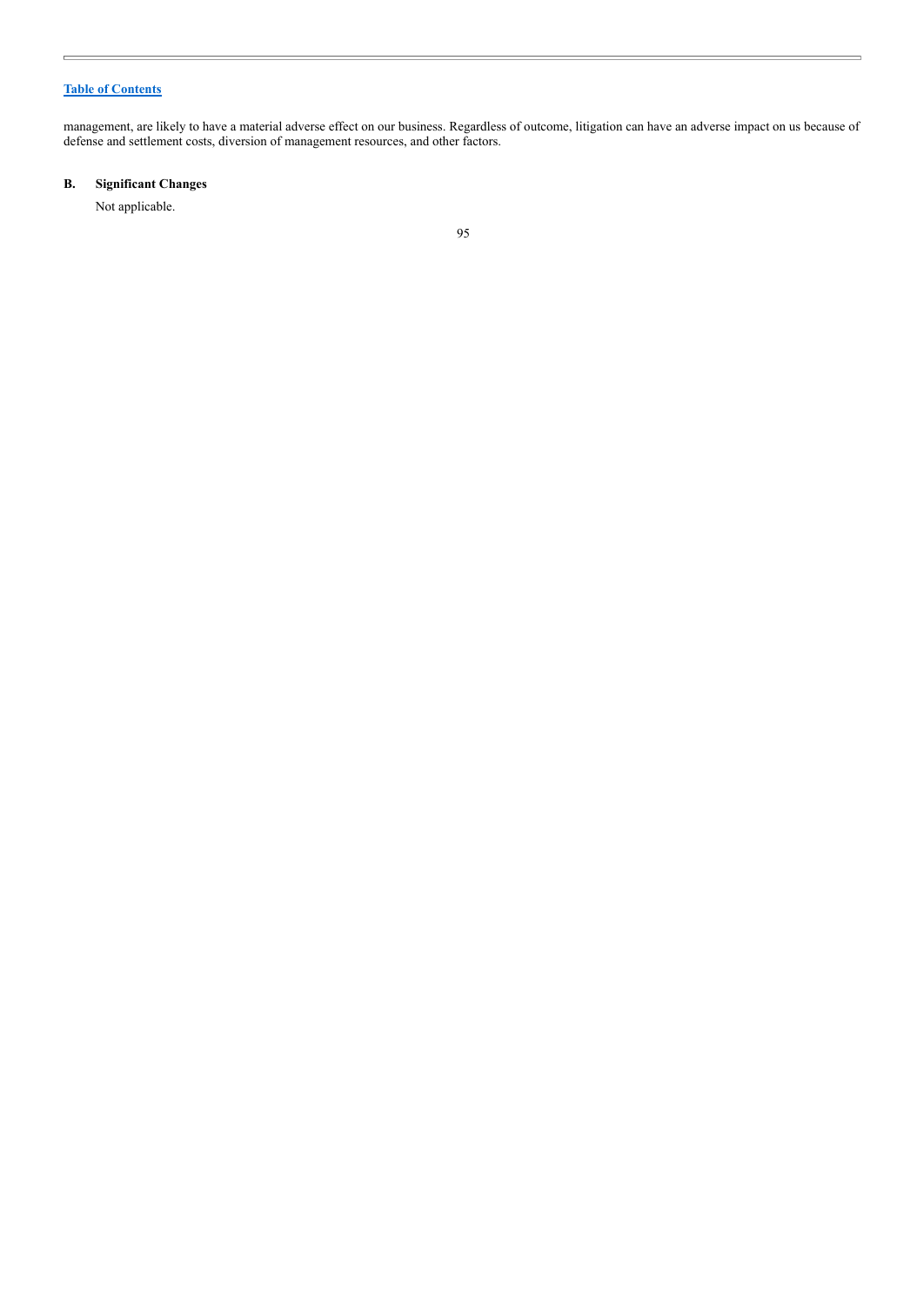management, are likely to have a material adverse effect on our business. Regardless of outcome, litigation can have an adverse impact on us because of defense and settlement costs, diversion of management resources, and other factors.

# **B. Significant Changes**

Not applicable.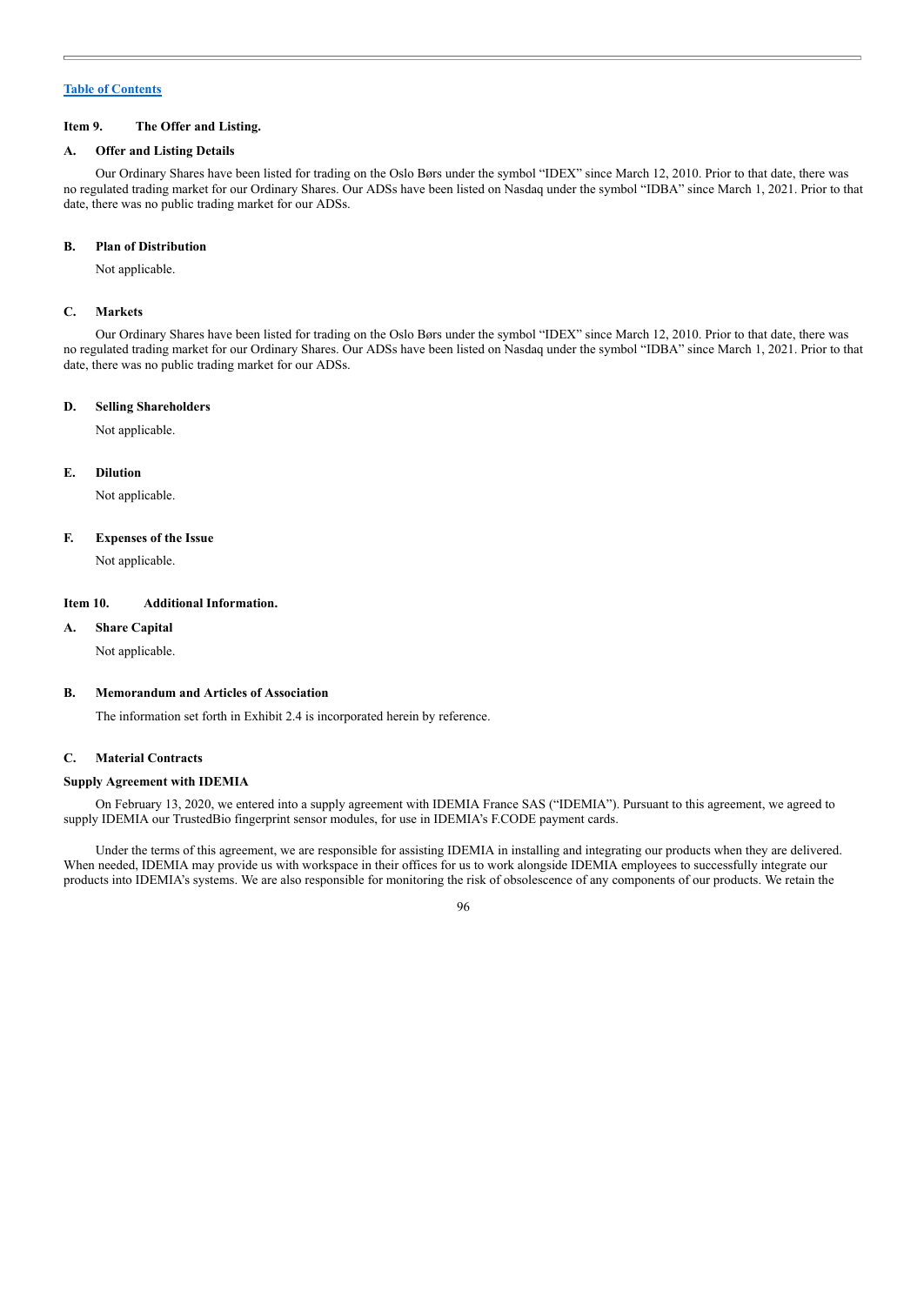# **Item 9. The Offer and Listing.**

# **A. Offer and Listing Details**

Our Ordinary Shares have been listed for trading on the Oslo Børs under the symbol "IDEX" since March 12, 2010. Prior to that date, there was no regulated trading market for our Ordinary Shares. Our ADSs have been listed on Nasdaq under the symbol "IDBA" since March 1, 2021. Prior to that date, there was no public trading market for our ADSs.

# **B. Plan of Distribution**

Not applicable.

# **C. Markets**

Our Ordinary Shares have been listed for trading on the Oslo Børs under the symbol "IDEX" since March 12, 2010. Prior to that date, there was no regulated trading market for our Ordinary Shares. Our ADSs have been listed on Nasdaq under the symbol "IDBA" since March 1, 2021. Prior to that date, there was no public trading market for our ADSs.

#### **D. Selling Shareholders**

Not applicable.

# **E. Dilution**

Not applicable.

# **F. Expenses of the Issue**

Not applicable.

#### **Item 10. Additional Information.**

# **A. Share Capital**

Not applicable.

# **B. Memorandum and Articles of Association**

The information set forth in Exhibit 2.4 is incorporated herein by reference.

# **C. Material Contracts**

# **Supply Agreement with IDEMIA**

On February 13, 2020, we entered into a supply agreement with IDEMIA France SAS ("IDEMIA"). Pursuant to this agreement, we agreed to supply IDEMIA our TrustedBio fingerprint sensor modules, for use in IDEMIA's F.CODE payment cards.

Under the terms of this agreement, we are responsible for assisting IDEMIA in installing and integrating our products when they are delivered. When needed, IDEMIA may provide us with workspace in their offices for us to work alongside IDEMIA employees to successfully integrate our products into IDEMIA's systems. We are also responsible for monitoring the risk of obsolescence of any components of our products. We retain the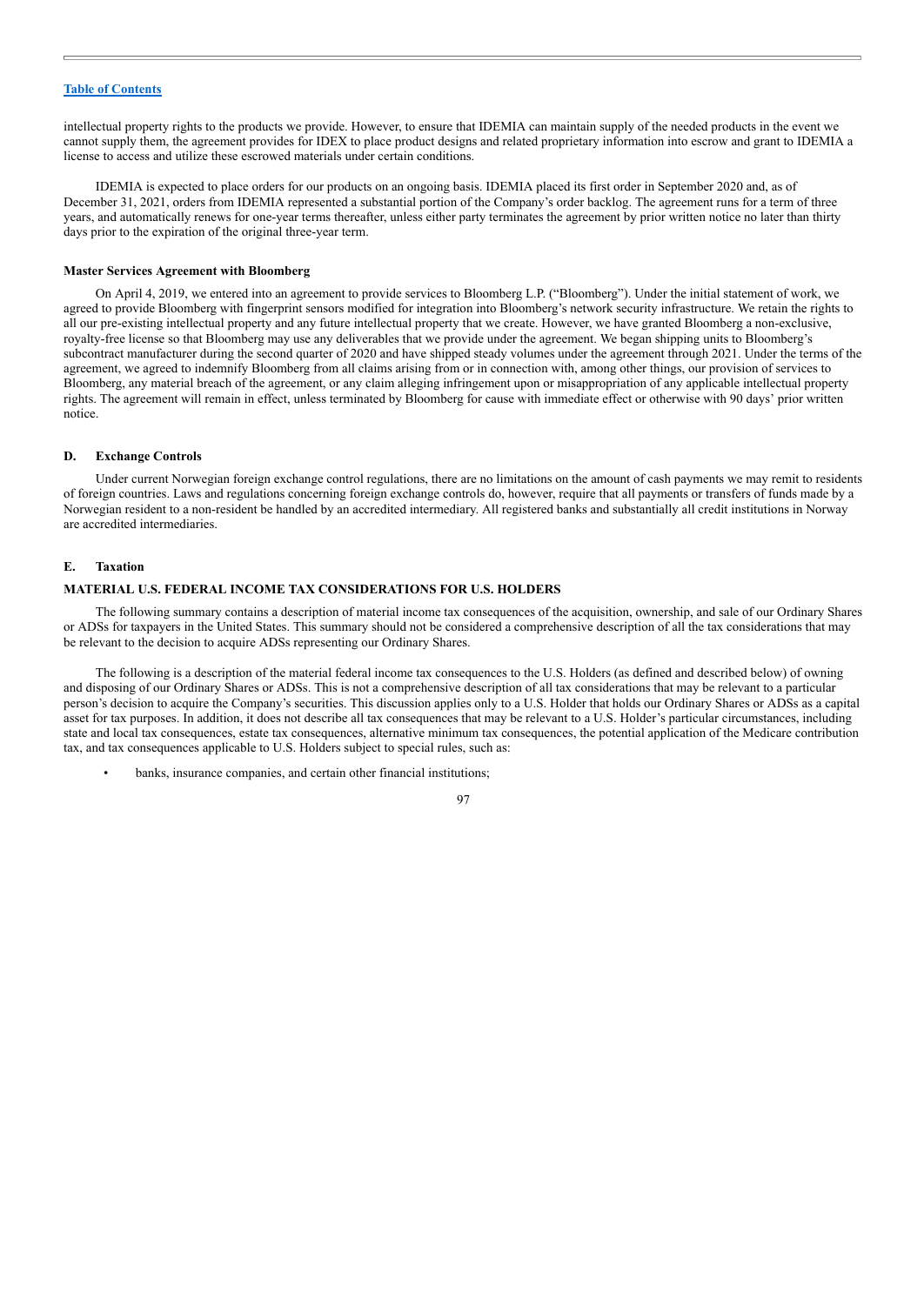intellectual property rights to the products we provide. However, to ensure that IDEMIA can maintain supply of the needed products in the event we cannot supply them, the agreement provides for IDEX to place product designs and related proprietary information into escrow and grant to IDEMIA a license to access and utilize these escrowed materials under certain conditions.

IDEMIA is expected to place orders for our products on an ongoing basis. IDEMIA placed its first order in September 2020 and, as of December 31, 2021, orders from IDEMIA represented a substantial portion of the Company's order backlog. The agreement runs for a term of three years, and automatically renews for one-year terms thereafter, unless either party terminates the agreement by prior written notice no later than thirty days prior to the expiration of the original three-year term.

#### **Master Services Agreement with Bloomberg**

On April 4, 2019, we entered into an agreement to provide services to Bloomberg L.P. ("Bloomberg"). Under the initial statement of work, we agreed to provide Bloomberg with fingerprint sensors modified for integration into Bloomberg's network security infrastructure. We retain the rights to all our pre-existing intellectual property and any future intellectual property that we create. However, we have granted Bloomberg a non-exclusive, royalty-free license so that Bloomberg may use any deliverables that we provide under the agreement. We began shipping units to Bloomberg's subcontract manufacturer during the second quarter of 2020 and have shipped steady volumes under the agreement through 2021. Under the terms of the agreement, we agreed to indemnify Bloomberg from all claims arising from or in connection with, among other things, our provision of services to Bloomberg, any material breach of the agreement, or any claim alleging infringement upon or misappropriation of any applicable intellectual property rights. The agreement will remain in effect, unless terminated by Bloomberg for cause with immediate effect or otherwise with 90 days' prior written notice.

#### **D. Exchange Controls**

Under current Norwegian foreign exchange control regulations, there are no limitations on the amount of cash payments we may remit to residents of foreign countries. Laws and regulations concerning foreign exchange controls do, however, require that all payments or transfers of funds made by a Norwegian resident to a non-resident be handled by an accredited intermediary. All registered banks and substantially all credit institutions in Norway are accredited intermediaries.

# **E. Taxation**

# **MATERIAL U.S. FEDERAL INCOME TAX CONSIDERATIONS FOR U.S. HOLDERS**

The following summary contains a description of material income tax consequences of the acquisition, ownership, and sale of our Ordinary Shares or ADSs for taxpayers in the United States. This summary should not be considered a comprehensive description of all the tax considerations that may be relevant to the decision to acquire ADSs representing our Ordinary Shares.

The following is a description of the material federal income tax consequences to the U.S. Holders (as defined and described below) of owning and disposing of our Ordinary Shares or ADSs. This is not a comprehensive description of all tax considerations that may be relevant to a particular person's decision to acquire the Company's securities. This discussion applies only to a U.S. Holder that holds our Ordinary Shares or ADSs as a capital asset for tax purposes. In addition, it does not describe all tax consequences that may be relevant to a U.S. Holder's particular circumstances, including state and local tax consequences, estate tax consequences, alternative minimum tax consequences, the potential application of the Medicare contribution tax, and tax consequences applicable to U.S. Holders subject to special rules, such as:

banks, insurance companies, and certain other financial institutions;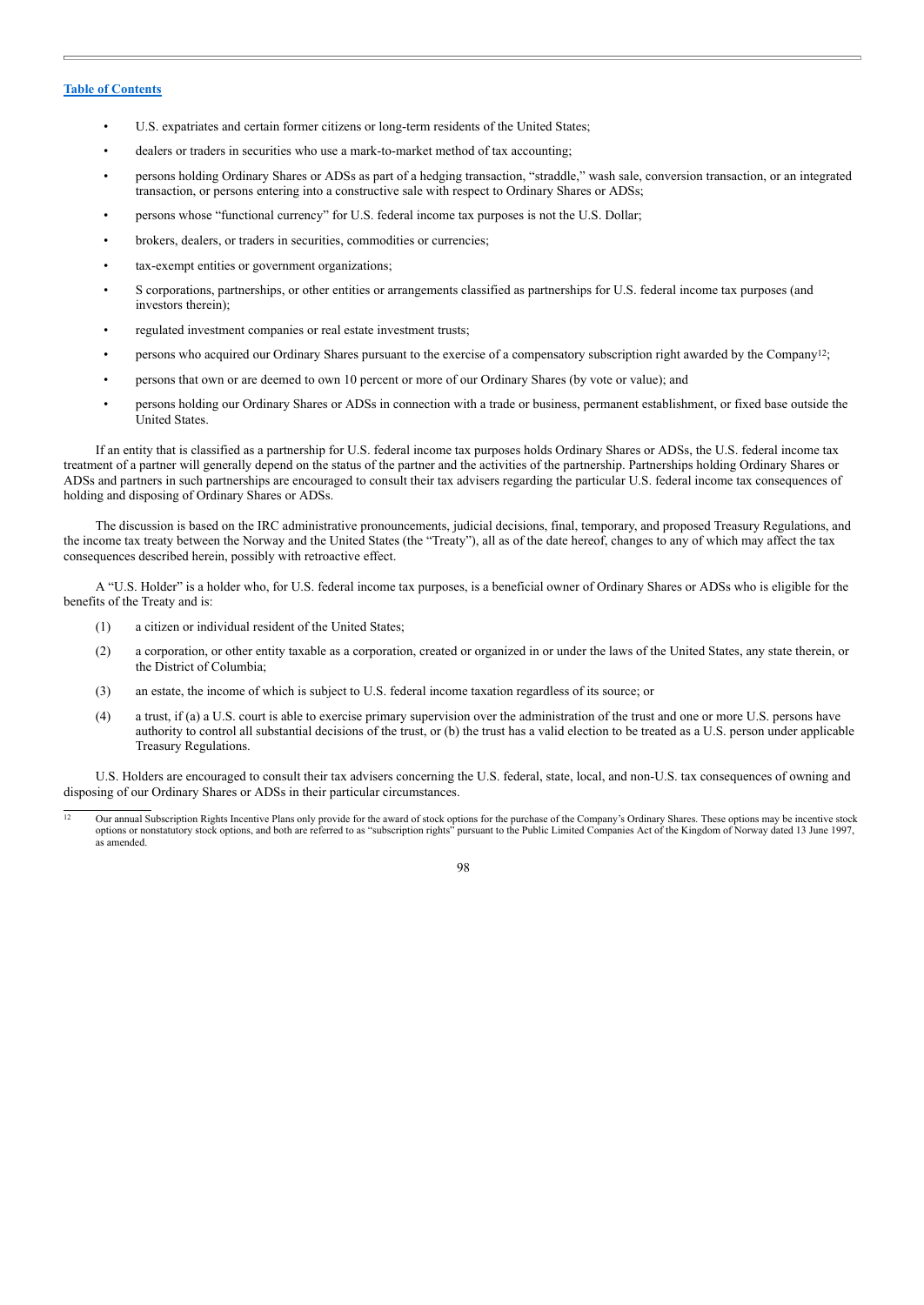- U.S. expatriates and certain former citizens or long-term residents of the United States;
- dealers or traders in securities who use a mark-to-market method of tax accounting;
- persons holding Ordinary Shares or ADSs as part of a hedging transaction, "straddle," wash sale, conversion transaction, or an integrated transaction, or persons entering into a constructive sale with respect to Ordinary Shares or ADSs;
- persons whose "functional currency" for U.S. federal income tax purposes is not the U.S. Dollar;
- brokers, dealers, or traders in securities, commodities or currencies;
- tax-exempt entities or government organizations;
- S corporations, partnerships, or other entities or arrangements classified as partnerships for U.S. federal income tax purposes (and investors therein);
- regulated investment companies or real estate investment trusts;
- persons who acquired our Ordinary Shares pursuant to the exercise of a compensatory subscription right awarded by the Company12;
- persons that own or are deemed to own 10 percent or more of our Ordinary Shares (by vote or value); and
- persons holding our Ordinary Shares or ADSs in connection with a trade or business, permanent establishment, or fixed base outside the United States.

If an entity that is classified as a partnership for U.S. federal income tax purposes holds Ordinary Shares or ADSs, the U.S. federal income tax treatment of a partner will generally depend on the status of the partner and the activities of the partnership. Partnerships holding Ordinary Shares or ADSs and partners in such partnerships are encouraged to consult their tax advisers regarding the particular U.S. federal income tax consequences of holding and disposing of Ordinary Shares or ADSs.

The discussion is based on the IRC administrative pronouncements, judicial decisions, final, temporary, and proposed Treasury Regulations, and the income tax treaty between the Norway and the United States (the "Treaty"), all as of the date hereof, changes to any of which may affect the tax consequences described herein, possibly with retroactive effect.

A "U.S. Holder" is a holder who, for U.S. federal income tax purposes, is a beneficial owner of Ordinary Shares or ADSs who is eligible for the benefits of the Treaty and is:

- (1) a citizen or individual resident of the United States;
- (2) a corporation, or other entity taxable as a corporation, created or organized in or under the laws of the United States, any state therein, or the District of Columbia;
- (3) an estate, the income of which is subject to U.S. federal income taxation regardless of its source; or
- (4) a trust, if (a) a U.S. court is able to exercise primary supervision over the administration of the trust and one or more U.S. persons have authority to control all substantial decisions of the trust, or (b) the trust has a valid election to be treated as a U.S. person under applicable Treasury Regulations.

U.S. Holders are encouraged to consult their tax advisers concerning the U.S. federal, state, local, and non-U.S. tax consequences of owning and disposing of our Ordinary Shares or ADSs in their particular circumstances.

<sup>&</sup>lt;sup>12</sup> Our annual Subscription Rights Incentive Plans only provide for the award of stock options for the purchase of the Company's Ordinary Shares. These options may be incentive stock options or nonstatutory stock options, and both are referred to as "subscription rights" pursuant to the Public Limited Companies Act of the Kingdom of Norway dated 13 June 1997, as amended.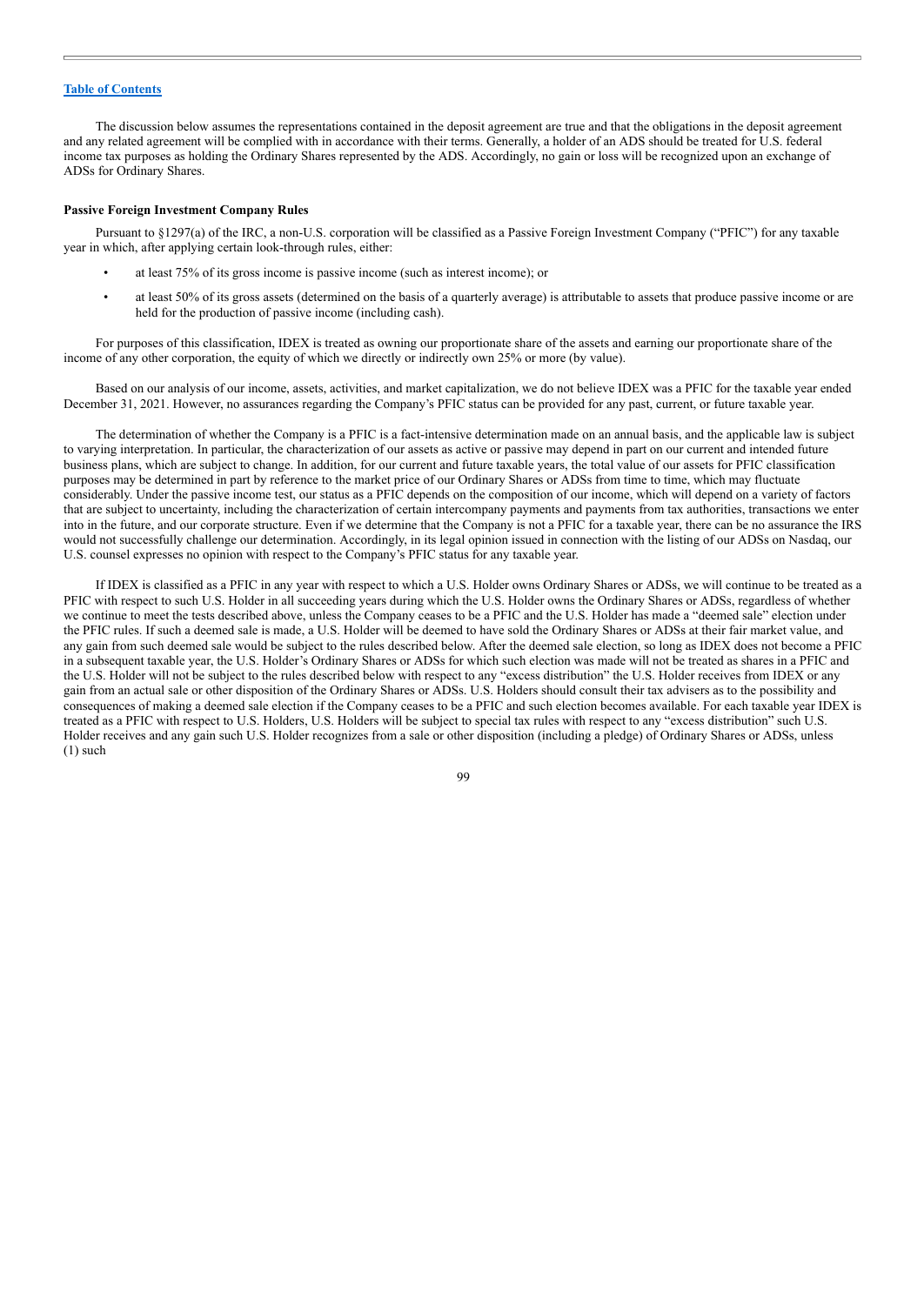The discussion below assumes the representations contained in the deposit agreement are true and that the obligations in the deposit agreement and any related agreement will be complied with in accordance with their terms. Generally, a holder of an ADS should be treated for U.S. federal income tax purposes as holding the Ordinary Shares represented by the ADS. Accordingly, no gain or loss will be recognized upon an exchange of ADSs for Ordinary Shares.

#### **Passive Foreign Investment Company Rules**

Pursuant to §1297(a) of the IRC, a non-U.S. corporation will be classified as a Passive Foreign Investment Company ("PFIC") for any taxable year in which, after applying certain look-through rules, either:

- at least 75% of its gross income is passive income (such as interest income); or
- at least 50% of its gross assets (determined on the basis of a quarterly average) is attributable to assets that produce passive income or are held for the production of passive income (including cash).

For purposes of this classification, IDEX is treated as owning our proportionate share of the assets and earning our proportionate share of the income of any other corporation, the equity of which we directly or indirectly own 25% or more (by value).

Based on our analysis of our income, assets, activities, and market capitalization, we do not believe IDEX was a PFIC for the taxable year ended December 31, 2021. However, no assurances regarding the Company's PFIC status can be provided for any past, current, or future taxable year.

The determination of whether the Company is a PFIC is a fact-intensive determination made on an annual basis, and the applicable law is subject to varying interpretation. In particular, the characterization of our assets as active or passive may depend in part on our current and intended future business plans, which are subject to change. In addition, for our current and future taxable years, the total value of our assets for PFIC classification purposes may be determined in part by reference to the market price of our Ordinary Shares or ADSs from time to time, which may fluctuate considerably. Under the passive income test, our status as a PFIC depends on the composition of our income, which will depend on a variety of factors that are subject to uncertainty, including the characterization of certain intercompany payments and payments from tax authorities, transactions we enter into in the future, and our corporate structure. Even if we determine that the Company is not a PFIC for a taxable year, there can be no assurance the IRS would not successfully challenge our determination. Accordingly, in its legal opinion issued in connection with the listing of our ADSs on Nasdaq, our U.S. counsel expresses no opinion with respect to the Company's PFIC status for any taxable year.

If IDEX is classified as a PFIC in any year with respect to which a U.S. Holder owns Ordinary Shares or ADSs, we will continue to be treated as a PFIC with respect to such U.S. Holder in all succeeding years during which the U.S. Holder owns the Ordinary Shares or ADSs, regardless of whether we continue to meet the tests described above, unless the Company ceases to be a PFIC and the U.S. Holder has made a "deemed sale" election under the PFIC rules. If such a deemed sale is made, a U.S. Holder will be deemed to have sold the Ordinary Shares or ADSs at their fair market value, and any gain from such deemed sale would be subject to the rules described below. After the deemed sale election, so long as IDEX does not become a PFIC in a subsequent taxable year, the U.S. Holder's Ordinary Shares or ADSs for which such election was made will not be treated as shares in a PFIC and the U.S. Holder will not be subject to the rules described below with respect to any "excess distribution" the U.S. Holder receives from IDEX or any gain from an actual sale or other disposition of the Ordinary Shares or ADSs. U.S. Holders should consult their tax advisers as to the possibility and consequences of making a deemed sale election if the Company ceases to be a PFIC and such election becomes available. For each taxable year IDEX is treated as a PFIC with respect to U.S. Holders, U.S. Holders will be subject to special tax rules with respect to any "excess distribution" such U.S. Holder receives and any gain such U.S. Holder recognizes from a sale or other disposition (including a pledge) of Ordinary Shares or ADSs, unless (1) such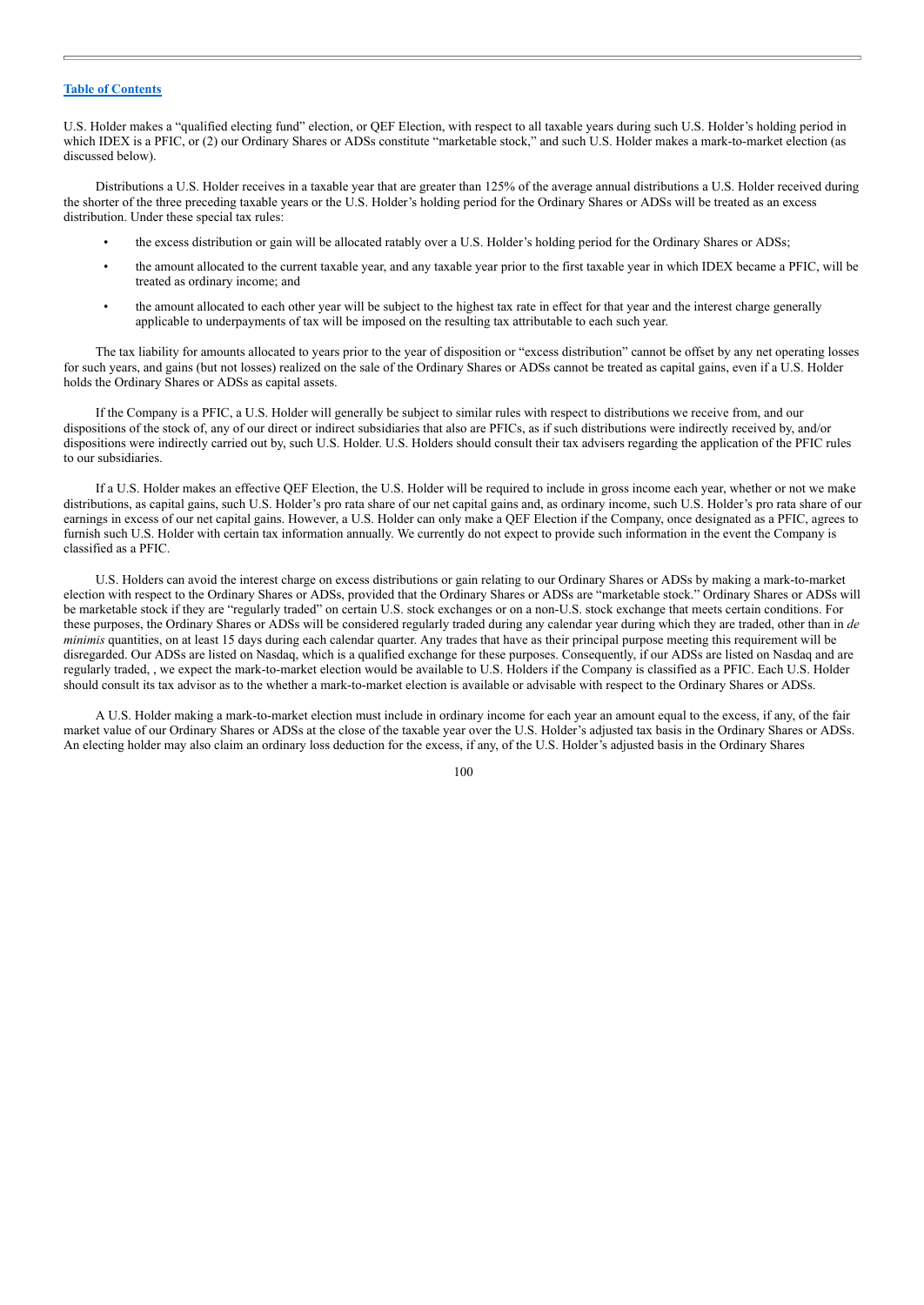U.S. Holder makes a "qualified electing fund" election, or QEF Election, with respect to all taxable years during such U.S. Holder's holding period in which IDEX is a PFIC, or (2) our Ordinary Shares or ADSs constitute "marketable stock," and such U.S. Holder makes a mark-to-market election (as discussed below).

Distributions a U.S. Holder receives in a taxable year that are greater than 125% of the average annual distributions a U.S. Holder received during the shorter of the three preceding taxable years or the U.S. Holder's holding period for the Ordinary Shares or ADSs will be treated as an excess distribution. Under these special tax rules:

- the excess distribution or gain will be allocated ratably over a U.S. Holder's holding period for the Ordinary Shares or ADSs;
- the amount allocated to the current taxable year, and any taxable year prior to the first taxable year in which IDEX became a PFIC, will be treated as ordinary income; and
- the amount allocated to each other year will be subject to the highest tax rate in effect for that year and the interest charge generally applicable to underpayments of tax will be imposed on the resulting tax attributable to each such year.

The tax liability for amounts allocated to years prior to the year of disposition or "excess distribution" cannot be offset by any net operating losses for such years, and gains (but not losses) realized on the sale of the Ordinary Shares or ADSs cannot be treated as capital gains, even if a U.S. Holder holds the Ordinary Shares or ADSs as capital assets.

If the Company is a PFIC, a U.S. Holder will generally be subject to similar rules with respect to distributions we receive from, and our dispositions of the stock of, any of our direct or indirect subsidiaries that also are PFICs, as if such distributions were indirectly received by, and/or dispositions were indirectly carried out by, such U.S. Holder. U.S. Holders should consult their tax advisers regarding the application of the PFIC rules to our subsidiaries.

If a U.S. Holder makes an effective QEF Election, the U.S. Holder will be required to include in gross income each year, whether or not we make distributions, as capital gains, such U.S. Holder's pro rata share of our net capital gains and, as ordinary income, such U.S. Holder's pro rata share of our earnings in excess of our net capital gains. However, a U.S. Holder can only make a QEF Election if the Company, once designated as a PFIC, agrees to furnish such U.S. Holder with certain tax information annually. We currently do not expect to provide such information in the event the Company is classified as a PFIC.

U.S. Holders can avoid the interest charge on excess distributions or gain relating to our Ordinary Shares or ADSs by making a mark-to-market election with respect to the Ordinary Shares or ADSs, provided that the Ordinary Shares or ADSs are "marketable stock." Ordinary Shares or ADSs will be marketable stock if they are "regularly traded" on certain U.S. stock exchanges or on a non-U.S. stock exchange that meets certain conditions. For these purposes, the Ordinary Shares or ADSs will be considered regularly traded during any calendar year during which they are traded, other than in *de minimis* quantities, on at least 15 days during each calendar quarter. Any trades that have as their principal purpose meeting this requirement will be disregarded. Our ADSs are listed on Nasdaq, which is a qualified exchange for these purposes. Consequently, if our ADSs are listed on Nasdaq and are regularly traded, , we expect the mark-to-market election would be available to U.S. Holders if the Company is classified as a PFIC. Each U.S. Holder should consult its tax advisor as to the whether a mark-to-market election is available or advisable with respect to the Ordinary Shares or ADSs.

A U.S. Holder making a mark-to-market election must include in ordinary income for each year an amount equal to the excess, if any, of the fair market value of our Ordinary Shares or ADSs at the close of the taxable year over the U.S. Holder's adjusted tax basis in the Ordinary Shares or ADSs. An electing holder may also claim an ordinary loss deduction for the excess, if any, of the U.S. Holder's adjusted basis in the Ordinary Shares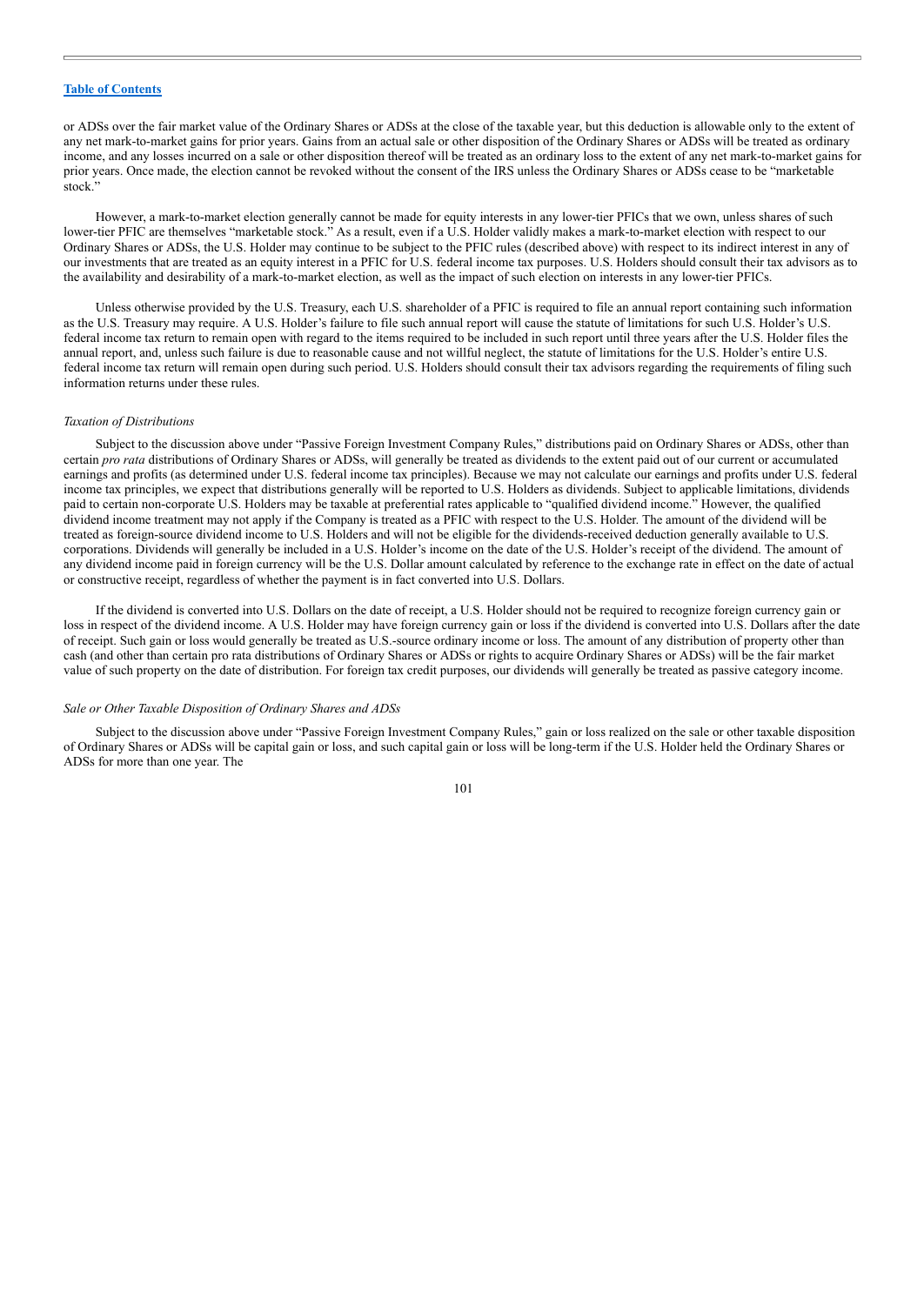or ADSs over the fair market value of the Ordinary Shares or ADSs at the close of the taxable year, but this deduction is allowable only to the extent of any net mark-to-market gains for prior years. Gains from an actual sale or other disposition of the Ordinary Shares or ADSs will be treated as ordinary income, and any losses incurred on a sale or other disposition thereof will be treated as an ordinary loss to the extent of any net mark-to-market gains for prior years. Once made, the election cannot be revoked without the consent of the IRS unless the Ordinary Shares or ADSs cease to be "marketable stock."

However, a mark-to-market election generally cannot be made for equity interests in any lower-tier PFICs that we own, unless shares of such lower-tier PFIC are themselves "marketable stock." As a result, even if a U.S. Holder validly makes a mark-to-market election with respect to our Ordinary Shares or ADSs, the U.S. Holder may continue to be subject to the PFIC rules (described above) with respect to its indirect interest in any of our investments that are treated as an equity interest in a PFIC for U.S. federal income tax purposes. U.S. Holders should consult their tax advisors as to the availability and desirability of a mark-to-market election, as well as the impact of such election on interests in any lower-tier PFICs.

Unless otherwise provided by the U.S. Treasury, each U.S. shareholder of a PFIC is required to file an annual report containing such information as the U.S. Treasury may require. A U.S. Holder's failure to file such annual report will cause the statute of limitations for such U.S. Holder's U.S. federal income tax return to remain open with regard to the items required to be included in such report until three years after the U.S. Holder files the annual report, and, unless such failure is due to reasonable cause and not willful neglect, the statute of limitations for the U.S. Holder's entire U.S. federal income tax return will remain open during such period. U.S. Holders should consult their tax advisors regarding the requirements of filing such information returns under these rules.

#### *Taxation of Distributions*

Subject to the discussion above under "Passive Foreign Investment Company Rules," distributions paid on Ordinary Shares or ADSs, other than certain *pro rata* distributions of Ordinary Shares or ADSs, will generally be treated as dividends to the extent paid out of our current or accumulated earnings and profits (as determined under U.S. federal income tax principles). Because we may not calculate our earnings and profits under U.S. federal income tax principles, we expect that distributions generally will be reported to U.S. Holders as dividends. Subject to applicable limitations, dividends paid to certain non-corporate U.S. Holders may be taxable at preferential rates applicable to "qualified dividend income." However, the qualified dividend income treatment may not apply if the Company is treated as a PFIC with respect to the U.S. Holder. The amount of the dividend will be treated as foreign-source dividend income to U.S. Holders and will not be eligible for the dividends-received deduction generally available to U.S. corporations. Dividends will generally be included in a U.S. Holder's income on the date of the U.S. Holder's receipt of the dividend. The amount of any dividend income paid in foreign currency will be the U.S. Dollar amount calculated by reference to the exchange rate in effect on the date of actual or constructive receipt, regardless of whether the payment is in fact converted into U.S. Dollars.

If the dividend is converted into U.S. Dollars on the date of receipt, a U.S. Holder should not be required to recognize foreign currency gain or loss in respect of the dividend income. A U.S. Holder may have foreign currency gain or loss if the dividend is converted into U.S. Dollars after the date of receipt. Such gain or loss would generally be treated as U.S.-source ordinary income or loss. The amount of any distribution of property other than cash (and other than certain pro rata distributions of Ordinary Shares or ADSs or rights to acquire Ordinary Shares or ADSs) will be the fair market value of such property on the date of distribution. For foreign tax credit purposes, our dividends will generally be treated as passive category income.

# *Sale or Other Taxable Disposition of Ordinary Shares and ADSs*

Subject to the discussion above under "Passive Foreign Investment Company Rules," gain or loss realized on the sale or other taxable disposition of Ordinary Shares or ADSs will be capital gain or loss, and such capital gain or loss will be long-term if the U.S. Holder held the Ordinary Shares or ADSs for more than one year. The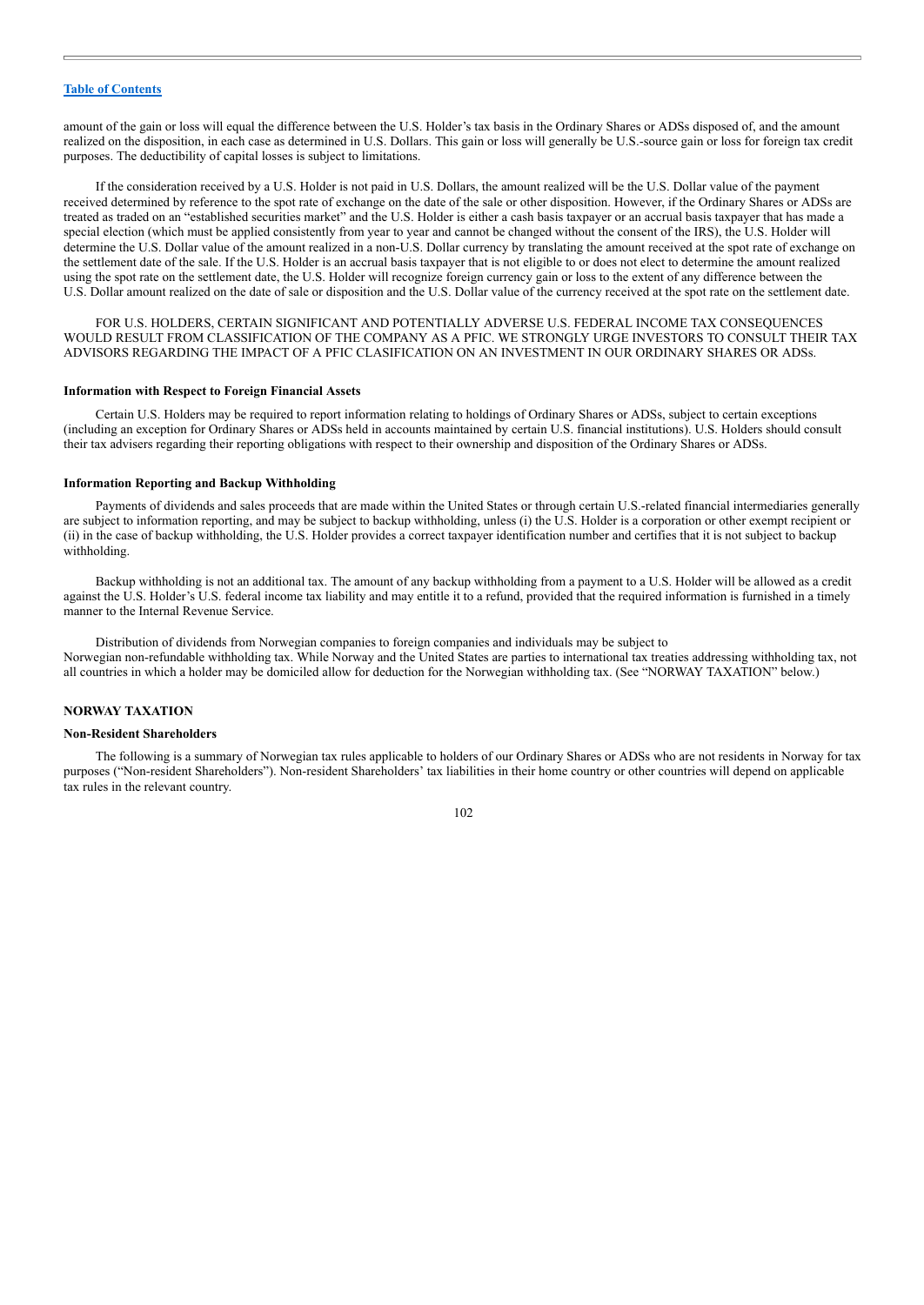amount of the gain or loss will equal the difference between the U.S. Holder's tax basis in the Ordinary Shares or ADSs disposed of, and the amount realized on the disposition, in each case as determined in U.S. Dollars. This gain or loss will generally be U.S.-source gain or loss for foreign tax credit purposes. The deductibility of capital losses is subject to limitations.

If the consideration received by a U.S. Holder is not paid in U.S. Dollars, the amount realized will be the U.S. Dollar value of the payment received determined by reference to the spot rate of exchange on the date of the sale or other disposition. However, if the Ordinary Shares or ADSs are treated as traded on an "established securities market" and the U.S. Holder is either a cash basis taxpayer or an accrual basis taxpayer that has made a special election (which must be applied consistently from year to year and cannot be changed without the consent of the IRS), the U.S. Holder will determine the U.S. Dollar value of the amount realized in a non-U.S. Dollar currency by translating the amount received at the spot rate of exchange on the settlement date of the sale. If the U.S. Holder is an accrual basis taxpayer that is not eligible to or does not elect to determine the amount realized using the spot rate on the settlement date, the U.S. Holder will recognize foreign currency gain or loss to the extent of any difference between the U.S. Dollar amount realized on the date of sale or disposition and the U.S. Dollar value of the currency received at the spot rate on the settlement date.

FOR U.S. HOLDERS, CERTAIN SIGNIFICANT AND POTENTIALLY ADVERSE U.S. FEDERAL INCOME TAX CONSEQUENCES WOULD RESULT FROM CLASSIFICATION OF THE COMPANY AS A PFIC. WE STRONGLY URGE INVESTORS TO CONSULT THEIR TAX ADVISORS REGARDING THE IMPACT OF A PFIC CLASIFICATION ON AN INVESTMENT IN OUR ORDINARY SHARES OR ADSs.

#### **Information with Respect to Foreign Financial Assets**

Certain U.S. Holders may be required to report information relating to holdings of Ordinary Shares or ADSs, subject to certain exceptions (including an exception for Ordinary Shares or ADSs held in accounts maintained by certain U.S. financial institutions). U.S. Holders should consult their tax advisers regarding their reporting obligations with respect to their ownership and disposition of the Ordinary Shares or ADSs.

# **Information Reporting and Backup Withholding**

Payments of dividends and sales proceeds that are made within the United States or through certain U.S.-related financial intermediaries generally are subject to information reporting, and may be subject to backup withholding, unless (i) the U.S. Holder is a corporation or other exempt recipient or (ii) in the case of backup withholding, the U.S. Holder provides a correct taxpayer identification number and certifies that it is not subject to backup withholding.

Backup withholding is not an additional tax. The amount of any backup withholding from a payment to a U.S. Holder will be allowed as a credit against the U.S. Holder's U.S. federal income tax liability and may entitle it to a refund, provided that the required information is furnished in a timely manner to the Internal Revenue Service.

Distribution of dividends from Norwegian companies to foreign companies and individuals may be subject to Norwegian non-refundable withholding tax. While Norway and the United States are parties to international tax treaties addressing withholding tax, not all countries in which a holder may be domiciled allow for deduction for the Norwegian withholding tax. (See "NORWAY TAXATION" below.)

# **NORWAY TAXATION**

#### **Non-Resident Shareholders**

The following is a summary of Norwegian tax rules applicable to holders of our Ordinary Shares or ADSs who are not residents in Norway for tax purposes ("Non-resident Shareholders"). Non-resident Shareholders' tax liabilities in their home country or other countries will depend on applicable tax rules in the relevant country.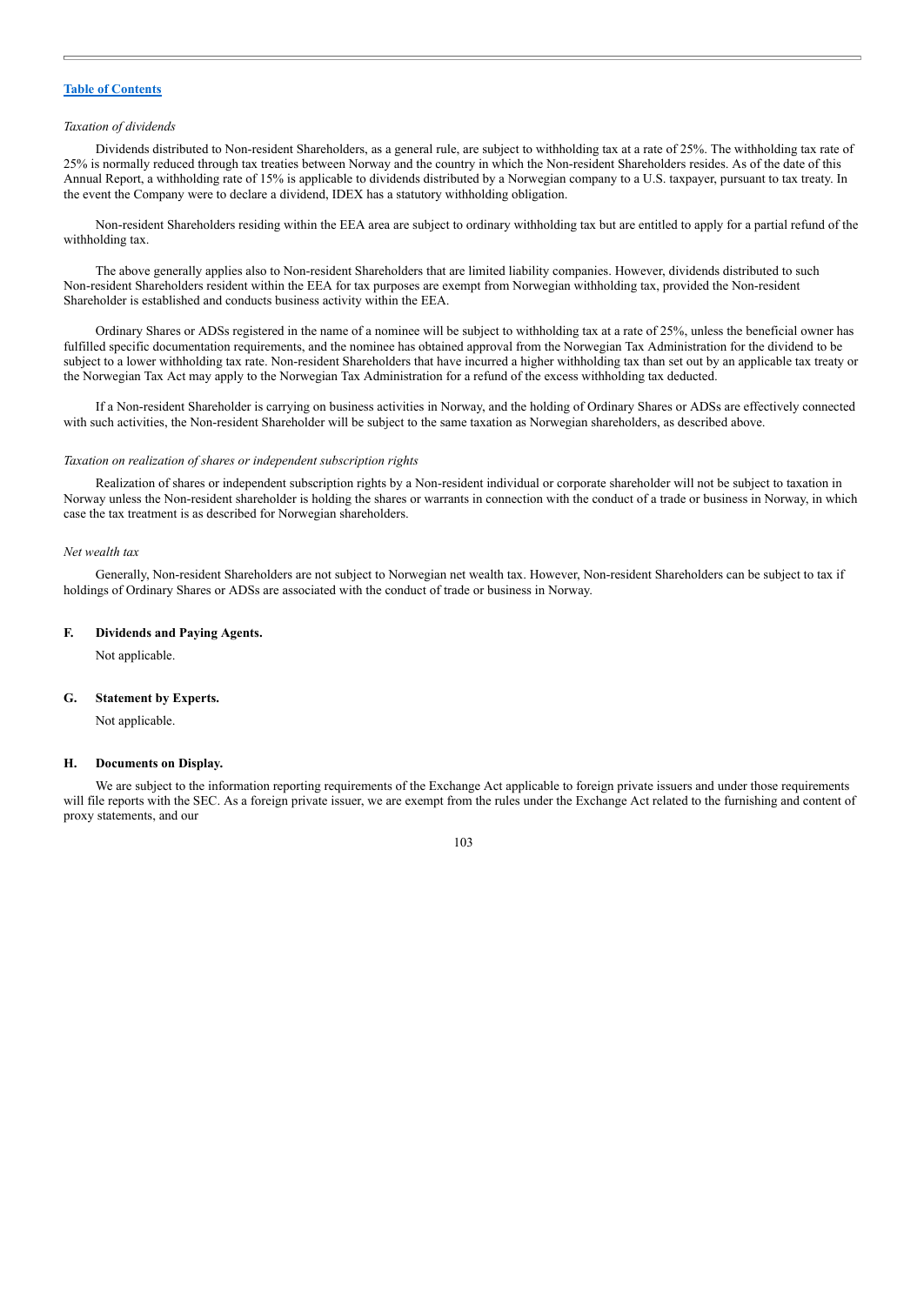# *Taxation of dividends*

Dividends distributed to Non-resident Shareholders, as a general rule, are subject to withholding tax at a rate of 25%. The withholding tax rate of 25% is normally reduced through tax treaties between Norway and the country in which the Non-resident Shareholders resides. As of the date of this Annual Report, a withholding rate of 15% is applicable to dividends distributed by a Norwegian company to a U.S. taxpayer, pursuant to tax treaty. In the event the Company were to declare a dividend, IDEX has a statutory withholding obligation.

Non-resident Shareholders residing within the EEA area are subject to ordinary withholding tax but are entitled to apply for a partial refund of the withholding tax.

The above generally applies also to Non-resident Shareholders that are limited liability companies. However, dividends distributed to such Non-resident Shareholders resident within the EEA for tax purposes are exempt from Norwegian withholding tax, provided the Non-resident Shareholder is established and conducts business activity within the EEA.

Ordinary Shares or ADSs registered in the name of a nominee will be subject to withholding tax at a rate of 25%, unless the beneficial owner has fulfilled specific documentation requirements, and the nominee has obtained approval from the Norwegian Tax Administration for the dividend to be subject to a lower withholding tax rate. Non-resident Shareholders that have incurred a higher withholding tax than set out by an applicable tax treaty or the Norwegian Tax Act may apply to the Norwegian Tax Administration for a refund of the excess withholding tax deducted.

If a Non-resident Shareholder is carrying on business activities in Norway, and the holding of Ordinary Shares or ADSs are effectively connected with such activities, the Non-resident Shareholder will be subject to the same taxation as Norwegian shareholders, as described above.

#### *Taxation on realization of shares or independent subscription rights*

Realization of shares or independent subscription rights by a Non-resident individual or corporate shareholder will not be subject to taxation in Norway unless the Non-resident shareholder is holding the shares or warrants in connection with the conduct of a trade or business in Norway, in which case the tax treatment is as described for Norwegian shareholders.

## *Net wealth tax*

Generally, Non-resident Shareholders are not subject to Norwegian net wealth tax. However, Non-resident Shareholders can be subject to tax if holdings of Ordinary Shares or ADSs are associated with the conduct of trade or business in Norway.

# **F. Dividends and Paying Agents.**

Not applicable.

# **G. Statement by Experts.**

Not applicable.

# **H. Documents on Display.**

We are subject to the information reporting requirements of the Exchange Act applicable to foreign private issuers and under those requirements will file reports with the SEC. As a foreign private issuer, we are exempt from the rules under the Exchange Act related to the furnishing and content of proxy statements, and our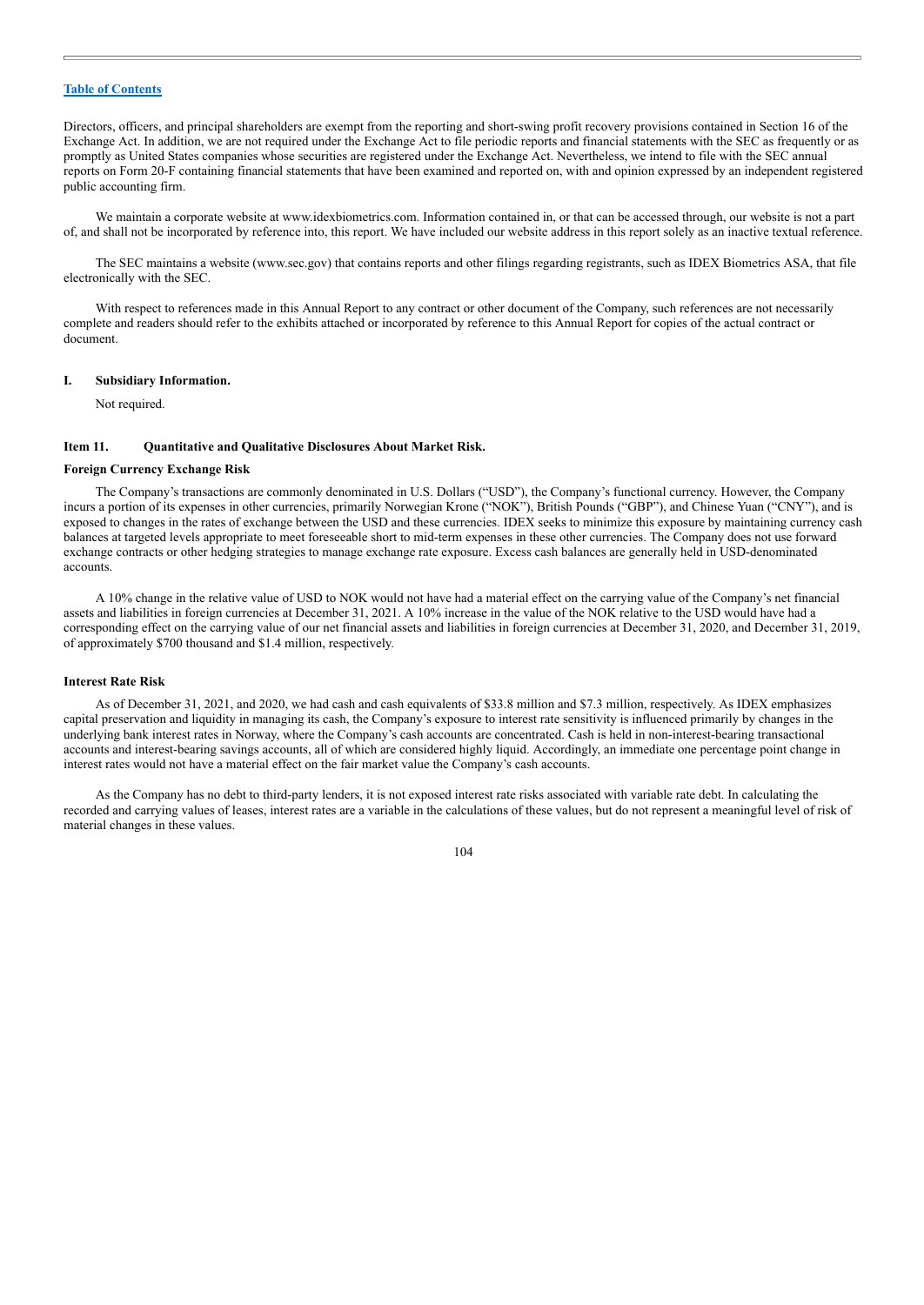Directors, officers, and principal shareholders are exempt from the reporting and short-swing profit recovery provisions contained in Section 16 of the Exchange Act. In addition, we are not required under the Exchange Act to file periodic reports and financial statements with the SEC as frequently or as promptly as United States companies whose securities are registered under the Exchange Act. Nevertheless, we intend to file with the SEC annual reports on Form 20-F containing financial statements that have been examined and reported on, with and opinion expressed by an independent registered public accounting firm.

We maintain a corporate website at www.idexbiometrics.com. Information contained in, or that can be accessed through, our website is not a part of, and shall not be incorporated by reference into, this report. We have included our website address in this report solely as an inactive textual reference.

The SEC maintains a website (www.sec.gov) that contains reports and other filings regarding registrants, such as IDEX Biometrics ASA, that file electronically with the SEC.

With respect to references made in this Annual Report to any contract or other document of the Company, such references are not necessarily complete and readers should refer to the exhibits attached or incorporated by reference to this Annual Report for copies of the actual contract or document.

# **I. Subsidiary Information.**

Not required.

# **Item 11. Quantitative and Qualitative Disclosures About Market Risk.**

# **Foreign Currency Exchange Risk**

The Company's transactions are commonly denominated in U.S. Dollars ("USD"), the Company's functional currency. However, the Company incurs a portion of its expenses in other currencies, primarily Norwegian Krone ("NOK"), British Pounds ("GBP"), and Chinese Yuan ("CNY"), and is exposed to changes in the rates of exchange between the USD and these currencies. IDEX seeks to minimize this exposure by maintaining currency cash balances at targeted levels appropriate to meet foreseeable short to mid-term expenses in these other currencies. The Company does not use forward exchange contracts or other hedging strategies to manage exchange rate exposure. Excess cash balances are generally held in USD-denominated accounts.

A 10% change in the relative value of USD to NOK would not have had a material effect on the carrying value of the Company's net financial assets and liabilities in foreign currencies at December 31, 2021. A 10% increase in the value of the NOK relative to the USD would have had a corresponding effect on the carrying value of our net financial assets and liabilities in foreign currencies at December 31, 2020, and December 31, 2019, of approximately \$700 thousand and \$1.4 million, respectively.

#### **Interest Rate Risk**

As of December 31, 2021, and 2020, we had cash and cash equivalents of \$33.8 million and \$7.3 million, respectively. As IDEX emphasizes capital preservation and liquidity in managing its cash, the Company's exposure to interest rate sensitivity is influenced primarily by changes in the underlying bank interest rates in Norway, where the Company's cash accounts are concentrated. Cash is held in non-interest-bearing transactional accounts and interest-bearing savings accounts, all of which are considered highly liquid. Accordingly, an immediate one percentage point change in interest rates would not have a material effect on the fair market value the Company's cash accounts.

As the Company has no debt to third-party lenders, it is not exposed interest rate risks associated with variable rate debt. In calculating the recorded and carrying values of leases, interest rates are a variable in the calculations of these values, but do not represent a meaningful level of risk of material changes in these values.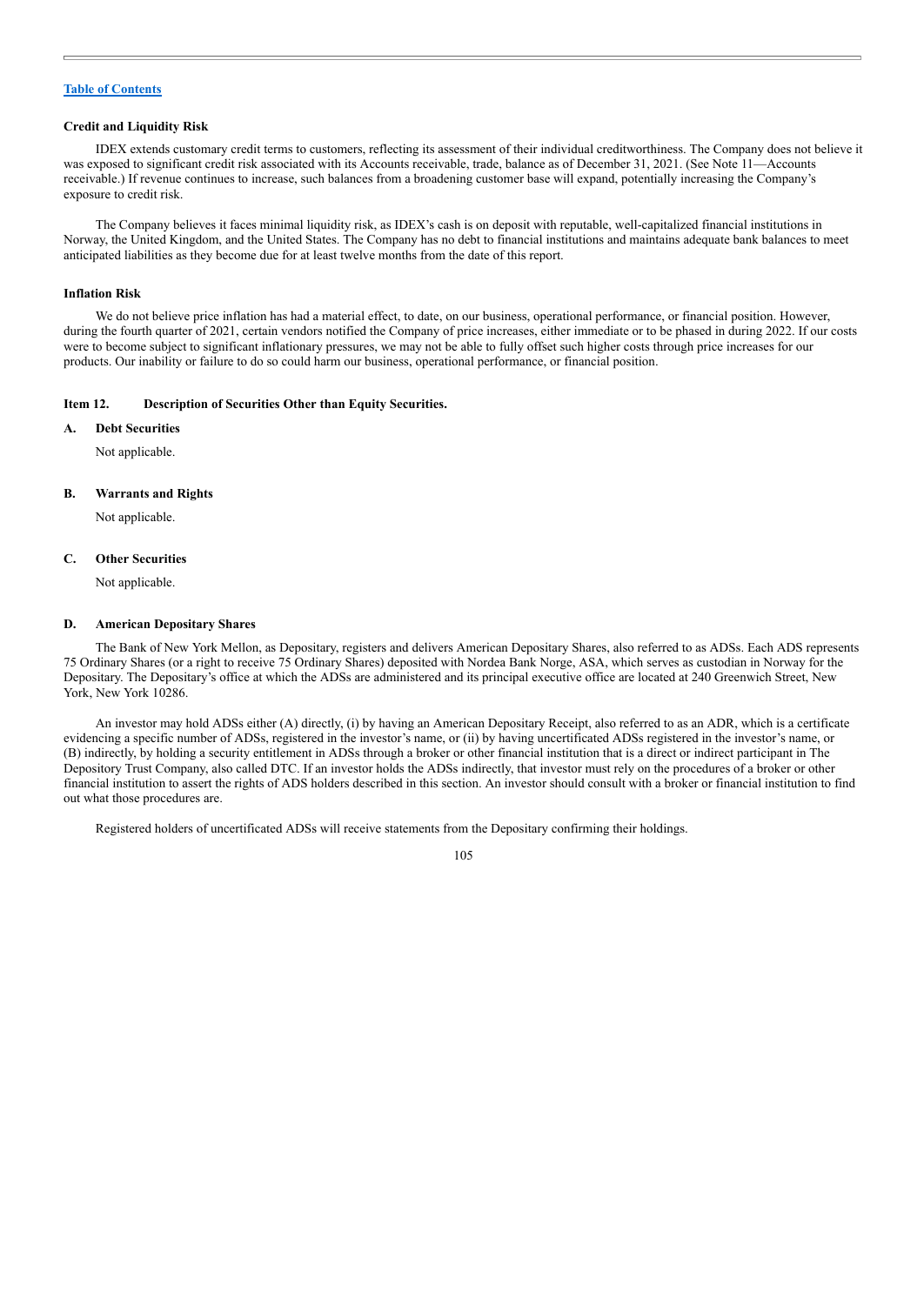# **Credit and Liquidity Risk**

IDEX extends customary credit terms to customers, reflecting its assessment of their individual creditworthiness. The Company does not believe it was exposed to significant credit risk associated with its Accounts receivable, trade, balance as of December 31, 2021. (See Note 11—Accounts receivable.) If revenue continues to increase, such balances from a broadening customer base will expand, potentially increasing the Company's exposure to credit risk.

The Company believes it faces minimal liquidity risk, as IDEX's cash is on deposit with reputable, well-capitalized financial institutions in Norway, the United Kingdom, and the United States. The Company has no debt to financial institutions and maintains adequate bank balances to meet anticipated liabilities as they become due for at least twelve months from the date of this report.

# **Inflation Risk**

We do not believe price inflation has had a material effect, to date, on our business, operational performance, or financial position. However, during the fourth quarter of 2021, certain vendors notified the Company of price increases, either immediate or to be phased in during 2022. If our costs were to become subject to significant inflationary pressures, we may not be able to fully offset such higher costs through price increases for our products. Our inability or failure to do so could harm our business, operational performance, or financial position.

## **Item 12. Description of Securities Other than Equity Securities.**

# **A. Debt Securities**

Not applicable.

#### **B. Warrants and Rights**

Not applicable.

# **C. Other Securities**

Not applicable.

#### **D. American Depositary Shares**

The Bank of New York Mellon, as Depositary, registers and delivers American Depositary Shares, also referred to as ADSs. Each ADS represents 75 Ordinary Shares (or a right to receive 75 Ordinary Shares) deposited with Nordea Bank Norge, ASA, which serves as custodian in Norway for the Depositary. The Depositary's office at which the ADSs are administered and its principal executive office are located at 240 Greenwich Street, New York, New York 10286.

An investor may hold ADSs either (A) directly, (i) by having an American Depositary Receipt, also referred to as an ADR, which is a certificate evidencing a specific number of ADSs, registered in the investor's name, or (ii) by having uncertificated ADSs registered in the investor's name, or (B) indirectly, by holding a security entitlement in ADSs through a broker or other financial institution that is a direct or indirect participant in The Depository Trust Company, also called DTC. If an investor holds the ADSs indirectly, that investor must rely on the procedures of a broker or other financial institution to assert the rights of ADS holders described in this section. An investor should consult with a broker or financial institution to find out what those procedures are.

Registered holders of uncertificated ADSs will receive statements from the Depositary confirming their holdings.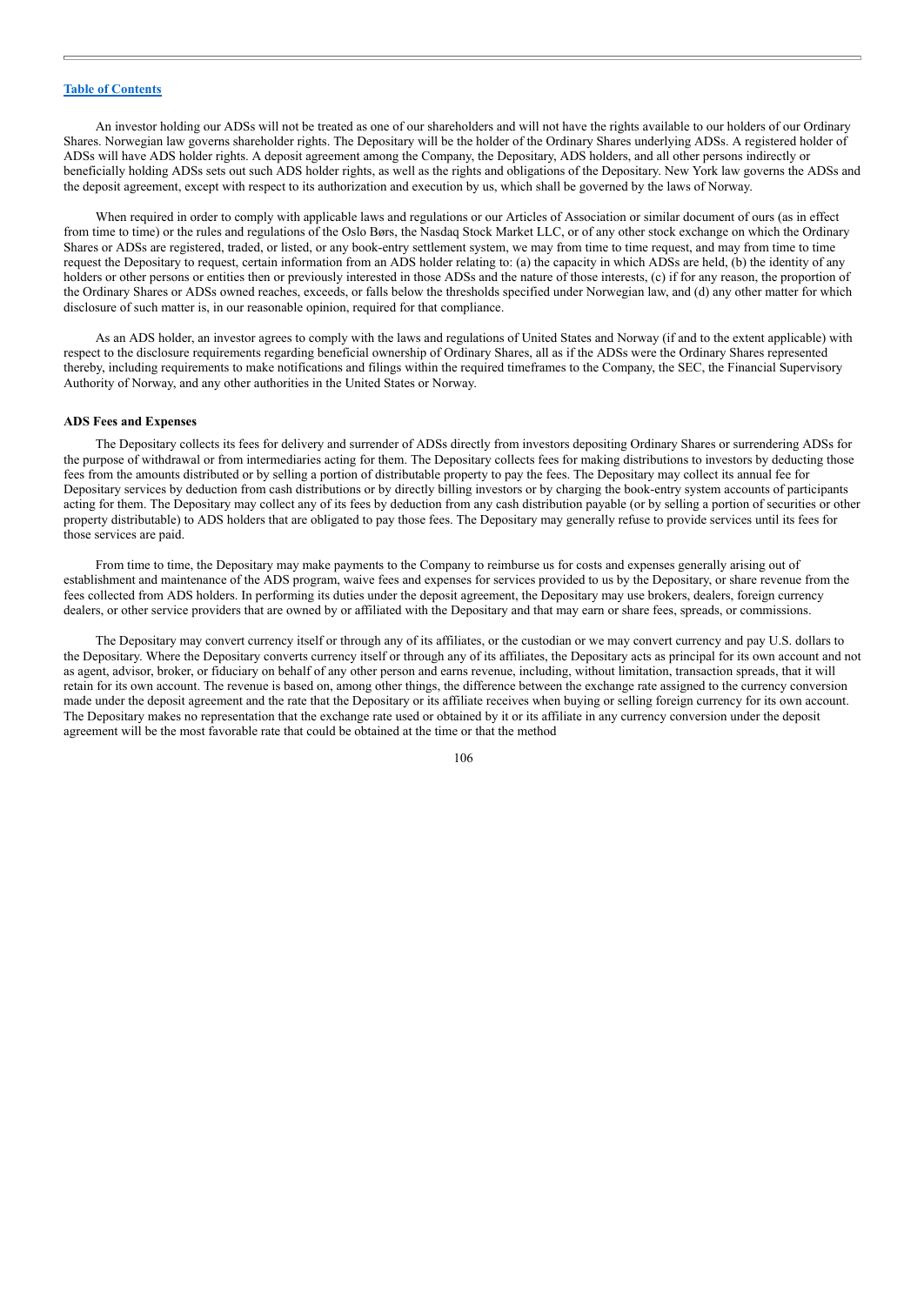An investor holding our ADSs will not be treated as one of our shareholders and will not have the rights available to our holders of our Ordinary Shares. Norwegian law governs shareholder rights. The Depositary will be the holder of the Ordinary Shares underlying ADSs. A registered holder of ADSs will have ADS holder rights. A deposit agreement among the Company, the Depositary, ADS holders, and all other persons indirectly or beneficially holding ADSs sets out such ADS holder rights, as well as the rights and obligations of the Depositary. New York law governs the ADSs and the deposit agreement, except with respect to its authorization and execution by us, which shall be governed by the laws of Norway.

When required in order to comply with applicable laws and regulations or our Articles of Association or similar document of ours (as in effect from time to time) or the rules and regulations of the Oslo Børs, the Nasdaq Stock Market LLC, or of any other stock exchange on which the Ordinary Shares or ADSs are registered, traded, or listed, or any book-entry settlement system, we may from time to time request, and may from time to time request the Depositary to request, certain information from an ADS holder relating to: (a) the capacity in which ADSs are held, (b) the identity of any holders or other persons or entities then or previously interested in those ADSs and the nature of those interests, (c) if for any reason, the proportion of the Ordinary Shares or ADSs owned reaches, exceeds, or falls below the thresholds specified under Norwegian law, and (d) any other matter for which disclosure of such matter is, in our reasonable opinion, required for that compliance.

As an ADS holder, an investor agrees to comply with the laws and regulations of United States and Norway (if and to the extent applicable) with respect to the disclosure requirements regarding beneficial ownership of Ordinary Shares, all as if the ADSs were the Ordinary Shares represented thereby, including requirements to make notifications and filings within the required timeframes to the Company, the SEC, the Financial Supervisory Authority of Norway, and any other authorities in the United States or Norway.

# **ADS Fees and Expenses**

The Depositary collects its fees for delivery and surrender of ADSs directly from investors depositing Ordinary Shares or surrendering ADSs for the purpose of withdrawal or from intermediaries acting for them. The Depositary collects fees for making distributions to investors by deducting those fees from the amounts distributed or by selling a portion of distributable property to pay the fees. The Depositary may collect its annual fee for Depositary services by deduction from cash distributions or by directly billing investors or by charging the book-entry system accounts of participants acting for them. The Depositary may collect any of its fees by deduction from any cash distribution payable (or by selling a portion of securities or other property distributable) to ADS holders that are obligated to pay those fees. The Depositary may generally refuse to provide services until its fees for those services are paid.

From time to time, the Depositary may make payments to the Company to reimburse us for costs and expenses generally arising out of establishment and maintenance of the ADS program, waive fees and expenses for services provided to us by the Depositary, or share revenue from the fees collected from ADS holders. In performing its duties under the deposit agreement, the Depositary may use brokers, dealers, foreign currency dealers, or other service providers that are owned by or affiliated with the Depositary and that may earn or share fees, spreads, or commissions.

The Depositary may convert currency itself or through any of its affiliates, or the custodian or we may convert currency and pay U.S. dollars to the Depositary. Where the Depositary converts currency itself or through any of its affiliates, the Depositary acts as principal for its own account and not as agent, advisor, broker, or fiduciary on behalf of any other person and earns revenue, including, without limitation, transaction spreads, that it will retain for its own account. The revenue is based on, among other things, the difference between the exchange rate assigned to the currency conversion made under the deposit agreement and the rate that the Depositary or its affiliate receives when buying or selling foreign currency for its own account. The Depositary makes no representation that the exchange rate used or obtained by it or its affiliate in any currency conversion under the deposit agreement will be the most favorable rate that could be obtained at the time or that the method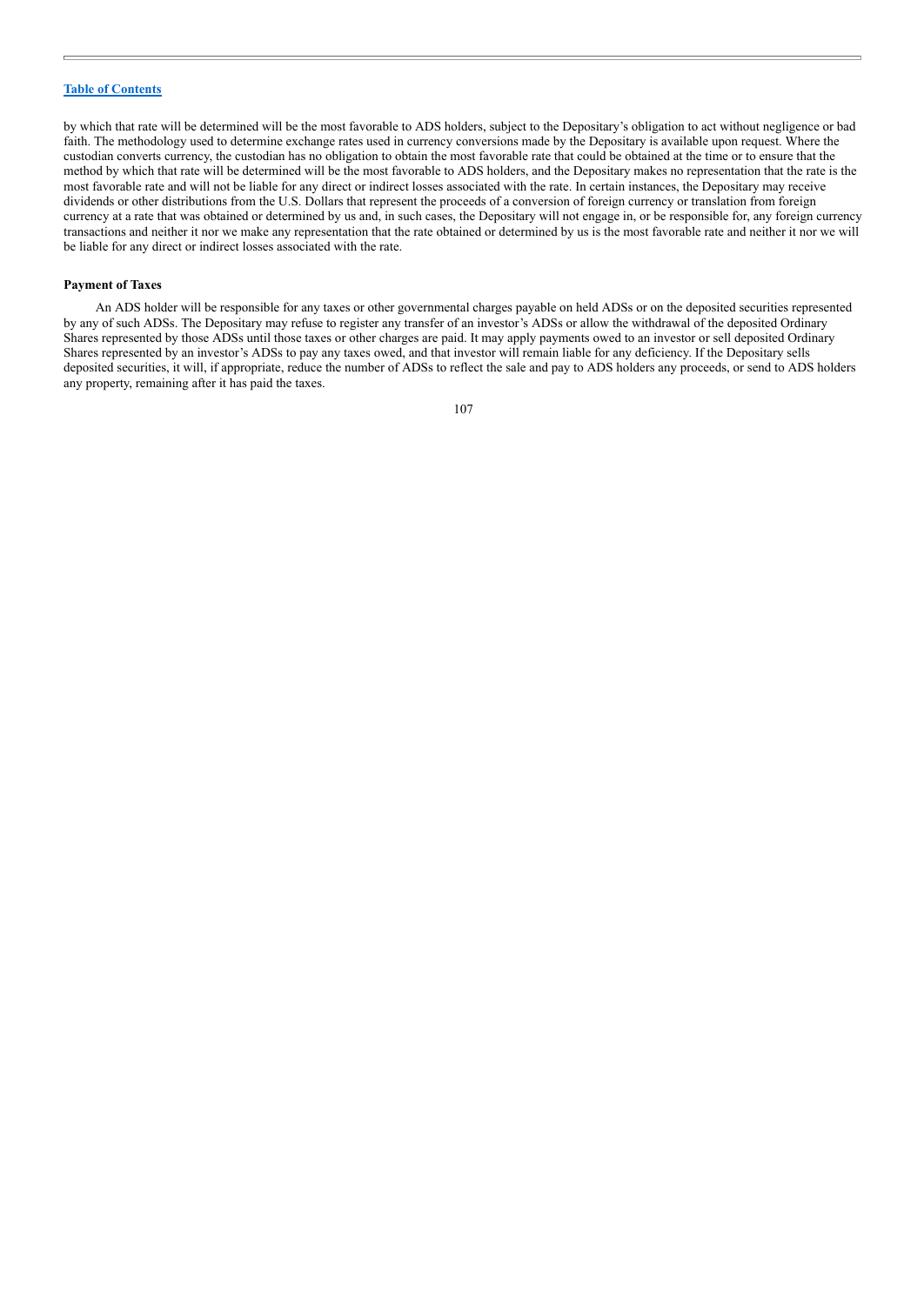by which that rate will be determined will be the most favorable to ADS holders, subject to the Depositary's obligation to act without negligence or bad faith. The methodology used to determine exchange rates used in currency conversions made by the Depositary is available upon request. Where the custodian converts currency, the custodian has no obligation to obtain the most favorable rate that could be obtained at the time or to ensure that the method by which that rate will be determined will be the most favorable to ADS holders, and the Depositary makes no representation that the rate is the most favorable rate and will not be liable for any direct or indirect losses associated with the rate. In certain instances, the Depositary may receive dividends or other distributions from the U.S. Dollars that represent the proceeds of a conversion of foreign currency or translation from foreign currency at a rate that was obtained or determined by us and, in such cases, the Depositary will not engage in, or be responsible for, any foreign currency transactions and neither it nor we make any representation that the rate obtained or determined by us is the most favorable rate and neither it nor we will be liable for any direct or indirect losses associated with the rate.

#### **Payment of Taxes**

An ADS holder will be responsible for any taxes or other governmental charges payable on held ADSs or on the deposited securities represented by any of such ADSs. The Depositary may refuse to register any transfer of an investor's ADSs or allow the withdrawal of the deposited Ordinary Shares represented by those ADSs until those taxes or other charges are paid. It may apply payments owed to an investor or sell deposited Ordinary Shares represented by an investor's ADSs to pay any taxes owed, and that investor will remain liable for any deficiency. If the Depositary sells deposited securities, it will, if appropriate, reduce the number of ADSs to reflect the sale and pay to ADS holders any proceeds, or send to ADS holders any property, remaining after it has paid the taxes.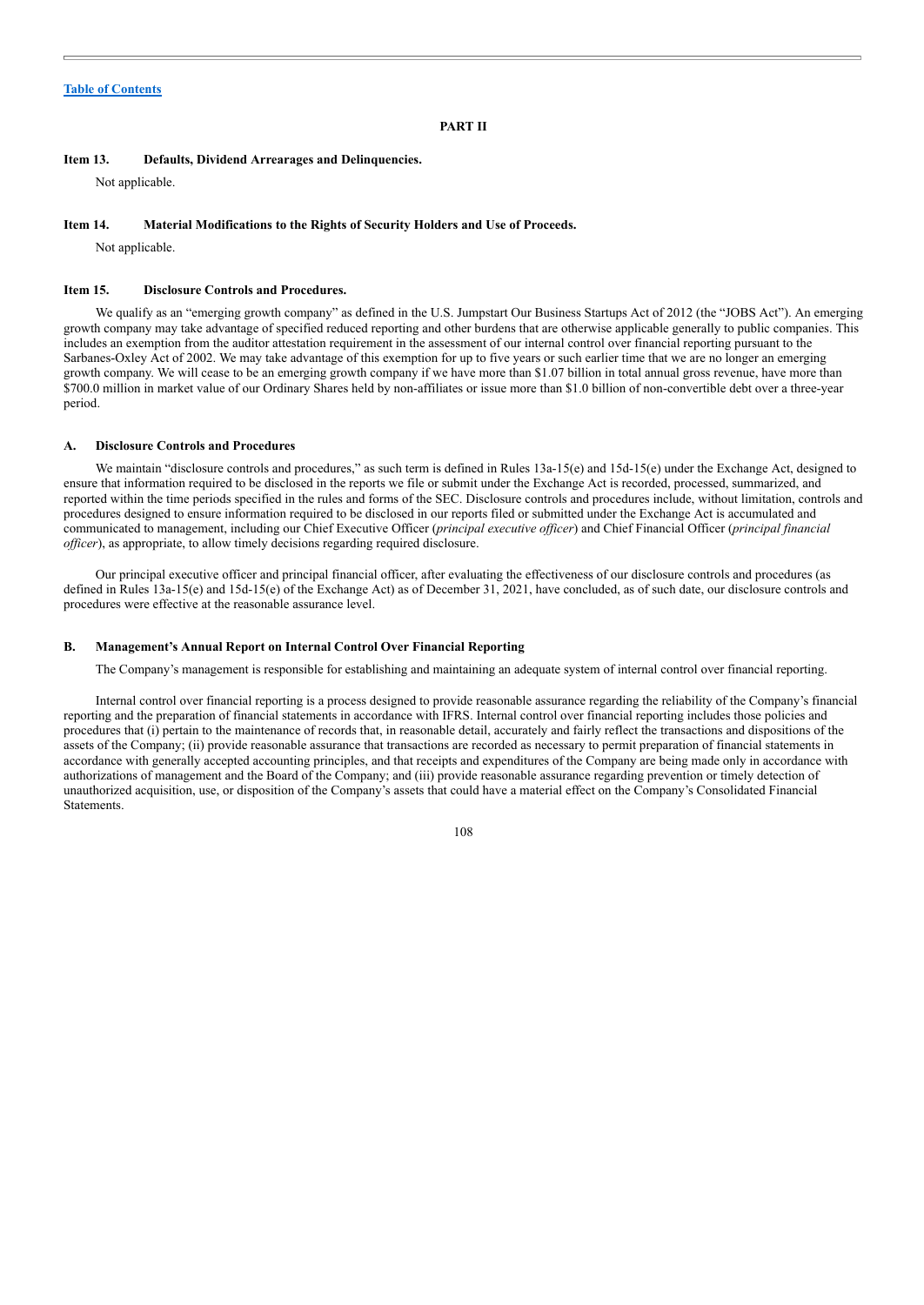## **PART II**

#### **Item 13. Defaults, Dividend Arrearages and Delinquencies.**

Not applicable.

#### **Item 14. Material Modifications to the Rights of Security Holders and Use of Proceeds.**

Not applicable.

#### **Item 15. Disclosure Controls and Procedures.**

We qualify as an "emerging growth company" as defined in the U.S. Jumpstart Our Business Startups Act of 2012 (the "JOBS Act"). An emerging growth company may take advantage of specified reduced reporting and other burdens that are otherwise applicable generally to public companies. This includes an exemption from the auditor attestation requirement in the assessment of our internal control over financial reporting pursuant to the Sarbanes-Oxley Act of 2002. We may take advantage of this exemption for up to five years or such earlier time that we are no longer an emerging growth company. We will cease to be an emerging growth company if we have more than \$1.07 billion in total annual gross revenue, have more than \$700.0 million in market value of our Ordinary Shares held by non-affiliates or issue more than \$1.0 billion of non-convertible debt over a three-year period.

#### **A. Disclosure Controls and Procedures**

We maintain "disclosure controls and procedures," as such term is defined in Rules 13a-15(e) and 15d-15(e) under the Exchange Act, designed to ensure that information required to be disclosed in the reports we file or submit under the Exchange Act is recorded, processed, summarized, and reported within the time periods specified in the rules and forms of the SEC. Disclosure controls and procedures include, without limitation, controls and procedures designed to ensure information required to be disclosed in our reports filed or submitted under the Exchange Act is accumulated and communicated to management, including our Chief Executive Officer (*principal executive officer*) and Chief Financial Officer (*principal financial officer*), as appropriate, to allow timely decisions regarding required disclosure.

Our principal executive officer and principal financial officer, after evaluating the effectiveness of our disclosure controls and procedures (as defined in Rules 13a-15(e) and 15d-15(e) of the Exchange Act) as of December 31, 2021, have concluded, as of such date, our disclosure controls and procedures were effective at the reasonable assurance level.

#### **B. Management's Annual Report on Internal Control Over Financial Reporting**

The Company's management is responsible for establishing and maintaining an adequate system of internal control over financial reporting.

Internal control over financial reporting is a process designed to provide reasonable assurance regarding the reliability of the Company's financial reporting and the preparation of financial statements in accordance with IFRS. Internal control over financial reporting includes those policies and procedures that (i) pertain to the maintenance of records that, in reasonable detail, accurately and fairly reflect the transactions and dispositions of the assets of the Company; (ii) provide reasonable assurance that transactions are recorded as necessary to permit preparation of financial statements in accordance with generally accepted accounting principles, and that receipts and expenditures of the Company are being made only in accordance with authorizations of management and the Board of the Company; and (iii) provide reasonable assurance regarding prevention or timely detection of unauthorized acquisition, use, or disposition of the Company's assets that could have a material effect on the Company's Consolidated Financial Statements.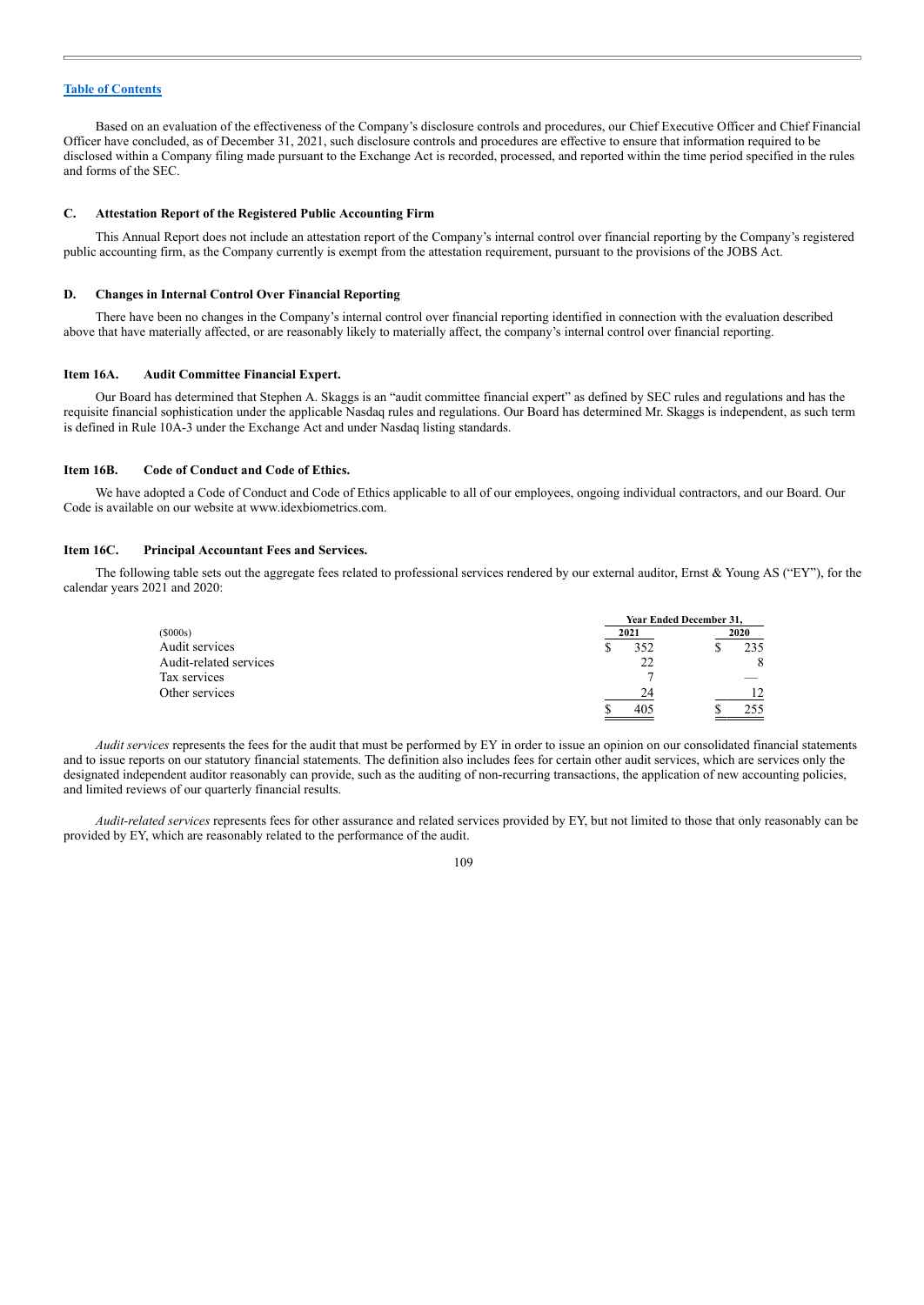Based on an evaluation of the effectiveness of the Company's disclosure controls and procedures, our Chief Executive Officer and Chief Financial Officer have concluded, as of December 31, 2021, such disclosure controls and procedures are effective to ensure that information required to be disclosed within a Company filing made pursuant to the Exchange Act is recorded, processed, and reported within the time period specified in the rules and forms of the SEC.

## **C. Attestation Report of the Registered Public Accounting Firm**

This Annual Report does not include an attestation report of the Company's internal control over financial reporting by the Company's registered public accounting firm, as the Company currently is exempt from the attestation requirement, pursuant to the provisions of the JOBS Act.

#### **D. Changes in Internal Control Over Financial Reporting**

There have been no changes in the Company's internal control over financial reporting identified in connection with the evaluation described above that have materially affected, or are reasonably likely to materially affect, the company's internal control over financial reporting.

#### **Item 16A. Audit Committee Financial Expert.**

Our Board has determined that Stephen A. Skaggs is an "audit committee financial expert" as defined by SEC rules and regulations and has the requisite financial sophistication under the applicable Nasdaq rules and regulations. Our Board has determined Mr. Skaggs is independent, as such term is defined in Rule 10A-3 under the Exchange Act and under Nasdaq listing standards.

## **Item 16B. Code of Conduct and Code of Ethics.**

We have adopted a Code of Conduct and Code of Ethics applicable to all of our employees, ongoing individual contractors, and our Board. Our Code is available on our website at www.idexbiometrics.com.

#### **Item 16C. Principal Accountant Fees and Services.**

The following table sets out the aggregate fees related to professional services rendered by our external auditor, Ernst & Young AS ("EY"), for the calendar years 2021 and 2020:

|                        | Year Ended December 31, |  |            |  |  |
|------------------------|-------------------------|--|------------|--|--|
| (S000s)                | 2021                    |  | 2020       |  |  |
| Audit services         | 352                     |  | 235        |  |  |
| Audit-related services | 22                      |  | 8          |  |  |
| Tax services           |                         |  |            |  |  |
| Other services         | 24                      |  | $\bigcirc$ |  |  |
|                        | 405                     |  |            |  |  |

*Audit services* represents the fees for the audit that must be performed by EY in order to issue an opinion on our consolidated financial statements and to issue reports on our statutory financial statements. The definition also includes fees for certain other audit services, which are services only the designated independent auditor reasonably can provide, such as the auditing of non-recurring transactions, the application of new accounting policies, and limited reviews of our quarterly financial results.

*Audit-related services* represents fees for other assurance and related services provided by EY, but not limited to those that only reasonably can be provided by EY, which are reasonably related to the performance of the audit.

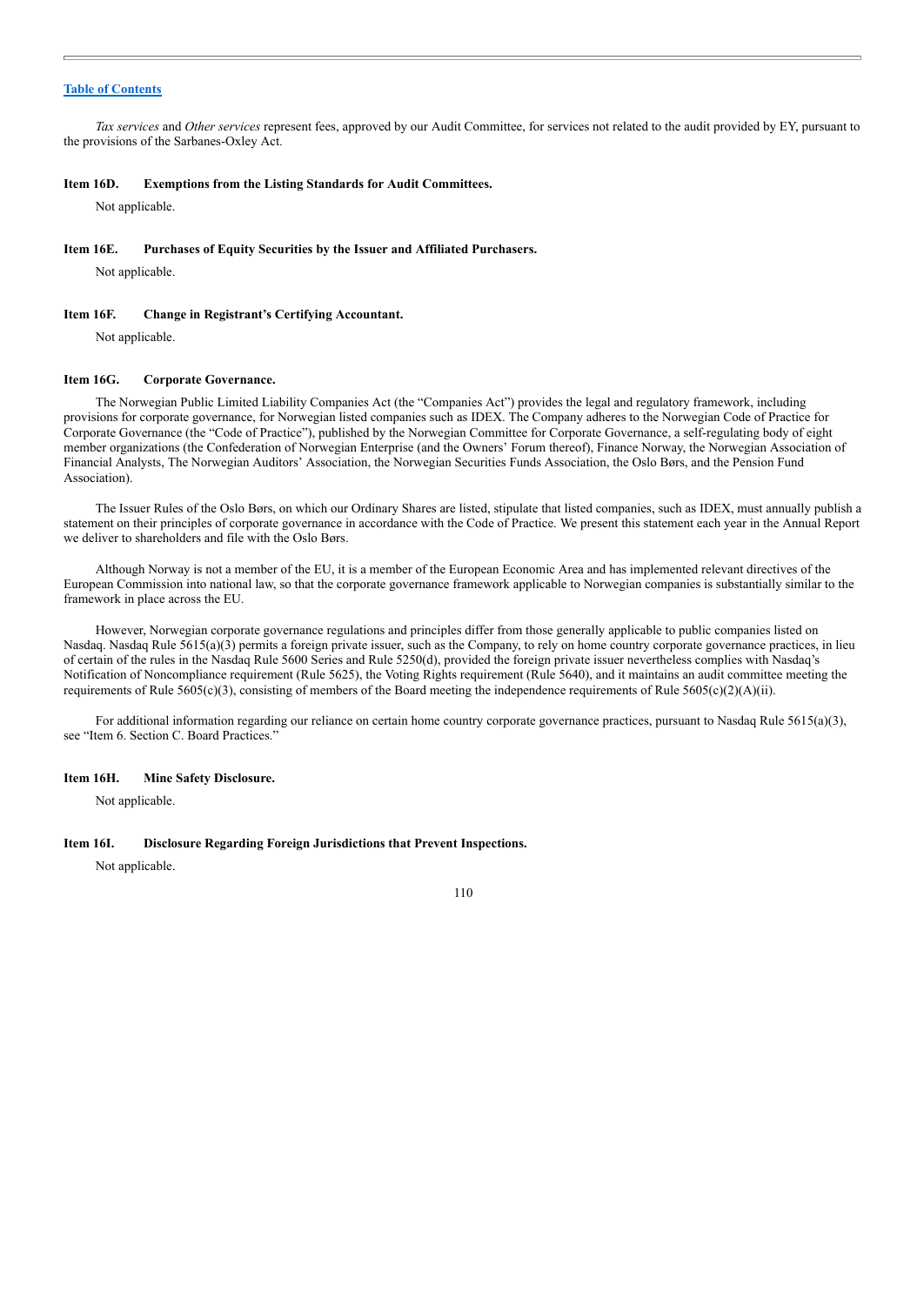*Tax services* and *Other services* represent fees, approved by our Audit Committee, for services not related to the audit provided by EY, pursuant to the provisions of the Sarbanes-Oxley Act.

### **Item 16D. Exemptions from the Listing Standards for Audit Committees.**

Not applicable.

### **Item 16E. Purchases of Equity Securities by the Issuer and Affiliated Purchasers.**

Not applicable.

### **Item 16F. Change in Registrant's Certifying Accountant.**

Not applicable.

## **Item 16G. Corporate Governance.**

The Norwegian Public Limited Liability Companies Act (the "Companies Act") provides the legal and regulatory framework, including provisions for corporate governance, for Norwegian listed companies such as IDEX. The Company adheres to the Norwegian Code of Practice for Corporate Governance (the "Code of Practice"), published by the Norwegian Committee for Corporate Governance, a self-regulating body of eight member organizations (the Confederation of Norwegian Enterprise (and the Owners' Forum thereof), Finance Norway, the Norwegian Association of Financial Analysts, The Norwegian Auditors' Association, the Norwegian Securities Funds Association, the Oslo Børs, and the Pension Fund Association).

The Issuer Rules of the Oslo Børs, on which our Ordinary Shares are listed, stipulate that listed companies, such as IDEX, must annually publish a statement on their principles of corporate governance in accordance with the Code of Practice. We present this statement each year in the Annual Report we deliver to shareholders and file with the Oslo Børs.

Although Norway is not a member of the EU, it is a member of the European Economic Area and has implemented relevant directives of the European Commission into national law, so that the corporate governance framework applicable to Norwegian companies is substantially similar to the framework in place across the EU.

However, Norwegian corporate governance regulations and principles differ from those generally applicable to public companies listed on Nasdaq. Nasdaq Rule 5615(a)(3) permits a foreign private issuer, such as the Company, to rely on home country corporate governance practices, in lieu of certain of the rules in the Nasdaq Rule 5600 Series and Rule 5250(d), provided the foreign private issuer nevertheless complies with Nasdaq's Notification of Noncompliance requirement (Rule 5625), the Voting Rights requirement (Rule 5640), and it maintains an audit committee meeting the requirements of Rule 5605(c)(3), consisting of members of the Board meeting the independence requirements of Rule 5605(c)(2)(A)(ii).

For additional information regarding our reliance on certain home country corporate governance practices, pursuant to Nasdaq Rule 5615(a)(3), see "Item 6. Section C. Board Practices."

#### **Item 16H. Mine Safety Disclosure.**

Not applicable.

### **Item 16I. Disclosure Regarding Foreign Jurisdictions that Prevent Inspections.**

Not applicable.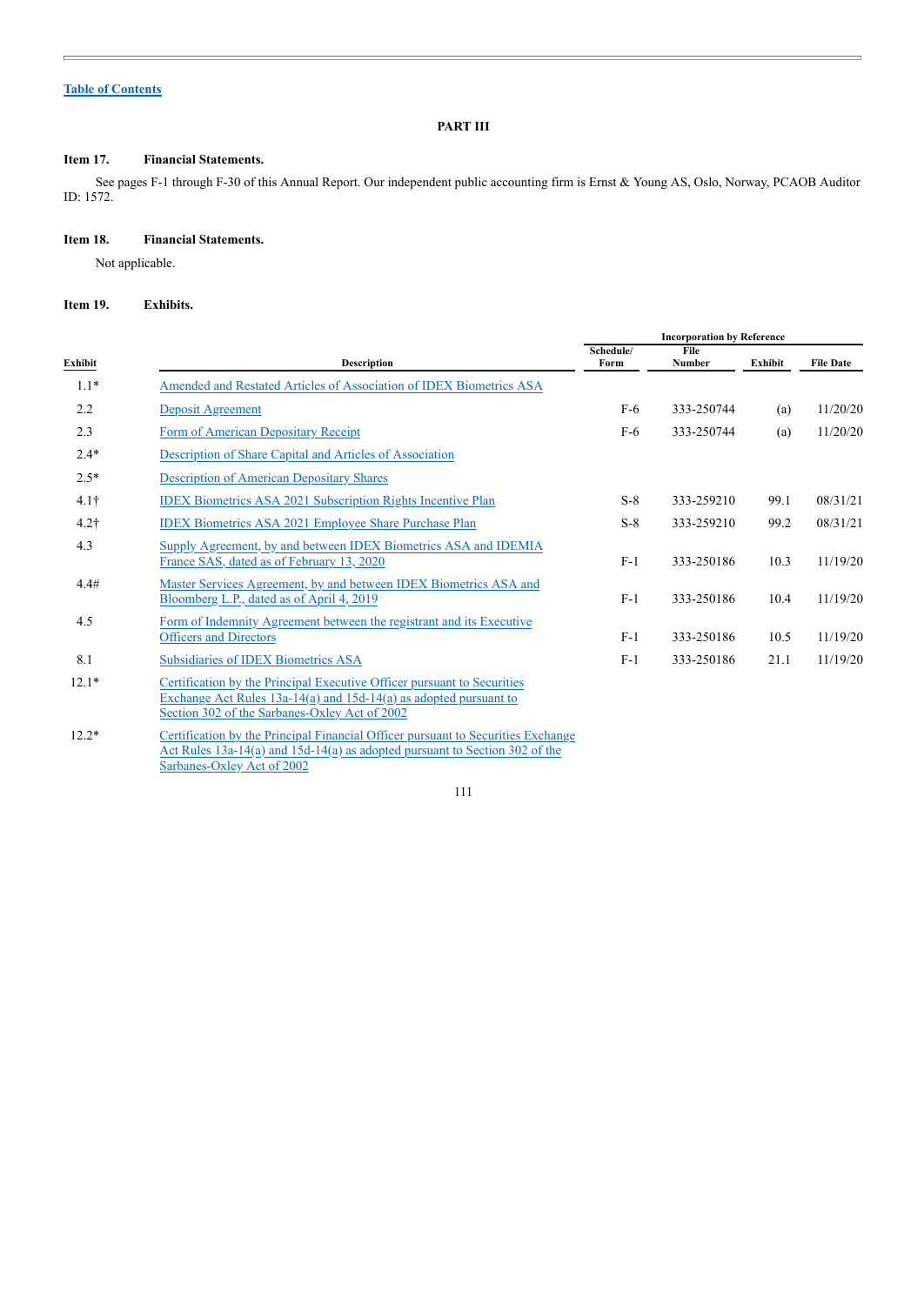# **PART III**

# **Item 17. Financial Statements.**

See pages F-1 through F-30 of this Annual Report. Our independent public accounting firm is Ernst & Young AS, Oslo, Norway, PCAOB Auditor ID: 1572.

# **Item 18. Financial Statements.**

Not applicable.

# **Item 19. Exhibits.**

|              |                                                                                                                                                                                                   | <b>Incorporation by Reference</b> |                       |                |                  |  |
|--------------|---------------------------------------------------------------------------------------------------------------------------------------------------------------------------------------------------|-----------------------------------|-----------------------|----------------|------------------|--|
| Exhibit      | <b>Description</b>                                                                                                                                                                                | Schedule/<br>Form                 | File<br><b>Number</b> | <b>Exhibit</b> | <b>File Date</b> |  |
| $1.1*$       | Amended and Restated Articles of Association of IDEX Biometrics ASA                                                                                                                               |                                   |                       |                |                  |  |
| 2.2          | <b>Deposit Agreement</b>                                                                                                                                                                          | $F-6$                             | 333-250744            | (a)            | 11/20/20         |  |
| 2.3          | Form of American Depositary Receipt                                                                                                                                                               | $F-6$                             | 333-250744            | (a)            | 11/20/20         |  |
| $2.4*$       | Description of Share Capital and Articles of Association                                                                                                                                          |                                   |                       |                |                  |  |
| $2.5*$       | <b>Description of American Depositary Shares</b>                                                                                                                                                  |                                   |                       |                |                  |  |
| $4.1\dagger$ | <b>IDEX Biometrics ASA 2021 Subscription Rights Incentive Plan</b>                                                                                                                                | $S-8$                             | 333-259210            | 99.1           | 08/31/21         |  |
| $4.2\dagger$ | <b>IDEX Biometrics ASA 2021 Employee Share Purchase Plan</b>                                                                                                                                      | $S-8$                             | 333-259210            | 99.2           | 08/31/21         |  |
| 4.3          | Supply Agreement, by and between IDEX Biometrics ASA and IDEMIA<br>France SAS, dated as of February 13, 2020                                                                                      | $F-1$                             | 333-250186            | 10.3           | 11/19/20         |  |
| 4.4#         | Master Services Agreement, by and between IDEX Biometrics ASA and<br>Bloomberg L.P., dated as of April 4, 2019                                                                                    | $F-1$                             | 333-250186            | 10.4           | 11/19/20         |  |
| 4.5          | Form of Indemnity Agreement between the registrant and its Executive<br><b>Officers and Directors</b>                                                                                             | $F-1$                             | 333-250186            | 10.5           | 11/19/20         |  |
| 8.1          | Subsidiaries of IDEX Biometrics ASA                                                                                                                                                               | $F-1$                             | 333-250186            | 21.1           | 11/19/20         |  |
| $12.1*$      | Certification by the Principal Executive Officer pursuant to Securities<br>Exchange Act Rules $13a-14(a)$ and $15d-14(a)$ as adopted pursuant to<br>Section 302 of the Sarbanes-Oxley Act of 2002 |                                   |                       |                |                  |  |

12.2\* [Certification by the Principal Financial Officer pursuant to Securities Exchange](file:///C:/Users/jl03/AppData/Local/Temp/Temp1_0001193125-22-133568-xbrl.zip/d270117dex122.htm) [Act Rules 13a-14\(a\) and 15d-14\(a\) as adopted pursuant to Section 302 of the](file:///C:/Users/jl03/AppData/Local/Temp/Temp1_0001193125-22-133568-xbrl.zip/d270117dex122.htm) [Sarbanes-Oxley Act of 2002](file:///C:/Users/jl03/AppData/Local/Temp/Temp1_0001193125-22-133568-xbrl.zip/d270117dex122.htm)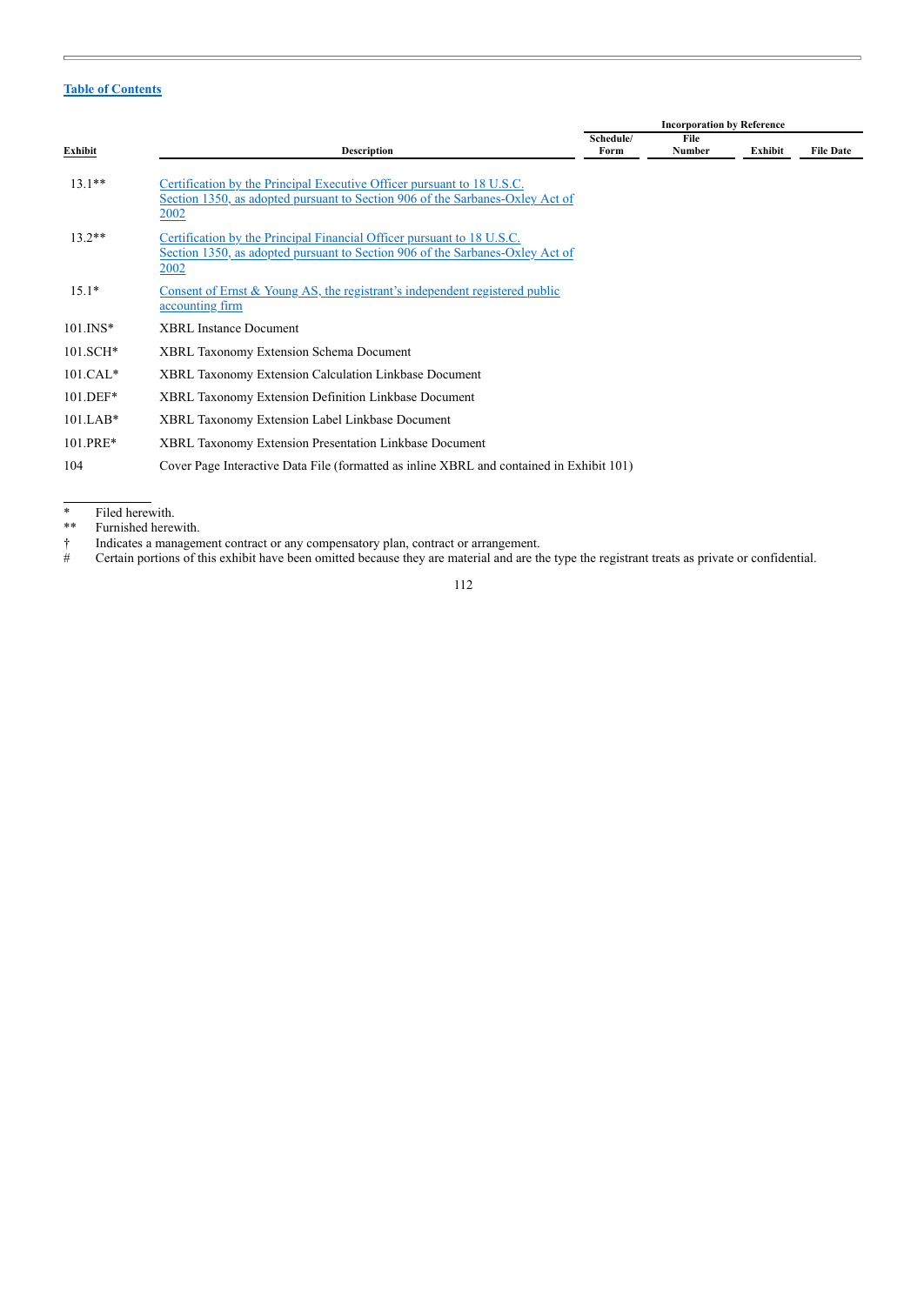|                |                                                                                                                                                                 | <b>Incorporation by Reference</b> |                |         |                  |  |  |
|----------------|-----------------------------------------------------------------------------------------------------------------------------------------------------------------|-----------------------------------|----------------|---------|------------------|--|--|
| Exhibit        | <b>Description</b>                                                                                                                                              | Schedule/<br>Form                 | File<br>Number | Exhibit | <b>File Date</b> |  |  |
| $13.1***$      | Certification by the Principal Executive Officer pursuant to 18 U.S.C.<br>Section 1350, as adopted pursuant to Section 906 of the Sarbanes-Oxley Act of<br>2002 |                                   |                |         |                  |  |  |
| $13.2**$       | Certification by the Principal Financial Officer pursuant to 18 U.S.C.<br>Section 1350, as adopted pursuant to Section 906 of the Sarbanes-Oxley Act of<br>2002 |                                   |                |         |                  |  |  |
| $15.1*$        | Consent of Ernst & Young AS, the registrant's independent registered public<br>accounting firm                                                                  |                                   |                |         |                  |  |  |
| $101.$ INS*    | <b>XBRL Instance Document</b>                                                                                                                                   |                                   |                |         |                  |  |  |
| 101.SCH*       | <b>XBRL Taxonomy Extension Schema Document</b>                                                                                                                  |                                   |                |         |                  |  |  |
| $101.CAL*$     | XBRL Taxonomy Extension Calculation Linkbase Document                                                                                                           |                                   |                |         |                  |  |  |
| $101.$ DEF $*$ | XBRL Taxonomy Extension Definition Linkbase Document                                                                                                            |                                   |                |         |                  |  |  |
| $101.LAB*$     | XBRL Taxonomy Extension Label Linkbase Document                                                                                                                 |                                   |                |         |                  |  |  |
| 101.PRE*       | XBRL Taxonomy Extension Presentation Linkbase Document                                                                                                          |                                   |                |         |                  |  |  |
| 104            | Cover Page Interactive Data File (formatted as inline XBRL and contained in Exhibit 101)                                                                        |                                   |                |         |                  |  |  |

<sup>\*</sup> Filed herewith.<br>\*\* Furnished here

† Indicates a management contract or any compensatory plan, contract or arrangement.

\*\* Furnished herewith.<br>
† Indicates a managen<br>
# Certain portions of t # Certain portions of this exhibit have been omitted because they are material and are the type the registrant treats as private or confidential.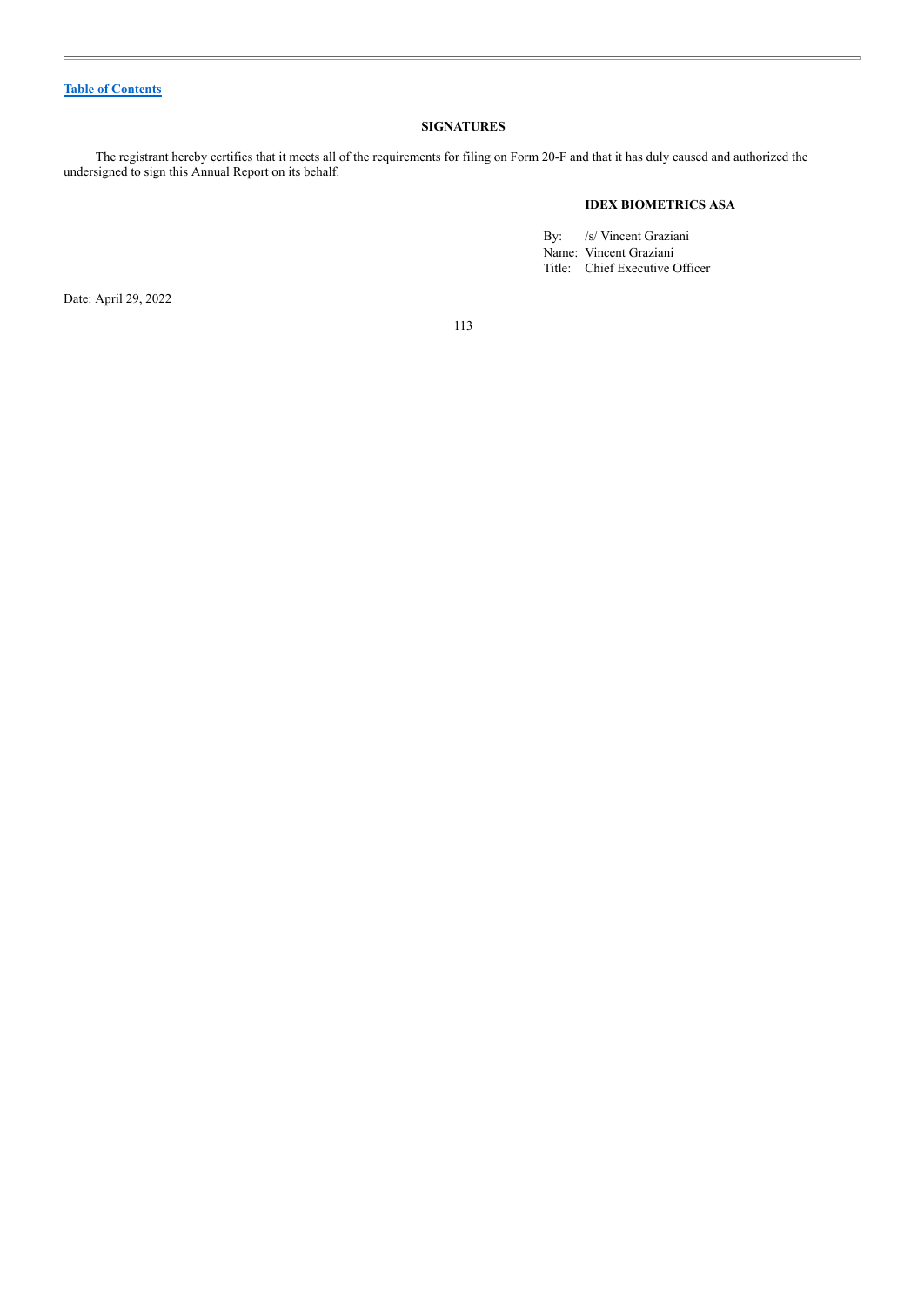# **SIGNATURES**

The registrant hereby certifies that it meets all of the requirements for filing on Form 20-F and that it has duly caused and authorized the undersigned to sign this Annual Report on its behalf.

# **IDEX BIOMETRICS ASA**

By: /s/ Vincent Graziani Name: Vincent Graziani Title: Chief Executive Officer

Date: April 29, 2022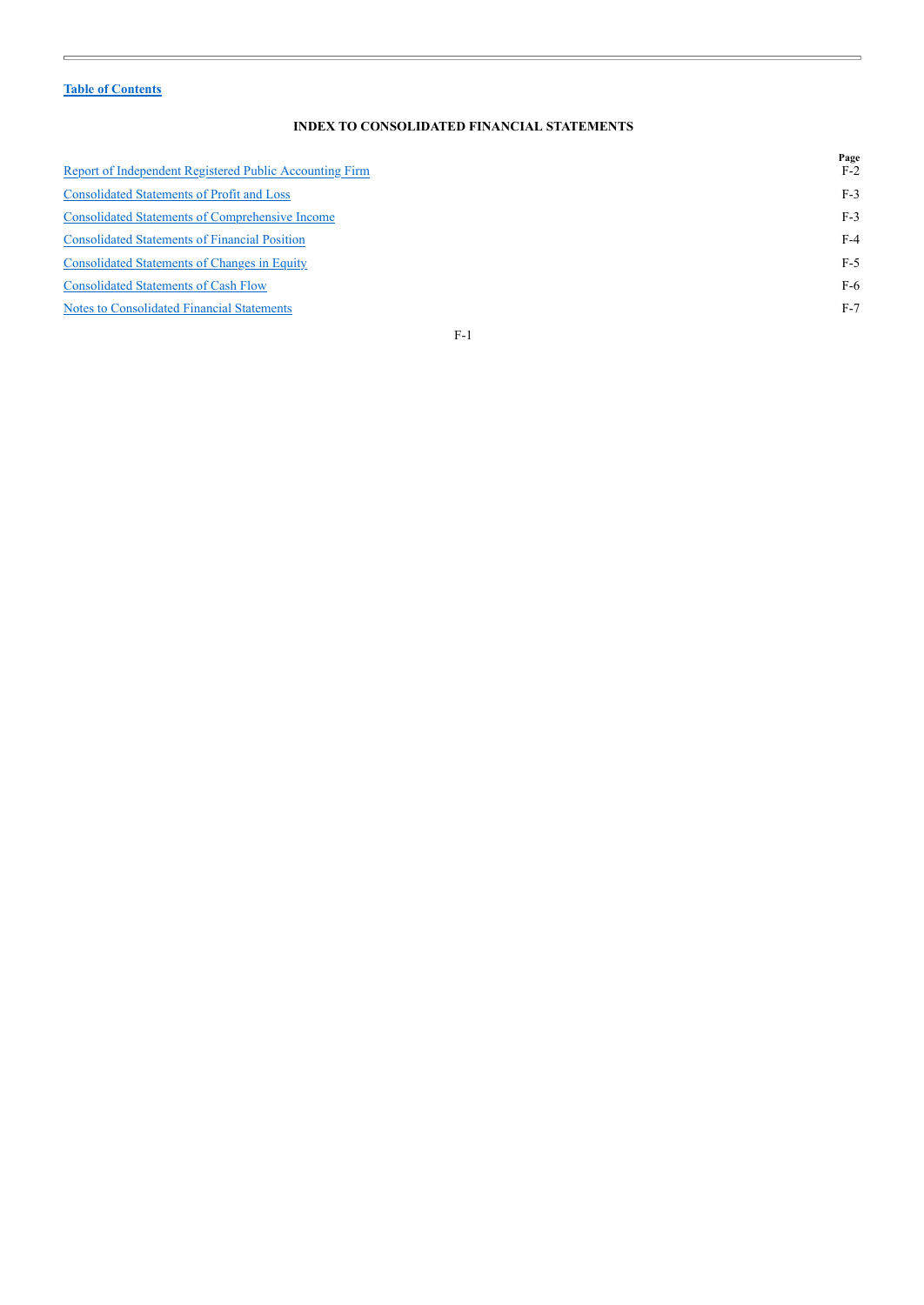# **INDEX TO CONSOLIDATED FINANCIAL STATEMENTS**

| Report of Independent Registered Public Accounting Firm | Page<br>$F-2$ |
|---------------------------------------------------------|---------------|
| <b>Consolidated Statements of Profit and Loss</b>       | $F-3$         |
| <b>Consolidated Statements of Comprehensive Income</b>  | $F-3$         |
| <b>Consolidated Statements of Financial Position</b>    | $F-4$         |
| Consolidated Statements of Changes in Equity            | $F-5$         |
| <b>Consolidated Statements of Cash Flow</b>             | F-6           |
| Notes to Consolidated Financial Statements              | $F-7$         |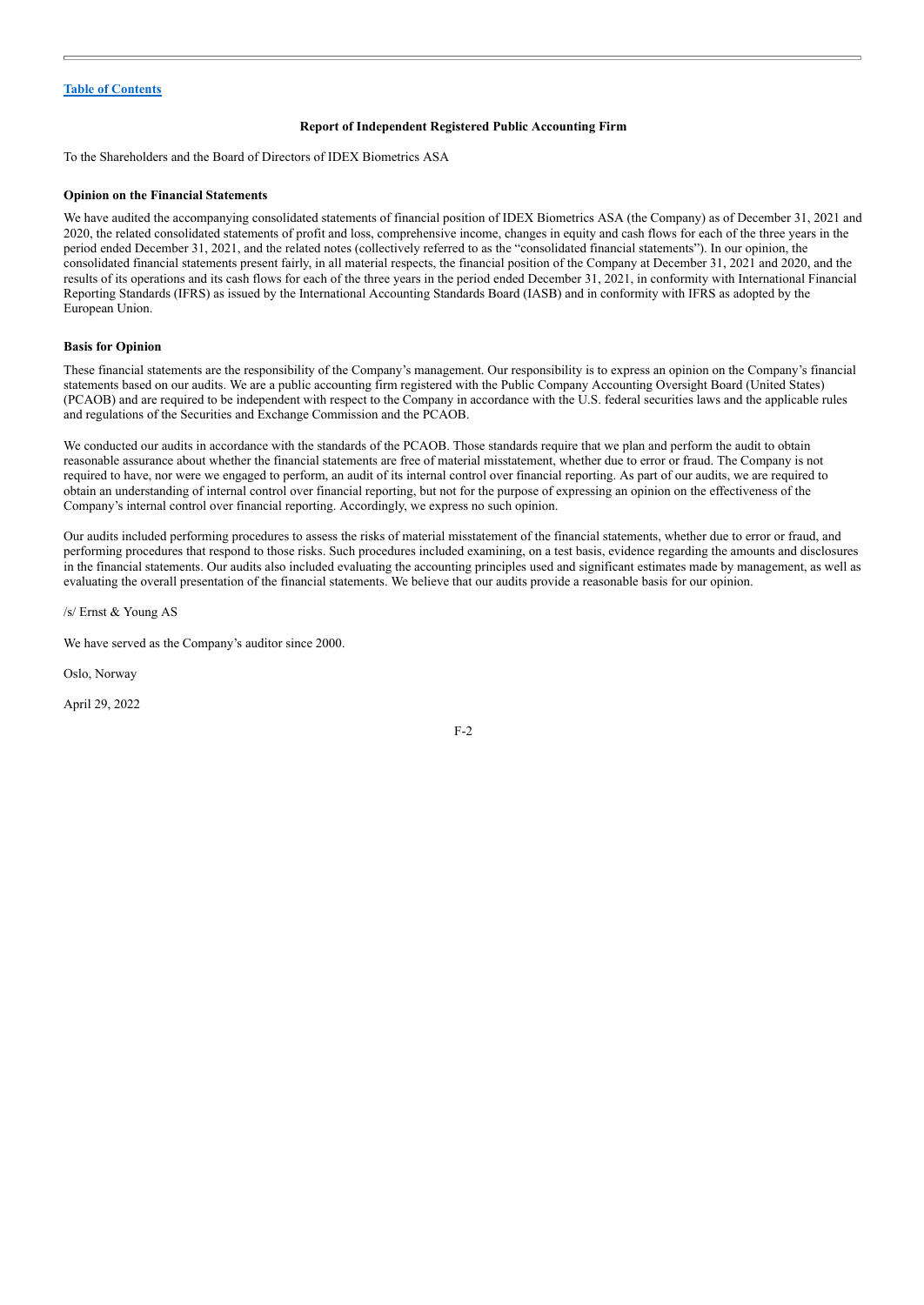## **Report of Independent Registered Public Accounting Firm**

To the Shareholders and the Board of Directors of IDEX Biometrics ASA

## **Opinion on the Financial Statements**

We have audited the accompanying consolidated statements of financial position of IDEX Biometrics ASA (the Company) as of December 31, 2021 and 2020, the related consolidated statements of profit and loss, comprehensive income, changes in equity and cash flows for each of the three years in the period ended December 31, 2021, and the related notes (collectively referred to as the "consolidated financial statements"). In our opinion, the consolidated financial statements present fairly, in all material respects, the financial position of the Company at December 31, 2021 and 2020, and the results of its operations and its cash flows for each of the three years in the period ended December 31, 2021, in conformity with International Financial Reporting Standards (IFRS) as issued by the International Accounting Standards Board (IASB) and in conformity with IFRS as adopted by the European Union.

## **Basis for Opinion**

These financial statements are the responsibility of the Company's management. Our responsibility is to express an opinion on the Company's financial statements based on our audits. We are a public accounting firm registered with the Public Company Accounting Oversight Board (United States) (PCAOB) and are required to be independent with respect to the Company in accordance with the U.S. federal securities laws and the applicable rules and regulations of the Securities and Exchange Commission and the PCAOB.

We conducted our audits in accordance with the standards of the PCAOB. Those standards require that we plan and perform the audit to obtain reasonable assurance about whether the financial statements are free of material misstatement, whether due to error or fraud. The Company is not required to have, nor were we engaged to perform, an audit of its internal control over financial reporting. As part of our audits, we are required to obtain an understanding of internal control over financial reporting, but not for the purpose of expressing an opinion on the effectiveness of the Company's internal control over financial reporting. Accordingly, we express no such opinion.

Our audits included performing procedures to assess the risks of material misstatement of the financial statements, whether due to error or fraud, and performing procedures that respond to those risks. Such procedures included examining, on a test basis, evidence regarding the amounts and disclosures in the financial statements. Our audits also included evaluating the accounting principles used and significant estimates made by management, as well as evaluating the overall presentation of the financial statements. We believe that our audits provide a reasonable basis for our opinion.

/s/ Ernst & Young AS

We have served as the Company's auditor since 2000.

Oslo, Norway

April 29, 2022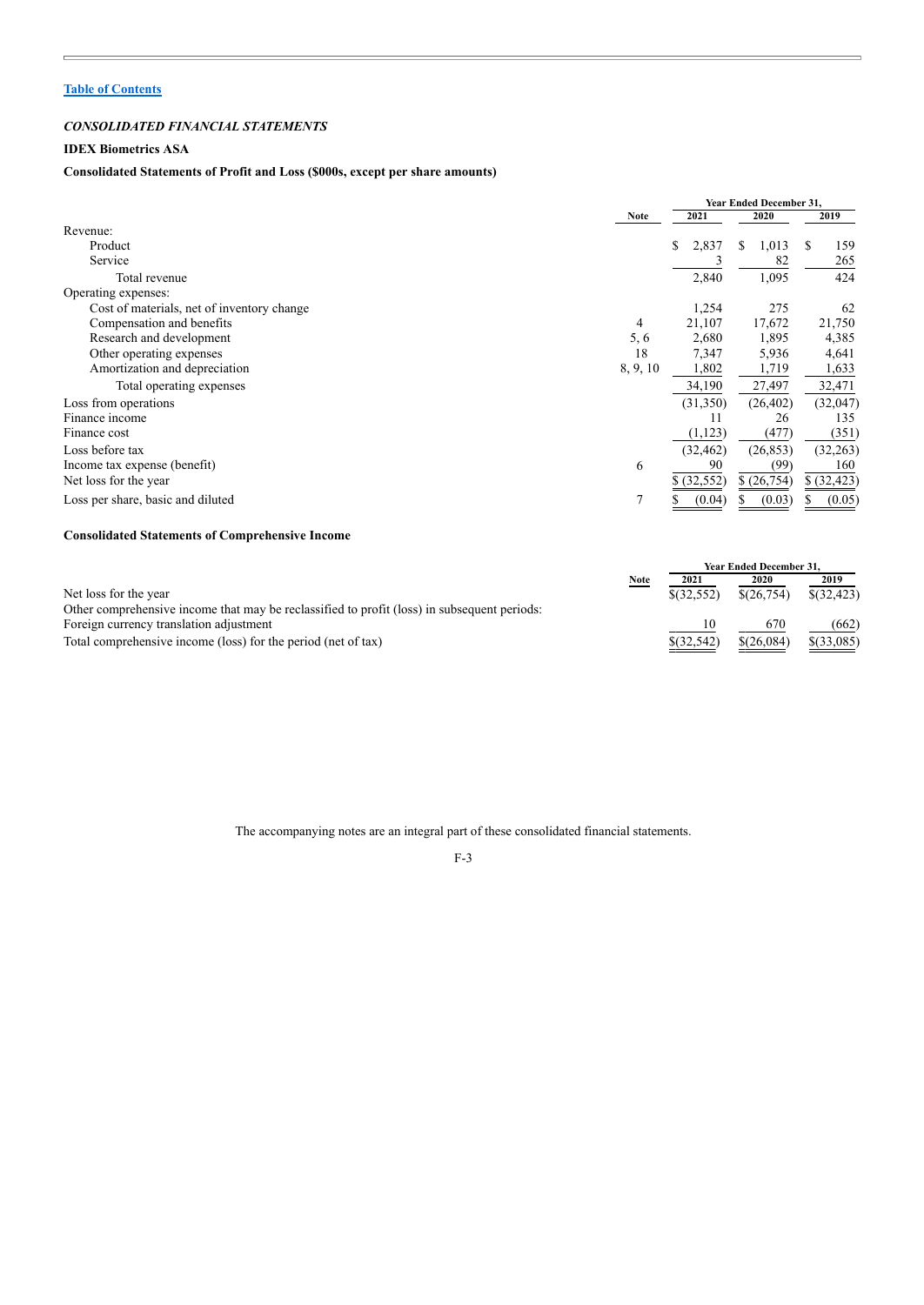# *CONSOLIDATED FINANCIAL STATEMENTS*

# **IDEX Biometrics ASA**

# **Consolidated Statements of Profit and Loss (\$000s, except per share amounts)**

|                                            |             |              | <b>Year Ended December 31,</b> |              |
|--------------------------------------------|-------------|--------------|--------------------------------|--------------|
|                                            | <b>Note</b> | 2021         | 2020                           | 2019         |
| Revenue:                                   |             |              |                                |              |
| Product                                    |             | \$<br>2,837  | \$<br>1,013                    | 159<br>S     |
| Service                                    |             |              | 82                             | 265          |
| Total revenue                              |             | 2,840        | 1,095                          | 424          |
| Operating expenses:                        |             |              |                                |              |
| Cost of materials, net of inventory change |             | 1,254        | 275                            | 62           |
| Compensation and benefits                  | 4           | 21,107       | 17,672                         | 21,750       |
| Research and development                   | 5, 6        | 2,680        | 1,895                          | 4,385        |
| Other operating expenses                   | 18          | 7,347        | 5,936                          | 4,641        |
| Amortization and depreciation              | 8, 9, 10    | 1,802        | 1,719                          | 1,633        |
| Total operating expenses                   |             | 34,190       | 27,497                         | 32,471       |
| Loss from operations                       |             | (31,350)     | (26, 402)                      | (32,047)     |
| Finance income                             |             |              | 26                             | 135          |
| Finance cost                               |             | (1, 123)     | (477)                          | (351)        |
| Loss before tax                            |             | (32, 462)    | (26, 853)                      | (32, 263)    |
| Income tax expense (benefit)               | 6           | 90           | (99)                           | 160          |
| Net loss for the year                      |             | \$ (32, 552) | \$(26,754)                     | \$ (32, 423) |
| Loss per share, basic and diluted          | 7           | (0.04)       | (0.03)                         | (0.05)       |

# **Consolidated Statements of Comprehensive Income**

|                                                                                             |      |            | <b>Year Ended December 31.</b> |            |
|---------------------------------------------------------------------------------------------|------|------------|--------------------------------|------------|
|                                                                                             | Note | 2021       | 2020                           | 2019       |
| Net loss for the year                                                                       |      | \$(32,552) | \$(26,754)                     | \$(32,423) |
| Other comprehensive income that may be reclassified to profit (loss) in subsequent periods: |      |            |                                |            |
| Foreign currency translation adjustment                                                     |      |            | 670                            | (662)      |
| Total comprehensive income (loss) for the period (net of tax)                               |      | \$(32,542) | \$(26,084)                     | \$(33,085) |

The accompanying notes are an integral part of these consolidated financial statements.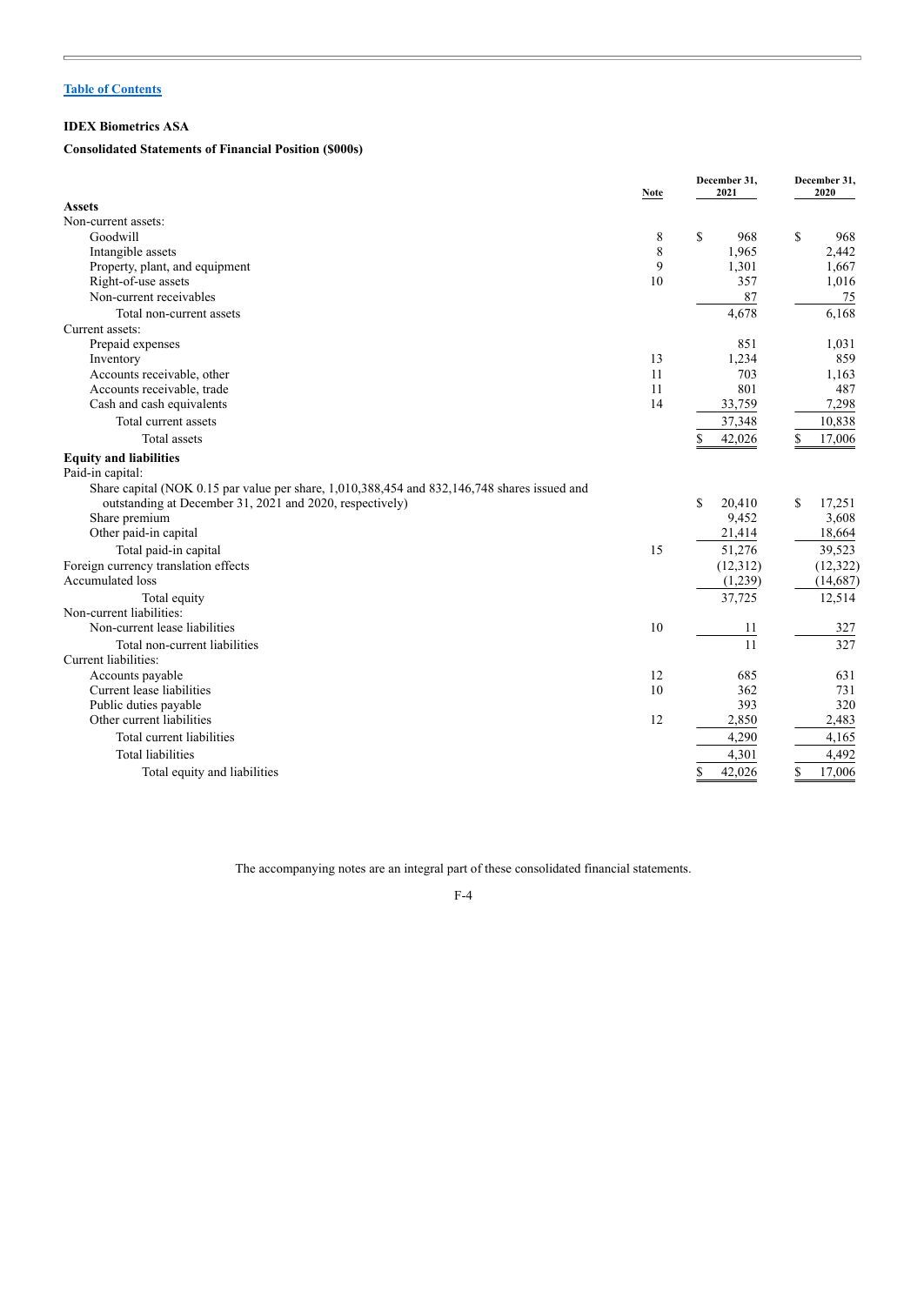## **IDEX Biometrics ASA**

# **Consolidated Statements of Financial Position (\$000s)**

|                                                                                              | <b>Note</b> | December 31,<br>2021 | December 31,<br>2020 |
|----------------------------------------------------------------------------------------------|-------------|----------------------|----------------------|
| Assets                                                                                       |             |                      |                      |
| Non-current assets:                                                                          |             |                      |                      |
| Goodwill                                                                                     | 8           | \$<br>968            | \$<br>968            |
| Intangible assets                                                                            | $\,$ 8 $\,$ | 1,965                | 2,442                |
| Property, plant, and equipment                                                               | 9           | 1,301                | 1,667                |
| Right-of-use assets                                                                          | 10          | 357                  | 1,016                |
| Non-current receivables                                                                      |             | 87                   | 75                   |
| Total non-current assets                                                                     |             | 4,678                | 6,168                |
| Current assets:                                                                              |             |                      |                      |
| Prepaid expenses                                                                             |             | 851                  | 1,031                |
| Inventory                                                                                    | 13          | 1,234                | 859                  |
| Accounts receivable, other                                                                   | 11          | 703                  | 1,163                |
| Accounts receivable, trade                                                                   | 11          | 801                  | 487                  |
| Cash and cash equivalents                                                                    | 14          | 33,759               | 7,298                |
| Total current assets                                                                         |             | 37,348               | 10,838               |
| Total assets                                                                                 |             | \$<br>42,026         | \$<br>17,006         |
| <b>Equity and liabilities</b>                                                                |             |                      |                      |
| Paid-in capital:                                                                             |             |                      |                      |
| Share capital (NOK 0.15 par value per share, 1,010,388,454 and 832,146,748 shares issued and |             |                      |                      |
| outstanding at December 31, 2021 and 2020, respectively)                                     |             | \$<br>20,410         | \$<br>17,251         |
| Share premium                                                                                |             | 9,452                | 3,608                |
| Other paid-in capital                                                                        |             | 21,414               | 18,664               |
| Total paid-in capital                                                                        | 15          | 51,276               | 39,523               |
| Foreign currency translation effects                                                         |             | (12, 312)            | (12, 322)            |
| Accumulated loss                                                                             |             | (1,239)              | (14,687)             |
| Total equity                                                                                 |             | 37,725               | 12,514               |
| Non-current liabilities:                                                                     |             |                      |                      |
| Non-current lease liabilities                                                                | 10          | 11                   | 327                  |
| Total non-current liabilities                                                                |             | 11                   | 327                  |
| Current liabilities:                                                                         |             |                      |                      |
| Accounts payable                                                                             | 12          | 685                  | 631                  |
| Current lease liabilities                                                                    | 10          | 362                  | 731                  |
| Public duties payable                                                                        |             | 393                  | 320                  |
| Other current liabilities                                                                    | 12          | 2,850                | 2,483                |
| Total current liabilities                                                                    |             | 4,290                | 4,165                |
| <b>Total liabilities</b>                                                                     |             | 4,301                | 4,492                |
|                                                                                              |             |                      |                      |
| Total equity and liabilities                                                                 |             | 42,026               | 17,006<br>\$         |

The accompanying notes are an integral part of these consolidated financial statements.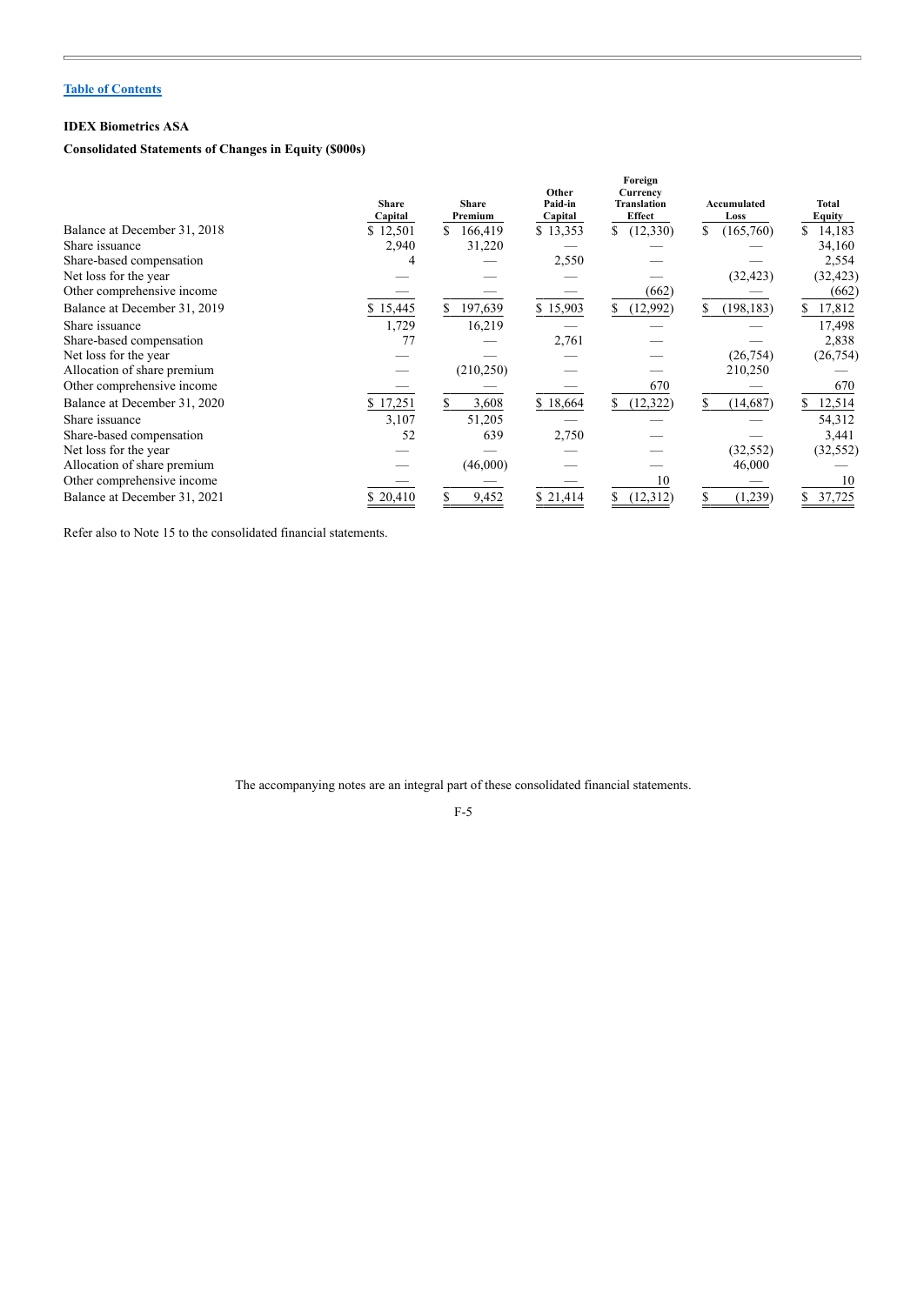## **IDEX Biometrics ASA**

# **Consolidated Statements of Changes in Equity (\$000s)**

|                              | <b>Share</b><br>Capital | <b>Share</b><br>Premium | Other<br>Paid-in<br>Capital | Foreign<br>Currency<br><b>Translation</b><br><b>Effect</b> | Accumulated<br>Loss | Total<br>Equity |
|------------------------------|-------------------------|-------------------------|-----------------------------|------------------------------------------------------------|---------------------|-----------------|
| Balance at December 31, 2018 | \$12,501                | 166,419<br>S.           | \$13,353                    | (12,330)<br>S.                                             | (165,760)<br>S.     | 14,183          |
| Share issuance               | 2,940                   | 31,220                  |                             |                                                            |                     | 34,160          |
| Share-based compensation     | 4                       |                         | 2,550                       |                                                            |                     | 2,554           |
| Net loss for the year        |                         |                         |                             |                                                            | (32, 423)           | (32, 423)       |
| Other comprehensive income   |                         |                         |                             | (662)                                                      |                     | (662)           |
| Balance at December 31, 2019 | \$15,445                | 197,639                 | \$15,903                    | (12,992)                                                   | (198, 183)<br>S.    | 17,812<br>S     |
| Share issuance               | 1,729                   | 16,219                  |                             |                                                            |                     | 17,498          |
| Share-based compensation     | 77                      |                         | 2,761                       |                                                            |                     | 2,838           |
| Net loss for the year        |                         |                         |                             |                                                            | (26, 754)           | (26, 754)       |
| Allocation of share premium  |                         | (210, 250)              |                             |                                                            | 210,250             |                 |
| Other comprehensive income   |                         |                         |                             | 670                                                        |                     | 670             |
| Balance at December 31, 2020 | \$17,251                | \$.<br>3,608            | \$18,664                    | (12, 322)                                                  | \$.<br>(14,687)     | 12,514          |
| Share issuance               | 3,107                   | 51,205                  |                             |                                                            |                     | 54,312          |
| Share-based compensation     | 52                      | 639                     | 2,750                       |                                                            |                     | 3,441           |
| Net loss for the year        |                         |                         |                             |                                                            | (32, 552)           | (32, 552)       |
| Allocation of share premium  |                         | (46,000)                |                             |                                                            | 46,000              |                 |
| Other comprehensive income   |                         |                         |                             | 10                                                         |                     | 10              |
| Balance at December 31, 2021 | 20,410                  | 9,452                   | 21,414                      | (12, 312)                                                  | (1,239)             | 37,725          |

Refer also to Note 15 to the consolidated financial statements.

The accompanying notes are an integral part of these consolidated financial statements.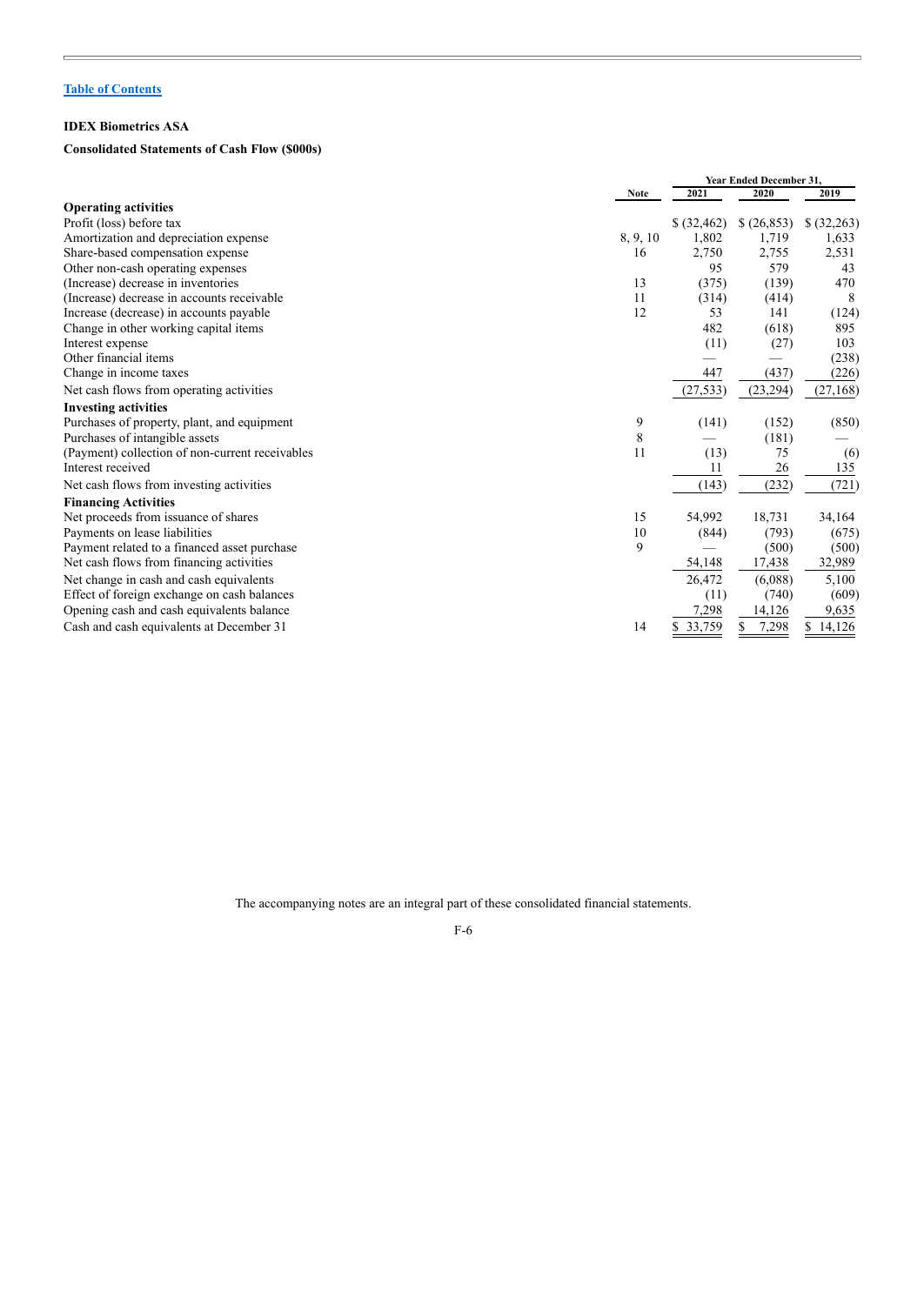# **IDEX Biometrics ASA**

# **Consolidated Statements of Cash Flow (\$000s)**

|                                                 |             |              | Year Ended December 31, |             |  |
|-------------------------------------------------|-------------|--------------|-------------------------|-------------|--|
|                                                 | <b>Note</b> | 2021         | 2020                    | 2019        |  |
| <b>Operating activities</b>                     |             |              |                         |             |  |
| Profit (loss) before tax                        |             | \$ (32, 462) | \$(26,853)              | \$ (32,263) |  |
| Amortization and depreciation expense           | 8, 9, 10    | 1,802        | 1,719                   | 1,633       |  |
| Share-based compensation expense                | 16          | 2,750        | 2,755                   | 2,531       |  |
| Other non-cash operating expenses               |             | 95           | 579                     | 43          |  |
| (Increase) decrease in inventories              | 13          | (375)        | (139)                   | 470         |  |
| (Increase) decrease in accounts receivable      | 11          | (314)        | (414)                   | 8           |  |
| Increase (decrease) in accounts payable         | 12          | 53           | 141                     | (124)       |  |
| Change in other working capital items           |             | 482          | (618)                   | 895         |  |
| Interest expense                                |             | (11)         | (27)                    | 103         |  |
| Other financial items                           |             |              |                         | (238)       |  |
| Change in income taxes                          |             | 447          | (437)                   | (226)       |  |
| Net cash flows from operating activities        |             | (27, 533)    | (23, 294)               | (27, 168)   |  |
| <b>Investing activities</b>                     |             |              |                         |             |  |
| Purchases of property, plant, and equipment     | 9           | (141)        | (152)                   | (850)       |  |
| Purchases of intangible assets                  | 8           |              | (181)                   |             |  |
| (Payment) collection of non-current receivables | 11          | (13)         | 75                      | (6)         |  |
| Interest received                               |             | 11           | 26                      | 135         |  |
| Net cash flows from investing activities        |             | (143)        | (232)                   | (721)       |  |
| <b>Financing Activities</b>                     |             |              |                         |             |  |
| Net proceeds from issuance of shares            | 15          | 54,992       | 18,731                  | 34,164      |  |
| Payments on lease liabilities                   | 10          | (844)        | (793)                   | (675)       |  |
| Payment related to a financed asset purchase    | 9           |              | (500)                   | (500)       |  |
| Net cash flows from financing activities        |             | 54,148       | 17,438                  | 32,989      |  |
| Net change in cash and cash equivalents         |             | 26,472       | (6,088)                 | 5,100       |  |
| Effect of foreign exchange on cash balances     |             | (11)         | (740)                   | (609)       |  |
| Opening cash and cash equivalents balance       |             | 7,298        | 14,126                  | 9,635       |  |
| Cash and cash equivalents at December 31        | 14          | 33,759<br>S. | 7,298<br>S              | 14,126      |  |

The accompanying notes are an integral part of these consolidated financial statements.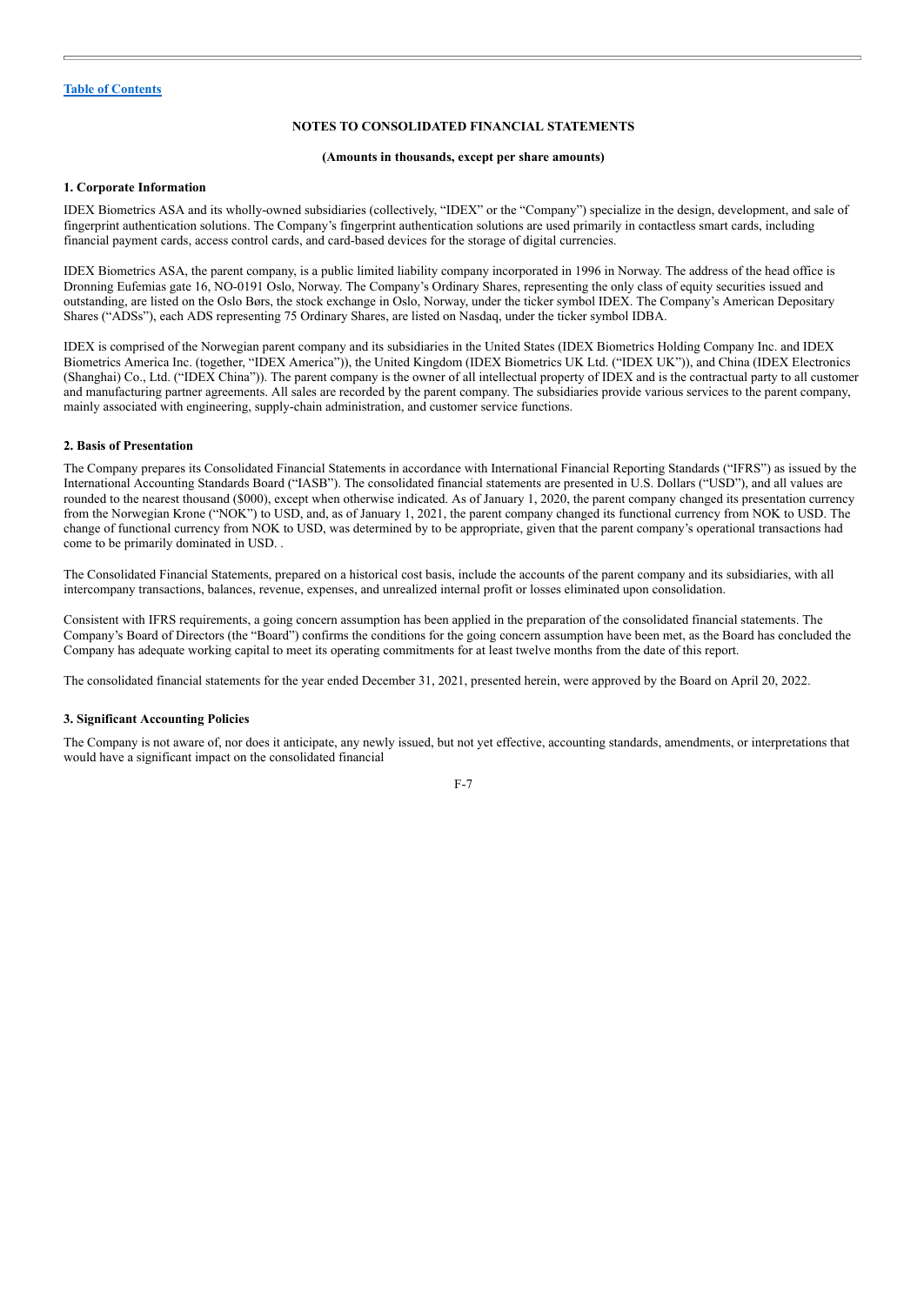# **NOTES TO CONSOLIDATED FINANCIAL STATEMENTS**

#### **(Amounts in thousands, except per share amounts)**

### **1. Corporate Information**

IDEX Biometrics ASA and its wholly-owned subsidiaries (collectively, "IDEX" or the "Company") specialize in the design, development, and sale of fingerprint authentication solutions. The Company's fingerprint authentication solutions are used primarily in contactless smart cards, including financial payment cards, access control cards, and card-based devices for the storage of digital currencies.

IDEX Biometrics ASA, the parent company, is a public limited liability company incorporated in 1996 in Norway. The address of the head office is Dronning Eufemias gate 16, NO-0191 Oslo, Norway. The Company's Ordinary Shares, representing the only class of equity securities issued and outstanding, are listed on the Oslo Børs, the stock exchange in Oslo, Norway, under the ticker symbol IDEX. The Company's American Depositary Shares ("ADSs"), each ADS representing 75 Ordinary Shares, are listed on Nasdaq, under the ticker symbol IDBA.

IDEX is comprised of the Norwegian parent company and its subsidiaries in the United States (IDEX Biometrics Holding Company Inc. and IDEX Biometrics America Inc. (together, "IDEX America")), the United Kingdom (IDEX Biometrics UK Ltd. ("IDEX UK")), and China (IDEX Electronics (Shanghai) Co., Ltd. ("IDEX China")). The parent company is the owner of all intellectual property of IDEX and is the contractual party to all customer and manufacturing partner agreements. All sales are recorded by the parent company. The subsidiaries provide various services to the parent company, mainly associated with engineering, supply-chain administration, and customer service functions.

### **2. Basis of Presentation**

The Company prepares its Consolidated Financial Statements in accordance with International Financial Reporting Standards ("IFRS") as issued by the International Accounting Standards Board ("IASB"). The consolidated financial statements are presented in U.S. Dollars ("USD"), and all values are rounded to the nearest thousand (\$000), except when otherwise indicated. As of January 1, 2020, the parent company changed its presentation currency from the Norwegian Krone ("NOK") to USD, and, as of January 1, 2021, the parent company changed its functional currency from NOK to USD. The change of functional currency from NOK to USD, was determined by to be appropriate, given that the parent company's operational transactions had come to be primarily dominated in USD. .

The Consolidated Financial Statements, prepared on a historical cost basis, include the accounts of the parent company and its subsidiaries, with all intercompany transactions, balances, revenue, expenses, and unrealized internal profit or losses eliminated upon consolidation.

Consistent with IFRS requirements, a going concern assumption has been applied in the preparation of the consolidated financial statements. The Company's Board of Directors (the "Board") confirms the conditions for the going concern assumption have been met, as the Board has concluded the Company has adequate working capital to meet its operating commitments for at least twelve months from the date of this report.

The consolidated financial statements for the year ended December 31, 2021, presented herein, were approved by the Board on April 20, 2022.

### **3. Significant Accounting Policies**

The Company is not aware of, nor does it anticipate, any newly issued, but not yet effective, accounting standards, amendments, or interpretations that would have a significant impact on the consolidated financial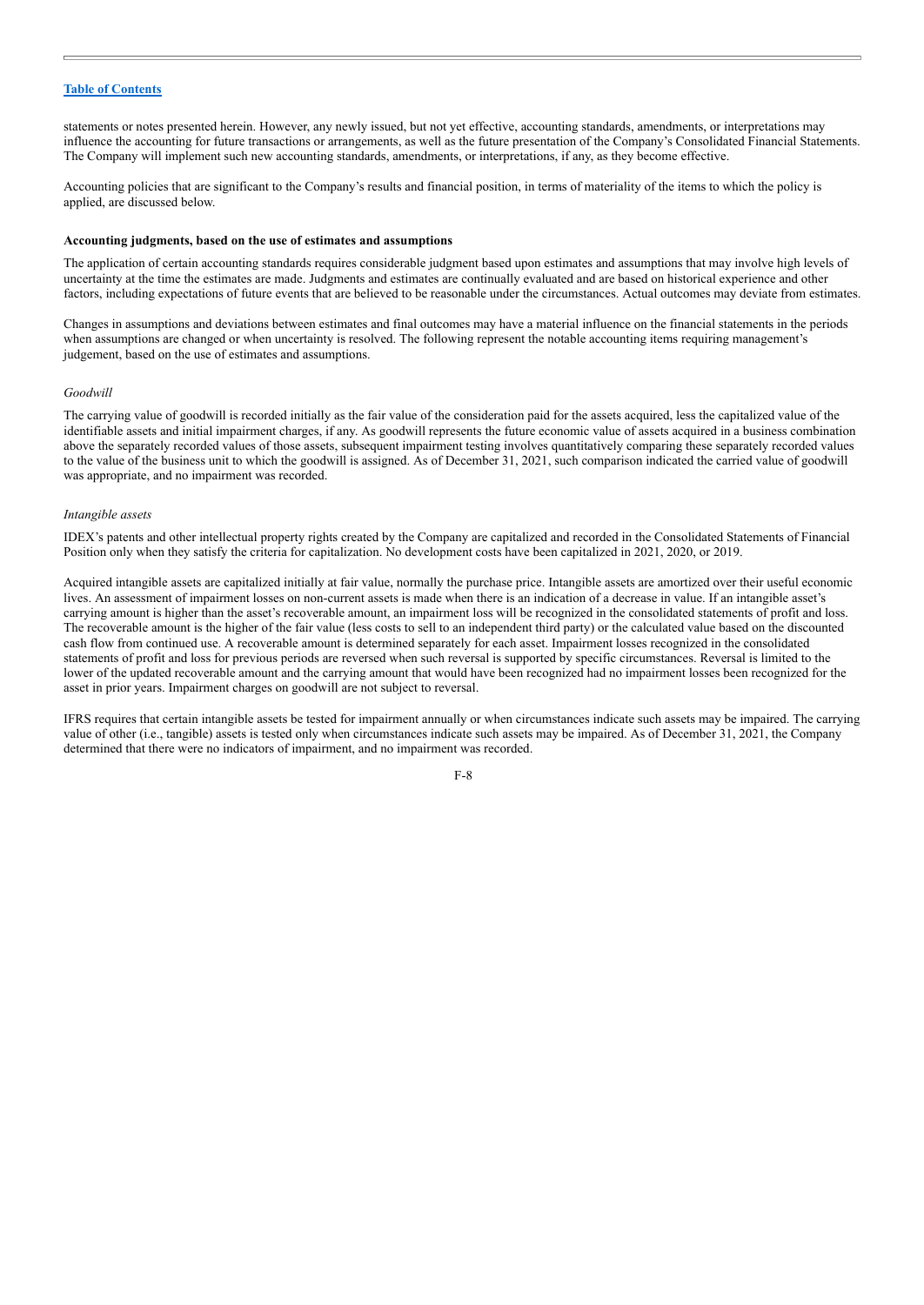statements or notes presented herein. However, any newly issued, but not yet effective, accounting standards, amendments, or interpretations may influence the accounting for future transactions or arrangements, as well as the future presentation of the Company's Consolidated Financial Statements. The Company will implement such new accounting standards, amendments, or interpretations, if any, as they become effective.

Accounting policies that are significant to the Company's results and financial position, in terms of materiality of the items to which the policy is applied, are discussed below.

#### **Accounting judgments, based on the use of estimates and assumptions**

The application of certain accounting standards requires considerable judgment based upon estimates and assumptions that may involve high levels of uncertainty at the time the estimates are made. Judgments and estimates are continually evaluated and are based on historical experience and other factors, including expectations of future events that are believed to be reasonable under the circumstances. Actual outcomes may deviate from estimates.

Changes in assumptions and deviations between estimates and final outcomes may have a material influence on the financial statements in the periods when assumptions are changed or when uncertainty is resolved. The following represent the notable accounting items requiring management's judgement, based on the use of estimates and assumptions.

#### *Goodwill*

The carrying value of goodwill is recorded initially as the fair value of the consideration paid for the assets acquired, less the capitalized value of the identifiable assets and initial impairment charges, if any. As goodwill represents the future economic value of assets acquired in a business combination above the separately recorded values of those assets, subsequent impairment testing involves quantitatively comparing these separately recorded values to the value of the business unit to which the goodwill is assigned. As of December 31, 2021, such comparison indicated the carried value of goodwill was appropriate, and no impairment was recorded.

#### *Intangible assets*

IDEX's patents and other intellectual property rights created by the Company are capitalized and recorded in the Consolidated Statements of Financial Position only when they satisfy the criteria for capitalization. No development costs have been capitalized in 2021, 2020, or 2019.

Acquired intangible assets are capitalized initially at fair value, normally the purchase price. Intangible assets are amortized over their useful economic lives. An assessment of impairment losses on non-current assets is made when there is an indication of a decrease in value. If an intangible asset's carrying amount is higher than the asset's recoverable amount, an impairment loss will be recognized in the consolidated statements of profit and loss. The recoverable amount is the higher of the fair value (less costs to sell to an independent third party) or the calculated value based on the discounted cash flow from continued use. A recoverable amount is determined separately for each asset. Impairment losses recognized in the consolidated statements of profit and loss for previous periods are reversed when such reversal is supported by specific circumstances. Reversal is limited to the lower of the updated recoverable amount and the carrying amount that would have been recognized had no impairment losses been recognized for the asset in prior years. Impairment charges on goodwill are not subject to reversal.

IFRS requires that certain intangible assets be tested for impairment annually or when circumstances indicate such assets may be impaired. The carrying value of other (i.e., tangible) assets is tested only when circumstances indicate such assets may be impaired. As of December 31, 2021, the Company determined that there were no indicators of impairment, and no impairment was recorded.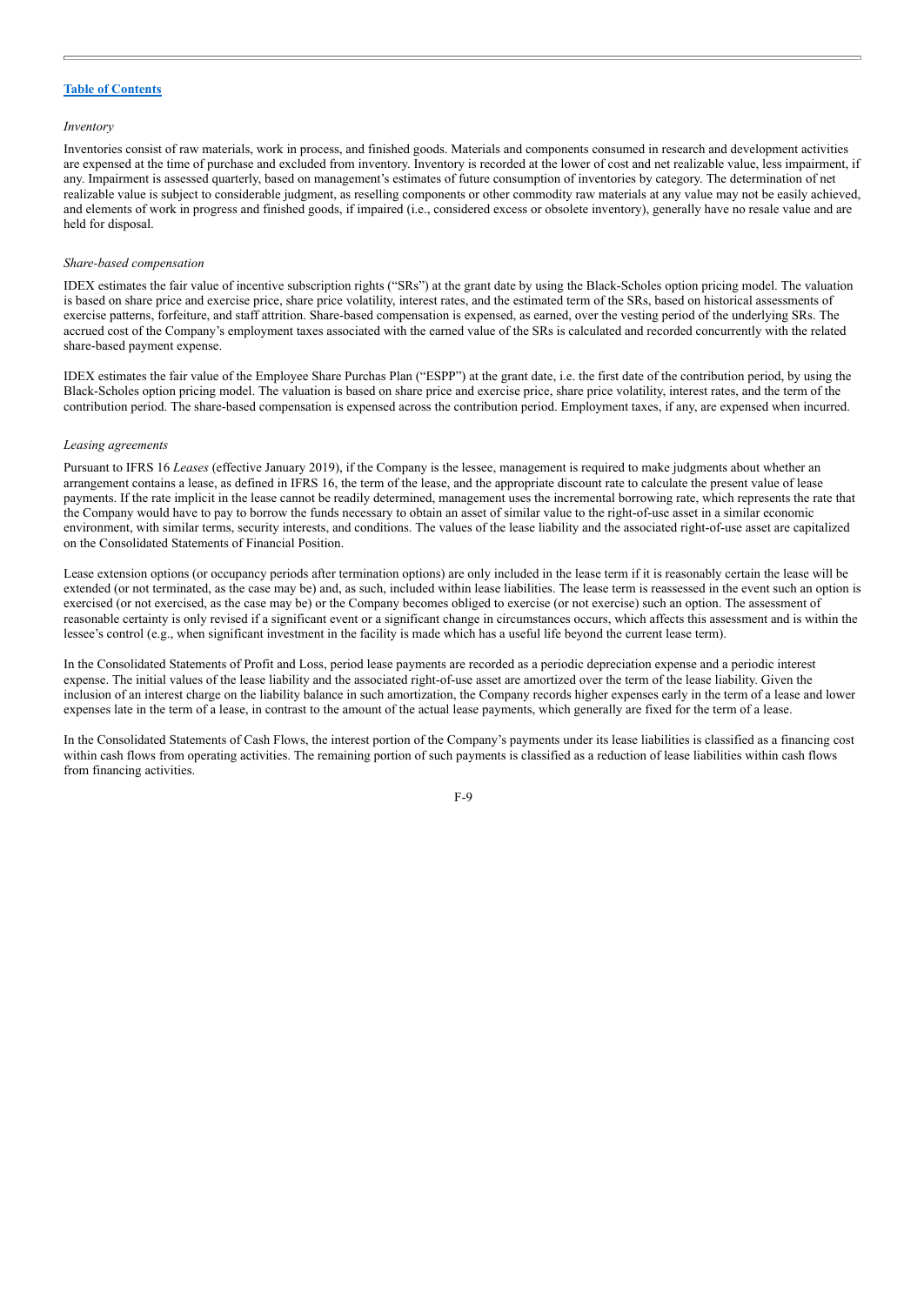#### *Inventory*

Inventories consist of raw materials, work in process, and finished goods. Materials and components consumed in research and development activities are expensed at the time of purchase and excluded from inventory. Inventory is recorded at the lower of cost and net realizable value, less impairment, if any. Impairment is assessed quarterly, based on management's estimates of future consumption of inventories by category. The determination of net realizable value is subject to considerable judgment, as reselling components or other commodity raw materials at any value may not be easily achieved, and elements of work in progress and finished goods, if impaired (i.e., considered excess or obsolete inventory), generally have no resale value and are held for disposal.

#### *Share-based compensation*

IDEX estimates the fair value of incentive subscription rights ("SRs") at the grant date by using the Black-Scholes option pricing model. The valuation is based on share price and exercise price, share price volatility, interest rates, and the estimated term of the SRs, based on historical assessments of exercise patterns, forfeiture, and staff attrition. Share-based compensation is expensed, as earned, over the vesting period of the underlying SRs. The accrued cost of the Company's employment taxes associated with the earned value of the SRs is calculated and recorded concurrently with the related share-based payment expense.

IDEX estimates the fair value of the Employee Share Purchas Plan ("ESPP") at the grant date, i.e. the first date of the contribution period, by using the Black-Scholes option pricing model. The valuation is based on share price and exercise price, share price volatility, interest rates, and the term of the contribution period. The share-based compensation is expensed across the contribution period. Employment taxes, if any, are expensed when incurred.

#### *Leasing agreements*

Pursuant to IFRS 16 *Leases* (effective January 2019), if the Company is the lessee, management is required to make judgments about whether an arrangement contains a lease, as defined in IFRS 16, the term of the lease, and the appropriate discount rate to calculate the present value of lease payments. If the rate implicit in the lease cannot be readily determined, management uses the incremental borrowing rate, which represents the rate that the Company would have to pay to borrow the funds necessary to obtain an asset of similar value to the right-of-use asset in a similar economic environment, with similar terms, security interests, and conditions. The values of the lease liability and the associated right-of-use asset are capitalized on the Consolidated Statements of Financial Position.

Lease extension options (or occupancy periods after termination options) are only included in the lease term if it is reasonably certain the lease will be extended (or not terminated, as the case may be) and, as such, included within lease liabilities. The lease term is reassessed in the event such an option is exercised (or not exercised, as the case may be) or the Company becomes obliged to exercise (or not exercise) such an option. The assessment of reasonable certainty is only revised if a significant event or a significant change in circumstances occurs, which affects this assessment and is within the lessee's control (e.g., when significant investment in the facility is made which has a useful life beyond the current lease term).

In the Consolidated Statements of Profit and Loss, period lease payments are recorded as a periodic depreciation expense and a periodic interest expense. The initial values of the lease liability and the associated right-of-use asset are amortized over the term of the lease liability. Given the inclusion of an interest charge on the liability balance in such amortization, the Company records higher expenses early in the term of a lease and lower expenses late in the term of a lease, in contrast to the amount of the actual lease payments, which generally are fixed for the term of a lease.

In the Consolidated Statements of Cash Flows, the interest portion of the Company's payments under its lease liabilities is classified as a financing cost within cash flows from operating activities. The remaining portion of such payments is classified as a reduction of lease liabilities within cash flows from financing activities.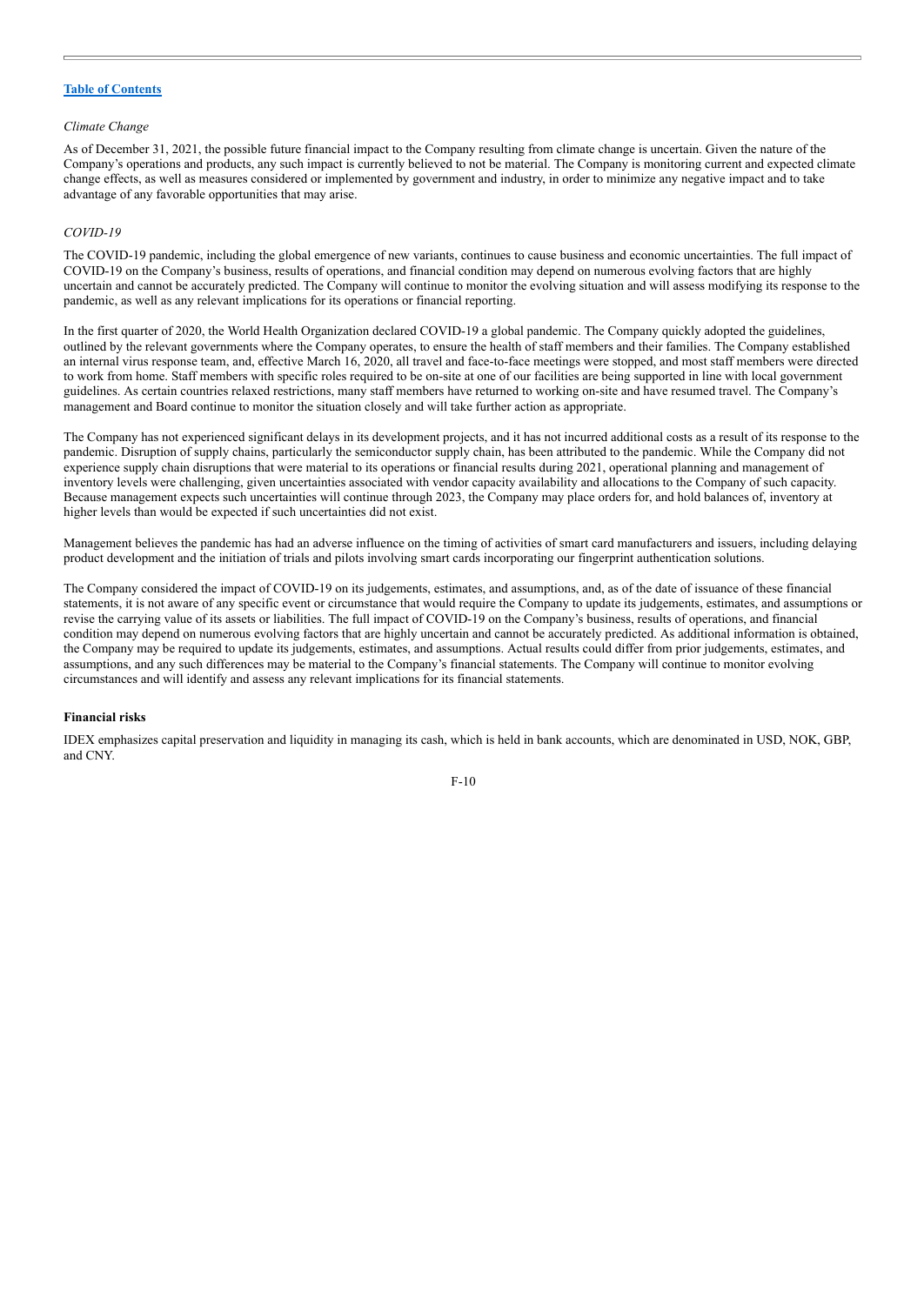## *Climate Change*

As of December 31, 2021, the possible future financial impact to the Company resulting from climate change is uncertain. Given the nature of the Company's operations and products, any such impact is currently believed to not be material. The Company is monitoring current and expected climate change effects, as well as measures considered or implemented by government and industry, in order to minimize any negative impact and to take advantage of any favorable opportunities that may arise.

## *COVID-19*

The COVID-19 pandemic, including the global emergence of new variants, continues to cause business and economic uncertainties. The full impact of COVID-19 on the Company's business, results of operations, and financial condition may depend on numerous evolving factors that are highly uncertain and cannot be accurately predicted. The Company will continue to monitor the evolving situation and will assess modifying its response to the pandemic, as well as any relevant implications for its operations or financial reporting.

In the first quarter of 2020, the World Health Organization declared COVID-19 a global pandemic. The Company quickly adopted the guidelines, outlined by the relevant governments where the Company operates, to ensure the health of staff members and their families. The Company established an internal virus response team, and, effective March 16, 2020, all travel and face-to-face meetings were stopped, and most staff members were directed to work from home. Staff members with specific roles required to be on-site at one of our facilities are being supported in line with local government guidelines. As certain countries relaxed restrictions, many staff members have returned to working on-site and have resumed travel. The Company's management and Board continue to monitor the situation closely and will take further action as appropriate.

The Company has not experienced significant delays in its development projects, and it has not incurred additional costs as a result of its response to the pandemic. Disruption of supply chains, particularly the semiconductor supply chain, has been attributed to the pandemic. While the Company did not experience supply chain disruptions that were material to its operations or financial results during 2021, operational planning and management of inventory levels were challenging, given uncertainties associated with vendor capacity availability and allocations to the Company of such capacity. Because management expects such uncertainties will continue through 2023, the Company may place orders for, and hold balances of, inventory at higher levels than would be expected if such uncertainties did not exist.

Management believes the pandemic has had an adverse influence on the timing of activities of smart card manufacturers and issuers, including delaying product development and the initiation of trials and pilots involving smart cards incorporating our fingerprint authentication solutions.

The Company considered the impact of COVID-19 on its judgements, estimates, and assumptions, and, as of the date of issuance of these financial statements, it is not aware of any specific event or circumstance that would require the Company to update its judgements, estimates, and assumptions or revise the carrying value of its assets or liabilities. The full impact of COVID-19 on the Company's business, results of operations, and financial condition may depend on numerous evolving factors that are highly uncertain and cannot be accurately predicted. As additional information is obtained, the Company may be required to update its judgements, estimates, and assumptions. Actual results could differ from prior judgements, estimates, and assumptions, and any such differences may be material to the Company's financial statements. The Company will continue to monitor evolving circumstances and will identify and assess any relevant implications for its financial statements.

### **Financial risks**

IDEX emphasizes capital preservation and liquidity in managing its cash, which is held in bank accounts, which are denominated in USD, NOK, GBP, and CNY.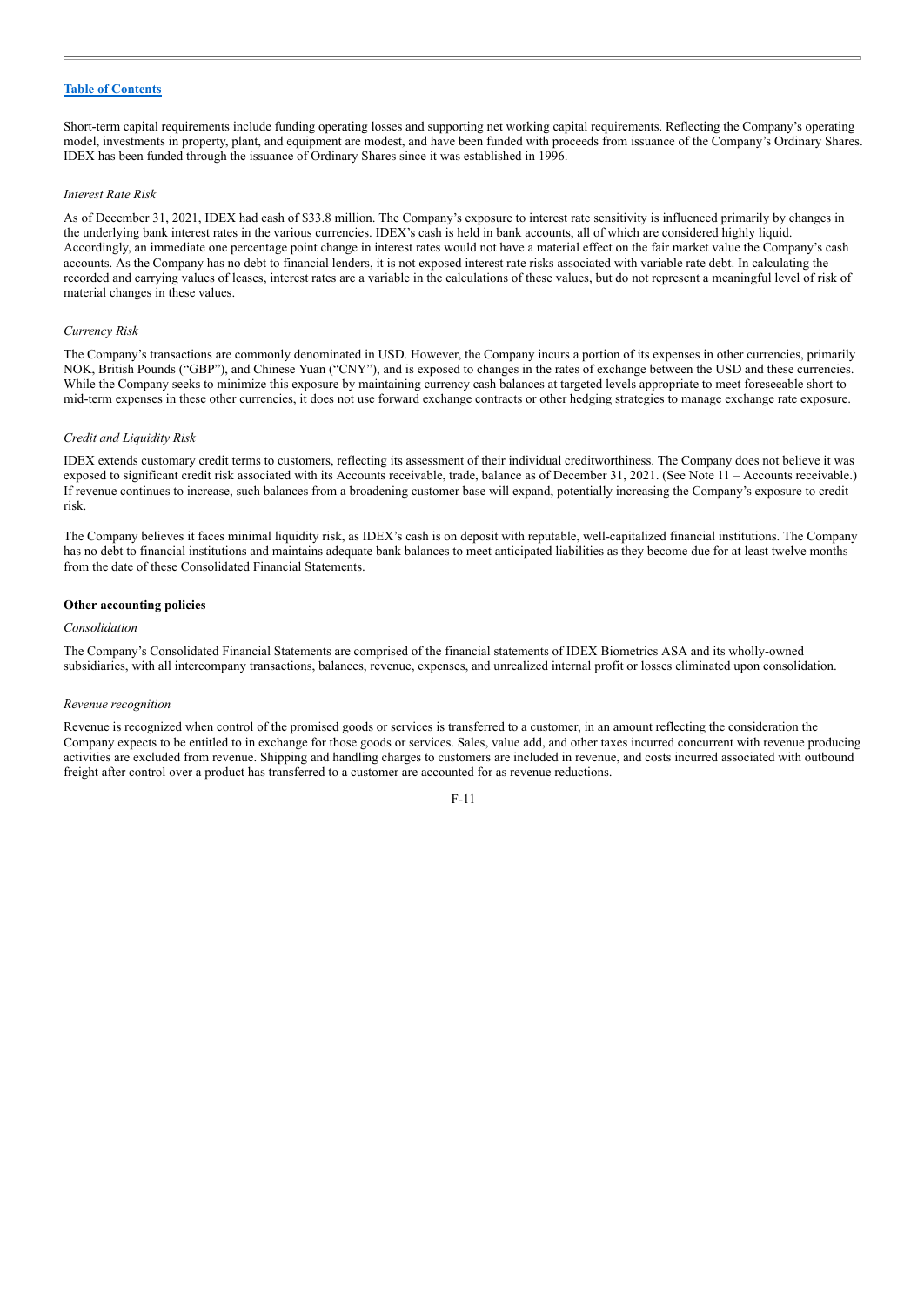Short-term capital requirements include funding operating losses and supporting net working capital requirements. Reflecting the Company's operating model, investments in property, plant, and equipment are modest, and have been funded with proceeds from issuance of the Company's Ordinary Shares. IDEX has been funded through the issuance of Ordinary Shares since it was established in 1996.

#### *Interest Rate Risk*

As of December 31, 2021, IDEX had cash of \$33.8 million. The Company's exposure to interest rate sensitivity is influenced primarily by changes in the underlying bank interest rates in the various currencies. IDEX's cash is held in bank accounts, all of which are considered highly liquid. Accordingly, an immediate one percentage point change in interest rates would not have a material effect on the fair market value the Company's cash accounts. As the Company has no debt to financial lenders, it is not exposed interest rate risks associated with variable rate debt. In calculating the recorded and carrying values of leases, interest rates are a variable in the calculations of these values, but do not represent a meaningful level of risk of material changes in these values.

#### *Currency Risk*

The Company's transactions are commonly denominated in USD. However, the Company incurs a portion of its expenses in other currencies, primarily NOK, British Pounds ("GBP"), and Chinese Yuan ("CNY"), and is exposed to changes in the rates of exchange between the USD and these currencies. While the Company seeks to minimize this exposure by maintaining currency cash balances at targeted levels appropriate to meet foreseeable short to mid-term expenses in these other currencies, it does not use forward exchange contracts or other hedging strategies to manage exchange rate exposure.

#### *Credit and Liquidity Risk*

IDEX extends customary credit terms to customers, reflecting its assessment of their individual creditworthiness. The Company does not believe it was exposed to significant credit risk associated with its Accounts receivable, trade, balance as of December 31, 2021. (See Note 11 – Accounts receivable.) If revenue continues to increase, such balances from a broadening customer base will expand, potentially increasing the Company's exposure to credit risk.

The Company believes it faces minimal liquidity risk, as IDEX's cash is on deposit with reputable, well-capitalized financial institutions. The Company has no debt to financial institutions and maintains adequate bank balances to meet anticipated liabilities as they become due for at least twelve months from the date of these Consolidated Financial Statements.

#### **Other accounting policies**

#### *Consolidation*

The Company's Consolidated Financial Statements are comprised of the financial statements of IDEX Biometrics ASA and its wholly-owned subsidiaries, with all intercompany transactions, balances, revenue, expenses, and unrealized internal profit or losses eliminated upon consolidation.

#### *Revenue recognition*

Revenue is recognized when control of the promised goods or services is transferred to a customer, in an amount reflecting the consideration the Company expects to be entitled to in exchange for those goods or services. Sales, value add, and other taxes incurred concurrent with revenue producing activities are excluded from revenue. Shipping and handling charges to customers are included in revenue, and costs incurred associated with outbound freight after control over a product has transferred to a customer are accounted for as revenue reductions.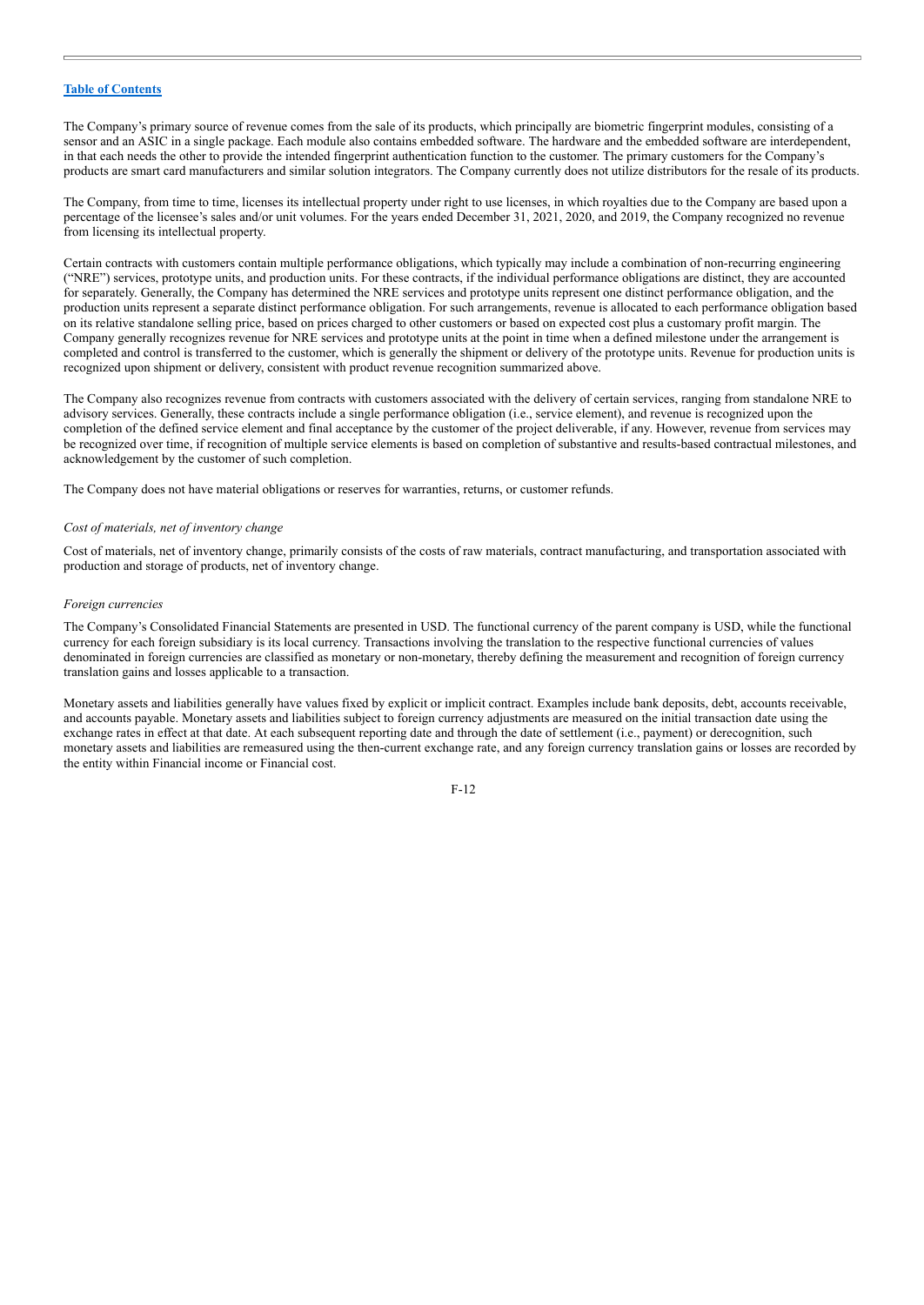The Company's primary source of revenue comes from the sale of its products, which principally are biometric fingerprint modules, consisting of a sensor and an ASIC in a single package. Each module also contains embedded software. The hardware and the embedded software are interdependent, in that each needs the other to provide the intended fingerprint authentication function to the customer. The primary customers for the Company's products are smart card manufacturers and similar solution integrators. The Company currently does not utilize distributors for the resale of its products.

The Company, from time to time, licenses its intellectual property under right to use licenses, in which royalties due to the Company are based upon a percentage of the licensee's sales and/or unit volumes. For the years ended December 31, 2021, 2020, and 2019, the Company recognized no revenue from licensing its intellectual property.

Certain contracts with customers contain multiple performance obligations, which typically may include a combination of non-recurring engineering ("NRE") services, prototype units, and production units. For these contracts, if the individual performance obligations are distinct, they are accounted for separately. Generally, the Company has determined the NRE services and prototype units represent one distinct performance obligation, and the production units represent a separate distinct performance obligation. For such arrangements, revenue is allocated to each performance obligation based on its relative standalone selling price, based on prices charged to other customers or based on expected cost plus a customary profit margin. The Company generally recognizes revenue for NRE services and prototype units at the point in time when a defined milestone under the arrangement is completed and control is transferred to the customer, which is generally the shipment or delivery of the prototype units. Revenue for production units is recognized upon shipment or delivery, consistent with product revenue recognition summarized above.

The Company also recognizes revenue from contracts with customers associated with the delivery of certain services, ranging from standalone NRE to advisory services. Generally, these contracts include a single performance obligation (i.e., service element), and revenue is recognized upon the completion of the defined service element and final acceptance by the customer of the project deliverable, if any. However, revenue from services may be recognized over time, if recognition of multiple service elements is based on completion of substantive and results-based contractual milestones, and acknowledgement by the customer of such completion.

The Company does not have material obligations or reserves for warranties, returns, or customer refunds.

#### *Cost of materials, net of inventory change*

Cost of materials, net of inventory change, primarily consists of the costs of raw materials, contract manufacturing, and transportation associated with production and storage of products, net of inventory change.

#### *Foreign currencies*

The Company's Consolidated Financial Statements are presented in USD. The functional currency of the parent company is USD, while the functional currency for each foreign subsidiary is its local currency. Transactions involving the translation to the respective functional currencies of values denominated in foreign currencies are classified as monetary or non-monetary, thereby defining the measurement and recognition of foreign currency translation gains and losses applicable to a transaction.

Monetary assets and liabilities generally have values fixed by explicit or implicit contract. Examples include bank deposits, debt, accounts receivable, and accounts payable. Monetary assets and liabilities subject to foreign currency adjustments are measured on the initial transaction date using the exchange rates in effect at that date. At each subsequent reporting date and through the date of settlement (i.e., payment) or derecognition, such monetary assets and liabilities are remeasured using the then-current exchange rate, and any foreign currency translation gains or losses are recorded by the entity within Financial income or Financial cost.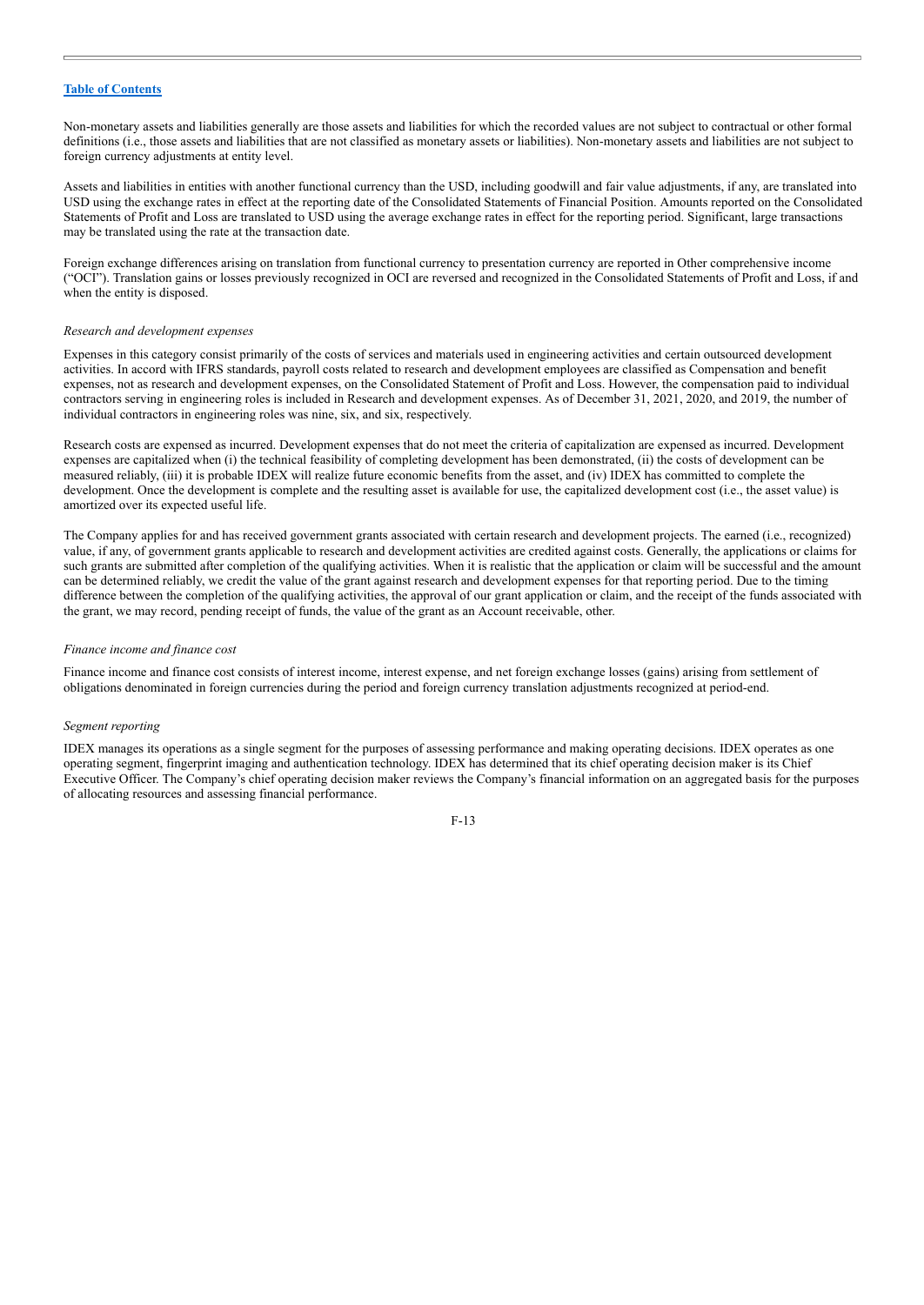Non-monetary assets and liabilities generally are those assets and liabilities for which the recorded values are not subject to contractual or other formal definitions (i.e., those assets and liabilities that are not classified as monetary assets or liabilities). Non-monetary assets and liabilities are not subject to foreign currency adjustments at entity level.

Assets and liabilities in entities with another functional currency than the USD, including goodwill and fair value adjustments, if any, are translated into USD using the exchange rates in effect at the reporting date of the Consolidated Statements of Financial Position. Amounts reported on the Consolidated Statements of Profit and Loss are translated to USD using the average exchange rates in effect for the reporting period. Significant, large transactions may be translated using the rate at the transaction date.

Foreign exchange differences arising on translation from functional currency to presentation currency are reported in Other comprehensive income ("OCI"). Translation gains or losses previously recognized in OCI are reversed and recognized in the Consolidated Statements of Profit and Loss, if and when the entity is disposed.

# *Research and development expenses*

Expenses in this category consist primarily of the costs of services and materials used in engineering activities and certain outsourced development activities. In accord with IFRS standards, payroll costs related to research and development employees are classified as Compensation and benefit expenses, not as research and development expenses, on the Consolidated Statement of Profit and Loss. However, the compensation paid to individual contractors serving in engineering roles is included in Research and development expenses. As of December 31, 2021, 2020, and 2019, the number of individual contractors in engineering roles was nine, six, and six, respectively.

Research costs are expensed as incurred. Development expenses that do not meet the criteria of capitalization are expensed as incurred. Development expenses are capitalized when (i) the technical feasibility of completing development has been demonstrated, (ii) the costs of development can be measured reliably, (iii) it is probable IDEX will realize future economic benefits from the asset, and (iv) IDEX has committed to complete the development. Once the development is complete and the resulting asset is available for use, the capitalized development cost (i.e., the asset value) is amortized over its expected useful life.

The Company applies for and has received government grants associated with certain research and development projects. The earned (i.e., recognized) value, if any, of government grants applicable to research and development activities are credited against costs. Generally, the applications or claims for such grants are submitted after completion of the qualifying activities. When it is realistic that the application or claim will be successful and the amount can be determined reliably, we credit the value of the grant against research and development expenses for that reporting period. Due to the timing difference between the completion of the qualifying activities, the approval of our grant application or claim, and the receipt of the funds associated with the grant, we may record, pending receipt of funds, the value of the grant as an Account receivable, other.

#### *Finance income and finance cost*

Finance income and finance cost consists of interest income, interest expense, and net foreign exchange losses (gains) arising from settlement of obligations denominated in foreign currencies during the period and foreign currency translation adjustments recognized at period-end.

#### *Segment reporting*

IDEX manages its operations as a single segment for the purposes of assessing performance and making operating decisions. IDEX operates as one operating segment, fingerprint imaging and authentication technology. IDEX has determined that its chief operating decision maker is its Chief Executive Officer. The Company's chief operating decision maker reviews the Company's financial information on an aggregated basis for the purposes of allocating resources and assessing financial performance.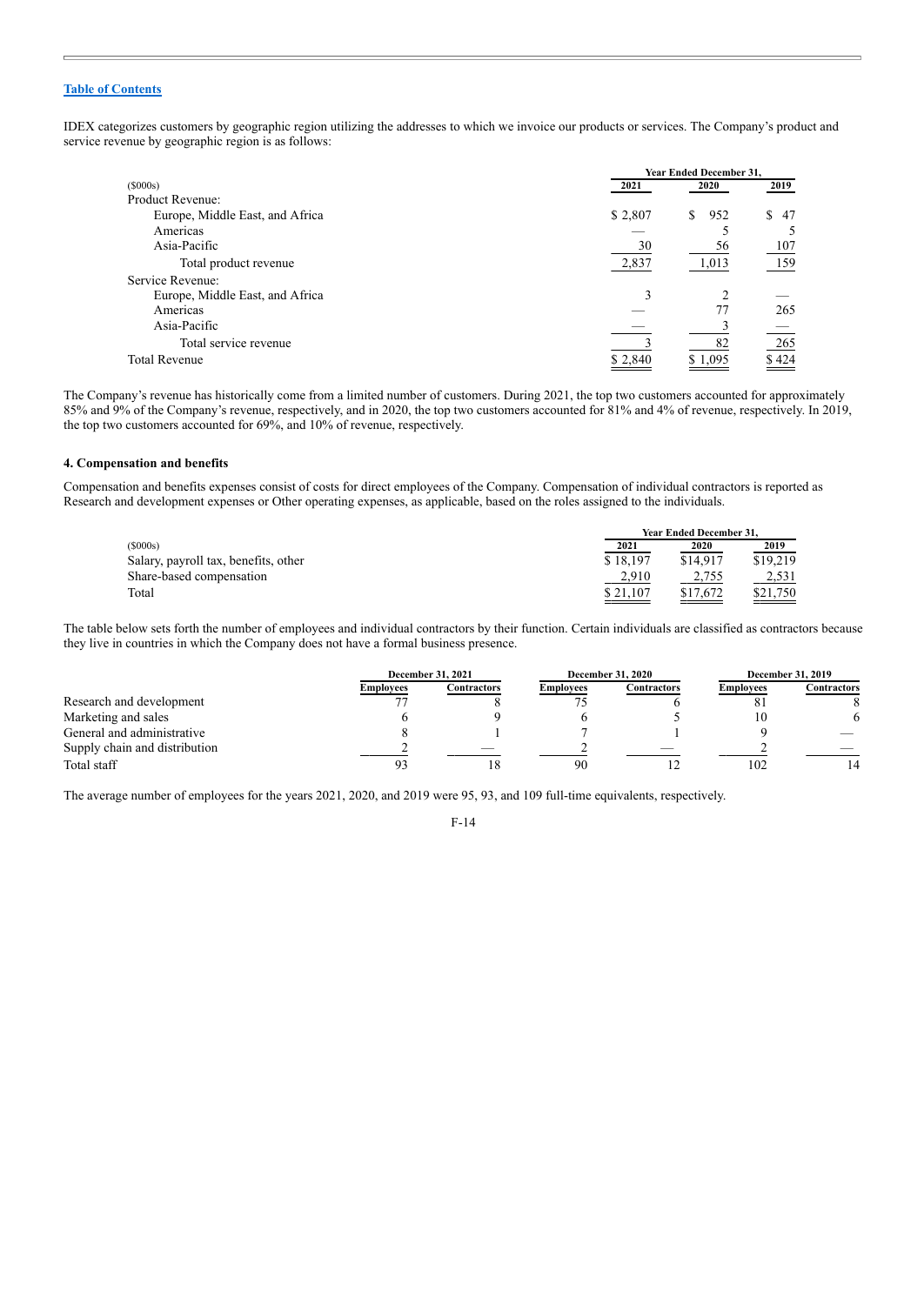IDEX categorizes customers by geographic region utilizing the addresses to which we invoice our products or services. The Company's product and service revenue by geographic region is as follows:

|                                 | Year Ended December 31, |           |          |  |  |
|---------------------------------|-------------------------|-----------|----------|--|--|
| (S000s)                         | 2021                    | 2020      | 2019     |  |  |
| Product Revenue:                |                         |           |          |  |  |
| Europe, Middle East, and Africa | \$2,807                 | 952<br>S. | \$<br>47 |  |  |
| Americas                        |                         |           |          |  |  |
| Asia-Pacific                    | 30                      | 56        | 107      |  |  |
| Total product revenue           | 2,837                   | 1,013     | 159      |  |  |
| Service Revenue:                |                         |           |          |  |  |
| Europe, Middle East, and Africa | 3                       |           |          |  |  |
| Americas                        |                         |           | 265      |  |  |
| Asia-Pacific                    |                         |           |          |  |  |
| Total service revenue           |                         | 82        | 265      |  |  |
| <b>Total Revenue</b>            | \$2.840                 | 1.095     | \$424    |  |  |

The Company's revenue has historically come from a limited number of customers. During 2021, the top two customers accounted for approximately 85% and 9% of the Company's revenue, respectively, and in 2020, the top two customers accounted for 81% and 4% of revenue, respectively. In 2019, the top two customers accounted for 69%, and 10% of revenue, respectively.

## **4. Compensation and benefits**

Compensation and benefits expenses consist of costs for direct employees of the Company. Compensation of individual contractors is reported as Research and development expenses or Other operating expenses, as applicable, based on the roles assigned to the individuals.

| (S000s)                              |          | <b>Year Ended December 31.</b> |          |
|--------------------------------------|----------|--------------------------------|----------|
|                                      | 2021     | 2020                           | 2019     |
| Salary, payroll tax, benefits, other | \$18.197 | \$14,917                       | \$19,219 |
| Share-based compensation             | 2,910    | 2.755                          | 2,531    |
| Total                                | \$21,107 | \$17,672                       | \$21,750 |

The table below sets forth the number of employees and individual contractors by their function. Certain individuals are classified as contractors because they live in countries in which the Company does not have a formal business presence.

|                               | <b>December 31, 2021</b> |             | <b>December 31, 2020</b> |             | December 31, 2019 |             |
|-------------------------------|--------------------------|-------------|--------------------------|-------------|-------------------|-------------|
|                               | <b>Employees</b>         | Contractors | <b>Employees</b>         | Contractors | <b>Employees</b>  | Contractors |
| Research and development      |                          |             |                          |             |                   |             |
| Marketing and sales           |                          |             |                          |             | 10                |             |
| General and administrative    |                          |             |                          |             |                   |             |
| Supply chain and distribution |                          |             |                          |             |                   |             |
| Total staff                   |                          | 18          | 90                       |             | 102               |             |

The average number of employees for the years 2021, 2020, and 2019 were 95, 93, and 109 full-time equivalents, respectively.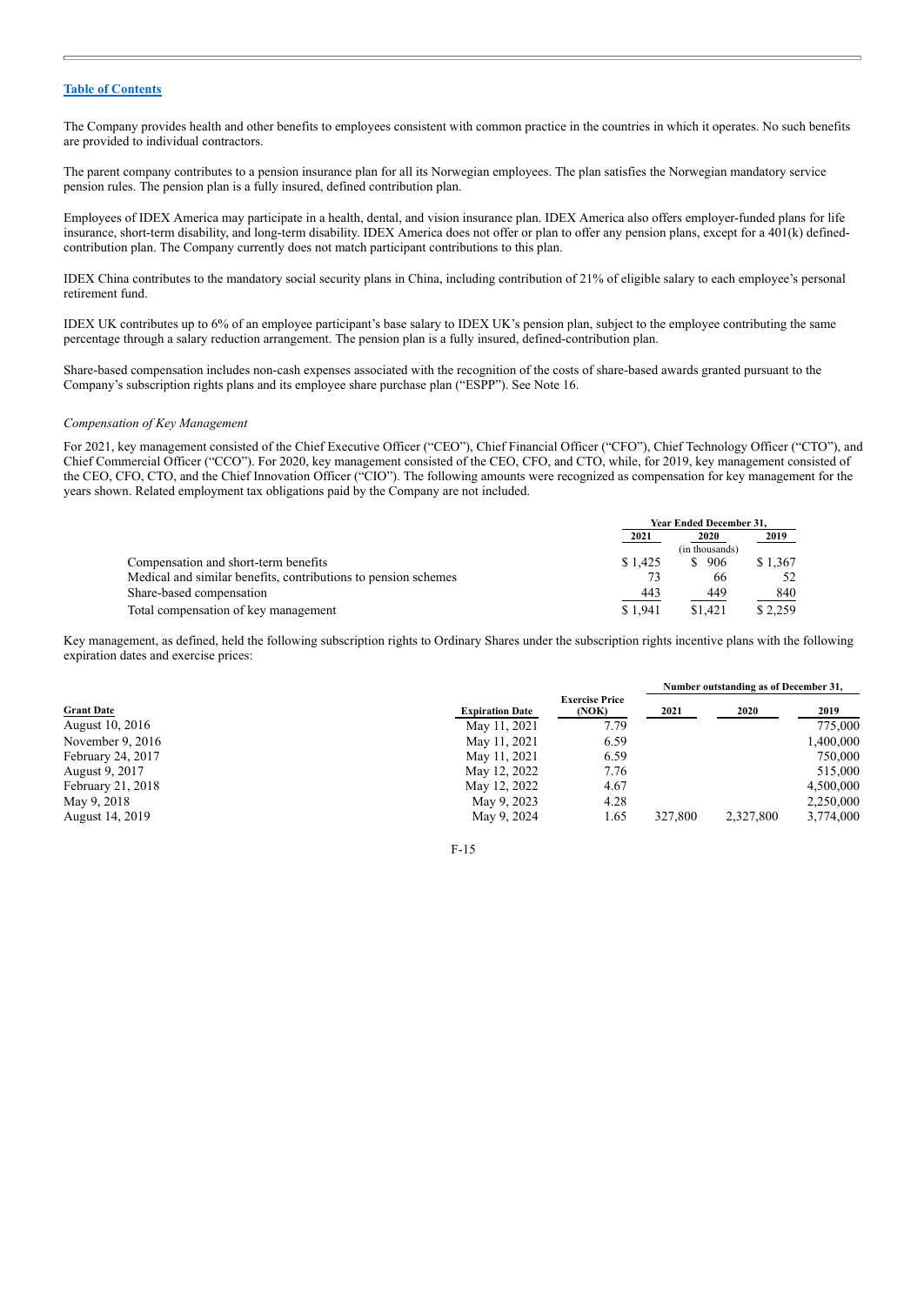The Company provides health and other benefits to employees consistent with common practice in the countries in which it operates. No such benefits are provided to individual contractors.

The parent company contributes to a pension insurance plan for all its Norwegian employees. The plan satisfies the Norwegian mandatory service pension rules. The pension plan is a fully insured, defined contribution plan.

Employees of IDEX America may participate in a health, dental, and vision insurance plan. IDEX America also offers employer-funded plans for life insurance, short-term disability, and long-term disability. IDEX America does not offer or plan to offer any pension plans, except for a 401(k) definedcontribution plan. The Company currently does not match participant contributions to this plan.

IDEX China contributes to the mandatory social security plans in China, including contribution of 21% of eligible salary to each employee's personal retirement fund.

IDEX UK contributes up to 6% of an employee participant's base salary to IDEX UK's pension plan, subject to the employee contributing the same percentage through a salary reduction arrangement. The pension plan is a fully insured, defined-contribution plan.

Share-based compensation includes non-cash expenses associated with the recognition of the costs of share-based awards granted pursuant to the Company's subscription rights plans and its employee share purchase plan ("ESPP"). See Note 16.

#### *Compensation of Key Management*

For 2021, key management consisted of the Chief Executive Officer ("CEO"), Chief Financial Officer ("CFO"), Chief Technology Officer ("CTO"), and Chief Commercial Officer ("CCO"). For 2020, key management consisted of the CEO, CFO, and CTO, while, for 2019, key management consisted of the CEO, CFO, CTO, and the Chief Innovation Officer ("CIO"). The following amounts were recognized as compensation for key management for the years shown. Related employment tax obligations paid by the Company are not included.

|                                                                | <b>Year Ended December 31.</b> |                |         |  |
|----------------------------------------------------------------|--------------------------------|----------------|---------|--|
|                                                                | 2021<br>2020                   |                | 2019    |  |
|                                                                |                                | (in thousands) |         |  |
| Compensation and short-term benefits                           | \$1.425                        | -906<br>S.     | \$1.367 |  |
| Medical and similar benefits, contributions to pension schemes | 73                             | 66             |         |  |
| Share-based compensation                                       | 443                            | 449            | 840     |  |
| Total compensation of key management                           | \$1.941                        | \$1,421        | \$2.259 |  |

Key management, as defined, held the following subscription rights to Ordinary Shares under the subscription rights incentive plans with the following expiration dates and exercise prices:

**Number outstanding as of December 31,**

|                    |                        | <b>Exercise Price</b> |         |           |           |
|--------------------|------------------------|-----------------------|---------|-----------|-----------|
| <b>Grant Date</b>  | <b>Expiration Date</b> | (NOK)                 | 2021    | 2020      | 2019      |
| August 10, 2016    | May 11, 2021           | 7.79                  |         |           | 775,000   |
| November $9, 2016$ | May 11, 2021           | 6.59                  |         |           | 1,400,000 |
| February 24, 2017  | May 11, 2021           | 6.59                  |         |           | 750,000   |
| August 9, 2017     | May 12, 2022           | 7.76                  |         |           | 515,000   |
| February 21, 2018  | May 12, 2022           | 4.67                  |         |           | 4,500,000 |
| May 9, 2018        | May 9, 2023            | 4.28                  |         |           | 2,250,000 |
| August 14, 2019    | May 9, 2024            | 1.65                  | 327,800 | 2,327,800 | 3,774,000 |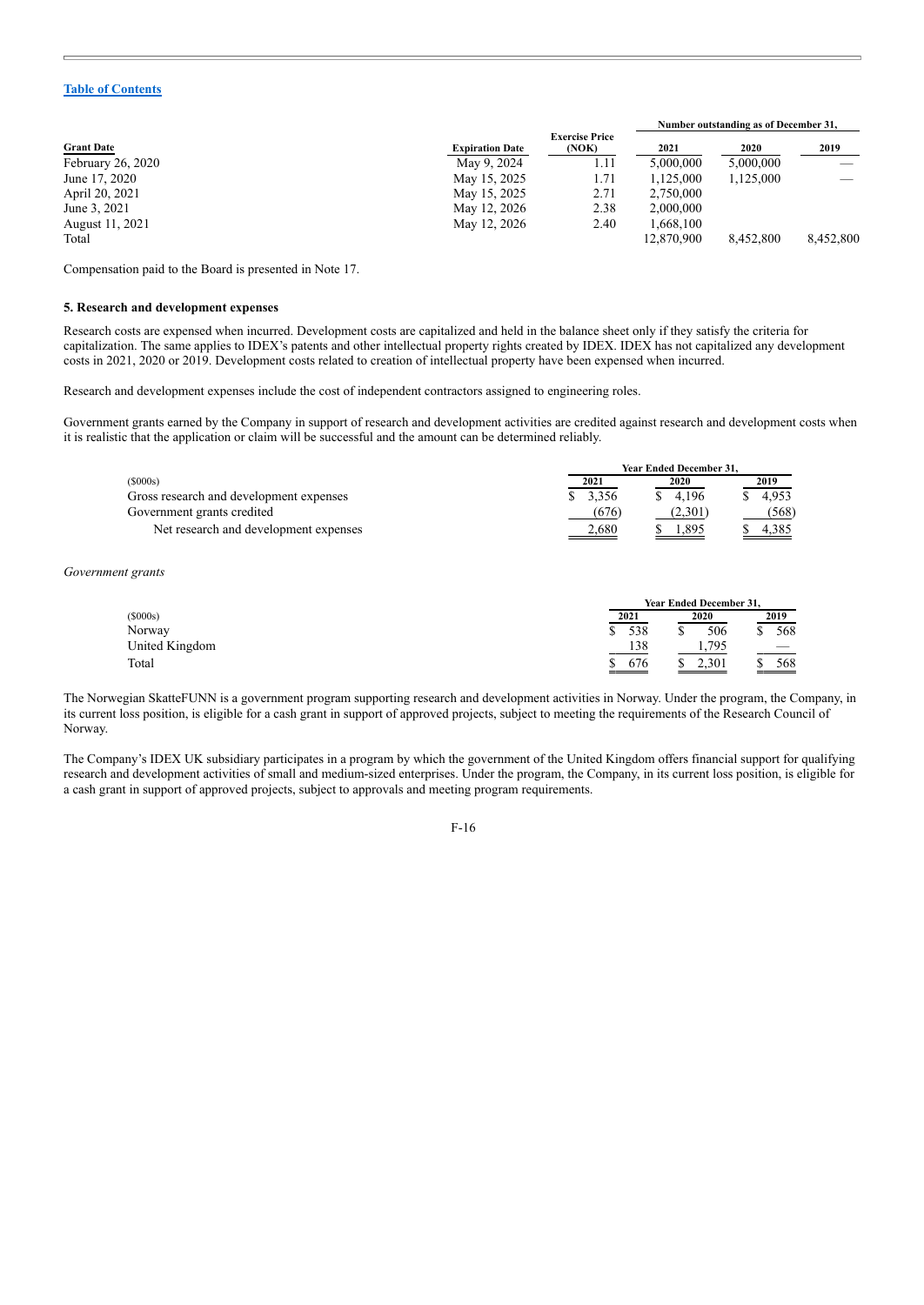|                   |                        |                                |            | Number outstanding as of December 31, |           |
|-------------------|------------------------|--------------------------------|------------|---------------------------------------|-----------|
| <b>Grant Date</b> | <b>Expiration Date</b> | <b>Exercise Price</b><br>(NOK) | 2021       | 2020                                  | 2019      |
| February 26, 2020 | May 9, 2024            | 1.11                           | 5,000,000  | 5,000,000                             |           |
| June 17, 2020     | May 15, 2025           | 1.71                           | 1.125,000  | 1.125,000                             |           |
| April 20, 2021    | May 15, 2025           | 2.71                           | 2,750,000  |                                       |           |
| June 3, 2021      | May 12, 2026           | 2.38                           | 2,000,000  |                                       |           |
| August 11, 2021   | May 12, 2026           | 2.40                           | 1.668.100  |                                       |           |
| Total             |                        |                                | 12,870,900 | 8.452.800                             | 8.452.800 |

Compensation paid to the Board is presented in Note 17.

#### **5. Research and development expenses**

Research costs are expensed when incurred. Development costs are capitalized and held in the balance sheet only if they satisfy the criteria for capitalization. The same applies to IDEX's patents and other intellectual property rights created by IDEX. IDEX has not capitalized any development costs in 2021, 2020 or 2019. Development costs related to creation of intellectual property have been expensed when incurred.

Research and development expenses include the cost of independent contractors assigned to engineering roles.

Government grants earned by the Company in support of research and development activities are credited against research and development costs when it is realistic that the application or claim will be successful and the amount can be determined reliably.

|                                         |       | <b>Year Ended December 31.</b> |       |  |
|-----------------------------------------|-------|--------------------------------|-------|--|
| (S000s)                                 | 2021  | 2020                           | 2019  |  |
| Gross research and development expenses | 3.356 | 4.196                          | 4.953 |  |
| Government grants credited              | (676) | (2.301)                        | (568) |  |
| Net research and development expenses   | 2.680 | 0.895                          | 4,385 |  |

*Government grants*

|                |      | Year Ended December 31, |      |
|----------------|------|-------------------------|------|
| (S000s)        | 2021 | 2020                    | 2019 |
| Norway         | 538  | 506                     | 568  |
| United Kingdom | 138  | .795                    |      |
| Total          | 676  | 2.301                   | 568  |

The Norwegian SkatteFUNN is a government program supporting research and development activities in Norway. Under the program, the Company, in its current loss position, is eligible for a cash grant in support of approved projects, subject to meeting the requirements of the Research Council of Norway.

The Company's IDEX UK subsidiary participates in a program by which the government of the United Kingdom offers financial support for qualifying research and development activities of small and medium-sized enterprises. Under the program, the Company, in its current loss position, is eligible for a cash grant in support of approved projects, subject to approvals and meeting program requirements.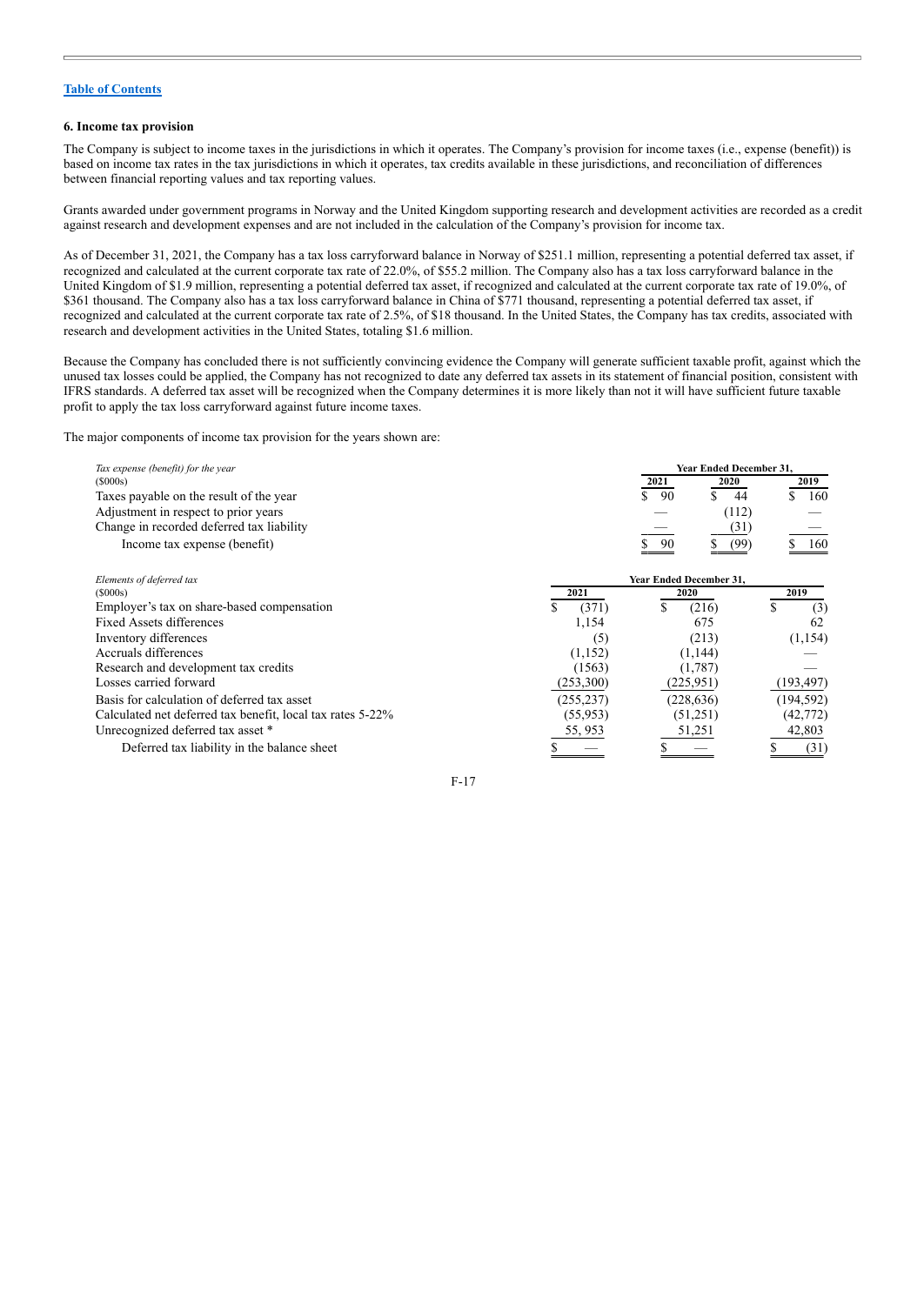## **6. Income tax provision**

The Company is subject to income taxes in the jurisdictions in which it operates. The Company's provision for income taxes (i.e., expense (benefit)) is based on income tax rates in the tax jurisdictions in which it operates, tax credits available in these jurisdictions, and reconciliation of differences between financial reporting values and tax reporting values.

Grants awarded under government programs in Norway and the United Kingdom supporting research and development activities are recorded as a credit against research and development expenses and are not included in the calculation of the Company's provision for income tax.

As of December 31, 2021, the Company has a tax loss carryforward balance in Norway of \$251.1 million, representing a potential deferred tax asset, if recognized and calculated at the current corporate tax rate of 22.0%, of \$55.2 million. The Company also has a tax loss carryforward balance in the United Kingdom of \$1.9 million, representing a potential deferred tax asset, if recognized and calculated at the current corporate tax rate of 19.0%, of \$361 thousand. The Company also has a tax loss carryforward balance in China of \$771 thousand, representing a potential deferred tax asset, if recognized and calculated at the current corporate tax rate of 2.5%, of \$18 thousand. In the United States, the Company has tax credits, associated with research and development activities in the United States, totaling \$1.6 million.

Because the Company has concluded there is not sufficiently convincing evidence the Company will generate sufficient taxable profit, against which the unused tax losses could be applied, the Company has not recognized to date any deferred tax assets in its statement of financial position, consistent with IFRS standards. A deferred tax asset will be recognized when the Company determines it is more likely than not it will have sufficient future taxable profit to apply the tax loss carryforward against future income taxes.

The major components of income tax provision for the years shown are:

| Tax expense (benefit) for the year        |      | <b>Year Ended December 31.</b> |      |  |
|-------------------------------------------|------|--------------------------------|------|--|
| (S000s)                                   | 2021 | 2020                           | 2019 |  |
| Taxes payable on the result of the year   | 90   | 44                             | 160  |  |
| Adjustment in respect to prior years      |      | (112)                          |      |  |
| Change in recorded deferred tax liability |      | (31)                           |      |  |
| Income tax expense (benefit)              | 90   | (99)                           | 160  |  |
|                                           |      |                                |      |  |

| Elements of deferred tax                                   | <b>Year Ended December 31.</b> |            |            |  |
|------------------------------------------------------------|--------------------------------|------------|------------|--|
| (S000s)                                                    | 2021                           | 2020       |            |  |
| Employer's tax on share-based compensation                 | (371)                          | (216)      | (3)        |  |
| Fixed Assets differences                                   | 1.154                          | 675        | 62         |  |
| Inventory differences                                      | 6)                             | (213)      | (1, 154)   |  |
| Accruals differences                                       | (1,152)                        | (1, 144)   |            |  |
| Research and development tax credits                       | (1563)                         | (1,787)    |            |  |
| Losses carried forward                                     | (253,300)                      | (225, 951) | (193, 497) |  |
| Basis for calculation of deferred tax asset                | (255, 237)                     | (228, 636) | (194, 592) |  |
| Calculated net deferred tax benefit, local tax rates 5-22% | (55, 953)                      | (51,251)   | (42, 772)  |  |
| Unrecognized deferred tax asset *                          | 55, 953                        | 51,251     | 42,803     |  |
| Deferred tax liability in the balance sheet                |                                |            | (31)       |  |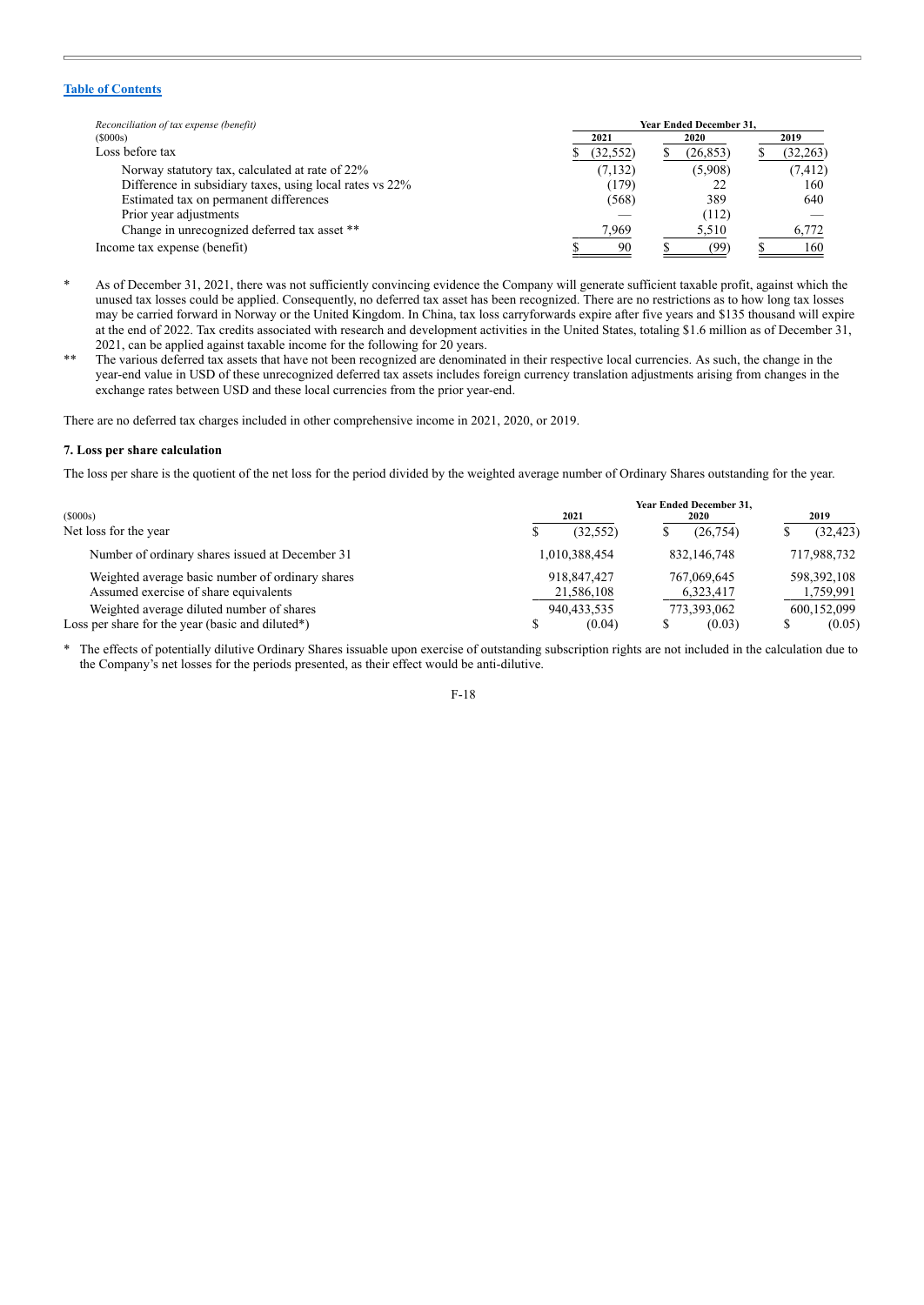| Reconciliation of tax expense (benefit)                  | <b>Year Ended December 31.</b> |           |           |  |
|----------------------------------------------------------|--------------------------------|-----------|-----------|--|
| (S000s)                                                  | 2021                           | 2020      | 2019      |  |
| Loss before tax                                          | (32, 552)                      | (26, 853) | (32, 263) |  |
| Norway statutory tax, calculated at rate of 22%          | (7, 132)                       | (5,908)   | (7, 412)  |  |
| Difference in subsidiary taxes, using local rates vs 22% | (179)                          |           | 160       |  |
| Estimated tax on permanent differences                   | (568)                          | 389       | 640       |  |
| Prior year adjustments                                   |                                | (112)     |           |  |
| Change in unrecognized deferred tax asset **             | 7.969                          | 5,510     | 6.772     |  |
| Income tax expense (benefit)                             | 90                             | (99)      | 160       |  |

- As of December 31, 2021, there was not sufficiently convincing evidence the Company will generate sufficient taxable profit, against which the unused tax losses could be applied. Consequently, no deferred tax asset has been recognized. There are no restrictions as to how long tax losses may be carried forward in Norway or the United Kingdom. In China, tax loss carryforwards expire after five years and \$135 thousand will expire at the end of 2022. Tax credits associated with research and development activities in the United States, totaling \$1.6 million as of December 31, 2021, can be applied against taxable income for the following for 20 years.
- \*\* The various deferred tax assets that have not been recognized are denominated in their respective local currencies. As such, the change in the year-end value in USD of these unrecognized deferred tax assets includes foreign currency translation adjustments arising from changes in the exchange rates between USD and these local currencies from the prior year-end.

There are no deferred tax charges included in other comprehensive income in 2021, 2020, or 2019.

#### **7. Loss per share calculation**

The loss per share is the quotient of the net loss for the period divided by the weighted average number of Ordinary Shares outstanding for the year.

| (S000s)                                                                                       |   | <b>Year Ended December 31.</b><br>2021<br>2020 |  |                          | 2019 |                            |
|-----------------------------------------------------------------------------------------------|---|------------------------------------------------|--|--------------------------|------|----------------------------|
| Net loss for the year                                                                         | S | (32, 552)                                      |  | (26.754)                 |      | (32, 423)                  |
| Number of ordinary shares issued at December 31                                               |   | 1,010,388,454                                  |  | 832,146,748              |      | 717,988,732                |
| Weighted average basic number of ordinary shares<br>Assumed exercise of share equivalents     |   | 918,847,427<br>21,586,108                      |  | 767,069,645<br>6,323,417 |      | 598, 392, 108<br>1,759,991 |
| Weighted average diluted number of shares<br>Loss per share for the year (basic and diluted*) |   | 940, 433, 535<br>(0.04)                        |  | 773,393,062<br>(0.03)    |      | 600,152,099<br>(0.05)      |

\* The effects of potentially dilutive Ordinary Shares issuable upon exercise of outstanding subscription rights are not included in the calculation due to the Company's net losses for the periods presented, as their effect would be anti-dilutive.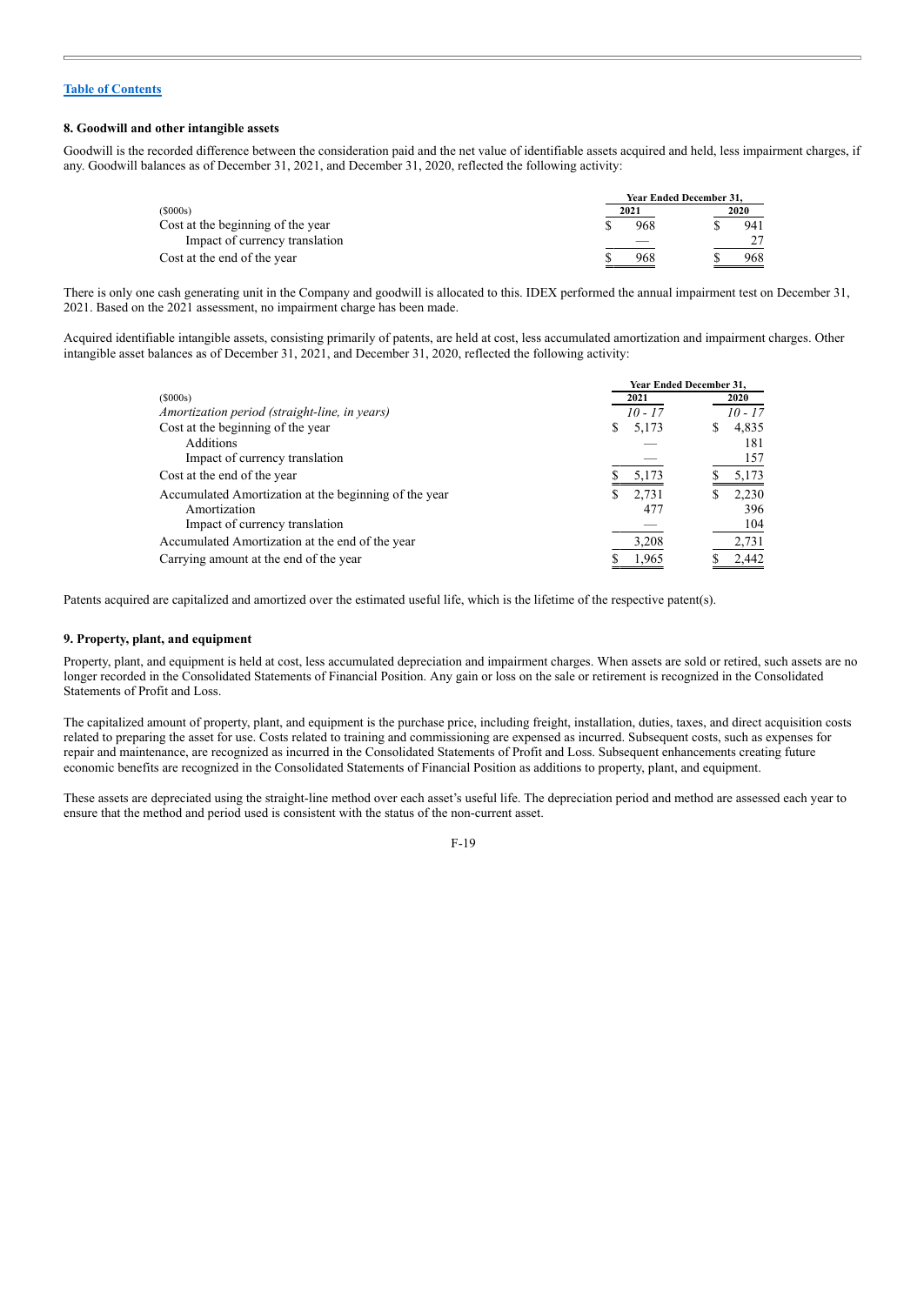# **8. Goodwill and other intangible assets**

Goodwill is the recorded difference between the consideration paid and the net value of identifiable assets acquired and held, less impairment charges, if any. Goodwill balances as of December 31, 2021, and December 31, 2020, reflected the following activity:

|                                   |      | <b>Year Ended December 31,</b> |
|-----------------------------------|------|--------------------------------|
| (S000s)                           | 2021 | 2020                           |
| Cost at the beginning of the year | 968  | 941                            |
| Impact of currency translation    |      | つつ                             |
| Cost at the end of the year       | 968  | 968                            |

There is only one cash generating unit in the Company and goodwill is allocated to this. IDEX performed the annual impairment test on December 31, 2021. Based on the 2021 assessment, no impairment charge has been made.

Acquired identifiable intangible assets, consisting primarily of patents, are held at cost, less accumulated amortization and impairment charges. Other intangible asset balances as of December 31, 2021, and December 31, 2020, reflected the following activity:

|                                                       | <b>Year Ended December 31.</b> |            |
|-------------------------------------------------------|--------------------------------|------------|
| (S000s)                                               | 2021                           | 2020       |
| Amortization period (straight-line, in years)         | $10 - 17$                      | $10 - 17$  |
| Cost at the beginning of the year                     | 5,173<br>S                     | 4,835<br>S |
| Additions                                             |                                | 181        |
| Impact of currency translation                        |                                | 157        |
| Cost at the end of the year                           | 5,173                          | 5,173      |
| Accumulated Amortization at the beginning of the year | 2,731                          | 2,230      |
| Amortization                                          | 477                            | 396        |
| Impact of currency translation                        |                                | 104        |
| Accumulated Amortization at the end of the year       | 3,208                          | 2,731      |
| Carrying amount at the end of the year                | 1,965                          | 2,442      |

Patents acquired are capitalized and amortized over the estimated useful life, which is the lifetime of the respective patent(s).

#### **9. Property, plant, and equipment**

Property, plant, and equipment is held at cost, less accumulated depreciation and impairment charges. When assets are sold or retired, such assets are no longer recorded in the Consolidated Statements of Financial Position. Any gain or loss on the sale or retirement is recognized in the Consolidated Statements of Profit and Loss.

The capitalized amount of property, plant, and equipment is the purchase price, including freight, installation, duties, taxes, and direct acquisition costs related to preparing the asset for use. Costs related to training and commissioning are expensed as incurred. Subsequent costs, such as expenses for repair and maintenance, are recognized as incurred in the Consolidated Statements of Profit and Loss. Subsequent enhancements creating future economic benefits are recognized in the Consolidated Statements of Financial Position as additions to property, plant, and equipment.

These assets are depreciated using the straight-line method over each asset's useful life. The depreciation period and method are assessed each year to ensure that the method and period used is consistent with the status of the non-current asset.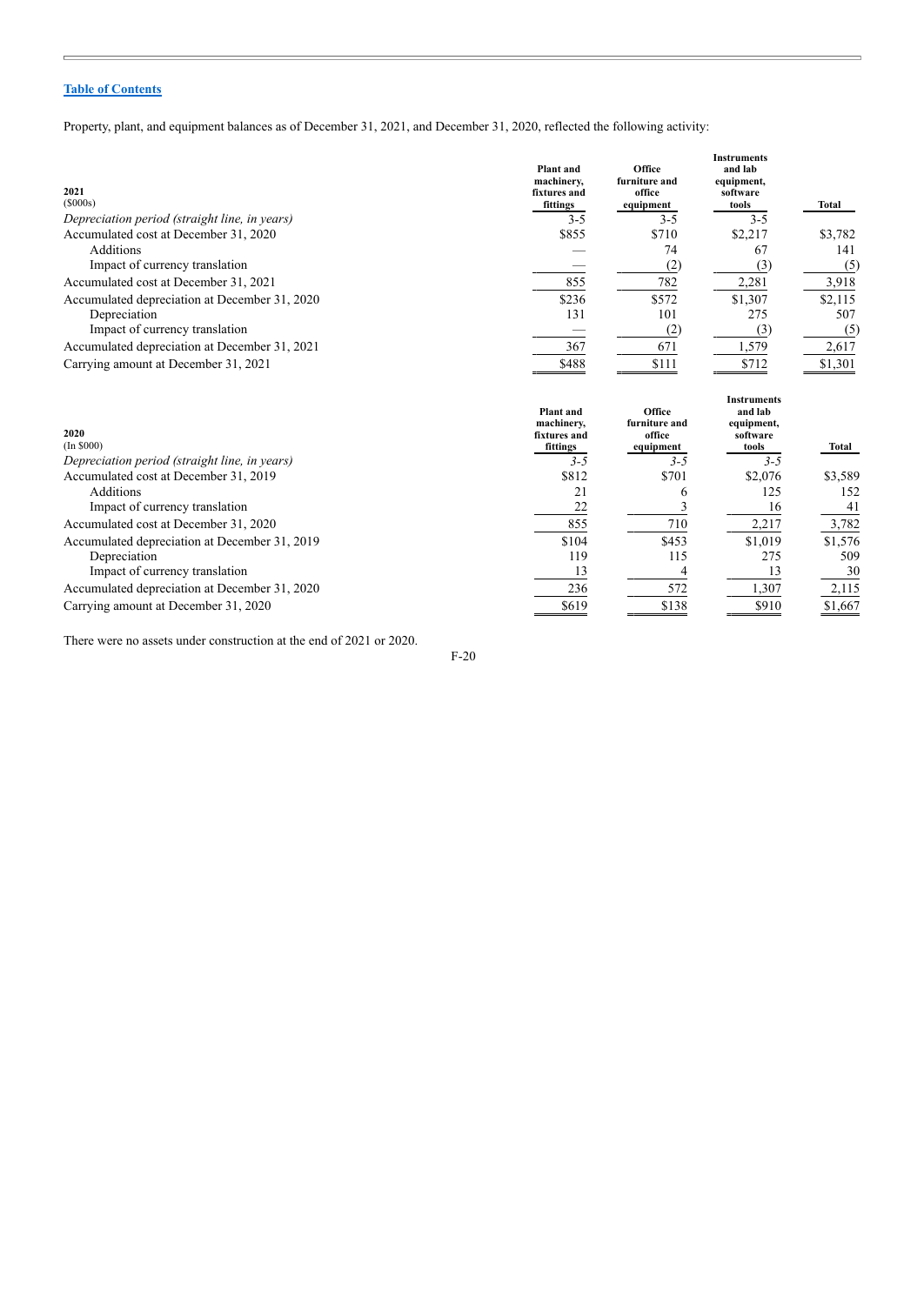Property, plant, and equipment balances as of December 31, 2021, and December 31, 2020, reflected the following activity:

| 2021<br>(5000s)                               | <b>Plant</b> and<br>machinery,<br>fixtures and<br>fittings | Office<br>furniture and<br>office<br>equipment | <b>Instruments</b><br>and lab<br>equipment,<br>software<br>tools | Total   |
|-----------------------------------------------|------------------------------------------------------------|------------------------------------------------|------------------------------------------------------------------|---------|
| Depreciation period (straight line, in years) | $3 - 5$                                                    | $3 - 5$                                        | $3-5$                                                            |         |
| Accumulated cost at December 31, 2020         | \$855                                                      | \$710                                          | \$2,217                                                          | \$3,782 |
| <b>Additions</b>                              |                                                            | 74                                             | 67                                                               | 141     |
| Impact of currency translation                |                                                            | 12                                             | (3)                                                              | (5)     |
| Accumulated cost at December 31, 2021         | 855                                                        | 782                                            | 2,281                                                            | 3,918   |
| Accumulated depreciation at December 31, 2020 | \$236                                                      | \$572                                          | \$1,307                                                          | \$2,115 |
| Depreciation                                  | 131                                                        | 101                                            | 275                                                              | 507     |
| Impact of currency translation                |                                                            |                                                | (3)                                                              | (5)     |
| Accumulated depreciation at December 31, 2021 | 367                                                        | 671                                            | 1,579                                                            | 2,617   |
| Carrying amount at December 31, 2021          | \$488                                                      | \$111                                          | \$712                                                            | \$1,301 |

| 2020<br>(In 8000)                             | <b>Plant</b> and<br>machinery,<br>fixtures and<br>fittings | Office<br>furniture and<br>office<br>equipment | <b>Instruments</b><br>and lab<br>equipment,<br>software<br>tools | Total   |
|-----------------------------------------------|------------------------------------------------------------|------------------------------------------------|------------------------------------------------------------------|---------|
| Depreciation period (straight line, in years) | $3 - 5$                                                    | $3 - 5$                                        | 3-5                                                              |         |
| Accumulated cost at December 31, 2019         | \$812                                                      | \$701                                          | \$2,076                                                          | \$3,589 |
| <b>Additions</b>                              | 21                                                         | <sub>t</sub>                                   | 125                                                              | 152     |
| Impact of currency translation                | 22                                                         |                                                | 16                                                               | 41      |
| Accumulated cost at December 31, 2020         | 855                                                        | 710                                            | 2,217                                                            | 3,782   |
| Accumulated depreciation at December 31, 2019 | \$104                                                      | \$453                                          | \$1,019                                                          | \$1,576 |
| Depreciation                                  | 119                                                        | 115                                            | 275                                                              | 509     |
| Impact of currency translation                | 13                                                         | 4                                              | 13                                                               | 30      |
| Accumulated depreciation at December 31, 2020 | 236                                                        | 572                                            | 1,307                                                            | 2,115   |
| Carrying amount at December 31, 2020          | \$619                                                      | \$138                                          | \$910                                                            | \$1,667 |

There were no assets under construction at the end of 2021 or 2020.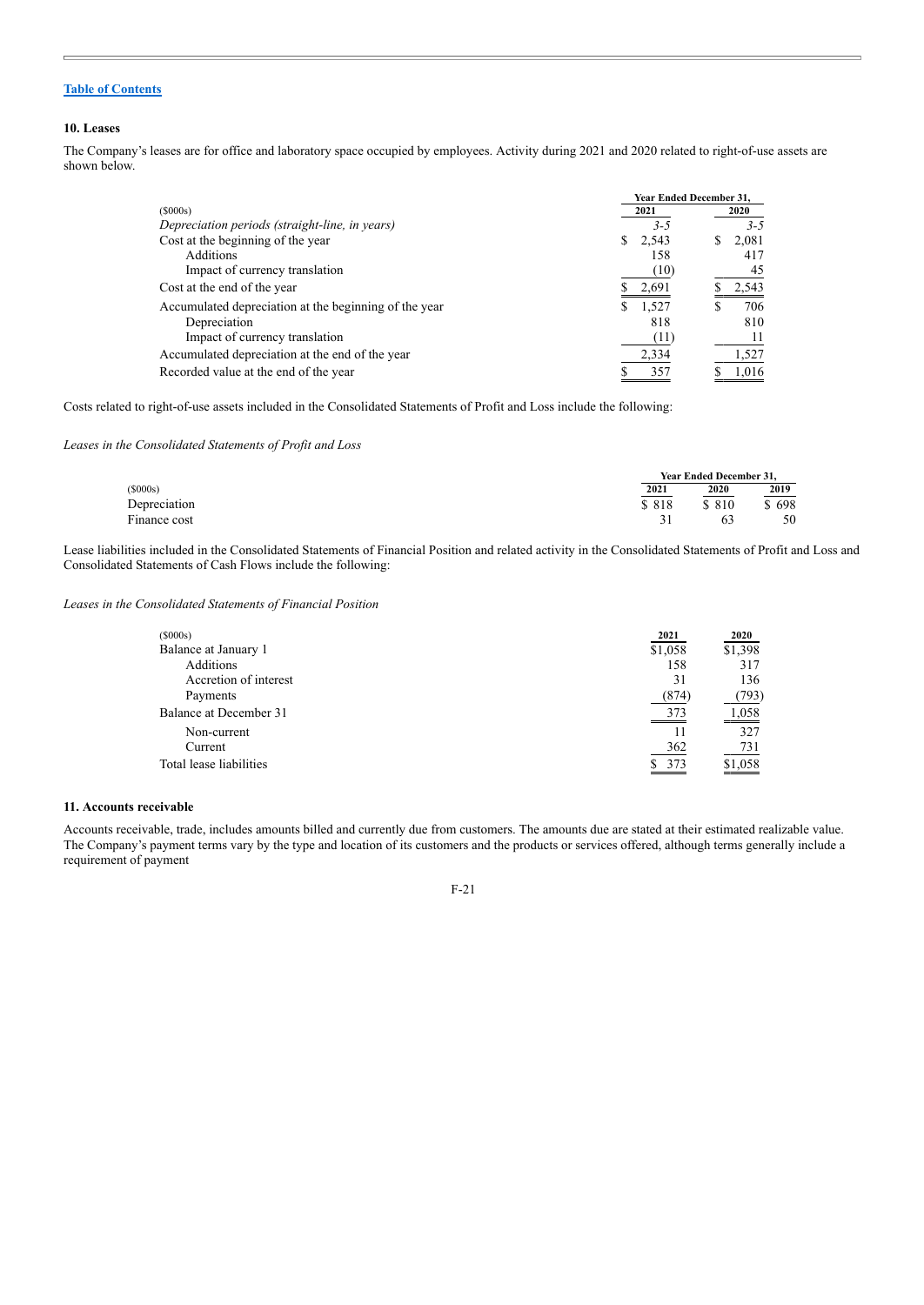## **10. Leases**

The Company's leases are for office and laboratory space occupied by employees. Activity during 2021 and 2020 related to right-of-use assets are shown below.

|                                                       | <b>Year Ended December 31.</b> |            |
|-------------------------------------------------------|--------------------------------|------------|
| (S000s)                                               | 2021                           | 2020       |
| Depreciation periods (straight-line, in years)        | 3-5                            | $3 - 5$    |
| Cost at the beginning of the year                     | 2,543<br>S.                    | 2.081<br>S |
| Additions                                             | 158                            | 417        |
| Impact of currency translation                        | (10)                           | 45         |
| Cost at the end of the year                           | 2.691                          | 2,543      |
| Accumulated depreciation at the beginning of the year | 1,527<br>S                     | 706        |
| Depreciation                                          | 818                            | 810        |
| Impact of currency translation                        | (11)                           | 11         |
| Accumulated depreciation at the end of the year       | 2,334                          | 1,527      |
| Recorded value at the end of the year                 | 357                            | 1,016      |

Costs related to right-of-use assets included in the Consolidated Statements of Profit and Loss include the following:

*Leases in the Consolidated Statements of Profit and Loss*

|              |       | <b>Year Ended December 31.</b> |       |  |
|--------------|-------|--------------------------------|-------|--|
| (S000s)      | 2021  | 2020                           | 2019  |  |
| Depreciation | \$818 | \$810                          | \$698 |  |
| Finance cost |       |                                | 50    |  |

Lease liabilities included in the Consolidated Statements of Financial Position and related activity in the Consolidated Statements of Profit and Loss and Consolidated Statements of Cash Flows include the following:

*Leases in the Consolidated Statements of Financial Position*

| (S000s)                 | 2021    | 2020         |
|-------------------------|---------|--------------|
| Balance at January 1    | \$1,058 | \$1,398      |
| Additions               | 158     | 317          |
| Accretion of interest   | 31      | 136          |
| Payments                | (874)   | (793)        |
| Balance at December 31  | 373     | <u>1,058</u> |
| Non-current             | 11      | 327          |
| Current                 | 362     | 731          |
| Total lease liabilities | 373     | .058         |

### **11. Accounts receivable**

Accounts receivable, trade, includes amounts billed and currently due from customers. The amounts due are stated at their estimated realizable value. The Company's payment terms vary by the type and location of its customers and the products or services offered, although terms generally include a requirement of payment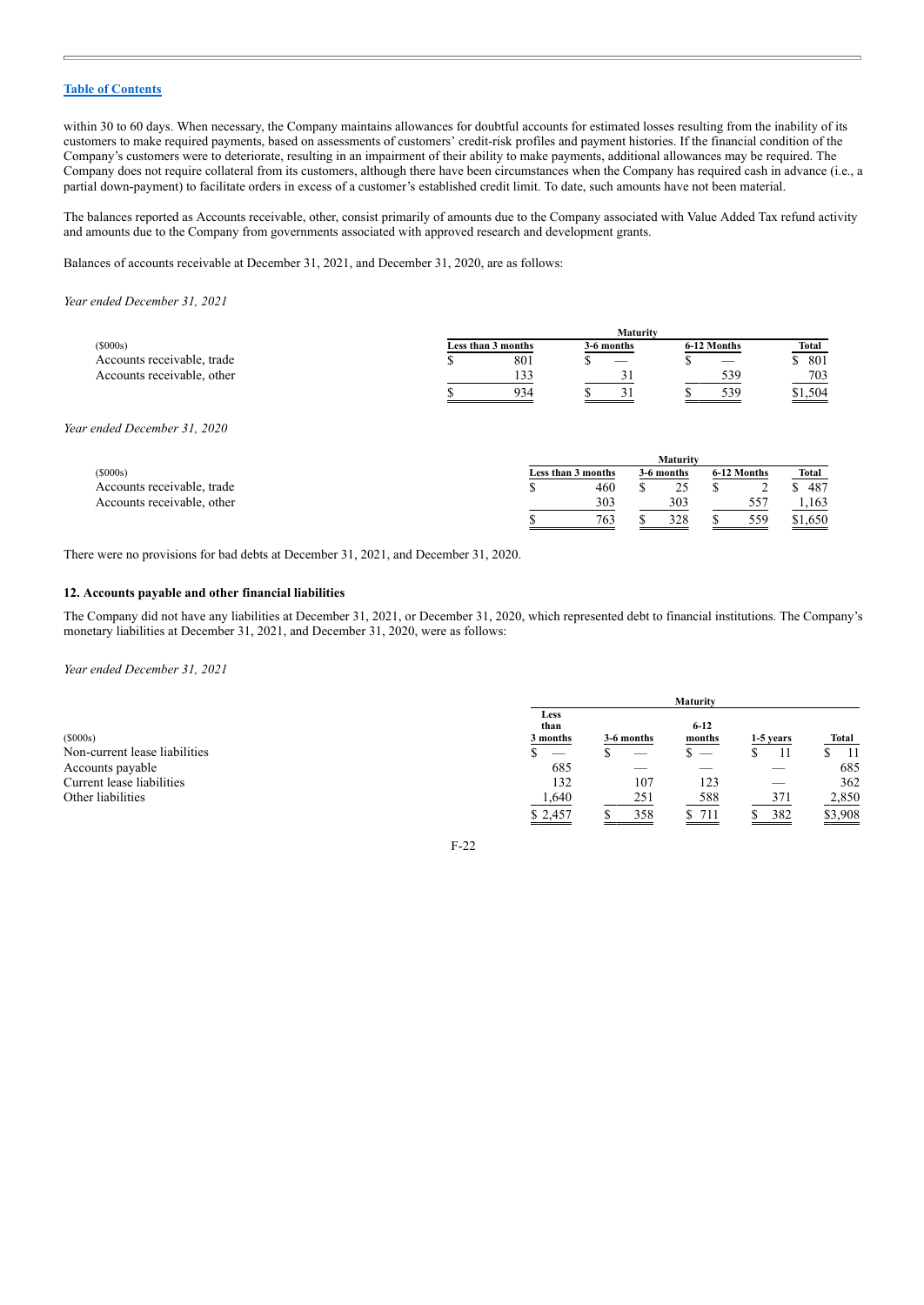within 30 to 60 days. When necessary, the Company maintains allowances for doubtful accounts for estimated losses resulting from the inability of its customers to make required payments, based on assessments of customers' credit-risk profiles and payment histories. If the financial condition of the Company's customers were to deteriorate, resulting in an impairment of their ability to make payments, additional allowances may be required. The Company does not require collateral from its customers, although there have been circumstances when the Company has required cash in advance (i.e., a partial down-payment) to facilitate orders in excess of a customer's established credit limit. To date, such amounts have not been material.

The balances reported as Accounts receivable, other, consist primarily of amounts due to the Company associated with Value Added Tax refund activity and amounts due to the Company from governments associated with approved research and development grants.

Balances of accounts receivable at December 31, 2021, and December 31, 2020, are as follows:

*Year ended December 31, 2021*

|                            | Maturity |                    |                          |             |         |
|----------------------------|----------|--------------------|--------------------------|-------------|---------|
| (5000s)                    |          | Less than 3 months | 3-6 months               | 6-12 Months | Total   |
| Accounts receivable, trade |          | 801                | $\overline{\phantom{a}}$ |             | 801     |
| Accounts receivable, other |          |                    |                          | 539         | 703     |
|                            |          | 934                |                          | 539         | \$1,504 |

*Year ended December 31, 2020* 

|                            |                    | <b>Maturity</b> |             |         |
|----------------------------|--------------------|-----------------|-------------|---------|
| (S000s)                    | Less than 3 months | 3-6 months      | 6-12 Months | Total   |
| Accounts receivable, trade | 460                | --              | ∽           | 487     |
| Accounts receivable, other | 303                | 303             |             | . 163   |
|                            | 763                | 328             | 559         | \$1,650 |

There were no provisions for bad debts at December 31, 2021, and December 31, 2020.

#### **12. Accounts payable and other financial liabilities**

The Company did not have any liabilities at December 31, 2021, or December 31, 2020, which represented debt to financial institutions. The Company's monetary liabilities at December 31, 2021, and December 31, 2020, were as follows:

*Year ended December 31, 2021*

|                               | Maturity     |            |                          |           |         |
|-------------------------------|--------------|------------|--------------------------|-----------|---------|
|                               | Less<br>than |            | $6 - 12$                 |           |         |
| (S000s)                       | 3 months     | 3-6 months | months                   | 1-5 years | Total   |
| Non-current lease liabilities |              | __         | $\overline{\phantom{a}}$ | 11        | 11      |
| Accounts payable              | 685          |            |                          |           | 685     |
| Current lease liabilities     | 132          | 107        | 123                      | __        | 362     |
| Other liabilities             | 1,640        | 251        | 588                      | 371       | 2,850   |
|                               | \$2,457      | 358        | 711                      | 382       | \$3,908 |

**Maturity**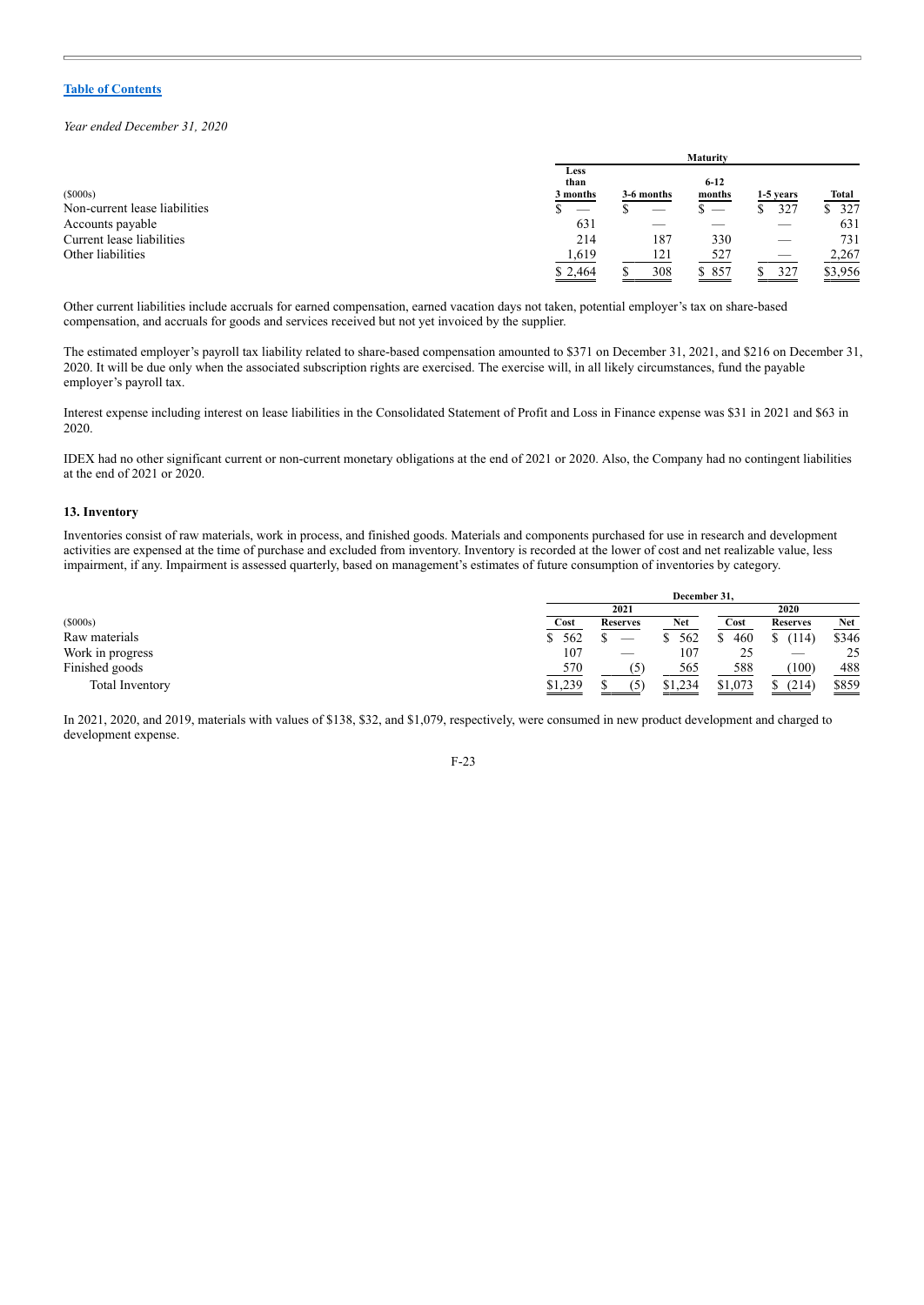*Year ended December 31, 2020*

|                          |          | Maturity                 |        |              |
|--------------------------|----------|--------------------------|--------|--------------|
| Less<br>than             |          | $6 - 12$                 |        |              |
|                          |          |                          |        | <b>Total</b> |
| $\overline{\phantom{a}}$ | ___      | $\overline{\phantom{a}}$ | 327    | 327          |
| 631                      |          |                          |        | 631          |
| 214                      | 187      | 330                      | __     | 731          |
| 1,619                    | 121      | 527                      |        | 2,267        |
| \$2,464                  | 308      | \$ 857                   | 327    | \$3,956      |
|                          | 3 months | 3-6 months               | months | 1-5 years    |

Other current liabilities include accruals for earned compensation, earned vacation days not taken, potential employer's tax on share-based compensation, and accruals for goods and services received but not yet invoiced by the supplier.

The estimated employer's payroll tax liability related to share-based compensation amounted to \$371 on December 31, 2021, and \$216 on December 31, 2020. It will be due only when the associated subscription rights are exercised. The exercise will, in all likely circumstances, fund the payable employer's payroll tax.

Interest expense including interest on lease liabilities in the Consolidated Statement of Profit and Loss in Finance expense was \$31 in 2021 and \$63 in 2020.

IDEX had no other significant current or non-current monetary obligations at the end of 2021 or 2020. Also, the Company had no contingent liabilities at the end of 2021 or 2020.

#### **13. Inventory**

Inventories consist of raw materials, work in process, and finished goods. Materials and components purchased for use in research and development activities are expensed at the time of purchase and excluded from inventory. Inventory is recorded at the lower of cost and net realizable value, less impairment, if any. Impairment is assessed quarterly, based on management's estimates of future consumption of inventories by category.

|                  | December 31, |                 |         |         |                 |       |
|------------------|--------------|-----------------|---------|---------|-----------------|-------|
|                  |              | 2021            |         |         | 2020            |       |
| $($ \$000s)      | Cost         | <b>Reserves</b> | Net     | Cost    | <b>Reserves</b> | Net   |
| Raw materials    | 562          | __              | 562     | 460     | (114)           | \$346 |
| Work in progress | 107          |                 | 107     | 25      | $-$             | 25    |
| Finished goods   | 570          |                 | 565     | 588     | (100)           | 488   |
| Total Inventory  | \$1,239      |                 | \$1,234 | \$1,073 | 214)            | \$859 |

In 2021, 2020, and 2019, materials with values of \$138, \$32, and \$1,079, respectively, were consumed in new product development and charged to development expense.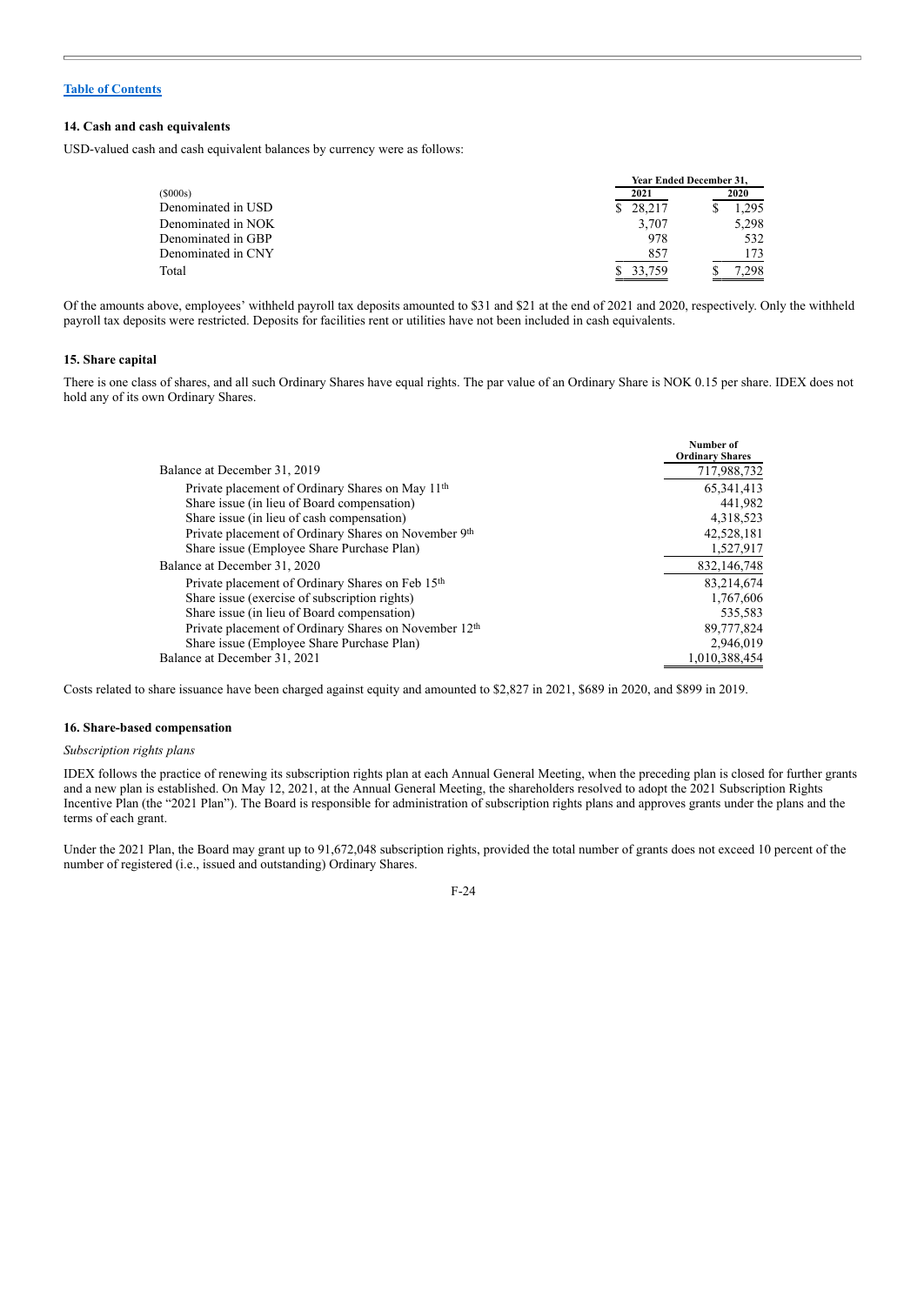## **14. Cash and cash equivalents**

USD-valued cash and cash equivalent balances by currency were as follows:

|                    | <b>Year Ended December 31.</b> |       |
|--------------------|--------------------------------|-------|
| (S000s)            | 2021                           | 2020  |
| Denominated in USD | \$28,217                       | .295  |
| Denominated in NOK | 3,707                          | 5,298 |
| Denominated in GBP | 978                            | 532   |
| Denominated in CNY | 857                            | 173   |
| Total              | 33,759                         | .298  |

Of the amounts above, employees' withheld payroll tax deposits amounted to \$31 and \$21 at the end of 2021 and 2020, respectively. Only the withheld payroll tax deposits were restricted. Deposits for facilities rent or utilities have not been included in cash equivalents.

#### **15. Share capital**

There is one class of shares, and all such Ordinary Shares have equal rights. The par value of an Ordinary Share is NOK 0.15 per share. IDEX does not hold any of its own Ordinary Shares.

|                                                                   | Number of<br><b>Ordinary Shares</b> |
|-------------------------------------------------------------------|-------------------------------------|
| Balance at December 31, 2019                                      | 717,988,732                         |
| Private placement of Ordinary Shares on May 11 <sup>th</sup>      | 65, 341, 413                        |
| Share issue (in lieu of Board compensation)                       | 441.982                             |
| Share issue (in lieu of cash compensation)                        | 4,318,523                           |
| Private placement of Ordinary Shares on November 9th              | 42,528,181                          |
| Share issue (Employee Share Purchase Plan)                        | 1,527,917                           |
| Balance at December 31, 2020                                      | 832,146,748                         |
| Private placement of Ordinary Shares on Feb 15th                  | 83.214.674                          |
| Share issue (exercise of subscription rights)                     | 1.767,606                           |
| Share issue (in lieu of Board compensation)                       | 535.583                             |
| Private placement of Ordinary Shares on November 12 <sup>th</sup> | 89,777,824                          |
| Share issue (Employee Share Purchase Plan)                        | 2,946,019                           |
| Balance at December 31, 2021                                      | 1,010,388,454                       |

Costs related to share issuance have been charged against equity and amounted to \$2,827 in 2021, \$689 in 2020, and \$899 in 2019.

### **16. Share-based compensation**

## *Subscription rights plans*

IDEX follows the practice of renewing its subscription rights plan at each Annual General Meeting, when the preceding plan is closed for further grants and a new plan is established. On May 12, 2021, at the Annual General Meeting, the shareholders resolved to adopt the 2021 Subscription Rights Incentive Plan (the "2021 Plan"). The Board is responsible for administration of subscription rights plans and approves grants under the plans and the terms of each grant.

Under the 2021 Plan, the Board may grant up to 91,672,048 subscription rights, provided the total number of grants does not exceed 10 percent of the number of registered (i.e., issued and outstanding) Ordinary Shares.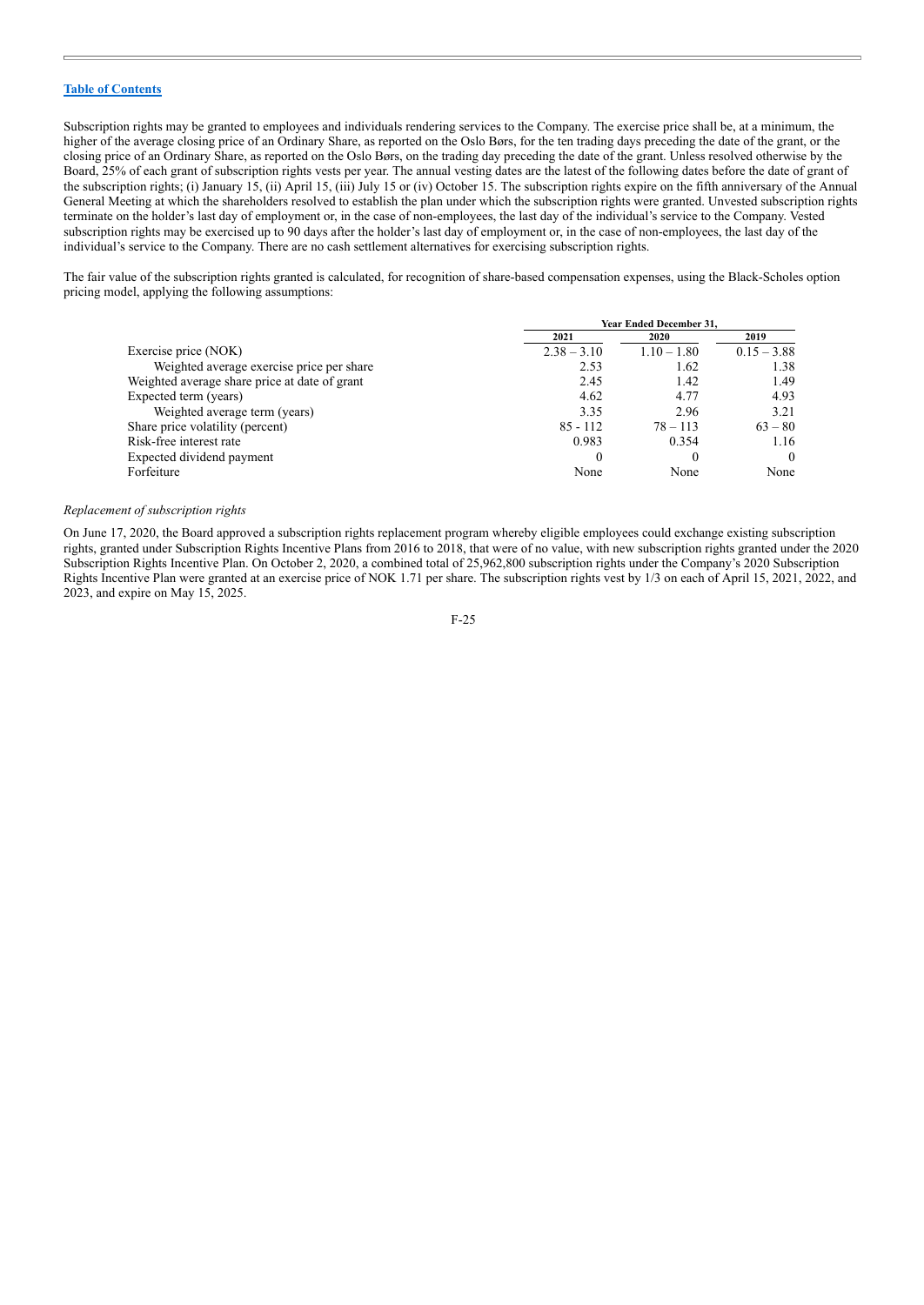Subscription rights may be granted to employees and individuals rendering services to the Company. The exercise price shall be, at a minimum, the higher of the average closing price of an Ordinary Share, as reported on the Oslo Børs, for the ten trading days preceding the date of the grant, or the closing price of an Ordinary Share, as reported on the Oslo Børs, on the trading day preceding the date of the grant. Unless resolved otherwise by the Board, 25% of each grant of subscription rights vests per year. The annual vesting dates are the latest of the following dates before the date of grant of the subscription rights; (i) January 15, (ii) April 15, (iii) July 15 or (iv) October 15. The subscription rights expire on the fifth anniversary of the Annual General Meeting at which the shareholders resolved to establish the plan under which the subscription rights were granted. Unvested subscription rights terminate on the holder's last day of employment or, in the case of non-employees, the last day of the individual's service to the Company. Vested subscription rights may be exercised up to 90 days after the holder's last day of employment or, in the case of non-employees, the last day of the individual's service to the Company. There are no cash settlement alternatives for exercising subscription rights.

The fair value of the subscription rights granted is calculated, for recognition of share-based compensation expenses, using the Black-Scholes option pricing model, applying the following assumptions:

|                                               | Year Ended December 31, |               |               |  |
|-----------------------------------------------|-------------------------|---------------|---------------|--|
|                                               | 2021                    | 2020          | 2019          |  |
| Exercise price (NOK)                          | $2.38 - 3.10$           | $1.10 - 1.80$ | $0.15 - 3.88$ |  |
| Weighted average exercise price per share     | 2.53                    | 1.62          | 1.38          |  |
| Weighted average share price at date of grant | 2.45                    | 1.42          | 1.49          |  |
| Expected term (years)                         | 4.62                    | 4.77          | 4.93          |  |
| Weighted average term (years)                 | 3.35                    | 2.96          | 3.21          |  |
| Share price volatility (percent)              | $85 - 112$              | $78 - 113$    | $63 - 80$     |  |
| Risk-free interest rate                       | 0.983                   | 0.354         | 1.16          |  |
| Expected dividend payment                     |                         |               | $\Omega$      |  |
| Forfeiture                                    | None                    | None          | None          |  |

#### *Replacement of subscription rights*

On June 17, 2020, the Board approved a subscription rights replacement program whereby eligible employees could exchange existing subscription rights, granted under Subscription Rights Incentive Plans from 2016 to 2018, that were of no value, with new subscription rights granted under the 2020 Subscription Rights Incentive Plan. On October 2, 2020, a combined total of 25,962,800 subscription rights under the Company's 2020 Subscription Rights Incentive Plan were granted at an exercise price of NOK 1.71 per share. The subscription rights vest by 1/3 on each of April 15, 2021, 2022, and 2023, and expire on May 15, 2025.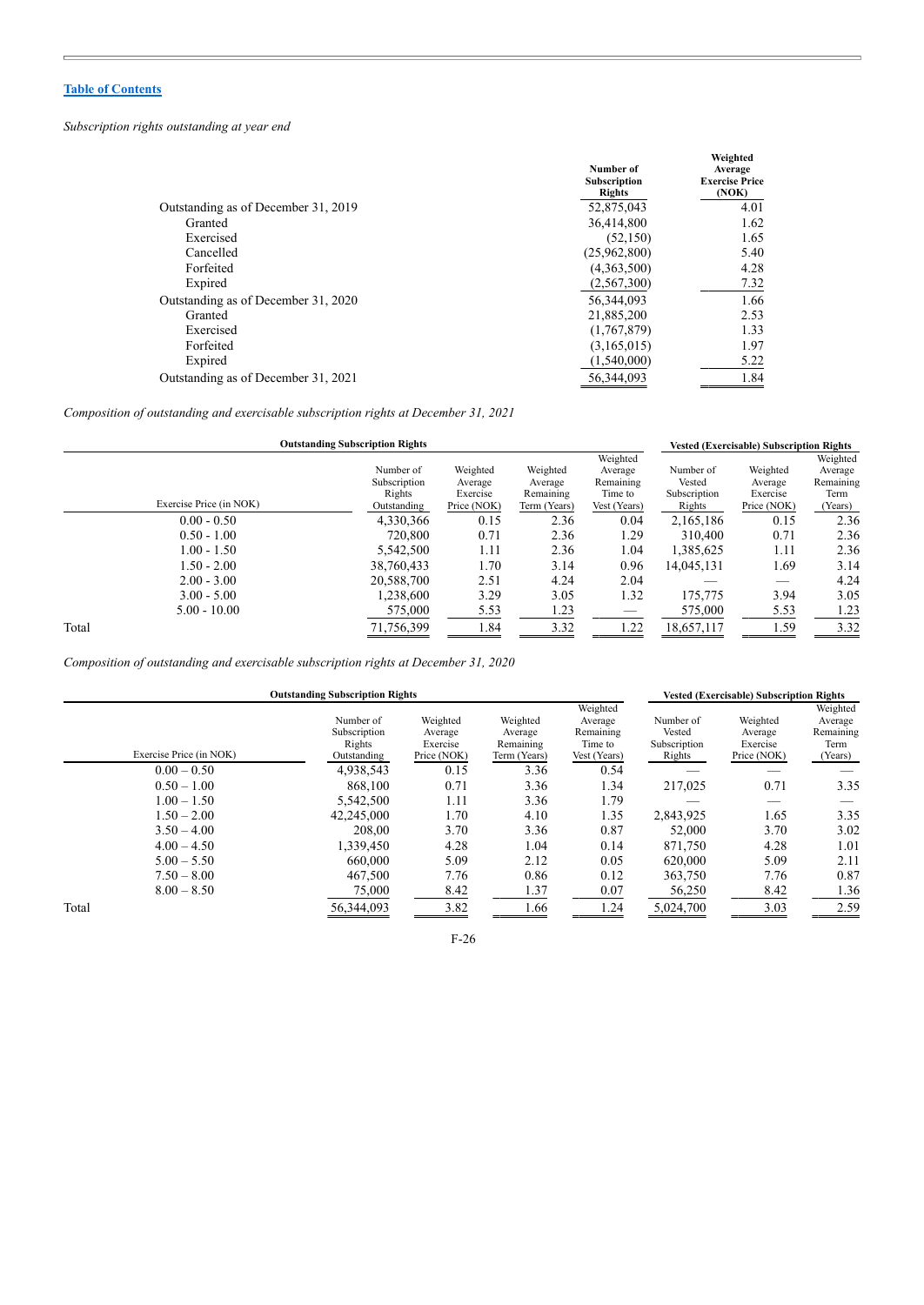# *Subscription rights outstanding at year end*

|                                     | Number of<br>Subscription<br><b>Rights</b> | Weighted<br>Average<br><b>Exercise Price</b><br>(NOK) |
|-------------------------------------|--------------------------------------------|-------------------------------------------------------|
| Outstanding as of December 31, 2019 | 52,875,043                                 | 4.01                                                  |
| Granted                             | 36,414,800                                 | 1.62                                                  |
| Exercised                           | (52, 150)                                  | 1.65                                                  |
| Cancelled                           | (25,962,800)                               | 5.40                                                  |
| Forfeited                           | (4,363,500)                                | 4.28                                                  |
| Expired                             | (2,567,300)                                | 7.32                                                  |
| Outstanding as of December 31, 2020 | 56,344,093                                 | 1.66                                                  |
| Granted                             | 21,885,200                                 | 2.53                                                  |
| Exercised                           | (1,767,879)                                | 1.33                                                  |
| Forfeited                           | (3,165,015)                                | 1.97                                                  |
| Expired                             | (1,540,000)                                | 5.22                                                  |
| Outstanding as of December 31, 2021 | 56,344,093                                 | 1.84                                                  |

# *Composition of outstanding and exercisable subscription rights at December 31, 2021*

|                         | <b>Outstanding Subscription Rights</b> |             |              |              |              | <b>Vested (Exercisable) Subscription Rights</b> |           |
|-------------------------|----------------------------------------|-------------|--------------|--------------|--------------|-------------------------------------------------|-----------|
|                         |                                        |             |              | Weighted     |              |                                                 | Weighted  |
|                         | Number of                              | Weighted    | Weighted     | Average      | Number of    | Weighted                                        | Average   |
|                         | Subscription                           | Average     | Average      | Remaining    | Vested       | Average                                         | Remaining |
|                         | Rights                                 | Exercise    | Remaining    | Time to      | Subscription | Exercise                                        | Term      |
| Exercise Price (in NOK) | Outstanding                            | Price (NOK) | Term (Years) | Vest (Years) | Rights       | Price (NOK)                                     | (Years)   |
| $0.00 - 0.50$           | 4,330,366                              | 0.15        | 2.36         | 0.04         | 2,165,186    | 0.15                                            | 2.36      |
| $0.50 - 1.00$           | 720,800                                | 0.71        | 2.36         | 1.29         | 310,400      | 0.71                                            | 2.36      |
| $1.00 - 1.50$           | 5.542.500                              | 1.11        | 2.36         | 1.04         | 1,385,625    | 1.11                                            | 2.36      |
| $1.50 - 2.00$           | 38,760,433                             | 1.70        | 3.14         | 0.96         | 14,045,131   | 1.69                                            | 3.14      |
| $2.00 - 3.00$           | 20,588,700                             | 2.51        | 4.24         | 2.04         |              |                                                 | 4.24      |
| $3.00 - 5.00$           | 1,238,600                              | 3.29        | 3.05         | 1.32         | 175,775      | 3.94                                            | 3.05      |
| $5.00 - 10.00$          | 575,000                                | 5.53        | 1.23         |              | 575,000      | 5.53                                            | 1.23      |
| Total                   | 71,756,399                             | 1.84        | 3.32         | l.22         | 18,657,117   | l.59                                            | 3.32      |

*Composition of outstanding and exercisable subscription rights at December 31, 2020* 

| <b>Outstanding Subscription Rights</b> |                         |                                                    |                                                |                                                  | <b>Vested (Exercisable) Subscription Rights</b>             |                                               |                                                |                                                     |
|----------------------------------------|-------------------------|----------------------------------------------------|------------------------------------------------|--------------------------------------------------|-------------------------------------------------------------|-----------------------------------------------|------------------------------------------------|-----------------------------------------------------|
|                                        | Exercise Price (in NOK) | Number of<br>Subscription<br>Rights<br>Outstanding | Weighted<br>Average<br>Exercise<br>Price (NOK) | Weighted<br>Average<br>Remaining<br>Term (Years) | Weighted<br>Average<br>Remaining<br>Time to<br>Vest (Years) | Number of<br>Vested<br>Subscription<br>Rights | Weighted<br>Average<br>Exercise<br>Price (NOK) | Weighted<br>Average<br>Remaining<br>Term<br>(Years) |
|                                        | $0.00 - 0.50$           | 4,938,543                                          | 0.15                                           | 3.36                                             | 0.54                                                        |                                               |                                                |                                                     |
|                                        | $0.50 - 1.00$           | 868,100                                            | 0.71                                           | 3.36                                             | 1.34                                                        | 217,025                                       | 0.71                                           | 3.35                                                |
|                                        | $1.00 - 1.50$           | 5,542,500                                          | 1.11                                           | 3.36                                             | 1.79                                                        |                                               |                                                |                                                     |
|                                        | $1.50 - 2.00$           | 42,245,000                                         | 1.70                                           | 4.10                                             | 1.35                                                        | 2,843,925                                     | 1.65                                           | 3.35                                                |
|                                        | $3.50 - 4.00$           | 208,00                                             | 3.70                                           | 3.36                                             | 0.87                                                        | 52,000                                        | 3.70                                           | 3.02                                                |
|                                        | $4.00 - 4.50$           | 1.339.450                                          | 4.28                                           | 1.04                                             | 0.14                                                        | 871,750                                       | 4.28                                           | 1.01                                                |
|                                        | $5.00 - 5.50$           | 660,000                                            | 5.09                                           | 2.12                                             | 0.05                                                        | 620,000                                       | 5.09                                           | 2.11                                                |
|                                        | $7.50 - 8.00$           | 467,500                                            | 7.76                                           | 0.86                                             | 0.12                                                        | 363,750                                       | 7.76                                           | 0.87                                                |
|                                        | $8.00 - 8.50$           | 75,000                                             | 8.42                                           | 1.37                                             | 0.07                                                        | 56,250                                        | 8.42                                           | 1.36                                                |
| Total                                  |                         | 56,344,093                                         | 3.82                                           | 1.66                                             | 1.24                                                        | 5,024,700                                     | 3.03                                           | 2.59                                                |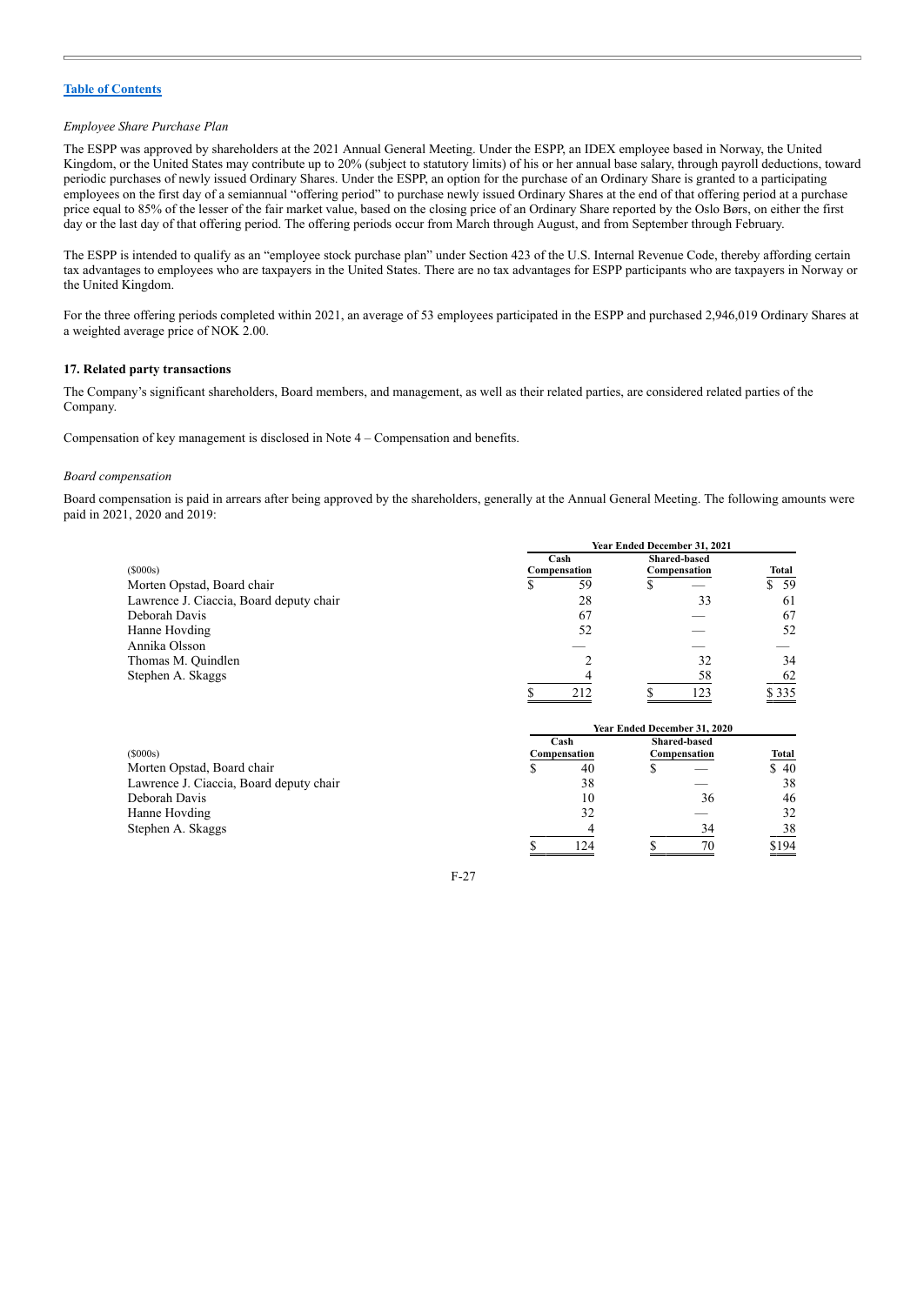## *Employee Share Purchase Plan*

The ESPP was approved by shareholders at the 2021 Annual General Meeting. Under the ESPP, an IDEX employee based in Norway, the United Kingdom, or the United States may contribute up to 20% (subject to statutory limits) of his or her annual base salary, through payroll deductions, toward periodic purchases of newly issued Ordinary Shares. Under the ESPP, an option for the purchase of an Ordinary Share is granted to a participating employees on the first day of a semiannual "offering period" to purchase newly issued Ordinary Shares at the end of that offering period at a purchase price equal to 85% of the lesser of the fair market value, based on the closing price of an Ordinary Share reported by the Oslo Børs, on either the first day or the last day of that offering period. The offering periods occur from March through August, and from September through February.

The ESPP is intended to qualify as an "employee stock purchase plan" under Section 423 of the U.S. Internal Revenue Code, thereby affording certain tax advantages to employees who are taxpayers in the United States. There are no tax advantages for ESPP participants who are taxpayers in Norway or the United Kingdom.

For the three offering periods completed within 2021, an average of 53 employees participated in the ESPP and purchased 2,946,019 Ordinary Shares at a weighted average price of NOK 2.00.

## **17. Related party transactions**

The Company's significant shareholders, Board members, and management, as well as their related parties, are considered related parties of the Company.

Compensation of key management is disclosed in Note 4 – Compensation and benefits.

#### *Board compensation*

Board compensation is paid in arrears after being approved by the shareholders, generally at the Annual General Meeting. The following amounts were paid in 2021, 2020 and 2019:

|                                         | Year Ended December 31, 2021 |              |                     |              |       |  |
|-----------------------------------------|------------------------------|--------------|---------------------|--------------|-------|--|
|                                         | Cash                         |              | <b>Shared-based</b> |              |       |  |
| (S000s)                                 |                              | Compensation |                     | Compensation | Total |  |
| Morten Opstad, Board chair              |                              | 59           |                     |              | \$59  |  |
| Lawrence J. Ciaccia, Board deputy chair |                              | 28           |                     | 33           | 61    |  |
| Deborah Davis                           |                              | 67           |                     |              | 67    |  |
| Hanne Hovding                           |                              | 52           |                     |              | 52    |  |
| Annika Olsson                           |                              |              |                     |              |       |  |
| Thomas M. Quindlen                      |                              |              |                     | 32           | 34    |  |
| Stephen A. Skaggs                       |                              |              |                     | 58           | 62    |  |
|                                         |                              | 212          |                     | 123          | \$335 |  |

|                                         | Year Ended December 31, 2020 |    |                                     |    |       |  |
|-----------------------------------------|------------------------------|----|-------------------------------------|----|-------|--|
| (S000s)                                 | Cash<br>Compensation         |    | <b>Shared-based</b><br>Compensation |    | Total |  |
| Morten Opstad, Board chair              |                              | 40 |                                     |    | \$40  |  |
| Lawrence J. Ciaccia, Board deputy chair |                              | 38 |                                     |    | 38    |  |
| Deborah Davis                           |                              | 10 |                                     | 36 | 46    |  |
| Hanne Hovding                           |                              | 32 |                                     |    | 32    |  |
| Stephen A. Skaggs                       |                              |    |                                     | 34 | 38    |  |
|                                         |                              |    |                                     | 70 | \$194 |  |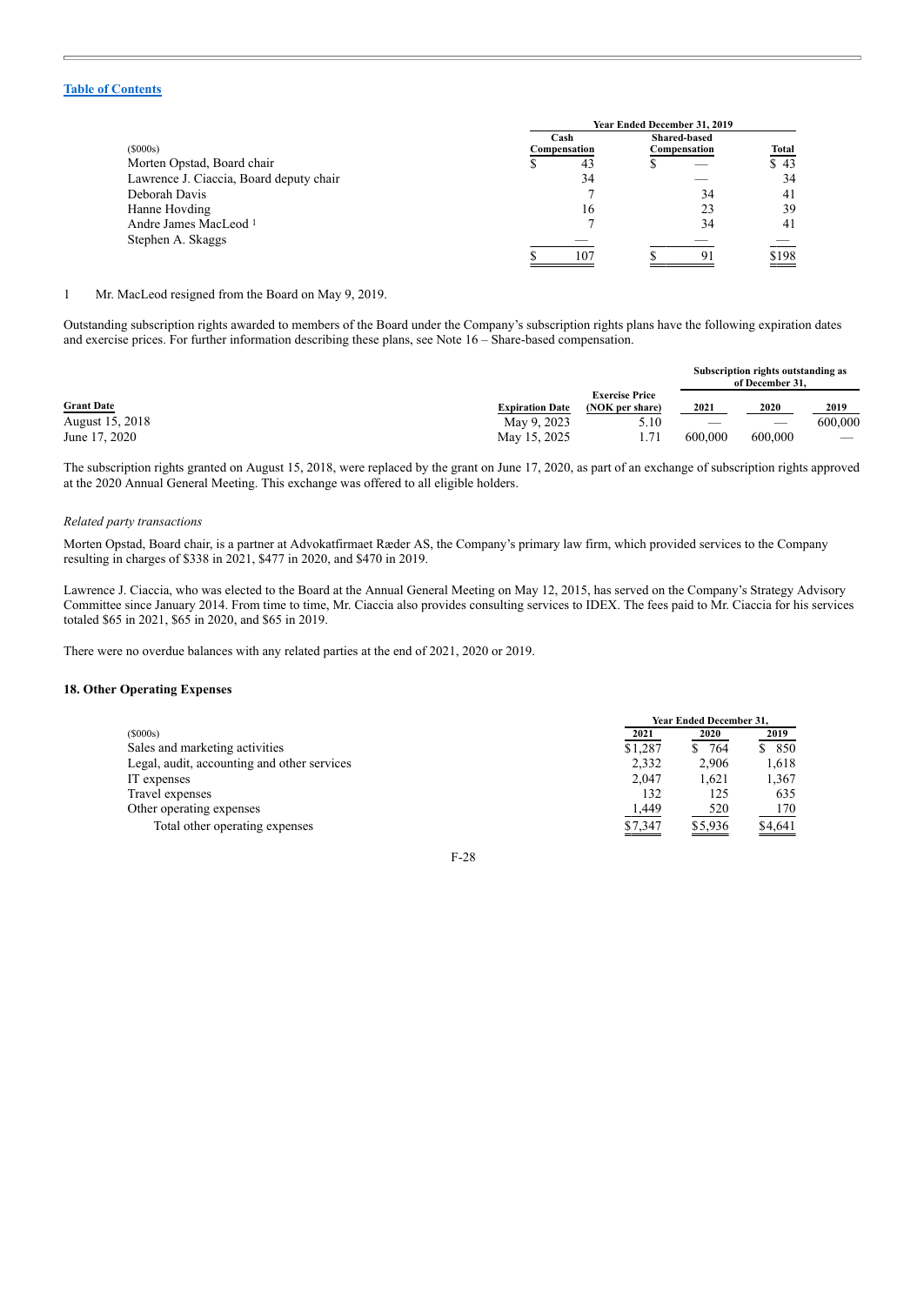|                                         | Year Ended December 31, 2019 |                              |       |  |  |
|-----------------------------------------|------------------------------|------------------------------|-------|--|--|
| (S000s)                                 | Cash<br>Compensation         | Shared-based<br>Compensation | Total |  |  |
| Morten Opstad, Board chair              | 43                           |                              | \$43  |  |  |
| Lawrence J. Ciaccia, Board deputy chair | 34                           |                              | 34    |  |  |
| Deborah Davis                           |                              | 34                           | 41    |  |  |
| Hanne Hovding                           | 16                           | 23                           | 39    |  |  |
| Andre James MacLeod <sup>1</sup>        |                              | 34                           | 41    |  |  |
| Stephen A. Skaggs                       |                              |                              |       |  |  |
|                                         | 107                          | 9                            | \$198 |  |  |

## 1 Mr. MacLeod resigned from the Board on May 9, 2019.

Outstanding subscription rights awarded to members of the Board under the Company's subscription rights plans have the following expiration dates and exercise prices. For further information describing these plans, see Note 16 – Share-based compensation.

|                   |                        |                                          | Subscription rights outstanding as<br>of December 31. |         |                          |
|-------------------|------------------------|------------------------------------------|-------------------------------------------------------|---------|--------------------------|
| <b>Grant Date</b> | <b>Expiration Date</b> | <b>Exercise Price</b><br>(NOK per share) | 2021                                                  | 2020    | 2019                     |
| August 15, 2018   | May 9, 2023            | 5.10                                     |                                                       | ___     | 600,000                  |
| June 17, 2020     | May 15, 2025           |                                          | 600.000                                               | 600,000 | $\overline{\phantom{a}}$ |

The subscription rights granted on August 15, 2018, were replaced by the grant on June 17, 2020, as part of an exchange of subscription rights approved at the 2020 Annual General Meeting. This exchange was offered to all eligible holders.

#### *Related party transactions*

Morten Opstad, Board chair, is a partner at Advokatfirmaet Ræder AS, the Company's primary law firm, which provided services to the Company resulting in charges of \$338 in 2021, \$477 in 2020, and \$470 in 2019.

Lawrence J. Ciaccia, who was elected to the Board at the Annual General Meeting on May 12, 2015, has served on the Company's Strategy Advisory Committee since January 2014. From time to time, Mr. Ciaccia also provides consulting services to IDEX. The fees paid to Mr. Ciaccia for his services totaled \$65 in 2021, \$65 in 2020, and \$65 in 2019.

There were no overdue balances with any related parties at the end of 2021, 2020 or 2019.

#### **18. Other Operating Expenses**

|                                             | <b>Year Ended December 31.</b> |         |         |  |
|---------------------------------------------|--------------------------------|---------|---------|--|
| (5000s)                                     | 2021                           | 2020    | 2019    |  |
| Sales and marketing activities              | \$1,287                        | 764     | 850     |  |
| Legal, audit, accounting and other services | 2,332                          | 2.906   | 1,618   |  |
| IT expenses                                 | 2.047                          | 1.621   | 1,367   |  |
| Travel expenses                             | 132                            | 125     | 635     |  |
| Other operating expenses                    | 1,449                          | 520     | 170     |  |
| Total other operating expenses              | \$7,347                        | \$5,936 | \$4,641 |  |